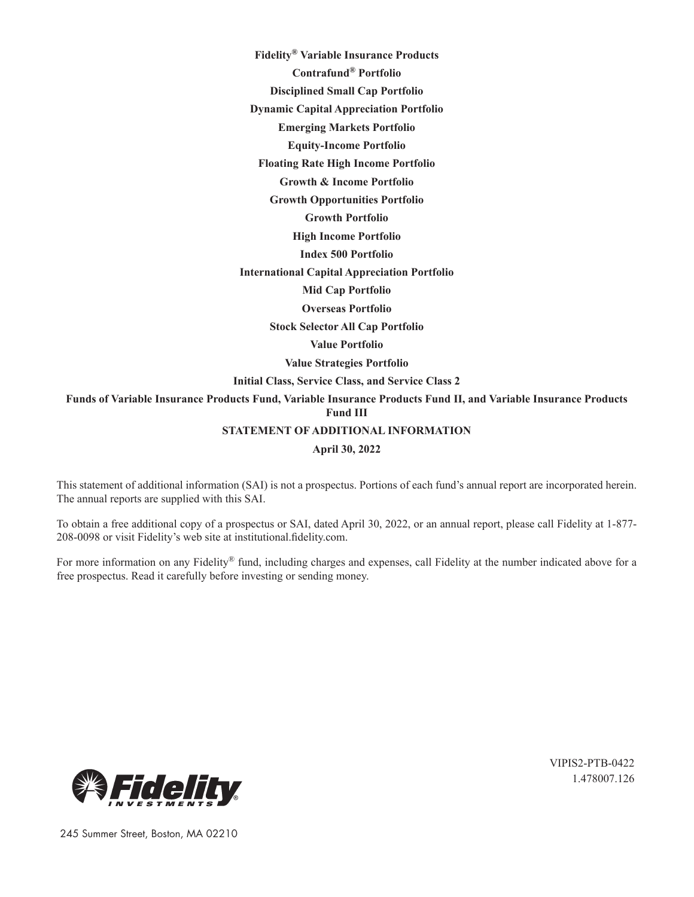**Fidelity® Variable Insurance Products**

**Contrafund® Portfolio** 

**Disciplined Small Cap Portfolio** 

**Dynamic Capital Appreciation Portfolio** 

**Emerging Markets Portfolio** 

**Equity-Income Portfolio** 

**Floating Rate High Income Portfolio** 

**Growth & Income Portfolio** 

**Growth Opportunities Portfolio** 

**Growth Portfolio** 

**High Income Portfolio** 

**Index 500 Portfolio** 

**International Capital Appreciation Portfolio** 

**Mid Cap Portfolio** 

**Overseas Portfolio** 

**Stock Selector All Cap Portfolio** 

**Value Portfolio** 

**Value Strategies Portfolio** 

**Initial Class, Service Class, and Service Class 2**

**Funds of Variable Insurance Products Fund, Variable Insurance Products Fund II, and Variable Insurance Products Fund III STATEMENT OF ADDITIONAL INFORMATION**

**April 30, 2022**

This statement of additional information (SAI) is not a prospectus. Portions of each fund's annual report are incorporated herein. The annual reports are supplied with this SAI.

To obtain a free additional copy of a prospectus or SAI, dated April 30, 2022, or an annual report, please call Fidelity at 1-877- 208-0098 or visit Fidelity's web site at institutional.fidelity.com.

For more information on any Fidelity® fund, including charges and expenses, call Fidelity at the number indicated above for a free prospectus. Read it carefully before investing or sending money.



VIPIS2-PTB-0422 1.478007.126

245 Summer Street, Boston, MA 02210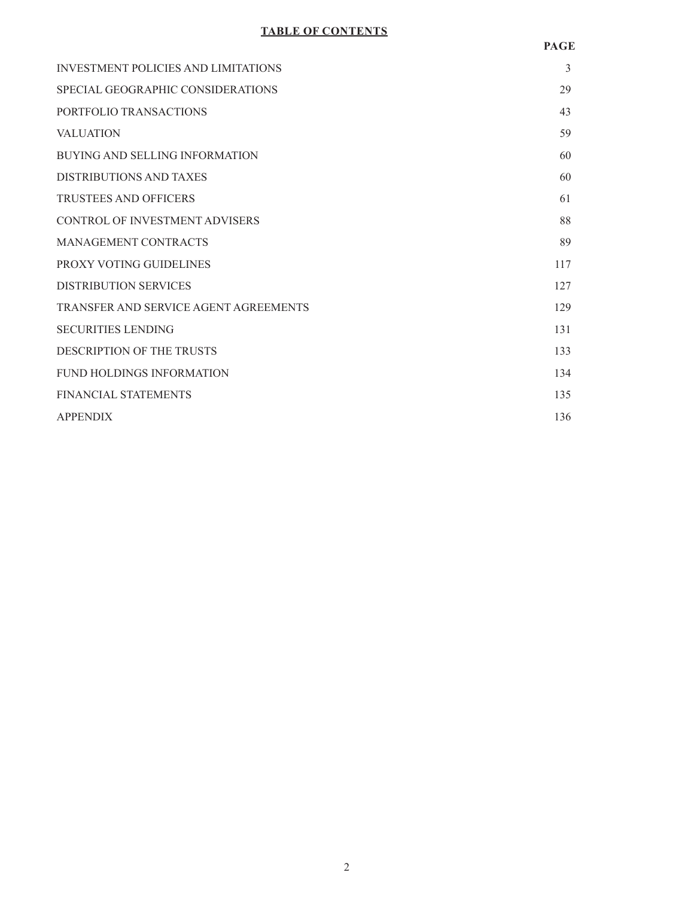# **TABLE OF CONTENTS**

| <b>INVESTMENT POLICIES AND LIMITATIONS</b> | 3   |
|--------------------------------------------|-----|
| SPECIAL GEOGRAPHIC CONSIDERATIONS          | 29  |
| PORTFOLIO TRANSACTIONS                     | 43  |
| <b>VALUATION</b>                           | 59  |
| <b>BUYING AND SELLING INFORMATION</b>      | 60  |
| DISTRIBUTIONS AND TAXES                    | 60  |
| <b>TRUSTEES AND OFFICERS</b>               | 61  |
| CONTROL OF INVESTMENT ADVISERS             | 88  |
| <b>MANAGEMENT CONTRACTS</b>                | 89  |
| PROXY VOTING GUIDELINES                    | 117 |
| <b>DISTRIBUTION SERVICES</b>               | 127 |
| TRANSFER AND SERVICE AGENT AGREEMENTS      | 129 |
| <b>SECURITIES LENDING</b>                  | 131 |
| <b>DESCRIPTION OF THE TRUSTS</b>           | 133 |
| <b>FUND HOLDINGS INFORMATION</b>           | 134 |
| <b>FINANCIAL STATEMENTS</b>                | 135 |
| <b>APPENDIX</b>                            | 136 |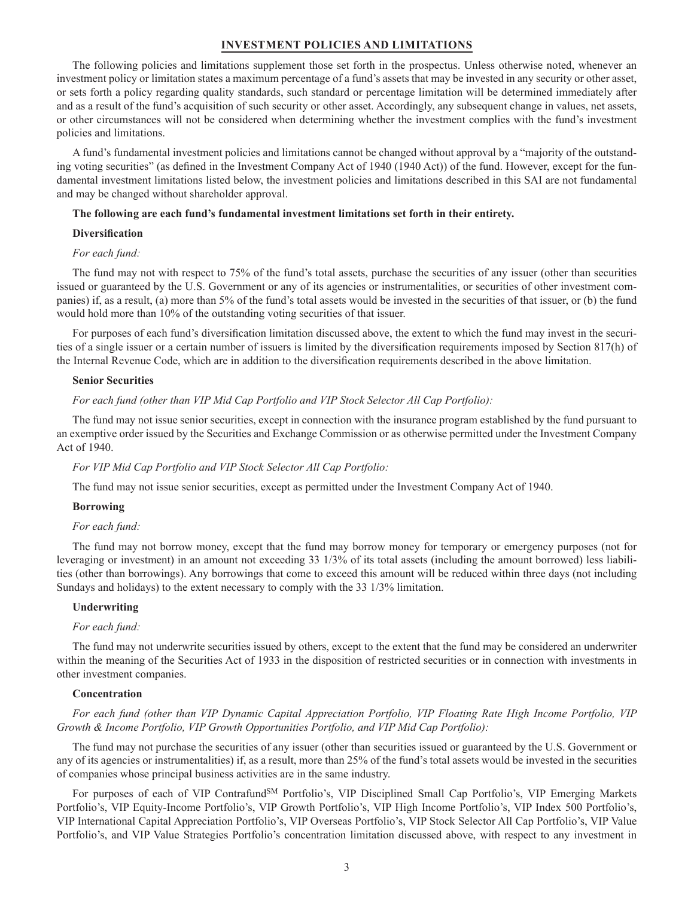#### **INVESTMENT POLICIES AND LIMITATIONS**

The following policies and limitations supplement those set forth in the prospectus. Unless otherwise noted, whenever an investment policy or limitation states a maximum percentage of a fund's assets that may be invested in any security or other asset, or sets forth a policy regarding quality standards, such standard or percentage limitation will be determined immediately after and as a result of the fund's acquisition of such security or other asset. Accordingly, any subsequent change in values, net assets, or other circumstances will not be considered when determining whether the investment complies with the fund's investment policies and limitations.

A fund's fundamental investment policies and limitations cannot be changed without approval by a "majority of the outstanding voting securities" (as defined in the Investment Company Act of 1940 (1940 Act)) of the fund. However, except for the fundamental investment limitations listed below, the investment policies and limitations described in this SAI are not fundamental and may be changed without shareholder approval.

#### **The following are each fund's fundamental investment limitations set forth in their entirety.**

#### **Diversification**

## *For each fund:*

The fund may not with respect to 75% of the fund's total assets, purchase the securities of any issuer (other than securities issued or guaranteed by the U.S. Government or any of its agencies or instrumentalities, or securities of other investment companies) if, as a result, (a) more than 5% of the fund's total assets would be invested in the securities of that issuer, or (b) the fund would hold more than 10% of the outstanding voting securities of that issuer.

For purposes of each fund's diversification limitation discussed above, the extent to which the fund may invest in the securities of a single issuer or a certain number of issuers is limited by the diversification requirements imposed by Section 817(h) of the Internal Revenue Code, which are in addition to the diversification requirements described in the above limitation.

#### **Senior Securities**

*For each fund (other than VIP Mid Cap Portfolio and VIP Stock Selector All Cap Portfolio):*

The fund may not issue senior securities, except in connection with the insurance program established by the fund pursuant to an exemptive order issued by the Securities and Exchange Commission or as otherwise permitted under the Investment Company Act of 1940.

#### *For VIP Mid Cap Portfolio and VIP Stock Selector All Cap Portfolio:*

The fund may not issue senior securities, except as permitted under the Investment Company Act of 1940.

#### **Borrowing**

## *For each fund:*

The fund may not borrow money, except that the fund may borrow money for temporary or emergency purposes (not for leveraging or investment) in an amount not exceeding 33 1/3% of its total assets (including the amount borrowed) less liabilities (other than borrowings). Any borrowings that come to exceed this amount will be reduced within three days (not including Sundays and holidays) to the extent necessary to comply with the 33 1/3% limitation.

#### **Underwriting**

#### *For each fund:*

The fund may not underwrite securities issued by others, except to the extent that the fund may be considered an underwriter within the meaning of the Securities Act of 1933 in the disposition of restricted securities or in connection with investments in other investment companies.

#### **Concentration**

### *For each fund (other than VIP Dynamic Capital Appreciation Portfolio, VIP Floating Rate High Income Portfolio, VIP Growth & Income Portfolio, VIP Growth Opportunities Portfolio, and VIP Mid Cap Portfolio):*

The fund may not purchase the securities of any issuer (other than securities issued or guaranteed by the U.S. Government or any of its agencies or instrumentalities) if, as a result, more than 25% of the fund's total assets would be invested in the securities of companies whose principal business activities are in the same industry.

For purposes of each of VIP Contrafund<sup>SM</sup> Portfolio's, VIP Disciplined Small Cap Portfolio's, VIP Emerging Markets Portfolio's, VIP Equity-Income Portfolio's, VIP Growth Portfolio's, VIP High Income Portfolio's, VIP Index 500 Portfolio's, VIP International Capital Appreciation Portfolio's, VIP Overseas Portfolio's, VIP Stock Selector All Cap Portfolio's, VIP Value Portfolio's, and VIP Value Strategies Portfolio's concentration limitation discussed above, with respect to any investment in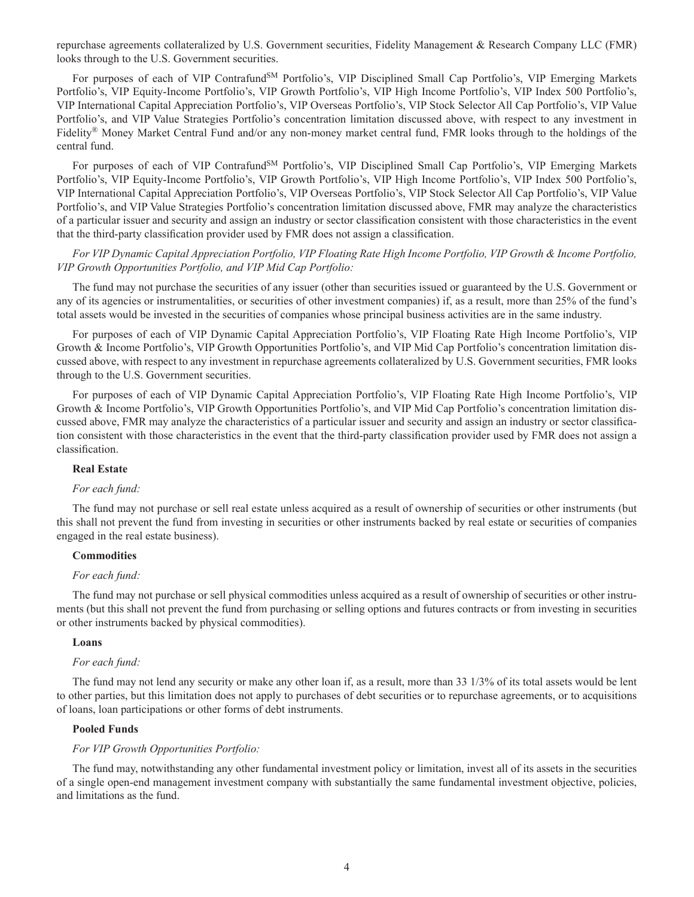repurchase agreements collateralized by U.S. Government securities, Fidelity Management & Research Company LLC (FMR) looks through to the U.S. Government securities.

For purposes of each of VIP Contrafund<sup>SM</sup> Portfolio's, VIP Disciplined Small Cap Portfolio's, VIP Emerging Markets Portfolio's, VIP Equity-Income Portfolio's, VIP Growth Portfolio's, VIP High Income Portfolio's, VIP Index 500 Portfolio's, VIP International Capital Appreciation Portfolio's, VIP Overseas Portfolio's, VIP Stock Selector All Cap Portfolio's, VIP Value Portfolio's, and VIP Value Strategies Portfolio's concentration limitation discussed above, with respect to any investment in Fidelity® Money Market Central Fund and/or any non-money market central fund, FMR looks through to the holdings of the central fund.

For purposes of each of VIP Contrafund<sup>SM</sup> Portfolio's, VIP Disciplined Small Cap Portfolio's, VIP Emerging Markets Portfolio's, VIP Equity-Income Portfolio's, VIP Growth Portfolio's, VIP High Income Portfolio's, VIP Index 500 Portfolio's, VIP International Capital Appreciation Portfolio's, VIP Overseas Portfolio's, VIP Stock Selector All Cap Portfolio's, VIP Value Portfolio's, and VIP Value Strategies Portfolio's concentration limitation discussed above, FMR may analyze the characteristics of a particular issuer and security and assign an industry or sector classification consistent with those characteristics in the event that the third-party classification provider used by FMR does not assign a classification.

*For VIP Dynamic Capital Appreciation Portfolio, VIP Floating Rate High Income Portfolio, VIP Growth & Income Portfolio, VIP Growth Opportunities Portfolio, and VIP Mid Cap Portfolio:*

The fund may not purchase the securities of any issuer (other than securities issued or guaranteed by the U.S. Government or any of its agencies or instrumentalities, or securities of other investment companies) if, as a result, more than 25% of the fund's total assets would be invested in the securities of companies whose principal business activities are in the same industry.

For purposes of each of VIP Dynamic Capital Appreciation Portfolio's, VIP Floating Rate High Income Portfolio's, VIP Growth & Income Portfolio's, VIP Growth Opportunities Portfolio's, and VIP Mid Cap Portfolio's concentration limitation discussed above, with respect to any investment in repurchase agreements collateralized by U.S. Government securities, FMR looks through to the U.S. Government securities.

For purposes of each of VIP Dynamic Capital Appreciation Portfolio's, VIP Floating Rate High Income Portfolio's, VIP Growth & Income Portfolio's, VIP Growth Opportunities Portfolio's, and VIP Mid Cap Portfolio's concentration limitation discussed above, FMR may analyze the characteristics of a particular issuer and security and assign an industry or sector classification consistent with those characteristics in the event that the third-party classification provider used by FMR does not assign a classification.

#### **Real Estate**

#### *For each fund:*

The fund may not purchase or sell real estate unless acquired as a result of ownership of securities or other instruments (but this shall not prevent the fund from investing in securities or other instruments backed by real estate or securities of companies engaged in the real estate business).

#### **Commodities**

#### *For each fund:*

The fund may not purchase or sell physical commodities unless acquired as a result of ownership of securities or other instruments (but this shall not prevent the fund from purchasing or selling options and futures contracts or from investing in securities or other instruments backed by physical commodities).

#### **Loans**

#### *For each fund:*

The fund may not lend any security or make any other loan if, as a result, more than 33 1/3% of its total assets would be lent to other parties, but this limitation does not apply to purchases of debt securities or to repurchase agreements, or to acquisitions of loans, loan participations or other forms of debt instruments.

#### **Pooled Funds**

## *For VIP Growth Opportunities Portfolio:*

The fund may, notwithstanding any other fundamental investment policy or limitation, invest all of its assets in the securities of a single open-end management investment company with substantially the same fundamental investment objective, policies, and limitations as the fund.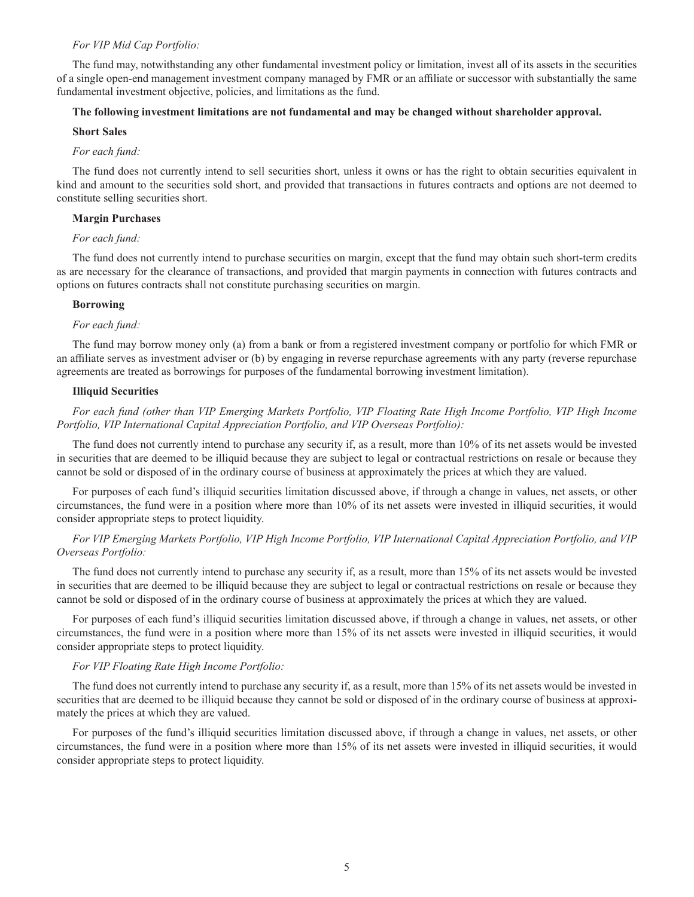#### *For VIP Mid Cap Portfolio:*

The fund may, notwithstanding any other fundamental investment policy or limitation, invest all of its assets in the securities of a single open-end management investment company managed by FMR or an affiliate or successor with substantially the same fundamental investment objective, policies, and limitations as the fund.

## **The following investment limitations are not fundamental and may be changed without shareholder approval.**

#### **Short Sales**

#### *For each fund:*

The fund does not currently intend to sell securities short, unless it owns or has the right to obtain securities equivalent in kind and amount to the securities sold short, and provided that transactions in futures contracts and options are not deemed to constitute selling securities short.

#### **Margin Purchases**

### *For each fund:*

The fund does not currently intend to purchase securities on margin, except that the fund may obtain such short-term credits as are necessary for the clearance of transactions, and provided that margin payments in connection with futures contracts and options on futures contracts shall not constitute purchasing securities on margin.

#### **Borrowing**

#### *For each fund:*

The fund may borrow money only (a) from a bank or from a registered investment company or portfolio for which FMR or an affiliate serves as investment adviser or (b) by engaging in reverse repurchase agreements with any party (reverse repurchase agreements are treated as borrowings for purposes of the fundamental borrowing investment limitation).

#### **Illiquid Securities**

## *For each fund (other than VIP Emerging Markets Portfolio, VIP Floating Rate High Income Portfolio, VIP High Income Portfolio, VIP International Capital Appreciation Portfolio, and VIP Overseas Portfolio):*

The fund does not currently intend to purchase any security if, as a result, more than 10% of its net assets would be invested in securities that are deemed to be illiquid because they are subject to legal or contractual restrictions on resale or because they cannot be sold or disposed of in the ordinary course of business at approximately the prices at which they are valued.

For purposes of each fund's illiquid securities limitation discussed above, if through a change in values, net assets, or other circumstances, the fund were in a position where more than 10% of its net assets were invested in illiquid securities, it would consider appropriate steps to protect liquidity.

## *For VIP Emerging Markets Portfolio, VIP High Income Portfolio, VIP International Capital Appreciation Portfolio, and VIP Overseas Portfolio:*

The fund does not currently intend to purchase any security if, as a result, more than 15% of its net assets would be invested in securities that are deemed to be illiquid because they are subject to legal or contractual restrictions on resale or because they cannot be sold or disposed of in the ordinary course of business at approximately the prices at which they are valued.

For purposes of each fund's illiquid securities limitation discussed above, if through a change in values, net assets, or other circumstances, the fund were in a position where more than 15% of its net assets were invested in illiquid securities, it would consider appropriate steps to protect liquidity.

### *For VIP Floating Rate High Income Portfolio:*

The fund does not currently intend to purchase any security if, as a result, more than 15% of its net assets would be invested in securities that are deemed to be illiquid because they cannot be sold or disposed of in the ordinary course of business at approximately the prices at which they are valued.

For purposes of the fund's illiquid securities limitation discussed above, if through a change in values, net assets, or other circumstances, the fund were in a position where more than 15% of its net assets were invested in illiquid securities, it would consider appropriate steps to protect liquidity.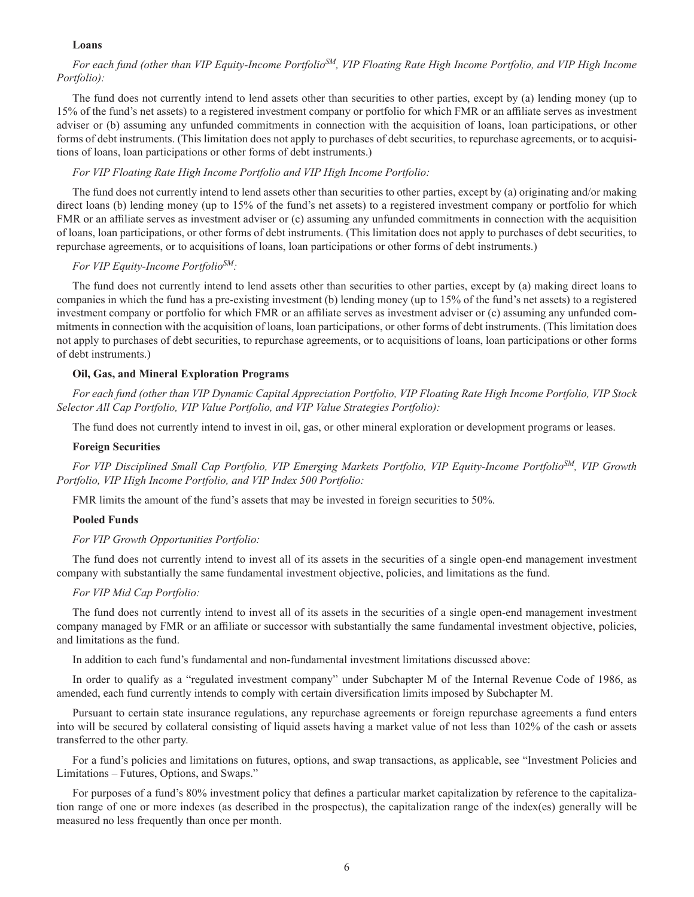## **Loans**

## *For each fund (other than VIP Equity-Income PortfolioSM, VIP Floating Rate High Income Portfolio, and VIP High Income Portfolio):*

The fund does not currently intend to lend assets other than securities to other parties, except by (a) lending money (up to 15% of the fund's net assets) to a registered investment company or portfolio for which FMR or an affiliate serves as investment adviser or (b) assuming any unfunded commitments in connection with the acquisition of loans, loan participations, or other forms of debt instruments. (This limitation does not apply to purchases of debt securities, to repurchase agreements, or to acquisitions of loans, loan participations or other forms of debt instruments.)

#### *For VIP Floating Rate High Income Portfolio and VIP High Income Portfolio:*

The fund does not currently intend to lend assets other than securities to other parties, except by (a) originating and/or making direct loans (b) lending money (up to 15% of the fund's net assets) to a registered investment company or portfolio for which FMR or an affiliate serves as investment adviser or (c) assuming any unfunded commitments in connection with the acquisition of loans, loan participations, or other forms of debt instruments. (This limitation does not apply to purchases of debt securities, to repurchase agreements, or to acquisitions of loans, loan participations or other forms of debt instruments.)

## *For VIP Equity-Income PortfolioSM:*

The fund does not currently intend to lend assets other than securities to other parties, except by (a) making direct loans to companies in which the fund has a pre-existing investment (b) lending money (up to 15% of the fund's net assets) to a registered investment company or portfolio for which FMR or an affiliate serves as investment adviser or (c) assuming any unfunded commitments in connection with the acquisition of loans, loan participations, or other forms of debt instruments. (This limitation does not apply to purchases of debt securities, to repurchase agreements, or to acquisitions of loans, loan participations or other forms of debt instruments.)

### **Oil, Gas, and Mineral Exploration Programs**

*For each fund (other than VIP Dynamic Capital Appreciation Portfolio, VIP Floating Rate High Income Portfolio, VIP Stock Selector All Cap Portfolio, VIP Value Portfolio, and VIP Value Strategies Portfolio):*

The fund does not currently intend to invest in oil, gas, or other mineral exploration or development programs or leases.

#### **Foreign Securities**

*For VIP Disciplined Small Cap Portfolio, VIP Emerging Markets Portfolio, VIP Equity-Income PortfolioSM, VIP Growth Portfolio, VIP High Income Portfolio, and VIP Index 500 Portfolio:*

FMR limits the amount of the fund's assets that may be invested in foreign securities to 50%.

#### **Pooled Funds**

#### *For VIP Growth Opportunities Portfolio:*

The fund does not currently intend to invest all of its assets in the securities of a single open-end management investment company with substantially the same fundamental investment objective, policies, and limitations as the fund.

#### *For VIP Mid Cap Portfolio:*

The fund does not currently intend to invest all of its assets in the securities of a single open-end management investment company managed by FMR or an affiliate or successor with substantially the same fundamental investment objective, policies, and limitations as the fund.

In addition to each fund's fundamental and non-fundamental investment limitations discussed above:

In order to qualify as a "regulated investment company" under Subchapter M of the Internal Revenue Code of 1986, as amended, each fund currently intends to comply with certain diversification limits imposed by Subchapter M.

Pursuant to certain state insurance regulations, any repurchase agreements or foreign repurchase agreements a fund enters into will be secured by collateral consisting of liquid assets having a market value of not less than 102% of the cash or assets transferred to the other party.

For a fund's policies and limitations on futures, options, and swap transactions, as applicable, see "Investment Policies and Limitations – Futures, Options, and Swaps."

For purposes of a fund's 80% investment policy that defines a particular market capitalization by reference to the capitalization range of one or more indexes (as described in the prospectus), the capitalization range of the index(es) generally will be measured no less frequently than once per month.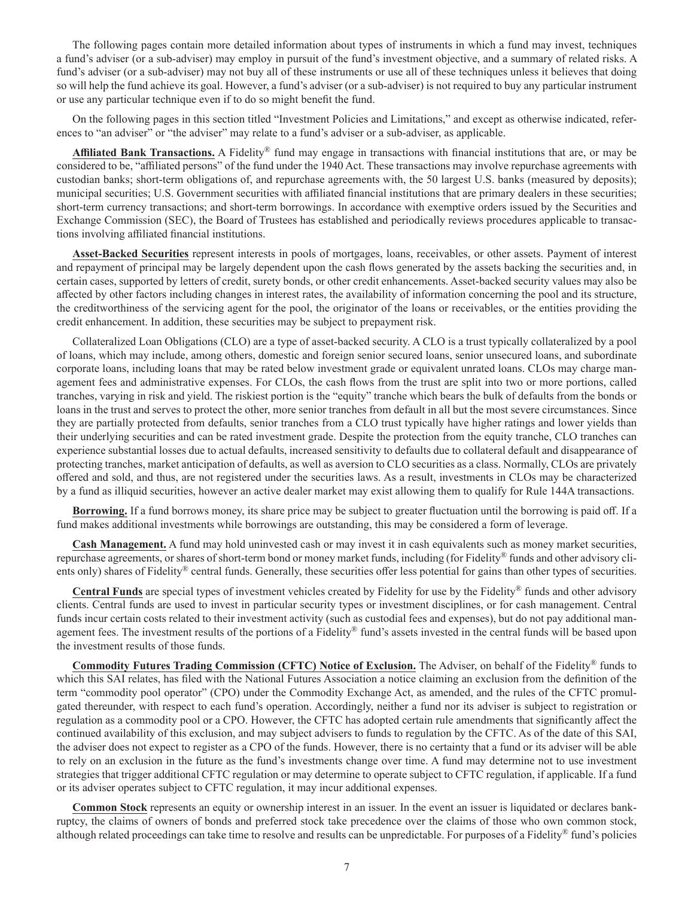The following pages contain more detailed information about types of instruments in which a fund may invest, techniques a fund's adviser (or a sub-adviser) may employ in pursuit of the fund's investment objective, and a summary of related risks. A fund's adviser (or a sub-adviser) may not buy all of these instruments or use all of these techniques unless it believes that doing so will help the fund achieve its goal. However, a fund's adviser (or a sub-adviser) is not required to buy any particular instrument or use any particular technique even if to do so might benefit the fund.

On the following pages in this section titled "Investment Policies and Limitations," and except as otherwise indicated, references to "an adviser" or "the adviser" may relate to a fund's adviser or a sub-adviser, as applicable.

**Affiliated Bank Transactions.** A Fidelity® fund may engage in transactions with financial institutions that are, or may be considered to be, "affiliated persons" of the fund under the 1940 Act. These transactions may involve repurchase agreements with custodian banks; short-term obligations of, and repurchase agreements with, the 50 largest U.S. banks (measured by deposits); municipal securities; U.S. Government securities with affiliated financial institutions that are primary dealers in these securities; short-term currency transactions; and short-term borrowings. In accordance with exemptive orders issued by the Securities and Exchange Commission (SEC), the Board of Trustees has established and periodically reviews procedures applicable to transactions involving affiliated financial institutions.

**Asset-Backed Securities** represent interests in pools of mortgages, loans, receivables, or other assets. Payment of interest and repayment of principal may be largely dependent upon the cash flows generated by the assets backing the securities and, in certain cases, supported by letters of credit, surety bonds, or other credit enhancements. Asset-backed security values may also be affected by other factors including changes in interest rates, the availability of information concerning the pool and its structure, the creditworthiness of the servicing agent for the pool, the originator of the loans or receivables, or the entities providing the credit enhancement. In addition, these securities may be subject to prepayment risk.

Collateralized Loan Obligations (CLO) are a type of asset-backed security. A CLO is a trust typically collateralized by a pool of loans, which may include, among others, domestic and foreign senior secured loans, senior unsecured loans, and subordinate corporate loans, including loans that may be rated below investment grade or equivalent unrated loans. CLOs may charge management fees and administrative expenses. For CLOs, the cash flows from the trust are split into two or more portions, called tranches, varying in risk and yield. The riskiest portion is the "equity" tranche which bears the bulk of defaults from the bonds or loans in the trust and serves to protect the other, more senior tranches from default in all but the most severe circumstances. Since they are partially protected from defaults, senior tranches from a CLO trust typically have higher ratings and lower yields than their underlying securities and can be rated investment grade. Despite the protection from the equity tranche, CLO tranches can experience substantial losses due to actual defaults, increased sensitivity to defaults due to collateral default and disappearance of protecting tranches, market anticipation of defaults, as well as aversion to CLO securities as a class. Normally, CLOs are privately offered and sold, and thus, are not registered under the securities laws. As a result, investments in CLOs may be characterized by a fund as illiquid securities, however an active dealer market may exist allowing them to qualify for Rule 144A transactions.

**Borrowing.** If a fund borrows money, its share price may be subject to greater fluctuation until the borrowing is paid off. If a fund makes additional investments while borrowings are outstanding, this may be considered a form of leverage.

**Cash Management.** A fund may hold uninvested cash or may invest it in cash equivalents such as money market securities, repurchase agreements, or shares of short-term bond or money market funds, including (for Fidelity® funds and other advisory clients only) shares of Fidelity<sup>®</sup> central funds. Generally, these securities offer less potential for gains than other types of securities.

**Central Funds** are special types of investment vehicles created by Fidelity for use by the Fidelity® funds and other advisory clients. Central funds are used to invest in particular security types or investment disciplines, or for cash management. Central funds incur certain costs related to their investment activity (such as custodial fees and expenses), but do not pay additional management fees. The investment results of the portions of a Fidelity® fund's assets invested in the central funds will be based upon the investment results of those funds.

**Commodity Futures Trading Commission (CFTC) Notice of Exclusion.** The Adviser, on behalf of the Fidelity® funds to which this SAI relates, has filed with the National Futures Association a notice claiming an exclusion from the definition of the term "commodity pool operator" (CPO) under the Commodity Exchange Act, as amended, and the rules of the CFTC promulgated thereunder, with respect to each fund's operation. Accordingly, neither a fund nor its adviser is subject to registration or regulation as a commodity pool or a CPO. However, the CFTC has adopted certain rule amendments that significantly affect the continued availability of this exclusion, and may subject advisers to funds to regulation by the CFTC. As of the date of this SAI, the adviser does not expect to register as a CPO of the funds. However, there is no certainty that a fund or its adviser will be able to rely on an exclusion in the future as the fund's investments change over time. A fund may determine not to use investment strategies that trigger additional CFTC regulation or may determine to operate subject to CFTC regulation, if applicable. If a fund or its adviser operates subject to CFTC regulation, it may incur additional expenses.

**Common Stock** represents an equity or ownership interest in an issuer. In the event an issuer is liquidated or declares bankruptcy, the claims of owners of bonds and preferred stock take precedence over the claims of those who own common stock, although related proceedings can take time to resolve and results can be unpredictable. For purposes of a Fidelity® fund's policies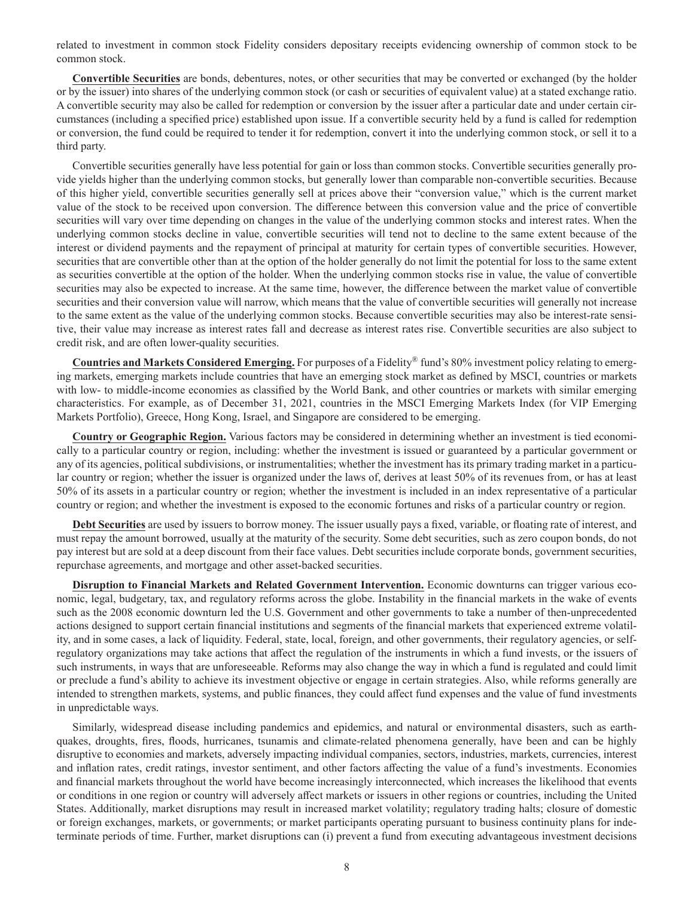related to investment in common stock Fidelity considers depositary receipts evidencing ownership of common stock to be common stock.

**Convertible Securities** are bonds, debentures, notes, or other securities that may be converted or exchanged (by the holder or by the issuer) into shares of the underlying common stock (or cash or securities of equivalent value) at a stated exchange ratio. A convertible security may also be called for redemption or conversion by the issuer after a particular date and under certain circumstances (including a specified price) established upon issue. If a convertible security held by a fund is called for redemption or conversion, the fund could be required to tender it for redemption, convert it into the underlying common stock, or sell it to a third party.

Convertible securities generally have less potential for gain or loss than common stocks. Convertible securities generally provide yields higher than the underlying common stocks, but generally lower than comparable non-convertible securities. Because of this higher yield, convertible securities generally sell at prices above their "conversion value," which is the current market value of the stock to be received upon conversion. The difference between this conversion value and the price of convertible securities will vary over time depending on changes in the value of the underlying common stocks and interest rates. When the underlying common stocks decline in value, convertible securities will tend not to decline to the same extent because of the interest or dividend payments and the repayment of principal at maturity for certain types of convertible securities. However, securities that are convertible other than at the option of the holder generally do not limit the potential for loss to the same extent as securities convertible at the option of the holder. When the underlying common stocks rise in value, the value of convertible securities may also be expected to increase. At the same time, however, the difference between the market value of convertible securities and their conversion value will narrow, which means that the value of convertible securities will generally not increase to the same extent as the value of the underlying common stocks. Because convertible securities may also be interest-rate sensitive, their value may increase as interest rates fall and decrease as interest rates rise. Convertible securities are also subject to credit risk, and are often lower-quality securities.

**Countries and Markets Considered Emerging.** For purposes of a Fidelity® fund's 80% investment policy relating to emerging markets, emerging markets include countries that have an emerging stock market as defined by MSCI, countries or markets with low- to middle-income economies as classified by the World Bank, and other countries or markets with similar emerging characteristics. For example, as of December 31, 2021, countries in the MSCI Emerging Markets Index (for VIP Emerging Markets Portfolio), Greece, Hong Kong, Israel, and Singapore are considered to be emerging.

**Country or Geographic Region.** Various factors may be considered in determining whether an investment is tied economically to a particular country or region, including: whether the investment is issued or guaranteed by a particular government or any of its agencies, political subdivisions, or instrumentalities; whether the investment has its primary trading market in a particular country or region; whether the issuer is organized under the laws of, derives at least 50% of its revenues from, or has at least 50% of its assets in a particular country or region; whether the investment is included in an index representative of a particular country or region; and whether the investment is exposed to the economic fortunes and risks of a particular country or region.

**Debt Securities** are used by issuers to borrow money. The issuer usually pays a fixed, variable, or floating rate of interest, and must repay the amount borrowed, usually at the maturity of the security. Some debt securities, such as zero coupon bonds, do not pay interest but are sold at a deep discount from their face values. Debt securities include corporate bonds, government securities, repurchase agreements, and mortgage and other asset-backed securities.

**Disruption to Financial Markets and Related Government Intervention.** Economic downturns can trigger various economic, legal, budgetary, tax, and regulatory reforms across the globe. Instability in the financial markets in the wake of events such as the 2008 economic downturn led the U.S. Government and other governments to take a number of then-unprecedented actions designed to support certain financial institutions and segments of the financial markets that experienced extreme volatility, and in some cases, a lack of liquidity. Federal, state, local, foreign, and other governments, their regulatory agencies, or selfregulatory organizations may take actions that affect the regulation of the instruments in which a fund invests, or the issuers of such instruments, in ways that are unforeseeable. Reforms may also change the way in which a fund is regulated and could limit or preclude a fund's ability to achieve its investment objective or engage in certain strategies. Also, while reforms generally are intended to strengthen markets, systems, and public finances, they could affect fund expenses and the value of fund investments in unpredictable ways.

Similarly, widespread disease including pandemics and epidemics, and natural or environmental disasters, such as earthquakes, droughts, fires, floods, hurricanes, tsunamis and climate-related phenomena generally, have been and can be highly disruptive to economies and markets, adversely impacting individual companies, sectors, industries, markets, currencies, interest and inflation rates, credit ratings, investor sentiment, and other factors affecting the value of a fund's investments. Economies and financial markets throughout the world have become increasingly interconnected, which increases the likelihood that events or conditions in one region or country will adversely affect markets or issuers in other regions or countries, including the United States. Additionally, market disruptions may result in increased market volatility; regulatory trading halts; closure of domestic or foreign exchanges, markets, or governments; or market participants operating pursuant to business continuity plans for indeterminate periods of time. Further, market disruptions can (i) prevent a fund from executing advantageous investment decisions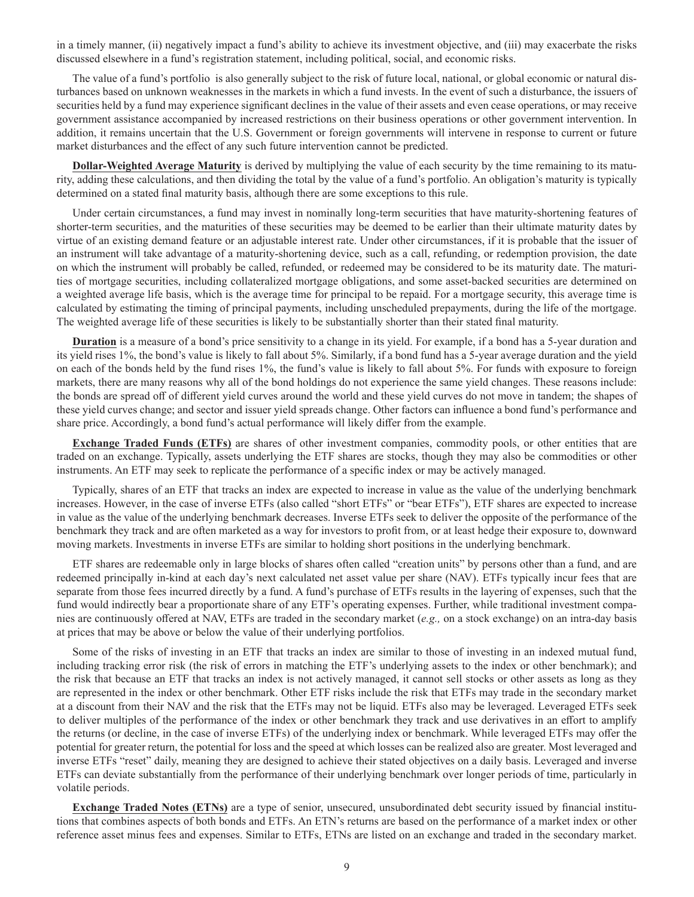in a timely manner, (ii) negatively impact a fund's ability to achieve its investment objective, and (iii) may exacerbate the risks discussed elsewhere in a fund's registration statement, including political, social, and economic risks.

The value of a fund's portfolio is also generally subject to the risk of future local, national, or global economic or natural disturbances based on unknown weaknesses in the markets in which a fund invests. In the event of such a disturbance, the issuers of securities held by a fund may experience significant declines in the value of their assets and even cease operations, or may receive government assistance accompanied by increased restrictions on their business operations or other government intervention. In addition, it remains uncertain that the U.S. Government or foreign governments will intervene in response to current or future market disturbances and the effect of any such future intervention cannot be predicted.

**Dollar-Weighted Average Maturity** is derived by multiplying the value of each security by the time remaining to its maturity, adding these calculations, and then dividing the total by the value of a fund's portfolio. An obligation's maturity is typically determined on a stated final maturity basis, although there are some exceptions to this rule.

Under certain circumstances, a fund may invest in nominally long-term securities that have maturity-shortening features of shorter-term securities, and the maturities of these securities may be deemed to be earlier than their ultimate maturity dates by virtue of an existing demand feature or an adjustable interest rate. Under other circumstances, if it is probable that the issuer of an instrument will take advantage of a maturity-shortening device, such as a call, refunding, or redemption provision, the date on which the instrument will probably be called, refunded, or redeemed may be considered to be its maturity date. The maturities of mortgage securities, including collateralized mortgage obligations, and some asset-backed securities are determined on a weighted average life basis, which is the average time for principal to be repaid. For a mortgage security, this average time is calculated by estimating the timing of principal payments, including unscheduled prepayments, during the life of the mortgage. The weighted average life of these securities is likely to be substantially shorter than their stated final maturity.

**Duration** is a measure of a bond's price sensitivity to a change in its yield. For example, if a bond has a 5-year duration and its yield rises 1%, the bond's value is likely to fall about 5%. Similarly, if a bond fund has a 5-year average duration and the yield on each of the bonds held by the fund rises 1%, the fund's value is likely to fall about 5%. For funds with exposure to foreign markets, there are many reasons why all of the bond holdings do not experience the same yield changes. These reasons include: the bonds are spread off of different yield curves around the world and these yield curves do not move in tandem; the shapes of these yield curves change; and sector and issuer yield spreads change. Other factors can influence a bond fund's performance and share price. Accordingly, a bond fund's actual performance will likely differ from the example.

**Exchange Traded Funds (ETFs)** are shares of other investment companies, commodity pools, or other entities that are traded on an exchange. Typically, assets underlying the ETF shares are stocks, though they may also be commodities or other instruments. An ETF may seek to replicate the performance of a specific index or may be actively managed.

Typically, shares of an ETF that tracks an index are expected to increase in value as the value of the underlying benchmark increases. However, in the case of inverse ETFs (also called "short ETFs" or "bear ETFs"), ETF shares are expected to increase in value as the value of the underlying benchmark decreases. Inverse ETFs seek to deliver the opposite of the performance of the benchmark they track and are often marketed as a way for investors to profit from, or at least hedge their exposure to, downward moving markets. Investments in inverse ETFs are similar to holding short positions in the underlying benchmark.

ETF shares are redeemable only in large blocks of shares often called "creation units" by persons other than a fund, and are redeemed principally in-kind at each day's next calculated net asset value per share (NAV). ETFs typically incur fees that are separate from those fees incurred directly by a fund. A fund's purchase of ETFs results in the layering of expenses, such that the fund would indirectly bear a proportionate share of any ETF's operating expenses. Further, while traditional investment companies are continuously offered at NAV, ETFs are traded in the secondary market (*e.g.,* on a stock exchange) on an intra-day basis at prices that may be above or below the value of their underlying portfolios.

Some of the risks of investing in an ETF that tracks an index are similar to those of investing in an indexed mutual fund, including tracking error risk (the risk of errors in matching the ETF's underlying assets to the index or other benchmark); and the risk that because an ETF that tracks an index is not actively managed, it cannot sell stocks or other assets as long as they are represented in the index or other benchmark. Other ETF risks include the risk that ETFs may trade in the secondary market at a discount from their NAV and the risk that the ETFs may not be liquid. ETFs also may be leveraged. Leveraged ETFs seek to deliver multiples of the performance of the index or other benchmark they track and use derivatives in an effort to amplify the returns (or decline, in the case of inverse ETFs) of the underlying index or benchmark. While leveraged ETFs may offer the potential for greater return, the potential for loss and the speed at which losses can be realized also are greater. Most leveraged and inverse ETFs "reset" daily, meaning they are designed to achieve their stated objectives on a daily basis. Leveraged and inverse ETFs can deviate substantially from the performance of their underlying benchmark over longer periods of time, particularly in volatile periods.

**Exchange Traded Notes (ETNs)** are a type of senior, unsecured, unsubordinated debt security issued by financial institutions that combines aspects of both bonds and ETFs. An ETN's returns are based on the performance of a market index or other reference asset minus fees and expenses. Similar to ETFs, ETNs are listed on an exchange and traded in the secondary market.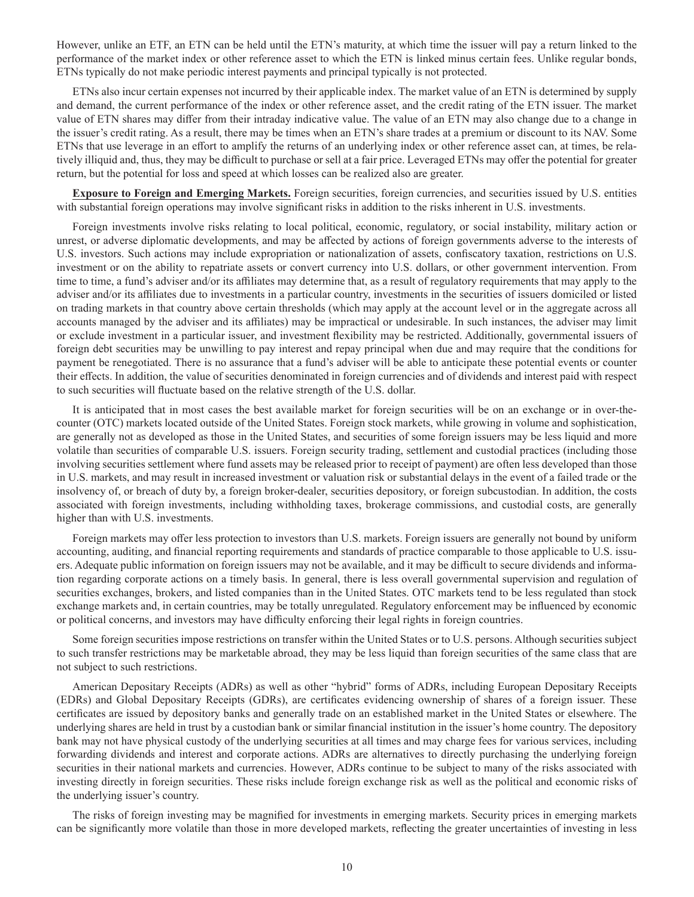However, unlike an ETF, an ETN can be held until the ETN's maturity, at which time the issuer will pay a return linked to the performance of the market index or other reference asset to which the ETN is linked minus certain fees. Unlike regular bonds, ETNs typically do not make periodic interest payments and principal typically is not protected.

ETNs also incur certain expenses not incurred by their applicable index. The market value of an ETN is determined by supply and demand, the current performance of the index or other reference asset, and the credit rating of the ETN issuer. The market value of ETN shares may differ from their intraday indicative value. The value of an ETN may also change due to a change in the issuer's credit rating. As a result, there may be times when an ETN's share trades at a premium or discount to its NAV. Some ETNs that use leverage in an effort to amplify the returns of an underlying index or other reference asset can, at times, be relatively illiquid and, thus, they may be difficult to purchase or sell at a fair price. Leveraged ETNs may offer the potential for greater return, but the potential for loss and speed at which losses can be realized also are greater.

**Exposure to Foreign and Emerging Markets.** Foreign securities, foreign currencies, and securities issued by U.S. entities with substantial foreign operations may involve significant risks in addition to the risks inherent in U.S. investments.

Foreign investments involve risks relating to local political, economic, regulatory, or social instability, military action or unrest, or adverse diplomatic developments, and may be affected by actions of foreign governments adverse to the interests of U.S. investors. Such actions may include expropriation or nationalization of assets, confiscatory taxation, restrictions on U.S. investment or on the ability to repatriate assets or convert currency into U.S. dollars, or other government intervention. From time to time, a fund's adviser and/or its affiliates may determine that, as a result of regulatory requirements that may apply to the adviser and/or its affiliates due to investments in a particular country, investments in the securities of issuers domiciled or listed on trading markets in that country above certain thresholds (which may apply at the account level or in the aggregate across all accounts managed by the adviser and its affiliates) may be impractical or undesirable. In such instances, the adviser may limit or exclude investment in a particular issuer, and investment flexibility may be restricted. Additionally, governmental issuers of foreign debt securities may be unwilling to pay interest and repay principal when due and may require that the conditions for payment be renegotiated. There is no assurance that a fund's adviser will be able to anticipate these potential events or counter their effects. In addition, the value of securities denominated in foreign currencies and of dividends and interest paid with respect to such securities will fluctuate based on the relative strength of the U.S. dollar.

It is anticipated that in most cases the best available market for foreign securities will be on an exchange or in over-thecounter (OTC) markets located outside of the United States. Foreign stock markets, while growing in volume and sophistication, are generally not as developed as those in the United States, and securities of some foreign issuers may be less liquid and more volatile than securities of comparable U.S. issuers. Foreign security trading, settlement and custodial practices (including those involving securities settlement where fund assets may be released prior to receipt of payment) are often less developed than those in U.S. markets, and may result in increased investment or valuation risk or substantial delays in the event of a failed trade or the insolvency of, or breach of duty by, a foreign broker-dealer, securities depository, or foreign subcustodian. In addition, the costs associated with foreign investments, including withholding taxes, brokerage commissions, and custodial costs, are generally higher than with U.S. investments.

Foreign markets may offer less protection to investors than U.S. markets. Foreign issuers are generally not bound by uniform accounting, auditing, and financial reporting requirements and standards of practice comparable to those applicable to U.S. issuers. Adequate public information on foreign issuers may not be available, and it may be difficult to secure dividends and information regarding corporate actions on a timely basis. In general, there is less overall governmental supervision and regulation of securities exchanges, brokers, and listed companies than in the United States. OTC markets tend to be less regulated than stock exchange markets and, in certain countries, may be totally unregulated. Regulatory enforcement may be influenced by economic or political concerns, and investors may have difficulty enforcing their legal rights in foreign countries.

Some foreign securities impose restrictions on transfer within the United States or to U.S. persons. Although securities subject to such transfer restrictions may be marketable abroad, they may be less liquid than foreign securities of the same class that are not subject to such restrictions.

American Depositary Receipts (ADRs) as well as other "hybrid" forms of ADRs, including European Depositary Receipts (EDRs) and Global Depositary Receipts (GDRs), are certificates evidencing ownership of shares of a foreign issuer. These certificates are issued by depository banks and generally trade on an established market in the United States or elsewhere. The underlying shares are held in trust by a custodian bank or similar financial institution in the issuer's home country. The depository bank may not have physical custody of the underlying securities at all times and may charge fees for various services, including forwarding dividends and interest and corporate actions. ADRs are alternatives to directly purchasing the underlying foreign securities in their national markets and currencies. However, ADRs continue to be subject to many of the risks associated with investing directly in foreign securities. These risks include foreign exchange risk as well as the political and economic risks of the underlying issuer's country.

The risks of foreign investing may be magnified for investments in emerging markets. Security prices in emerging markets can be significantly more volatile than those in more developed markets, reflecting the greater uncertainties of investing in less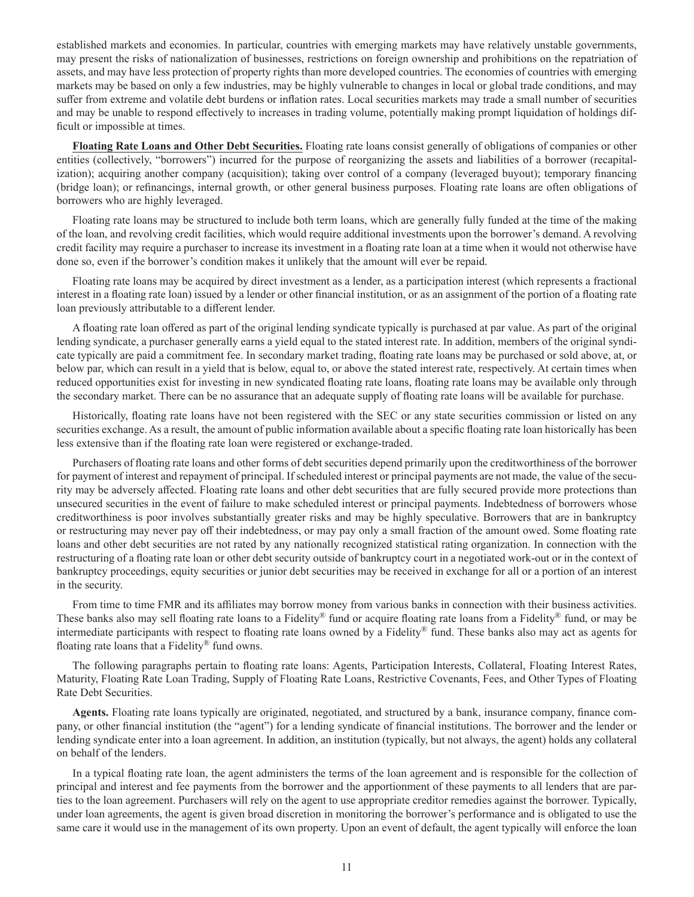established markets and economies. In particular, countries with emerging markets may have relatively unstable governments, may present the risks of nationalization of businesses, restrictions on foreign ownership and prohibitions on the repatriation of assets, and may have less protection of property rights than more developed countries. The economies of countries with emerging markets may be based on only a few industries, may be highly vulnerable to changes in local or global trade conditions, and may suffer from extreme and volatile debt burdens or inflation rates. Local securities markets may trade a small number of securities and may be unable to respond effectively to increases in trading volume, potentially making prompt liquidation of holdings difficult or impossible at times.

**Floating Rate Loans and Other Debt Securities.** Floating rate loans consist generally of obligations of companies or other entities (collectively, "borrowers") incurred for the purpose of reorganizing the assets and liabilities of a borrower (recapitalization); acquiring another company (acquisition); taking over control of a company (leveraged buyout); temporary financing (bridge loan); or refinancings, internal growth, or other general business purposes. Floating rate loans are often obligations of borrowers who are highly leveraged.

Floating rate loans may be structured to include both term loans, which are generally fully funded at the time of the making of the loan, and revolving credit facilities, which would require additional investments upon the borrower's demand. A revolving credit facility may require a purchaser to increase its investment in a floating rate loan at a time when it would not otherwise have done so, even if the borrower's condition makes it unlikely that the amount will ever be repaid.

Floating rate loans may be acquired by direct investment as a lender, as a participation interest (which represents a fractional interest in a floating rate loan) issued by a lender or other financial institution, or as an assignment of the portion of a floating rate loan previously attributable to a different lender.

A floating rate loan offered as part of the original lending syndicate typically is purchased at par value. As part of the original lending syndicate, a purchaser generally earns a yield equal to the stated interest rate. In addition, members of the original syndicate typically are paid a commitment fee. In secondary market trading, floating rate loans may be purchased or sold above, at, or below par, which can result in a yield that is below, equal to, or above the stated interest rate, respectively. At certain times when reduced opportunities exist for investing in new syndicated floating rate loans, floating rate loans may be available only through the secondary market. There can be no assurance that an adequate supply of floating rate loans will be available for purchase.

Historically, floating rate loans have not been registered with the SEC or any state securities commission or listed on any securities exchange. As a result, the amount of public information available about a specific floating rate loan historically has been less extensive than if the floating rate loan were registered or exchange-traded.

Purchasers of floating rate loans and other forms of debt securities depend primarily upon the creditworthiness of the borrower for payment of interest and repayment of principal. If scheduled interest or principal payments are not made, the value of the security may be adversely affected. Floating rate loans and other debt securities that are fully secured provide more protections than unsecured securities in the event of failure to make scheduled interest or principal payments. Indebtedness of borrowers whose creditworthiness is poor involves substantially greater risks and may be highly speculative. Borrowers that are in bankruptcy or restructuring may never pay off their indebtedness, or may pay only a small fraction of the amount owed. Some floating rate loans and other debt securities are not rated by any nationally recognized statistical rating organization. In connection with the restructuring of a floating rate loan or other debt security outside of bankruptcy court in a negotiated work-out or in the context of bankruptcy proceedings, equity securities or junior debt securities may be received in exchange for all or a portion of an interest in the security.

From time to time FMR and its affiliates may borrow money from various banks in connection with their business activities. These banks also may sell floating rate loans to a Fidelity® fund or acquire floating rate loans from a Fidelity® fund, or may be intermediate participants with respect to floating rate loans owned by a Fidelity® fund. These banks also may act as agents for floating rate loans that a Fidelity® fund owns.

The following paragraphs pertain to floating rate loans: Agents, Participation Interests, Collateral, Floating Interest Rates, Maturity, Floating Rate Loan Trading, Supply of Floating Rate Loans, Restrictive Covenants, Fees, and Other Types of Floating Rate Debt Securities.

**Agents.** Floating rate loans typically are originated, negotiated, and structured by a bank, insurance company, finance company, or other financial institution (the "agent") for a lending syndicate of financial institutions. The borrower and the lender or lending syndicate enter into a loan agreement. In addition, an institution (typically, but not always, the agent) holds any collateral on behalf of the lenders.

In a typical floating rate loan, the agent administers the terms of the loan agreement and is responsible for the collection of principal and interest and fee payments from the borrower and the apportionment of these payments to all lenders that are parties to the loan agreement. Purchasers will rely on the agent to use appropriate creditor remedies against the borrower. Typically, under loan agreements, the agent is given broad discretion in monitoring the borrower's performance and is obligated to use the same care it would use in the management of its own property. Upon an event of default, the agent typically will enforce the loan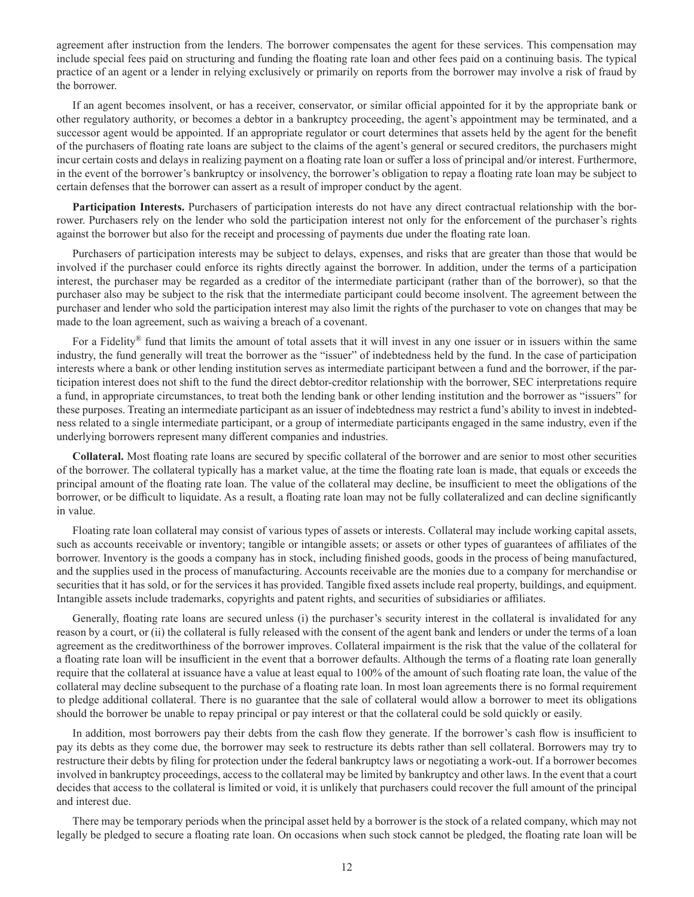agreement after instruction from the lenders. The borrower compensates the agent for these services. This compensation may include special fees paid on structuring and funding the floating rate loan and other fees paid on a continuing basis. The typical practice of an agent or a lender in relying exclusively or primarily on reports from the borrower may involve a risk of fraud by the borrower.

If an agent becomes insolvent, or has a receiver, conservator, or similar official appointed for it by the appropriate bank or other regulatory authority, or becomes a debtor in a bankruptcy proceeding, the agent's appointment may be terminated, and a successor agent would be appointed. If an appropriate regulator or court determines that assets held by the agent for the benefit of the purchasers of floating rate loans are subject to the claims of the agent's general or secured creditors, the purchasers might incur certain costs and delays in realizing payment on a floating rate loan or suffer a loss of principal and/or interest. Furthermore, in the event of the borrower's bankruptcy or insolvency, the borrower's obligation to repay a floating rate loan may be subject to certain defenses that the borrower can assert as a result of improper conduct by the agent.

**Participation Interests.** Purchasers of participation interests do not have any direct contractual relationship with the borrower. Purchasers rely on the lender who sold the participation interest not only for the enforcement of the purchaser's rights against the borrower but also for the receipt and processing of payments due under the floating rate loan.

Purchasers of participation interests may be subject to delays, expenses, and risks that are greater than those that would be involved if the purchaser could enforce its rights directly against the borrower. In addition, under the terms of a participation interest, the purchaser may be regarded as a creditor of the intermediate participant (rather than of the borrower), so that the purchaser also may be subject to the risk that the intermediate participant could become insolvent. The agreement between the purchaser and lender who sold the participation interest may also limit the rights of the purchaser to vote on changes that may be made to the loan agreement, such as waiving a breach of a covenant.

For a Fidelity® fund that limits the amount of total assets that it will invest in any one issuer or in issuers within the same industry, the fund generally will treat the borrower as the "issuer" of indebtedness held by the fund. In the case of participation interests where a bank or other lending institution serves as intermediate participant between a fund and the borrower, if the participation interest does not shift to the fund the direct debtor-creditor relationship with the borrower, SEC interpretations require a fund, in appropriate circumstances, to treat both the lending bank or other lending institution and the borrower as "issuers" for these purposes. Treating an intermediate participant as an issuer of indebtedness may restrict a fund's ability to invest in indebtedness related to a single intermediate participant, or a group of intermediate participants engaged in the same industry, even if the underlying borrowers represent many different companies and industries.

**Collateral.** Most floating rate loans are secured by specific collateral of the borrower and are senior to most other securities of the borrower. The collateral typically has a market value, at the time the floating rate loan is made, that equals or exceeds the principal amount of the floating rate loan. The value of the collateral may decline, be insufficient to meet the obligations of the borrower, or be difficult to liquidate. As a result, a floating rate loan may not be fully collateralized and can decline significantly in value.

Floating rate loan collateral may consist of various types of assets or interests. Collateral may include working capital assets, such as accounts receivable or inventory; tangible or intangible assets; or assets or other types of guarantees of affiliates of the borrower. Inventory is the goods a company has in stock, including finished goods, goods in the process of being manufactured, and the supplies used in the process of manufacturing. Accounts receivable are the monies due to a company for merchandise or securities that it has sold, or for the services it has provided. Tangible fixed assets include real property, buildings, and equipment. Intangible assets include trademarks, copyrights and patent rights, and securities of subsidiaries or affiliates.

Generally, floating rate loans are secured unless (i) the purchaser's security interest in the collateral is invalidated for any reason by a court, or (ii) the collateral is fully released with the consent of the agent bank and lenders or under the terms of a loan agreement as the creditworthiness of the borrower improves. Collateral impairment is the risk that the value of the collateral for a floating rate loan will be insufficient in the event that a borrower defaults. Although the terms of a floating rate loan generally require that the collateral at issuance have a value at least equal to 100% of the amount of such floating rate loan, the value of the collateral may decline subsequent to the purchase of a floating rate loan. In most loan agreements there is no formal requirement to pledge additional collateral. There is no guarantee that the sale of collateral would allow a borrower to meet its obligations should the borrower be unable to repay principal or pay interest or that the collateral could be sold quickly or easily.

In addition, most borrowers pay their debts from the cash flow they generate. If the borrower's cash flow is insufficient to pay its debts as they come due, the borrower may seek to restructure its debts rather than sell collateral. Borrowers may try to restructure their debts by filing for protection under the federal bankruptcy laws or negotiating a work-out. If a borrower becomes involved in bankruptcy proceedings, access to the collateral may be limited by bankruptcy and other laws. In the event that a court decides that access to the collateral is limited or void, it is unlikely that purchasers could recover the full amount of the principal and interest due.

There may be temporary periods when the principal asset held by a borrower is the stock of a related company, which may not legally be pledged to secure a floating rate loan. On occasions when such stock cannot be pledged, the floating rate loan will be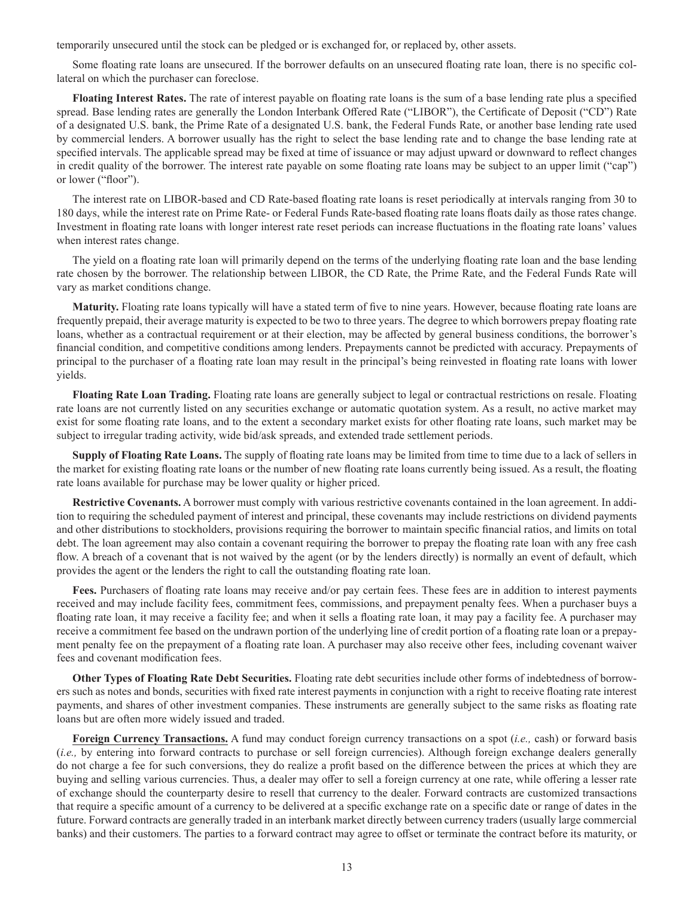temporarily unsecured until the stock can be pledged or is exchanged for, or replaced by, other assets.

Some floating rate loans are unsecured. If the borrower defaults on an unsecured floating rate loan, there is no specific collateral on which the purchaser can foreclose.

**Floating Interest Rates.** The rate of interest payable on floating rate loans is the sum of a base lending rate plus a specified spread. Base lending rates are generally the London Interbank Offered Rate ("LIBOR"), the Certificate of Deposit ("CD") Rate of a designated U.S. bank, the Prime Rate of a designated U.S. bank, the Federal Funds Rate, or another base lending rate used by commercial lenders. A borrower usually has the right to select the base lending rate and to change the base lending rate at specified intervals. The applicable spread may be fixed at time of issuance or may adjust upward or downward to reflect changes in credit quality of the borrower. The interest rate payable on some floating rate loans may be subject to an upper limit ("cap") or lower ("floor").

The interest rate on LIBOR-based and CD Rate-based floating rate loans is reset periodically at intervals ranging from 30 to 180 days, while the interest rate on Prime Rate- or Federal Funds Rate-based floating rate loans floats daily as those rates change. Investment in floating rate loans with longer interest rate reset periods can increase fluctuations in the floating rate loans' values when interest rates change.

The yield on a floating rate loan will primarily depend on the terms of the underlying floating rate loan and the base lending rate chosen by the borrower. The relationship between LIBOR, the CD Rate, the Prime Rate, and the Federal Funds Rate will vary as market conditions change.

**Maturity.** Floating rate loans typically will have a stated term of five to nine years. However, because floating rate loans are frequently prepaid, their average maturity is expected to be two to three years. The degree to which borrowers prepay floating rate loans, whether as a contractual requirement or at their election, may be affected by general business conditions, the borrower's financial condition, and competitive conditions among lenders. Prepayments cannot be predicted with accuracy. Prepayments of principal to the purchaser of a floating rate loan may result in the principal's being reinvested in floating rate loans with lower yields.

**Floating Rate Loan Trading.** Floating rate loans are generally subject to legal or contractual restrictions on resale. Floating rate loans are not currently listed on any securities exchange or automatic quotation system. As a result, no active market may exist for some floating rate loans, and to the extent a secondary market exists for other floating rate loans, such market may be subject to irregular trading activity, wide bid/ask spreads, and extended trade settlement periods.

**Supply of Floating Rate Loans.** The supply of floating rate loans may be limited from time to time due to a lack of sellers in the market for existing floating rate loans or the number of new floating rate loans currently being issued. As a result, the floating rate loans available for purchase may be lower quality or higher priced.

**Restrictive Covenants.** A borrower must comply with various restrictive covenants contained in the loan agreement. In addition to requiring the scheduled payment of interest and principal, these covenants may include restrictions on dividend payments and other distributions to stockholders, provisions requiring the borrower to maintain specific financial ratios, and limits on total debt. The loan agreement may also contain a covenant requiring the borrower to prepay the floating rate loan with any free cash flow. A breach of a covenant that is not waived by the agent (or by the lenders directly) is normally an event of default, which provides the agent or the lenders the right to call the outstanding floating rate loan.

**Fees.** Purchasers of floating rate loans may receive and/or pay certain fees. These fees are in addition to interest payments received and may include facility fees, commitment fees, commissions, and prepayment penalty fees. When a purchaser buys a floating rate loan, it may receive a facility fee; and when it sells a floating rate loan, it may pay a facility fee. A purchaser may receive a commitment fee based on the undrawn portion of the underlying line of credit portion of a floating rate loan or a prepayment penalty fee on the prepayment of a floating rate loan. A purchaser may also receive other fees, including covenant waiver fees and covenant modification fees.

**Other Types of Floating Rate Debt Securities.** Floating rate debt securities include other forms of indebtedness of borrowers such as notes and bonds, securities with fixed rate interest payments in conjunction with a right to receive floating rate interest payments, and shares of other investment companies. These instruments are generally subject to the same risks as floating rate loans but are often more widely issued and traded.

**Foreign Currency Transactions.** A fund may conduct foreign currency transactions on a spot (*i.e.,* cash) or forward basis (*i.e.,* by entering into forward contracts to purchase or sell foreign currencies). Although foreign exchange dealers generally do not charge a fee for such conversions, they do realize a profit based on the difference between the prices at which they are buying and selling various currencies. Thus, a dealer may offer to sell a foreign currency at one rate, while offering a lesser rate of exchange should the counterparty desire to resell that currency to the dealer. Forward contracts are customized transactions that require a specific amount of a currency to be delivered at a specific exchange rate on a specific date or range of dates in the future. Forward contracts are generally traded in an interbank market directly between currency traders (usually large commercial banks) and their customers. The parties to a forward contract may agree to offset or terminate the contract before its maturity, or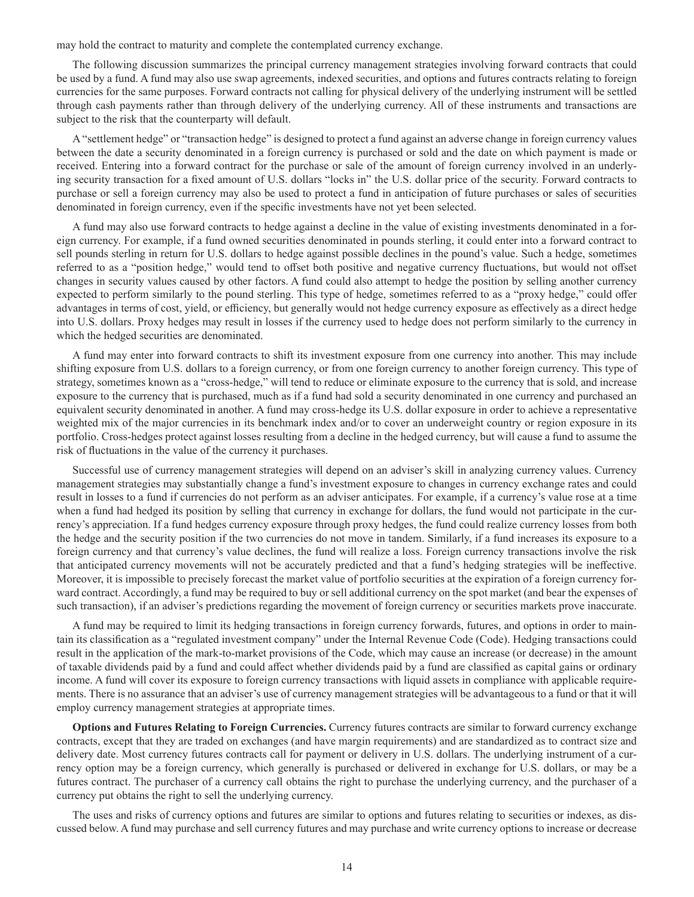may hold the contract to maturity and complete the contemplated currency exchange.

The following discussion summarizes the principal currency management strategies involving forward contracts that could be used by a fund. A fund may also use swap agreements, indexed securities, and options and futures contracts relating to foreign currencies for the same purposes. Forward contracts not calling for physical delivery of the underlying instrument will be settled through cash payments rather than through delivery of the underlying currency. All of these instruments and transactions are subject to the risk that the counterparty will default.

A "settlement hedge" or "transaction hedge" is designed to protect a fund against an adverse change in foreign currency values between the date a security denominated in a foreign currency is purchased or sold and the date on which payment is made or received. Entering into a forward contract for the purchase or sale of the amount of foreign currency involved in an underlying security transaction for a fixed amount of U.S. dollars "locks in" the U.S. dollar price of the security. Forward contracts to purchase or sell a foreign currency may also be used to protect a fund in anticipation of future purchases or sales of securities denominated in foreign currency, even if the specific investments have not yet been selected.

A fund may also use forward contracts to hedge against a decline in the value of existing investments denominated in a foreign currency. For example, if a fund owned securities denominated in pounds sterling, it could enter into a forward contract to sell pounds sterling in return for U.S. dollars to hedge against possible declines in the pound's value. Such a hedge, sometimes referred to as a "position hedge," would tend to offset both positive and negative currency fluctuations, but would not offset changes in security values caused by other factors. A fund could also attempt to hedge the position by selling another currency expected to perform similarly to the pound sterling. This type of hedge, sometimes referred to as a "proxy hedge," could offer advantages in terms of cost, yield, or efficiency, but generally would not hedge currency exposure as effectively as a direct hedge into U.S. dollars. Proxy hedges may result in losses if the currency used to hedge does not perform similarly to the currency in which the hedged securities are denominated.

A fund may enter into forward contracts to shift its investment exposure from one currency into another. This may include shifting exposure from U.S. dollars to a foreign currency, or from one foreign currency to another foreign currency. This type of strategy, sometimes known as a "cross-hedge," will tend to reduce or eliminate exposure to the currency that is sold, and increase exposure to the currency that is purchased, much as if a fund had sold a security denominated in one currency and purchased an equivalent security denominated in another. A fund may cross-hedge its U.S. dollar exposure in order to achieve a representative weighted mix of the major currencies in its benchmark index and/or to cover an underweight country or region exposure in its portfolio. Cross-hedges protect against losses resulting from a decline in the hedged currency, but will cause a fund to assume the risk of fluctuations in the value of the currency it purchases.

Successful use of currency management strategies will depend on an adviser's skill in analyzing currency values. Currency management strategies may substantially change a fund's investment exposure to changes in currency exchange rates and could result in losses to a fund if currencies do not perform as an adviser anticipates. For example, if a currency's value rose at a time when a fund had hedged its position by selling that currency in exchange for dollars, the fund would not participate in the currency's appreciation. If a fund hedges currency exposure through proxy hedges, the fund could realize currency losses from both the hedge and the security position if the two currencies do not move in tandem. Similarly, if a fund increases its exposure to a foreign currency and that currency's value declines, the fund will realize a loss. Foreign currency transactions involve the risk that anticipated currency movements will not be accurately predicted and that a fund's hedging strategies will be ineffective. Moreover, it is impossible to precisely forecast the market value of portfolio securities at the expiration of a foreign currency forward contract. Accordingly, a fund may be required to buy or sell additional currency on the spot market (and bear the expenses of such transaction), if an adviser's predictions regarding the movement of foreign currency or securities markets prove inaccurate.

A fund may be required to limit its hedging transactions in foreign currency forwards, futures, and options in order to maintain its classification as a "regulated investment company" under the Internal Revenue Code (Code). Hedging transactions could result in the application of the mark-to-market provisions of the Code, which may cause an increase (or decrease) in the amount of taxable dividends paid by a fund and could affect whether dividends paid by a fund are classified as capital gains or ordinary income. A fund will cover its exposure to foreign currency transactions with liquid assets in compliance with applicable requirements. There is no assurance that an adviser's use of currency management strategies will be advantageous to a fund or that it will employ currency management strategies at appropriate times.

**Options and Futures Relating to Foreign Currencies.** Currency futures contracts are similar to forward currency exchange contracts, except that they are traded on exchanges (and have margin requirements) and are standardized as to contract size and delivery date. Most currency futures contracts call for payment or delivery in U.S. dollars. The underlying instrument of a currency option may be a foreign currency, which generally is purchased or delivered in exchange for U.S. dollars, or may be a futures contract. The purchaser of a currency call obtains the right to purchase the underlying currency, and the purchaser of a currency put obtains the right to sell the underlying currency.

The uses and risks of currency options and futures are similar to options and futures relating to securities or indexes, as discussed below. A fund may purchase and sell currency futures and may purchase and write currency options to increase or decrease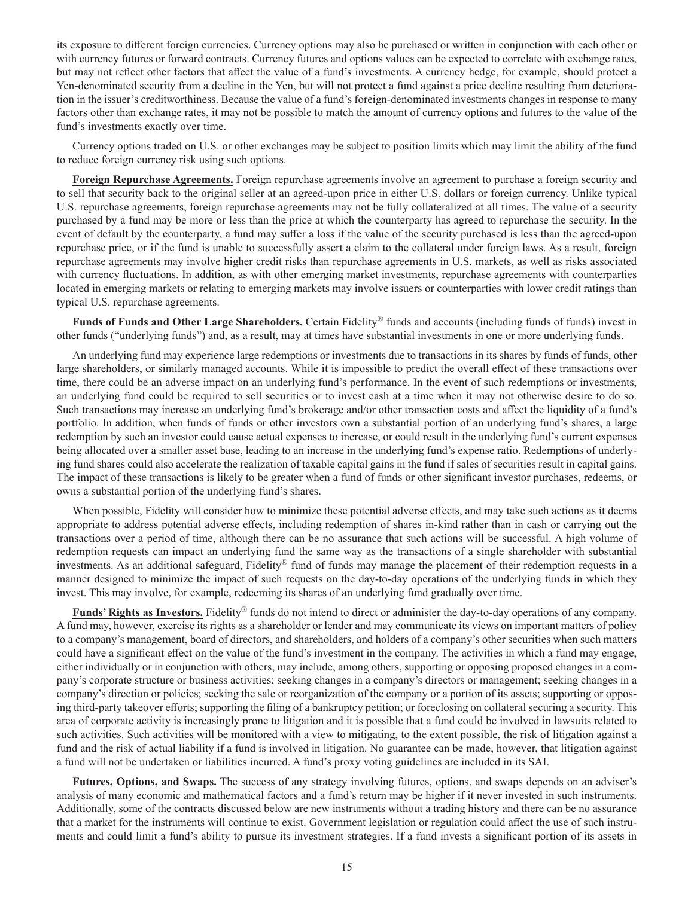its exposure to different foreign currencies. Currency options may also be purchased or written in conjunction with each other or with currency futures or forward contracts. Currency futures and options values can be expected to correlate with exchange rates, but may not reflect other factors that affect the value of a fund's investments. A currency hedge, for example, should protect a Yen-denominated security from a decline in the Yen, but will not protect a fund against a price decline resulting from deterioration in the issuer's creditworthiness. Because the value of a fund's foreign-denominated investments changes in response to many factors other than exchange rates, it may not be possible to match the amount of currency options and futures to the value of the fund's investments exactly over time.

Currency options traded on U.S. or other exchanges may be subject to position limits which may limit the ability of the fund to reduce foreign currency risk using such options.

**Foreign Repurchase Agreements.** Foreign repurchase agreements involve an agreement to purchase a foreign security and to sell that security back to the original seller at an agreed-upon price in either U.S. dollars or foreign currency. Unlike typical U.S. repurchase agreements, foreign repurchase agreements may not be fully collateralized at all times. The value of a security purchased by a fund may be more or less than the price at which the counterparty has agreed to repurchase the security. In the event of default by the counterparty, a fund may suffer a loss if the value of the security purchased is less than the agreed-upon repurchase price, or if the fund is unable to successfully assert a claim to the collateral under foreign laws. As a result, foreign repurchase agreements may involve higher credit risks than repurchase agreements in U.S. markets, as well as risks associated with currency fluctuations. In addition, as with other emerging market investments, repurchase agreements with counterparties located in emerging markets or relating to emerging markets may involve issuers or counterparties with lower credit ratings than typical U.S. repurchase agreements.

**Funds of Funds and Other Large Shareholders.** Certain Fidelity® funds and accounts (including funds of funds) invest in other funds ("underlying funds") and, as a result, may at times have substantial investments in one or more underlying funds.

An underlying fund may experience large redemptions or investments due to transactions in its shares by funds of funds, other large shareholders, or similarly managed accounts. While it is impossible to predict the overall effect of these transactions over time, there could be an adverse impact on an underlying fund's performance. In the event of such redemptions or investments, an underlying fund could be required to sell securities or to invest cash at a time when it may not otherwise desire to do so. Such transactions may increase an underlying fund's brokerage and/or other transaction costs and affect the liquidity of a fund's portfolio. In addition, when funds of funds or other investors own a substantial portion of an underlying fund's shares, a large redemption by such an investor could cause actual expenses to increase, or could result in the underlying fund's current expenses being allocated over a smaller asset base, leading to an increase in the underlying fund's expense ratio. Redemptions of underlying fund shares could also accelerate the realization of taxable capital gains in the fund if sales of securities result in capital gains. The impact of these transactions is likely to be greater when a fund of funds or other significant investor purchases, redeems, or owns a substantial portion of the underlying fund's shares.

When possible, Fidelity will consider how to minimize these potential adverse effects, and may take such actions as it deems appropriate to address potential adverse effects, including redemption of shares in-kind rather than in cash or carrying out the transactions over a period of time, although there can be no assurance that such actions will be successful. A high volume of redemption requests can impact an underlying fund the same way as the transactions of a single shareholder with substantial investments. As an additional safeguard, Fidelity® fund of funds may manage the placement of their redemption requests in a manner designed to minimize the impact of such requests on the day-to-day operations of the underlying funds in which they invest. This may involve, for example, redeeming its shares of an underlying fund gradually over time.

**Funds' Rights as Investors.** Fidelity® funds do not intend to direct or administer the day-to-day operations of any company. A fund may, however, exercise its rights as a shareholder or lender and may communicate its views on important matters of policy to a company's management, board of directors, and shareholders, and holders of a company's other securities when such matters could have a significant effect on the value of the fund's investment in the company. The activities in which a fund may engage, either individually or in conjunction with others, may include, among others, supporting or opposing proposed changes in a company's corporate structure or business activities; seeking changes in a company's directors or management; seeking changes in a company's direction or policies; seeking the sale or reorganization of the company or a portion of its assets; supporting or opposing third-party takeover efforts; supporting the filing of a bankruptcy petition; or foreclosing on collateral securing a security. This area of corporate activity is increasingly prone to litigation and it is possible that a fund could be involved in lawsuits related to such activities. Such activities will be monitored with a view to mitigating, to the extent possible, the risk of litigation against a fund and the risk of actual liability if a fund is involved in litigation. No guarantee can be made, however, that litigation against a fund will not be undertaken or liabilities incurred. A fund's proxy voting guidelines are included in its SAI.

**Futures, Options, and Swaps.** The success of any strategy involving futures, options, and swaps depends on an adviser's analysis of many economic and mathematical factors and a fund's return may be higher if it never invested in such instruments. Additionally, some of the contracts discussed below are new instruments without a trading history and there can be no assurance that a market for the instruments will continue to exist. Government legislation or regulation could affect the use of such instruments and could limit a fund's ability to pursue its investment strategies. If a fund invests a significant portion of its assets in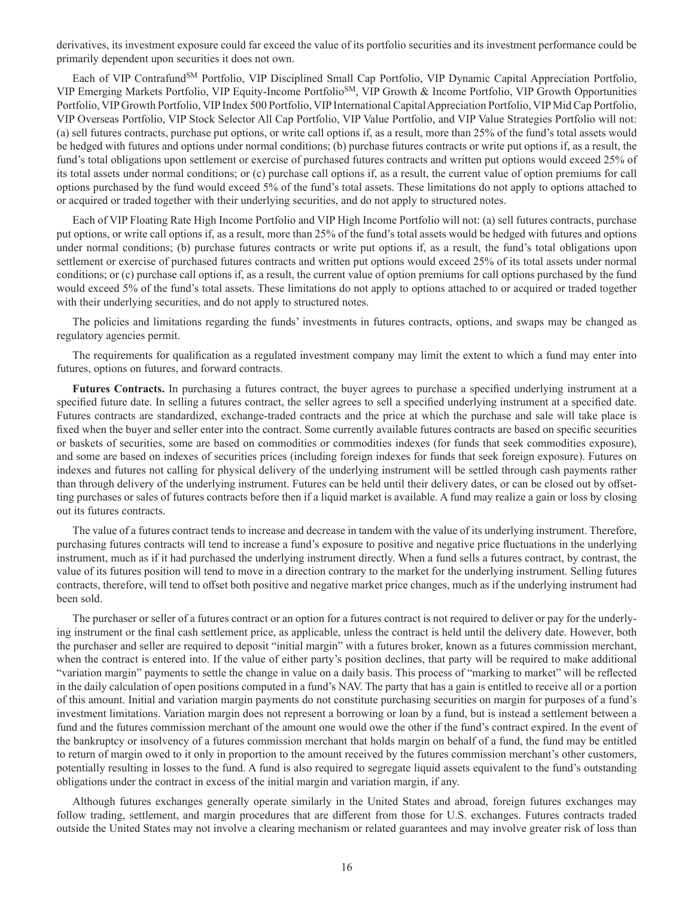derivatives, its investment exposure could far exceed the value of its portfolio securities and its investment performance could be primarily dependent upon securities it does not own.

Each of VIP Contrafund<sup>SM</sup> Portfolio, VIP Disciplined Small Cap Portfolio, VIP Dynamic Capital Appreciation Portfolio, VIP Emerging Markets Portfolio, VIP Equity-Income PortfolioSM, VIP Growth & Income Portfolio, VIP Growth Opportunities Portfolio, VIP Growth Portfolio, VIP Index 500 Portfolio, VIP International Capital Appreciation Portfolio, VIP Mid Cap Portfolio, VIP Overseas Portfolio, VIP Stock Selector All Cap Portfolio, VIP Value Portfolio, and VIP Value Strategies Portfolio will not: (a) sell futures contracts, purchase put options, or write call options if, as a result, more than 25% of the fund's total assets would be hedged with futures and options under normal conditions; (b) purchase futures contracts or write put options if, as a result, the fund's total obligations upon settlement or exercise of purchased futures contracts and written put options would exceed 25% of its total assets under normal conditions; or (c) purchase call options if, as a result, the current value of option premiums for call options purchased by the fund would exceed 5% of the fund's total assets. These limitations do not apply to options attached to or acquired or traded together with their underlying securities, and do not apply to structured notes.

Each of VIP Floating Rate High Income Portfolio and VIP High Income Portfolio will not: (a) sell futures contracts, purchase put options, or write call options if, as a result, more than 25% of the fund's total assets would be hedged with futures and options under normal conditions; (b) purchase futures contracts or write put options if, as a result, the fund's total obligations upon settlement or exercise of purchased futures contracts and written put options would exceed 25% of its total assets under normal conditions; or (c) purchase call options if, as a result, the current value of option premiums for call options purchased by the fund would exceed 5% of the fund's total assets. These limitations do not apply to options attached to or acquired or traded together with their underlying securities, and do not apply to structured notes.

The policies and limitations regarding the funds' investments in futures contracts, options, and swaps may be changed as regulatory agencies permit.

The requirements for qualification as a regulated investment company may limit the extent to which a fund may enter into futures, options on futures, and forward contracts.

**Futures Contracts.** In purchasing a futures contract, the buyer agrees to purchase a specified underlying instrument at a specified future date. In selling a futures contract, the seller agrees to sell a specified underlying instrument at a specified date. Futures contracts are standardized, exchange-traded contracts and the price at which the purchase and sale will take place is fixed when the buyer and seller enter into the contract. Some currently available futures contracts are based on specific securities or baskets of securities, some are based on commodities or commodities indexes (for funds that seek commodities exposure), and some are based on indexes of securities prices (including foreign indexes for funds that seek foreign exposure). Futures on indexes and futures not calling for physical delivery of the underlying instrument will be settled through cash payments rather than through delivery of the underlying instrument. Futures can be held until their delivery dates, or can be closed out by offsetting purchases or sales of futures contracts before then if a liquid market is available. A fund may realize a gain or loss by closing out its futures contracts.

The value of a futures contract tends to increase and decrease in tandem with the value of its underlying instrument. Therefore, purchasing futures contracts will tend to increase a fund's exposure to positive and negative price fluctuations in the underlying instrument, much as if it had purchased the underlying instrument directly. When a fund sells a futures contract, by contrast, the value of its futures position will tend to move in a direction contrary to the market for the underlying instrument. Selling futures contracts, therefore, will tend to offset both positive and negative market price changes, much as if the underlying instrument had been sold.

The purchaser or seller of a futures contract or an option for a futures contract is not required to deliver or pay for the underlying instrument or the final cash settlement price, as applicable, unless the contract is held until the delivery date. However, both the purchaser and seller are required to deposit "initial margin" with a futures broker, known as a futures commission merchant, when the contract is entered into. If the value of either party's position declines, that party will be required to make additional "variation margin" payments to settle the change in value on a daily basis. This process of "marking to market" will be reflected in the daily calculation of open positions computed in a fund's NAV. The party that has a gain is entitled to receive all or a portion of this amount. Initial and variation margin payments do not constitute purchasing securities on margin for purposes of a fund's investment limitations. Variation margin does not represent a borrowing or loan by a fund, but is instead a settlement between a fund and the futures commission merchant of the amount one would owe the other if the fund's contract expired. In the event of the bankruptcy or insolvency of a futures commission merchant that holds margin on behalf of a fund, the fund may be entitled to return of margin owed to it only in proportion to the amount received by the futures commission merchant's other customers, potentially resulting in losses to the fund. A fund is also required to segregate liquid assets equivalent to the fund's outstanding obligations under the contract in excess of the initial margin and variation margin, if any.

Although futures exchanges generally operate similarly in the United States and abroad, foreign futures exchanges may follow trading, settlement, and margin procedures that are different from those for U.S. exchanges. Futures contracts traded outside the United States may not involve a clearing mechanism or related guarantees and may involve greater risk of loss than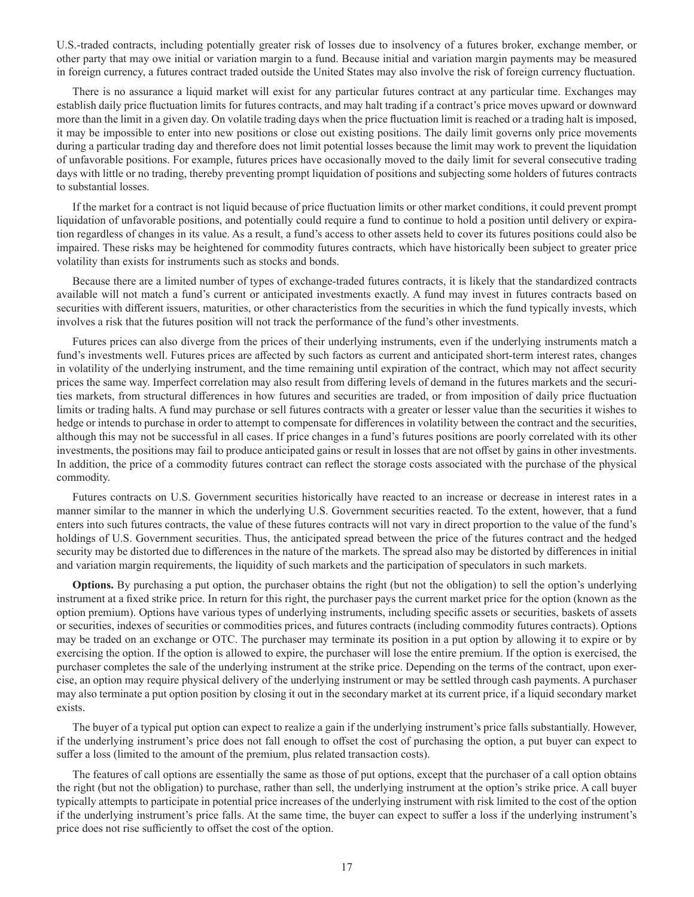U.S.-traded contracts, including potentially greater risk of losses due to insolvency of a futures broker, exchange member, or other party that may owe initial or variation margin to a fund. Because initial and variation margin payments may be measured in foreign currency, a futures contract traded outside the United States may also involve the risk of foreign currency fluctuation.

There is no assurance a liquid market will exist for any particular futures contract at any particular time. Exchanges may establish daily price fluctuation limits for futures contracts, and may halt trading if a contract's price moves upward or downward more than the limit in a given day. On volatile trading days when the price fluctuation limit is reached or a trading halt is imposed, it may be impossible to enter into new positions or close out existing positions. The daily limit governs only price movements during a particular trading day and therefore does not limit potential losses because the limit may work to prevent the liquidation of unfavorable positions. For example, futures prices have occasionally moved to the daily limit for several consecutive trading days with little or no trading, thereby preventing prompt liquidation of positions and subjecting some holders of futures contracts to substantial losses.

If the market for a contract is not liquid because of price fluctuation limits or other market conditions, it could prevent prompt liquidation of unfavorable positions, and potentially could require a fund to continue to hold a position until delivery or expiration regardless of changes in its value. As a result, a fund's access to other assets held to cover its futures positions could also be impaired. These risks may be heightened for commodity futures contracts, which have historically been subject to greater price volatility than exists for instruments such as stocks and bonds.

Because there are a limited number of types of exchange-traded futures contracts, it is likely that the standardized contracts available will not match a fund's current or anticipated investments exactly. A fund may invest in futures contracts based on securities with different issuers, maturities, or other characteristics from the securities in which the fund typically invests, which involves a risk that the futures position will not track the performance of the fund's other investments.

Futures prices can also diverge from the prices of their underlying instruments, even if the underlying instruments match a fund's investments well. Futures prices are affected by such factors as current and anticipated short-term interest rates, changes in volatility of the underlying instrument, and the time remaining until expiration of the contract, which may not affect security prices the same way. Imperfect correlation may also result from differing levels of demand in the futures markets and the securities markets, from structural differences in how futures and securities are traded, or from imposition of daily price fluctuation limits or trading halts. A fund may purchase or sell futures contracts with a greater or lesser value than the securities it wishes to hedge or intends to purchase in order to attempt to compensate for differences in volatility between the contract and the securities, although this may not be successful in all cases. If price changes in a fund's futures positions are poorly correlated with its other investments, the positions may fail to produce anticipated gains or result in losses that are not offset by gains in other investments. In addition, the price of a commodity futures contract can reflect the storage costs associated with the purchase of the physical commodity.

Futures contracts on U.S. Government securities historically have reacted to an increase or decrease in interest rates in a manner similar to the manner in which the underlying U.S. Government securities reacted. To the extent, however, that a fund enters into such futures contracts, the value of these futures contracts will not vary in direct proportion to the value of the fund's holdings of U.S. Government securities. Thus, the anticipated spread between the price of the futures contract and the hedged security may be distorted due to differences in the nature of the markets. The spread also may be distorted by differences in initial and variation margin requirements, the liquidity of such markets and the participation of speculators in such markets.

**Options.** By purchasing a put option, the purchaser obtains the right (but not the obligation) to sell the option's underlying instrument at a fixed strike price. In return for this right, the purchaser pays the current market price for the option (known as the option premium). Options have various types of underlying instruments, including specific assets or securities, baskets of assets or securities, indexes of securities or commodities prices, and futures contracts (including commodity futures contracts). Options may be traded on an exchange or OTC. The purchaser may terminate its position in a put option by allowing it to expire or by exercising the option. If the option is allowed to expire, the purchaser will lose the entire premium. If the option is exercised, the purchaser completes the sale of the underlying instrument at the strike price. Depending on the terms of the contract, upon exercise, an option may require physical delivery of the underlying instrument or may be settled through cash payments. A purchaser may also terminate a put option position by closing it out in the secondary market at its current price, if a liquid secondary market exists.

The buyer of a typical put option can expect to realize a gain if the underlying instrument's price falls substantially. However, if the underlying instrument's price does not fall enough to offset the cost of purchasing the option, a put buyer can expect to suffer a loss (limited to the amount of the premium, plus related transaction costs).

The features of call options are essentially the same as those of put options, except that the purchaser of a call option obtains the right (but not the obligation) to purchase, rather than sell, the underlying instrument at the option's strike price. A call buyer typically attempts to participate in potential price increases of the underlying instrument with risk limited to the cost of the option if the underlying instrument's price falls. At the same time, the buyer can expect to suffer a loss if the underlying instrument's price does not rise sufficiently to offset the cost of the option.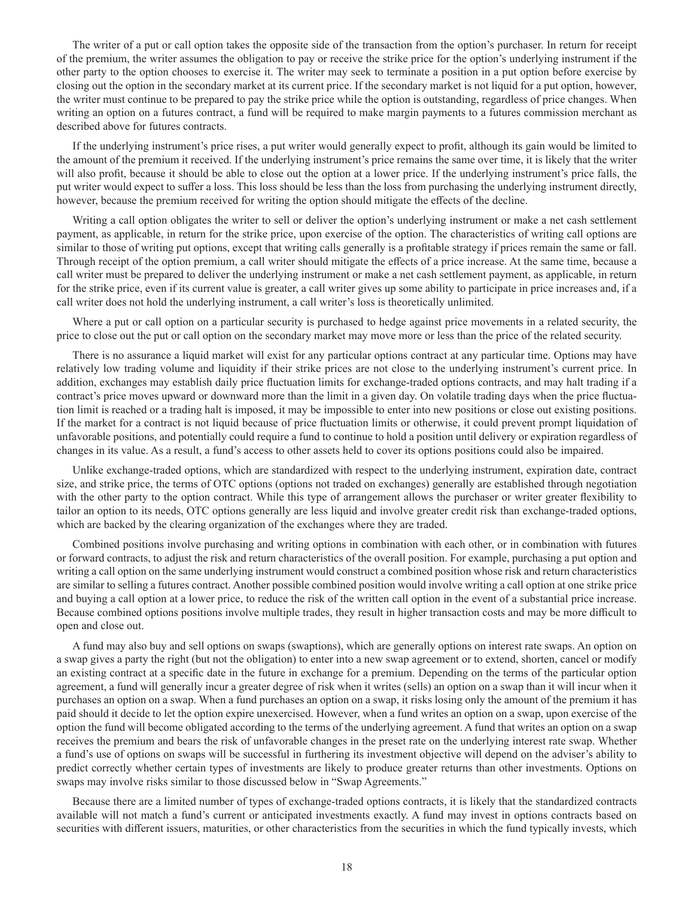The writer of a put or call option takes the opposite side of the transaction from the option's purchaser. In return for receipt of the premium, the writer assumes the obligation to pay or receive the strike price for the option's underlying instrument if the other party to the option chooses to exercise it. The writer may seek to terminate a position in a put option before exercise by closing out the option in the secondary market at its current price. If the secondary market is not liquid for a put option, however, the writer must continue to be prepared to pay the strike price while the option is outstanding, regardless of price changes. When writing an option on a futures contract, a fund will be required to make margin payments to a futures commission merchant as described above for futures contracts.

If the underlying instrument's price rises, a put writer would generally expect to profit, although its gain would be limited to the amount of the premium it received. If the underlying instrument's price remains the same over time, it is likely that the writer will also profit, because it should be able to close out the option at a lower price. If the underlying instrument's price falls, the put writer would expect to suffer a loss. This loss should be less than the loss from purchasing the underlying instrument directly, however, because the premium received for writing the option should mitigate the effects of the decline.

Writing a call option obligates the writer to sell or deliver the option's underlying instrument or make a net cash settlement payment, as applicable, in return for the strike price, upon exercise of the option. The characteristics of writing call options are similar to those of writing put options, except that writing calls generally is a profitable strategy if prices remain the same or fall. Through receipt of the option premium, a call writer should mitigate the effects of a price increase. At the same time, because a call writer must be prepared to deliver the underlying instrument or make a net cash settlement payment, as applicable, in return for the strike price, even if its current value is greater, a call writer gives up some ability to participate in price increases and, if a call writer does not hold the underlying instrument, a call writer's loss is theoretically unlimited.

Where a put or call option on a particular security is purchased to hedge against price movements in a related security, the price to close out the put or call option on the secondary market may move more or less than the price of the related security.

There is no assurance a liquid market will exist for any particular options contract at any particular time. Options may have relatively low trading volume and liquidity if their strike prices are not close to the underlying instrument's current price. In addition, exchanges may establish daily price fluctuation limits for exchange-traded options contracts, and may halt trading if a contract's price moves upward or downward more than the limit in a given day. On volatile trading days when the price fluctuation limit is reached or a trading halt is imposed, it may be impossible to enter into new positions or close out existing positions. If the market for a contract is not liquid because of price fluctuation limits or otherwise, it could prevent prompt liquidation of unfavorable positions, and potentially could require a fund to continue to hold a position until delivery or expiration regardless of changes in its value. As a result, a fund's access to other assets held to cover its options positions could also be impaired.

Unlike exchange-traded options, which are standardized with respect to the underlying instrument, expiration date, contract size, and strike price, the terms of OTC options (options not traded on exchanges) generally are established through negotiation with the other party to the option contract. While this type of arrangement allows the purchaser or writer greater flexibility to tailor an option to its needs, OTC options generally are less liquid and involve greater credit risk than exchange-traded options, which are backed by the clearing organization of the exchanges where they are traded.

Combined positions involve purchasing and writing options in combination with each other, or in combination with futures or forward contracts, to adjust the risk and return characteristics of the overall position. For example, purchasing a put option and writing a call option on the same underlying instrument would construct a combined position whose risk and return characteristics are similar to selling a futures contract. Another possible combined position would involve writing a call option at one strike price and buying a call option at a lower price, to reduce the risk of the written call option in the event of a substantial price increase. Because combined options positions involve multiple trades, they result in higher transaction costs and may be more difficult to open and close out.

A fund may also buy and sell options on swaps (swaptions), which are generally options on interest rate swaps. An option on a swap gives a party the right (but not the obligation) to enter into a new swap agreement or to extend, shorten, cancel or modify an existing contract at a specific date in the future in exchange for a premium. Depending on the terms of the particular option agreement, a fund will generally incur a greater degree of risk when it writes (sells) an option on a swap than it will incur when it purchases an option on a swap. When a fund purchases an option on a swap, it risks losing only the amount of the premium it has paid should it decide to let the option expire unexercised. However, when a fund writes an option on a swap, upon exercise of the option the fund will become obligated according to the terms of the underlying agreement. A fund that writes an option on a swap receives the premium and bears the risk of unfavorable changes in the preset rate on the underlying interest rate swap. Whether a fund's use of options on swaps will be successful in furthering its investment objective will depend on the adviser's ability to predict correctly whether certain types of investments are likely to produce greater returns than other investments. Options on swaps may involve risks similar to those discussed below in "Swap Agreements."

Because there are a limited number of types of exchange-traded options contracts, it is likely that the standardized contracts available will not match a fund's current or anticipated investments exactly. A fund may invest in options contracts based on securities with different issuers, maturities, or other characteristics from the securities in which the fund typically invests, which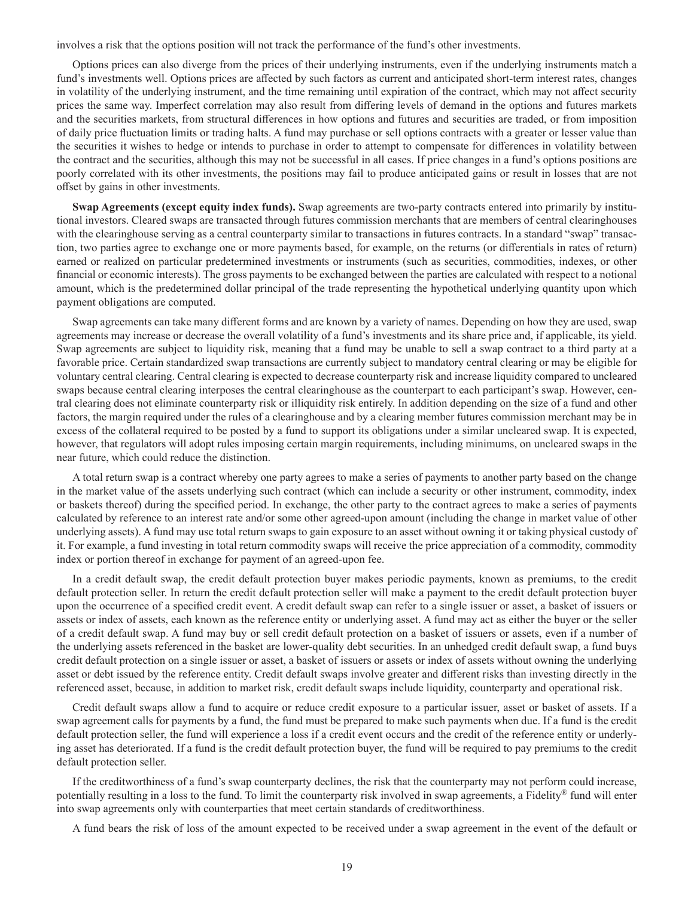involves a risk that the options position will not track the performance of the fund's other investments.

Options prices can also diverge from the prices of their underlying instruments, even if the underlying instruments match a fund's investments well. Options prices are affected by such factors as current and anticipated short-term interest rates, changes in volatility of the underlying instrument, and the time remaining until expiration of the contract, which may not affect security prices the same way. Imperfect correlation may also result from differing levels of demand in the options and futures markets and the securities markets, from structural differences in how options and futures and securities are traded, or from imposition of daily price fluctuation limits or trading halts. A fund may purchase or sell options contracts with a greater or lesser value than the securities it wishes to hedge or intends to purchase in order to attempt to compensate for differences in volatility between the contract and the securities, although this may not be successful in all cases. If price changes in a fund's options positions are poorly correlated with its other investments, the positions may fail to produce anticipated gains or result in losses that are not offset by gains in other investments.

**Swap Agreements (except equity index funds).** Swap agreements are two-party contracts entered into primarily by institutional investors. Cleared swaps are transacted through futures commission merchants that are members of central clearinghouses with the clearinghouse serving as a central counterparty similar to transactions in futures contracts. In a standard "swap" transaction, two parties agree to exchange one or more payments based, for example, on the returns (or differentials in rates of return) earned or realized on particular predetermined investments or instruments (such as securities, commodities, indexes, or other financial or economic interests). The gross payments to be exchanged between the parties are calculated with respect to a notional amount, which is the predetermined dollar principal of the trade representing the hypothetical underlying quantity upon which payment obligations are computed.

Swap agreements can take many different forms and are known by a variety of names. Depending on how they are used, swap agreements may increase or decrease the overall volatility of a fund's investments and its share price and, if applicable, its yield. Swap agreements are subject to liquidity risk, meaning that a fund may be unable to sell a swap contract to a third party at a favorable price. Certain standardized swap transactions are currently subject to mandatory central clearing or may be eligible for voluntary central clearing. Central clearing is expected to decrease counterparty risk and increase liquidity compared to uncleared swaps because central clearing interposes the central clearinghouse as the counterpart to each participant's swap. However, central clearing does not eliminate counterparty risk or illiquidity risk entirely. In addition depending on the size of a fund and other factors, the margin required under the rules of a clearinghouse and by a clearing member futures commission merchant may be in excess of the collateral required to be posted by a fund to support its obligations under a similar uncleared swap. It is expected, however, that regulators will adopt rules imposing certain margin requirements, including minimums, on uncleared swaps in the near future, which could reduce the distinction.

A total return swap is a contract whereby one party agrees to make a series of payments to another party based on the change in the market value of the assets underlying such contract (which can include a security or other instrument, commodity, index or baskets thereof) during the specified period. In exchange, the other party to the contract agrees to make a series of payments calculated by reference to an interest rate and/or some other agreed-upon amount (including the change in market value of other underlying assets). A fund may use total return swaps to gain exposure to an asset without owning it or taking physical custody of it. For example, a fund investing in total return commodity swaps will receive the price appreciation of a commodity, commodity index or portion thereof in exchange for payment of an agreed-upon fee.

In a credit default swap, the credit default protection buyer makes periodic payments, known as premiums, to the credit default protection seller. In return the credit default protection seller will make a payment to the credit default protection buyer upon the occurrence of a specified credit event. A credit default swap can refer to a single issuer or asset, a basket of issuers or assets or index of assets, each known as the reference entity or underlying asset. A fund may act as either the buyer or the seller of a credit default swap. A fund may buy or sell credit default protection on a basket of issuers or assets, even if a number of the underlying assets referenced in the basket are lower-quality debt securities. In an unhedged credit default swap, a fund buys credit default protection on a single issuer or asset, a basket of issuers or assets or index of assets without owning the underlying asset or debt issued by the reference entity. Credit default swaps involve greater and different risks than investing directly in the referenced asset, because, in addition to market risk, credit default swaps include liquidity, counterparty and operational risk.

Credit default swaps allow a fund to acquire or reduce credit exposure to a particular issuer, asset or basket of assets. If a swap agreement calls for payments by a fund, the fund must be prepared to make such payments when due. If a fund is the credit default protection seller, the fund will experience a loss if a credit event occurs and the credit of the reference entity or underlying asset has deteriorated. If a fund is the credit default protection buyer, the fund will be required to pay premiums to the credit default protection seller.

If the creditworthiness of a fund's swap counterparty declines, the risk that the counterparty may not perform could increase, potentially resulting in a loss to the fund. To limit the counterparty risk involved in swap agreements, a Fidelity® fund will enter into swap agreements only with counterparties that meet certain standards of creditworthiness.

A fund bears the risk of loss of the amount expected to be received under a swap agreement in the event of the default or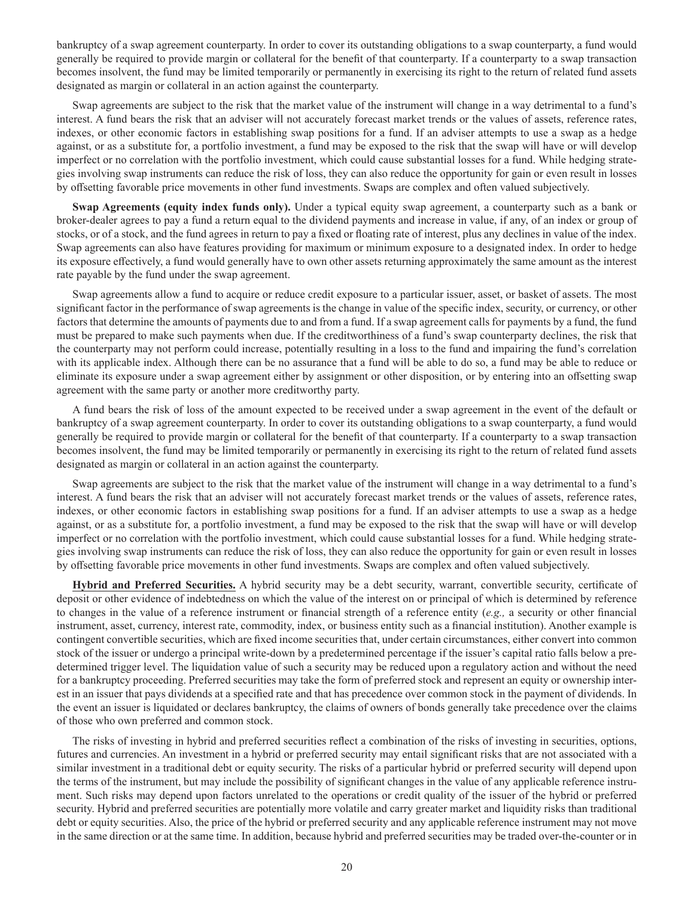bankruptcy of a swap agreement counterparty. In order to cover its outstanding obligations to a swap counterparty, a fund would generally be required to provide margin or collateral for the benefit of that counterparty. If a counterparty to a swap transaction becomes insolvent, the fund may be limited temporarily or permanently in exercising its right to the return of related fund assets designated as margin or collateral in an action against the counterparty.

Swap agreements are subject to the risk that the market value of the instrument will change in a way detrimental to a fund's interest. A fund bears the risk that an adviser will not accurately forecast market trends or the values of assets, reference rates, indexes, or other economic factors in establishing swap positions for a fund. If an adviser attempts to use a swap as a hedge against, or as a substitute for, a portfolio investment, a fund may be exposed to the risk that the swap will have or will develop imperfect or no correlation with the portfolio investment, which could cause substantial losses for a fund. While hedging strategies involving swap instruments can reduce the risk of loss, they can also reduce the opportunity for gain or even result in losses by offsetting favorable price movements in other fund investments. Swaps are complex and often valued subjectively.

**Swap Agreements (equity index funds only).** Under a typical equity swap agreement, a counterparty such as a bank or broker-dealer agrees to pay a fund a return equal to the dividend payments and increase in value, if any, of an index or group of stocks, or of a stock, and the fund agrees in return to pay a fixed or floating rate of interest, plus any declines in value of the index. Swap agreements can also have features providing for maximum or minimum exposure to a designated index. In order to hedge its exposure effectively, a fund would generally have to own other assets returning approximately the same amount as the interest rate payable by the fund under the swap agreement.

Swap agreements allow a fund to acquire or reduce credit exposure to a particular issuer, asset, or basket of assets. The most significant factor in the performance of swap agreements is the change in value of the specific index, security, or currency, or other factors that determine the amounts of payments due to and from a fund. If a swap agreement calls for payments by a fund, the fund must be prepared to make such payments when due. If the creditworthiness of a fund's swap counterparty declines, the risk that the counterparty may not perform could increase, potentially resulting in a loss to the fund and impairing the fund's correlation with its applicable index. Although there can be no assurance that a fund will be able to do so, a fund may be able to reduce or eliminate its exposure under a swap agreement either by assignment or other disposition, or by entering into an offsetting swap agreement with the same party or another more creditworthy party.

A fund bears the risk of loss of the amount expected to be received under a swap agreement in the event of the default or bankruptcy of a swap agreement counterparty. In order to cover its outstanding obligations to a swap counterparty, a fund would generally be required to provide margin or collateral for the benefit of that counterparty. If a counterparty to a swap transaction becomes insolvent, the fund may be limited temporarily or permanently in exercising its right to the return of related fund assets designated as margin or collateral in an action against the counterparty.

Swap agreements are subject to the risk that the market value of the instrument will change in a way detrimental to a fund's interest. A fund bears the risk that an adviser will not accurately forecast market trends or the values of assets, reference rates, indexes, or other economic factors in establishing swap positions for a fund. If an adviser attempts to use a swap as a hedge against, or as a substitute for, a portfolio investment, a fund may be exposed to the risk that the swap will have or will develop imperfect or no correlation with the portfolio investment, which could cause substantial losses for a fund. While hedging strategies involving swap instruments can reduce the risk of loss, they can also reduce the opportunity for gain or even result in losses by offsetting favorable price movements in other fund investments. Swaps are complex and often valued subjectively.

**Hybrid and Preferred Securities.** A hybrid security may be a debt security, warrant, convertible security, certificate of deposit or other evidence of indebtedness on which the value of the interest on or principal of which is determined by reference to changes in the value of a reference instrument or financial strength of a reference entity (*e.g.,* a security or other financial instrument, asset, currency, interest rate, commodity, index, or business entity such as a financial institution). Another example is contingent convertible securities, which are fixed income securities that, under certain circumstances, either convert into common stock of the issuer or undergo a principal write-down by a predetermined percentage if the issuer's capital ratio falls below a predetermined trigger level. The liquidation value of such a security may be reduced upon a regulatory action and without the need for a bankruptcy proceeding. Preferred securities may take the form of preferred stock and represent an equity or ownership interest in an issuer that pays dividends at a specified rate and that has precedence over common stock in the payment of dividends. In the event an issuer is liquidated or declares bankruptcy, the claims of owners of bonds generally take precedence over the claims of those who own preferred and common stock.

The risks of investing in hybrid and preferred securities reflect a combination of the risks of investing in securities, options, futures and currencies. An investment in a hybrid or preferred security may entail significant risks that are not associated with a similar investment in a traditional debt or equity security. The risks of a particular hybrid or preferred security will depend upon the terms of the instrument, but may include the possibility of significant changes in the value of any applicable reference instrument. Such risks may depend upon factors unrelated to the operations or credit quality of the issuer of the hybrid or preferred security. Hybrid and preferred securities are potentially more volatile and carry greater market and liquidity risks than traditional debt or equity securities. Also, the price of the hybrid or preferred security and any applicable reference instrument may not move in the same direction or at the same time. In addition, because hybrid and preferred securities may be traded over-the-counter or in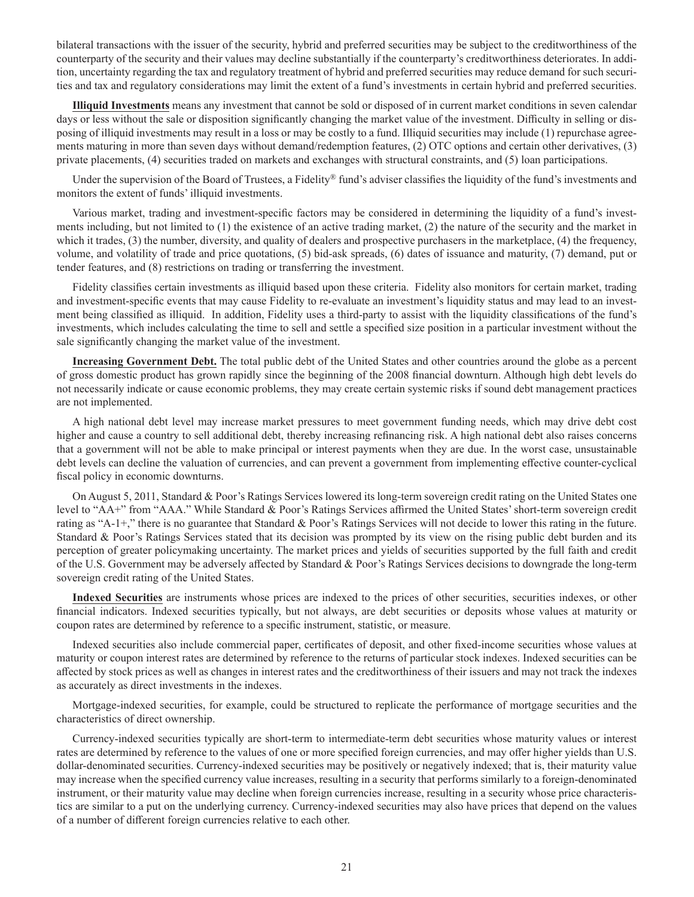bilateral transactions with the issuer of the security, hybrid and preferred securities may be subject to the creditworthiness of the counterparty of the security and their values may decline substantially if the counterparty's creditworthiness deteriorates. In addition, uncertainty regarding the tax and regulatory treatment of hybrid and preferred securities may reduce demand for such securities and tax and regulatory considerations may limit the extent of a fund's investments in certain hybrid and preferred securities.

**Illiquid Investments** means any investment that cannot be sold or disposed of in current market conditions in seven calendar days or less without the sale or disposition significantly changing the market value of the investment. Difficulty in selling or disposing of illiquid investments may result in a loss or may be costly to a fund. Illiquid securities may include (1) repurchase agreements maturing in more than seven days without demand/redemption features, (2) OTC options and certain other derivatives, (3) private placements, (4) securities traded on markets and exchanges with structural constraints, and (5) loan participations.

Under the supervision of the Board of Trustees, a Fidelity® fund's adviser classifies the liquidity of the fund's investments and monitors the extent of funds' illiquid investments.

Various market, trading and investment-specific factors may be considered in determining the liquidity of a fund's investments including, but not limited to (1) the existence of an active trading market, (2) the nature of the security and the market in which it trades, (3) the number, diversity, and quality of dealers and prospective purchasers in the marketplace, (4) the frequency, volume, and volatility of trade and price quotations, (5) bid-ask spreads, (6) dates of issuance and maturity, (7) demand, put or tender features, and (8) restrictions on trading or transferring the investment.

Fidelity classifies certain investments as illiquid based upon these criteria. Fidelity also monitors for certain market, trading and investment-specific events that may cause Fidelity to re-evaluate an investment's liquidity status and may lead to an investment being classified as illiquid. In addition, Fidelity uses a third-party to assist with the liquidity classifications of the fund's investments, which includes calculating the time to sell and settle a specified size position in a particular investment without the sale significantly changing the market value of the investment.

**Increasing Government Debt.** The total public debt of the United States and other countries around the globe as a percent of gross domestic product has grown rapidly since the beginning of the 2008 financial downturn. Although high debt levels do not necessarily indicate or cause economic problems, they may create certain systemic risks if sound debt management practices are not implemented.

A high national debt level may increase market pressures to meet government funding needs, which may drive debt cost higher and cause a country to sell additional debt, thereby increasing refinancing risk. A high national debt also raises concerns that a government will not be able to make principal or interest payments when they are due. In the worst case, unsustainable debt levels can decline the valuation of currencies, and can prevent a government from implementing effective counter-cyclical fiscal policy in economic downturns.

On August 5, 2011, Standard & Poor's Ratings Services lowered its long-term sovereign credit rating on the United States one level to "AA+" from "AAA." While Standard & Poor's Ratings Services affirmed the United States' short-term sovereign credit rating as "A-1+," there is no guarantee that Standard & Poor's Ratings Services will not decide to lower this rating in the future. Standard & Poor's Ratings Services stated that its decision was prompted by its view on the rising public debt burden and its perception of greater policymaking uncertainty. The market prices and yields of securities supported by the full faith and credit of the U.S. Government may be adversely affected by Standard & Poor's Ratings Services decisions to downgrade the long-term sovereign credit rating of the United States.

**Indexed Securities** are instruments whose prices are indexed to the prices of other securities, securities indexes, or other financial indicators. Indexed securities typically, but not always, are debt securities or deposits whose values at maturity or coupon rates are determined by reference to a specific instrument, statistic, or measure.

Indexed securities also include commercial paper, certificates of deposit, and other fixed-income securities whose values at maturity or coupon interest rates are determined by reference to the returns of particular stock indexes. Indexed securities can be affected by stock prices as well as changes in interest rates and the creditworthiness of their issuers and may not track the indexes as accurately as direct investments in the indexes.

Mortgage-indexed securities, for example, could be structured to replicate the performance of mortgage securities and the characteristics of direct ownership.

Currency-indexed securities typically are short-term to intermediate-term debt securities whose maturity values or interest rates are determined by reference to the values of one or more specified foreign currencies, and may offer higher yields than U.S. dollar-denominated securities. Currency-indexed securities may be positively or negatively indexed; that is, their maturity value may increase when the specified currency value increases, resulting in a security that performs similarly to a foreign-denominated instrument, or their maturity value may decline when foreign currencies increase, resulting in a security whose price characteristics are similar to a put on the underlying currency. Currency-indexed securities may also have prices that depend on the values of a number of different foreign currencies relative to each other.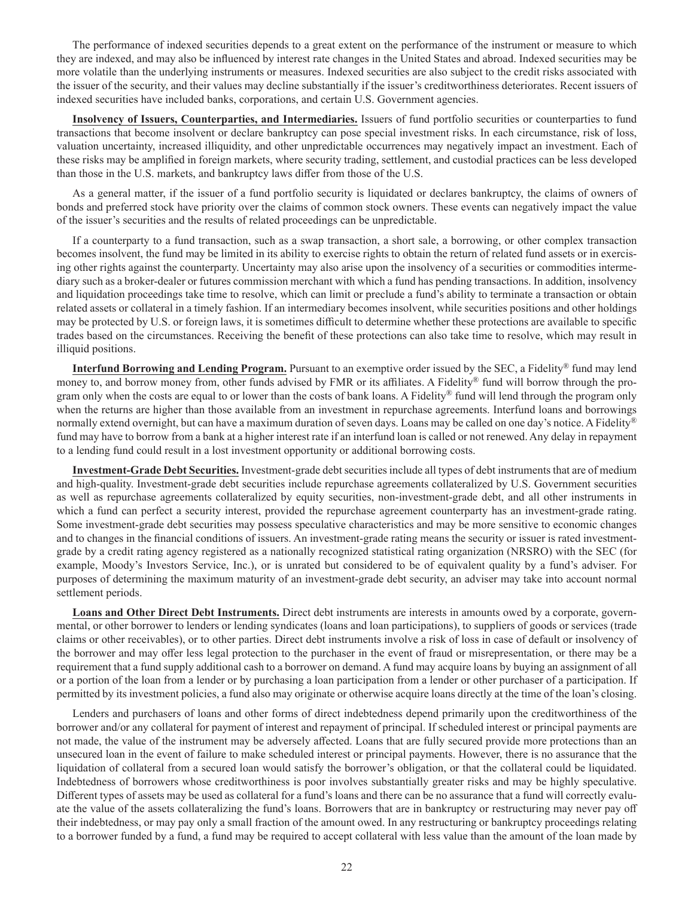The performance of indexed securities depends to a great extent on the performance of the instrument or measure to which they are indexed, and may also be influenced by interest rate changes in the United States and abroad. Indexed securities may be more volatile than the underlying instruments or measures. Indexed securities are also subject to the credit risks associated with the issuer of the security, and their values may decline substantially if the issuer's creditworthiness deteriorates. Recent issuers of indexed securities have included banks, corporations, and certain U.S. Government agencies.

**Insolvency of Issuers, Counterparties, and Intermediaries.** Issuers of fund portfolio securities or counterparties to fund transactions that become insolvent or declare bankruptcy can pose special investment risks. In each circumstance, risk of loss, valuation uncertainty, increased illiquidity, and other unpredictable occurrences may negatively impact an investment. Each of these risks may be amplified in foreign markets, where security trading, settlement, and custodial practices can be less developed than those in the U.S. markets, and bankruptcy laws differ from those of the U.S.

As a general matter, if the issuer of a fund portfolio security is liquidated or declares bankruptcy, the claims of owners of bonds and preferred stock have priority over the claims of common stock owners. These events can negatively impact the value of the issuer's securities and the results of related proceedings can be unpredictable.

If a counterparty to a fund transaction, such as a swap transaction, a short sale, a borrowing, or other complex transaction becomes insolvent, the fund may be limited in its ability to exercise rights to obtain the return of related fund assets or in exercising other rights against the counterparty. Uncertainty may also arise upon the insolvency of a securities or commodities intermediary such as a broker-dealer or futures commission merchant with which a fund has pending transactions. In addition, insolvency and liquidation proceedings take time to resolve, which can limit or preclude a fund's ability to terminate a transaction or obtain related assets or collateral in a timely fashion. If an intermediary becomes insolvent, while securities positions and other holdings may be protected by U.S. or foreign laws, it is sometimes difficult to determine whether these protections are available to specific trades based on the circumstances. Receiving the benefit of these protections can also take time to resolve, which may result in illiquid positions.

**Interfund Borrowing and Lending Program.** Pursuant to an exemptive order issued by the SEC, a Fidelity® fund may lend money to, and borrow money from, other funds advised by FMR or its affiliates. A Fidelity® fund will borrow through the program only when the costs are equal to or lower than the costs of bank loans. A Fidelity® fund will lend through the program only when the returns are higher than those available from an investment in repurchase agreements. Interfund loans and borrowings normally extend overnight, but can have a maximum duration of seven days. Loans may be called on one day's notice. A Fidelity<sup>®</sup> fund may have to borrow from a bank at a higher interest rate if an interfund loan is called or not renewed. Any delay in repayment to a lending fund could result in a lost investment opportunity or additional borrowing costs.

**Investment-Grade Debt Securities.** Investment-grade debt securities include all types of debt instruments that are of medium and high-quality. Investment-grade debt securities include repurchase agreements collateralized by U.S. Government securities as well as repurchase agreements collateralized by equity securities, non-investment-grade debt, and all other instruments in which a fund can perfect a security interest, provided the repurchase agreement counterparty has an investment-grade rating. Some investment-grade debt securities may possess speculative characteristics and may be more sensitive to economic changes and to changes in the financial conditions of issuers. An investment-grade rating means the security or issuer is rated investmentgrade by a credit rating agency registered as a nationally recognized statistical rating organization (NRSRO) with the SEC (for example, Moody's Investors Service, Inc.), or is unrated but considered to be of equivalent quality by a fund's adviser. For purposes of determining the maximum maturity of an investment-grade debt security, an adviser may take into account normal settlement periods.

**Loans and Other Direct Debt Instruments.** Direct debt instruments are interests in amounts owed by a corporate, governmental, or other borrower to lenders or lending syndicates (loans and loan participations), to suppliers of goods or services (trade claims or other receivables), or to other parties. Direct debt instruments involve a risk of loss in case of default or insolvency of the borrower and may offer less legal protection to the purchaser in the event of fraud or misrepresentation, or there may be a requirement that a fund supply additional cash to a borrower on demand. A fund may acquire loans by buying an assignment of all or a portion of the loan from a lender or by purchasing a loan participation from a lender or other purchaser of a participation. If permitted by its investment policies, a fund also may originate or otherwise acquire loans directly at the time of the loan's closing.

Lenders and purchasers of loans and other forms of direct indebtedness depend primarily upon the creditworthiness of the borrower and/or any collateral for payment of interest and repayment of principal. If scheduled interest or principal payments are not made, the value of the instrument may be adversely affected. Loans that are fully secured provide more protections than an unsecured loan in the event of failure to make scheduled interest or principal payments. However, there is no assurance that the liquidation of collateral from a secured loan would satisfy the borrower's obligation, or that the collateral could be liquidated. Indebtedness of borrowers whose creditworthiness is poor involves substantially greater risks and may be highly speculative. Different types of assets may be used as collateral for a fund's loans and there can be no assurance that a fund will correctly evaluate the value of the assets collateralizing the fund's loans. Borrowers that are in bankruptcy or restructuring may never pay off their indebtedness, or may pay only a small fraction of the amount owed. In any restructuring or bankruptcy proceedings relating to a borrower funded by a fund, a fund may be required to accept collateral with less value than the amount of the loan made by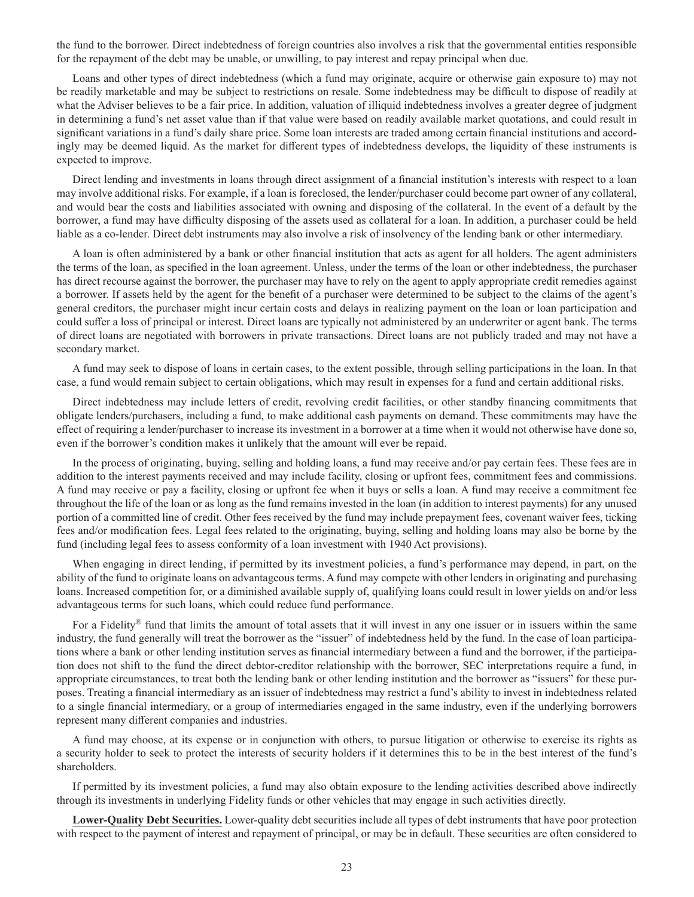the fund to the borrower. Direct indebtedness of foreign countries also involves a risk that the governmental entities responsible for the repayment of the debt may be unable, or unwilling, to pay interest and repay principal when due.

Loans and other types of direct indebtedness (which a fund may originate, acquire or otherwise gain exposure to) may not be readily marketable and may be subject to restrictions on resale. Some indebtedness may be difficult to dispose of readily at what the Adviser believes to be a fair price. In addition, valuation of illiquid indebtedness involves a greater degree of judgment in determining a fund's net asset value than if that value were based on readily available market quotations, and could result in significant variations in a fund's daily share price. Some loan interests are traded among certain financial institutions and accordingly may be deemed liquid. As the market for different types of indebtedness develops, the liquidity of these instruments is expected to improve.

Direct lending and investments in loans through direct assignment of a financial institution's interests with respect to a loan may involve additional risks. For example, if a loan is foreclosed, the lender/purchaser could become part owner of any collateral, and would bear the costs and liabilities associated with owning and disposing of the collateral. In the event of a default by the borrower, a fund may have difficulty disposing of the assets used as collateral for a loan. In addition, a purchaser could be held liable as a co-lender. Direct debt instruments may also involve a risk of insolvency of the lending bank or other intermediary.

A loan is often administered by a bank or other financial institution that acts as agent for all holders. The agent administers the terms of the loan, as specified in the loan agreement. Unless, under the terms of the loan or other indebtedness, the purchaser has direct recourse against the borrower, the purchaser may have to rely on the agent to apply appropriate credit remedies against a borrower. If assets held by the agent for the benefit of a purchaser were determined to be subject to the claims of the agent's general creditors, the purchaser might incur certain costs and delays in realizing payment on the loan or loan participation and could suffer a loss of principal or interest. Direct loans are typically not administered by an underwriter or agent bank. The terms of direct loans are negotiated with borrowers in private transactions. Direct loans are not publicly traded and may not have a secondary market.

A fund may seek to dispose of loans in certain cases, to the extent possible, through selling participations in the loan. In that case, a fund would remain subject to certain obligations, which may result in expenses for a fund and certain additional risks.

Direct indebtedness may include letters of credit, revolving credit facilities, or other standby financing commitments that obligate lenders/purchasers, including a fund, to make additional cash payments on demand. These commitments may have the effect of requiring a lender/purchaser to increase its investment in a borrower at a time when it would not otherwise have done so, even if the borrower's condition makes it unlikely that the amount will ever be repaid.

In the process of originating, buying, selling and holding loans, a fund may receive and/or pay certain fees. These fees are in addition to the interest payments received and may include facility, closing or upfront fees, commitment fees and commissions. A fund may receive or pay a facility, closing or upfront fee when it buys or sells a loan. A fund may receive a commitment fee throughout the life of the loan or as long as the fund remains invested in the loan (in addition to interest payments) for any unused portion of a committed line of credit. Other fees received by the fund may include prepayment fees, covenant waiver fees, ticking fees and/or modification fees. Legal fees related to the originating, buying, selling and holding loans may also be borne by the fund (including legal fees to assess conformity of a loan investment with 1940 Act provisions).

When engaging in direct lending, if permitted by its investment policies, a fund's performance may depend, in part, on the ability of the fund to originate loans on advantageous terms. A fund may compete with other lenders in originating and purchasing loans. Increased competition for, or a diminished available supply of, qualifying loans could result in lower yields on and/or less advantageous terms for such loans, which could reduce fund performance.

For a Fidelity® fund that limits the amount of total assets that it will invest in any one issuer or in issuers within the same industry, the fund generally will treat the borrower as the "issuer" of indebtedness held by the fund. In the case of loan participations where a bank or other lending institution serves as financial intermediary between a fund and the borrower, if the participation does not shift to the fund the direct debtor-creditor relationship with the borrower, SEC interpretations require a fund, in appropriate circumstances, to treat both the lending bank or other lending institution and the borrower as "issuers" for these purposes. Treating a financial intermediary as an issuer of indebtedness may restrict a fund's ability to invest in indebtedness related to a single financial intermediary, or a group of intermediaries engaged in the same industry, even if the underlying borrowers represent many different companies and industries.

A fund may choose, at its expense or in conjunction with others, to pursue litigation or otherwise to exercise its rights as a security holder to seek to protect the interests of security holders if it determines this to be in the best interest of the fund's shareholders.

If permitted by its investment policies, a fund may also obtain exposure to the lending activities described above indirectly through its investments in underlying Fidelity funds or other vehicles that may engage in such activities directly.

**Lower-Quality Debt Securities.** Lower-quality debt securities include all types of debt instruments that have poor protection with respect to the payment of interest and repayment of principal, or may be in default. These securities are often considered to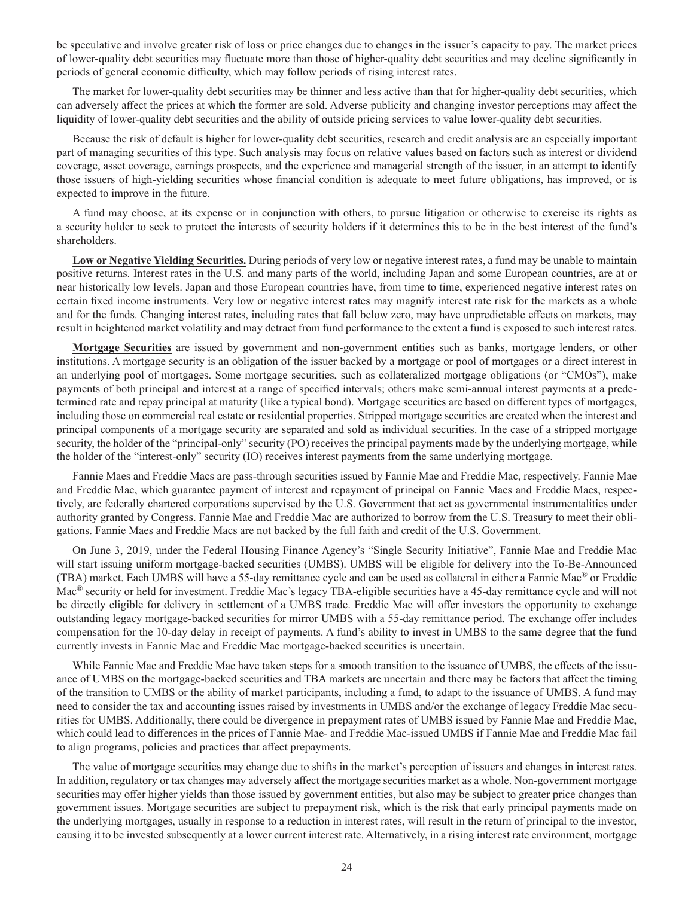be speculative and involve greater risk of loss or price changes due to changes in the issuer's capacity to pay. The market prices of lower-quality debt securities may fluctuate more than those of higher-quality debt securities and may decline significantly in periods of general economic difficulty, which may follow periods of rising interest rates.

The market for lower-quality debt securities may be thinner and less active than that for higher-quality debt securities, which can adversely affect the prices at which the former are sold. Adverse publicity and changing investor perceptions may affect the liquidity of lower-quality debt securities and the ability of outside pricing services to value lower-quality debt securities.

Because the risk of default is higher for lower-quality debt securities, research and credit analysis are an especially important part of managing securities of this type. Such analysis may focus on relative values based on factors such as interest or dividend coverage, asset coverage, earnings prospects, and the experience and managerial strength of the issuer, in an attempt to identify those issuers of high-yielding securities whose financial condition is adequate to meet future obligations, has improved, or is expected to improve in the future.

A fund may choose, at its expense or in conjunction with others, to pursue litigation or otherwise to exercise its rights as a security holder to seek to protect the interests of security holders if it determines this to be in the best interest of the fund's shareholders.

**Low or Negative Yielding Securities.** During periods of very low or negative interest rates, a fund may be unable to maintain positive returns. Interest rates in the U.S. and many parts of the world, including Japan and some European countries, are at or near historically low levels. Japan and those European countries have, from time to time, experienced negative interest rates on certain fixed income instruments. Very low or negative interest rates may magnify interest rate risk for the markets as a whole and for the funds. Changing interest rates, including rates that fall below zero, may have unpredictable effects on markets, may result in heightened market volatility and may detract from fund performance to the extent a fund is exposed to such interest rates.

**Mortgage Securities** are issued by government and non-government entities such as banks, mortgage lenders, or other institutions. A mortgage security is an obligation of the issuer backed by a mortgage or pool of mortgages or a direct interest in an underlying pool of mortgages. Some mortgage securities, such as collateralized mortgage obligations (or "CMOs"), make payments of both principal and interest at a range of specified intervals; others make semi-annual interest payments at a predetermined rate and repay principal at maturity (like a typical bond). Mortgage securities are based on different types of mortgages, including those on commercial real estate or residential properties. Stripped mortgage securities are created when the interest and principal components of a mortgage security are separated and sold as individual securities. In the case of a stripped mortgage security, the holder of the "principal-only" security (PO) receives the principal payments made by the underlying mortgage, while the holder of the "interest-only" security (IO) receives interest payments from the same underlying mortgage.

Fannie Maes and Freddie Macs are pass-through securities issued by Fannie Mae and Freddie Mac, respectively. Fannie Mae and Freddie Mac, which guarantee payment of interest and repayment of principal on Fannie Maes and Freddie Macs, respectively, are federally chartered corporations supervised by the U.S. Government that act as governmental instrumentalities under authority granted by Congress. Fannie Mae and Freddie Mac are authorized to borrow from the U.S. Treasury to meet their obligations. Fannie Maes and Freddie Macs are not backed by the full faith and credit of the U.S. Government.

On June 3, 2019, under the Federal Housing Finance Agency's "Single Security Initiative", Fannie Mae and Freddie Mac will start issuing uniform mortgage-backed securities (UMBS). UMBS will be eligible for delivery into the To-Be-Announced (TBA) market. Each UMBS will have a 55-day remittance cycle and can be used as collateral in either a Fannie Mae® or Freddie Mac® security or held for investment. Freddie Mac's legacy TBA-eligible securities have a 45-day remittance cycle and will not be directly eligible for delivery in settlement of a UMBS trade. Freddie Mac will offer investors the opportunity to exchange outstanding legacy mortgage-backed securities for mirror UMBS with a 55-day remittance period. The exchange offer includes compensation for the 10-day delay in receipt of payments. A fund's ability to invest in UMBS to the same degree that the fund currently invests in Fannie Mae and Freddie Mac mortgage-backed securities is uncertain.

While Fannie Mae and Freddie Mac have taken steps for a smooth transition to the issuance of UMBS, the effects of the issuance of UMBS on the mortgage-backed securities and TBA markets are uncertain and there may be factors that affect the timing of the transition to UMBS or the ability of market participants, including a fund, to adapt to the issuance of UMBS. A fund may need to consider the tax and accounting issues raised by investments in UMBS and/or the exchange of legacy Freddie Mac securities for UMBS. Additionally, there could be divergence in prepayment rates of UMBS issued by Fannie Mae and Freddie Mac, which could lead to differences in the prices of Fannie Mae- and Freddie Mac-issued UMBS if Fannie Mae and Freddie Mac fail to align programs, policies and practices that affect prepayments.

The value of mortgage securities may change due to shifts in the market's perception of issuers and changes in interest rates. In addition, regulatory or tax changes may adversely affect the mortgage securities market as a whole. Non-government mortgage securities may offer higher yields than those issued by government entities, but also may be subject to greater price changes than government issues. Mortgage securities are subject to prepayment risk, which is the risk that early principal payments made on the underlying mortgages, usually in response to a reduction in interest rates, will result in the return of principal to the investor, causing it to be invested subsequently at a lower current interest rate. Alternatively, in a rising interest rate environment, mortgage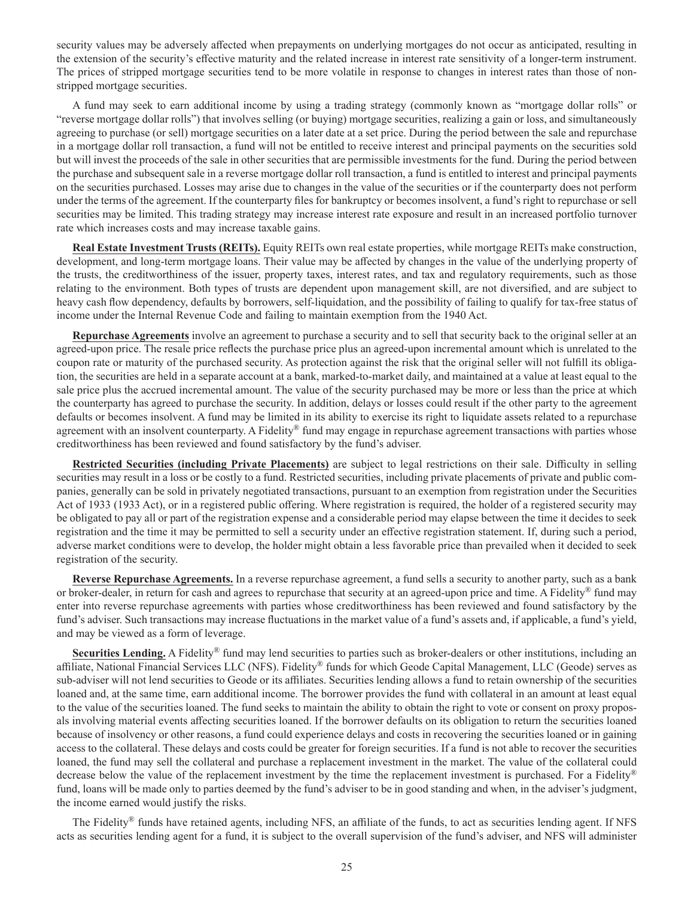security values may be adversely affected when prepayments on underlying mortgages do not occur as anticipated, resulting in the extension of the security's effective maturity and the related increase in interest rate sensitivity of a longer-term instrument. The prices of stripped mortgage securities tend to be more volatile in response to changes in interest rates than those of nonstripped mortgage securities.

A fund may seek to earn additional income by using a trading strategy (commonly known as "mortgage dollar rolls" or "reverse mortgage dollar rolls") that involves selling (or buying) mortgage securities, realizing a gain or loss, and simultaneously agreeing to purchase (or sell) mortgage securities on a later date at a set price. During the period between the sale and repurchase in a mortgage dollar roll transaction, a fund will not be entitled to receive interest and principal payments on the securities sold but will invest the proceeds of the sale in other securities that are permissible investments for the fund. During the period between the purchase and subsequent sale in a reverse mortgage dollar roll transaction, a fund is entitled to interest and principal payments on the securities purchased. Losses may arise due to changes in the value of the securities or if the counterparty does not perform under the terms of the agreement. If the counterparty files for bankruptcy or becomes insolvent, a fund's right to repurchase or sell securities may be limited. This trading strategy may increase interest rate exposure and result in an increased portfolio turnover rate which increases costs and may increase taxable gains.

**Real Estate Investment Trusts (REITs).** Equity REITs own real estate properties, while mortgage REITs make construction, development, and long-term mortgage loans. Their value may be affected by changes in the value of the underlying property of the trusts, the creditworthiness of the issuer, property taxes, interest rates, and tax and regulatory requirements, such as those relating to the environment. Both types of trusts are dependent upon management skill, are not diversified, and are subject to heavy cash flow dependency, defaults by borrowers, self-liquidation, and the possibility of failing to qualify for tax-free status of income under the Internal Revenue Code and failing to maintain exemption from the 1940 Act.

**Repurchase Agreements** involve an agreement to purchase a security and to sell that security back to the original seller at an agreed-upon price. The resale price reflects the purchase price plus an agreed-upon incremental amount which is unrelated to the coupon rate or maturity of the purchased security. As protection against the risk that the original seller will not fulfill its obligation, the securities are held in a separate account at a bank, marked-to-market daily, and maintained at a value at least equal to the sale price plus the accrued incremental amount. The value of the security purchased may be more or less than the price at which the counterparty has agreed to purchase the security. In addition, delays or losses could result if the other party to the agreement defaults or becomes insolvent. A fund may be limited in its ability to exercise its right to liquidate assets related to a repurchase agreement with an insolvent counterparty. A Fidelity® fund may engage in repurchase agreement transactions with parties whose creditworthiness has been reviewed and found satisfactory by the fund's adviser.

**Restricted Securities (including Private Placements)** are subject to legal restrictions on their sale. Difficulty in selling securities may result in a loss or be costly to a fund. Restricted securities, including private placements of private and public companies, generally can be sold in privately negotiated transactions, pursuant to an exemption from registration under the Securities Act of 1933 (1933 Act), or in a registered public offering. Where registration is required, the holder of a registered security may be obligated to pay all or part of the registration expense and a considerable period may elapse between the time it decides to seek registration and the time it may be permitted to sell a security under an effective registration statement. If, during such a period, adverse market conditions were to develop, the holder might obtain a less favorable price than prevailed when it decided to seek registration of the security.

**Reverse Repurchase Agreements.** In a reverse repurchase agreement, a fund sells a security to another party, such as a bank or broker-dealer, in return for cash and agrees to repurchase that security at an agreed-upon price and time. A Fidelity<sup>®</sup> fund may enter into reverse repurchase agreements with parties whose creditworthiness has been reviewed and found satisfactory by the fund's adviser. Such transactions may increase fluctuations in the market value of a fund's assets and, if applicable, a fund's yield, and may be viewed as a form of leverage.

**Securities Lending.** A Fidelity® fund may lend securities to parties such as broker-dealers or other institutions, including an affiliate, National Financial Services LLC (NFS). Fidelity® funds for which Geode Capital Management, LLC (Geode) serves as sub-adviser will not lend securities to Geode or its affiliates. Securities lending allows a fund to retain ownership of the securities loaned and, at the same time, earn additional income. The borrower provides the fund with collateral in an amount at least equal to the value of the securities loaned. The fund seeks to maintain the ability to obtain the right to vote or consent on proxy proposals involving material events affecting securities loaned. If the borrower defaults on its obligation to return the securities loaned because of insolvency or other reasons, a fund could experience delays and costs in recovering the securities loaned or in gaining access to the collateral. These delays and costs could be greater for foreign securities. If a fund is not able to recover the securities loaned, the fund may sell the collateral and purchase a replacement investment in the market. The value of the collateral could decrease below the value of the replacement investment by the time the replacement investment is purchased. For a Fidelity® fund, loans will be made only to parties deemed by the fund's adviser to be in good standing and when, in the adviser's judgment, the income earned would justify the risks.

The Fidelity<sup>®</sup> funds have retained agents, including NFS, an affiliate of the funds, to act as securities lending agent. If NFS acts as securities lending agent for a fund, it is subject to the overall supervision of the fund's adviser, and NFS will administer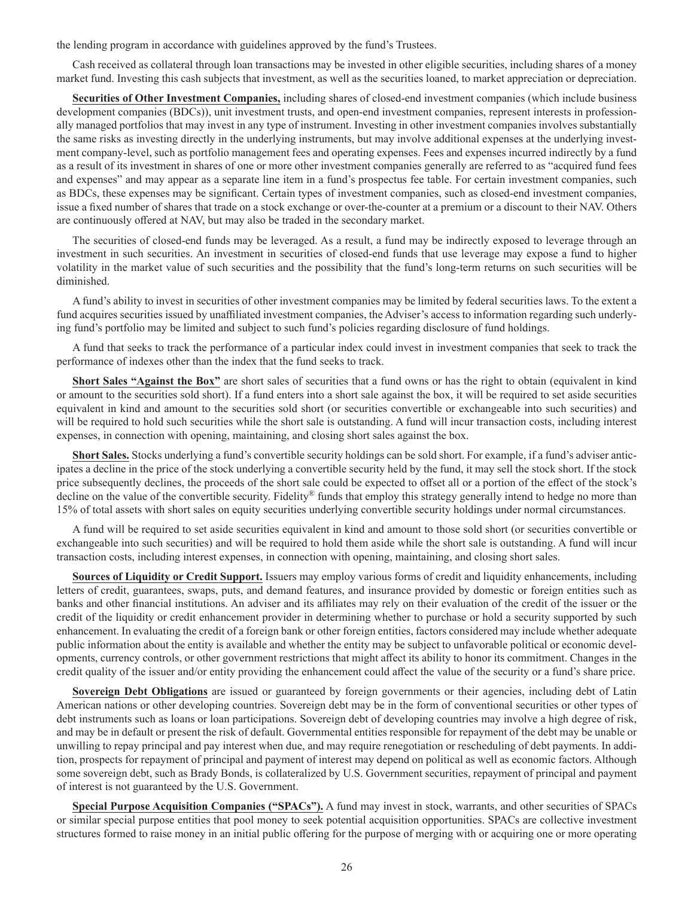the lending program in accordance with guidelines approved by the fund's Trustees.

Cash received as collateral through loan transactions may be invested in other eligible securities, including shares of a money market fund. Investing this cash subjects that investment, as well as the securities loaned, to market appreciation or depreciation.

**Securities of Other Investment Companies,** including shares of closed-end investment companies (which include business development companies (BDCs)), unit investment trusts, and open-end investment companies, represent interests in professionally managed portfolios that may invest in any type of instrument. Investing in other investment companies involves substantially the same risks as investing directly in the underlying instruments, but may involve additional expenses at the underlying investment company-level, such as portfolio management fees and operating expenses. Fees and expenses incurred indirectly by a fund as a result of its investment in shares of one or more other investment companies generally are referred to as "acquired fund fees and expenses" and may appear as a separate line item in a fund's prospectus fee table. For certain investment companies, such as BDCs, these expenses may be significant. Certain types of investment companies, such as closed-end investment companies, issue a fixed number of shares that trade on a stock exchange or over-the-counter at a premium or a discount to their NAV. Others are continuously offered at NAV, but may also be traded in the secondary market.

The securities of closed-end funds may be leveraged. As a result, a fund may be indirectly exposed to leverage through an investment in such securities. An investment in securities of closed-end funds that use leverage may expose a fund to higher volatility in the market value of such securities and the possibility that the fund's long-term returns on such securities will be diminished.

A fund's ability to invest in securities of other investment companies may be limited by federal securities laws. To the extent a fund acquires securities issued by unaffiliated investment companies, the Adviser's access to information regarding such underlying fund's portfolio may be limited and subject to such fund's policies regarding disclosure of fund holdings.

A fund that seeks to track the performance of a particular index could invest in investment companies that seek to track the performance of indexes other than the index that the fund seeks to track.

**Short Sales "Against the Box"** are short sales of securities that a fund owns or has the right to obtain (equivalent in kind or amount to the securities sold short). If a fund enters into a short sale against the box, it will be required to set aside securities equivalent in kind and amount to the securities sold short (or securities convertible or exchangeable into such securities) and will be required to hold such securities while the short sale is outstanding. A fund will incur transaction costs, including interest expenses, in connection with opening, maintaining, and closing short sales against the box.

**Short Sales.** Stocks underlying a fund's convertible security holdings can be sold short. For example, if a fund's adviser anticipates a decline in the price of the stock underlying a convertible security held by the fund, it may sell the stock short. If the stock price subsequently declines, the proceeds of the short sale could be expected to offset all or a portion of the effect of the stock's decline on the value of the convertible security. Fidelity<sup>®</sup> funds that employ this strategy generally intend to hedge no more than 15% of total assets with short sales on equity securities underlying convertible security holdings under normal circumstances.

A fund will be required to set aside securities equivalent in kind and amount to those sold short (or securities convertible or exchangeable into such securities) and will be required to hold them aside while the short sale is outstanding. A fund will incur transaction costs, including interest expenses, in connection with opening, maintaining, and closing short sales.

**Sources of Liquidity or Credit Support.** Issuers may employ various forms of credit and liquidity enhancements, including letters of credit, guarantees, swaps, puts, and demand features, and insurance provided by domestic or foreign entities such as banks and other financial institutions. An adviser and its affiliates may rely on their evaluation of the credit of the issuer or the credit of the liquidity or credit enhancement provider in determining whether to purchase or hold a security supported by such enhancement. In evaluating the credit of a foreign bank or other foreign entities, factors considered may include whether adequate public information about the entity is available and whether the entity may be subject to unfavorable political or economic developments, currency controls, or other government restrictions that might affect its ability to honor its commitment. Changes in the credit quality of the issuer and/or entity providing the enhancement could affect the value of the security or a fund's share price.

**Sovereign Debt Obligations** are issued or guaranteed by foreign governments or their agencies, including debt of Latin American nations or other developing countries. Sovereign debt may be in the form of conventional securities or other types of debt instruments such as loans or loan participations. Sovereign debt of developing countries may involve a high degree of risk, and may be in default or present the risk of default. Governmental entities responsible for repayment of the debt may be unable or unwilling to repay principal and pay interest when due, and may require renegotiation or rescheduling of debt payments. In addition, prospects for repayment of principal and payment of interest may depend on political as well as economic factors. Although some sovereign debt, such as Brady Bonds, is collateralized by U.S. Government securities, repayment of principal and payment of interest is not guaranteed by the U.S. Government.

**Special Purpose Acquisition Companies ("SPACs").** A fund may invest in stock, warrants, and other securities of SPACs or similar special purpose entities that pool money to seek potential acquisition opportunities. SPACs are collective investment structures formed to raise money in an initial public offering for the purpose of merging with or acquiring one or more operating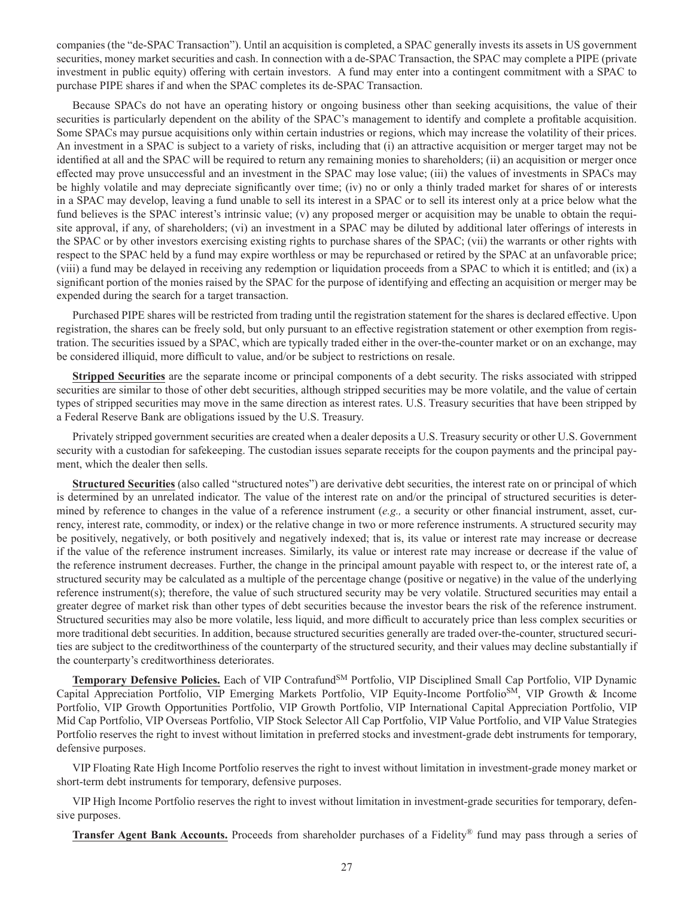companies (the "de-SPAC Transaction"). Until an acquisition is completed, a SPAC generally invests its assets in US government securities, money market securities and cash. In connection with a de-SPAC Transaction, the SPAC may complete a PIPE (private investment in public equity) offering with certain investors. A fund may enter into a contingent commitment with a SPAC to purchase PIPE shares if and when the SPAC completes its de-SPAC Transaction.

Because SPACs do not have an operating history or ongoing business other than seeking acquisitions, the value of their securities is particularly dependent on the ability of the SPAC's management to identify and complete a profitable acquisition. Some SPACs may pursue acquisitions only within certain industries or regions, which may increase the volatility of their prices. An investment in a SPAC is subject to a variety of risks, including that (i) an attractive acquisition or merger target may not be identified at all and the SPAC will be required to return any remaining monies to shareholders; (ii) an acquisition or merger once effected may prove unsuccessful and an investment in the SPAC may lose value; (iii) the values of investments in SPACs may be highly volatile and may depreciate significantly over time; (iv) no or only a thinly traded market for shares of or interests in a SPAC may develop, leaving a fund unable to sell its interest in a SPAC or to sell its interest only at a price below what the fund believes is the SPAC interest's intrinsic value; (v) any proposed merger or acquisition may be unable to obtain the requisite approval, if any, of shareholders; (vi) an investment in a SPAC may be diluted by additional later offerings of interests in the SPAC or by other investors exercising existing rights to purchase shares of the SPAC; (vii) the warrants or other rights with respect to the SPAC held by a fund may expire worthless or may be repurchased or retired by the SPAC at an unfavorable price; (viii) a fund may be delayed in receiving any redemption or liquidation proceeds from a SPAC to which it is entitled; and (ix) a significant portion of the monies raised by the SPAC for the purpose of identifying and effecting an acquisition or merger may be expended during the search for a target transaction.

Purchased PIPE shares will be restricted from trading until the registration statement for the shares is declared effective. Upon registration, the shares can be freely sold, but only pursuant to an effective registration statement or other exemption from registration. The securities issued by a SPAC, which are typically traded either in the over-the-counter market or on an exchange, may be considered illiquid, more difficult to value, and/or be subject to restrictions on resale.

**Stripped Securities** are the separate income or principal components of a debt security. The risks associated with stripped securities are similar to those of other debt securities, although stripped securities may be more volatile, and the value of certain types of stripped securities may move in the same direction as interest rates. U.S. Treasury securities that have been stripped by a Federal Reserve Bank are obligations issued by the U.S. Treasury.

Privately stripped government securities are created when a dealer deposits a U.S. Treasury security or other U.S. Government security with a custodian for safekeeping. The custodian issues separate receipts for the coupon payments and the principal payment, which the dealer then sells.

**Structured Securities** (also called "structured notes") are derivative debt securities, the interest rate on or principal of which is determined by an unrelated indicator. The value of the interest rate on and/or the principal of structured securities is determined by reference to changes in the value of a reference instrument (*e.g.,* a security or other financial instrument, asset, currency, interest rate, commodity, or index) or the relative change in two or more reference instruments. A structured security may be positively, negatively, or both positively and negatively indexed; that is, its value or interest rate may increase or decrease if the value of the reference instrument increases. Similarly, its value or interest rate may increase or decrease if the value of the reference instrument decreases. Further, the change in the principal amount payable with respect to, or the interest rate of, a structured security may be calculated as a multiple of the percentage change (positive or negative) in the value of the underlying reference instrument(s); therefore, the value of such structured security may be very volatile. Structured securities may entail a greater degree of market risk than other types of debt securities because the investor bears the risk of the reference instrument. Structured securities may also be more volatile, less liquid, and more difficult to accurately price than less complex securities or more traditional debt securities. In addition, because structured securities generally are traded over-the-counter, structured securities are subject to the creditworthiness of the counterparty of the structured security, and their values may decline substantially if the counterparty's creditworthiness deteriorates.

**Temporary Defensive Policies.** Each of VIP ContrafundSM Portfolio, VIP Disciplined Small Cap Portfolio, VIP Dynamic Capital Appreciation Portfolio, VIP Emerging Markets Portfolio, VIP Equity-Income PortfolioSM, VIP Growth & Income Portfolio, VIP Growth Opportunities Portfolio, VIP Growth Portfolio, VIP International Capital Appreciation Portfolio, VIP Mid Cap Portfolio, VIP Overseas Portfolio, VIP Stock Selector All Cap Portfolio, VIP Value Portfolio, and VIP Value Strategies Portfolio reserves the right to invest without limitation in preferred stocks and investment-grade debt instruments for temporary, defensive purposes.

VIP Floating Rate High Income Portfolio reserves the right to invest without limitation in investment-grade money market or short-term debt instruments for temporary, defensive purposes.

VIP High Income Portfolio reserves the right to invest without limitation in investment-grade securities for temporary, defensive purposes.

**Transfer Agent Bank Accounts.** Proceeds from shareholder purchases of a Fidelity® fund may pass through a series of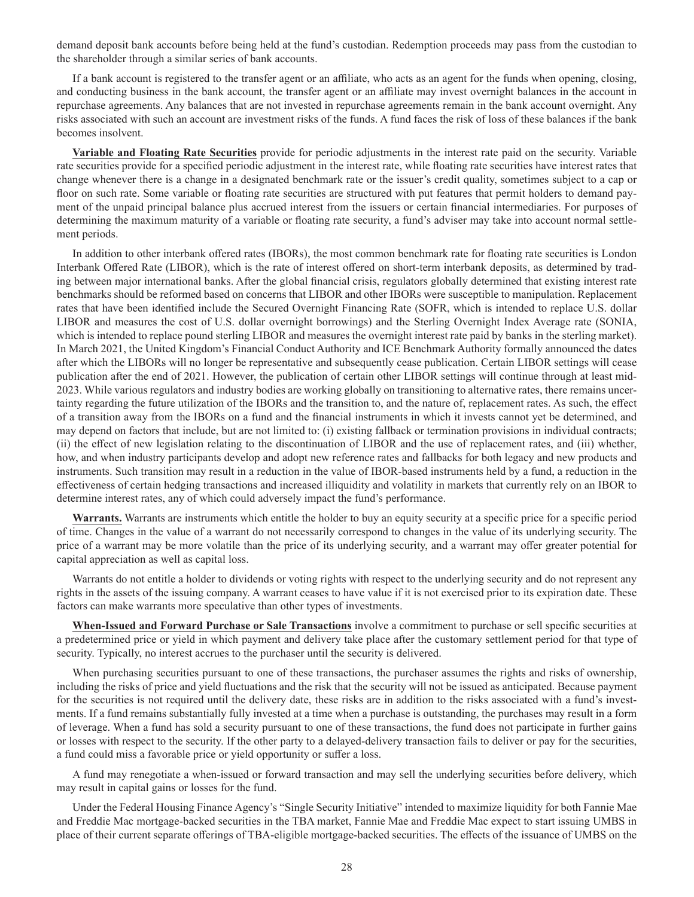demand deposit bank accounts before being held at the fund's custodian. Redemption proceeds may pass from the custodian to the shareholder through a similar series of bank accounts.

If a bank account is registered to the transfer agent or an affiliate, who acts as an agent for the funds when opening, closing, and conducting business in the bank account, the transfer agent or an affiliate may invest overnight balances in the account in repurchase agreements. Any balances that are not invested in repurchase agreements remain in the bank account overnight. Any risks associated with such an account are investment risks of the funds. A fund faces the risk of loss of these balances if the bank becomes insolvent.

**Variable and Floating Rate Securities** provide for periodic adjustments in the interest rate paid on the security. Variable rate securities provide for a specified periodic adjustment in the interest rate, while floating rate securities have interest rates that change whenever there is a change in a designated benchmark rate or the issuer's credit quality, sometimes subject to a cap or floor on such rate. Some variable or floating rate securities are structured with put features that permit holders to demand payment of the unpaid principal balance plus accrued interest from the issuers or certain financial intermediaries. For purposes of determining the maximum maturity of a variable or floating rate security, a fund's adviser may take into account normal settlement periods.

In addition to other interbank offered rates (IBORs), the most common benchmark rate for floating rate securities is London Interbank Offered Rate (LIBOR), which is the rate of interest offered on short-term interbank deposits, as determined by trading between major international banks. After the global financial crisis, regulators globally determined that existing interest rate benchmarks should be reformed based on concerns that LIBOR and other IBORs were susceptible to manipulation. Replacement rates that have been identified include the Secured Overnight Financing Rate (SOFR, which is intended to replace U.S. dollar LIBOR and measures the cost of U.S. dollar overnight borrowings) and the Sterling Overnight Index Average rate (SONIA, which is intended to replace pound sterling LIBOR and measures the overnight interest rate paid by banks in the sterling market). In March 2021, the United Kingdom's Financial Conduct Authority and ICE Benchmark Authority formally announced the dates after which the LIBORs will no longer be representative and subsequently cease publication. Certain LIBOR settings will cease publication after the end of 2021. However, the publication of certain other LIBOR settings will continue through at least mid-2023. While various regulators and industry bodies are working globally on transitioning to alternative rates, there remains uncertainty regarding the future utilization of the IBORs and the transition to, and the nature of, replacement rates. As such, the effect of a transition away from the IBORs on a fund and the financial instruments in which it invests cannot yet be determined, and may depend on factors that include, but are not limited to: (i) existing fallback or termination provisions in individual contracts; (ii) the effect of new legislation relating to the discontinuation of LIBOR and the use of replacement rates, and (iii) whether, how, and when industry participants develop and adopt new reference rates and fallbacks for both legacy and new products and instruments. Such transition may result in a reduction in the value of IBOR-based instruments held by a fund, a reduction in the effectiveness of certain hedging transactions and increased illiquidity and volatility in markets that currently rely on an IBOR to determine interest rates, any of which could adversely impact the fund's performance.

**Warrants.** Warrants are instruments which entitle the holder to buy an equity security at a specific price for a specific period of time. Changes in the value of a warrant do not necessarily correspond to changes in the value of its underlying security. The price of a warrant may be more volatile than the price of its underlying security, and a warrant may offer greater potential for capital appreciation as well as capital loss.

Warrants do not entitle a holder to dividends or voting rights with respect to the underlying security and do not represent any rights in the assets of the issuing company. A warrant ceases to have value if it is not exercised prior to its expiration date. These factors can make warrants more speculative than other types of investments.

**When-Issued and Forward Purchase or Sale Transactions** involve a commitment to purchase or sell specific securities at a predetermined price or yield in which payment and delivery take place after the customary settlement period for that type of security. Typically, no interest accrues to the purchaser until the security is delivered.

When purchasing securities pursuant to one of these transactions, the purchaser assumes the rights and risks of ownership, including the risks of price and yield fluctuations and the risk that the security will not be issued as anticipated. Because payment for the securities is not required until the delivery date, these risks are in addition to the risks associated with a fund's investments. If a fund remains substantially fully invested at a time when a purchase is outstanding, the purchases may result in a form of leverage. When a fund has sold a security pursuant to one of these transactions, the fund does not participate in further gains or losses with respect to the security. If the other party to a delayed-delivery transaction fails to deliver or pay for the securities, a fund could miss a favorable price or yield opportunity or suffer a loss.

A fund may renegotiate a when-issued or forward transaction and may sell the underlying securities before delivery, which may result in capital gains or losses for the fund.

Under the Federal Housing Finance Agency's "Single Security Initiative" intended to maximize liquidity for both Fannie Mae and Freddie Mac mortgage-backed securities in the TBA market, Fannie Mae and Freddie Mac expect to start issuing UMBS in place of their current separate offerings of TBA-eligible mortgage-backed securities. The effects of the issuance of UMBS on the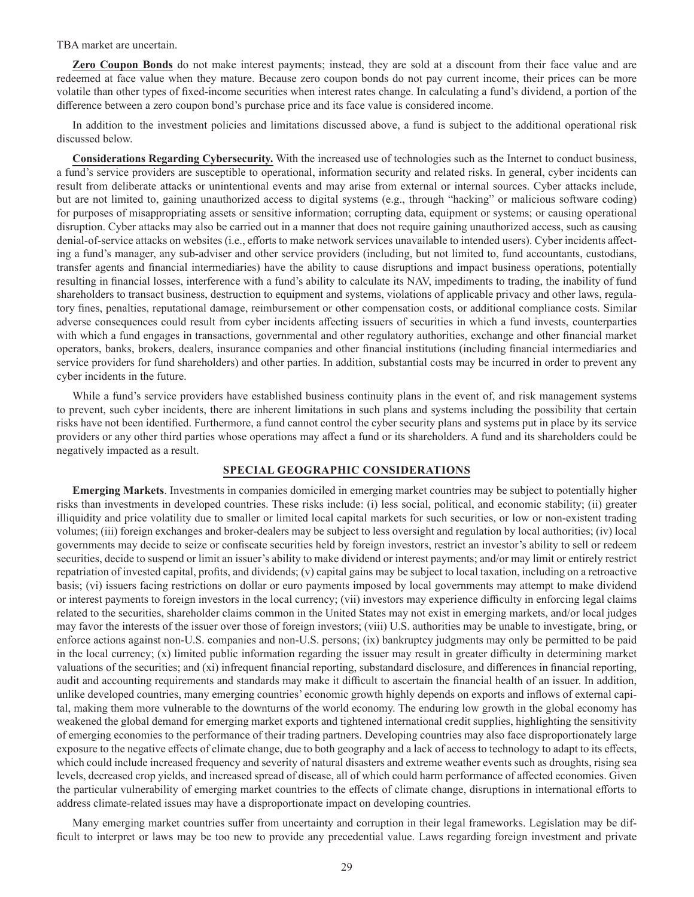TBA market are uncertain.

**Zero Coupon Bonds** do not make interest payments; instead, they are sold at a discount from their face value and are redeemed at face value when they mature. Because zero coupon bonds do not pay current income, their prices can be more volatile than other types of fixed-income securities when interest rates change. In calculating a fund's dividend, a portion of the difference between a zero coupon bond's purchase price and its face value is considered income.

In addition to the investment policies and limitations discussed above, a fund is subject to the additional operational risk discussed below.

**Considerations Regarding Cybersecurity.** With the increased use of technologies such as the Internet to conduct business, a fund's service providers are susceptible to operational, information security and related risks. In general, cyber incidents can result from deliberate attacks or unintentional events and may arise from external or internal sources. Cyber attacks include, but are not limited to, gaining unauthorized access to digital systems (e.g., through "hacking" or malicious software coding) for purposes of misappropriating assets or sensitive information; corrupting data, equipment or systems; or causing operational disruption. Cyber attacks may also be carried out in a manner that does not require gaining unauthorized access, such as causing denial-of-service attacks on websites (i.e., efforts to make network services unavailable to intended users). Cyber incidents affecting a fund's manager, any sub-adviser and other service providers (including, but not limited to, fund accountants, custodians, transfer agents and financial intermediaries) have the ability to cause disruptions and impact business operations, potentially resulting in financial losses, interference with a fund's ability to calculate its NAV, impediments to trading, the inability of fund shareholders to transact business, destruction to equipment and systems, violations of applicable privacy and other laws, regulatory fines, penalties, reputational damage, reimbursement or other compensation costs, or additional compliance costs. Similar adverse consequences could result from cyber incidents affecting issuers of securities in which a fund invests, counterparties with which a fund engages in transactions, governmental and other regulatory authorities, exchange and other financial market operators, banks, brokers, dealers, insurance companies and other financial institutions (including financial intermediaries and service providers for fund shareholders) and other parties. In addition, substantial costs may be incurred in order to prevent any cyber incidents in the future.

While a fund's service providers have established business continuity plans in the event of, and risk management systems to prevent, such cyber incidents, there are inherent limitations in such plans and systems including the possibility that certain risks have not been identified. Furthermore, a fund cannot control the cyber security plans and systems put in place by its service providers or any other third parties whose operations may affect a fund or its shareholders. A fund and its shareholders could be negatively impacted as a result.

#### **SPECIAL GEOGRAPHIC CONSIDERATIONS**

**Emerging Markets**. Investments in companies domiciled in emerging market countries may be subject to potentially higher risks than investments in developed countries. These risks include: (i) less social, political, and economic stability; (ii) greater illiquidity and price volatility due to smaller or limited local capital markets for such securities, or low or non-existent trading volumes; (iii) foreign exchanges and broker-dealers may be subject to less oversight and regulation by local authorities; (iv) local governments may decide to seize or confiscate securities held by foreign investors, restrict an investor's ability to sell or redeem securities, decide to suspend or limit an issuer's ability to make dividend or interest payments; and/or may limit or entirely restrict repatriation of invested capital, profits, and dividends; (v) capital gains may be subject to local taxation, including on a retroactive basis; (vi) issuers facing restrictions on dollar or euro payments imposed by local governments may attempt to make dividend or interest payments to foreign investors in the local currency; (vii) investors may experience difficulty in enforcing legal claims related to the securities, shareholder claims common in the United States may not exist in emerging markets, and/or local judges may favor the interests of the issuer over those of foreign investors; (viii) U.S. authorities may be unable to investigate, bring, or enforce actions against non-U.S. companies and non-U.S. persons; (ix) bankruptcy judgments may only be permitted to be paid in the local currency; (x) limited public information regarding the issuer may result in greater difficulty in determining market valuations of the securities; and (xi) infrequent financial reporting, substandard disclosure, and differences in financial reporting, audit and accounting requirements and standards may make it difficult to ascertain the financial health of an issuer. In addition, unlike developed countries, many emerging countries' economic growth highly depends on exports and inflows of external capital, making them more vulnerable to the downturns of the world economy. The enduring low growth in the global economy has weakened the global demand for emerging market exports and tightened international credit supplies, highlighting the sensitivity of emerging economies to the performance of their trading partners. Developing countries may also face disproportionately large exposure to the negative effects of climate change, due to both geography and a lack of access to technology to adapt to its effects, which could include increased frequency and severity of natural disasters and extreme weather events such as droughts, rising sea levels, decreased crop yields, and increased spread of disease, all of which could harm performance of affected economies. Given the particular vulnerability of emerging market countries to the effects of climate change, disruptions in international efforts to address climate-related issues may have a disproportionate impact on developing countries.

Many emerging market countries suffer from uncertainty and corruption in their legal frameworks. Legislation may be difficult to interpret or laws may be too new to provide any precedential value. Laws regarding foreign investment and private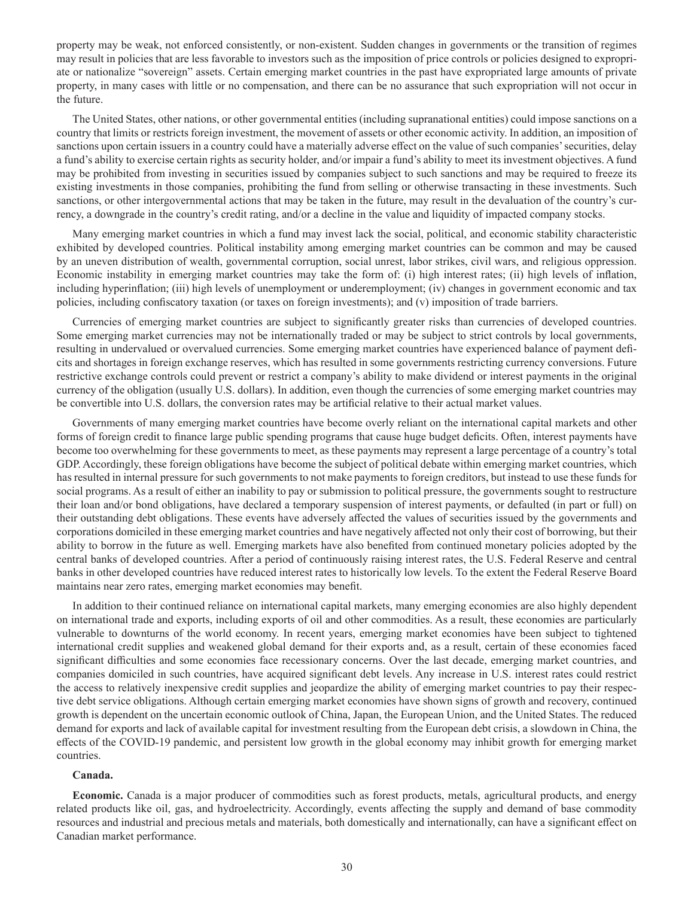property may be weak, not enforced consistently, or non-existent. Sudden changes in governments or the transition of regimes may result in policies that are less favorable to investors such as the imposition of price controls or policies designed to expropriate or nationalize "sovereign" assets. Certain emerging market countries in the past have expropriated large amounts of private property, in many cases with little or no compensation, and there can be no assurance that such expropriation will not occur in the future.

The United States, other nations, or other governmental entities (including supranational entities) could impose sanctions on a country that limits or restricts foreign investment, the movement of assets or other economic activity. In addition, an imposition of sanctions upon certain issuers in a country could have a materially adverse effect on the value of such companies' securities, delay a fund's ability to exercise certain rights as security holder, and/or impair a fund's ability to meet its investment objectives. A fund may be prohibited from investing in securities issued by companies subject to such sanctions and may be required to freeze its existing investments in those companies, prohibiting the fund from selling or otherwise transacting in these investments. Such sanctions, or other intergovernmental actions that may be taken in the future, may result in the devaluation of the country's currency, a downgrade in the country's credit rating, and/or a decline in the value and liquidity of impacted company stocks.

Many emerging market countries in which a fund may invest lack the social, political, and economic stability characteristic exhibited by developed countries. Political instability among emerging market countries can be common and may be caused by an uneven distribution of wealth, governmental corruption, social unrest, labor strikes, civil wars, and religious oppression. Economic instability in emerging market countries may take the form of: (i) high interest rates; (ii) high levels of inflation, including hyperinflation; (iii) high levels of unemployment or underemployment; (iv) changes in government economic and tax policies, including confiscatory taxation (or taxes on foreign investments); and (v) imposition of trade barriers.

Currencies of emerging market countries are subject to significantly greater risks than currencies of developed countries. Some emerging market currencies may not be internationally traded or may be subject to strict controls by local governments, resulting in undervalued or overvalued currencies. Some emerging market countries have experienced balance of payment deficits and shortages in foreign exchange reserves, which has resulted in some governments restricting currency conversions. Future restrictive exchange controls could prevent or restrict a company's ability to make dividend or interest payments in the original currency of the obligation (usually U.S. dollars). In addition, even though the currencies of some emerging market countries may be convertible into U.S. dollars, the conversion rates may be artificial relative to their actual market values.

Governments of many emerging market countries have become overly reliant on the international capital markets and other forms of foreign credit to finance large public spending programs that cause huge budget deficits. Often, interest payments have become too overwhelming for these governments to meet, as these payments may represent a large percentage of a country's total GDP. Accordingly, these foreign obligations have become the subject of political debate within emerging market countries, which has resulted in internal pressure for such governments to not make payments to foreign creditors, but instead to use these funds for social programs. As a result of either an inability to pay or submission to political pressure, the governments sought to restructure their loan and/or bond obligations, have declared a temporary suspension of interest payments, or defaulted (in part or full) on their outstanding debt obligations. These events have adversely affected the values of securities issued by the governments and corporations domiciled in these emerging market countries and have negatively affected not only their cost of borrowing, but their ability to borrow in the future as well. Emerging markets have also benefited from continued monetary policies adopted by the central banks of developed countries. After a period of continuously raising interest rates, the U.S. Federal Reserve and central banks in other developed countries have reduced interest rates to historically low levels. To the extent the Federal Reserve Board maintains near zero rates, emerging market economies may benefit.

In addition to their continued reliance on international capital markets, many emerging economies are also highly dependent on international trade and exports, including exports of oil and other commodities. As a result, these economies are particularly vulnerable to downturns of the world economy. In recent years, emerging market economies have been subject to tightened international credit supplies and weakened global demand for their exports and, as a result, certain of these economies faced significant difficulties and some economies face recessionary concerns. Over the last decade, emerging market countries, and companies domiciled in such countries, have acquired significant debt levels. Any increase in U.S. interest rates could restrict the access to relatively inexpensive credit supplies and jeopardize the ability of emerging market countries to pay their respective debt service obligations. Although certain emerging market economies have shown signs of growth and recovery, continued growth is dependent on the uncertain economic outlook of China, Japan, the European Union, and the United States. The reduced demand for exports and lack of available capital for investment resulting from the European debt crisis, a slowdown in China, the effects of the COVID-19 pandemic, and persistent low growth in the global economy may inhibit growth for emerging market countries.

#### **Canada.**

**Economic.** Canada is a major producer of commodities such as forest products, metals, agricultural products, and energy related products like oil, gas, and hydroelectricity. Accordingly, events affecting the supply and demand of base commodity resources and industrial and precious metals and materials, both domestically and internationally, can have a significant effect on Canadian market performance.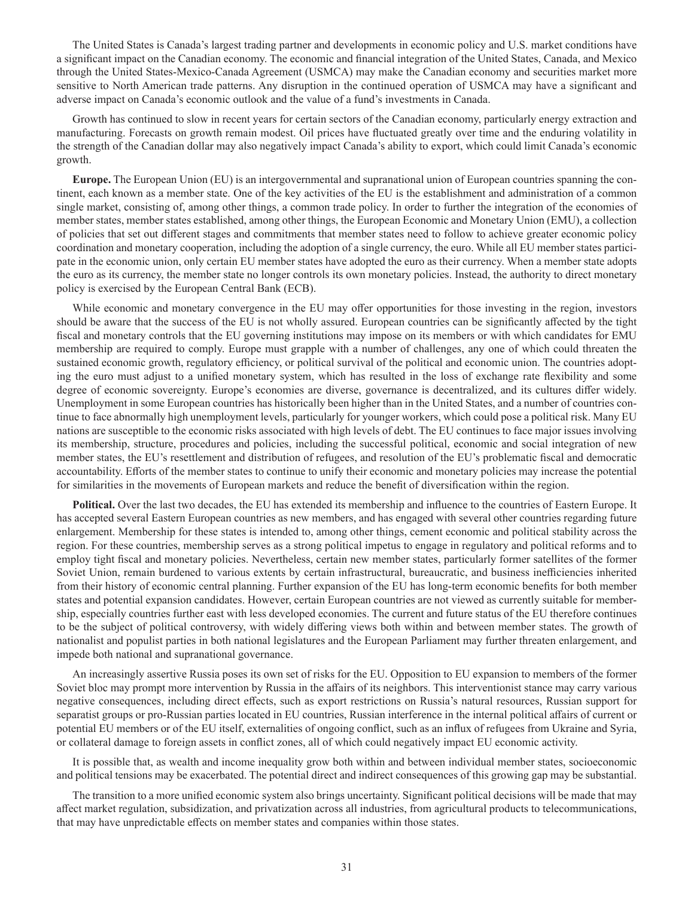The United States is Canada's largest trading partner and developments in economic policy and U.S. market conditions have a significant impact on the Canadian economy. The economic and financial integration of the United States, Canada, and Mexico through the United States-Mexico-Canada Agreement (USMCA) may make the Canadian economy and securities market more sensitive to North American trade patterns. Any disruption in the continued operation of USMCA may have a significant and adverse impact on Canada's economic outlook and the value of a fund's investments in Canada.

Growth has continued to slow in recent years for certain sectors of the Canadian economy, particularly energy extraction and manufacturing. Forecasts on growth remain modest. Oil prices have fluctuated greatly over time and the enduring volatility in the strength of the Canadian dollar may also negatively impact Canada's ability to export, which could limit Canada's economic growth.

**Europe.** The European Union (EU) is an intergovernmental and supranational union of European countries spanning the continent, each known as a member state. One of the key activities of the EU is the establishment and administration of a common single market, consisting of, among other things, a common trade policy. In order to further the integration of the economies of member states, member states established, among other things, the European Economic and Monetary Union (EMU), a collection of policies that set out different stages and commitments that member states need to follow to achieve greater economic policy coordination and monetary cooperation, including the adoption of a single currency, the euro. While all EU member states participate in the economic union, only certain EU member states have adopted the euro as their currency. When a member state adopts the euro as its currency, the member state no longer controls its own monetary policies. Instead, the authority to direct monetary policy is exercised by the European Central Bank (ECB).

While economic and monetary convergence in the EU may offer opportunities for those investing in the region, investors should be aware that the success of the EU is not wholly assured. European countries can be significantly affected by the tight fiscal and monetary controls that the EU governing institutions may impose on its members or with which candidates for EMU membership are required to comply. Europe must grapple with a number of challenges, any one of which could threaten the sustained economic growth, regulatory efficiency, or political survival of the political and economic union. The countries adopting the euro must adjust to a unified monetary system, which has resulted in the loss of exchange rate flexibility and some degree of economic sovereignty. Europe's economies are diverse, governance is decentralized, and its cultures differ widely. Unemployment in some European countries has historically been higher than in the United States, and a number of countries continue to face abnormally high unemployment levels, particularly for younger workers, which could pose a political risk. Many EU nations are susceptible to the economic risks associated with high levels of debt. The EU continues to face major issues involving its membership, structure, procedures and policies, including the successful political, economic and social integration of new member states, the EU's resettlement and distribution of refugees, and resolution of the EU's problematic fiscal and democratic accountability. Efforts of the member states to continue to unify their economic and monetary policies may increase the potential for similarities in the movements of European markets and reduce the benefit of diversification within the region.

**Political.** Over the last two decades, the EU has extended its membership and influence to the countries of Eastern Europe. It has accepted several Eastern European countries as new members, and has engaged with several other countries regarding future enlargement. Membership for these states is intended to, among other things, cement economic and political stability across the region. For these countries, membership serves as a strong political impetus to engage in regulatory and political reforms and to employ tight fiscal and monetary policies. Nevertheless, certain new member states, particularly former satellites of the former Soviet Union, remain burdened to various extents by certain infrastructural, bureaucratic, and business inefficiencies inherited from their history of economic central planning. Further expansion of the EU has long-term economic benefits for both member states and potential expansion candidates. However, certain European countries are not viewed as currently suitable for membership, especially countries further east with less developed economies. The current and future status of the EU therefore continues to be the subject of political controversy, with widely differing views both within and between member states. The growth of nationalist and populist parties in both national legislatures and the European Parliament may further threaten enlargement, and impede both national and supranational governance.

An increasingly assertive Russia poses its own set of risks for the EU. Opposition to EU expansion to members of the former Soviet bloc may prompt more intervention by Russia in the affairs of its neighbors. This interventionist stance may carry various negative consequences, including direct effects, such as export restrictions on Russia's natural resources, Russian support for separatist groups or pro-Russian parties located in EU countries, Russian interference in the internal political affairs of current or potential EU members or of the EU itself, externalities of ongoing conflict, such as an influx of refugees from Ukraine and Syria, or collateral damage to foreign assets in conflict zones, all of which could negatively impact EU economic activity.

It is possible that, as wealth and income inequality grow both within and between individual member states, socioeconomic and political tensions may be exacerbated. The potential direct and indirect consequences of this growing gap may be substantial.

The transition to a more unified economic system also brings uncertainty. Significant political decisions will be made that may affect market regulation, subsidization, and privatization across all industries, from agricultural products to telecommunications, that may have unpredictable effects on member states and companies within those states.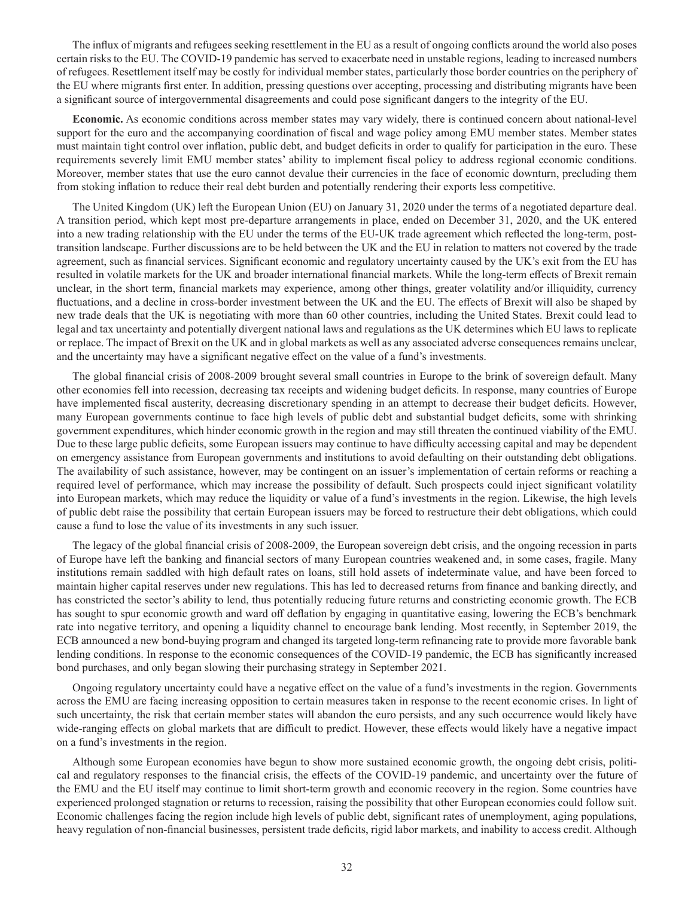The influx of migrants and refugees seeking resettlement in the EU as a result of ongoing conflicts around the world also poses certain risks to the EU. The COVID-19 pandemic has served to exacerbate need in unstable regions, leading to increased numbers of refugees. Resettlement itself may be costly for individual member states, particularly those border countries on the periphery of the EU where migrants first enter. In addition, pressing questions over accepting, processing and distributing migrants have been a significant source of intergovernmental disagreements and could pose significant dangers to the integrity of the EU.

**Economic.** As economic conditions across member states may vary widely, there is continued concern about national-level support for the euro and the accompanying coordination of fiscal and wage policy among EMU member states. Member states must maintain tight control over inflation, public debt, and budget deficits in order to qualify for participation in the euro. These requirements severely limit EMU member states' ability to implement fiscal policy to address regional economic conditions. Moreover, member states that use the euro cannot devalue their currencies in the face of economic downturn, precluding them from stoking inflation to reduce their real debt burden and potentially rendering their exports less competitive.

The United Kingdom (UK) left the European Union (EU) on January 31, 2020 under the terms of a negotiated departure deal. A transition period, which kept most pre-departure arrangements in place, ended on December 31, 2020, and the UK entered into a new trading relationship with the EU under the terms of the EU-UK trade agreement which reflected the long-term, posttransition landscape. Further discussions are to be held between the UK and the EU in relation to matters not covered by the trade agreement, such as financial services. Significant economic and regulatory uncertainty caused by the UK's exit from the EU has resulted in volatile markets for the UK and broader international financial markets. While the long-term effects of Brexit remain unclear, in the short term, financial markets may experience, among other things, greater volatility and/or illiquidity, currency fluctuations, and a decline in cross-border investment between the UK and the EU. The effects of Brexit will also be shaped by new trade deals that the UK is negotiating with more than 60 other countries, including the United States. Brexit could lead to legal and tax uncertainty and potentially divergent national laws and regulations as the UK determines which EU laws to replicate or replace. The impact of Brexit on the UK and in global markets as well as any associated adverse consequences remains unclear, and the uncertainty may have a significant negative effect on the value of a fund's investments.

The global financial crisis of 2008-2009 brought several small countries in Europe to the brink of sovereign default. Many other economies fell into recession, decreasing tax receipts and widening budget deficits. In response, many countries of Europe have implemented fiscal austerity, decreasing discretionary spending in an attempt to decrease their budget deficits. However, many European governments continue to face high levels of public debt and substantial budget deficits, some with shrinking government expenditures, which hinder economic growth in the region and may still threaten the continued viability of the EMU. Due to these large public deficits, some European issuers may continue to have difficulty accessing capital and may be dependent on emergency assistance from European governments and institutions to avoid defaulting on their outstanding debt obligations. The availability of such assistance, however, may be contingent on an issuer's implementation of certain reforms or reaching a required level of performance, which may increase the possibility of default. Such prospects could inject significant volatility into European markets, which may reduce the liquidity or value of a fund's investments in the region. Likewise, the high levels of public debt raise the possibility that certain European issuers may be forced to restructure their debt obligations, which could cause a fund to lose the value of its investments in any such issuer.

The legacy of the global financial crisis of 2008-2009, the European sovereign debt crisis, and the ongoing recession in parts of Europe have left the banking and financial sectors of many European countries weakened and, in some cases, fragile. Many institutions remain saddled with high default rates on loans, still hold assets of indeterminate value, and have been forced to maintain higher capital reserves under new regulations. This has led to decreased returns from finance and banking directly, and has constricted the sector's ability to lend, thus potentially reducing future returns and constricting economic growth. The ECB has sought to spur economic growth and ward off deflation by engaging in quantitative easing, lowering the ECB's benchmark rate into negative territory, and opening a liquidity channel to encourage bank lending. Most recently, in September 2019, the ECB announced a new bond-buying program and changed its targeted long-term refinancing rate to provide more favorable bank lending conditions. In response to the economic consequences of the COVID-19 pandemic, the ECB has significantly increased bond purchases, and only began slowing their purchasing strategy in September 2021.

Ongoing regulatory uncertainty could have a negative effect on the value of a fund's investments in the region. Governments across the EMU are facing increasing opposition to certain measures taken in response to the recent economic crises. In light of such uncertainty, the risk that certain member states will abandon the euro persists, and any such occurrence would likely have wide-ranging effects on global markets that are difficult to predict. However, these effects would likely have a negative impact on a fund's investments in the region.

Although some European economies have begun to show more sustained economic growth, the ongoing debt crisis, political and regulatory responses to the financial crisis, the effects of the COVID-19 pandemic, and uncertainty over the future of the EMU and the EU itself may continue to limit short-term growth and economic recovery in the region. Some countries have experienced prolonged stagnation or returns to recession, raising the possibility that other European economies could follow suit. Economic challenges facing the region include high levels of public debt, significant rates of unemployment, aging populations, heavy regulation of non-financial businesses, persistent trade deficits, rigid labor markets, and inability to access credit. Although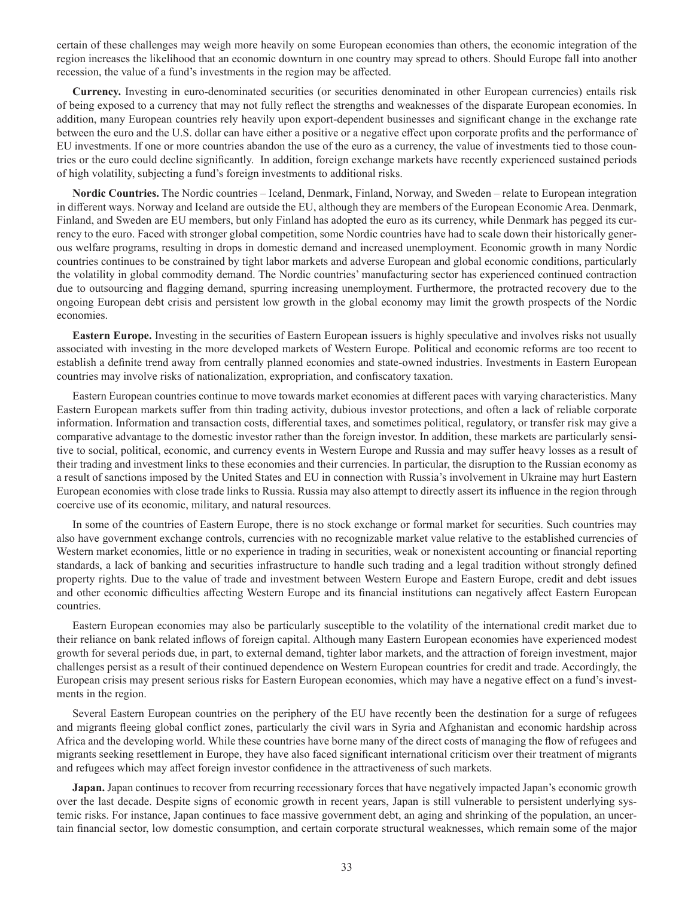certain of these challenges may weigh more heavily on some European economies than others, the economic integration of the region increases the likelihood that an economic downturn in one country may spread to others. Should Europe fall into another recession, the value of a fund's investments in the region may be affected.

**Currency.** Investing in euro-denominated securities (or securities denominated in other European currencies) entails risk of being exposed to a currency that may not fully reflect the strengths and weaknesses of the disparate European economies. In addition, many European countries rely heavily upon export-dependent businesses and significant change in the exchange rate between the euro and the U.S. dollar can have either a positive or a negative effect upon corporate profits and the performance of EU investments. If one or more countries abandon the use of the euro as a currency, the value of investments tied to those countries or the euro could decline significantly. In addition, foreign exchange markets have recently experienced sustained periods of high volatility, subjecting a fund's foreign investments to additional risks.

**Nordic Countries.** The Nordic countries – Iceland, Denmark, Finland, Norway, and Sweden – relate to European integration in different ways. Norway and Iceland are outside the EU, although they are members of the European Economic Area. Denmark, Finland, and Sweden are EU members, but only Finland has adopted the euro as its currency, while Denmark has pegged its currency to the euro. Faced with stronger global competition, some Nordic countries have had to scale down their historically generous welfare programs, resulting in drops in domestic demand and increased unemployment. Economic growth in many Nordic countries continues to be constrained by tight labor markets and adverse European and global economic conditions, particularly the volatility in global commodity demand. The Nordic countries' manufacturing sector has experienced continued contraction due to outsourcing and flagging demand, spurring increasing unemployment. Furthermore, the protracted recovery due to the ongoing European debt crisis and persistent low growth in the global economy may limit the growth prospects of the Nordic economies.

**Eastern Europe.** Investing in the securities of Eastern European issuers is highly speculative and involves risks not usually associated with investing in the more developed markets of Western Europe. Political and economic reforms are too recent to establish a definite trend away from centrally planned economies and state-owned industries. Investments in Eastern European countries may involve risks of nationalization, expropriation, and confiscatory taxation.

Eastern European countries continue to move towards market economies at different paces with varying characteristics. Many Eastern European markets suffer from thin trading activity, dubious investor protections, and often a lack of reliable corporate information. Information and transaction costs, differential taxes, and sometimes political, regulatory, or transfer risk may give a comparative advantage to the domestic investor rather than the foreign investor. In addition, these markets are particularly sensitive to social, political, economic, and currency events in Western Europe and Russia and may suffer heavy losses as a result of their trading and investment links to these economies and their currencies. In particular, the disruption to the Russian economy as a result of sanctions imposed by the United States and EU in connection with Russia's involvement in Ukraine may hurt Eastern European economies with close trade links to Russia. Russia may also attempt to directly assert its influence in the region through coercive use of its economic, military, and natural resources.

In some of the countries of Eastern Europe, there is no stock exchange or formal market for securities. Such countries may also have government exchange controls, currencies with no recognizable market value relative to the established currencies of Western market economies, little or no experience in trading in securities, weak or nonexistent accounting or financial reporting standards, a lack of banking and securities infrastructure to handle such trading and a legal tradition without strongly defined property rights. Due to the value of trade and investment between Western Europe and Eastern Europe, credit and debt issues and other economic difficulties affecting Western Europe and its financial institutions can negatively affect Eastern European countries.

Eastern European economies may also be particularly susceptible to the volatility of the international credit market due to their reliance on bank related inflows of foreign capital. Although many Eastern European economies have experienced modest growth for several periods due, in part, to external demand, tighter labor markets, and the attraction of foreign investment, major challenges persist as a result of their continued dependence on Western European countries for credit and trade. Accordingly, the European crisis may present serious risks for Eastern European economies, which may have a negative effect on a fund's investments in the region.

Several Eastern European countries on the periphery of the EU have recently been the destination for a surge of refugees and migrants fleeing global conflict zones, particularly the civil wars in Syria and Afghanistan and economic hardship across Africa and the developing world. While these countries have borne many of the direct costs of managing the flow of refugees and migrants seeking resettlement in Europe, they have also faced significant international criticism over their treatment of migrants and refugees which may affect foreign investor confidence in the attractiveness of such markets.

**Japan.** Japan continues to recover from recurring recessionary forces that have negatively impacted Japan's economic growth over the last decade. Despite signs of economic growth in recent years, Japan is still vulnerable to persistent underlying systemic risks. For instance, Japan continues to face massive government debt, an aging and shrinking of the population, an uncertain financial sector, low domestic consumption, and certain corporate structural weaknesses, which remain some of the major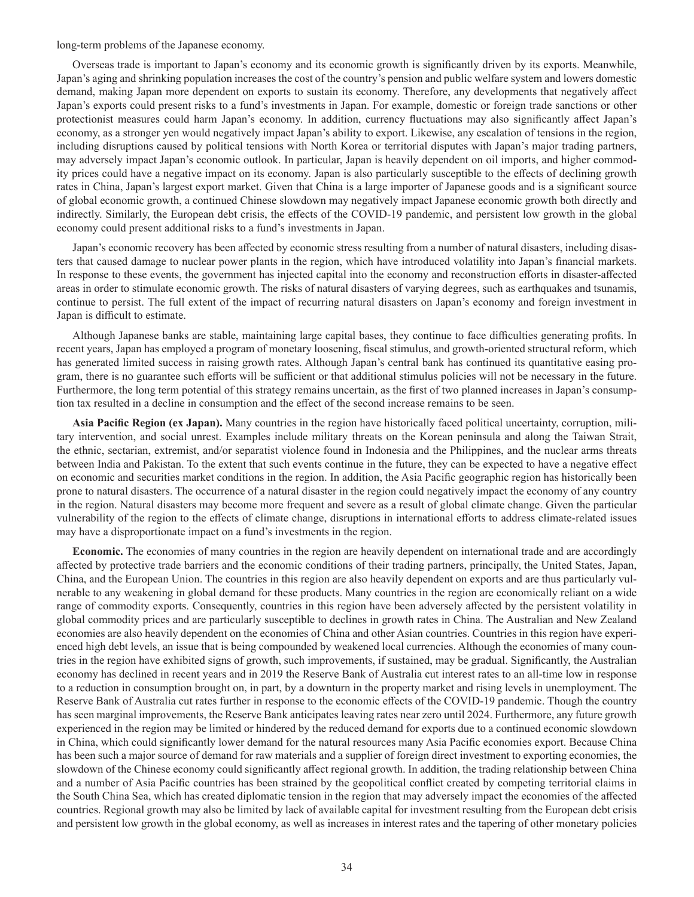long-term problems of the Japanese economy.

Overseas trade is important to Japan's economy and its economic growth is significantly driven by its exports. Meanwhile, Japan's aging and shrinking population increases the cost of the country's pension and public welfare system and lowers domestic demand, making Japan more dependent on exports to sustain its economy. Therefore, any developments that negatively affect Japan's exports could present risks to a fund's investments in Japan. For example, domestic or foreign trade sanctions or other protectionist measures could harm Japan's economy. In addition, currency fluctuations may also significantly affect Japan's economy, as a stronger yen would negatively impact Japan's ability to export. Likewise, any escalation of tensions in the region, including disruptions caused by political tensions with North Korea or territorial disputes with Japan's major trading partners, may adversely impact Japan's economic outlook. In particular, Japan is heavily dependent on oil imports, and higher commodity prices could have a negative impact on its economy. Japan is also particularly susceptible to the effects of declining growth rates in China, Japan's largest export market. Given that China is a large importer of Japanese goods and is a significant source of global economic growth, a continued Chinese slowdown may negatively impact Japanese economic growth both directly and indirectly. Similarly, the European debt crisis, the effects of the COVID-19 pandemic, and persistent low growth in the global economy could present additional risks to a fund's investments in Japan.

Japan's economic recovery has been affected by economic stress resulting from a number of natural disasters, including disasters that caused damage to nuclear power plants in the region, which have introduced volatility into Japan's financial markets. In response to these events, the government has injected capital into the economy and reconstruction efforts in disaster-affected areas in order to stimulate economic growth. The risks of natural disasters of varying degrees, such as earthquakes and tsunamis, continue to persist. The full extent of the impact of recurring natural disasters on Japan's economy and foreign investment in Japan is difficult to estimate.

Although Japanese banks are stable, maintaining large capital bases, they continue to face difficulties generating profits. In recent years, Japan has employed a program of monetary loosening, fiscal stimulus, and growth-oriented structural reform, which has generated limited success in raising growth rates. Although Japan's central bank has continued its quantitative easing program, there is no guarantee such efforts will be sufficient or that additional stimulus policies will not be necessary in the future. Furthermore, the long term potential of this strategy remains uncertain, as the first of two planned increases in Japan's consumption tax resulted in a decline in consumption and the effect of the second increase remains to be seen.

**Asia Pacific Region (ex Japan).** Many countries in the region have historically faced political uncertainty, corruption, military intervention, and social unrest. Examples include military threats on the Korean peninsula and along the Taiwan Strait, the ethnic, sectarian, extremist, and/or separatist violence found in Indonesia and the Philippines, and the nuclear arms threats between India and Pakistan. To the extent that such events continue in the future, they can be expected to have a negative effect on economic and securities market conditions in the region. In addition, the Asia Pacific geographic region has historically been prone to natural disasters. The occurrence of a natural disaster in the region could negatively impact the economy of any country in the region. Natural disasters may become more frequent and severe as a result of global climate change. Given the particular vulnerability of the region to the effects of climate change, disruptions in international efforts to address climate-related issues may have a disproportionate impact on a fund's investments in the region.

**Economic.** The economies of many countries in the region are heavily dependent on international trade and are accordingly affected by protective trade barriers and the economic conditions of their trading partners, principally, the United States, Japan, China, and the European Union. The countries in this region are also heavily dependent on exports and are thus particularly vulnerable to any weakening in global demand for these products. Many countries in the region are economically reliant on a wide range of commodity exports. Consequently, countries in this region have been adversely affected by the persistent volatility in global commodity prices and are particularly susceptible to declines in growth rates in China. The Australian and New Zealand economies are also heavily dependent on the economies of China and other Asian countries. Countries in this region have experienced high debt levels, an issue that is being compounded by weakened local currencies. Although the economies of many countries in the region have exhibited signs of growth, such improvements, if sustained, may be gradual. Significantly, the Australian economy has declined in recent years and in 2019 the Reserve Bank of Australia cut interest rates to an all-time low in response to a reduction in consumption brought on, in part, by a downturn in the property market and rising levels in unemployment. The Reserve Bank of Australia cut rates further in response to the economic effects of the COVID-19 pandemic. Though the country has seen marginal improvements, the Reserve Bank anticipates leaving rates near zero until 2024. Furthermore, any future growth experienced in the region may be limited or hindered by the reduced demand for exports due to a continued economic slowdown in China, which could significantly lower demand for the natural resources many Asia Pacific economies export. Because China has been such a major source of demand for raw materials and a supplier of foreign direct investment to exporting economies, the slowdown of the Chinese economy could significantly affect regional growth. In addition, the trading relationship between China and a number of Asia Pacific countries has been strained by the geopolitical conflict created by competing territorial claims in the South China Sea, which has created diplomatic tension in the region that may adversely impact the economies of the affected countries. Regional growth may also be limited by lack of available capital for investment resulting from the European debt crisis and persistent low growth in the global economy, as well as increases in interest rates and the tapering of other monetary policies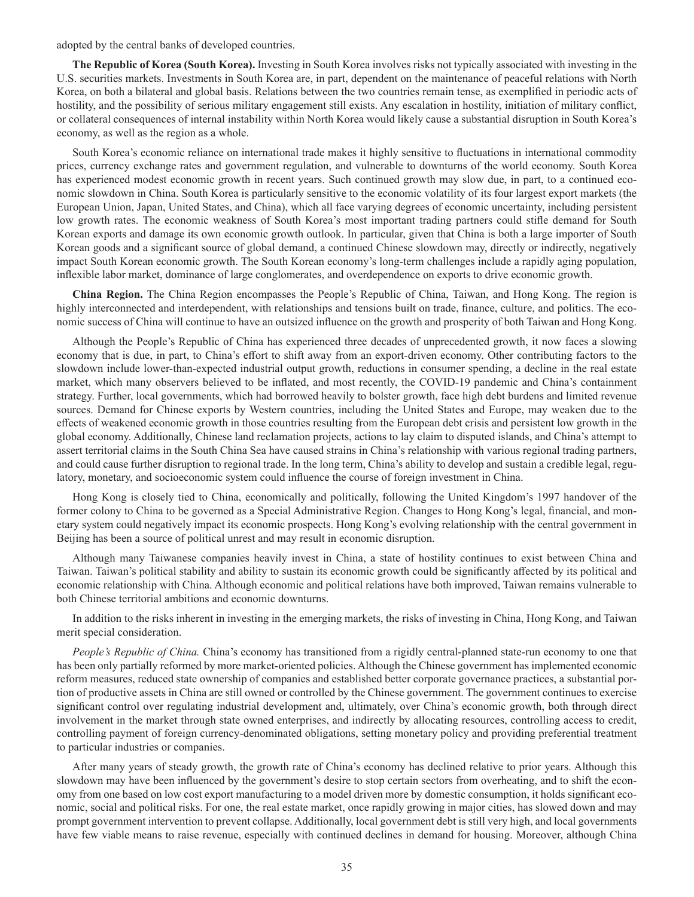adopted by the central banks of developed countries.

**The Republic of Korea (South Korea).** Investing in South Korea involves risks not typically associated with investing in the U.S. securities markets. Investments in South Korea are, in part, dependent on the maintenance of peaceful relations with North Korea, on both a bilateral and global basis. Relations between the two countries remain tense, as exemplified in periodic acts of hostility, and the possibility of serious military engagement still exists. Any escalation in hostility, initiation of military conflict, or collateral consequences of internal instability within North Korea would likely cause a substantial disruption in South Korea's economy, as well as the region as a whole.

South Korea's economic reliance on international trade makes it highly sensitive to fluctuations in international commodity prices, currency exchange rates and government regulation, and vulnerable to downturns of the world economy. South Korea has experienced modest economic growth in recent years. Such continued growth may slow due, in part, to a continued economic slowdown in China. South Korea is particularly sensitive to the economic volatility of its four largest export markets (the European Union, Japan, United States, and China), which all face varying degrees of economic uncertainty, including persistent low growth rates. The economic weakness of South Korea's most important trading partners could stifle demand for South Korean exports and damage its own economic growth outlook. In particular, given that China is both a large importer of South Korean goods and a significant source of global demand, a continued Chinese slowdown may, directly or indirectly, negatively impact South Korean economic growth. The South Korean economy's long-term challenges include a rapidly aging population, inflexible labor market, dominance of large conglomerates, and overdependence on exports to drive economic growth.

**China Region.** The China Region encompasses the People's Republic of China, Taiwan, and Hong Kong. The region is highly interconnected and interdependent, with relationships and tensions built on trade, finance, culture, and politics. The economic success of China will continue to have an outsized influence on the growth and prosperity of both Taiwan and Hong Kong.

Although the People's Republic of China has experienced three decades of unprecedented growth, it now faces a slowing economy that is due, in part, to China's effort to shift away from an export-driven economy. Other contributing factors to the slowdown include lower-than-expected industrial output growth, reductions in consumer spending, a decline in the real estate market, which many observers believed to be inflated, and most recently, the COVID-19 pandemic and China's containment strategy. Further, local governments, which had borrowed heavily to bolster growth, face high debt burdens and limited revenue sources. Demand for Chinese exports by Western countries, including the United States and Europe, may weaken due to the effects of weakened economic growth in those countries resulting from the European debt crisis and persistent low growth in the global economy. Additionally, Chinese land reclamation projects, actions to lay claim to disputed islands, and China's attempt to assert territorial claims in the South China Sea have caused strains in China's relationship with various regional trading partners, and could cause further disruption to regional trade. In the long term, China's ability to develop and sustain a credible legal, regulatory, monetary, and socioeconomic system could influence the course of foreign investment in China.

Hong Kong is closely tied to China, economically and politically, following the United Kingdom's 1997 handover of the former colony to China to be governed as a Special Administrative Region. Changes to Hong Kong's legal, financial, and monetary system could negatively impact its economic prospects. Hong Kong's evolving relationship with the central government in Beijing has been a source of political unrest and may result in economic disruption.

Although many Taiwanese companies heavily invest in China, a state of hostility continues to exist between China and Taiwan. Taiwan's political stability and ability to sustain its economic growth could be significantly affected by its political and economic relationship with China. Although economic and political relations have both improved, Taiwan remains vulnerable to both Chinese territorial ambitions and economic downturns.

In addition to the risks inherent in investing in the emerging markets, the risks of investing in China, Hong Kong, and Taiwan merit special consideration.

*People's Republic of China.* China's economy has transitioned from a rigidly central-planned state-run economy to one that has been only partially reformed by more market-oriented policies. Although the Chinese government has implemented economic reform measures, reduced state ownership of companies and established better corporate governance practices, a substantial portion of productive assets in China are still owned or controlled by the Chinese government. The government continues to exercise significant control over regulating industrial development and, ultimately, over China's economic growth, both through direct involvement in the market through state owned enterprises, and indirectly by allocating resources, controlling access to credit, controlling payment of foreign currency-denominated obligations, setting monetary policy and providing preferential treatment to particular industries or companies.

After many years of steady growth, the growth rate of China's economy has declined relative to prior years. Although this slowdown may have been influenced by the government's desire to stop certain sectors from overheating, and to shift the economy from one based on low cost export manufacturing to a model driven more by domestic consumption, it holds significant economic, social and political risks. For one, the real estate market, once rapidly growing in major cities, has slowed down and may prompt government intervention to prevent collapse. Additionally, local government debt is still very high, and local governments have few viable means to raise revenue, especially with continued declines in demand for housing. Moreover, although China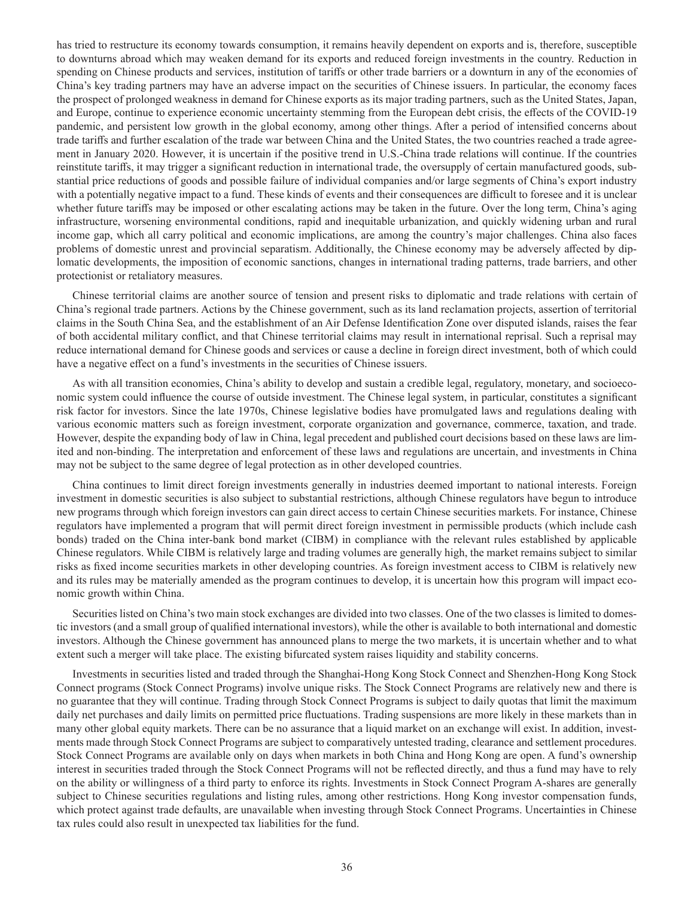has tried to restructure its economy towards consumption, it remains heavily dependent on exports and is, therefore, susceptible to downturns abroad which may weaken demand for its exports and reduced foreign investments in the country. Reduction in spending on Chinese products and services, institution of tariffs or other trade barriers or a downturn in any of the economies of China's key trading partners may have an adverse impact on the securities of Chinese issuers. In particular, the economy faces the prospect of prolonged weakness in demand for Chinese exports as its major trading partners, such as the United States, Japan, and Europe, continue to experience economic uncertainty stemming from the European debt crisis, the effects of the COVID-19 pandemic, and persistent low growth in the global economy, among other things. After a period of intensified concerns about trade tariffs and further escalation of the trade war between China and the United States, the two countries reached a trade agreement in January 2020. However, it is uncertain if the positive trend in U.S.-China trade relations will continue. If the countries reinstitute tariffs, it may trigger a significant reduction in international trade, the oversupply of certain manufactured goods, substantial price reductions of goods and possible failure of individual companies and/or large segments of China's export industry with a potentially negative impact to a fund. These kinds of events and their consequences are difficult to foresee and it is unclear whether future tariffs may be imposed or other escalating actions may be taken in the future. Over the long term, China's aging infrastructure, worsening environmental conditions, rapid and inequitable urbanization, and quickly widening urban and rural income gap, which all carry political and economic implications, are among the country's major challenges. China also faces problems of domestic unrest and provincial separatism. Additionally, the Chinese economy may be adversely affected by diplomatic developments, the imposition of economic sanctions, changes in international trading patterns, trade barriers, and other protectionist or retaliatory measures.

Chinese territorial claims are another source of tension and present risks to diplomatic and trade relations with certain of China's regional trade partners. Actions by the Chinese government, such as its land reclamation projects, assertion of territorial claims in the South China Sea, and the establishment of an Air Defense Identification Zone over disputed islands, raises the fear of both accidental military conflict, and that Chinese territorial claims may result in international reprisal. Such a reprisal may reduce international demand for Chinese goods and services or cause a decline in foreign direct investment, both of which could have a negative effect on a fund's investments in the securities of Chinese issuers.

As with all transition economies, China's ability to develop and sustain a credible legal, regulatory, monetary, and socioeconomic system could influence the course of outside investment. The Chinese legal system, in particular, constitutes a significant risk factor for investors. Since the late 1970s, Chinese legislative bodies have promulgated laws and regulations dealing with various economic matters such as foreign investment, corporate organization and governance, commerce, taxation, and trade. However, despite the expanding body of law in China, legal precedent and published court decisions based on these laws are limited and non-binding. The interpretation and enforcement of these laws and regulations are uncertain, and investments in China may not be subject to the same degree of legal protection as in other developed countries.

China continues to limit direct foreign investments generally in industries deemed important to national interests. Foreign investment in domestic securities is also subject to substantial restrictions, although Chinese regulators have begun to introduce new programs through which foreign investors can gain direct access to certain Chinese securities markets. For instance, Chinese regulators have implemented a program that will permit direct foreign investment in permissible products (which include cash bonds) traded on the China inter-bank bond market (CIBM) in compliance with the relevant rules established by applicable Chinese regulators. While CIBM is relatively large and trading volumes are generally high, the market remains subject to similar risks as fixed income securities markets in other developing countries. As foreign investment access to CIBM is relatively new and its rules may be materially amended as the program continues to develop, it is uncertain how this program will impact economic growth within China.

Securities listed on China's two main stock exchanges are divided into two classes. One of the two classes is limited to domestic investors (and a small group of qualified international investors), while the other is available to both international and domestic investors. Although the Chinese government has announced plans to merge the two markets, it is uncertain whether and to what extent such a merger will take place. The existing bifurcated system raises liquidity and stability concerns.

Investments in securities listed and traded through the Shanghai-Hong Kong Stock Connect and Shenzhen-Hong Kong Stock Connect programs (Stock Connect Programs) involve unique risks. The Stock Connect Programs are relatively new and there is no guarantee that they will continue. Trading through Stock Connect Programs is subject to daily quotas that limit the maximum daily net purchases and daily limits on permitted price fluctuations. Trading suspensions are more likely in these markets than in many other global equity markets. There can be no assurance that a liquid market on an exchange will exist. In addition, investments made through Stock Connect Programs are subject to comparatively untested trading, clearance and settlement procedures. Stock Connect Programs are available only on days when markets in both China and Hong Kong are open. A fund's ownership interest in securities traded through the Stock Connect Programs will not be reflected directly, and thus a fund may have to rely on the ability or willingness of a third party to enforce its rights. Investments in Stock Connect Program A-shares are generally subject to Chinese securities regulations and listing rules, among other restrictions. Hong Kong investor compensation funds, which protect against trade defaults, are unavailable when investing through Stock Connect Programs. Uncertainties in Chinese tax rules could also result in unexpected tax liabilities for the fund.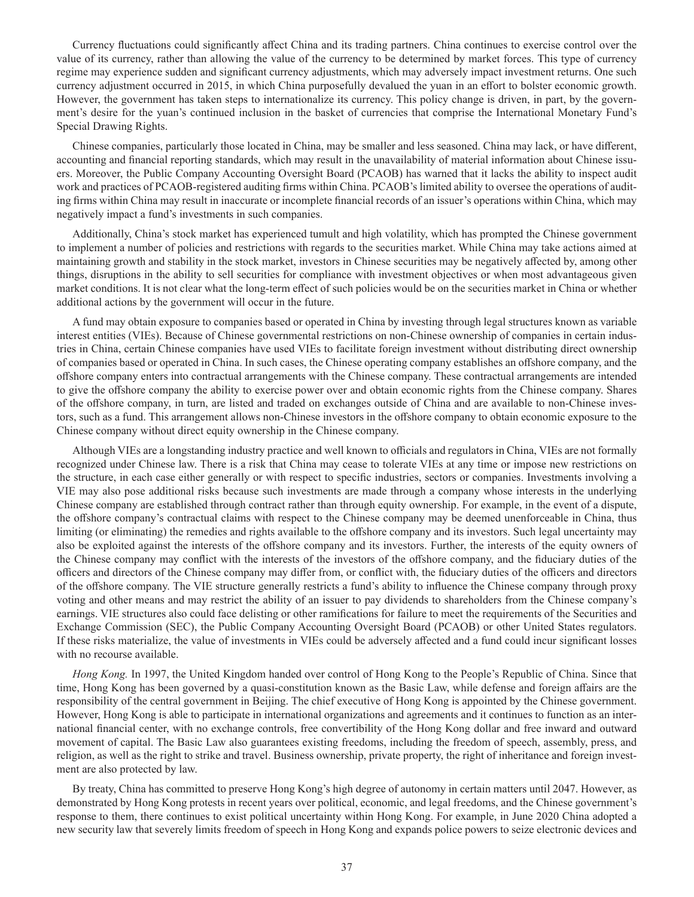Currency fluctuations could significantly affect China and its trading partners. China continues to exercise control over the value of its currency, rather than allowing the value of the currency to be determined by market forces. This type of currency regime may experience sudden and significant currency adjustments, which may adversely impact investment returns. One such currency adjustment occurred in 2015, in which China purposefully devalued the yuan in an effort to bolster economic growth. However, the government has taken steps to internationalize its currency. This policy change is driven, in part, by the government's desire for the yuan's continued inclusion in the basket of currencies that comprise the International Monetary Fund's Special Drawing Rights.

Chinese companies, particularly those located in China, may be smaller and less seasoned. China may lack, or have different, accounting and financial reporting standards, which may result in the unavailability of material information about Chinese issuers. Moreover, the Public Company Accounting Oversight Board (PCAOB) has warned that it lacks the ability to inspect audit work and practices of PCAOB-registered auditing firms within China. PCAOB's limited ability to oversee the operations of auditing firms within China may result in inaccurate or incomplete financial records of an issuer's operations within China, which may negatively impact a fund's investments in such companies.

Additionally, China's stock market has experienced tumult and high volatility, which has prompted the Chinese government to implement a number of policies and restrictions with regards to the securities market. While China may take actions aimed at maintaining growth and stability in the stock market, investors in Chinese securities may be negatively affected by, among other things, disruptions in the ability to sell securities for compliance with investment objectives or when most advantageous given market conditions. It is not clear what the long-term effect of such policies would be on the securities market in China or whether additional actions by the government will occur in the future.

A fund may obtain exposure to companies based or operated in China by investing through legal structures known as variable interest entities (VIEs). Because of Chinese governmental restrictions on non-Chinese ownership of companies in certain industries in China, certain Chinese companies have used VIEs to facilitate foreign investment without distributing direct ownership of companies based or operated in China. In such cases, the Chinese operating company establishes an offshore company, and the offshore company enters into contractual arrangements with the Chinese company. These contractual arrangements are intended to give the offshore company the ability to exercise power over and obtain economic rights from the Chinese company. Shares of the offshore company, in turn, are listed and traded on exchanges outside of China and are available to non-Chinese investors, such as a fund. This arrangement allows non-Chinese investors in the offshore company to obtain economic exposure to the Chinese company without direct equity ownership in the Chinese company.

Although VIEs are a longstanding industry practice and well known to officials and regulators in China, VIEs are not formally recognized under Chinese law. There is a risk that China may cease to tolerate VIEs at any time or impose new restrictions on the structure, in each case either generally or with respect to specific industries, sectors or companies. Investments involving a VIE may also pose additional risks because such investments are made through a company whose interests in the underlying Chinese company are established through contract rather than through equity ownership. For example, in the event of a dispute, the offshore company's contractual claims with respect to the Chinese company may be deemed unenforceable in China, thus limiting (or eliminating) the remedies and rights available to the offshore company and its investors. Such legal uncertainty may also be exploited against the interests of the offshore company and its investors. Further, the interests of the equity owners of the Chinese company may conflict with the interests of the investors of the offshore company, and the fiduciary duties of the officers and directors of the Chinese company may differ from, or conflict with, the fiduciary duties of the officers and directors of the offshore company. The VIE structure generally restricts a fund's ability to influence the Chinese company through proxy voting and other means and may restrict the ability of an issuer to pay dividends to shareholders from the Chinese company's earnings. VIE structures also could face delisting or other ramifications for failure to meet the requirements of the Securities and Exchange Commission (SEC), the Public Company Accounting Oversight Board (PCAOB) or other United States regulators. If these risks materialize, the value of investments in VIEs could be adversely affected and a fund could incur significant losses with no recourse available.

*Hong Kong.* In 1997, the United Kingdom handed over control of Hong Kong to the People's Republic of China. Since that time, Hong Kong has been governed by a quasi-constitution known as the Basic Law, while defense and foreign affairs are the responsibility of the central government in Beijing. The chief executive of Hong Kong is appointed by the Chinese government. However, Hong Kong is able to participate in international organizations and agreements and it continues to function as an international financial center, with no exchange controls, free convertibility of the Hong Kong dollar and free inward and outward movement of capital. The Basic Law also guarantees existing freedoms, including the freedom of speech, assembly, press, and religion, as well as the right to strike and travel. Business ownership, private property, the right of inheritance and foreign investment are also protected by law.

By treaty, China has committed to preserve Hong Kong's high degree of autonomy in certain matters until 2047. However, as demonstrated by Hong Kong protests in recent years over political, economic, and legal freedoms, and the Chinese government's response to them, there continues to exist political uncertainty within Hong Kong. For example, in June 2020 China adopted a new security law that severely limits freedom of speech in Hong Kong and expands police powers to seize electronic devices and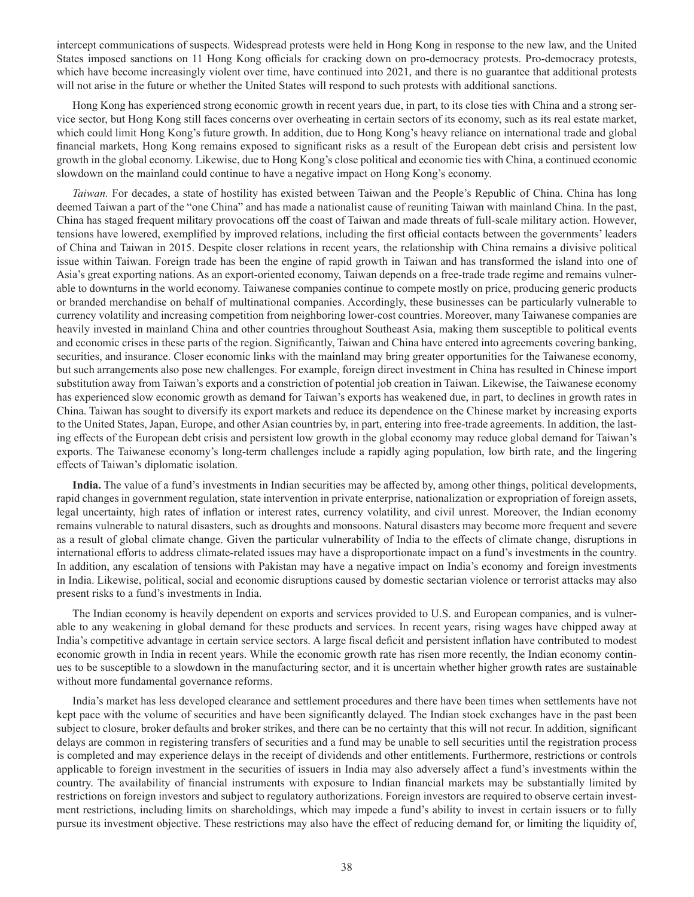intercept communications of suspects. Widespread protests were held in Hong Kong in response to the new law, and the United States imposed sanctions on 11 Hong Kong officials for cracking down on pro-democracy protests. Pro-democracy protests, which have become increasingly violent over time, have continued into 2021, and there is no guarantee that additional protests will not arise in the future or whether the United States will respond to such protests with additional sanctions.

Hong Kong has experienced strong economic growth in recent years due, in part, to its close ties with China and a strong service sector, but Hong Kong still faces concerns over overheating in certain sectors of its economy, such as its real estate market, which could limit Hong Kong's future growth. In addition, due to Hong Kong's heavy reliance on international trade and global financial markets, Hong Kong remains exposed to significant risks as a result of the European debt crisis and persistent low growth in the global economy. Likewise, due to Hong Kong's close political and economic ties with China, a continued economic slowdown on the mainland could continue to have a negative impact on Hong Kong's economy.

*Taiwan.* For decades, a state of hostility has existed between Taiwan and the People's Republic of China. China has long deemed Taiwan a part of the "one China" and has made a nationalist cause of reuniting Taiwan with mainland China. In the past, China has staged frequent military provocations off the coast of Taiwan and made threats of full-scale military action. However, tensions have lowered, exemplified by improved relations, including the first official contacts between the governments' leaders of China and Taiwan in 2015. Despite closer relations in recent years, the relationship with China remains a divisive political issue within Taiwan. Foreign trade has been the engine of rapid growth in Taiwan and has transformed the island into one of Asia's great exporting nations. As an export-oriented economy, Taiwan depends on a free-trade trade regime and remains vulnerable to downturns in the world economy. Taiwanese companies continue to compete mostly on price, producing generic products or branded merchandise on behalf of multinational companies. Accordingly, these businesses can be particularly vulnerable to currency volatility and increasing competition from neighboring lower-cost countries. Moreover, many Taiwanese companies are heavily invested in mainland China and other countries throughout Southeast Asia, making them susceptible to political events and economic crises in these parts of the region. Significantly, Taiwan and China have entered into agreements covering banking, securities, and insurance. Closer economic links with the mainland may bring greater opportunities for the Taiwanese economy, but such arrangements also pose new challenges. For example, foreign direct investment in China has resulted in Chinese import substitution away from Taiwan's exports and a constriction of potential job creation in Taiwan. Likewise, the Taiwanese economy has experienced slow economic growth as demand for Taiwan's exports has weakened due, in part, to declines in growth rates in China. Taiwan has sought to diversify its export markets and reduce its dependence on the Chinese market by increasing exports to the United States, Japan, Europe, and other Asian countries by, in part, entering into free-trade agreements. In addition, the lasting effects of the European debt crisis and persistent low growth in the global economy may reduce global demand for Taiwan's exports. The Taiwanese economy's long-term challenges include a rapidly aging population, low birth rate, and the lingering effects of Taiwan's diplomatic isolation.

**India.** The value of a fund's investments in Indian securities may be affected by, among other things, political developments, rapid changes in government regulation, state intervention in private enterprise, nationalization or expropriation of foreign assets, legal uncertainty, high rates of inflation or interest rates, currency volatility, and civil unrest. Moreover, the Indian economy remains vulnerable to natural disasters, such as droughts and monsoons. Natural disasters may become more frequent and severe as a result of global climate change. Given the particular vulnerability of India to the effects of climate change, disruptions in international efforts to address climate-related issues may have a disproportionate impact on a fund's investments in the country. In addition, any escalation of tensions with Pakistan may have a negative impact on India's economy and foreign investments in India. Likewise, political, social and economic disruptions caused by domestic sectarian violence or terrorist attacks may also present risks to a fund's investments in India.

The Indian economy is heavily dependent on exports and services provided to U.S. and European companies, and is vulnerable to any weakening in global demand for these products and services. In recent years, rising wages have chipped away at India's competitive advantage in certain service sectors. A large fiscal deficit and persistent inflation have contributed to modest economic growth in India in recent years. While the economic growth rate has risen more recently, the Indian economy continues to be susceptible to a slowdown in the manufacturing sector, and it is uncertain whether higher growth rates are sustainable without more fundamental governance reforms.

India's market has less developed clearance and settlement procedures and there have been times when settlements have not kept pace with the volume of securities and have been significantly delayed. The Indian stock exchanges have in the past been subject to closure, broker defaults and broker strikes, and there can be no certainty that this will not recur. In addition, significant delays are common in registering transfers of securities and a fund may be unable to sell securities until the registration process is completed and may experience delays in the receipt of dividends and other entitlements. Furthermore, restrictions or controls applicable to foreign investment in the securities of issuers in India may also adversely affect a fund's investments within the country. The availability of financial instruments with exposure to Indian financial markets may be substantially limited by restrictions on foreign investors and subject to regulatory authorizations. Foreign investors are required to observe certain investment restrictions, including limits on shareholdings, which may impede a fund's ability to invest in certain issuers or to fully pursue its investment objective. These restrictions may also have the effect of reducing demand for, or limiting the liquidity of,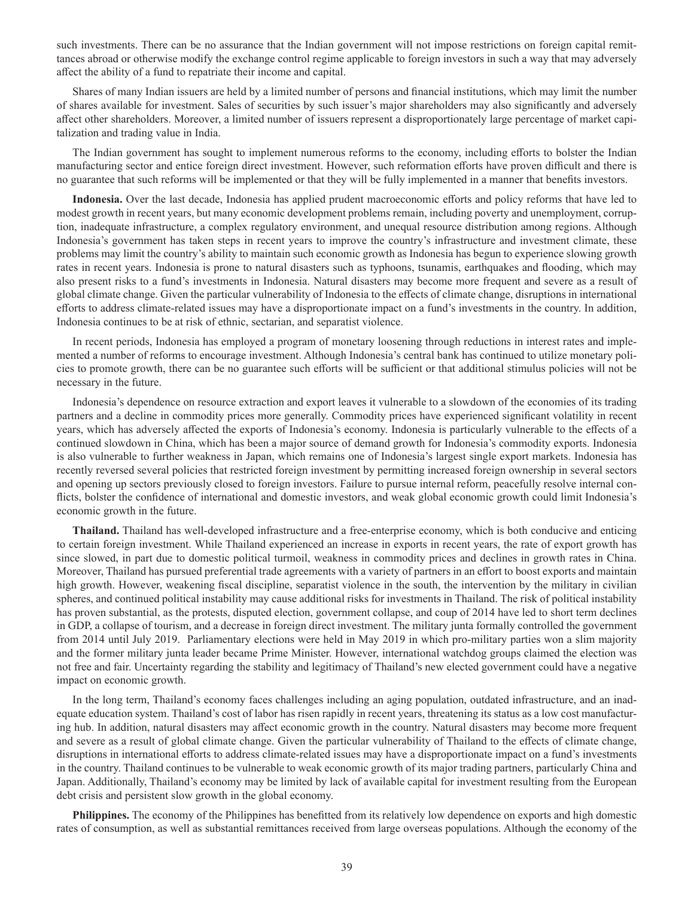such investments. There can be no assurance that the Indian government will not impose restrictions on foreign capital remittances abroad or otherwise modify the exchange control regime applicable to foreign investors in such a way that may adversely affect the ability of a fund to repatriate their income and capital.

Shares of many Indian issuers are held by a limited number of persons and financial institutions, which may limit the number of shares available for investment. Sales of securities by such issuer's major shareholders may also significantly and adversely affect other shareholders. Moreover, a limited number of issuers represent a disproportionately large percentage of market capitalization and trading value in India.

The Indian government has sought to implement numerous reforms to the economy, including efforts to bolster the Indian manufacturing sector and entice foreign direct investment. However, such reformation efforts have proven difficult and there is no guarantee that such reforms will be implemented or that they will be fully implemented in a manner that benefits investors.

**Indonesia.** Over the last decade, Indonesia has applied prudent macroeconomic efforts and policy reforms that have led to modest growth in recent years, but many economic development problems remain, including poverty and unemployment, corruption, inadequate infrastructure, a complex regulatory environment, and unequal resource distribution among regions. Although Indonesia's government has taken steps in recent years to improve the country's infrastructure and investment climate, these problems may limit the country's ability to maintain such economic growth as Indonesia has begun to experience slowing growth rates in recent years. Indonesia is prone to natural disasters such as typhoons, tsunamis, earthquakes and flooding, which may also present risks to a fund's investments in Indonesia. Natural disasters may become more frequent and severe as a result of global climate change. Given the particular vulnerability of Indonesia to the effects of climate change, disruptions in international efforts to address climate-related issues may have a disproportionate impact on a fund's investments in the country. In addition, Indonesia continues to be at risk of ethnic, sectarian, and separatist violence.

In recent periods, Indonesia has employed a program of monetary loosening through reductions in interest rates and implemented a number of reforms to encourage investment. Although Indonesia's central bank has continued to utilize monetary policies to promote growth, there can be no guarantee such efforts will be sufficient or that additional stimulus policies will not be necessary in the future.

Indonesia's dependence on resource extraction and export leaves it vulnerable to a slowdown of the economies of its trading partners and a decline in commodity prices more generally. Commodity prices have experienced significant volatility in recent years, which has adversely affected the exports of Indonesia's economy. Indonesia is particularly vulnerable to the effects of a continued slowdown in China, which has been a major source of demand growth for Indonesia's commodity exports. Indonesia is also vulnerable to further weakness in Japan, which remains one of Indonesia's largest single export markets. Indonesia has recently reversed several policies that restricted foreign investment by permitting increased foreign ownership in several sectors and opening up sectors previously closed to foreign investors. Failure to pursue internal reform, peacefully resolve internal conflicts, bolster the confidence of international and domestic investors, and weak global economic growth could limit Indonesia's economic growth in the future.

**Thailand.** Thailand has well-developed infrastructure and a free-enterprise economy, which is both conducive and enticing to certain foreign investment. While Thailand experienced an increase in exports in recent years, the rate of export growth has since slowed, in part due to domestic political turmoil, weakness in commodity prices and declines in growth rates in China. Moreover, Thailand has pursued preferential trade agreements with a variety of partners in an effort to boost exports and maintain high growth. However, weakening fiscal discipline, separatist violence in the south, the intervention by the military in civilian spheres, and continued political instability may cause additional risks for investments in Thailand. The risk of political instability has proven substantial, as the protests, disputed election, government collapse, and coup of 2014 have led to short term declines in GDP, a collapse of tourism, and a decrease in foreign direct investment. The military junta formally controlled the government from 2014 until July 2019. Parliamentary elections were held in May 2019 in which pro-military parties won a slim majority and the former military junta leader became Prime Minister. However, international watchdog groups claimed the election was not free and fair. Uncertainty regarding the stability and legitimacy of Thailand's new elected government could have a negative impact on economic growth.

In the long term, Thailand's economy faces challenges including an aging population, outdated infrastructure, and an inadequate education system. Thailand's cost of labor has risen rapidly in recent years, threatening its status as a low cost manufacturing hub. In addition, natural disasters may affect economic growth in the country. Natural disasters may become more frequent and severe as a result of global climate change. Given the particular vulnerability of Thailand to the effects of climate change, disruptions in international efforts to address climate-related issues may have a disproportionate impact on a fund's investments in the country. Thailand continues to be vulnerable to weak economic growth of its major trading partners, particularly China and Japan. Additionally, Thailand's economy may be limited by lack of available capital for investment resulting from the European debt crisis and persistent slow growth in the global economy.

**Philippines.** The economy of the Philippines has benefitted from its relatively low dependence on exports and high domestic rates of consumption, as well as substantial remittances received from large overseas populations. Although the economy of the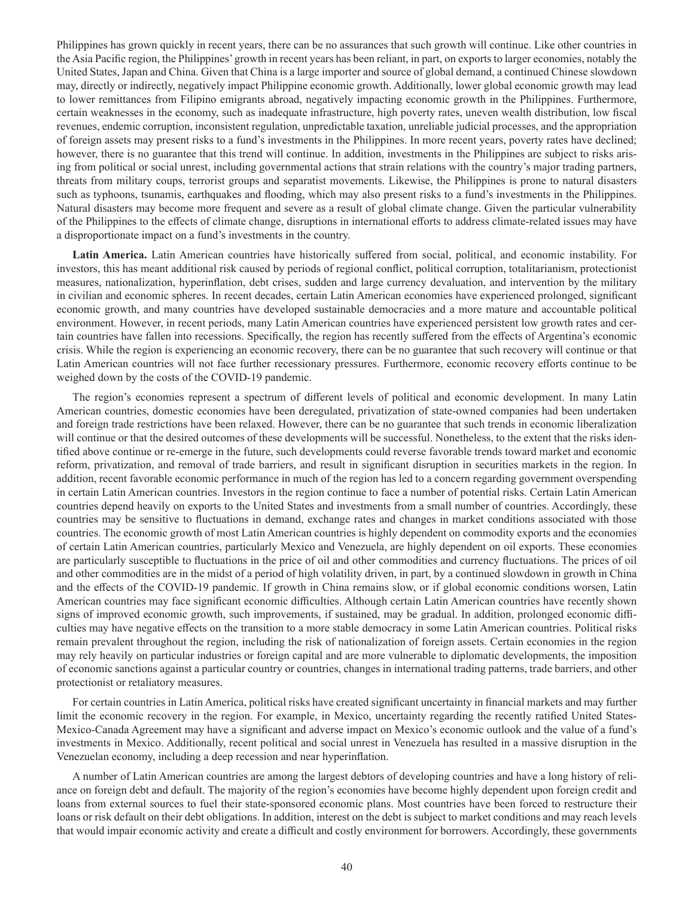Philippines has grown quickly in recent years, there can be no assurances that such growth will continue. Like other countries in the Asia Pacific region, the Philippines' growth in recent years has been reliant, in part, on exports to larger economies, notably the United States, Japan and China. Given that China is a large importer and source of global demand, a continued Chinese slowdown may, directly or indirectly, negatively impact Philippine economic growth. Additionally, lower global economic growth may lead to lower remittances from Filipino emigrants abroad, negatively impacting economic growth in the Philippines. Furthermore, certain weaknesses in the economy, such as inadequate infrastructure, high poverty rates, uneven wealth distribution, low fiscal revenues, endemic corruption, inconsistent regulation, unpredictable taxation, unreliable judicial processes, and the appropriation of foreign assets may present risks to a fund's investments in the Philippines. In more recent years, poverty rates have declined; however, there is no guarantee that this trend will continue. In addition, investments in the Philippines are subject to risks arising from political or social unrest, including governmental actions that strain relations with the country's major trading partners, threats from military coups, terrorist groups and separatist movements. Likewise, the Philippines is prone to natural disasters such as typhoons, tsunamis, earthquakes and flooding, which may also present risks to a fund's investments in the Philippines. Natural disasters may become more frequent and severe as a result of global climate change. Given the particular vulnerability of the Philippines to the effects of climate change, disruptions in international efforts to address climate-related issues may have a disproportionate impact on a fund's investments in the country.

**Latin America.** Latin American countries have historically suffered from social, political, and economic instability. For investors, this has meant additional risk caused by periods of regional conflict, political corruption, totalitarianism, protectionist measures, nationalization, hyperinflation, debt crises, sudden and large currency devaluation, and intervention by the military in civilian and economic spheres. In recent decades, certain Latin American economies have experienced prolonged, significant economic growth, and many countries have developed sustainable democracies and a more mature and accountable political environment. However, in recent periods, many Latin American countries have experienced persistent low growth rates and certain countries have fallen into recessions. Specifically, the region has recently suffered from the effects of Argentina's economic crisis. While the region is experiencing an economic recovery, there can be no guarantee that such recovery will continue or that Latin American countries will not face further recessionary pressures. Furthermore, economic recovery efforts continue to be weighed down by the costs of the COVID-19 pandemic.

The region's economies represent a spectrum of different levels of political and economic development. In many Latin American countries, domestic economies have been deregulated, privatization of state-owned companies had been undertaken and foreign trade restrictions have been relaxed. However, there can be no guarantee that such trends in economic liberalization will continue or that the desired outcomes of these developments will be successful. Nonetheless, to the extent that the risks identified above continue or re-emerge in the future, such developments could reverse favorable trends toward market and economic reform, privatization, and removal of trade barriers, and result in significant disruption in securities markets in the region. In addition, recent favorable economic performance in much of the region has led to a concern regarding government overspending in certain Latin American countries. Investors in the region continue to face a number of potential risks. Certain Latin American countries depend heavily on exports to the United States and investments from a small number of countries. Accordingly, these countries may be sensitive to fluctuations in demand, exchange rates and changes in market conditions associated with those countries. The economic growth of most Latin American countries is highly dependent on commodity exports and the economies of certain Latin American countries, particularly Mexico and Venezuela, are highly dependent on oil exports. These economies are particularly susceptible to fluctuations in the price of oil and other commodities and currency fluctuations. The prices of oil and other commodities are in the midst of a period of high volatility driven, in part, by a continued slowdown in growth in China and the effects of the COVID-19 pandemic. If growth in China remains slow, or if global economic conditions worsen, Latin American countries may face significant economic difficulties. Although certain Latin American countries have recently shown signs of improved economic growth, such improvements, if sustained, may be gradual. In addition, prolonged economic difficulties may have negative effects on the transition to a more stable democracy in some Latin American countries. Political risks remain prevalent throughout the region, including the risk of nationalization of foreign assets. Certain economies in the region may rely heavily on particular industries or foreign capital and are more vulnerable to diplomatic developments, the imposition of economic sanctions against a particular country or countries, changes in international trading patterns, trade barriers, and other protectionist or retaliatory measures.

For certain countries in Latin America, political risks have created significant uncertainty in financial markets and may further limit the economic recovery in the region. For example, in Mexico, uncertainty regarding the recently ratified United States-Mexico-Canada Agreement may have a significant and adverse impact on Mexico's economic outlook and the value of a fund's investments in Mexico. Additionally, recent political and social unrest in Venezuela has resulted in a massive disruption in the Venezuelan economy, including a deep recession and near hyperinflation.

A number of Latin American countries are among the largest debtors of developing countries and have a long history of reliance on foreign debt and default. The majority of the region's economies have become highly dependent upon foreign credit and loans from external sources to fuel their state-sponsored economic plans. Most countries have been forced to restructure their loans or risk default on their debt obligations. In addition, interest on the debt is subject to market conditions and may reach levels that would impair economic activity and create a difficult and costly environment for borrowers. Accordingly, these governments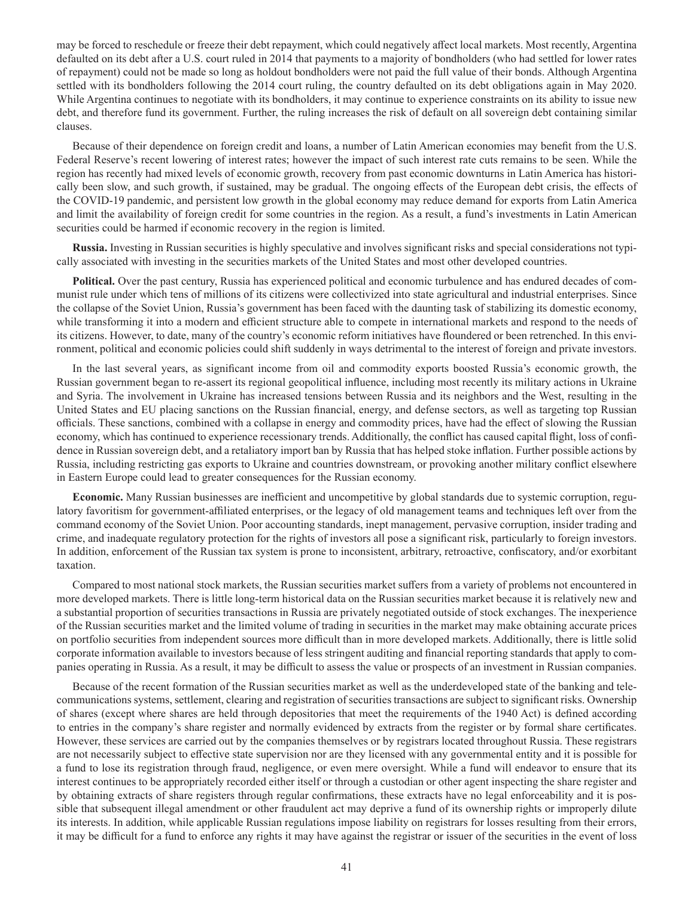may be forced to reschedule or freeze their debt repayment, which could negatively affect local markets. Most recently, Argentina defaulted on its debt after a U.S. court ruled in 2014 that payments to a majority of bondholders (who had settled for lower rates of repayment) could not be made so long as holdout bondholders were not paid the full value of their bonds. Although Argentina settled with its bondholders following the 2014 court ruling, the country defaulted on its debt obligations again in May 2020. While Argentina continues to negotiate with its bondholders, it may continue to experience constraints on its ability to issue new debt, and therefore fund its government. Further, the ruling increases the risk of default on all sovereign debt containing similar clauses.

Because of their dependence on foreign credit and loans, a number of Latin American economies may benefit from the U.S. Federal Reserve's recent lowering of interest rates; however the impact of such interest rate cuts remains to be seen. While the region has recently had mixed levels of economic growth, recovery from past economic downturns in Latin America has historically been slow, and such growth, if sustained, may be gradual. The ongoing effects of the European debt crisis, the effects of the COVID-19 pandemic, and persistent low growth in the global economy may reduce demand for exports from Latin America and limit the availability of foreign credit for some countries in the region. As a result, a fund's investments in Latin American securities could be harmed if economic recovery in the region is limited.

**Russia.** Investing in Russian securities is highly speculative and involves significant risks and special considerations not typically associated with investing in the securities markets of the United States and most other developed countries.

**Political.** Over the past century, Russia has experienced political and economic turbulence and has endured decades of communist rule under which tens of millions of its citizens were collectivized into state agricultural and industrial enterprises. Since the collapse of the Soviet Union, Russia's government has been faced with the daunting task of stabilizing its domestic economy, while transforming it into a modern and efficient structure able to compete in international markets and respond to the needs of its citizens. However, to date, many of the country's economic reform initiatives have floundered or been retrenched. In this environment, political and economic policies could shift suddenly in ways detrimental to the interest of foreign and private investors.

In the last several years, as significant income from oil and commodity exports boosted Russia's economic growth, the Russian government began to re-assert its regional geopolitical influence, including most recently its military actions in Ukraine and Syria. The involvement in Ukraine has increased tensions between Russia and its neighbors and the West, resulting in the United States and EU placing sanctions on the Russian financial, energy, and defense sectors, as well as targeting top Russian officials. These sanctions, combined with a collapse in energy and commodity prices, have had the effect of slowing the Russian economy, which has continued to experience recessionary trends. Additionally, the conflict has caused capital flight, loss of confidence in Russian sovereign debt, and a retaliatory import ban by Russia that has helped stoke inflation. Further possible actions by Russia, including restricting gas exports to Ukraine and countries downstream, or provoking another military conflict elsewhere in Eastern Europe could lead to greater consequences for the Russian economy.

**Economic.** Many Russian businesses are inefficient and uncompetitive by global standards due to systemic corruption, regulatory favoritism for government-affiliated enterprises, or the legacy of old management teams and techniques left over from the command economy of the Soviet Union. Poor accounting standards, inept management, pervasive corruption, insider trading and crime, and inadequate regulatory protection for the rights of investors all pose a significant risk, particularly to foreign investors. In addition, enforcement of the Russian tax system is prone to inconsistent, arbitrary, retroactive, confiscatory, and/or exorbitant taxation.

Compared to most national stock markets, the Russian securities market suffers from a variety of problems not encountered in more developed markets. There is little long-term historical data on the Russian securities market because it is relatively new and a substantial proportion of securities transactions in Russia are privately negotiated outside of stock exchanges. The inexperience of the Russian securities market and the limited volume of trading in securities in the market may make obtaining accurate prices on portfolio securities from independent sources more difficult than in more developed markets. Additionally, there is little solid corporate information available to investors because of less stringent auditing and financial reporting standards that apply to companies operating in Russia. As a result, it may be difficult to assess the value or prospects of an investment in Russian companies.

Because of the recent formation of the Russian securities market as well as the underdeveloped state of the banking and telecommunications systems, settlement, clearing and registration of securities transactions are subject to significant risks. Ownership of shares (except where shares are held through depositories that meet the requirements of the 1940 Act) is defined according to entries in the company's share register and normally evidenced by extracts from the register or by formal share certificates. However, these services are carried out by the companies themselves or by registrars located throughout Russia. These registrars are not necessarily subject to effective state supervision nor are they licensed with any governmental entity and it is possible for a fund to lose its registration through fraud, negligence, or even mere oversight. While a fund will endeavor to ensure that its interest continues to be appropriately recorded either itself or through a custodian or other agent inspecting the share register and by obtaining extracts of share registers through regular confirmations, these extracts have no legal enforceability and it is possible that subsequent illegal amendment or other fraudulent act may deprive a fund of its ownership rights or improperly dilute its interests. In addition, while applicable Russian regulations impose liability on registrars for losses resulting from their errors, it may be difficult for a fund to enforce any rights it may have against the registrar or issuer of the securities in the event of loss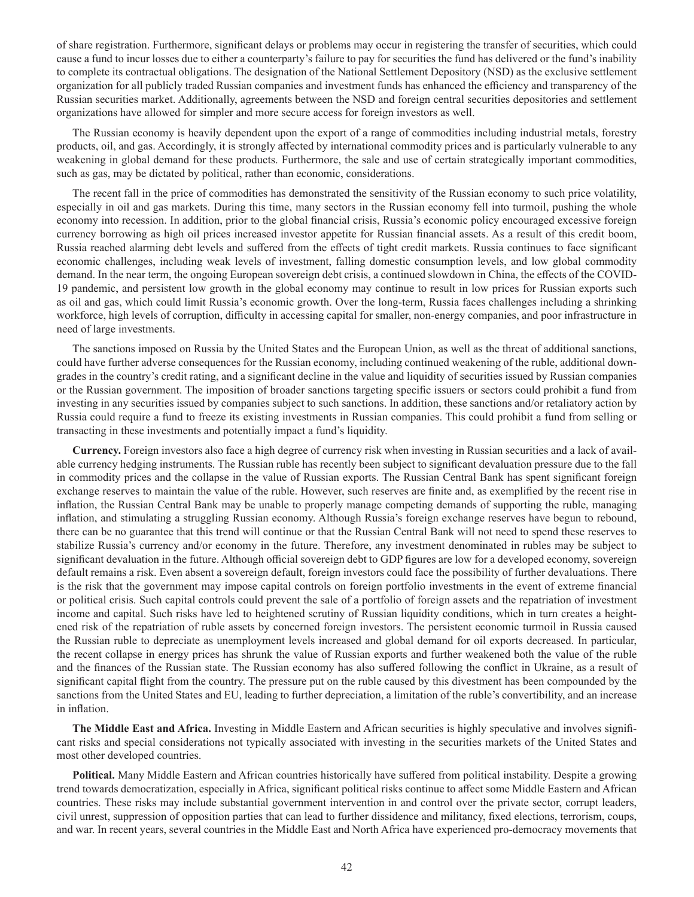of share registration. Furthermore, significant delays or problems may occur in registering the transfer of securities, which could cause a fund to incur losses due to either a counterparty's failure to pay for securities the fund has delivered or the fund's inability to complete its contractual obligations. The designation of the National Settlement Depository (NSD) as the exclusive settlement organization for all publicly traded Russian companies and investment funds has enhanced the efficiency and transparency of the Russian securities market. Additionally, agreements between the NSD and foreign central securities depositories and settlement organizations have allowed for simpler and more secure access for foreign investors as well.

The Russian economy is heavily dependent upon the export of a range of commodities including industrial metals, forestry products, oil, and gas. Accordingly, it is strongly affected by international commodity prices and is particularly vulnerable to any weakening in global demand for these products. Furthermore, the sale and use of certain strategically important commodities, such as gas, may be dictated by political, rather than economic, considerations.

The recent fall in the price of commodities has demonstrated the sensitivity of the Russian economy to such price volatility, especially in oil and gas markets. During this time, many sectors in the Russian economy fell into turmoil, pushing the whole economy into recession. In addition, prior to the global financial crisis, Russia's economic policy encouraged excessive foreign currency borrowing as high oil prices increased investor appetite for Russian financial assets. As a result of this credit boom, Russia reached alarming debt levels and suffered from the effects of tight credit markets. Russia continues to face significant economic challenges, including weak levels of investment, falling domestic consumption levels, and low global commodity demand. In the near term, the ongoing European sovereign debt crisis, a continued slowdown in China, the effects of the COVID-19 pandemic, and persistent low growth in the global economy may continue to result in low prices for Russian exports such as oil and gas, which could limit Russia's economic growth. Over the long-term, Russia faces challenges including a shrinking workforce, high levels of corruption, difficulty in accessing capital for smaller, non-energy companies, and poor infrastructure in need of large investments.

The sanctions imposed on Russia by the United States and the European Union, as well as the threat of additional sanctions, could have further adverse consequences for the Russian economy, including continued weakening of the ruble, additional downgrades in the country's credit rating, and a significant decline in the value and liquidity of securities issued by Russian companies or the Russian government. The imposition of broader sanctions targeting specific issuers or sectors could prohibit a fund from investing in any securities issued by companies subject to such sanctions. In addition, these sanctions and/or retaliatory action by Russia could require a fund to freeze its existing investments in Russian companies. This could prohibit a fund from selling or transacting in these investments and potentially impact a fund's liquidity.

**Currency.** Foreign investors also face a high degree of currency risk when investing in Russian securities and a lack of available currency hedging instruments. The Russian ruble has recently been subject to significant devaluation pressure due to the fall in commodity prices and the collapse in the value of Russian exports. The Russian Central Bank has spent significant foreign exchange reserves to maintain the value of the ruble. However, such reserves are finite and, as exemplified by the recent rise in inflation, the Russian Central Bank may be unable to properly manage competing demands of supporting the ruble, managing inflation, and stimulating a struggling Russian economy. Although Russia's foreign exchange reserves have begun to rebound, there can be no guarantee that this trend will continue or that the Russian Central Bank will not need to spend these reserves to stabilize Russia's currency and/or economy in the future. Therefore, any investment denominated in rubles may be subject to significant devaluation in the future. Although official sovereign debt to GDP figures are low for a developed economy, sovereign default remains a risk. Even absent a sovereign default, foreign investors could face the possibility of further devaluations. There is the risk that the government may impose capital controls on foreign portfolio investments in the event of extreme financial or political crisis. Such capital controls could prevent the sale of a portfolio of foreign assets and the repatriation of investment income and capital. Such risks have led to heightened scrutiny of Russian liquidity conditions, which in turn creates a heightened risk of the repatriation of ruble assets by concerned foreign investors. The persistent economic turmoil in Russia caused the Russian ruble to depreciate as unemployment levels increased and global demand for oil exports decreased. In particular, the recent collapse in energy prices has shrunk the value of Russian exports and further weakened both the value of the ruble and the finances of the Russian state. The Russian economy has also suffered following the conflict in Ukraine, as a result of significant capital flight from the country. The pressure put on the ruble caused by this divestment has been compounded by the sanctions from the United States and EU, leading to further depreciation, a limitation of the ruble's convertibility, and an increase in inflation.

**The Middle East and Africa.** Investing in Middle Eastern and African securities is highly speculative and involves significant risks and special considerations not typically associated with investing in the securities markets of the United States and most other developed countries.

**Political.** Many Middle Eastern and African countries historically have suffered from political instability. Despite a growing trend towards democratization, especially in Africa, significant political risks continue to affect some Middle Eastern and African countries. These risks may include substantial government intervention in and control over the private sector, corrupt leaders, civil unrest, suppression of opposition parties that can lead to further dissidence and militancy, fixed elections, terrorism, coups, and war. In recent years, several countries in the Middle East and North Africa have experienced pro-democracy movements that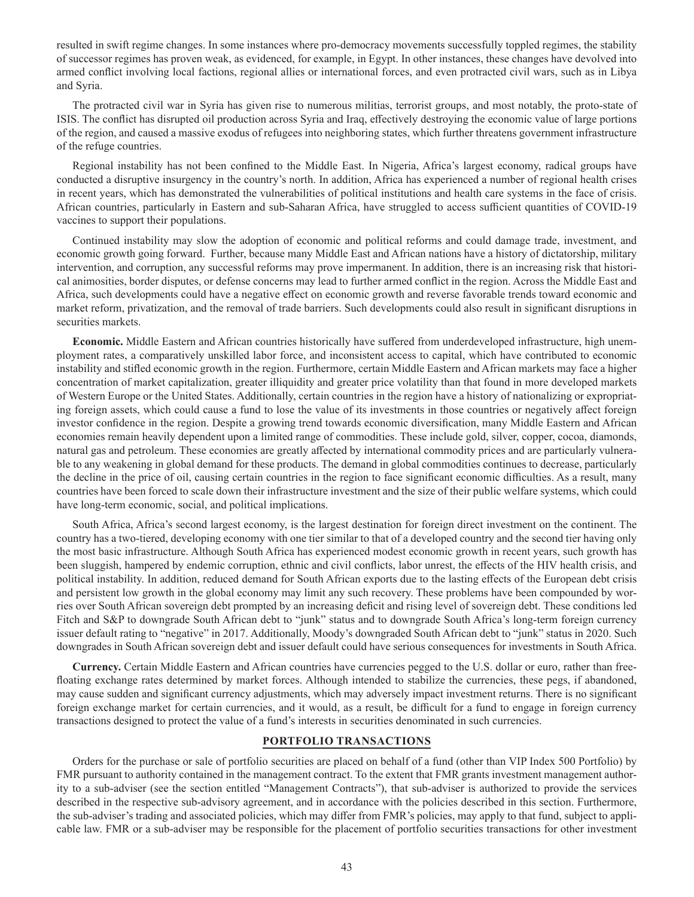resulted in swift regime changes. In some instances where pro-democracy movements successfully toppled regimes, the stability of successor regimes has proven weak, as evidenced, for example, in Egypt. In other instances, these changes have devolved into armed conflict involving local factions, regional allies or international forces, and even protracted civil wars, such as in Libya and Syria.

The protracted civil war in Syria has given rise to numerous militias, terrorist groups, and most notably, the proto-state of ISIS. The conflict has disrupted oil production across Syria and Iraq, effectively destroying the economic value of large portions of the region, and caused a massive exodus of refugees into neighboring states, which further threatens government infrastructure of the refuge countries.

Regional instability has not been confined to the Middle East. In Nigeria, Africa's largest economy, radical groups have conducted a disruptive insurgency in the country's north. In addition, Africa has experienced a number of regional health crises in recent years, which has demonstrated the vulnerabilities of political institutions and health care systems in the face of crisis. African countries, particularly in Eastern and sub-Saharan Africa, have struggled to access sufficient quantities of COVID-19 vaccines to support their populations.

Continued instability may slow the adoption of economic and political reforms and could damage trade, investment, and economic growth going forward. Further, because many Middle East and African nations have a history of dictatorship, military intervention, and corruption, any successful reforms may prove impermanent. In addition, there is an increasing risk that historical animosities, border disputes, or defense concerns may lead to further armed conflict in the region. Across the Middle East and Africa, such developments could have a negative effect on economic growth and reverse favorable trends toward economic and market reform, privatization, and the removal of trade barriers. Such developments could also result in significant disruptions in securities markets.

**Economic.** Middle Eastern and African countries historically have suffered from underdeveloped infrastructure, high unemployment rates, a comparatively unskilled labor force, and inconsistent access to capital, which have contributed to economic instability and stifled economic growth in the region. Furthermore, certain Middle Eastern and African markets may face a higher concentration of market capitalization, greater illiquidity and greater price volatility than that found in more developed markets of Western Europe or the United States. Additionally, certain countries in the region have a history of nationalizing or expropriating foreign assets, which could cause a fund to lose the value of its investments in those countries or negatively affect foreign investor confidence in the region. Despite a growing trend towards economic diversification, many Middle Eastern and African economies remain heavily dependent upon a limited range of commodities. These include gold, silver, copper, cocoa, diamonds, natural gas and petroleum. These economies are greatly affected by international commodity prices and are particularly vulnerable to any weakening in global demand for these products. The demand in global commodities continues to decrease, particularly the decline in the price of oil, causing certain countries in the region to face significant economic difficulties. As a result, many countries have been forced to scale down their infrastructure investment and the size of their public welfare systems, which could have long-term economic, social, and political implications.

South Africa, Africa's second largest economy, is the largest destination for foreign direct investment on the continent. The country has a two-tiered, developing economy with one tier similar to that of a developed country and the second tier having only the most basic infrastructure. Although South Africa has experienced modest economic growth in recent years, such growth has been sluggish, hampered by endemic corruption, ethnic and civil conflicts, labor unrest, the effects of the HIV health crisis, and political instability. In addition, reduced demand for South African exports due to the lasting effects of the European debt crisis and persistent low growth in the global economy may limit any such recovery. These problems have been compounded by worries over South African sovereign debt prompted by an increasing deficit and rising level of sovereign debt. These conditions led Fitch and S&P to downgrade South African debt to "junk" status and to downgrade South Africa's long-term foreign currency issuer default rating to "negative" in 2017. Additionally, Moody's downgraded South African debt to "junk" status in 2020. Such downgrades in South African sovereign debt and issuer default could have serious consequences for investments in South Africa.

**Currency.** Certain Middle Eastern and African countries have currencies pegged to the U.S. dollar or euro, rather than freefloating exchange rates determined by market forces. Although intended to stabilize the currencies, these pegs, if abandoned, may cause sudden and significant currency adjustments, which may adversely impact investment returns. There is no significant foreign exchange market for certain currencies, and it would, as a result, be difficult for a fund to engage in foreign currency transactions designed to protect the value of a fund's interests in securities denominated in such currencies.

# **PORTFOLIO TRANSACTIONS**

Orders for the purchase or sale of portfolio securities are placed on behalf of a fund (other than VIP Index 500 Portfolio) by FMR pursuant to authority contained in the management contract. To the extent that FMR grants investment management authority to a sub-adviser (see the section entitled "Management Contracts"), that sub-adviser is authorized to provide the services described in the respective sub-advisory agreement, and in accordance with the policies described in this section. Furthermore, the sub-adviser's trading and associated policies, which may differ from FMR's policies, may apply to that fund, subject to applicable law. FMR or a sub-adviser may be responsible for the placement of portfolio securities transactions for other investment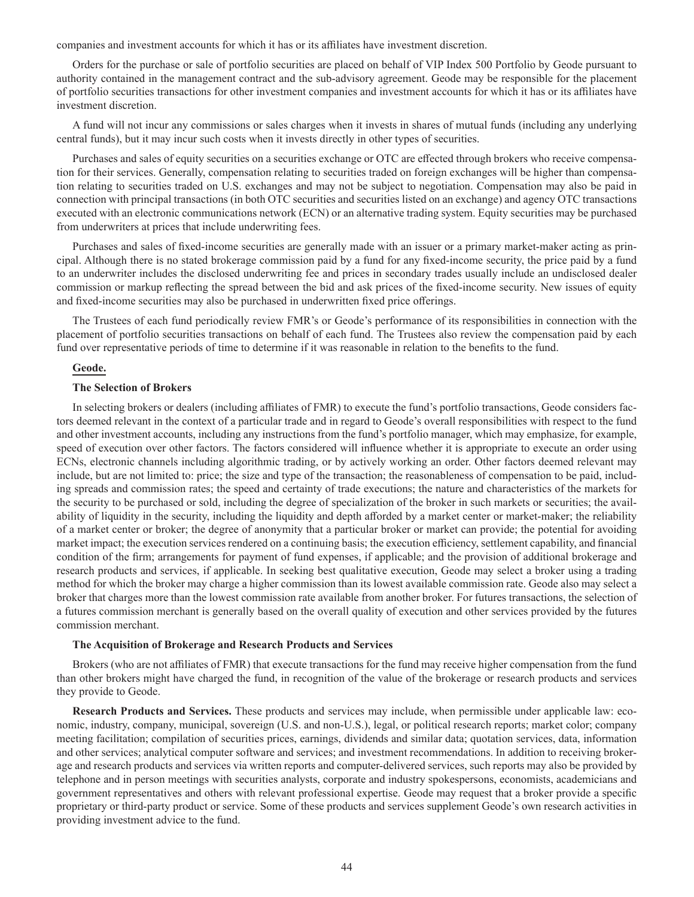companies and investment accounts for which it has or its affiliates have investment discretion.

Orders for the purchase or sale of portfolio securities are placed on behalf of VIP Index 500 Portfolio by Geode pursuant to authority contained in the management contract and the sub-advisory agreement. Geode may be responsible for the placement of portfolio securities transactions for other investment companies and investment accounts for which it has or its affiliates have investment discretion.

A fund will not incur any commissions or sales charges when it invests in shares of mutual funds (including any underlying central funds), but it may incur such costs when it invests directly in other types of securities.

Purchases and sales of equity securities on a securities exchange or OTC are effected through brokers who receive compensation for their services. Generally, compensation relating to securities traded on foreign exchanges will be higher than compensation relating to securities traded on U.S. exchanges and may not be subject to negotiation. Compensation may also be paid in connection with principal transactions (in both OTC securities and securities listed on an exchange) and agency OTC transactions executed with an electronic communications network (ECN) or an alternative trading system. Equity securities may be purchased from underwriters at prices that include underwriting fees.

Purchases and sales of fixed-income securities are generally made with an issuer or a primary market-maker acting as principal. Although there is no stated brokerage commission paid by a fund for any fixed-income security, the price paid by a fund to an underwriter includes the disclosed underwriting fee and prices in secondary trades usually include an undisclosed dealer commission or markup reflecting the spread between the bid and ask prices of the fixed-income security. New issues of equity and fixed-income securities may also be purchased in underwritten fixed price offerings.

The Trustees of each fund periodically review FMR's or Geode's performance of its responsibilities in connection with the placement of portfolio securities transactions on behalf of each fund. The Trustees also review the compensation paid by each fund over representative periods of time to determine if it was reasonable in relation to the benefits to the fund.

### **Geode.**

### **The Selection of Brokers**

In selecting brokers or dealers (including affiliates of FMR) to execute the fund's portfolio transactions, Geode considers factors deemed relevant in the context of a particular trade and in regard to Geode's overall responsibilities with respect to the fund and other investment accounts, including any instructions from the fund's portfolio manager, which may emphasize, for example, speed of execution over other factors. The factors considered will influence whether it is appropriate to execute an order using ECNs, electronic channels including algorithmic trading, or by actively working an order. Other factors deemed relevant may include, but are not limited to: price; the size and type of the transaction; the reasonableness of compensation to be paid, including spreads and commission rates; the speed and certainty of trade executions; the nature and characteristics of the markets for the security to be purchased or sold, including the degree of specialization of the broker in such markets or securities; the availability of liquidity in the security, including the liquidity and depth afforded by a market center or market-maker; the reliability of a market center or broker; the degree of anonymity that a particular broker or market can provide; the potential for avoiding market impact; the execution services rendered on a continuing basis; the execution efficiency, settlement capability, and financial condition of the firm; arrangements for payment of fund expenses, if applicable; and the provision of additional brokerage and research products and services, if applicable. In seeking best qualitative execution, Geode may select a broker using a trading method for which the broker may charge a higher commission than its lowest available commission rate. Geode also may select a broker that charges more than the lowest commission rate available from another broker. For futures transactions, the selection of a futures commission merchant is generally based on the overall quality of execution and other services provided by the futures commission merchant.

#### **The Acquisition of Brokerage and Research Products and Services**

Brokers (who are not affiliates of FMR) that execute transactions for the fund may receive higher compensation from the fund than other brokers might have charged the fund, in recognition of the value of the brokerage or research products and services they provide to Geode.

**Research Products and Services.** These products and services may include, when permissible under applicable law: economic, industry, company, municipal, sovereign (U.S. and non-U.S.), legal, or political research reports; market color; company meeting facilitation; compilation of securities prices, earnings, dividends and similar data; quotation services, data, information and other services; analytical computer software and services; and investment recommendations. In addition to receiving brokerage and research products and services via written reports and computer-delivered services, such reports may also be provided by telephone and in person meetings with securities analysts, corporate and industry spokespersons, economists, academicians and government representatives and others with relevant professional expertise. Geode may request that a broker provide a specific proprietary or third-party product or service. Some of these products and services supplement Geode's own research activities in providing investment advice to the fund.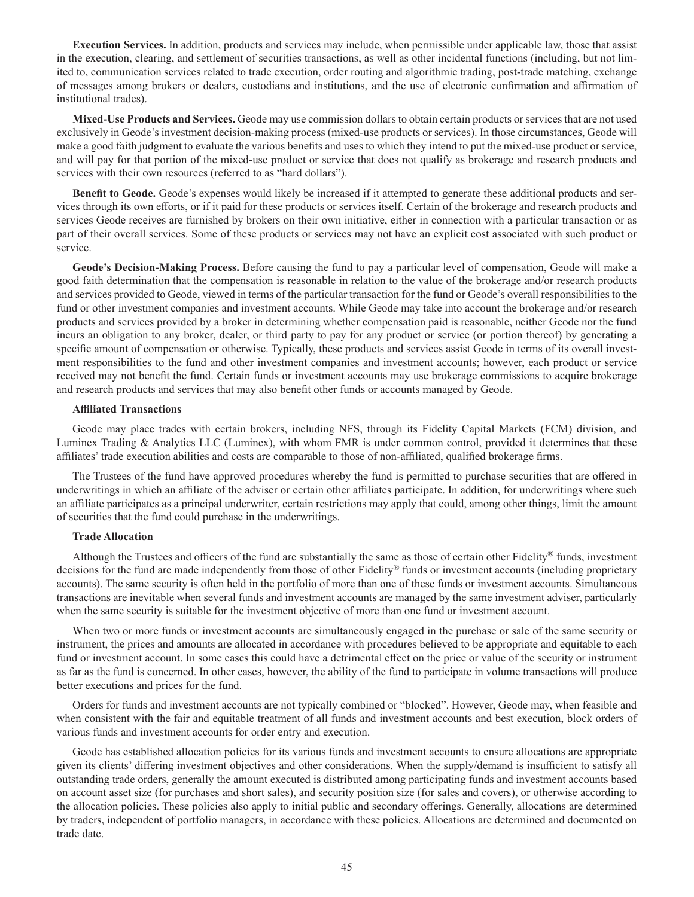**Execution Services.** In addition, products and services may include, when permissible under applicable law, those that assist in the execution, clearing, and settlement of securities transactions, as well as other incidental functions (including, but not limited to, communication services related to trade execution, order routing and algorithmic trading, post-trade matching, exchange of messages among brokers or dealers, custodians and institutions, and the use of electronic confirmation and affirmation of institutional trades).

**Mixed-Use Products and Services.** Geode may use commission dollars to obtain certain products or services that are not used exclusively in Geode's investment decision-making process (mixed-use products or services). In those circumstances, Geode will make a good faith judgment to evaluate the various benefits and uses to which they intend to put the mixed-use product or service, and will pay for that portion of the mixed-use product or service that does not qualify as brokerage and research products and services with their own resources (referred to as "hard dollars").

**Benefit to Geode.** Geode's expenses would likely be increased if it attempted to generate these additional products and services through its own efforts, or if it paid for these products or services itself. Certain of the brokerage and research products and services Geode receives are furnished by brokers on their own initiative, either in connection with a particular transaction or as part of their overall services. Some of these products or services may not have an explicit cost associated with such product or service.

**Geode's Decision-Making Process.** Before causing the fund to pay a particular level of compensation, Geode will make a good faith determination that the compensation is reasonable in relation to the value of the brokerage and/or research products and services provided to Geode, viewed in terms of the particular transaction for the fund or Geode's overall responsibilities to the fund or other investment companies and investment accounts. While Geode may take into account the brokerage and/or research products and services provided by a broker in determining whether compensation paid is reasonable, neither Geode nor the fund incurs an obligation to any broker, dealer, or third party to pay for any product or service (or portion thereof) by generating a specific amount of compensation or otherwise. Typically, these products and services assist Geode in terms of its overall investment responsibilities to the fund and other investment companies and investment accounts; however, each product or service received may not benefit the fund. Certain funds or investment accounts may use brokerage commissions to acquire brokerage and research products and services that may also benefit other funds or accounts managed by Geode.

#### **Affiliated Transactions**

Geode may place trades with certain brokers, including NFS, through its Fidelity Capital Markets (FCM) division, and Luminex Trading & Analytics LLC (Luminex), with whom FMR is under common control, provided it determines that these affiliates' trade execution abilities and costs are comparable to those of non-affiliated, qualified brokerage firms.

The Trustees of the fund have approved procedures whereby the fund is permitted to purchase securities that are offered in underwritings in which an affiliate of the adviser or certain other affiliates participate. In addition, for underwritings where such an affiliate participates as a principal underwriter, certain restrictions may apply that could, among other things, limit the amount of securities that the fund could purchase in the underwritings.

### **Trade Allocation**

Although the Trustees and officers of the fund are substantially the same as those of certain other Fidelity<sup>®</sup> funds, investment decisions for the fund are made independently from those of other Fidelity® funds or investment accounts (including proprietary accounts). The same security is often held in the portfolio of more than one of these funds or investment accounts. Simultaneous transactions are inevitable when several funds and investment accounts are managed by the same investment adviser, particularly when the same security is suitable for the investment objective of more than one fund or investment account.

When two or more funds or investment accounts are simultaneously engaged in the purchase or sale of the same security or instrument, the prices and amounts are allocated in accordance with procedures believed to be appropriate and equitable to each fund or investment account. In some cases this could have a detrimental effect on the price or value of the security or instrument as far as the fund is concerned. In other cases, however, the ability of the fund to participate in volume transactions will produce better executions and prices for the fund.

Orders for funds and investment accounts are not typically combined or "blocked". However, Geode may, when feasible and when consistent with the fair and equitable treatment of all funds and investment accounts and best execution, block orders of various funds and investment accounts for order entry and execution.

Geode has established allocation policies for its various funds and investment accounts to ensure allocations are appropriate given its clients' differing investment objectives and other considerations. When the supply/demand is insufficient to satisfy all outstanding trade orders, generally the amount executed is distributed among participating funds and investment accounts based on account asset size (for purchases and short sales), and security position size (for sales and covers), or otherwise according to the allocation policies. These policies also apply to initial public and secondary offerings. Generally, allocations are determined by traders, independent of portfolio managers, in accordance with these policies. Allocations are determined and documented on trade date.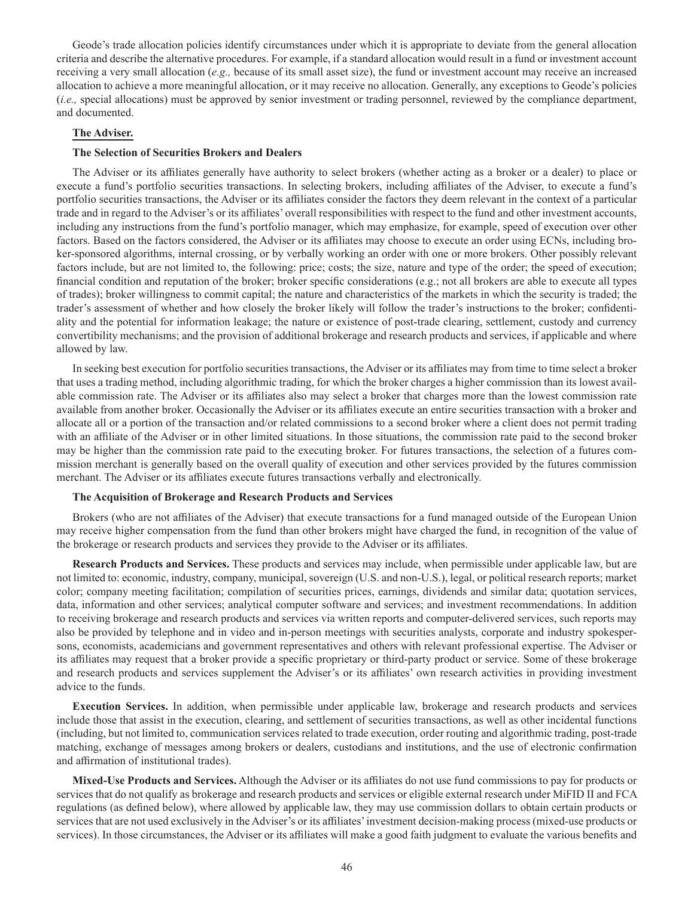Geode's trade allocation policies identify circumstances under which it is appropriate to deviate from the general allocation criteria and describe the alternative procedures. For example, if a standard allocation would result in a fund or investment account receiving a very small allocation (*e.g.,* because of its small asset size), the fund or investment account may receive an increased allocation to achieve a more meaningful allocation, or it may receive no allocation. Generally, any exceptions to Geode's policies (*i.e.,* special allocations) must be approved by senior investment or trading personnel, reviewed by the compliance department, and documented.

## **The Adviser.**

#### **The Selection of Securities Brokers and Dealers**

The Adviser or its affiliates generally have authority to select brokers (whether acting as a broker or a dealer) to place or execute a fund's portfolio securities transactions. In selecting brokers, including affiliates of the Adviser, to execute a fund's portfolio securities transactions, the Adviser or its affiliates consider the factors they deem relevant in the context of a particular trade and in regard to the Adviser's or its affiliates' overall responsibilities with respect to the fund and other investment accounts, including any instructions from the fund's portfolio manager, which may emphasize, for example, speed of execution over other factors. Based on the factors considered, the Adviser or its affiliates may choose to execute an order using ECNs, including broker-sponsored algorithms, internal crossing, or by verbally working an order with one or more brokers. Other possibly relevant factors include, but are not limited to, the following: price; costs; the size, nature and type of the order; the speed of execution; financial condition and reputation of the broker; broker specific considerations (e.g.; not all brokers are able to execute all types of trades); broker willingness to commit capital; the nature and characteristics of the markets in which the security is traded; the trader's assessment of whether and how closely the broker likely will follow the trader's instructions to the broker; confidentiality and the potential for information leakage; the nature or existence of post-trade clearing, settlement, custody and currency convertibility mechanisms; and the provision of additional brokerage and research products and services, if applicable and where allowed by law.

In seeking best execution for portfolio securities transactions, the Adviser or its affiliates may from time to time select a broker that uses a trading method, including algorithmic trading, for which the broker charges a higher commission than its lowest available commission rate. The Adviser or its affiliates also may select a broker that charges more than the lowest commission rate available from another broker. Occasionally the Adviser or its affiliates execute an entire securities transaction with a broker and allocate all or a portion of the transaction and/or related commissions to a second broker where a client does not permit trading with an affiliate of the Adviser or in other limited situations. In those situations, the commission rate paid to the second broker may be higher than the commission rate paid to the executing broker. For futures transactions, the selection of a futures commission merchant is generally based on the overall quality of execution and other services provided by the futures commission merchant. The Adviser or its affiliates execute futures transactions verbally and electronically.

### **The Acquisition of Brokerage and Research Products and Services**

Brokers (who are not affiliates of the Adviser) that execute transactions for a fund managed outside of the European Union may receive higher compensation from the fund than other brokers might have charged the fund, in recognition of the value of the brokerage or research products and services they provide to the Adviser or its affiliates.

**Research Products and Services.** These products and services may include, when permissible under applicable law, but are not limited to: economic, industry, company, municipal, sovereign (U.S. and non-U.S.), legal, or political research reports; market color; company meeting facilitation; compilation of securities prices, earnings, dividends and similar data; quotation services, data, information and other services; analytical computer software and services; and investment recommendations. In addition to receiving brokerage and research products and services via written reports and computer-delivered services, such reports may also be provided by telephone and in video and in-person meetings with securities analysts, corporate and industry spokespersons, economists, academicians and government representatives and others with relevant professional expertise. The Adviser or its affiliates may request that a broker provide a specific proprietary or third-party product or service. Some of these brokerage and research products and services supplement the Adviser's or its affiliates' own research activities in providing investment advice to the funds.

**Execution Services.** In addition, when permissible under applicable law, brokerage and research products and services include those that assist in the execution, clearing, and settlement of securities transactions, as well as other incidental functions (including, but not limited to, communication services related to trade execution, order routing and algorithmic trading, post-trade matching, exchange of messages among brokers or dealers, custodians and institutions, and the use of electronic confirmation and affirmation of institutional trades).

**Mixed-Use Products and Services.** Although the Adviser or its affiliates do not use fund commissions to pay for products or services that do not qualify as brokerage and research products and services or eligible external research under MiFID II and FCA regulations (as defined below), where allowed by applicable law, they may use commission dollars to obtain certain products or services that are not used exclusively in the Adviser's or its affiliates' investment decision-making process (mixed-use products or services). In those circumstances, the Adviser or its affiliates will make a good faith judgment to evaluate the various benefits and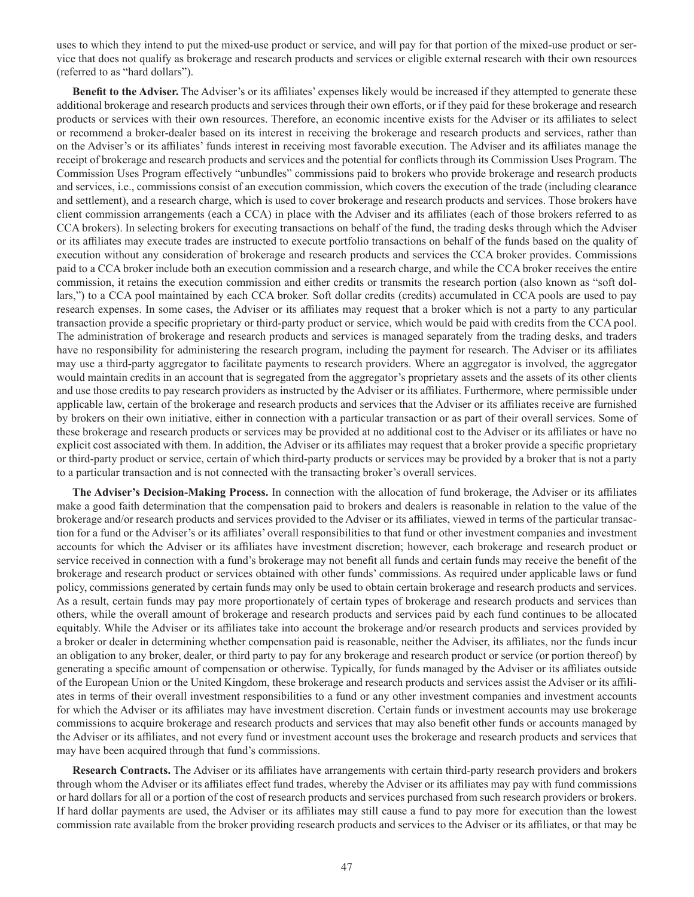uses to which they intend to put the mixed-use product or service, and will pay for that portion of the mixed-use product or service that does not qualify as brokerage and research products and services or eligible external research with their own resources (referred to as "hard dollars").

**Benefit to the Adviser.** The Adviser's or its affiliates' expenses likely would be increased if they attempted to generate these additional brokerage and research products and services through their own efforts, or if they paid for these brokerage and research products or services with their own resources. Therefore, an economic incentive exists for the Adviser or its affiliates to select or recommend a broker-dealer based on its interest in receiving the brokerage and research products and services, rather than on the Adviser's or its affiliates' funds interest in receiving most favorable execution. The Adviser and its affiliates manage the receipt of brokerage and research products and services and the potential for conflicts through its Commission Uses Program. The Commission Uses Program effectively "unbundles" commissions paid to brokers who provide brokerage and research products and services, i.e., commissions consist of an execution commission, which covers the execution of the trade (including clearance and settlement), and a research charge, which is used to cover brokerage and research products and services. Those brokers have client commission arrangements (each a CCA) in place with the Adviser and its affiliates (each of those brokers referred to as CCA brokers). In selecting brokers for executing transactions on behalf of the fund, the trading desks through which the Adviser or its affiliates may execute trades are instructed to execute portfolio transactions on behalf of the funds based on the quality of execution without any consideration of brokerage and research products and services the CCA broker provides. Commissions paid to a CCA broker include both an execution commission and a research charge, and while the CCA broker receives the entire commission, it retains the execution commission and either credits or transmits the research portion (also known as "soft dollars,") to a CCA pool maintained by each CCA broker. Soft dollar credits (credits) accumulated in CCA pools are used to pay research expenses. In some cases, the Adviser or its affiliates may request that a broker which is not a party to any particular transaction provide a specific proprietary or third-party product or service, which would be paid with credits from the CCA pool. The administration of brokerage and research products and services is managed separately from the trading desks, and traders have no responsibility for administering the research program, including the payment for research. The Adviser or its affiliates may use a third-party aggregator to facilitate payments to research providers. Where an aggregator is involved, the aggregator would maintain credits in an account that is segregated from the aggregator's proprietary assets and the assets of its other clients and use those credits to pay research providers as instructed by the Adviser or its affiliates. Furthermore, where permissible under applicable law, certain of the brokerage and research products and services that the Adviser or its affiliates receive are furnished by brokers on their own initiative, either in connection with a particular transaction or as part of their overall services. Some of these brokerage and research products or services may be provided at no additional cost to the Adviser or its affiliates or have no explicit cost associated with them. In addition, the Adviser or its affiliates may request that a broker provide a specific proprietary or third-party product or service, certain of which third-party products or services may be provided by a broker that is not a party to a particular transaction and is not connected with the transacting broker's overall services.

**The Adviser's Decision-Making Process.** In connection with the allocation of fund brokerage, the Adviser or its affiliates make a good faith determination that the compensation paid to brokers and dealers is reasonable in relation to the value of the brokerage and/or research products and services provided to the Adviser or its affiliates, viewed in terms of the particular transaction for a fund or the Adviser's or its affiliates' overall responsibilities to that fund or other investment companies and investment accounts for which the Adviser or its affiliates have investment discretion; however, each brokerage and research product or service received in connection with a fund's brokerage may not benefit all funds and certain funds may receive the benefit of the brokerage and research product or services obtained with other funds' commissions. As required under applicable laws or fund policy, commissions generated by certain funds may only be used to obtain certain brokerage and research products and services. As a result, certain funds may pay more proportionately of certain types of brokerage and research products and services than others, while the overall amount of brokerage and research products and services paid by each fund continues to be allocated equitably. While the Adviser or its affiliates take into account the brokerage and/or research products and services provided by a broker or dealer in determining whether compensation paid is reasonable, neither the Adviser, its affiliates, nor the funds incur an obligation to any broker, dealer, or third party to pay for any brokerage and research product or service (or portion thereof) by generating a specific amount of compensation or otherwise. Typically, for funds managed by the Adviser or its affiliates outside of the European Union or the United Kingdom, these brokerage and research products and services assist the Adviser or its affiliates in terms of their overall investment responsibilities to a fund or any other investment companies and investment accounts for which the Adviser or its affiliates may have investment discretion. Certain funds or investment accounts may use brokerage commissions to acquire brokerage and research products and services that may also benefit other funds or accounts managed by the Adviser or its affiliates, and not every fund or investment account uses the brokerage and research products and services that may have been acquired through that fund's commissions.

**Research Contracts.** The Adviser or its affiliates have arrangements with certain third-party research providers and brokers through whom the Adviser or its affiliates effect fund trades, whereby the Adviser or its affiliates may pay with fund commissions or hard dollars for all or a portion of the cost of research products and services purchased from such research providers or brokers. If hard dollar payments are used, the Adviser or its affiliates may still cause a fund to pay more for execution than the lowest commission rate available from the broker providing research products and services to the Adviser or its affiliates, or that may be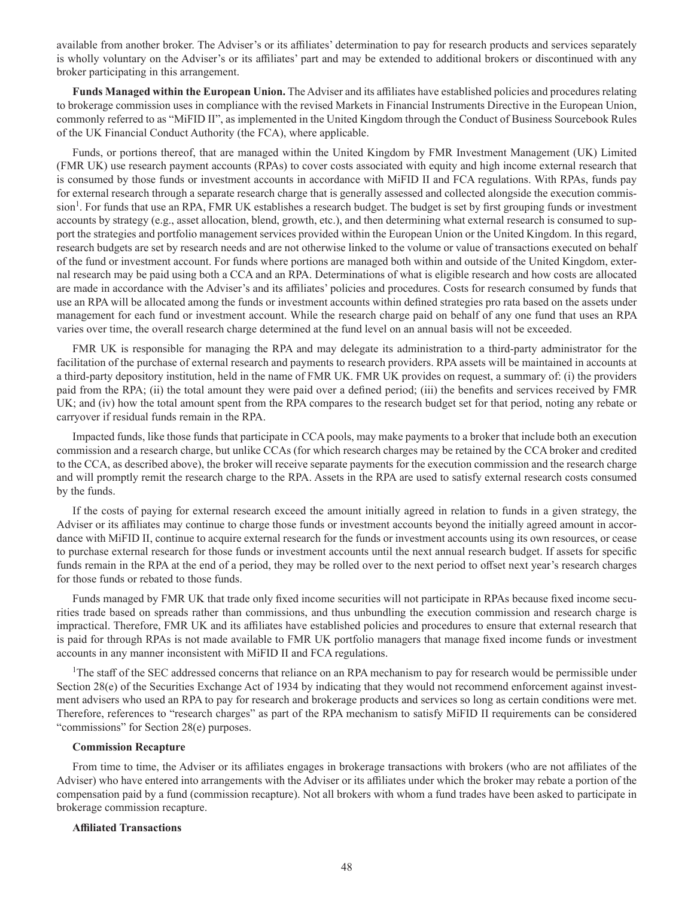available from another broker. The Adviser's or its affiliates' determination to pay for research products and services separately is wholly voluntary on the Adviser's or its affiliates' part and may be extended to additional brokers or discontinued with any broker participating in this arrangement.

**Funds Managed within the European Union.** The Adviser and its affiliates have established policies and procedures relating to brokerage commission uses in compliance with the revised Markets in Financial Instruments Directive in the European Union, commonly referred to as "MiFID II", as implemented in the United Kingdom through the Conduct of Business Sourcebook Rules of the UK Financial Conduct Authority (the FCA), where applicable.

Funds, or portions thereof, that are managed within the United Kingdom by FMR Investment Management (UK) Limited (FMR UK) use research payment accounts (RPAs) to cover costs associated with equity and high income external research that is consumed by those funds or investment accounts in accordance with MiFID II and FCA regulations. With RPAs, funds pay for external research through a separate research charge that is generally assessed and collected alongside the execution commission<sup>1</sup>. For funds that use an RPA, FMR UK establishes a research budget. The budget is set by first grouping funds or investment accounts by strategy (e.g., asset allocation, blend, growth, etc.), and then determining what external research is consumed to support the strategies and portfolio management services provided within the European Union or the United Kingdom. In this regard, research budgets are set by research needs and are not otherwise linked to the volume or value of transactions executed on behalf of the fund or investment account. For funds where portions are managed both within and outside of the United Kingdom, external research may be paid using both a CCA and an RPA. Determinations of what is eligible research and how costs are allocated are made in accordance with the Adviser's and its affiliates' policies and procedures. Costs for research consumed by funds that use an RPA will be allocated among the funds or investment accounts within defined strategies pro rata based on the assets under management for each fund or investment account. While the research charge paid on behalf of any one fund that uses an RPA varies over time, the overall research charge determined at the fund level on an annual basis will not be exceeded.

FMR UK is responsible for managing the RPA and may delegate its administration to a third-party administrator for the facilitation of the purchase of external research and payments to research providers. RPA assets will be maintained in accounts at a third-party depository institution, held in the name of FMR UK. FMR UK provides on request, a summary of: (i) the providers paid from the RPA; (ii) the total amount they were paid over a defined period; (iii) the benefits and services received by FMR UK; and (iv) how the total amount spent from the RPA compares to the research budget set for that period, noting any rebate or carryover if residual funds remain in the RPA.

Impacted funds, like those funds that participate in CCA pools, may make payments to a broker that include both an execution commission and a research charge, but unlike CCAs (for which research charges may be retained by the CCA broker and credited to the CCA, as described above), the broker will receive separate payments for the execution commission and the research charge and will promptly remit the research charge to the RPA. Assets in the RPA are used to satisfy external research costs consumed by the funds.

If the costs of paying for external research exceed the amount initially agreed in relation to funds in a given strategy, the Adviser or its affiliates may continue to charge those funds or investment accounts beyond the initially agreed amount in accordance with MiFID II, continue to acquire external research for the funds or investment accounts using its own resources, or cease to purchase external research for those funds or investment accounts until the next annual research budget. If assets for specific funds remain in the RPA at the end of a period, they may be rolled over to the next period to offset next year's research charges for those funds or rebated to those funds.

Funds managed by FMR UK that trade only fixed income securities will not participate in RPAs because fixed income securities trade based on spreads rather than commissions, and thus unbundling the execution commission and research charge is impractical. Therefore, FMR UK and its affiliates have established policies and procedures to ensure that external research that is paid for through RPAs is not made available to FMR UK portfolio managers that manage fixed income funds or investment accounts in any manner inconsistent with MiFID II and FCA regulations.

<sup>1</sup>The staff of the SEC addressed concerns that reliance on an RPA mechanism to pay for research would be permissible under Section 28(e) of the Securities Exchange Act of 1934 by indicating that they would not recommend enforcement against investment advisers who used an RPA to pay for research and brokerage products and services so long as certain conditions were met. Therefore, references to "research charges" as part of the RPA mechanism to satisfy MiFID II requirements can be considered "commissions" for Section 28(e) purposes.

## **Commission Recapture**

From time to time, the Adviser or its affiliates engages in brokerage transactions with brokers (who are not affiliates of the Adviser) who have entered into arrangements with the Adviser or its affiliates under which the broker may rebate a portion of the compensation paid by a fund (commission recapture). Not all brokers with whom a fund trades have been asked to participate in brokerage commission recapture.

#### **Affiliated Transactions**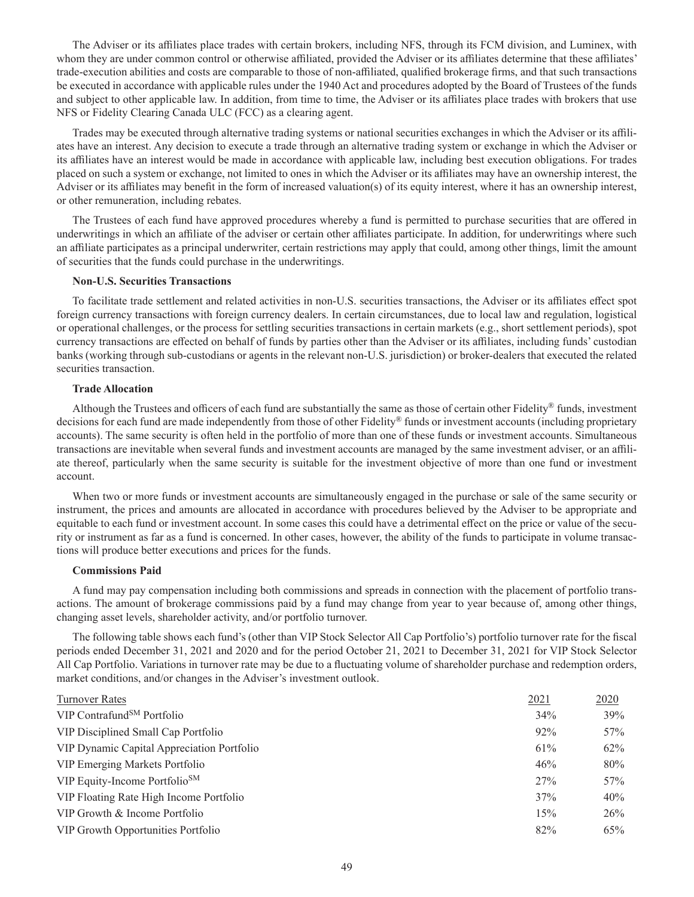The Adviser or its affiliates place trades with certain brokers, including NFS, through its FCM division, and Luminex, with whom they are under common control or otherwise affiliated, provided the Adviser or its affiliates determine that these affiliates' trade-execution abilities and costs are comparable to those of non-affiliated, qualified brokerage firms, and that such transactions be executed in accordance with applicable rules under the 1940 Act and procedures adopted by the Board of Trustees of the funds and subject to other applicable law. In addition, from time to time, the Adviser or its affiliates place trades with brokers that use NFS or Fidelity Clearing Canada ULC (FCC) as a clearing agent.

Trades may be executed through alternative trading systems or national securities exchanges in which the Adviser or its affiliates have an interest. Any decision to execute a trade through an alternative trading system or exchange in which the Adviser or its affiliates have an interest would be made in accordance with applicable law, including best execution obligations. For trades placed on such a system or exchange, not limited to ones in which the Adviser or its affiliates may have an ownership interest, the Adviser or its affiliates may benefit in the form of increased valuation(s) of its equity interest, where it has an ownership interest, or other remuneration, including rebates.

The Trustees of each fund have approved procedures whereby a fund is permitted to purchase securities that are offered in underwritings in which an affiliate of the adviser or certain other affiliates participate. In addition, for underwritings where such an affiliate participates as a principal underwriter, certain restrictions may apply that could, among other things, limit the amount of securities that the funds could purchase in the underwritings.

## **Non-U.S. Securities Transactions**

To facilitate trade settlement and related activities in non-U.S. securities transactions, the Adviser or its affiliates effect spot foreign currency transactions with foreign currency dealers. In certain circumstances, due to local law and regulation, logistical or operational challenges, or the process for settling securities transactions in certain markets (e.g., short settlement periods), spot currency transactions are effected on behalf of funds by parties other than the Adviser or its affiliates, including funds' custodian banks (working through sub-custodians or agents in the relevant non-U.S. jurisdiction) or broker-dealers that executed the related securities transaction.

### **Trade Allocation**

Although the Trustees and officers of each fund are substantially the same as those of certain other Fidelity® funds, investment decisions for each fund are made independently from those of other Fidelity® funds or investment accounts (including proprietary accounts). The same security is often held in the portfolio of more than one of these funds or investment accounts. Simultaneous transactions are inevitable when several funds and investment accounts are managed by the same investment adviser, or an affiliate thereof, particularly when the same security is suitable for the investment objective of more than one fund or investment account.

When two or more funds or investment accounts are simultaneously engaged in the purchase or sale of the same security or instrument, the prices and amounts are allocated in accordance with procedures believed by the Adviser to be appropriate and equitable to each fund or investment account. In some cases this could have a detrimental effect on the price or value of the security or instrument as far as a fund is concerned. In other cases, however, the ability of the funds to participate in volume transactions will produce better executions and prices for the funds.

## **Commissions Paid**

A fund may pay compensation including both commissions and spreads in connection with the placement of portfolio transactions. The amount of brokerage commissions paid by a fund may change from year to year because of, among other things, changing asset levels, shareholder activity, and/or portfolio turnover.

The following table shows each fund's (other than VIP Stock Selector All Cap Portfolio's) portfolio turnover rate for the fiscal periods ended December 31, 2021 and 2020 and for the period October 21, 2021 to December 31, 2021 for VIP Stock Selector All Cap Portfolio. Variations in turnover rate may be due to a fluctuating volume of shareholder purchase and redemption orders, market conditions, and/or changes in the Adviser's investment outlook.

| <b>Turnover Rates</b>                      | 2021 | 2020 |
|--------------------------------------------|------|------|
| VIP Contrafund <sup>SM</sup> Portfolio     | 34%  | 39%  |
| VIP Disciplined Small Cap Portfolio        | 92%  | 57%  |
| VIP Dynamic Capital Appreciation Portfolio | 61%  | 62%  |
| VIP Emerging Markets Portfolio             | 46%  | 80%  |
| VIP Equity-Income Portfolio <sup>SM</sup>  | 27%  | 57%  |
| VIP Floating Rate High Income Portfolio    | 37%  | 40%  |
| VIP Growth & Income Portfolio              | 15%  | 26%  |
| VIP Growth Opportunities Portfolio         | 82%  | 65%  |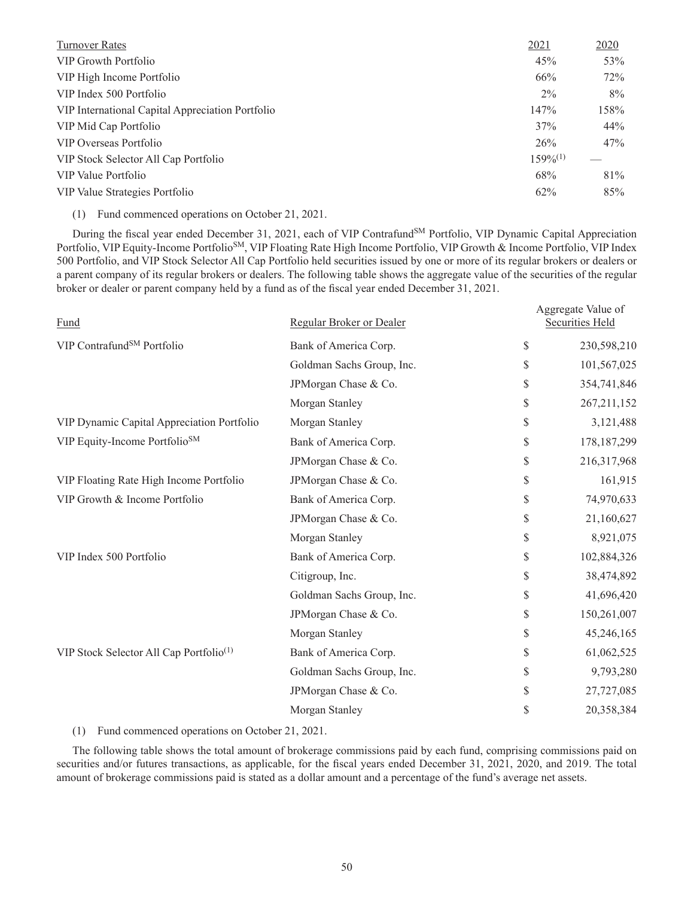| <b>Turnover Rates</b>                            | 2021          | 2020  |
|--------------------------------------------------|---------------|-------|
| VIP Growth Portfolio                             | 45%           | 53%   |
| VIP High Income Portfolio                        | 66%           | 72%   |
| VIP Index 500 Portfolio                          | $2\%$         | $8\%$ |
| VIP International Capital Appreciation Portfolio | 147%          | 158%  |
| VIP Mid Cap Portfolio                            | 37%           | 44%   |
| VIP Overseas Portfolio                           | 26%           | 47%   |
| VIP Stock Selector All Cap Portfolio             | $159\%^{(1)}$ |       |
| VIP Value Portfolio                              | 68%           | 81%   |
| VIP Value Strategies Portfolio                   | $62\%$        | 85%   |

(1) Fund commenced operations on October 21, 2021.

During the fiscal year ended December 31, 2021, each of VIP Contrafund<sup>SM</sup> Portfolio, VIP Dynamic Capital Appreciation Portfolio, VIP Equity-Income Portfolio<sup>SM</sup>, VIP Floating Rate High Income Portfolio, VIP Growth & Income Portfolio, VIP Index 500 Portfolio, and VIP Stock Selector All Cap Portfolio held securities issued by one or more of its regular brokers or dealers or a parent company of its regular brokers or dealers. The following table shows the aggregate value of the securities of the regular broker or dealer or parent company held by a fund as of the fiscal year ended December 31, 2021.

| Regular Broker or Dealer  | Aggregate Value of<br><b>Securities Held</b> |
|---------------------------|----------------------------------------------|
| Bank of America Corp.     | \$<br>230,598,210                            |
| Goldman Sachs Group, Inc. | \$<br>101,567,025                            |
| JPMorgan Chase & Co.      | \$<br>354,741,846                            |
| Morgan Stanley            | \$<br>267, 211, 152                          |
| Morgan Stanley            | \$<br>3,121,488                              |
| Bank of America Corp.     | \$<br>178, 187, 299                          |
| JPMorgan Chase & Co.      | \$<br>216,317,968                            |
| JPMorgan Chase & Co.      | \$<br>161,915                                |
| Bank of America Corp.     | \$<br>74,970,633                             |
| JPMorgan Chase & Co.      | \$<br>21,160,627                             |
| Morgan Stanley            | \$<br>8,921,075                              |
| Bank of America Corp.     | \$<br>102,884,326                            |
| Citigroup, Inc.           | \$<br>38,474,892                             |
| Goldman Sachs Group, Inc. | \$<br>41,696,420                             |
| JPMorgan Chase & Co.      | \$<br>150,261,007                            |
| Morgan Stanley            | \$<br>45,246,165                             |
| Bank of America Corp.     | \$<br>61,062,525                             |
| Goldman Sachs Group, Inc. | \$<br>9,793,280                              |
| JPMorgan Chase & Co.      | \$<br>27,727,085                             |
| Morgan Stanley            | \$<br>20,358,384                             |
|                           |                                              |

(1) Fund commenced operations on October 21, 2021.

The following table shows the total amount of brokerage commissions paid by each fund, comprising commissions paid on securities and/or futures transactions, as applicable, for the fiscal years ended December 31, 2021, 2020, and 2019. The total amount of brokerage commissions paid is stated as a dollar amount and a percentage of the fund's average net assets.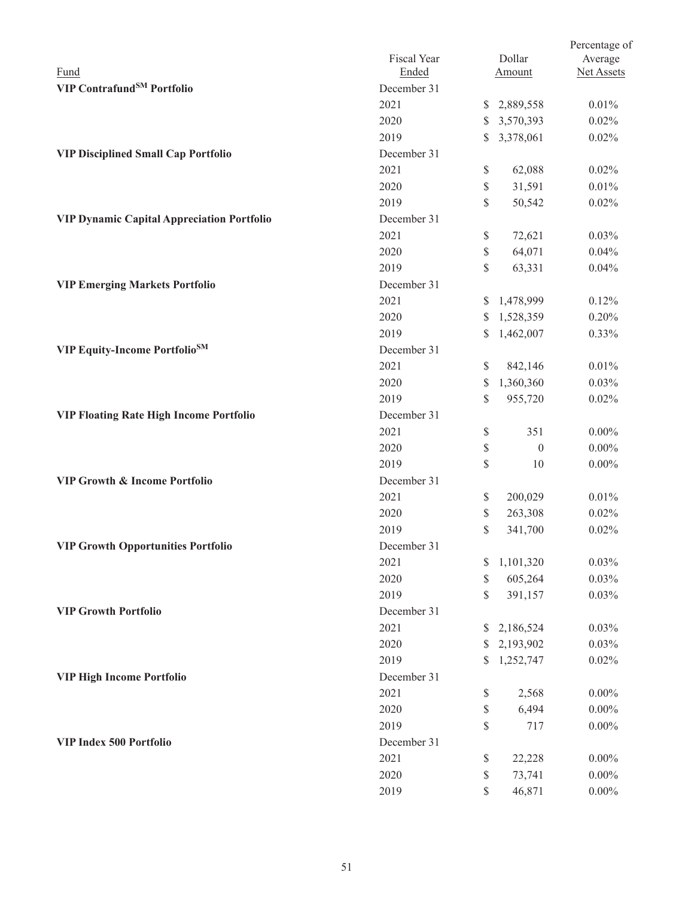|                                                   |             |    |                  | Percentage of |
|---------------------------------------------------|-------------|----|------------------|---------------|
|                                                   | Fiscal Year |    | Dollar           | Average       |
| Fund                                              | Ended       |    | Amount           | Net Assets    |
| VIP Contrafund <sup>SM</sup> Portfolio            | December 31 |    |                  |               |
|                                                   | 2021        |    | \$2,889,558      | 0.01%         |
|                                                   | 2020        | \$ | 3,570,393        | 0.02%         |
|                                                   | 2019        | \$ | 3,378,061        | 0.02%         |
| <b>VIP Disciplined Small Cap Portfolio</b>        | December 31 |    |                  |               |
|                                                   | 2021        | \$ | 62,088           | 0.02%         |
|                                                   | 2020        | \$ | 31,591           | 0.01%         |
|                                                   | 2019        | \$ | 50,542           | 0.02%         |
| <b>VIP Dynamic Capital Appreciation Portfolio</b> | December 31 |    |                  |               |
|                                                   | 2021        | \$ | 72,621           | 0.03%         |
|                                                   | 2020        | \$ | 64,071           | 0.04%         |
|                                                   | 2019        | \$ | 63,331           | 0.04%         |
| <b>VIP Emerging Markets Portfolio</b>             | December 31 |    |                  |               |
|                                                   | 2021        | \$ | 1,478,999        | 0.12%         |
|                                                   | 2020        | \$ | 1,528,359        | 0.20%         |
|                                                   | 2019        | \$ | 1,462,007        | 0.33%         |
| <b>VIP Equity-Income Portfolio</b> SM             | December 31 |    |                  |               |
|                                                   | 2021        | \$ | 842,146          | 0.01%         |
|                                                   | 2020        | \$ | 1,360,360        | 0.03%         |
|                                                   | 2019        | \$ | 955,720          | 0.02%         |
| <b>VIP Floating Rate High Income Portfolio</b>    | December 31 |    |                  |               |
|                                                   | 2021        | \$ | 351              | $0.00\%$      |
|                                                   | 2020        | \$ | $\boldsymbol{0}$ | $0.00\%$      |
|                                                   | 2019        | \$ | 10               | $0.00\%$      |
| <b>VIP Growth &amp; Income Portfolio</b>          | December 31 |    |                  |               |
|                                                   | 2021        | \$ | 200,029          | 0.01%         |
|                                                   | 2020        | \$ | 263,308          | 0.02%         |
|                                                   | 2019        | \$ | 341,700          | 0.02%         |
| <b>VIP Growth Opportunities Portfolio</b>         | December 31 |    |                  |               |
|                                                   | 2021        | S. | 1,101,320        | 0.03%         |
|                                                   | 2020        | \$ | 605,264          | 0.03%         |
|                                                   | 2019        | \$ | 391,157          | 0.03%         |
| <b>VIP Growth Portfolio</b>                       | December 31 |    |                  |               |
|                                                   | 2021        | S. | 2,186,524        | 0.03%         |
|                                                   | 2020        | \$ | 2,193,902        | 0.03%         |
|                                                   | 2019        | \$ | 1,252,747        | 0.02%         |
| <b>VIP High Income Portfolio</b>                  | December 31 |    |                  |               |
|                                                   | 2021        | \$ | 2,568            | $0.00\%$      |
|                                                   | 2020        | \$ | 6,494            | $0.00\%$      |
|                                                   | 2019        | \$ | 717              | $0.00\%$      |
| VIP Index 500 Portfolio                           | December 31 |    |                  |               |
|                                                   | 2021        |    |                  | $0.00\%$      |
|                                                   | 2020        | \$ | 22,228<br>73,741 |               |
|                                                   |             | \$ |                  | $0.00\%$      |
|                                                   | 2019        | \$ | 46,871           | $0.00\%$      |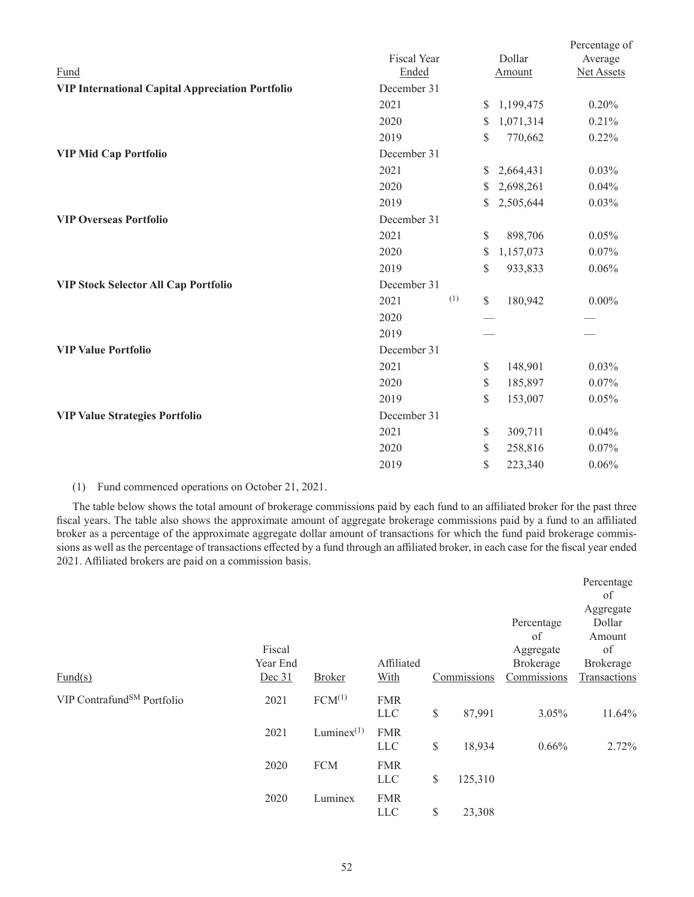|                                                         |             |               |           | Percentage of |
|---------------------------------------------------------|-------------|---------------|-----------|---------------|
|                                                         | Fiscal Year |               | Dollar    | Average       |
| Fund                                                    | Ended       |               | Amount    | Net Assets    |
| <b>VIP International Capital Appreciation Portfolio</b> | December 31 |               |           |               |
|                                                         | 2021        | <sup>S</sup>  | 1,199,475 | 0.20%         |
|                                                         | 2020        | \$            | 1,071,314 | 0.21%         |
|                                                         | 2019        | \$            | 770,662   | 0.22%         |
| <b>VIP Mid Cap Portfolio</b>                            | December 31 |               |           |               |
|                                                         | 2021        | \$            | 2,664,431 | 0.03%         |
|                                                         | 2020        | S             | 2,698,261 | 0.04%         |
|                                                         | 2019        | \$            | 2,505,644 | 0.03%         |
| <b>VIP Overseas Portfolio</b>                           | December 31 |               |           |               |
|                                                         | 2021        | $\mathbb{S}$  | 898,706   | 0.05%         |
|                                                         | 2020        | \$            | 1,157,073 | 0.07%         |
|                                                         | 2019        | \$            | 933,833   | 0.06%         |
| <b>VIP Stock Selector All Cap Portfolio</b>             | December 31 |               |           |               |
|                                                         | (1)<br>2021 | $\mathcal{S}$ | 180,942   | $0.00\%$      |
|                                                         | 2020        |               |           |               |
|                                                         | 2019        |               |           |               |
| <b>VIP Value Portfolio</b>                              | December 31 |               |           |               |
|                                                         | 2021        | $\mathbb{S}$  | 148,901   | 0.03%         |
|                                                         | 2020        | \$            | 185,897   | 0.07%         |
|                                                         | 2019        | \$            | 153,007   | 0.05%         |
| <b>VIP Value Strategies Portfolio</b>                   | December 31 |               |           |               |
|                                                         | 2021        | $\mathbb{S}$  | 309,711   | 0.04%         |
|                                                         | 2020        | \$            | 258,816   | 0.07%         |
|                                                         | 2019        | \$            | 223,340   | 0.06%         |
|                                                         |             |               |           |               |

# (1) Fund commenced operations on October 21, 2021.

The table below shows the total amount of brokerage commissions paid by each fund to an affiliated broker for the past three fiscal years. The table also shows the approximate amount of aggregate brokerage commissions paid by a fund to an affiliated broker as a percentage of the approximate aggregate dollar amount of transactions for which the fund paid brokerage commissions as well as the percentage of transactions effected by a fund through an affiliated broker, in each case for the fiscal year ended 2021. Affiliated brokers are paid on a commission basis.

|                                        |                    |                    |                          |               |                               | Percentage<br>of                    |
|----------------------------------------|--------------------|--------------------|--------------------------|---------------|-------------------------------|-------------------------------------|
|                                        | Fiscal<br>Year End |                    | Affiliated               |               | Percentage<br>of<br>Aggregate | Aggregate<br>Dollar<br>Amount<br>of |
| $\text{Fund}(s)$                       | Dec 31             | <b>Broker</b>      | With                     | Commissions   | Brokerage<br>Commissions      | Brokerage<br>Transactions           |
| VIP Contrafund <sup>SM</sup> Portfolio | 2021               | FCM <sup>(1)</sup> | <b>FMR</b><br><b>LLC</b> | \$<br>87,991  | 3.05%                         | 11.64%                              |
|                                        | 2021               | Lumine $x^{(1)}$   | <b>FMR</b><br><b>LLC</b> | \$<br>18,934  | 0.66%                         | 2.72%                               |
|                                        | 2020               | <b>FCM</b>         | <b>FMR</b><br><b>LLC</b> | \$<br>125,310 |                               |                                     |
|                                        | 2020               | Luminex            | <b>FMR</b><br><b>LLC</b> | \$<br>23,308  |                               |                                     |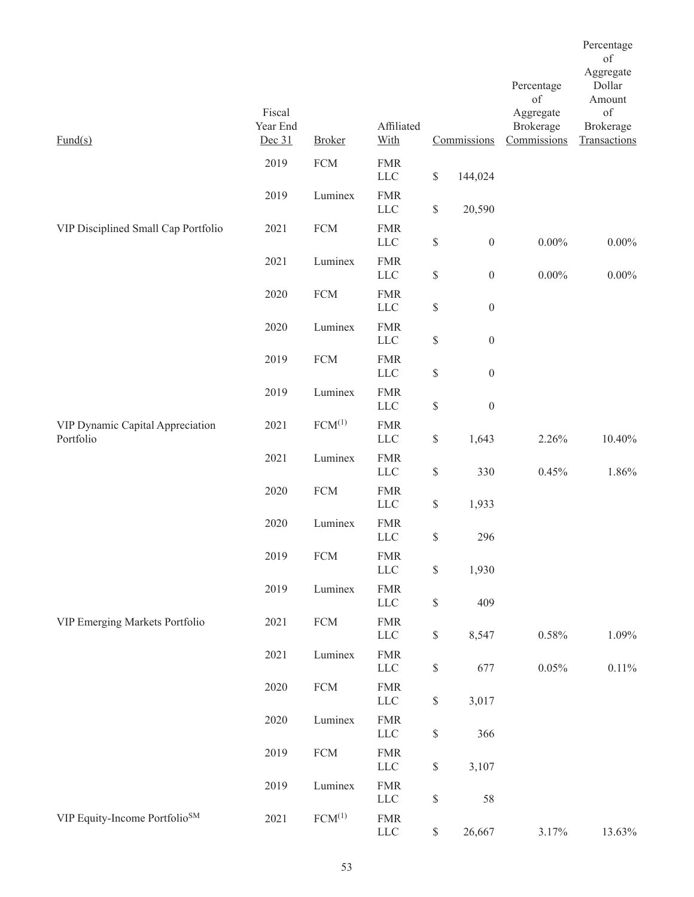| $\text{Fund}(s)$                              | Fiscal<br>Year End<br>Dec 31 | <b>Broker</b> | Affiliated<br>With         |                                                                       | Commissions      | Percentage<br>of<br>Aggregate<br>Brokerage<br>Commissions | of<br>Aggregate<br>Dollar<br>Amount<br>of<br>Brokerage<br>Transactions |
|-----------------------------------------------|------------------------------|---------------|----------------------------|-----------------------------------------------------------------------|------------------|-----------------------------------------------------------|------------------------------------------------------------------------|
|                                               | 2019                         | <b>FCM</b>    | <b>FMR</b><br>${\rm LLC}$  | $\mathbb{S}$                                                          | 144,024          |                                                           |                                                                        |
|                                               | 2019                         | Luminex       | <b>FMR</b><br>${\rm LLC}$  | $\mathbb{S}$                                                          | 20,590           |                                                           |                                                                        |
| VIP Disciplined Small Cap Portfolio           | 2021                         | <b>FCM</b>    | <b>FMR</b><br><b>LLC</b>   | \$                                                                    | $\boldsymbol{0}$ | $0.00\%$                                                  | $0.00\%$                                                               |
|                                               | 2021                         | Luminex       | <b>FMR</b><br>LLC          | $\mathbb{S}% _{t}\left( t\right) \equiv\mathbb{S}_{t}\left( t\right)$ | $\boldsymbol{0}$ | $0.00\%$                                                  | $0.00\%$                                                               |
|                                               | 2020                         | ${\rm FCM}$   | <b>FMR</b><br><b>LLC</b>   | $\mathbb{S}% _{t}\left( t\right) \equiv\mathbb{S}_{t}\left( t\right)$ | $\boldsymbol{0}$ |                                                           |                                                                        |
|                                               | 2020                         | Luminex       | <b>FMR</b><br><b>LLC</b>   | $\mathbb{S}$                                                          | $\boldsymbol{0}$ |                                                           |                                                                        |
|                                               | 2019                         | <b>FCM</b>    | <b>FMR</b><br>${\rm LLC}$  | $\mathbb{S}% _{t}\left( t\right) \equiv\mathbb{S}_{t}\left( t\right)$ | $\boldsymbol{0}$ |                                                           |                                                                        |
|                                               | 2019                         | Luminex       | <b>FMR</b><br><b>LLC</b>   | $\mathbb{S}% _{t}\left( t\right) \equiv\mathbb{S}_{t}\left( t\right)$ | $\boldsymbol{0}$ |                                                           |                                                                        |
| VIP Dynamic Capital Appreciation<br>Portfolio | 2021                         | $FCM^{(1)}$   | <b>FMR</b><br>${\rm LLC}$  | \$                                                                    | 1,643            | 2.26%                                                     | 10.40%                                                                 |
|                                               | 2021                         | Luminex       | <b>FMR</b><br><b>LLC</b>   | $\mathbb{S}$                                                          | 330              | 0.45%                                                     | 1.86%                                                                  |
|                                               | 2020                         | ${\rm FCM}$   | <b>FMR</b><br><b>LLC</b>   | \$                                                                    | 1,933            |                                                           |                                                                        |
|                                               | 2020                         | Luminex       | <b>FMR</b><br>${\rm LLC}$  | \$                                                                    | 296              |                                                           |                                                                        |
|                                               | 2019                         | <b>FCM</b>    | <b>FMR</b><br><b>LLC</b>   | $\$$                                                                  | 1,930            |                                                           |                                                                        |
|                                               | 2019                         | Luminex       | ${\rm FMR}$<br>${\rm LLC}$ | $\mathbb{S}$                                                          | 409              |                                                           |                                                                        |
| VIP Emerging Markets Portfolio                | 2021                         | ${\rm FCM}$   | ${\rm FMR}$<br>${\rm LLC}$ | \$                                                                    | 8,547            | $0.58\%$                                                  | 1.09%                                                                  |
|                                               | 2021                         | Luminex       | <b>FMR</b><br>${\rm LLC}$  | $\mathbb S$                                                           | 677              | 0.05%                                                     | $0.11\%$                                                               |
|                                               | 2020                         | ${\rm FCM}$   | ${\rm FMR}$<br>${\rm LLC}$ | $\mathbb{S}$                                                          | 3,017            |                                                           |                                                                        |
|                                               | 2020                         | Luminex       | ${\rm FMR}$<br>${\rm LLC}$ | \$                                                                    | 366              |                                                           |                                                                        |
|                                               | 2019                         | ${\rm FCM}$   | <b>FMR</b><br>${\rm LLC}$  | $\mathbb{S}$                                                          | 3,107            |                                                           |                                                                        |
|                                               | 2019                         | Luminex       | <b>FMR</b><br>${\rm LLC}$  | \$                                                                    | 58               |                                                           |                                                                        |
| VIP Equity-Income Portfolio <sup>SM</sup>     | 2021                         | $FCM^{(1)}$   | ${\rm FMR}$<br>${\rm LLC}$ | $\mathbb{S}$                                                          | 26,667           | 3.17%                                                     | 13.63%                                                                 |

Percentage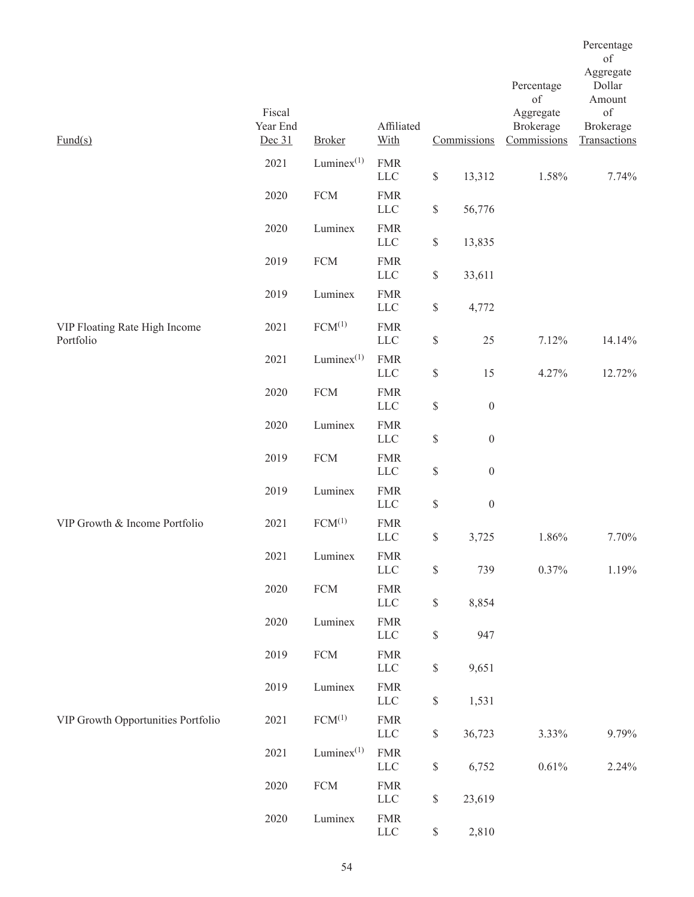| $\text{Fund}(s)$                           | Fiscal<br>Year End<br>Dec 31 | <b>Broker</b>      | Affiliated<br>With         |                                                                       | Commissions      | Percentage<br>of<br>Aggregate<br>Brokerage<br>Commissions | Percentage<br>of<br>Aggregate<br>Dollar<br>Amount<br>of<br><b>Brokerage</b><br>Transactions |
|--------------------------------------------|------------------------------|--------------------|----------------------------|-----------------------------------------------------------------------|------------------|-----------------------------------------------------------|---------------------------------------------------------------------------------------------|
|                                            | 2021                         | Lumine $x^{(1)}$   | <b>FMR</b><br><b>LLC</b>   | $\mathbb{S}% _{n}^{X\rightarrow\mathbb{R}}$                           | 13,312           | 1.58%                                                     | 7.74%                                                                                       |
|                                            | 2020                         | ${\rm FCM}$        | <b>FMR</b><br><b>LLC</b>   | $\$$                                                                  | 56,776           |                                                           |                                                                                             |
|                                            | 2020                         | Luminex            | <b>FMR</b><br><b>LLC</b>   | $\mathbb{S}% _{n}^{X\rightarrow\mathbb{R}}$                           | 13,835           |                                                           |                                                                                             |
|                                            | 2019                         | <b>FCM</b>         | <b>FMR</b><br><b>LLC</b>   | $\mathbb{S}$                                                          | 33,611           |                                                           |                                                                                             |
|                                            | 2019                         | Luminex            | <b>FMR</b><br><b>LLC</b>   | $\mathbb{S}% _{n}^{X\rightarrow\mathbb{R}}$                           | 4,772            |                                                           |                                                                                             |
| VIP Floating Rate High Income<br>Portfolio | 2021                         | $FCM^{(1)}$        | <b>FMR</b><br>${\rm LLC}$  | $\$$                                                                  | 25               | 7.12%                                                     | 14.14%                                                                                      |
|                                            | 2021                         | Lumine $x^{(1)}$   | <b>FMR</b><br><b>LLC</b>   | $\$$                                                                  | 15               | 4.27%                                                     | 12.72%                                                                                      |
|                                            | 2020                         | ${\rm FCM}$        | <b>FMR</b><br>$LLC$        | $\mathbb{S}% _{n}^{X\rightarrow\mathbb{R}}$                           | $\boldsymbol{0}$ |                                                           |                                                                                             |
|                                            | 2020                         | Luminex            | <b>FMR</b><br>$LLC$        | $\$$                                                                  | $\boldsymbol{0}$ |                                                           |                                                                                             |
|                                            | 2019                         | ${\rm FCM}$        | <b>FMR</b><br>${\rm LLC}$  | $\$$                                                                  | $\boldsymbol{0}$ |                                                           |                                                                                             |
|                                            | 2019                         | Luminex            | <b>FMR</b><br><b>LLC</b>   | $\$$                                                                  | $\boldsymbol{0}$ |                                                           |                                                                                             |
| VIP Growth & Income Portfolio              | 2021                         | FCM <sup>(1)</sup> | <b>FMR</b><br>$LLC$        | $\$$                                                                  | 3,725            | 1.86%                                                     | 7.70%                                                                                       |
|                                            | 2021                         | Luminex            | ${\rm FMR}$<br>$LLC$       | $\mathbb{S}% _{n}^{X\rightarrow\mathbb{R}}$                           | 739              | 0.37%                                                     | 1.19%                                                                                       |
|                                            | 2020                         | ${\rm FCM}$        | ${\rm FMR}$<br>${\rm LLC}$ | $\mathbb{S}% _{t}\left( t\right) \equiv\mathbb{S}_{t}\left( t\right)$ | 8,854            |                                                           |                                                                                             |
|                                            | 2020                         | Luminex            | <b>FMR</b><br>${\rm LLC}$  | $\mathbb{S}$                                                          | 947              |                                                           |                                                                                             |
|                                            | 2019                         | ${\rm FCM}$        | ${\rm FMR}$<br>${\rm LLC}$ | $\mathbb{S}% _{n}^{X\rightarrow\mathbb{R}}$                           | 9,651            |                                                           |                                                                                             |
|                                            | 2019                         | Luminex            | <b>FMR</b><br>${\rm LLC}$  | $\mathbb{S}$                                                          | 1,531            |                                                           |                                                                                             |
| VIP Growth Opportunities Portfolio         | 2021                         | $FCM^{(1)}$        | <b>FMR</b><br>LLC          | $\mathbb{S}% _{n}^{X\rightarrow\mathbb{R}}$                           | 36,723           | 3.33%                                                     | 9.79%                                                                                       |
|                                            | 2021                         | Lumine $x^{(1)}$   | ${\rm FMR}$<br>${\rm LLC}$ | $\mathbb{S}$                                                          | 6,752            | $0.61\%$                                                  | 2.24%                                                                                       |
|                                            | 2020                         | ${\rm FCM}$        | <b>FMR</b><br>${\rm LLC}$  | $\mathbb{S}% _{n}^{X\rightarrow\mathbb{R}}$                           | 23,619           |                                                           |                                                                                             |
|                                            | 2020                         | Luminex            | ${\rm FMR}$<br>${\rm LLC}$ | \$                                                                    | 2,810            |                                                           |                                                                                             |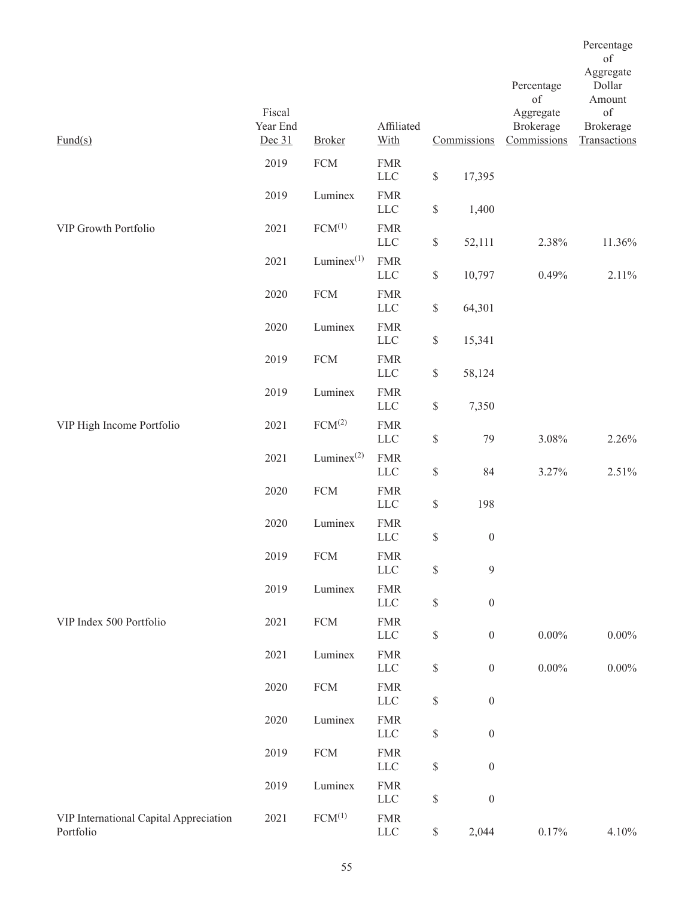|                                                     |                              |                    |                            |             |                  |                                              | Percentage<br>of                |
|-----------------------------------------------------|------------------------------|--------------------|----------------------------|-------------|------------------|----------------------------------------------|---------------------------------|
|                                                     |                              |                    |                            |             |                  | Percentage<br>of                             | Aggregate<br>Dollar<br>Amount   |
| $\text{Fund}(s)$                                    | Fiscal<br>Year End<br>Dec 31 | <b>Broker</b>      | Affiliated<br>With         |             | Commissions      | Aggregate<br><b>Brokerage</b><br>Commissions | of<br>Brokerage<br>Transactions |
|                                                     | 2019                         | ${\rm FCM}$        | <b>FMR</b><br>${\rm LLC}$  | $\$$        | 17,395           |                                              |                                 |
|                                                     | 2019                         | Luminex            | <b>FMR</b><br>$LLC$        | \$          | 1,400            |                                              |                                 |
| VIP Growth Portfolio                                | 2021                         | $FCM^{(1)}$        | <b>FMR</b><br>${\rm LLC}$  | $\$$        | 52,111           | 2.38%                                        | 11.36%                          |
|                                                     | 2021                         | Lumine $x^{(1)}$   | <b>FMR</b><br><b>LLC</b>   | \$          | 10,797           | 0.49%                                        | 2.11%                           |
|                                                     | 2020                         | ${\rm FCM}$        | <b>FMR</b><br>$LLC$        | \$          | 64,301           |                                              |                                 |
|                                                     | 2020                         | Luminex            | <b>FMR</b><br>$LLC$        | \$          | 15,341           |                                              |                                 |
|                                                     | 2019                         | ${\rm FCM}$        | <b>FMR</b><br><b>LLC</b>   | \$          | 58,124           |                                              |                                 |
|                                                     | 2019                         | Luminex            | <b>FMR</b><br><b>LLC</b>   | \$          | 7,350            |                                              |                                 |
| VIP High Income Portfolio                           | 2021                         | FCM <sup>(2)</sup> | <b>FMR</b><br><b>LLC</b>   | \$          | 79               | 3.08%                                        | 2.26%                           |
|                                                     | 2021                         | Lumine $x^{(2)}$   | <b>FMR</b><br><b>LLC</b>   | \$          | 84               | 3.27%                                        | 2.51%                           |
|                                                     | 2020                         | <b>FCM</b>         | <b>FMR</b><br><b>LLC</b>   | \$          | 198              |                                              |                                 |
|                                                     | 2020                         | Luminex            | <b>FMR</b><br><b>LLC</b>   | \$          | $\boldsymbol{0}$ |                                              |                                 |
|                                                     | 2019                         | ${\rm FCM}$        | <b>FMR</b><br>$LLC$        | \$          | $\mathfrak{g}$   |                                              |                                 |
|                                                     | 2019                         | Luminex            | <b>FMR</b><br><b>LLC</b>   | \$          | $\boldsymbol{0}$ |                                              |                                 |
| VIP Index 500 Portfolio                             | 2021                         | ${\rm FCM}$        | <b>FMR</b><br>$LLC$        | \$          | $\boldsymbol{0}$ | $0.00\%$                                     | $0.00\%$                        |
|                                                     | 2021                         | Luminex            | <b>FMR</b><br>$LLC$        | \$          | $\boldsymbol{0}$ | $0.00\%$                                     | 0.00%                           |
|                                                     | 2020                         | ${\rm FCM}$        | ${\rm FMR}$<br><b>LLC</b>  | \$          | $\boldsymbol{0}$ |                                              |                                 |
|                                                     | 2020                         | Luminex            | <b>FMR</b><br>$LLC$        | \$          | $\boldsymbol{0}$ |                                              |                                 |
|                                                     | 2019                         | ${\rm FCM}$        | <b>FMR</b><br><b>LLC</b>   | \$          | $\boldsymbol{0}$ |                                              |                                 |
|                                                     | 2019                         | Luminex            | <b>FMR</b><br><b>LLC</b>   | \$          | $\boldsymbol{0}$ |                                              |                                 |
| VIP International Capital Appreciation<br>Portfolio | 2021                         | FCM <sup>(1)</sup> | ${\rm FMR}$<br>${\rm LLC}$ | $\mathbb S$ | 2,044            | $0.17\%$                                     | 4.10%                           |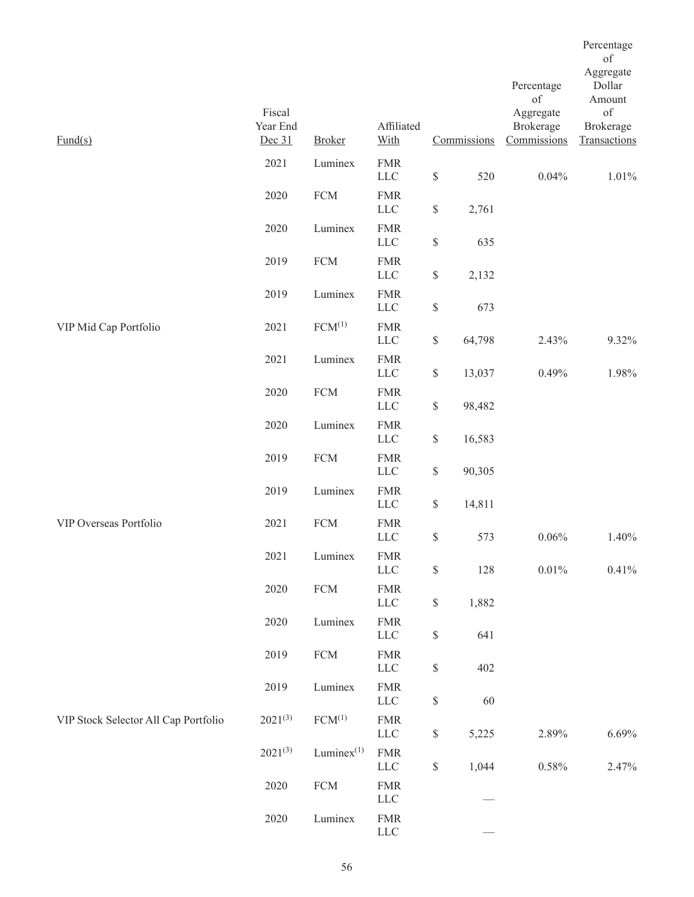| $\text{Fund}(s)$                     | Fiscal<br>Year End<br>Dec 31 | <b>Broker</b>      | Affiliated<br>With         |                                                                       | Commissions | Percentage<br>of<br>Aggregate<br>Brokerage<br>Commissions | Percentage<br>of<br>Aggregate<br>Dollar<br>Amount<br>of<br><b>Brokerage</b><br>Transactions |
|--------------------------------------|------------------------------|--------------------|----------------------------|-----------------------------------------------------------------------|-------------|-----------------------------------------------------------|---------------------------------------------------------------------------------------------|
|                                      | 2021                         | Luminex            | <b>FMR</b><br>${\rm LLC}$  | $\mathbb{S}$                                                          | 520         | 0.04%                                                     | 1.01%                                                                                       |
|                                      | 2020                         | ${\rm FCM}$        | <b>FMR</b><br><b>LLC</b>   | $\mathbb{S}% _{n}^{X\rightarrow\mathbb{R}}$                           | 2,761       |                                                           |                                                                                             |
|                                      | 2020                         | Luminex            | <b>FMR</b><br><b>LLC</b>   | $\mathbb{S}% _{n}^{X\rightarrow\mathbb{R}}$                           | 635         |                                                           |                                                                                             |
|                                      | 2019                         | <b>FCM</b>         | <b>FMR</b><br><b>LLC</b>   | $\mathbb{S}$                                                          | 2,132       |                                                           |                                                                                             |
|                                      | 2019                         | Luminex            | <b>FMR</b><br>${\rm LLC}$  | $\$$                                                                  | 673         |                                                           |                                                                                             |
| VIP Mid Cap Portfolio                | 2021                         | $FCM^{(1)}$        | <b>FMR</b><br>$LLC$        | $\mathbb{S}$                                                          | 64,798      | 2.43%                                                     | 9.32%                                                                                       |
|                                      | 2021                         | Luminex            | <b>FMR</b><br><b>LLC</b>   | $\$$                                                                  | 13,037      | 0.49%                                                     | 1.98%                                                                                       |
|                                      | 2020                         | ${\rm FCM}$        | <b>FMR</b><br>${\rm LLC}$  | $\mathbb{S}% _{n}^{X\rightarrow\mathbb{R}}$                           | 98,482      |                                                           |                                                                                             |
|                                      | 2020                         | Luminex            | <b>FMR</b><br>$LLC$        | $\mathbb{S}$                                                          | 16,583      |                                                           |                                                                                             |
|                                      | 2019                         | ${\rm FCM}$        | <b>FMR</b><br><b>LLC</b>   | $\$$                                                                  | 90,305      |                                                           |                                                                                             |
|                                      | 2019                         | Luminex            | <b>FMR</b><br><b>LLC</b>   | $\mathbb{S}$                                                          | 14,811      |                                                           |                                                                                             |
| VIP Overseas Portfolio               | 2021                         | ${\rm FCM}$        | <b>FMR</b><br>$LLC$        | $\$$                                                                  | 573         | 0.06%                                                     | 1.40%                                                                                       |
|                                      | 2021                         | Luminex            | <b>FMR</b><br>LLC          | $\mathbb{S}% _{n}^{X\rightarrow\mathbb{R}}$                           | 128         | $0.01\%$                                                  | 0.41%                                                                                       |
|                                      | 2020                         | ${\rm FCM}$        | ${\rm FMR}$<br>${\rm LLC}$ | $\mathbb{S}% _{t}\left( t\right) \equiv\mathbb{S}_{t}\left( t\right)$ | 1,882       |                                                           |                                                                                             |
|                                      | 2020                         | Luminex            | <b>FMR</b><br>${\rm LLC}$  | $\mathbb{S}% _{t}\left( t\right) \equiv\mathbb{S}_{t}\left( t\right)$ | 641         |                                                           |                                                                                             |
|                                      | 2019                         | ${\rm FCM}$        | <b>FMR</b><br>${\rm LLC}$  | \$                                                                    | 402         |                                                           |                                                                                             |
|                                      | 2019                         | Luminex            | ${\rm FMR}$<br>${\rm LLC}$ | $\mathbb{S}% _{n}^{X\rightarrow\mathbb{R}}$                           | 60          |                                                           |                                                                                             |
| VIP Stock Selector All Cap Portfolio | $2021^{(3)}$                 | FCM <sup>(1)</sup> | <b>FMR</b><br>LLC          | $\mathbb{S}% _{n}^{X\rightarrow\mathbb{R}}$                           | 5,225       | 2.89%                                                     | 6.69%                                                                                       |
|                                      | $2021^{(3)}$                 | Lumine $x^{(1)}$   | <b>FMR</b><br>${\rm LLC}$  | $\mathbb{S}$                                                          | 1,044       | $0.58\%$                                                  | 2.47%                                                                                       |
|                                      | 2020                         | ${\rm FCM}$        | <b>FMR</b><br>${\rm LLC}$  |                                                                       |             |                                                           |                                                                                             |
|                                      | 2020                         | Luminex            | ${\rm FMR}$<br>${\rm LLC}$ |                                                                       |             |                                                           |                                                                                             |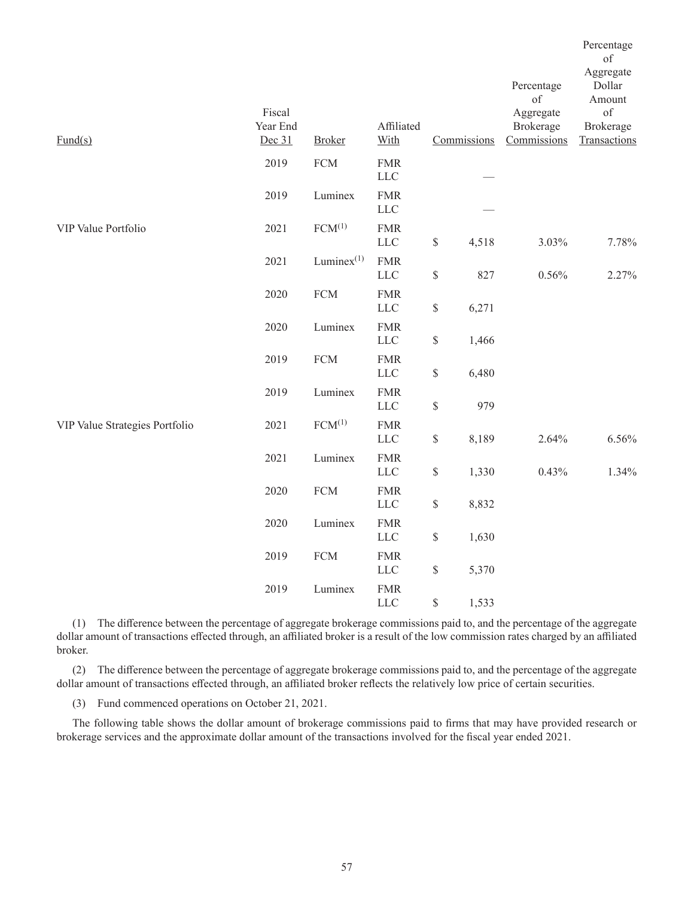|                                |                              |                     |                           |              |             |                                                           | Percentage<br>of                                                 |
|--------------------------------|------------------------------|---------------------|---------------------------|--------------|-------------|-----------------------------------------------------------|------------------------------------------------------------------|
| $\text{Fund}(s)$               | Fiscal<br>Year End<br>Dec 31 | <b>Broker</b>       | Affiliated<br>With        |              | Commissions | Percentage<br>of<br>Aggregate<br>Brokerage<br>Commissions | Aggregate<br>Dollar<br>Amount<br>of<br>Brokerage<br>Transactions |
|                                |                              |                     |                           |              |             |                                                           |                                                                  |
|                                | 2019                         | ${\rm FCM}$         | <b>FMR</b><br>${\rm LLC}$ |              |             |                                                           |                                                                  |
|                                | 2019                         | Luminex             | <b>FMR</b><br><b>LLC</b>  |              |             |                                                           |                                                                  |
| VIP Value Portfolio            | 2021                         | $FCM^{(1)}$         | <b>FMR</b><br>${\rm LLC}$ | $\mathbb{S}$ | 4,518       | 3.03%                                                     | 7.78%                                                            |
|                                | 2021                         | $L$ umine $x^{(1)}$ | <b>FMR</b><br><b>LLC</b>  | \$           | 827         | 0.56%                                                     | 2.27%                                                            |
|                                | 2020                         | ${\rm FCM}$         | <b>FMR</b><br>${\rm LLC}$ | \$           | 6,271       |                                                           |                                                                  |
|                                | 2020                         | Luminex             | <b>FMR</b><br><b>LLC</b>  | \$           | 1,466       |                                                           |                                                                  |
|                                | 2019                         | ${\rm FCM}$         | <b>FMR</b><br><b>LLC</b>  | \$           | 6,480       |                                                           |                                                                  |
|                                | 2019                         | Luminex             | ${\rm FMR}$<br>$LLC$      | $\mathbb{S}$ | 979         |                                                           |                                                                  |
| VIP Value Strategies Portfolio | 2021                         | $FCM^{(1)}$         | <b>FMR</b><br>${\rm LLC}$ | $\mathbb{S}$ | 8,189       | 2.64%                                                     | 6.56%                                                            |
|                                | 2021                         | Luminex             | <b>FMR</b><br>$LLC$       | \$           | 1,330       | 0.43%                                                     | 1.34%                                                            |
|                                | 2020                         | ${\rm FCM}$         | <b>FMR</b><br><b>LLC</b>  | \$           | 8,832       |                                                           |                                                                  |
|                                | 2020                         | Luminex             | <b>FMR</b><br>${\rm LLC}$ | \$           | 1,630       |                                                           |                                                                  |
|                                | 2019                         | ${\rm FCM}$         | <b>FMR</b><br>$LLC$       | \$           | 5,370       |                                                           |                                                                  |
|                                | 2019                         | Luminex             | <b>FMR</b><br>${\rm LLC}$ | \$           | 1,533       |                                                           |                                                                  |

(1) The difference between the percentage of aggregate brokerage commissions paid to, and the percentage of the aggregate dollar amount of transactions effected through, an affiliated broker is a result of the low commission rates charged by an affiliated broker.

(2) The difference between the percentage of aggregate brokerage commissions paid to, and the percentage of the aggregate dollar amount of transactions effected through, an affiliated broker reflects the relatively low price of certain securities.

(3) Fund commenced operations on October 21, 2021.

The following table shows the dollar amount of brokerage commissions paid to firms that may have provided research or brokerage services and the approximate dollar amount of the transactions involved for the fiscal year ended 2021.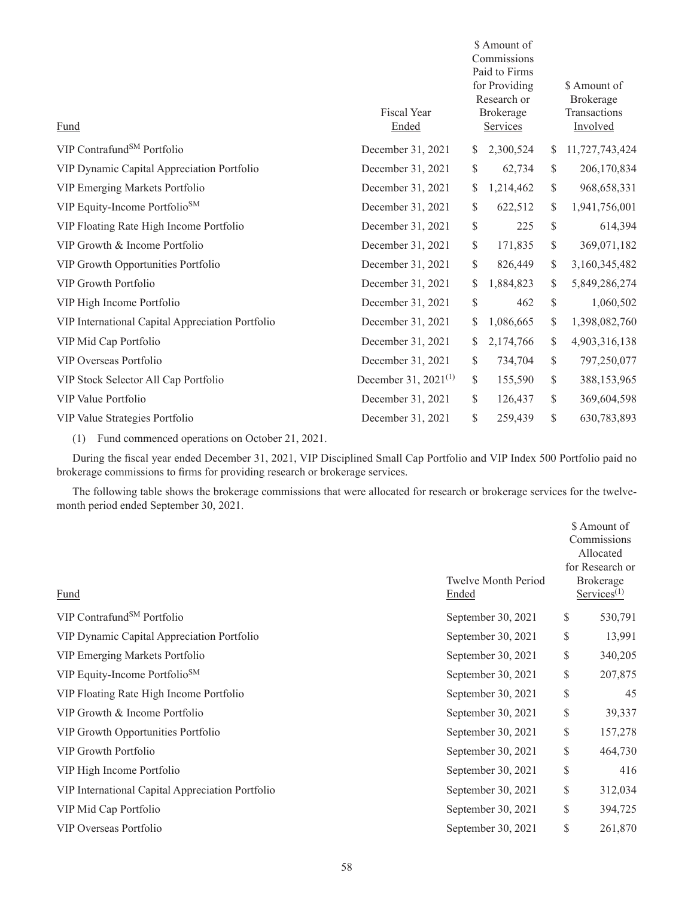| Fund                                             | <b>Fiscal Year</b><br>Ended | \$ Amount of<br>Commissions<br>Paid to Firms<br>for Providing<br>Research or<br>Brokerage<br>Services |           |    | \$ Amount of<br>Brokerage<br>Transactions<br>Involved |
|--------------------------------------------------|-----------------------------|-------------------------------------------------------------------------------------------------------|-----------|----|-------------------------------------------------------|
| VIP Contrafund <sup>SM</sup> Portfolio           | December 31, 2021           | S.                                                                                                    | 2,300,524 | \$ | 11,727,743,424                                        |
| VIP Dynamic Capital Appreciation Portfolio       | December 31, 2021           | \$                                                                                                    | 62,734    | \$ | 206,170,834                                           |
| VIP Emerging Markets Portfolio                   | December 31, 2021           | \$                                                                                                    | 1,214,462 | \$ | 968, 658, 331                                         |
| VIP Equity-Income Portfolio <sup>SM</sup>        | December 31, 2021           | \$                                                                                                    | 622,512   | \$ | 1,941,756,001                                         |
| VIP Floating Rate High Income Portfolio          | December 31, 2021           | \$                                                                                                    | 225       | \$ | 614,394                                               |
| VIP Growth & Income Portfolio                    | December 31, 2021           | \$                                                                                                    | 171,835   | \$ | 369,071,182                                           |
| VIP Growth Opportunities Portfolio               | December 31, 2021           | \$                                                                                                    | 826,449   | \$ | 3,160,345,482                                         |
| <b>VIP Growth Portfolio</b>                      | December 31, 2021           | \$                                                                                                    | 1,884,823 | \$ | 5,849,286,274                                         |
| VIP High Income Portfolio                        | December 31, 2021           | \$                                                                                                    | 462       | \$ | 1,060,502                                             |
| VIP International Capital Appreciation Portfolio | December 31, 2021           | \$                                                                                                    | 1,086,665 | \$ | 1,398,082,760                                         |
| VIP Mid Cap Portfolio                            | December 31, 2021           | \$                                                                                                    | 2,174,766 | \$ | 4,903,316,138                                         |
| VIP Overseas Portfolio                           | December 31, 2021           | \$                                                                                                    | 734,704   | \$ | 797,250,077                                           |
| VIP Stock Selector All Cap Portfolio             | December 31, $2021^{(1)}$   | \$                                                                                                    | 155,590   | \$ | 388,153,965                                           |
| VIP Value Portfolio                              | December 31, 2021           | \$                                                                                                    | 126,437   | \$ | 369,604,598                                           |
| VIP Value Strategies Portfolio                   | December 31, 2021           | \$                                                                                                    | 259,439   | \$ | 630,783,893                                           |
|                                                  |                             |                                                                                                       |           |    |                                                       |

(1) Fund commenced operations on October 21, 2021.

During the fiscal year ended December 31, 2021, VIP Disciplined Small Cap Portfolio and VIP Index 500 Portfolio paid no brokerage commissions to firms for providing research or brokerage services.

The following table shows the brokerage commissions that were allocated for research or brokerage services for the twelvemonth period ended September 30, 2021.

| Fund                                             | <b>Twelve Month Period</b><br>Ended | \$ Amount of<br>Commissions<br>Allocated<br>for Research or<br>Brokerage<br>$S$ ervices <sup>(1)</sup> |         |
|--------------------------------------------------|-------------------------------------|--------------------------------------------------------------------------------------------------------|---------|
| VIP Contrafund <sup>SM</sup> Portfolio           | September 30, 2021                  | \$                                                                                                     | 530,791 |
| VIP Dynamic Capital Appreciation Portfolio       | September 30, 2021                  | \$                                                                                                     | 13,991  |
| VIP Emerging Markets Portfolio                   | September 30, 2021                  | \$                                                                                                     | 340,205 |
| VIP Equity-Income Portfolio <sup>SM</sup>        | September 30, 2021                  | \$                                                                                                     | 207,875 |
| VIP Floating Rate High Income Portfolio          | September 30, 2021                  | \$                                                                                                     | 45      |
| VIP Growth & Income Portfolio                    | September 30, 2021                  | \$                                                                                                     | 39,337  |
| VIP Growth Opportunities Portfolio               | September 30, 2021                  | \$                                                                                                     | 157,278 |
| <b>VIP Growth Portfolio</b>                      | September 30, 2021                  | \$                                                                                                     | 464,730 |
| VIP High Income Portfolio                        | September 30, 2021                  | \$                                                                                                     | 416     |
| VIP International Capital Appreciation Portfolio | September 30, 2021                  | \$                                                                                                     | 312,034 |
| VIP Mid Cap Portfolio                            | September 30, 2021                  | \$                                                                                                     | 394,725 |
| VIP Overseas Portfolio                           | September 30, 2021                  | \$                                                                                                     | 261,870 |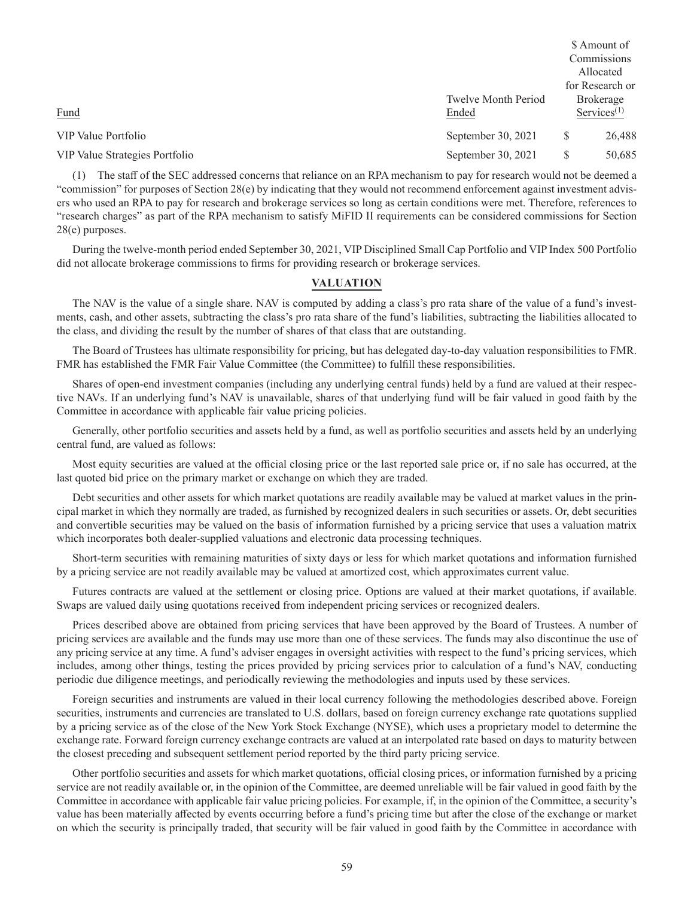|                            |                  | \$ Amount of                            |
|----------------------------|------------------|-----------------------------------------|
|                            |                  | Commissions                             |
|                            |                  | Allocated                               |
|                            |                  | for Research or                         |
| <b>Twelve Month Period</b> | <b>Brokerage</b> |                                         |
| Ended                      |                  | $S$ ervices <sup><math>(1)</math></sup> |
| September 30, 2021         | S                | 26,488                                  |
| September 30, 2021         | S                | 50,685                                  |
|                            |                  |                                         |

(1) The staff of the SEC addressed concerns that reliance on an RPA mechanism to pay for research would not be deemed a "commission" for purposes of Section 28(e) by indicating that they would not recommend enforcement against investment advisers who used an RPA to pay for research and brokerage services so long as certain conditions were met. Therefore, references to "research charges" as part of the RPA mechanism to satisfy MiFID II requirements can be considered commissions for Section 28(e) purposes.

During the twelve-month period ended September 30, 2021, VIP Disciplined Small Cap Portfolio and VIP Index 500 Portfolio did not allocate brokerage commissions to firms for providing research or brokerage services.

## **VALUATION**

The NAV is the value of a single share. NAV is computed by adding a class's pro rata share of the value of a fund's investments, cash, and other assets, subtracting the class's pro rata share of the fund's liabilities, subtracting the liabilities allocated to the class, and dividing the result by the number of shares of that class that are outstanding.

The Board of Trustees has ultimate responsibility for pricing, but has delegated day-to-day valuation responsibilities to FMR. FMR has established the FMR Fair Value Committee (the Committee) to fulfill these responsibilities.

Shares of open-end investment companies (including any underlying central funds) held by a fund are valued at their respective NAVs. If an underlying fund's NAV is unavailable, shares of that underlying fund will be fair valued in good faith by the Committee in accordance with applicable fair value pricing policies.

Generally, other portfolio securities and assets held by a fund, as well as portfolio securities and assets held by an underlying central fund, are valued as follows:

Most equity securities are valued at the official closing price or the last reported sale price or, if no sale has occurred, at the last quoted bid price on the primary market or exchange on which they are traded.

Debt securities and other assets for which market quotations are readily available may be valued at market values in the principal market in which they normally are traded, as furnished by recognized dealers in such securities or assets. Or, debt securities and convertible securities may be valued on the basis of information furnished by a pricing service that uses a valuation matrix which incorporates both dealer-supplied valuations and electronic data processing techniques.

Short-term securities with remaining maturities of sixty days or less for which market quotations and information furnished by a pricing service are not readily available may be valued at amortized cost, which approximates current value.

Futures contracts are valued at the settlement or closing price. Options are valued at their market quotations, if available. Swaps are valued daily using quotations received from independent pricing services or recognized dealers.

Prices described above are obtained from pricing services that have been approved by the Board of Trustees. A number of pricing services are available and the funds may use more than one of these services. The funds may also discontinue the use of any pricing service at any time. A fund's adviser engages in oversight activities with respect to the fund's pricing services, which includes, among other things, testing the prices provided by pricing services prior to calculation of a fund's NAV, conducting periodic due diligence meetings, and periodically reviewing the methodologies and inputs used by these services.

Foreign securities and instruments are valued in their local currency following the methodologies described above. Foreign securities, instruments and currencies are translated to U.S. dollars, based on foreign currency exchange rate quotations supplied by a pricing service as of the close of the New York Stock Exchange (NYSE), which uses a proprietary model to determine the exchange rate. Forward foreign currency exchange contracts are valued at an interpolated rate based on days to maturity between the closest preceding and subsequent settlement period reported by the third party pricing service.

Other portfolio securities and assets for which market quotations, official closing prices, or information furnished by a pricing service are not readily available or, in the opinion of the Committee, are deemed unreliable will be fair valued in good faith by the Committee in accordance with applicable fair value pricing policies. For example, if, in the opinion of the Committee, a security's value has been materially affected by events occurring before a fund's pricing time but after the close of the exchange or market on which the security is principally traded, that security will be fair valued in good faith by the Committee in accordance with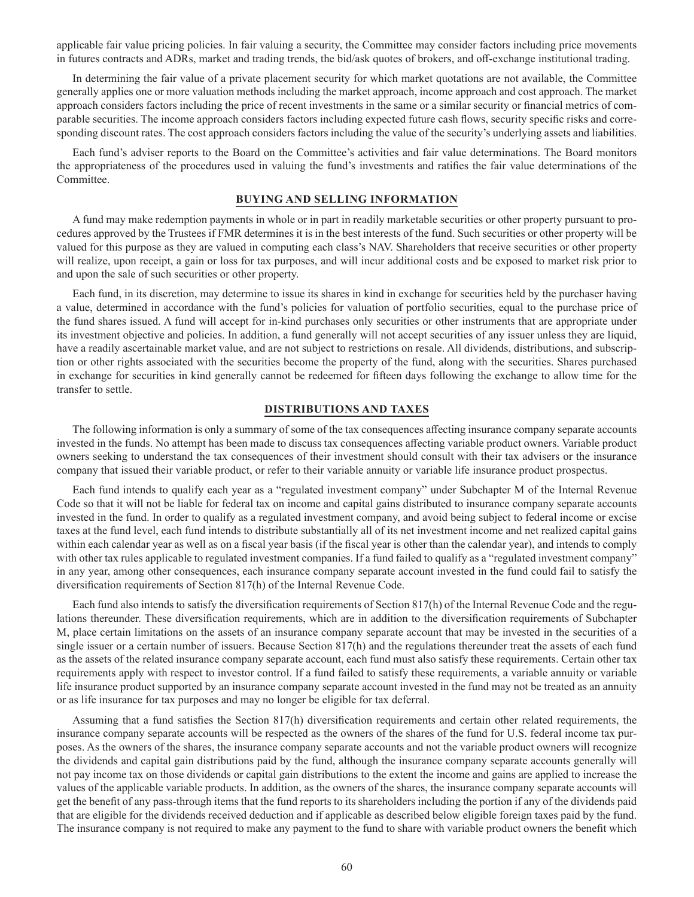applicable fair value pricing policies. In fair valuing a security, the Committee may consider factors including price movements in futures contracts and ADRs, market and trading trends, the bid/ask quotes of brokers, and off-exchange institutional trading.

In determining the fair value of a private placement security for which market quotations are not available, the Committee generally applies one or more valuation methods including the market approach, income approach and cost approach. The market approach considers factors including the price of recent investments in the same or a similar security or financial metrics of comparable securities. The income approach considers factors including expected future cash flows, security specific risks and corresponding discount rates. The cost approach considers factors including the value of the security's underlying assets and liabilities.

Each fund's adviser reports to the Board on the Committee's activities and fair value determinations. The Board monitors the appropriateness of the procedures used in valuing the fund's investments and ratifies the fair value determinations of the Committee.

## **BUYING AND SELLING INFORMATION**

A fund may make redemption payments in whole or in part in readily marketable securities or other property pursuant to procedures approved by the Trustees if FMR determines it is in the best interests of the fund. Such securities or other property will be valued for this purpose as they are valued in computing each class's NAV. Shareholders that receive securities or other property will realize, upon receipt, a gain or loss for tax purposes, and will incur additional costs and be exposed to market risk prior to and upon the sale of such securities or other property.

Each fund, in its discretion, may determine to issue its shares in kind in exchange for securities held by the purchaser having a value, determined in accordance with the fund's policies for valuation of portfolio securities, equal to the purchase price of the fund shares issued. A fund will accept for in-kind purchases only securities or other instruments that are appropriate under its investment objective and policies. In addition, a fund generally will not accept securities of any issuer unless they are liquid, have a readily ascertainable market value, and are not subject to restrictions on resale. All dividends, distributions, and subscription or other rights associated with the securities become the property of the fund, along with the securities. Shares purchased in exchange for securities in kind generally cannot be redeemed for fifteen days following the exchange to allow time for the transfer to settle.

### **DISTRIBUTIONS AND TAXES**

The following information is only a summary of some of the tax consequences affecting insurance company separate accounts invested in the funds. No attempt has been made to discuss tax consequences affecting variable product owners. Variable product owners seeking to understand the tax consequences of their investment should consult with their tax advisers or the insurance company that issued their variable product, or refer to their variable annuity or variable life insurance product prospectus.

Each fund intends to qualify each year as a "regulated investment company" under Subchapter M of the Internal Revenue Code so that it will not be liable for federal tax on income and capital gains distributed to insurance company separate accounts invested in the fund. In order to qualify as a regulated investment company, and avoid being subject to federal income or excise taxes at the fund level, each fund intends to distribute substantially all of its net investment income and net realized capital gains within each calendar year as well as on a fiscal year basis (if the fiscal year is other than the calendar year), and intends to comply with other tax rules applicable to regulated investment companies. If a fund failed to qualify as a "regulated investment company" in any year, among other consequences, each insurance company separate account invested in the fund could fail to satisfy the diversification requirements of Section 817(h) of the Internal Revenue Code.

Each fund also intends to satisfy the diversification requirements of Section 817(h) of the Internal Revenue Code and the regulations thereunder. These diversification requirements, which are in addition to the diversification requirements of Subchapter M, place certain limitations on the assets of an insurance company separate account that may be invested in the securities of a single issuer or a certain number of issuers. Because Section 817(h) and the regulations thereunder treat the assets of each fund as the assets of the related insurance company separate account, each fund must also satisfy these requirements. Certain other tax requirements apply with respect to investor control. If a fund failed to satisfy these requirements, a variable annuity or variable life insurance product supported by an insurance company separate account invested in the fund may not be treated as an annuity or as life insurance for tax purposes and may no longer be eligible for tax deferral.

Assuming that a fund satisfies the Section 817(h) diversification requirements and certain other related requirements, the insurance company separate accounts will be respected as the owners of the shares of the fund for U.S. federal income tax purposes. As the owners of the shares, the insurance company separate accounts and not the variable product owners will recognize the dividends and capital gain distributions paid by the fund, although the insurance company separate accounts generally will not pay income tax on those dividends or capital gain distributions to the extent the income and gains are applied to increase the values of the applicable variable products. In addition, as the owners of the shares, the insurance company separate accounts will get the benefit of any pass-through items that the fund reports to its shareholders including the portion if any of the dividends paid that are eligible for the dividends received deduction and if applicable as described below eligible foreign taxes paid by the fund. The insurance company is not required to make any payment to the fund to share with variable product owners the benefit which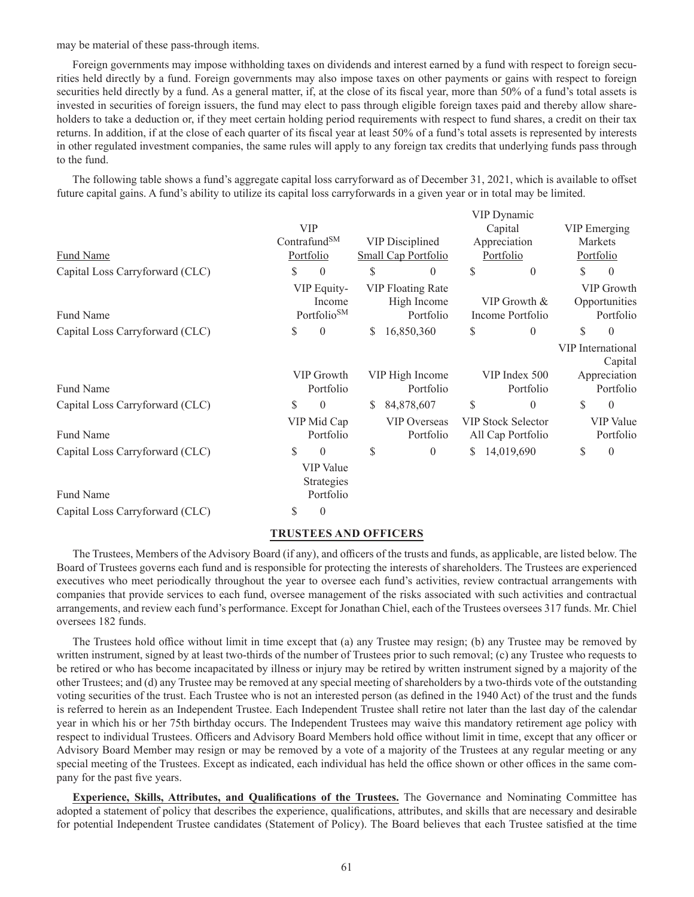may be material of these pass-through items.

Foreign governments may impose withholding taxes on dividends and interest earned by a fund with respect to foreign securities held directly by a fund. Foreign governments may also impose taxes on other payments or gains with respect to foreign securities held directly by a fund. As a general matter, if, at the close of its fiscal year, more than 50% of a fund's total assets is invested in securities of foreign issuers, the fund may elect to pass through eligible foreign taxes paid and thereby allow shareholders to take a deduction or, if they meet certain holding period requirements with respect to fund shares, a credit on their tax returns. In addition, if at the close of each quarter of its fiscal year at least 50% of a fund's total assets is represented by interests in other regulated investment companies, the same rules will apply to any foreign tax credits that underlying funds pass through to the fund.

The following table shows a fund's aggregate capital loss carryforward as of December 31, 2021, which is available to offset future capital gains. A fund's ability to utilize its capital loss carryforwards in a given year or in total may be limited.

|                                 |    |                                                  |         |                                                      |               | VIP Dynamic                                    |              |                                          |  |
|---------------------------------|----|--------------------------------------------------|---------|------------------------------------------------------|---------------|------------------------------------------------|--------------|------------------------------------------|--|
|                                 |    | <b>VIP</b>                                       | Capital |                                                      |               | <b>VIP</b> Emerging                            |              |                                          |  |
|                                 |    | Contrafund <sup>SM</sup>                         |         | <b>VIP Disciplined</b>                               |               | Appreciation                                   |              | Markets                                  |  |
| Fund Name                       |    | Portfolio                                        |         | Small Cap Portfolio                                  | Portfolio     |                                                | Portfolio    |                                          |  |
| Capital Loss Carryforward (CLC) | S  | $\boldsymbol{0}$                                 | \$      | $\theta$                                             | \$            | $\theta$                                       | \$           | $\theta$                                 |  |
| Fund Name                       |    | VIP Equity-<br>Income<br>Portfolio <sup>SM</sup> |         | <b>VIP Floating Rate</b><br>High Income<br>Portfolio |               | VIP Growth &<br>Income Portfolio               |              | VIP Growth<br>Opportunities<br>Portfolio |  |
|                                 |    |                                                  |         |                                                      |               |                                                |              |                                          |  |
| Capital Loss Carryforward (CLC) | \$ | $\mathbf{0}$                                     | S       | 16,850,360                                           | \$            | $\theta$                                       | \$           | $\theta$                                 |  |
|                                 |    |                                                  |         |                                                      |               |                                                |              | VIP International<br>Capital             |  |
|                                 |    | VIP Growth<br>VIP High Income                    |         |                                                      | VIP Index 500 |                                                | Appreciation |                                          |  |
| <b>Fund Name</b>                |    | Portfolio                                        |         | Portfolio                                            |               | Portfolio                                      |              | Portfolio                                |  |
| Capital Loss Carryforward (CLC) | \$ | $\theta$                                         | S       | 84,878,607                                           | \$            | $\mathbf{0}$                                   | \$           | $\theta$                                 |  |
| Fund Name                       |    | VIP Mid Cap<br>Portfolio                         |         | <b>VIP Overseas</b><br>Portfolio                     |               | <b>VIP Stock Selector</b><br>All Cap Portfolio |              | <b>VIP</b> Value<br>Portfolio            |  |
| Capital Loss Carryforward (CLC) | \$ | $\theta$                                         | \$      | $\theta$                                             | S             | 14,019,690                                     | \$           | $\theta$                                 |  |
|                                 |    | <b>VIP</b> Value<br>Strategies                   |         |                                                      |               |                                                |              |                                          |  |
| Fund Name                       |    | Portfolio                                        |         |                                                      |               |                                                |              |                                          |  |
| Capital Loss Carryforward (CLC) | S  | $\theta$                                         |         |                                                      |               |                                                |              |                                          |  |

#### **TRUSTEES AND OFFICERS**

The Trustees, Members of the Advisory Board (if any), and officers of the trusts and funds, as applicable, are listed below. The Board of Trustees governs each fund and is responsible for protecting the interests of shareholders. The Trustees are experienced executives who meet periodically throughout the year to oversee each fund's activities, review contractual arrangements with companies that provide services to each fund, oversee management of the risks associated with such activities and contractual arrangements, and review each fund's performance. Except for Jonathan Chiel, each of the Trustees oversees 317 funds. Mr. Chiel oversees 182 funds.

The Trustees hold office without limit in time except that (a) any Trustee may resign; (b) any Trustee may be removed by written instrument, signed by at least two-thirds of the number of Trustees prior to such removal; (c) any Trustee who requests to be retired or who has become incapacitated by illness or injury may be retired by written instrument signed by a majority of the other Trustees; and (d) any Trustee may be removed at any special meeting of shareholders by a two-thirds vote of the outstanding voting securities of the trust. Each Trustee who is not an interested person (as defined in the 1940 Act) of the trust and the funds is referred to herein as an Independent Trustee. Each Independent Trustee shall retire not later than the last day of the calendar year in which his or her 75th birthday occurs. The Independent Trustees may waive this mandatory retirement age policy with respect to individual Trustees. Officers and Advisory Board Members hold office without limit in time, except that any officer or Advisory Board Member may resign or may be removed by a vote of a majority of the Trustees at any regular meeting or any special meeting of the Trustees. Except as indicated, each individual has held the office shown or other offices in the same company for the past five years.

**Experience, Skills, Attributes, and Qualifications of the Trustees.** The Governance and Nominating Committee has adopted a statement of policy that describes the experience, qualifications, attributes, and skills that are necessary and desirable for potential Independent Trustee candidates (Statement of Policy). The Board believes that each Trustee satisfied at the time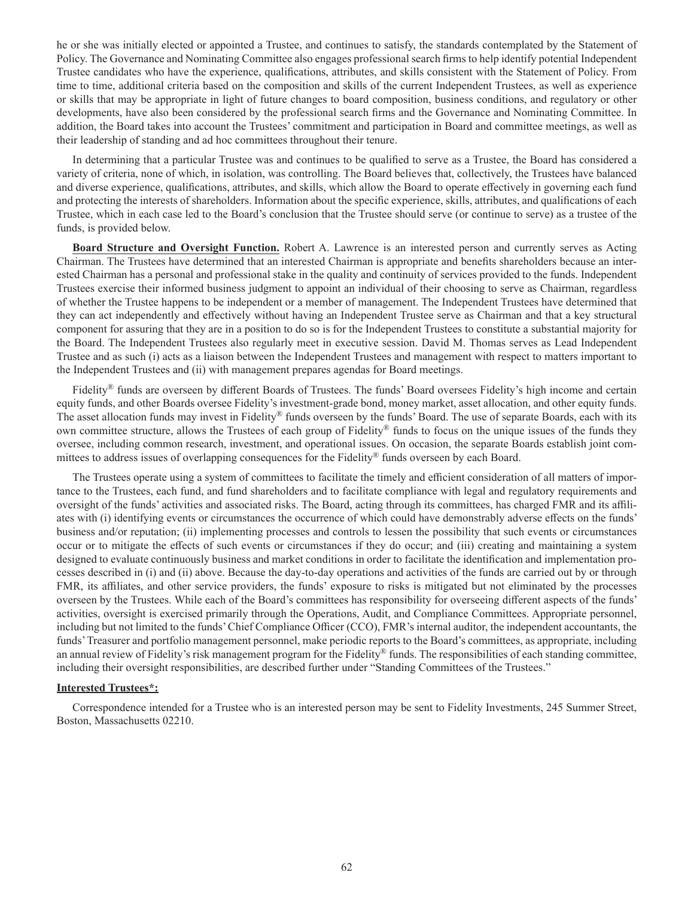he or she was initially elected or appointed a Trustee, and continues to satisfy, the standards contemplated by the Statement of Policy. The Governance and Nominating Committee also engages professional search firms to help identify potential Independent Trustee candidates who have the experience, qualifications, attributes, and skills consistent with the Statement of Policy. From time to time, additional criteria based on the composition and skills of the current Independent Trustees, as well as experience or skills that may be appropriate in light of future changes to board composition, business conditions, and regulatory or other developments, have also been considered by the professional search firms and the Governance and Nominating Committee. In addition, the Board takes into account the Trustees' commitment and participation in Board and committee meetings, as well as their leadership of standing and ad hoc committees throughout their tenure.

In determining that a particular Trustee was and continues to be qualified to serve as a Trustee, the Board has considered a variety of criteria, none of which, in isolation, was controlling. The Board believes that, collectively, the Trustees have balanced and diverse experience, qualifications, attributes, and skills, which allow the Board to operate effectively in governing each fund and protecting the interests of shareholders. Information about the specific experience, skills, attributes, and qualifications of each Trustee, which in each case led to the Board's conclusion that the Trustee should serve (or continue to serve) as a trustee of the funds, is provided below.

**Board Structure and Oversight Function.** Robert A. Lawrence is an interested person and currently serves as Acting Chairman. The Trustees have determined that an interested Chairman is appropriate and benefits shareholders because an interested Chairman has a personal and professional stake in the quality and continuity of services provided to the funds. Independent Trustees exercise their informed business judgment to appoint an individual of their choosing to serve as Chairman, regardless of whether the Trustee happens to be independent or a member of management. The Independent Trustees have determined that they can act independently and effectively without having an Independent Trustee serve as Chairman and that a key structural component for assuring that they are in a position to do so is for the Independent Trustees to constitute a substantial majority for the Board. The Independent Trustees also regularly meet in executive session. David M. Thomas serves as Lead Independent Trustee and as such (i) acts as a liaison between the Independent Trustees and management with respect to matters important to the Independent Trustees and (ii) with management prepares agendas for Board meetings.

Fidelity<sup>®</sup> funds are overseen by different Boards of Trustees. The funds' Board oversees Fidelity's high income and certain equity funds, and other Boards oversee Fidelity's investment-grade bond, money market, asset allocation, and other equity funds. The asset allocation funds may invest in Fidelity® funds overseen by the funds' Board. The use of separate Boards, each with its own committee structure, allows the Trustees of each group of Fidelity® funds to focus on the unique issues of the funds they oversee, including common research, investment, and operational issues. On occasion, the separate Boards establish joint committees to address issues of overlapping consequences for the Fidelity® funds overseen by each Board.

The Trustees operate using a system of committees to facilitate the timely and efficient consideration of all matters of importance to the Trustees, each fund, and fund shareholders and to facilitate compliance with legal and regulatory requirements and oversight of the funds' activities and associated risks. The Board, acting through its committees, has charged FMR and its affiliates with (i) identifying events or circumstances the occurrence of which could have demonstrably adverse effects on the funds' business and/or reputation; (ii) implementing processes and controls to lessen the possibility that such events or circumstances occur or to mitigate the effects of such events or circumstances if they do occur; and (iii) creating and maintaining a system designed to evaluate continuously business and market conditions in order to facilitate the identification and implementation processes described in (i) and (ii) above. Because the day-to-day operations and activities of the funds are carried out by or through FMR, its affiliates, and other service providers, the funds' exposure to risks is mitigated but not eliminated by the processes overseen by the Trustees. While each of the Board's committees has responsibility for overseeing different aspects of the funds' activities, oversight is exercised primarily through the Operations, Audit, and Compliance Committees. Appropriate personnel, including but not limited to the funds' Chief Compliance Officer (CCO), FMR's internal auditor, the independent accountants, the funds' Treasurer and portfolio management personnel, make periodic reports to the Board's committees, as appropriate, including an annual review of Fidelity's risk management program for the Fidelity® funds. The responsibilities of each standing committee, including their oversight responsibilities, are described further under "Standing Committees of the Trustees."

#### **Interested Trustees\*:**

Correspondence intended for a Trustee who is an interested person may be sent to Fidelity Investments, 245 Summer Street, Boston, Massachusetts 02210.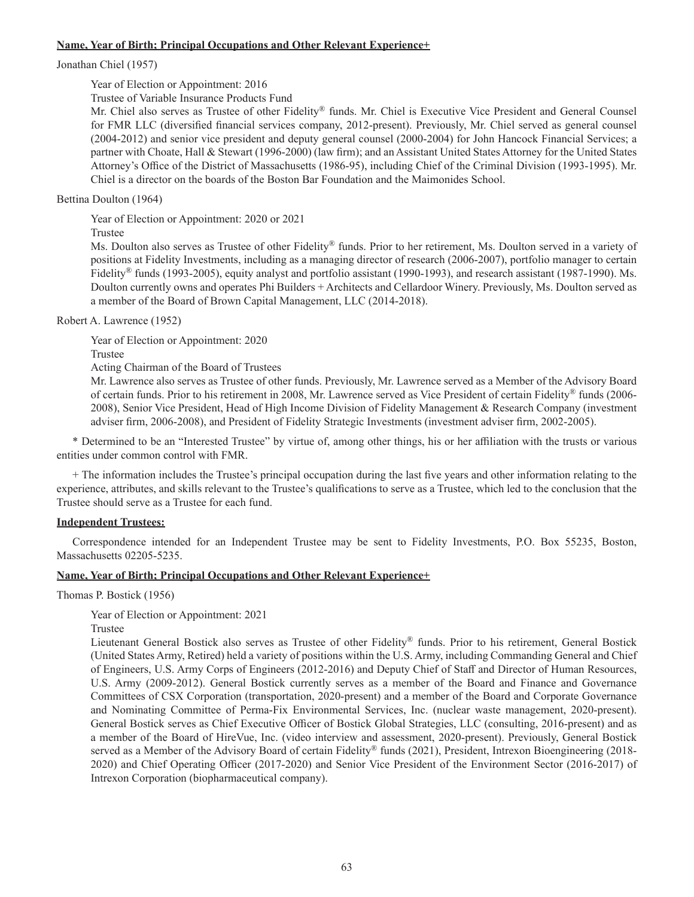## **Name, Year of Birth; Principal Occupations and Other Relevant Experience+**

## Jonathan Chiel (1957)

Year of Election or Appointment: 2016

Trustee of Variable Insurance Products Fund

Mr. Chiel also serves as Trustee of other Fidelity® funds. Mr. Chiel is Executive Vice President and General Counsel for FMR LLC (diversified financial services company, 2012-present). Previously, Mr. Chiel served as general counsel (2004-2012) and senior vice president and deputy general counsel (2000-2004) for John Hancock Financial Services; a partner with Choate, Hall & Stewart (1996-2000) (law firm); and an Assistant United States Attorney for the United States Attorney's Office of the District of Massachusetts (1986-95), including Chief of the Criminal Division (1993-1995). Mr. Chiel is a director on the boards of the Boston Bar Foundation and the Maimonides School.

# Bettina Doulton (1964)

Year of Election or Appointment: 2020 or 2021

Trustee

Ms. Doulton also serves as Trustee of other Fidelity® funds. Prior to her retirement, Ms. Doulton served in a variety of positions at Fidelity Investments, including as a managing director of research (2006-2007), portfolio manager to certain Fidelity® funds (1993-2005), equity analyst and portfolio assistant (1990-1993), and research assistant (1987-1990). Ms. Doulton currently owns and operates Phi Builders + Architects and Cellardoor Winery. Previously, Ms. Doulton served as a member of the Board of Brown Capital Management, LLC (2014-2018).

Robert A. Lawrence (1952)

Year of Election or Appointment: 2020 Trustee

Acting Chairman of the Board of Trustees

Mr. Lawrence also serves as Trustee of other funds. Previously, Mr. Lawrence served as a Member of the Advisory Board of certain funds. Prior to his retirement in 2008, Mr. Lawrence served as Vice President of certain Fidelity® funds (2006- 2008), Senior Vice President, Head of High Income Division of Fidelity Management & Research Company (investment adviser firm, 2006-2008), and President of Fidelity Strategic Investments (investment adviser firm, 2002-2005).

\* Determined to be an "Interested Trustee" by virtue of, among other things, his or her affiliation with the trusts or various entities under common control with FMR.

+ The information includes the Trustee's principal occupation during the last five years and other information relating to the experience, attributes, and skills relevant to the Trustee's qualifications to serve as a Trustee, which led to the conclusion that the Trustee should serve as a Trustee for each fund.

# **Independent Trustees:**

Correspondence intended for an Independent Trustee may be sent to Fidelity Investments, P.O. Box 55235, Boston, Massachusetts 02205-5235.

# **Name, Year of Birth; Principal Occupations and Other Relevant Experience+**

Thomas P. Bostick (1956)

Year of Election or Appointment: 2021

Trustee

Lieutenant General Bostick also serves as Trustee of other Fidelity® funds. Prior to his retirement, General Bostick (United States Army, Retired) held a variety of positions within the U.S. Army, including Commanding General and Chief of Engineers, U.S. Army Corps of Engineers (2012-2016) and Deputy Chief of Staff and Director of Human Resources, U.S. Army (2009-2012). General Bostick currently serves as a member of the Board and Finance and Governance Committees of CSX Corporation (transportation, 2020-present) and a member of the Board and Corporate Governance and Nominating Committee of Perma-Fix Environmental Services, Inc. (nuclear waste management, 2020-present). General Bostick serves as Chief Executive Officer of Bostick Global Strategies, LLC (consulting, 2016-present) and as a member of the Board of HireVue, Inc. (video interview and assessment, 2020-present). Previously, General Bostick served as a Member of the Advisory Board of certain Fidelity® funds (2021), President, Intrexon Bioengineering (2018- 2020) and Chief Operating Officer (2017-2020) and Senior Vice President of the Environment Sector (2016-2017) of Intrexon Corporation (biopharmaceutical company).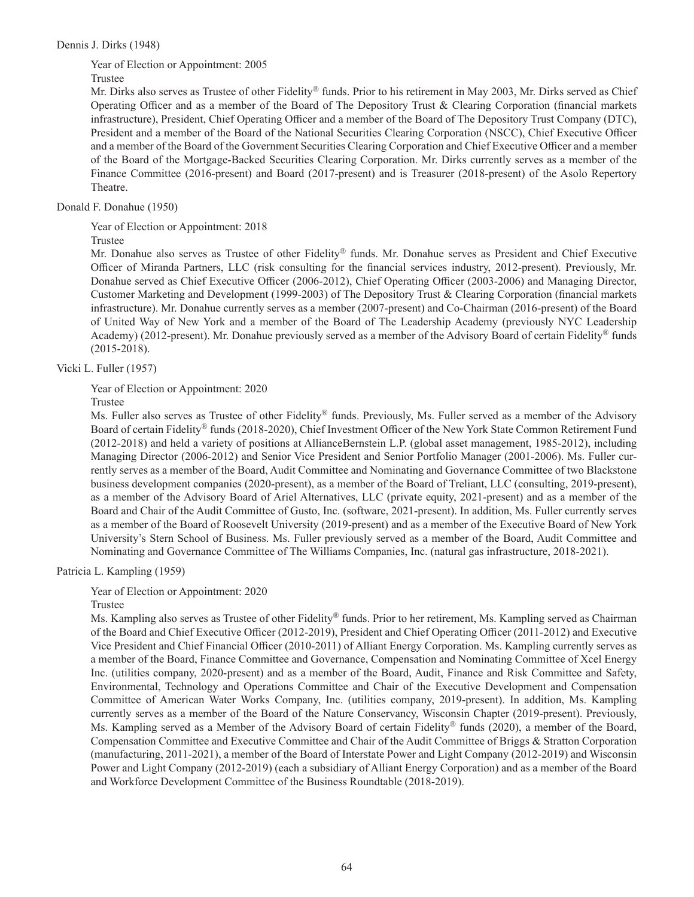Dennis J. Dirks (1948)

Year of Election or Appointment: 2005

Trustee

Mr. Dirks also serves as Trustee of other Fidelity® funds. Prior to his retirement in May 2003, Mr. Dirks served as Chief Operating Officer and as a member of the Board of The Depository Trust & Clearing Corporation (financial markets infrastructure), President, Chief Operating Officer and a member of the Board of The Depository Trust Company (DTC), President and a member of the Board of the National Securities Clearing Corporation (NSCC), Chief Executive Officer and a member of the Board of the Government Securities Clearing Corporation and Chief Executive Officer and a member of the Board of the Mortgage-Backed Securities Clearing Corporation. Mr. Dirks currently serves as a member of the Finance Committee (2016-present) and Board (2017-present) and is Treasurer (2018-present) of the Asolo Repertory Theatre.

Donald F. Donahue (1950)

Year of Election or Appointment: 2018

Trustee

Mr. Donahue also serves as Trustee of other Fidelity® funds. Mr. Donahue serves as President and Chief Executive Officer of Miranda Partners, LLC (risk consulting for the financial services industry, 2012-present). Previously, Mr. Donahue served as Chief Executive Officer (2006-2012), Chief Operating Officer (2003-2006) and Managing Director, Customer Marketing and Development (1999-2003) of The Depository Trust & Clearing Corporation (financial markets infrastructure). Mr. Donahue currently serves as a member (2007-present) and Co-Chairman (2016-present) of the Board of United Way of New York and a member of the Board of The Leadership Academy (previously NYC Leadership Academy) (2012-present). Mr. Donahue previously served as a member of the Advisory Board of certain Fidelity® funds (2015-2018).

Vicki L. Fuller (1957)

Year of Election or Appointment: 2020

Trustee

Ms. Fuller also serves as Trustee of other Fidelity® funds. Previously, Ms. Fuller served as a member of the Advisory Board of certain Fidelity® funds (2018-2020), Chief Investment Officer of the New York State Common Retirement Fund (2012-2018) and held a variety of positions at AllianceBernstein L.P. (global asset management, 1985-2012), including Managing Director (2006-2012) and Senior Vice President and Senior Portfolio Manager (2001-2006). Ms. Fuller currently serves as a member of the Board, Audit Committee and Nominating and Governance Committee of two Blackstone business development companies (2020-present), as a member of the Board of Treliant, LLC (consulting, 2019-present), as a member of the Advisory Board of Ariel Alternatives, LLC (private equity, 2021-present) and as a member of the Board and Chair of the Audit Committee of Gusto, Inc. (software, 2021-present). In addition, Ms. Fuller currently serves as a member of the Board of Roosevelt University (2019-present) and as a member of the Executive Board of New York University's Stern School of Business. Ms. Fuller previously served as a member of the Board, Audit Committee and Nominating and Governance Committee of The Williams Companies, Inc. (natural gas infrastructure, 2018-2021).

Patricia L. Kampling (1959)

Year of Election or Appointment: 2020

Trustee

Ms. Kampling also serves as Trustee of other Fidelity® funds. Prior to her retirement, Ms. Kampling served as Chairman of the Board and Chief Executive Officer (2012-2019), President and Chief Operating Officer (2011-2012) and Executive Vice President and Chief Financial Officer (2010-2011) of Alliant Energy Corporation. Ms. Kampling currently serves as a member of the Board, Finance Committee and Governance, Compensation and Nominating Committee of Xcel Energy Inc. (utilities company, 2020-present) and as a member of the Board, Audit, Finance and Risk Committee and Safety, Environmental, Technology and Operations Committee and Chair of the Executive Development and Compensation Committee of American Water Works Company, Inc. (utilities company, 2019-present). In addition, Ms. Kampling currently serves as a member of the Board of the Nature Conservancy, Wisconsin Chapter (2019-present). Previously, Ms. Kampling served as a Member of the Advisory Board of certain Fidelity® funds (2020), a member of the Board, Compensation Committee and Executive Committee and Chair of the Audit Committee of Briggs & Stratton Corporation (manufacturing, 2011-2021), a member of the Board of Interstate Power and Light Company (2012-2019) and Wisconsin Power and Light Company (2012-2019) (each a subsidiary of Alliant Energy Corporation) and as a member of the Board and Workforce Development Committee of the Business Roundtable (2018-2019).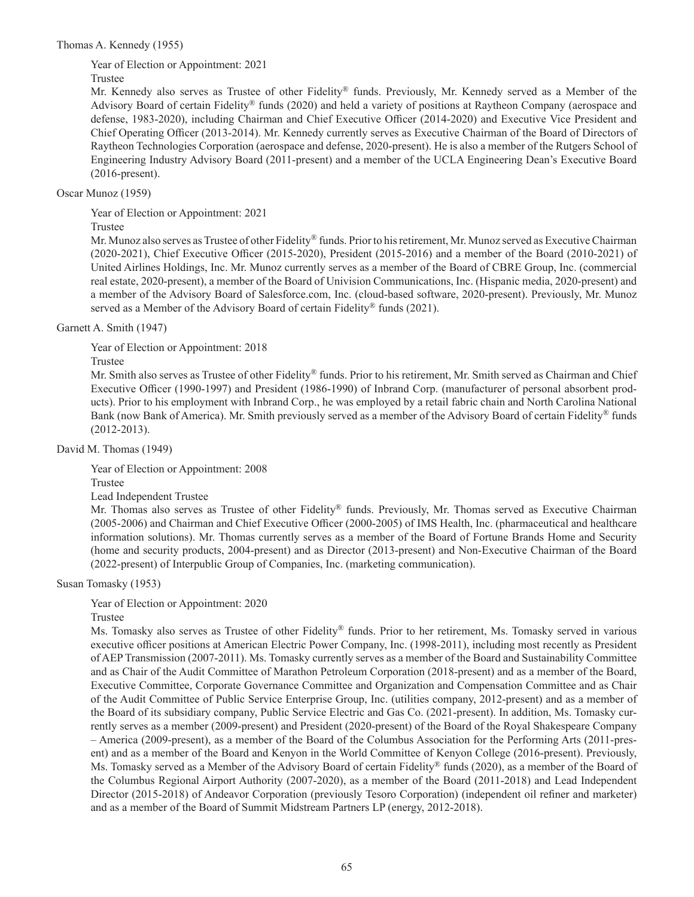Thomas A. Kennedy (1955)

Year of Election or Appointment: 2021

Trustee

Mr. Kennedy also serves as Trustee of other Fidelity® funds. Previously, Mr. Kennedy served as a Member of the Advisory Board of certain Fidelity® funds (2020) and held a variety of positions at Raytheon Company (aerospace and defense, 1983-2020), including Chairman and Chief Executive Officer (2014-2020) and Executive Vice President and Chief Operating Officer (2013-2014). Mr. Kennedy currently serves as Executive Chairman of the Board of Directors of Raytheon Technologies Corporation (aerospace and defense, 2020-present). He is also a member of the Rutgers School of Engineering Industry Advisory Board (2011-present) and a member of the UCLA Engineering Dean's Executive Board (2016-present).

# Oscar Munoz (1959)

Year of Election or Appointment: 2021

Trustee

Mr. Munoz also serves as Trustee of other Fidelity® funds. Prior to his retirement, Mr. Munoz served as Executive Chairman (2020-2021), Chief Executive Officer (2015-2020), President (2015-2016) and a member of the Board (2010-2021) of United Airlines Holdings, Inc. Mr. Munoz currently serves as a member of the Board of CBRE Group, Inc. (commercial real estate, 2020-present), a member of the Board of Univision Communications, Inc. (Hispanic media, 2020-present) and a member of the Advisory Board of Salesforce.com, Inc. (cloud-based software, 2020-present). Previously, Mr. Munoz served as a Member of the Advisory Board of certain Fidelity® funds (2021).

# Garnett A. Smith (1947)

Year of Election or Appointment: 2018

# Trustee

Mr. Smith also serves as Trustee of other Fidelity® funds. Prior to his retirement, Mr. Smith served as Chairman and Chief Executive Officer (1990-1997) and President (1986-1990) of Inbrand Corp. (manufacturer of personal absorbent products). Prior to his employment with Inbrand Corp., he was employed by a retail fabric chain and North Carolina National Bank (now Bank of America). Mr. Smith previously served as a member of the Advisory Board of certain Fidelity® funds (2012-2013).

David M. Thomas (1949)

Year of Election or Appointment: 2008

Trustee

Lead Independent Trustee

Mr. Thomas also serves as Trustee of other Fidelity® funds. Previously, Mr. Thomas served as Executive Chairman (2005-2006) and Chairman and Chief Executive Officer (2000-2005) of IMS Health, Inc. (pharmaceutical and healthcare information solutions). Mr. Thomas currently serves as a member of the Board of Fortune Brands Home and Security (home and security products, 2004-present) and as Director (2013-present) and Non-Executive Chairman of the Board (2022-present) of Interpublic Group of Companies, Inc. (marketing communication).

Susan Tomasky (1953)

Year of Election or Appointment: 2020

Trustee

Ms. Tomasky also serves as Trustee of other Fidelity® funds. Prior to her retirement, Ms. Tomasky served in various executive officer positions at American Electric Power Company, Inc. (1998-2011), including most recently as President of AEP Transmission (2007-2011). Ms. Tomasky currently serves as a member of the Board and Sustainability Committee and as Chair of the Audit Committee of Marathon Petroleum Corporation (2018-present) and as a member of the Board, Executive Committee, Corporate Governance Committee and Organization and Compensation Committee and as Chair of the Audit Committee of Public Service Enterprise Group, Inc. (utilities company, 2012-present) and as a member of the Board of its subsidiary company, Public Service Electric and Gas Co. (2021-present). In addition, Ms. Tomasky currently serves as a member (2009-present) and President (2020-present) of the Board of the Royal Shakespeare Company – America (2009-present), as a member of the Board of the Columbus Association for the Performing Arts (2011-present) and as a member of the Board and Kenyon in the World Committee of Kenyon College (2016-present). Previously, Ms. Tomasky served as a Member of the Advisory Board of certain Fidelity® funds (2020), as a member of the Board of the Columbus Regional Airport Authority (2007-2020), as a member of the Board (2011-2018) and Lead Independent Director (2015-2018) of Andeavor Corporation (previously Tesoro Corporation) (independent oil refiner and marketer) and as a member of the Board of Summit Midstream Partners LP (energy, 2012-2018).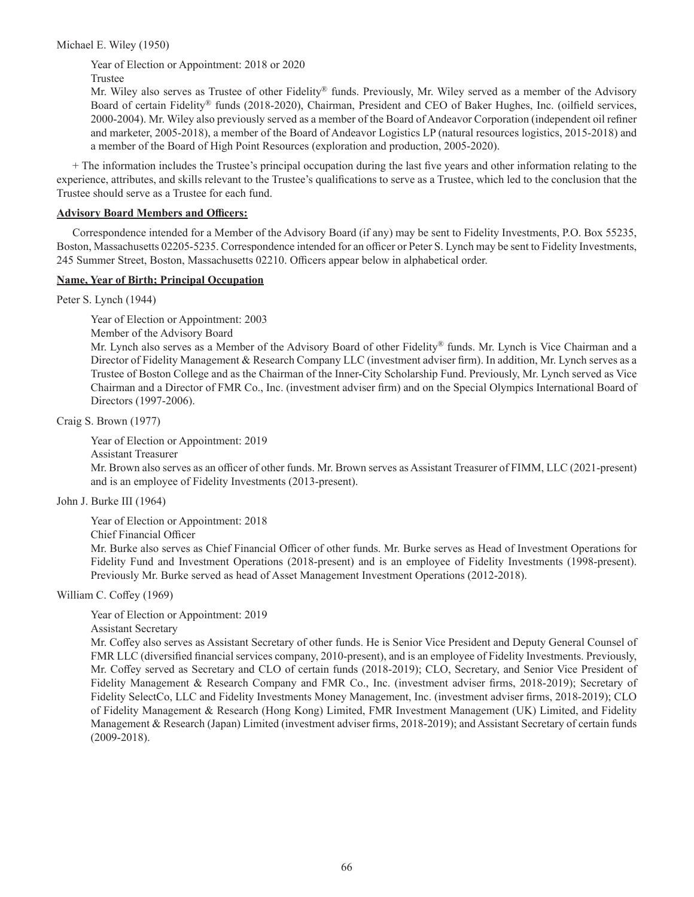Michael E. Wiley (1950)

Year of Election or Appointment: 2018 or 2020

Trustee

Mr. Wiley also serves as Trustee of other Fidelity® funds. Previously, Mr. Wiley served as a member of the Advisory Board of certain Fidelity® funds (2018-2020), Chairman, President and CEO of Baker Hughes, Inc. (oilfield services, 2000-2004). Mr. Wiley also previously served as a member of the Board of Andeavor Corporation (independent oil refiner and marketer, 2005-2018), a member of the Board of Andeavor Logistics LP (natural resources logistics, 2015-2018) and a member of the Board of High Point Resources (exploration and production, 2005-2020).

+ The information includes the Trustee's principal occupation during the last five years and other information relating to the experience, attributes, and skills relevant to the Trustee's qualifications to serve as a Trustee, which led to the conclusion that the Trustee should serve as a Trustee for each fund.

# **Advisory Board Members and Officers:**

Correspondence intended for a Member of the Advisory Board (if any) may be sent to Fidelity Investments, P.O. Box 55235, Boston, Massachusetts 02205-5235. Correspondence intended for an officer or Peter S. Lynch may be sent to Fidelity Investments, 245 Summer Street, Boston, Massachusetts 02210. Officers appear below in alphabetical order.

## **Name, Year of Birth; Principal Occupation**

Peter S. Lynch (1944)

Year of Election or Appointment: 2003

Member of the Advisory Board

Mr. Lynch also serves as a Member of the Advisory Board of other Fidelity® funds. Mr. Lynch is Vice Chairman and a Director of Fidelity Management & Research Company LLC (investment adviser firm). In addition, Mr. Lynch serves as a Trustee of Boston College and as the Chairman of the Inner-City Scholarship Fund. Previously, Mr. Lynch served as Vice Chairman and a Director of FMR Co., Inc. (investment adviser firm) and on the Special Olympics International Board of Directors (1997-2006).

Craig S. Brown (1977)

Year of Election or Appointment: 2019 Assistant Treasurer Mr. Brown also serves as an officer of other funds. Mr. Brown serves as Assistant Treasurer of FIMM, LLC (2021-present) and is an employee of Fidelity Investments (2013-present).

John J. Burke III (1964)

Year of Election or Appointment: 2018

Chief Financial Officer

Mr. Burke also serves as Chief Financial Officer of other funds. Mr. Burke serves as Head of Investment Operations for Fidelity Fund and Investment Operations (2018-present) and is an employee of Fidelity Investments (1998-present). Previously Mr. Burke served as head of Asset Management Investment Operations (2012-2018).

William C. Coffey (1969)

Year of Election or Appointment: 2019

Assistant Secretary

Mr. Coffey also serves as Assistant Secretary of other funds. He is Senior Vice President and Deputy General Counsel of FMR LLC (diversified financial services company, 2010-present), and is an employee of Fidelity Investments. Previously, Mr. Coffey served as Secretary and CLO of certain funds (2018-2019); CLO, Secretary, and Senior Vice President of Fidelity Management & Research Company and FMR Co., Inc. (investment adviser firms, 2018-2019); Secretary of Fidelity SelectCo, LLC and Fidelity Investments Money Management, Inc. (investment adviser firms, 2018-2019); CLO of Fidelity Management & Research (Hong Kong) Limited, FMR Investment Management (UK) Limited, and Fidelity Management & Research (Japan) Limited (investment adviser firms, 2018-2019); and Assistant Secretary of certain funds (2009-2018).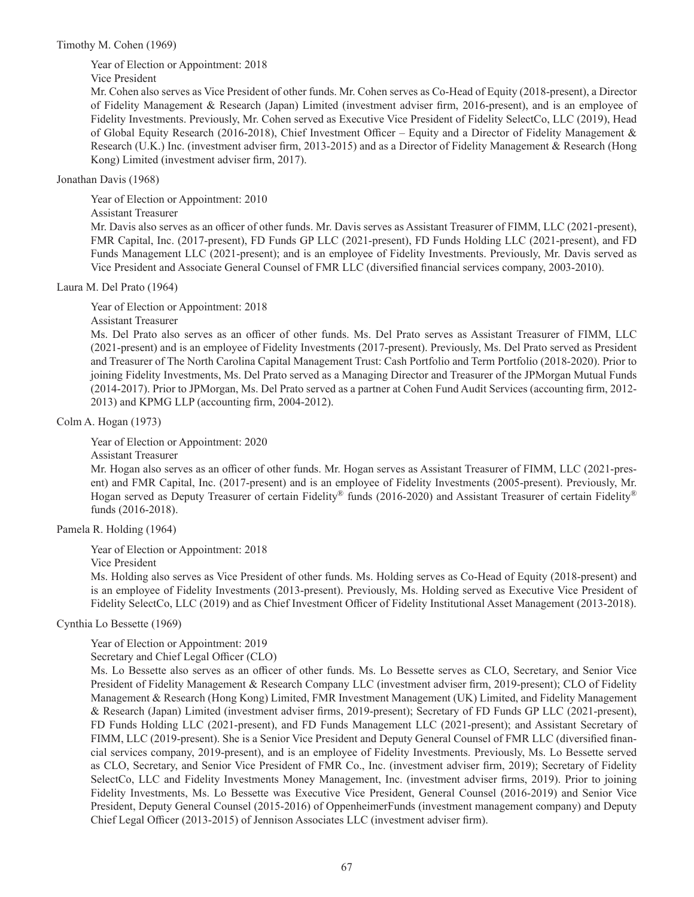Timothy M. Cohen (1969)

Year of Election or Appointment: 2018

Vice President

Mr. Cohen also serves as Vice President of other funds. Mr. Cohen serves as Co-Head of Equity (2018-present), a Director of Fidelity Management & Research (Japan) Limited (investment adviser firm, 2016-present), and is an employee of Fidelity Investments. Previously, Mr. Cohen served as Executive Vice President of Fidelity SelectCo, LLC (2019), Head of Global Equity Research (2016-2018), Chief Investment Officer – Equity and a Director of Fidelity Management & Research (U.K.) Inc. (investment adviser firm, 2013-2015) and as a Director of Fidelity Management & Research (Hong Kong) Limited (investment adviser firm, 2017).

## Jonathan Davis (1968)

Year of Election or Appointment: 2010 Assistant Treasurer Mr. Davis also serves as an officer of other funds. Mr. Davis serves as Assistant Treasurer of FIMM, LLC (2021-present), FMR Capital, Inc. (2017-present), FD Funds GP LLC (2021-present), FD Funds Holding LLC (2021-present), and FD Funds Management LLC (2021-present); and is an employee of Fidelity Investments. Previously, Mr. Davis served as Vice President and Associate General Counsel of FMR LLC (diversified financial services company, 2003-2010).

## Laura M. Del Prato (1964)

Year of Election or Appointment: 2018

Assistant Treasurer

Ms. Del Prato also serves as an officer of other funds. Ms. Del Prato serves as Assistant Treasurer of FIMM, LLC (2021-present) and is an employee of Fidelity Investments (2017-present). Previously, Ms. Del Prato served as President and Treasurer of The North Carolina Capital Management Trust: Cash Portfolio and Term Portfolio (2018-2020). Prior to joining Fidelity Investments, Ms. Del Prato served as a Managing Director and Treasurer of the JPMorgan Mutual Funds (2014-2017). Prior to JPMorgan, Ms. Del Prato served as a partner at Cohen Fund Audit Services (accounting firm, 2012- 2013) and KPMG LLP (accounting firm, 2004-2012).

Colm A. Hogan (1973)

Year of Election or Appointment: 2020

Assistant Treasurer

Mr. Hogan also serves as an officer of other funds. Mr. Hogan serves as Assistant Treasurer of FIMM, LLC (2021-present) and FMR Capital, Inc. (2017-present) and is an employee of Fidelity Investments (2005-present). Previously, Mr. Hogan served as Deputy Treasurer of certain Fidelity® funds (2016-2020) and Assistant Treasurer of certain Fidelity® funds (2016-2018).

Pamela R. Holding (1964)

Year of Election or Appointment: 2018

Vice President

Ms. Holding also serves as Vice President of other funds. Ms. Holding serves as Co-Head of Equity (2018-present) and is an employee of Fidelity Investments (2013-present). Previously, Ms. Holding served as Executive Vice President of Fidelity SelectCo, LLC (2019) and as Chief Investment Officer of Fidelity Institutional Asset Management (2013-2018).

Cynthia Lo Bessette (1969)

Year of Election or Appointment: 2019

Secretary and Chief Legal Officer (CLO)

Ms. Lo Bessette also serves as an officer of other funds. Ms. Lo Bessette serves as CLO, Secretary, and Senior Vice President of Fidelity Management & Research Company LLC (investment adviser firm, 2019-present); CLO of Fidelity Management & Research (Hong Kong) Limited, FMR Investment Management (UK) Limited, and Fidelity Management & Research (Japan) Limited (investment adviser firms, 2019-present); Secretary of FD Funds GP LLC (2021-present), FD Funds Holding LLC (2021-present), and FD Funds Management LLC (2021-present); and Assistant Secretary of FIMM, LLC (2019-present). She is a Senior Vice President and Deputy General Counsel of FMR LLC (diversified financial services company, 2019-present), and is an employee of Fidelity Investments. Previously, Ms. Lo Bessette served as CLO, Secretary, and Senior Vice President of FMR Co., Inc. (investment adviser firm, 2019); Secretary of Fidelity SelectCo, LLC and Fidelity Investments Money Management, Inc. (investment adviser firms, 2019). Prior to joining Fidelity Investments, Ms. Lo Bessette was Executive Vice President, General Counsel (2016-2019) and Senior Vice President, Deputy General Counsel (2015-2016) of OppenheimerFunds (investment management company) and Deputy Chief Legal Officer (2013-2015) of Jennison Associates LLC (investment adviser firm).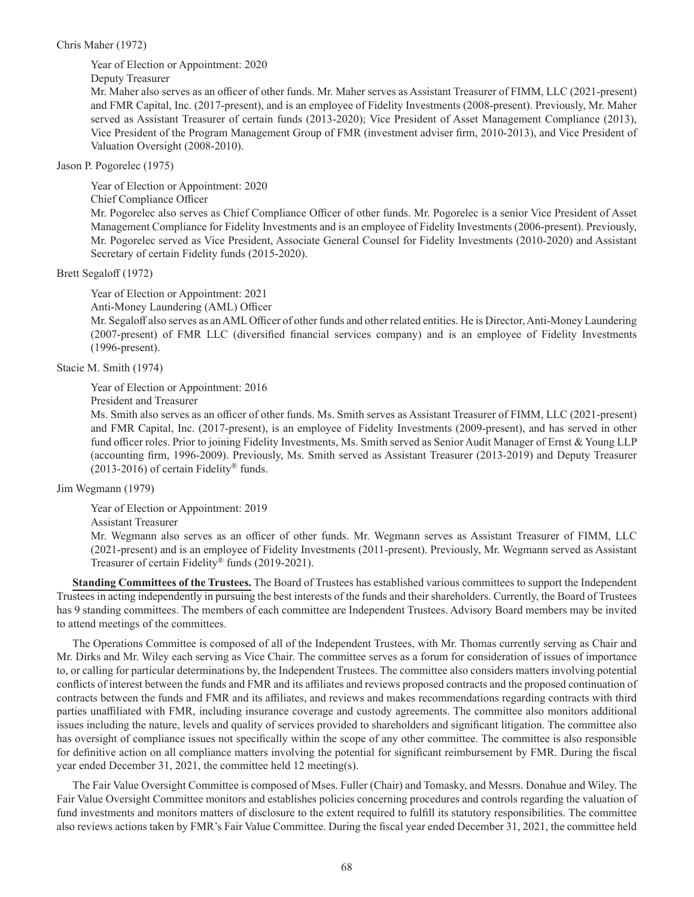## Chris Maher (1972)

Year of Election or Appointment: 2020

Deputy Treasurer

Mr. Maher also serves as an officer of other funds. Mr. Maher serves as Assistant Treasurer of FIMM, LLC (2021-present) and FMR Capital, Inc. (2017-present), and is an employee of Fidelity Investments (2008-present). Previously, Mr. Maher served as Assistant Treasurer of certain funds (2013-2020); Vice President of Asset Management Compliance (2013), Vice President of the Program Management Group of FMR (investment adviser firm, 2010-2013), and Vice President of Valuation Oversight (2008-2010).

Jason P. Pogorelec (1975)

Year of Election or Appointment: 2020

Chief Compliance Officer

Mr. Pogorelec also serves as Chief Compliance Officer of other funds. Mr. Pogorelec is a senior Vice President of Asset Management Compliance for Fidelity Investments and is an employee of Fidelity Investments (2006-present). Previously, Mr. Pogorelec served as Vice President, Associate General Counsel for Fidelity Investments (2010-2020) and Assistant Secretary of certain Fidelity funds (2015-2020).

## Brett Segaloff (1972)

Year of Election or Appointment: 2021

Anti-Money Laundering (AML) Officer

Mr. Segaloff also serves as an AML Officer of other funds and other related entities. He is Director, Anti-Money Laundering (2007-present) of FMR LLC (diversified financial services company) and is an employee of Fidelity Investments (1996-present).

Stacie M. Smith (1974)

Year of Election or Appointment: 2016

President and Treasurer

Ms. Smith also serves as an officer of other funds. Ms. Smith serves as Assistant Treasurer of FIMM, LLC (2021-present) and FMR Capital, Inc. (2017-present), is an employee of Fidelity Investments (2009-present), and has served in other fund officer roles. Prior to joining Fidelity Investments, Ms. Smith served as Senior Audit Manager of Ernst & Young LLP (accounting firm, 1996-2009). Previously, Ms. Smith served as Assistant Treasurer (2013-2019) and Deputy Treasurer  $(2013-2016)$  of certain Fidelity<sup>®</sup> funds.

Jim Wegmann (1979)

Year of Election or Appointment: 2019

Assistant Treasurer

Mr. Wegmann also serves as an officer of other funds. Mr. Wegmann serves as Assistant Treasurer of FIMM, LLC (2021-present) and is an employee of Fidelity Investments (2011-present). Previously, Mr. Wegmann served as Assistant Treasurer of certain Fidelity® funds (2019-2021).

**Standing Committees of the Trustees.** The Board of Trustees has established various committees to support the Independent Trustees in acting independently in pursuing the best interests of the funds and their shareholders. Currently, the Board of Trustees has 9 standing committees. The members of each committee are Independent Trustees. Advisory Board members may be invited to attend meetings of the committees.

The Operations Committee is composed of all of the Independent Trustees, with Mr. Thomas currently serving as Chair and Mr. Dirks and Mr. Wiley each serving as Vice Chair. The committee serves as a forum for consideration of issues of importance to, or calling for particular determinations by, the Independent Trustees. The committee also considers matters involving potential conflicts of interest between the funds and FMR and its affiliates and reviews proposed contracts and the proposed continuation of contracts between the funds and FMR and its affiliates, and reviews and makes recommendations regarding contracts with third parties unaffiliated with FMR, including insurance coverage and custody agreements. The committee also monitors additional issues including the nature, levels and quality of services provided to shareholders and significant litigation. The committee also has oversight of compliance issues not specifically within the scope of any other committee. The committee is also responsible for definitive action on all compliance matters involving the potential for significant reimbursement by FMR. During the fiscal year ended December 31, 2021, the committee held 12 meeting(s).

The Fair Value Oversight Committee is composed of Mses. Fuller (Chair) and Tomasky, and Messrs. Donahue and Wiley. The Fair Value Oversight Committee monitors and establishes policies concerning procedures and controls regarding the valuation of fund investments and monitors matters of disclosure to the extent required to fulfill its statutory responsibilities. The committee also reviews actions taken by FMR's Fair Value Committee. During the fiscal year ended December 31, 2021, the committee held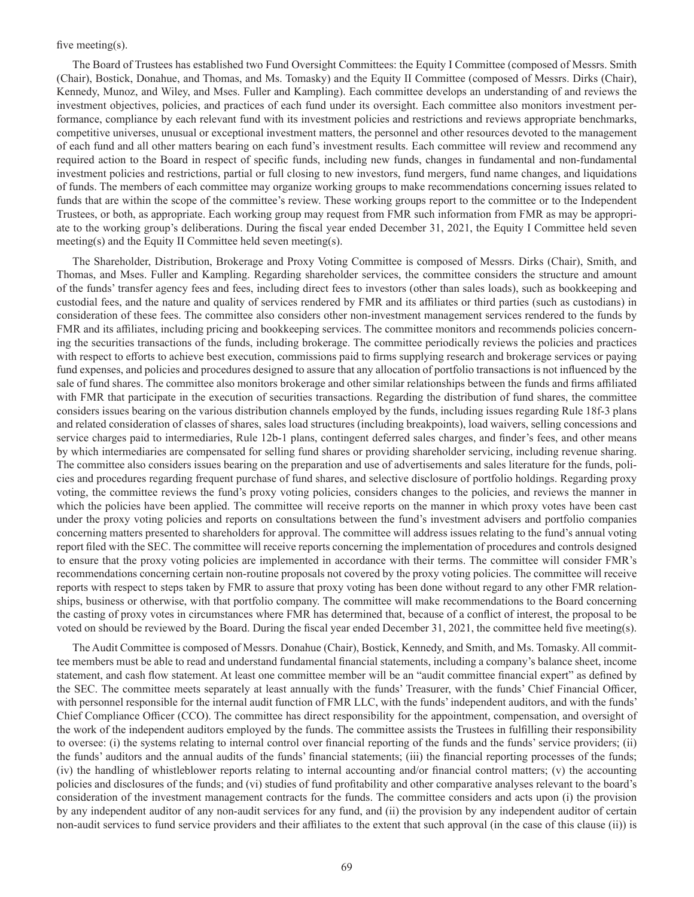### five meeting(s).

The Board of Trustees has established two Fund Oversight Committees: the Equity I Committee (composed of Messrs. Smith (Chair), Bostick, Donahue, and Thomas, and Ms. Tomasky) and the Equity II Committee (composed of Messrs. Dirks (Chair), Kennedy, Munoz, and Wiley, and Mses. Fuller and Kampling). Each committee develops an understanding of and reviews the investment objectives, policies, and practices of each fund under its oversight. Each committee also monitors investment performance, compliance by each relevant fund with its investment policies and restrictions and reviews appropriate benchmarks, competitive universes, unusual or exceptional investment matters, the personnel and other resources devoted to the management of each fund and all other matters bearing on each fund's investment results. Each committee will review and recommend any required action to the Board in respect of specific funds, including new funds, changes in fundamental and non-fundamental investment policies and restrictions, partial or full closing to new investors, fund mergers, fund name changes, and liquidations of funds. The members of each committee may organize working groups to make recommendations concerning issues related to funds that are within the scope of the committee's review. These working groups report to the committee or to the Independent Trustees, or both, as appropriate. Each working group may request from FMR such information from FMR as may be appropriate to the working group's deliberations. During the fiscal year ended December 31, 2021, the Equity I Committee held seven meeting(s) and the Equity II Committee held seven meeting(s).

The Shareholder, Distribution, Brokerage and Proxy Voting Committee is composed of Messrs. Dirks (Chair), Smith, and Thomas, and Mses. Fuller and Kampling. Regarding shareholder services, the committee considers the structure and amount of the funds' transfer agency fees and fees, including direct fees to investors (other than sales loads), such as bookkeeping and custodial fees, and the nature and quality of services rendered by FMR and its affiliates or third parties (such as custodians) in consideration of these fees. The committee also considers other non-investment management services rendered to the funds by FMR and its affiliates, including pricing and bookkeeping services. The committee monitors and recommends policies concerning the securities transactions of the funds, including brokerage. The committee periodically reviews the policies and practices with respect to efforts to achieve best execution, commissions paid to firms supplying research and brokerage services or paying fund expenses, and policies and procedures designed to assure that any allocation of portfolio transactions is not influenced by the sale of fund shares. The committee also monitors brokerage and other similar relationships between the funds and firms affiliated with FMR that participate in the execution of securities transactions. Regarding the distribution of fund shares, the committee considers issues bearing on the various distribution channels employed by the funds, including issues regarding Rule 18f-3 plans and related consideration of classes of shares, sales load structures (including breakpoints), load waivers, selling concessions and service charges paid to intermediaries, Rule 12b-1 plans, contingent deferred sales charges, and finder's fees, and other means by which intermediaries are compensated for selling fund shares or providing shareholder servicing, including revenue sharing. The committee also considers issues bearing on the preparation and use of advertisements and sales literature for the funds, policies and procedures regarding frequent purchase of fund shares, and selective disclosure of portfolio holdings. Regarding proxy voting, the committee reviews the fund's proxy voting policies, considers changes to the policies, and reviews the manner in which the policies have been applied. The committee will receive reports on the manner in which proxy votes have been cast under the proxy voting policies and reports on consultations between the fund's investment advisers and portfolio companies concerning matters presented to shareholders for approval. The committee will address issues relating to the fund's annual voting report filed with the SEC. The committee will receive reports concerning the implementation of procedures and controls designed to ensure that the proxy voting policies are implemented in accordance with their terms. The committee will consider FMR's recommendations concerning certain non-routine proposals not covered by the proxy voting policies. The committee will receive reports with respect to steps taken by FMR to assure that proxy voting has been done without regard to any other FMR relationships, business or otherwise, with that portfolio company. The committee will make recommendations to the Board concerning the casting of proxy votes in circumstances where FMR has determined that, because of a conflict of interest, the proposal to be voted on should be reviewed by the Board. During the fiscal year ended December 31, 2021, the committee held five meeting(s).

The Audit Committee is composed of Messrs. Donahue (Chair), Bostick, Kennedy, and Smith, and Ms. Tomasky. All committee members must be able to read and understand fundamental financial statements, including a company's balance sheet, income statement, and cash flow statement. At least one committee member will be an "audit committee financial expert" as defined by the SEC. The committee meets separately at least annually with the funds' Treasurer, with the funds' Chief Financial Officer, with personnel responsible for the internal audit function of FMR LLC, with the funds' independent auditors, and with the funds' Chief Compliance Officer (CCO). The committee has direct responsibility for the appointment, compensation, and oversight of the work of the independent auditors employed by the funds. The committee assists the Trustees in fulfilling their responsibility to oversee: (i) the systems relating to internal control over financial reporting of the funds and the funds' service providers; (ii) the funds' auditors and the annual audits of the funds' financial statements; (iii) the financial reporting processes of the funds; (iv) the handling of whistleblower reports relating to internal accounting and/or financial control matters; (v) the accounting policies and disclosures of the funds; and (vi) studies of fund profitability and other comparative analyses relevant to the board's consideration of the investment management contracts for the funds. The committee considers and acts upon (i) the provision by any independent auditor of any non-audit services for any fund, and (ii) the provision by any independent auditor of certain non-audit services to fund service providers and their affiliates to the extent that such approval (in the case of this clause (ii)) is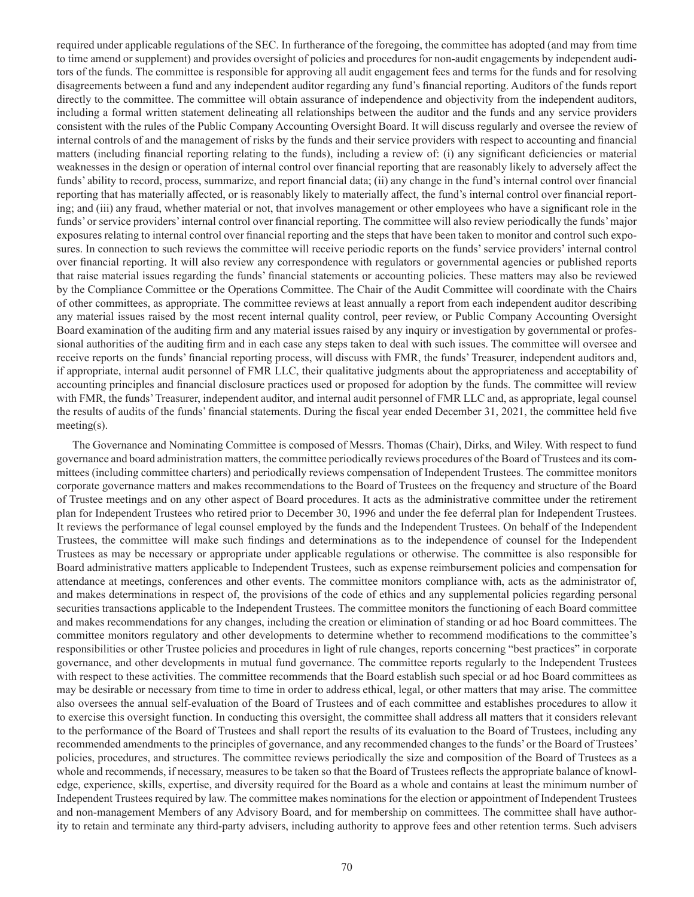required under applicable regulations of the SEC. In furtherance of the foregoing, the committee has adopted (and may from time to time amend or supplement) and provides oversight of policies and procedures for non-audit engagements by independent auditors of the funds. The committee is responsible for approving all audit engagement fees and terms for the funds and for resolving disagreements between a fund and any independent auditor regarding any fund's financial reporting. Auditors of the funds report directly to the committee. The committee will obtain assurance of independence and objectivity from the independent auditors, including a formal written statement delineating all relationships between the auditor and the funds and any service providers consistent with the rules of the Public Company Accounting Oversight Board. It will discuss regularly and oversee the review of internal controls of and the management of risks by the funds and their service providers with respect to accounting and financial matters (including financial reporting relating to the funds), including a review of: (i) any significant deficiencies or material weaknesses in the design or operation of internal control over financial reporting that are reasonably likely to adversely affect the funds' ability to record, process, summarize, and report financial data; (ii) any change in the fund's internal control over financial reporting that has materially affected, or is reasonably likely to materially affect, the fund's internal control over financial reporting; and (iii) any fraud, whether material or not, that involves management or other employees who have a significant role in the funds' or service providers' internal control over financial reporting. The committee will also review periodically the funds' major exposures relating to internal control over financial reporting and the steps that have been taken to monitor and control such exposures. In connection to such reviews the committee will receive periodic reports on the funds' service providers' internal control over financial reporting. It will also review any correspondence with regulators or governmental agencies or published reports that raise material issues regarding the funds' financial statements or accounting policies. These matters may also be reviewed by the Compliance Committee or the Operations Committee. The Chair of the Audit Committee will coordinate with the Chairs of other committees, as appropriate. The committee reviews at least annually a report from each independent auditor describing any material issues raised by the most recent internal quality control, peer review, or Public Company Accounting Oversight Board examination of the auditing firm and any material issues raised by any inquiry or investigation by governmental or professional authorities of the auditing firm and in each case any steps taken to deal with such issues. The committee will oversee and receive reports on the funds' financial reporting process, will discuss with FMR, the funds' Treasurer, independent auditors and, if appropriate, internal audit personnel of FMR LLC, their qualitative judgments about the appropriateness and acceptability of accounting principles and financial disclosure practices used or proposed for adoption by the funds. The committee will review with FMR, the funds' Treasurer, independent auditor, and internal audit personnel of FMR LLC and, as appropriate, legal counsel the results of audits of the funds' financial statements. During the fiscal year ended December 31, 2021, the committee held five meeting(s).

The Governance and Nominating Committee is composed of Messrs. Thomas (Chair), Dirks, and Wiley. With respect to fund governance and board administration matters, the committee periodically reviews procedures of the Board of Trustees and its committees (including committee charters) and periodically reviews compensation of Independent Trustees. The committee monitors corporate governance matters and makes recommendations to the Board of Trustees on the frequency and structure of the Board of Trustee meetings and on any other aspect of Board procedures. It acts as the administrative committee under the retirement plan for Independent Trustees who retired prior to December 30, 1996 and under the fee deferral plan for Independent Trustees. It reviews the performance of legal counsel employed by the funds and the Independent Trustees. On behalf of the Independent Trustees, the committee will make such findings and determinations as to the independence of counsel for the Independent Trustees as may be necessary or appropriate under applicable regulations or otherwise. The committee is also responsible for Board administrative matters applicable to Independent Trustees, such as expense reimbursement policies and compensation for attendance at meetings, conferences and other events. The committee monitors compliance with, acts as the administrator of, and makes determinations in respect of, the provisions of the code of ethics and any supplemental policies regarding personal securities transactions applicable to the Independent Trustees. The committee monitors the functioning of each Board committee and makes recommendations for any changes, including the creation or elimination of standing or ad hoc Board committees. The committee monitors regulatory and other developments to determine whether to recommend modifications to the committee's responsibilities or other Trustee policies and procedures in light of rule changes, reports concerning "best practices" in corporate governance, and other developments in mutual fund governance. The committee reports regularly to the Independent Trustees with respect to these activities. The committee recommends that the Board establish such special or ad hoc Board committees as may be desirable or necessary from time to time in order to address ethical, legal, or other matters that may arise. The committee also oversees the annual self-evaluation of the Board of Trustees and of each committee and establishes procedures to allow it to exercise this oversight function. In conducting this oversight, the committee shall address all matters that it considers relevant to the performance of the Board of Trustees and shall report the results of its evaluation to the Board of Trustees, including any recommended amendments to the principles of governance, and any recommended changes to the funds' or the Board of Trustees' policies, procedures, and structures. The committee reviews periodically the size and composition of the Board of Trustees as a whole and recommends, if necessary, measures to be taken so that the Board of Trustees reflects the appropriate balance of knowledge, experience, skills, expertise, and diversity required for the Board as a whole and contains at least the minimum number of Independent Trustees required by law. The committee makes nominations for the election or appointment of Independent Trustees and non-management Members of any Advisory Board, and for membership on committees. The committee shall have authority to retain and terminate any third-party advisers, including authority to approve fees and other retention terms. Such advisers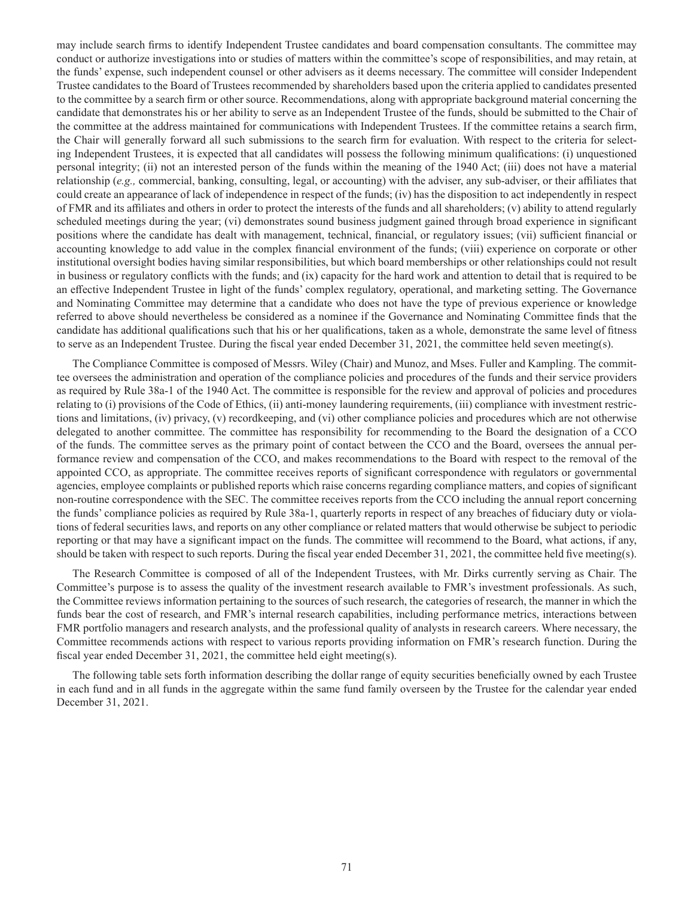may include search firms to identify Independent Trustee candidates and board compensation consultants. The committee may conduct or authorize investigations into or studies of matters within the committee's scope of responsibilities, and may retain, at the funds' expense, such independent counsel or other advisers as it deems necessary. The committee will consider Independent Trustee candidates to the Board of Trustees recommended by shareholders based upon the criteria applied to candidates presented to the committee by a search firm or other source. Recommendations, along with appropriate background material concerning the candidate that demonstrates his or her ability to serve as an Independent Trustee of the funds, should be submitted to the Chair of the committee at the address maintained for communications with Independent Trustees. If the committee retains a search firm, the Chair will generally forward all such submissions to the search firm for evaluation. With respect to the criteria for selecting Independent Trustees, it is expected that all candidates will possess the following minimum qualifications: (i) unquestioned personal integrity; (ii) not an interested person of the funds within the meaning of the 1940 Act; (iii) does not have a material relationship (*e.g.,* commercial, banking, consulting, legal, or accounting) with the adviser, any sub-adviser, or their affiliates that could create an appearance of lack of independence in respect of the funds; (iv) has the disposition to act independently in respect of FMR and its affiliates and others in order to protect the interests of the funds and all shareholders; (v) ability to attend regularly scheduled meetings during the year; (vi) demonstrates sound business judgment gained through broad experience in significant positions where the candidate has dealt with management, technical, financial, or regulatory issues; (vii) sufficient financial or accounting knowledge to add value in the complex financial environment of the funds; (viii) experience on corporate or other institutional oversight bodies having similar responsibilities, but which board memberships or other relationships could not result in business or regulatory conflicts with the funds; and (ix) capacity for the hard work and attention to detail that is required to be an effective Independent Trustee in light of the funds' complex regulatory, operational, and marketing setting. The Governance and Nominating Committee may determine that a candidate who does not have the type of previous experience or knowledge referred to above should nevertheless be considered as a nominee if the Governance and Nominating Committee finds that the candidate has additional qualifications such that his or her qualifications, taken as a whole, demonstrate the same level of fitness to serve as an Independent Trustee. During the fiscal year ended December 31, 2021, the committee held seven meeting(s).

The Compliance Committee is composed of Messrs. Wiley (Chair) and Munoz, and Mses. Fuller and Kampling. The committee oversees the administration and operation of the compliance policies and procedures of the funds and their service providers as required by Rule 38a-1 of the 1940 Act. The committee is responsible for the review and approval of policies and procedures relating to (i) provisions of the Code of Ethics, (ii) anti-money laundering requirements, (iii) compliance with investment restrictions and limitations, (iv) privacy, (v) recordkeeping, and (vi) other compliance policies and procedures which are not otherwise delegated to another committee. The committee has responsibility for recommending to the Board the designation of a CCO of the funds. The committee serves as the primary point of contact between the CCO and the Board, oversees the annual performance review and compensation of the CCO, and makes recommendations to the Board with respect to the removal of the appointed CCO, as appropriate. The committee receives reports of significant correspondence with regulators or governmental agencies, employee complaints or published reports which raise concerns regarding compliance matters, and copies of significant non-routine correspondence with the SEC. The committee receives reports from the CCO including the annual report concerning the funds' compliance policies as required by Rule 38a-1, quarterly reports in respect of any breaches of fiduciary duty or violations of federal securities laws, and reports on any other compliance or related matters that would otherwise be subject to periodic reporting or that may have a significant impact on the funds. The committee will recommend to the Board, what actions, if any, should be taken with respect to such reports. During the fiscal year ended December 31, 2021, the committee held five meeting(s).

The Research Committee is composed of all of the Independent Trustees, with Mr. Dirks currently serving as Chair. The Committee's purpose is to assess the quality of the investment research available to FMR's investment professionals. As such, the Committee reviews information pertaining to the sources of such research, the categories of research, the manner in which the funds bear the cost of research, and FMR's internal research capabilities, including performance metrics, interactions between FMR portfolio managers and research analysts, and the professional quality of analysts in research careers. Where necessary, the Committee recommends actions with respect to various reports providing information on FMR's research function. During the fiscal year ended December 31, 2021, the committee held eight meeting(s).

The following table sets forth information describing the dollar range of equity securities beneficially owned by each Trustee in each fund and in all funds in the aggregate within the same fund family overseen by the Trustee for the calendar year ended December 31, 2021.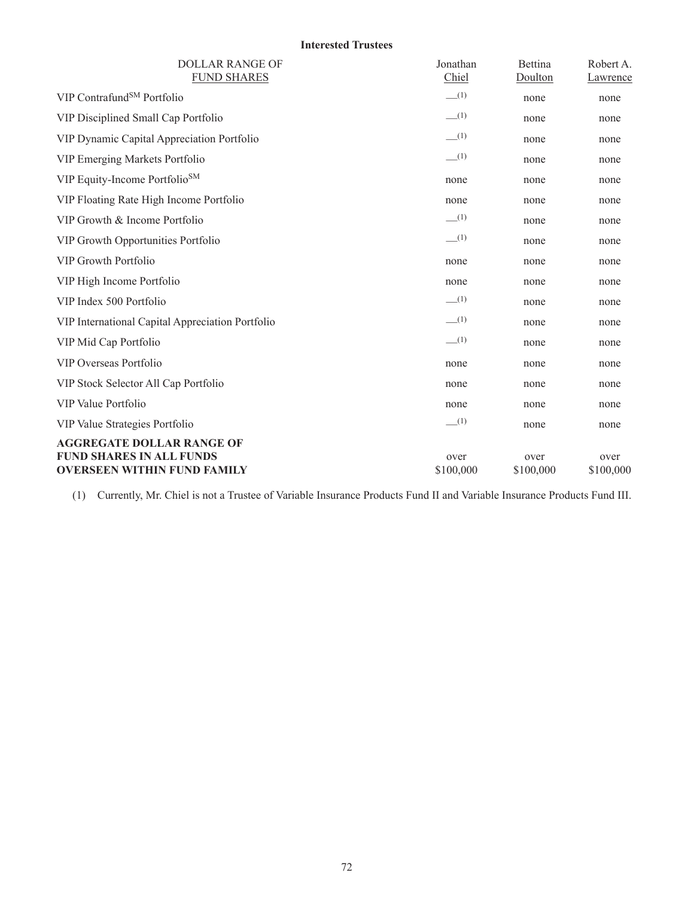# **Interested Trustees**

| <b>DOLLAR RANGE OF</b><br><b>FUND SHARES</b>                                                              | Jonathan<br>Chiel | Bettina<br>Doulton | Robert A.<br>Lawrence |
|-----------------------------------------------------------------------------------------------------------|-------------------|--------------------|-----------------------|
| VIP Contrafund <sup>SM</sup> Portfolio                                                                    | $-$ (1)           | none               | none                  |
| VIP Disciplined Small Cap Portfolio                                                                       | $-$ (1)           | none               | none                  |
| VIP Dynamic Capital Appreciation Portfolio                                                                | $-$ (1)           | none               | none                  |
| VIP Emerging Markets Portfolio                                                                            | $-$ (1)           | none               | none                  |
| VIP Equity-Income Portfolio <sup>SM</sup>                                                                 | none              | none               | none                  |
| VIP Floating Rate High Income Portfolio                                                                   | none              | none               | none                  |
| VIP Growth & Income Portfolio                                                                             | $-$ (1)           | none               | none                  |
| VIP Growth Opportunities Portfolio                                                                        | $-$ (1)           | none               | none                  |
| <b>VIP Growth Portfolio</b>                                                                               | none              | none               | none                  |
| VIP High Income Portfolio                                                                                 | none              | none               | none                  |
| VIP Index 500 Portfolio                                                                                   | $-$ (1)           | none               | none                  |
| VIP International Capital Appreciation Portfolio                                                          | $-$ (1)           | none               | none                  |
| VIP Mid Cap Portfolio                                                                                     | $-$ (1)           | none               | none                  |
| VIP Overseas Portfolio                                                                                    | none              | none               | none                  |
| VIP Stock Selector All Cap Portfolio                                                                      | none              | none               | none                  |
| VIP Value Portfolio                                                                                       | none              | none               | none                  |
| VIP Value Strategies Portfolio                                                                            | $-$ (1)           | none               | none                  |
| <b>AGGREGATE DOLLAR RANGE OF</b><br><b>FUND SHARES IN ALL FUNDS</b><br><b>OVERSEEN WITHIN FUND FAMILY</b> | over<br>\$100,000 | over<br>\$100,000  | over<br>\$100,000     |

(1) Currently, Mr. Chiel is not a Trustee of Variable Insurance Products Fund II and Variable Insurance Products Fund III.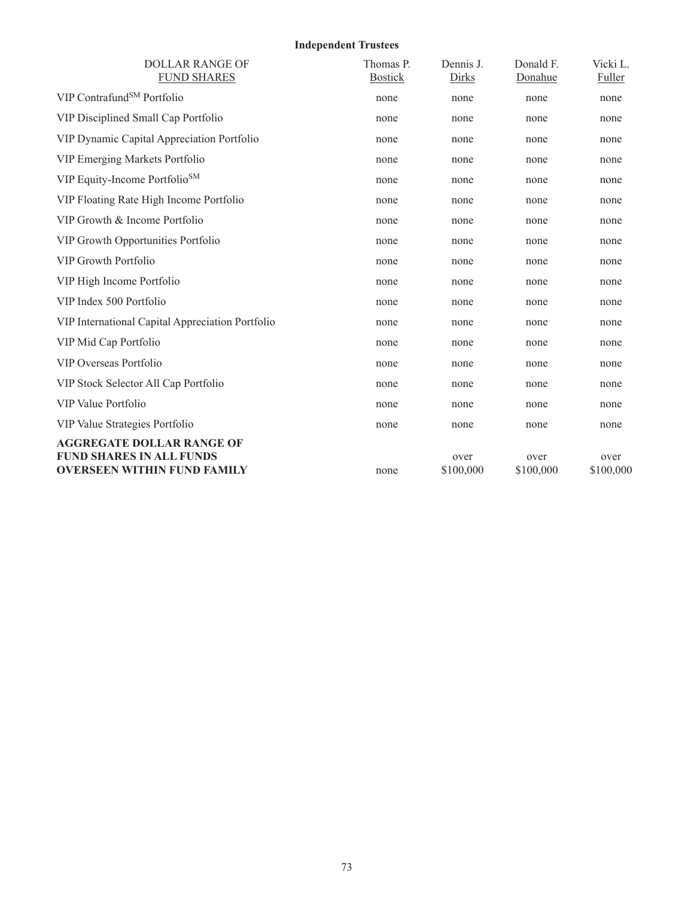## **Independent Trustees**

| <b>DOLLAR RANGE OF</b><br><b>FUND SHARES</b>                                                              | Thomas P.<br><b>Bostick</b> | Dennis J.<br>Dirks | Donald F.<br>Donahue | Vicki L.<br>Fuller |
|-----------------------------------------------------------------------------------------------------------|-----------------------------|--------------------|----------------------|--------------------|
| VIP Contrafund <sup>SM</sup> Portfolio                                                                    | none                        | none               | none                 | none               |
| VIP Disciplined Small Cap Portfolio                                                                       | none                        | none               | none                 | none               |
| VIP Dynamic Capital Appreciation Portfolio                                                                | none                        | none               | none                 | none               |
| VIP Emerging Markets Portfolio                                                                            | none                        | none               | none                 | none               |
| VIP Equity-Income Portfolio <sup>SM</sup>                                                                 | none                        | none               | none                 | none               |
| VIP Floating Rate High Income Portfolio                                                                   | none                        | none               | none                 | none               |
| VIP Growth & Income Portfolio                                                                             | none                        | none               | none                 | none               |
| VIP Growth Opportunities Portfolio                                                                        | none                        | none               | none                 | none               |
| <b>VIP Growth Portfolio</b>                                                                               | none                        | none               | none                 | none               |
| VIP High Income Portfolio                                                                                 | none                        | none               | none                 | none               |
| VIP Index 500 Portfolio                                                                                   | none                        | none               | none                 | none               |
| VIP International Capital Appreciation Portfolio                                                          | none                        | none               | none                 | none               |
| VIP Mid Cap Portfolio                                                                                     | none                        | none               | none                 | none               |
| VIP Overseas Portfolio                                                                                    | none                        | none               | none                 | none               |
| VIP Stock Selector All Cap Portfolio                                                                      | none                        | none               | none                 | none               |
| VIP Value Portfolio                                                                                       | none                        | none               | none                 | none               |
| VIP Value Strategies Portfolio                                                                            | none                        | none               | none                 | none               |
| <b>AGGREGATE DOLLAR RANGE OF</b><br><b>FUND SHARES IN ALL FUNDS</b><br><b>OVERSEEN WITHIN FUND FAMILY</b> | none                        | over<br>\$100,000  | over<br>\$100,000    | over<br>\$100,000  |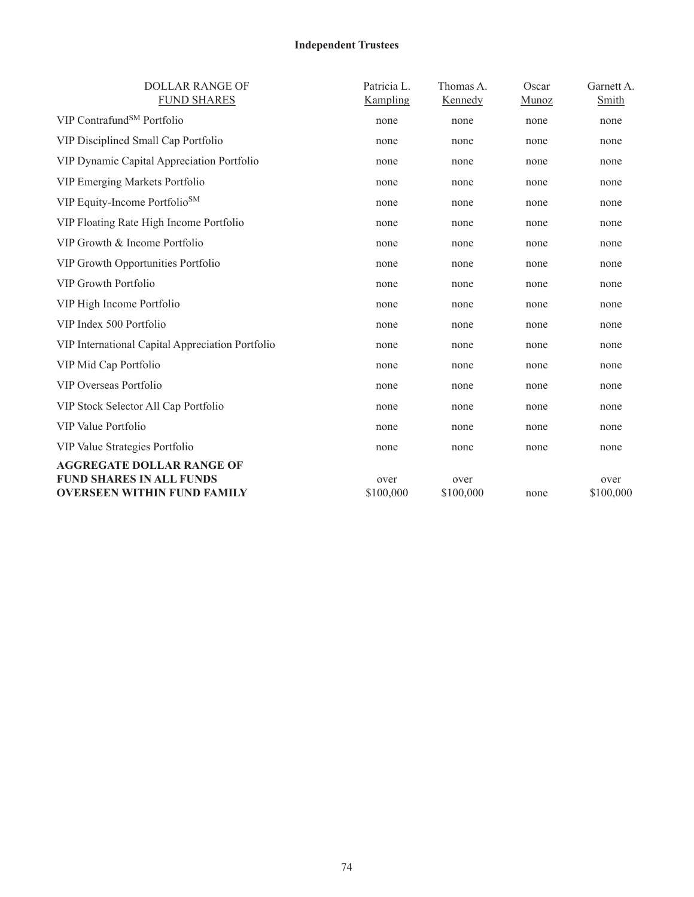# **Independent Trustees**

| <b>DOLLAR RANGE OF</b><br><b>FUND SHARES</b>                                                              | Patricia L.<br>Kampling | Thomas A.<br>Kennedy | Oscar<br>Munoz | Garnett A.<br>Smith |
|-----------------------------------------------------------------------------------------------------------|-------------------------|----------------------|----------------|---------------------|
| VIP Contrafund <sup>SM</sup> Portfolio                                                                    | none                    | none                 | none           | none                |
| VIP Disciplined Small Cap Portfolio                                                                       | none                    | none                 | none           | none                |
| VIP Dynamic Capital Appreciation Portfolio                                                                | none                    | none                 | none           | none                |
| VIP Emerging Markets Portfolio                                                                            | none                    | none                 | none           | none                |
| VIP Equity-Income Portfolio <sup>SM</sup>                                                                 | none                    | none                 | none           | none                |
| VIP Floating Rate High Income Portfolio                                                                   | none                    | none                 | none           | none                |
| VIP Growth & Income Portfolio                                                                             | none                    | none                 | none           | none                |
| VIP Growth Opportunities Portfolio                                                                        | none                    | none                 | none           | none                |
| <b>VIP Growth Portfolio</b>                                                                               | none                    | none                 | none           | none                |
| VIP High Income Portfolio                                                                                 | none                    | none                 | none           | none                |
| VIP Index 500 Portfolio                                                                                   | none                    | none                 | none           | none                |
| VIP International Capital Appreciation Portfolio                                                          | none                    | none                 | none           | none                |
| VIP Mid Cap Portfolio                                                                                     | none                    | none                 | none           | none                |
| VIP Overseas Portfolio                                                                                    | none                    | none                 | none           | none                |
| VIP Stock Selector All Cap Portfolio                                                                      | none                    | none                 | none           | none                |
| VIP Value Portfolio                                                                                       | none                    | none                 | none           | none                |
| VIP Value Strategies Portfolio                                                                            | none                    | none                 | none           | none                |
| <b>AGGREGATE DOLLAR RANGE OF</b><br><b>FUND SHARES IN ALL FUNDS</b><br><b>OVERSEEN WITHIN FUND FAMILY</b> | over<br>\$100,000       | over<br>\$100,000    | none           | over<br>\$100,000   |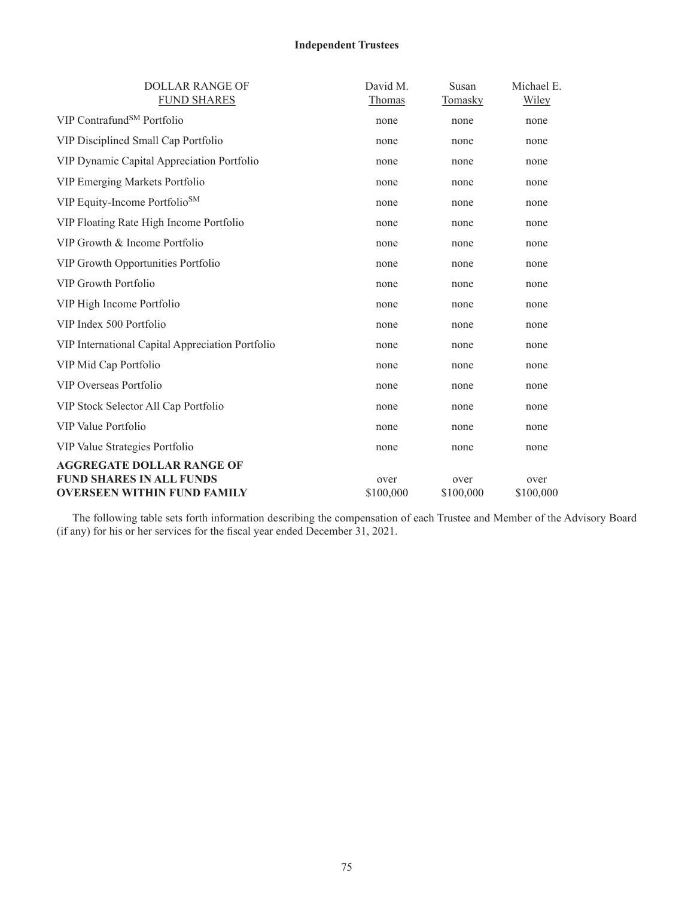## **Independent Trustees**

| <b>DOLLAR RANGE OF</b><br><b>FUND SHARES</b>                          | David M.<br>Thomas | Susan<br><b>Tomasky</b> | Michael E.<br>Wiley |
|-----------------------------------------------------------------------|--------------------|-------------------------|---------------------|
| VIP Contrafund <sup>SM</sup> Portfolio                                |                    |                         |                     |
|                                                                       | none               | none                    | none                |
| VIP Disciplined Small Cap Portfolio                                   | none               | none                    | none                |
| VIP Dynamic Capital Appreciation Portfolio                            | none               | none                    | none                |
| VIP Emerging Markets Portfolio                                        | none               | none                    | none                |
| VIP Equity-Income Portfolio <sup>SM</sup>                             | none               | none                    | none                |
| VIP Floating Rate High Income Portfolio                               | none               | none                    | none                |
| VIP Growth & Income Portfolio                                         | none               | none                    | none                |
| VIP Growth Opportunities Portfolio                                    | none               | none                    | none                |
| <b>VIP Growth Portfolio</b>                                           | none               | none                    | none                |
| VIP High Income Portfolio                                             | none               | none                    | none                |
| VIP Index 500 Portfolio                                               | none               | none                    | none                |
| VIP International Capital Appreciation Portfolio                      | none               | none                    | none                |
| VIP Mid Cap Portfolio                                                 | none               | none                    | none                |
| VIP Overseas Portfolio                                                | none               | none                    | none                |
| VIP Stock Selector All Cap Portfolio                                  | none               | none                    | none                |
| VIP Value Portfolio                                                   | none               | none                    | none                |
| VIP Value Strategies Portfolio                                        | none               | none                    | none                |
| <b>AGGREGATE DOLLAR RANGE OF</b>                                      |                    |                         |                     |
| <b>FUND SHARES IN ALL FUNDS</b><br><b>OVERSEEN WITHIN FUND FAMILY</b> | over               | over                    | over                |
|                                                                       | \$100,000          | \$100,000               | \$100,000           |

The following table sets forth information describing the compensation of each Trustee and Member of the Advisory Board (if any) for his or her services for the fiscal year ended December 31, 2021.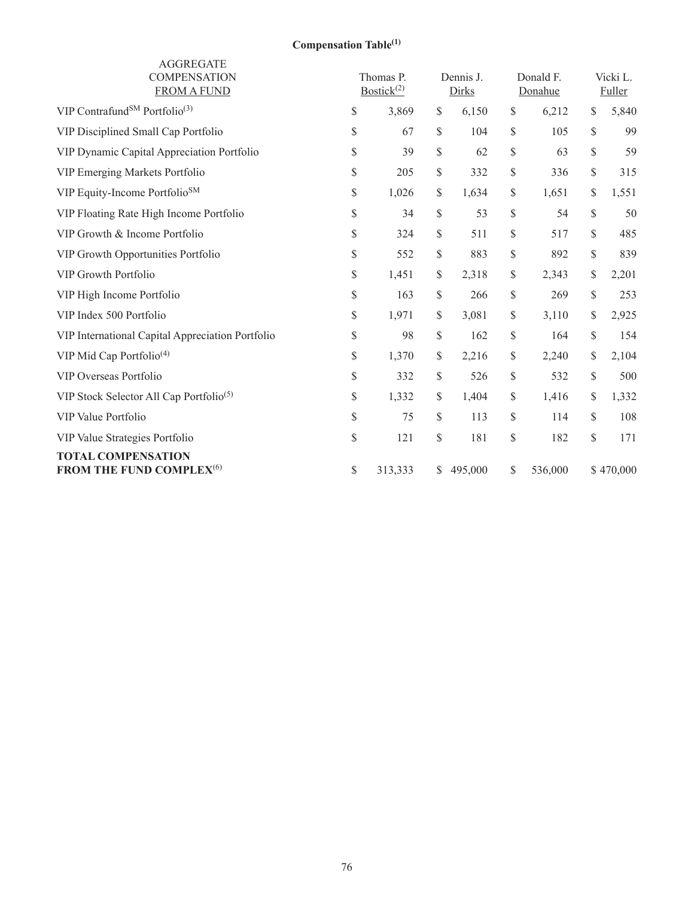# **Compensation Table(1)**

| <b>AGGREGATE</b><br><b>COMPENSATION</b><br><b>FROM A FUND</b>     |                                                                       | Thomas P.<br>Bostick <sup>(2)</sup> | Dennis J.<br>Dirks |                                                                       | Donald F.<br>Donahue | Vicki L.<br>Fuller |
|-------------------------------------------------------------------|-----------------------------------------------------------------------|-------------------------------------|--------------------|-----------------------------------------------------------------------|----------------------|--------------------|
| VIP Contrafund <sup>SM</sup> Portfolio <sup>(3)</sup>             | $\mathbb{S}% _{t}\left( t\right) \equiv\mathbb{S}_{t}\left( t\right)$ | 3,869                               | \$<br>6,150        | $\$$                                                                  | 6,212                | \$<br>5,840        |
| VIP Disciplined Small Cap Portfolio                               | \$                                                                    | 67                                  | \$<br>104          | \$                                                                    | 105                  | \$<br>99           |
| VIP Dynamic Capital Appreciation Portfolio                        | \$                                                                    | 39                                  | \$<br>62           | \$                                                                    | 63                   | \$<br>59           |
| VIP Emerging Markets Portfolio                                    | \$                                                                    | 205                                 | \$<br>332          | \$                                                                    | 336                  | \$<br>315          |
| VIP Equity-Income Portfolio <sup>SM</sup>                         | $\mathbb{S}% _{t}\left( t\right) \equiv\mathbb{S}_{t}\left( t\right)$ | 1,026                               | \$<br>1,634        | \$                                                                    | 1,651                | \$<br>1,551        |
| VIP Floating Rate High Income Portfolio                           | \$                                                                    | 34                                  | \$<br>53           | $\mathbb{S}% _{t}\left( t\right) \equiv\mathbb{S}_{t}\left( t\right)$ | 54                   | \$<br>50           |
| VIP Growth & Income Portfolio                                     | \$                                                                    | 324                                 | \$<br>511          | \$                                                                    | 517                  | \$<br>485          |
| VIP Growth Opportunities Portfolio                                | \$                                                                    | 552                                 | \$<br>883          | \$                                                                    | 892                  | \$<br>839          |
| <b>VIP Growth Portfolio</b>                                       | \$                                                                    | 1,451                               | \$<br>2,318        | \$                                                                    | 2,343                | \$<br>2,201        |
| VIP High Income Portfolio                                         | \$                                                                    | 163                                 | \$<br>266          | \$                                                                    | 269                  | \$<br>253          |
| VIP Index 500 Portfolio                                           | $\mathbb{S}% _{t}\left( t\right) \equiv\mathbb{S}_{t}\left( t\right)$ | 1,971                               | \$<br>3,081        | \$                                                                    | 3,110                | \$<br>2,925        |
| VIP International Capital Appreciation Portfolio                  | \$                                                                    | 98                                  | \$<br>162          | \$                                                                    | 164                  | \$<br>154          |
| VIP Mid Cap Portfolio <sup>(4)</sup>                              | \$                                                                    | 1,370                               | \$<br>2,216        | \$                                                                    | 2,240                | \$<br>2,104        |
| VIP Overseas Portfolio                                            | \$                                                                    | 332                                 | \$<br>526          | \$                                                                    | 532                  | \$<br>500          |
| VIP Stock Selector All Cap Portfolio <sup>(5)</sup>               | \$                                                                    | 1,332                               | \$<br>1,404        | \$                                                                    | 1,416                | \$<br>1,332        |
| VIP Value Portfolio                                               | \$                                                                    | 75                                  | \$<br>113          | \$                                                                    | 114                  | \$<br>108          |
| VIP Value Strategies Portfolio                                    | \$                                                                    | 121                                 | \$<br>181          | \$                                                                    | 182                  | \$<br>171          |
| <b>TOTAL COMPENSATION</b><br>FROM THE FUND COMPLEX <sup>(6)</sup> | \$                                                                    | 313,333                             | \$<br>495,000      | \$                                                                    | 536,000              | \$470,000          |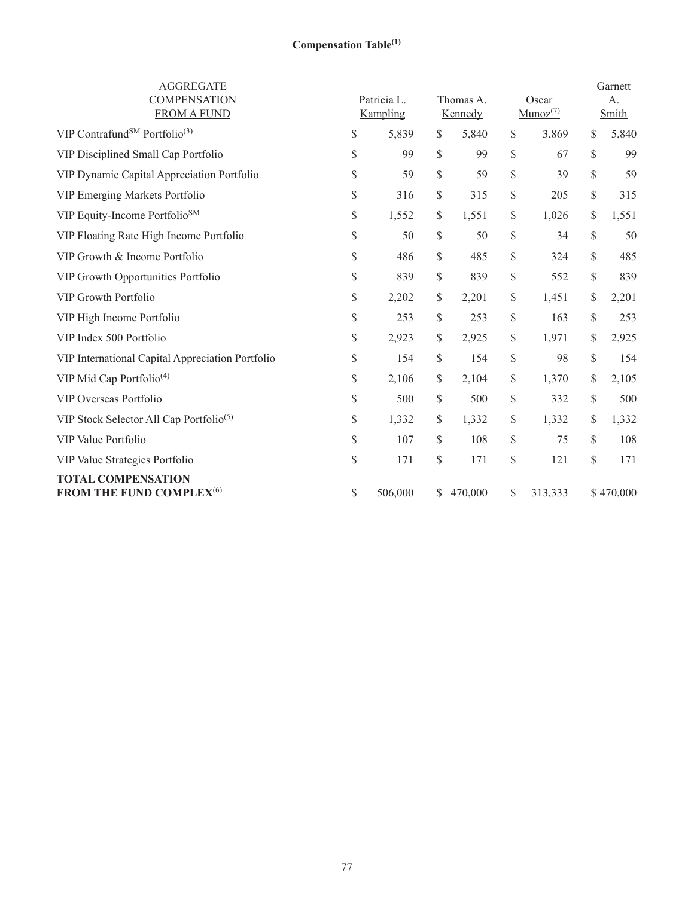# **Compensation Table(1)**

| <b>AGGREGATE</b><br><b>COMPENSATION</b><br><b>FROM A FUND</b>           |                                                                       | Patricia L.<br>Kampling |    | Thomas A.<br>Kennedy | Oscar<br>$Munoz^{(7)}$ |              | Garnett<br>A.<br>Smith |
|-------------------------------------------------------------------------|-----------------------------------------------------------------------|-------------------------|----|----------------------|------------------------|--------------|------------------------|
| VIP Contrafund <sup>SM</sup> Portfolio <sup>(3)</sup>                   | \$                                                                    | 5,839                   | \$ | 5,840                | \$<br>3,869            | \$           | 5,840                  |
| VIP Disciplined Small Cap Portfolio                                     | \$                                                                    | 99                      | \$ | 99                   | \$<br>67               | \$           | 99                     |
| VIP Dynamic Capital Appreciation Portfolio                              | \$                                                                    | 59                      | \$ | 59                   | \$<br>39               | $\mathbb{S}$ | 59                     |
| VIP Emerging Markets Portfolio                                          | \$                                                                    | 316                     | \$ | 315                  | \$<br>205              | \$           | 315                    |
| VIP Equity-Income Portfolio <sup>SM</sup>                               | $\mathbb{S}% _{t}\left( t\right) \equiv\mathbb{S}_{t}\left( t\right)$ | 1,552                   | \$ | 1,551                | \$<br>1,026            | \$           | 1,551                  |
| VIP Floating Rate High Income Portfolio                                 | \$                                                                    | 50                      | \$ | 50                   | \$<br>34               | \$           | 50                     |
| VIP Growth & Income Portfolio                                           | \$                                                                    | 486                     | \$ | 485                  | \$<br>324              | \$           | 485                    |
| VIP Growth Opportunities Portfolio                                      | \$                                                                    | 839                     | \$ | 839                  | \$<br>552              | \$           | 839                    |
| <b>VIP Growth Portfolio</b>                                             | $\mathbb{S}% _{t}\left( t\right) \equiv\mathbb{S}_{t}\left( t\right)$ | 2,202                   | \$ | 2,201                | \$<br>1,451            | \$           | 2,201                  |
| VIP High Income Portfolio                                               | \$                                                                    | 253                     | \$ | 253                  | \$<br>163              | \$           | 253                    |
| VIP Index 500 Portfolio                                                 | $\mathbb{S}% _{t}\left( t\right) \equiv\mathbb{S}_{t}\left( t\right)$ | 2,923                   | \$ | 2,925                | \$<br>1,971            | \$           | 2,925                  |
| VIP International Capital Appreciation Portfolio                        | $\mathbb{S}% _{t}\left( t\right) \equiv\mathbb{S}_{t}\left( t\right)$ | 154                     | \$ | 154                  | \$<br>98               | $\mathbb{S}$ | 154                    |
| VIP Mid Cap Portfolio <sup>(4)</sup>                                    | \$                                                                    | 2,106                   | \$ | 2,104                | \$<br>1,370            | \$           | 2,105                  |
| VIP Overseas Portfolio                                                  | \$                                                                    | 500                     | \$ | 500                  | \$<br>332              | \$           | 500                    |
| VIP Stock Selector All Cap Portfolio <sup>(5)</sup>                     | \$                                                                    | 1,332                   | \$ | 1,332                | \$<br>1,332            | \$           | 1,332                  |
| VIP Value Portfolio                                                     | $\mathbb{S}% _{t}\left( t\right) \equiv\mathbb{S}_{t}\left( t\right)$ | 107                     | \$ | 108                  | \$<br>75               | \$           | 108                    |
| VIP Value Strategies Portfolio                                          | \$                                                                    | 171                     | \$ | 171                  | \$<br>121              | $\mathbb{S}$ | 171                    |
| <b>TOTAL COMPENSATION</b><br><b>FROM THE FUND COMPLEX<sup>(6)</sup></b> | \$                                                                    | 506,000                 | S. | 470,000              | \$<br>313,333          |              | \$470,000              |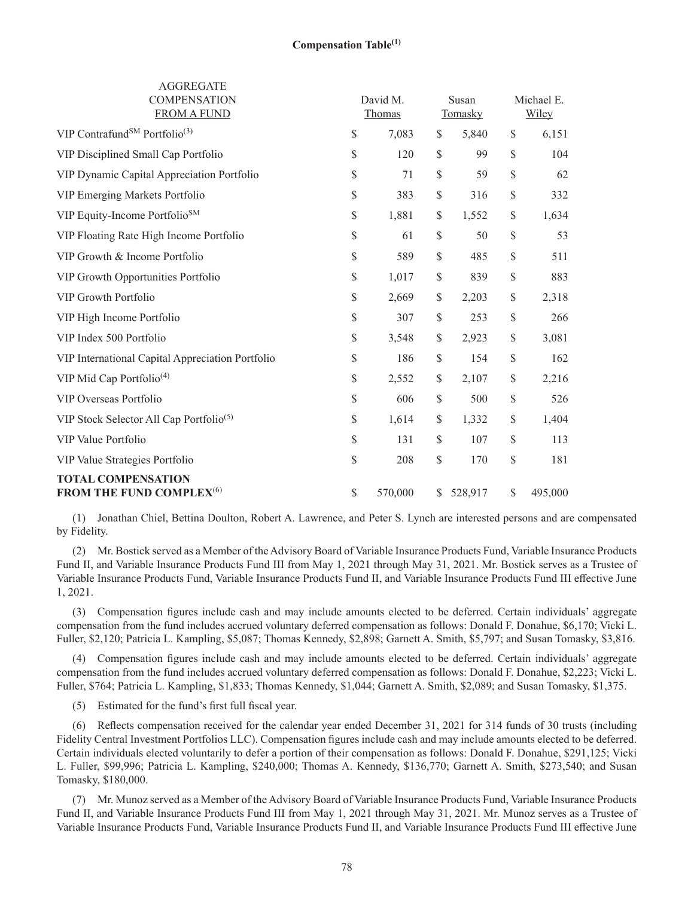| <b>AGGREGATE</b><br><b>COMPENSATION</b><br><b>FROM A FUND</b>            |      | David M.<br>Thomas | Susan<br>Tomasky |                                   | Michael E.<br>Wiley |
|--------------------------------------------------------------------------|------|--------------------|------------------|-----------------------------------|---------------------|
| VIP Contrafund <sup>SM</sup> Portfolio <sup>(3)</sup>                    | $\$$ | 7,083              | \$<br>5,840      | $\$$                              | 6,151               |
| VIP Disciplined Small Cap Portfolio                                      | $\$$ | 120                | \$<br>99         | $\mathcal{S}$                     | 104                 |
| VIP Dynamic Capital Appreciation Portfolio                               | \$   | 71                 | \$<br>59         | $\mathcal{S}$                     | 62                  |
| VIP Emerging Markets Portfolio                                           | \$   | 383                | \$<br>316        | \$                                | 332                 |
| VIP Equity-Income Portfolio <sup>SM</sup>                                | $\$$ | 1,881              | \$<br>1,552      | $\$$                              | 1,634               |
| VIP Floating Rate High Income Portfolio                                  | \$   | 61                 | \$<br>50         | \$                                | 53                  |
| VIP Growth & Income Portfolio                                            | $\$$ | 589                | \$<br>485        | $\$$                              | 511                 |
| VIP Growth Opportunities Portfolio                                       | \$   | 1,017              | \$<br>839        | $\$$                              | 883                 |
| <b>VIP Growth Portfolio</b>                                              | \$   | 2,669              | \$<br>2,203      | \$                                | 2,318               |
| VIP High Income Portfolio                                                | \$   | 307                | \$<br>253        | $\$$                              | 266                 |
| VIP Index 500 Portfolio                                                  | \$   | 3,548              | \$<br>2,923      | $\$$                              | 3,081               |
| VIP International Capital Appreciation Portfolio                         | \$   | 186                | \$<br>154        | $\mathbb{S}% _{t}\left( t\right)$ | 162                 |
| VIP Mid Cap Portfolio <sup>(4)</sup>                                     | \$   | 2,552              | \$<br>2,107      | $\$$                              | 2,216               |
| VIP Overseas Portfolio                                                   | \$   | 606                | \$<br>500        | \$                                | 526                 |
| VIP Stock Selector All Cap Portfolio <sup>(5)</sup>                      | $\$$ | 1,614              | \$<br>1,332      | $\$$                              | 1,404               |
| VIP Value Portfolio                                                      | \$   | 131                | \$<br>107        | $\$$                              | 113                 |
| VIP Value Strategies Portfolio                                           | \$   | 208                | \$<br>170        | \$                                | 181                 |
| <b>TOTAL COMPENSATION</b><br><b>FROM THE FUND COMPLEX</b> <sup>(6)</sup> | \$   | 570,000            | \$<br>528,917    | \$                                | 495,000             |

(1) Jonathan Chiel, Bettina Doulton, Robert A. Lawrence, and Peter S. Lynch are interested persons and are compensated by Fidelity.

(2) Mr. Bostick served as a Member of the Advisory Board of Variable Insurance Products Fund, Variable Insurance Products Fund II, and Variable Insurance Products Fund III from May 1, 2021 through May 31, 2021. Mr. Bostick serves as a Trustee of Variable Insurance Products Fund, Variable Insurance Products Fund II, and Variable Insurance Products Fund III effective June 1, 2021.

(3) Compensation figures include cash and may include amounts elected to be deferred. Certain individuals' aggregate compensation from the fund includes accrued voluntary deferred compensation as follows: Donald F. Donahue, \$6,170; Vicki L. Fuller, \$2,120; Patricia L. Kampling, \$5,087; Thomas Kennedy, \$2,898; Garnett A. Smith, \$5,797; and Susan Tomasky, \$3,816.

(4) Compensation figures include cash and may include amounts elected to be deferred. Certain individuals' aggregate compensation from the fund includes accrued voluntary deferred compensation as follows: Donald F. Donahue, \$2,223; Vicki L. Fuller, \$764; Patricia L. Kampling, \$1,833; Thomas Kennedy, \$1,044; Garnett A. Smith, \$2,089; and Susan Tomasky, \$1,375.

(5) Estimated for the fund's first full fiscal year.

(6) Reflects compensation received for the calendar year ended December 31, 2021 for 314 funds of 30 trusts (including Fidelity Central Investment Portfolios LLC). Compensation figures include cash and may include amounts elected to be deferred. Certain individuals elected voluntarily to defer a portion of their compensation as follows: Donald F. Donahue, \$291,125; Vicki L. Fuller, \$99,996; Patricia L. Kampling, \$240,000; Thomas A. Kennedy, \$136,770; Garnett A. Smith, \$273,540; and Susan Tomasky, \$180,000.

(7) Mr. Munoz served as a Member of the Advisory Board of Variable Insurance Products Fund, Variable Insurance Products Fund II, and Variable Insurance Products Fund III from May 1, 2021 through May 31, 2021. Mr. Munoz serves as a Trustee of Variable Insurance Products Fund, Variable Insurance Products Fund II, and Variable Insurance Products Fund III effective June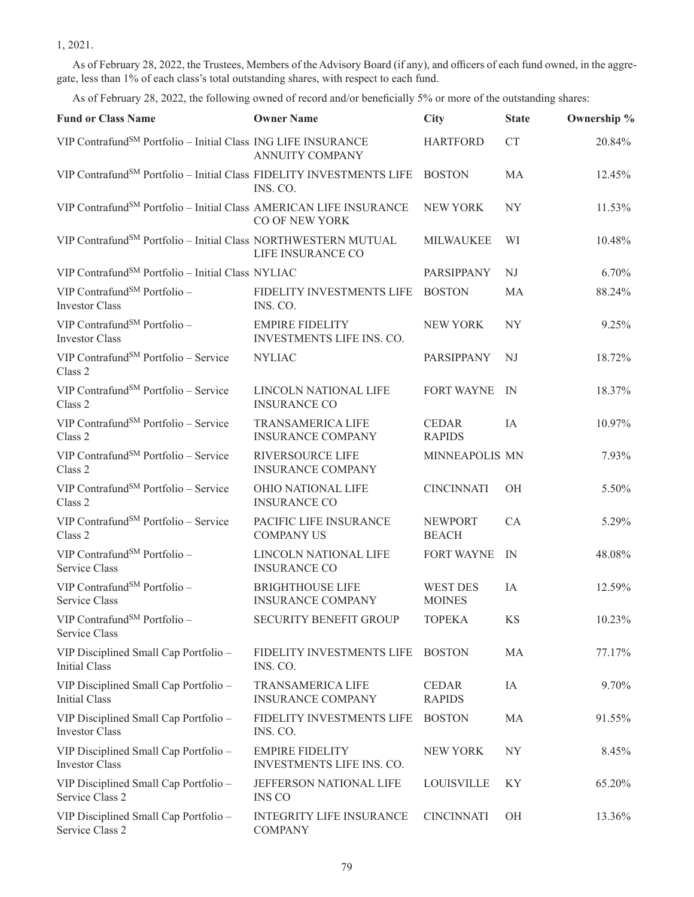1, 2021.

As of February 28, 2022, the Trustees, Members of the Advisory Board (if any), and officers of each fund owned, in the aggregate, less than 1% of each class's total outstanding shares, with respect to each fund.

As of February 28, 2022, the following owned of record and/or beneficially 5% or more of the outstanding shares:

| <b>Fund or Class Name</b>                                                        | <b>Owner Name</b>                                    | <b>City</b>                    | <b>State</b>   | Ownership % |
|----------------------------------------------------------------------------------|------------------------------------------------------|--------------------------------|----------------|-------------|
| VIP Contrafund <sup>SM</sup> Portfolio - Initial Class ING LIFE INSURANCE        | <b>ANNUITY COMPANY</b>                               | <b>HARTFORD</b>                | CT             | 20.84%      |
| VIP Contrafund <sup>SM</sup> Portfolio - Initial Class FIDELITY INVESTMENTS LIFE | INS. CO.                                             | <b>BOSTON</b>                  | MA             | 12.45%      |
| VIP Contrafund <sup>SM</sup> Portfolio - Initial Class AMERICAN LIFE INSURANCE   | CO OF NEW YORK                                       | <b>NEW YORK</b>                | <b>NY</b>      | 11.53%      |
| VIP Contrafund <sup>SM</sup> Portfolio - Initial Class NORTHWESTERN MUTUAL       | LIFE INSURANCE CO                                    | <b>MILWAUKEE</b>               | WI             | 10.48%      |
| VIP Contrafund <sup>SM</sup> Portfolio - Initial Class NYLIAC                    |                                                      | PARSIPPANY                     | NJ             | 6.70%       |
| VIP Contrafund <sup>SM</sup> Portfolio -<br><b>Investor Class</b>                | FIDELITY INVESTMENTS LIFE<br>INS. CO.                | <b>BOSTON</b>                  | MA             | 88.24%      |
| VIP Contrafund <sup>SM</sup> Portfolio -<br>Investor Class                       | <b>EMPIRE FIDELITY</b><br>INVESTMENTS LIFE INS. CO.  | <b>NEW YORK</b>                | <b>NY</b>      | 9.25%       |
| VIP Contrafund <sup>SM</sup> Portfolio - Service<br>Class 2                      | <b>NYLIAC</b>                                        | PARSIPPANY                     | NJ             | 18.72%      |
| VIP Contrafund <sup>SM</sup> Portfolio - Service<br>Class 2                      | LINCOLN NATIONAL LIFE<br><b>INSURANCE CO</b>         | FORT WAYNE                     | - IN           | 18.37%      |
| VIP Contrafund <sup>SM</sup> Portfolio - Service<br>Class 2                      | <b>TRANSAMERICA LIFE</b><br><b>INSURANCE COMPANY</b> | <b>CEDAR</b><br><b>RAPIDS</b>  | IA             | 10.97%      |
| VIP Contrafund <sup>SM</sup> Portfolio - Service<br>Class 2                      | <b>RIVERSOURCE LIFE</b><br><b>INSURANCE COMPANY</b>  | MINNEAPOLIS MN                 |                | 7.93%       |
| VIP Contrafund <sup>SM</sup> Portfolio - Service<br>Class 2                      | OHIO NATIONAL LIFE<br><b>INSURANCE CO</b>            | <b>CINCINNATI</b>              | OH             | 5.50%       |
| VIP Contrafund <sup>SM</sup> Portfolio - Service<br>Class 2                      | PACIFIC LIFE INSURANCE<br><b>COMPANY US</b>          | <b>NEWPORT</b><br><b>BEACH</b> | CA             | 5.29%       |
| VIP Contrafund <sup>SM</sup> Portfolio -<br>Service Class                        | LINCOLN NATIONAL LIFE<br><b>INSURANCE CO</b>         | <b>FORT WAYNE</b>              | IN             | 48.08%      |
| VIP Contrafund <sup>SM</sup> Portfolio -<br>Service Class                        | <b>BRIGHTHOUSE LIFE</b><br><b>INSURANCE COMPANY</b>  | WEST DES<br><b>MOINES</b>      | IA             | 12.59%      |
| VIP Contrafund <sup>SM</sup> Portfolio -<br>Service Class                        | SECURITY BENEFIT GROUP                               | <b>TOPEKA</b>                  | KS             | 10.23%      |
| VIP Disciplined Small Cap Portfolio -<br><b>Initial Class</b>                    | FIDELITY INVESTMENTS LIFE<br>INS. CO.                | <b>BOSTON</b>                  | MA             | 77.17%      |
| VIP Disciplined Small Cap Portfolio -<br>Initial Class                           | <b>TRANSAMERICA LIFE</b><br><b>INSURANCE COMPANY</b> | <b>CEDAR</b><br><b>RAPIDS</b>  | IA             | 9.70%       |
| VIP Disciplined Small Cap Portfolio -<br><b>Investor Class</b>                   | FIDELITY INVESTMENTS LIFE<br>INS. CO.                | <b>BOSTON</b>                  | MA             | 91.55%      |
| VIP Disciplined Small Cap Portfolio -<br><b>Investor Class</b>                   | <b>EMPIRE FIDELITY</b><br>INVESTMENTS LIFE INS. CO.  | NEW YORK                       | NY <sub></sub> | 8.45%       |
| VIP Disciplined Small Cap Portfolio -<br>Service Class 2                         | JEFFERSON NATIONAL LIFE<br><b>INS CO</b>             | <b>LOUISVILLE</b>              | KY             | 65.20%      |
| VIP Disciplined Small Cap Portfolio -<br>Service Class 2                         | <b>INTEGRITY LIFE INSURANCE</b><br><b>COMPANY</b>    | <b>CINCINNATI</b>              | OH             | 13.36%      |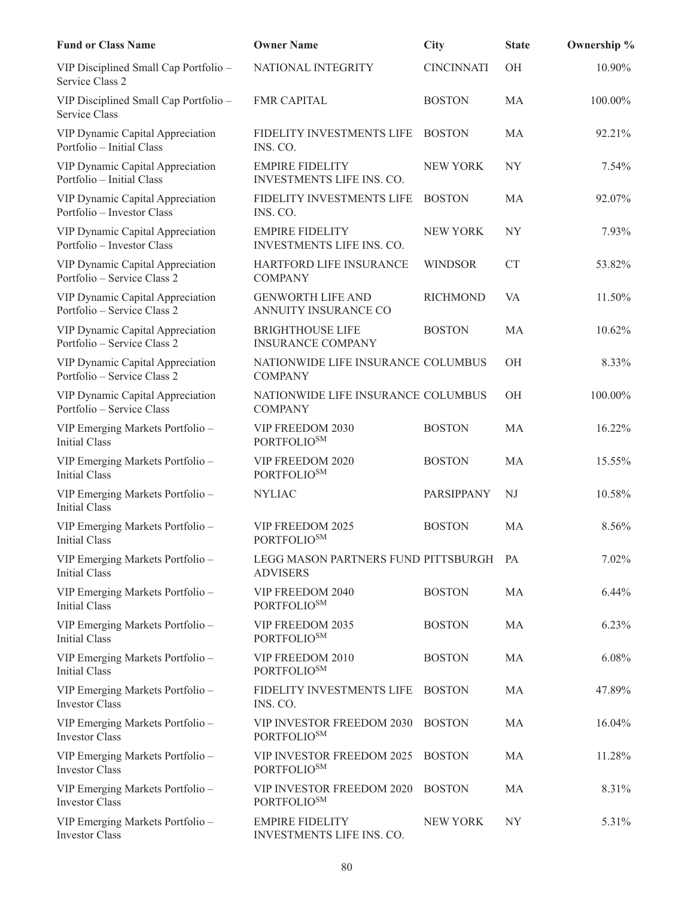| <b>Fund or Class Name</b>                                       | <b>Owner Name</b>                                      | <b>City</b>       | <b>State</b> | Ownership % |
|-----------------------------------------------------------------|--------------------------------------------------------|-------------------|--------------|-------------|
| VIP Disciplined Small Cap Portfolio -<br>Service Class 2        | NATIONAL INTEGRITY                                     | <b>CINCINNATI</b> | OH           | 10.90%      |
| VIP Disciplined Small Cap Portfolio -<br>Service Class          | <b>FMR CAPITAL</b>                                     | <b>BOSTON</b>     | MA           | 100.00%     |
| VIP Dynamic Capital Appreciation<br>Portfolio - Initial Class   | FIDELITY INVESTMENTS LIFE<br>INS. CO.                  | <b>BOSTON</b>     | MA           | 92.21%      |
| VIP Dynamic Capital Appreciation<br>Portfolio - Initial Class   | <b>EMPIRE FIDELITY</b><br>INVESTMENTS LIFE INS. CO.    | NEW YORK          | NY           | 7.54%       |
| VIP Dynamic Capital Appreciation<br>Portfolio - Investor Class  | FIDELITY INVESTMENTS LIFE<br>INS. CO.                  | <b>BOSTON</b>     | MA           | 92.07%      |
| VIP Dynamic Capital Appreciation<br>Portfolio - Investor Class  | <b>EMPIRE FIDELITY</b><br>INVESTMENTS LIFE INS. CO.    | <b>NEW YORK</b>   | <b>NY</b>    | 7.93%       |
| VIP Dynamic Capital Appreciation<br>Portfolio – Service Class 2 | HARTFORD LIFE INSURANCE<br><b>COMPANY</b>              | <b>WINDSOR</b>    | CT           | 53.82%      |
| VIP Dynamic Capital Appreciation<br>Portfolio – Service Class 2 | <b>GENWORTH LIFE AND</b><br>ANNUITY INSURANCE CO       | <b>RICHMOND</b>   | VA           | 11.50%      |
| VIP Dynamic Capital Appreciation<br>Portfolio - Service Class 2 | <b>BRIGHTHOUSE LIFE</b><br><b>INSURANCE COMPANY</b>    | <b>BOSTON</b>     | <b>MA</b>    | 10.62%      |
| VIP Dynamic Capital Appreciation<br>Portfolio - Service Class 2 | NATIONWIDE LIFE INSURANCE COLUMBUS<br><b>COMPANY</b>   |                   | OH           | 8.33%       |
| VIP Dynamic Capital Appreciation<br>Portfolio - Service Class   | NATIONWIDE LIFE INSURANCE COLUMBUS<br><b>COMPANY</b>   |                   | OH           | 100.00%     |
| VIP Emerging Markets Portfolio -<br>Initial Class               | VIP FREEDOM 2030<br><b>PORTFOLIOSM</b>                 | <b>BOSTON</b>     | MA           | 16.22%      |
| VIP Emerging Markets Portfolio -<br><b>Initial Class</b>        | VIP FREEDOM 2020<br><b>PORTFOLIOSM</b>                 | <b>BOSTON</b>     | MA           | 15.55%      |
| VIP Emerging Markets Portfolio -<br>Initial Class               | <b>NYLIAC</b>                                          | PARSIPPANY        | NJ           | 10.58%      |
| VIP Emerging Markets Portfolio -<br><b>Initial Class</b>        | VIP FREEDOM 2025<br>PORTFOLIO <sup>SM</sup>            | <b>BOSTON</b>     | MA           | 8.56%       |
| VIP Emerging Markets Portfolio -<br><b>Initial Class</b>        | LEGG MASON PARTNERS FUND PITTSBURGH<br><b>ADVISERS</b> |                   | PA           | 7.02%       |
| VIP Emerging Markets Portfolio -<br><b>Initial Class</b>        | VIP FREEDOM 2040<br><b>PORTFOLIOSM</b>                 | <b>BOSTON</b>     | MA           | 6.44%       |
| VIP Emerging Markets Portfolio -<br>Initial Class               | VIP FREEDOM 2035<br><b>PORTFOLIOSM</b>                 | <b>BOSTON</b>     | MA           | 6.23%       |
| VIP Emerging Markets Portfolio -<br>Initial Class               | VIP FREEDOM 2010<br><b>PORTFOLIOSM</b>                 | <b>BOSTON</b>     | MA           | 6.08%       |
| VIP Emerging Markets Portfolio -<br><b>Investor Class</b>       | FIDELITY INVESTMENTS LIFE<br>INS. CO.                  | <b>BOSTON</b>     | MA           | 47.89%      |
| VIP Emerging Markets Portfolio -<br><b>Investor Class</b>       | VIP INVESTOR FREEDOM 2030<br>PORTFOLIO <sup>SM</sup>   | <b>BOSTON</b>     | MA           | 16.04%      |
| VIP Emerging Markets Portfolio -<br><b>Investor Class</b>       | VIP INVESTOR FREEDOM 2025<br>PORTFOLIO <sup>SM</sup>   | <b>BOSTON</b>     | MA           | 11.28%      |
| VIP Emerging Markets Portfolio -<br><b>Investor Class</b>       | VIP INVESTOR FREEDOM 2020<br>PORTFOLIOSM               | <b>BOSTON</b>     | MA           | 8.31%       |
| VIP Emerging Markets Portfolio -<br><b>Investor Class</b>       | <b>EMPIRE FIDELITY</b><br>INVESTMENTS LIFE INS. CO.    | NEW YORK          | <b>NY</b>    | 5.31%       |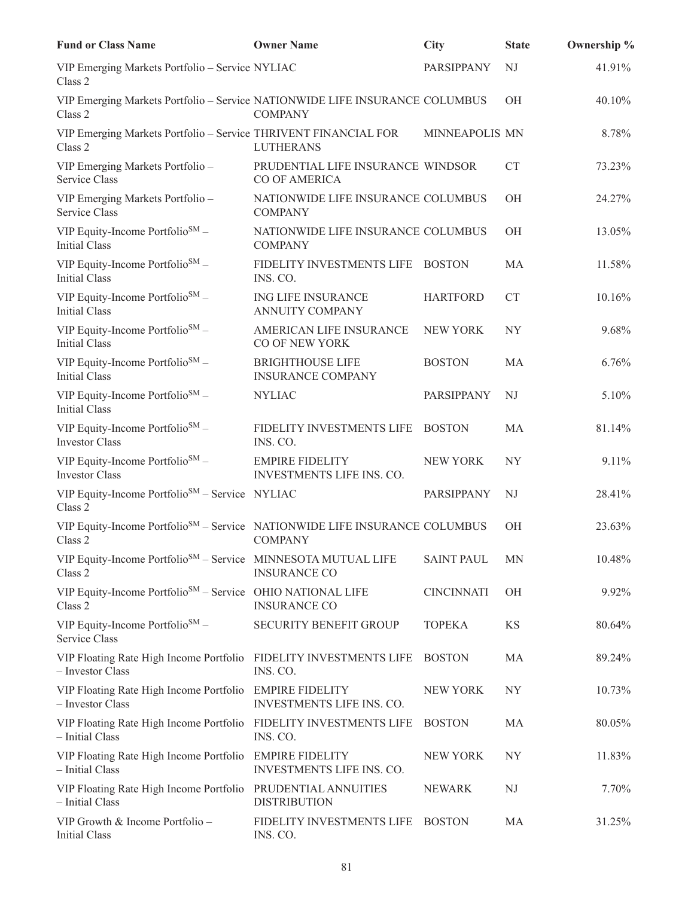| <b>Fund or Class Name</b>                                                                         | <b>Owner Name</b>                                    | <b>City</b>       | <b>State</b> | Ownership % |
|---------------------------------------------------------------------------------------------------|------------------------------------------------------|-------------------|--------------|-------------|
| VIP Emerging Markets Portfolio - Service NYLIAC<br>Class 2                                        |                                                      | PARSIPPANY        | NJ           | 41.91%      |
| VIP Emerging Markets Portfolio - Service NATIONWIDE LIFE INSURANCE COLUMBUS<br>Class 2            | <b>COMPANY</b>                                       |                   | ΟH           | 40.10%      |
| VIP Emerging Markets Portfolio - Service THRIVENT FINANCIAL FOR<br>Class 2                        | <b>LUTHERANS</b>                                     | MINNEAPOLIS MN    |              | 8.78%       |
| VIP Emerging Markets Portfolio -<br>Service Class                                                 | PRUDENTIAL LIFE INSURANCE WINDSOR<br>CO OF AMERICA   |                   | <b>CT</b>    | 73.23%      |
| VIP Emerging Markets Portfolio -<br>Service Class                                                 | NATIONWIDE LIFE INSURANCE COLUMBUS<br><b>COMPANY</b> |                   | OH           | 24.27%      |
| VIP Equity-Income Portfolio <sup>SM</sup> -<br><b>Initial Class</b>                               | NATIONWIDE LIFE INSURANCE COLUMBUS<br><b>COMPANY</b> |                   | OH           | 13.05%      |
| VIP Equity-Income Portfolio <sup>SM</sup> -<br>Initial Class                                      | FIDELITY INVESTMENTS LIFE<br>INS. CO.                | <b>BOSTON</b>     | MA           | 11.58%      |
| VIP Equity-Income Portfolio <sup>SM</sup> –<br><b>Initial Class</b>                               | ING LIFE INSURANCE<br><b>ANNUITY COMPANY</b>         | <b>HARTFORD</b>   | CT           | 10.16%      |
| VIP Equity-Income Portfolio <sup>SM</sup> –<br><b>Initial Class</b>                               | AMERICAN LIFE INSURANCE<br>CO OF NEW YORK            | <b>NEW YORK</b>   | NY           | 9.68%       |
| VIP Equity-Income Portfolio <sup>SM</sup> -<br><b>Initial Class</b>                               | <b>BRIGHTHOUSE LIFE</b><br><b>INSURANCE COMPANY</b>  | <b>BOSTON</b>     | MA           | 6.76%       |
| VIP Equity-Income Portfolio <sup>SM</sup> -<br><b>Initial Class</b>                               | <b>NYLIAC</b>                                        | PARSIPPANY        | NJ           | 5.10%       |
| VIP Equity-Income Portfolio <sup>SM</sup> -<br><b>Investor Class</b>                              | FIDELITY INVESTMENTS LIFE<br>INS. CO.                | <b>BOSTON</b>     | MA           | 81.14%      |
| VIP Equity-Income Portfolio <sup>SM</sup> -<br><b>Investor Class</b>                              | <b>EMPIRE FIDELITY</b><br>INVESTMENTS LIFE INS. CO.  | NEW YORK          | NY           | 9.11%       |
| VIP Equity-Income Portfolio <sup>SM</sup> - Service NYLIAC<br>Class 2                             |                                                      | PARSIPPANY        | NJ           | 28.41%      |
| VIP Equity-Income Portfolio <sup>SM</sup> - Service NATIONWIDE LIFE INSURANCE COLUMBUS<br>Class 2 | <b>COMPANY</b>                                       |                   | OH           | 23.63%      |
| VIP Equity-Income Portfolio <sup>SM</sup> - Service MINNESOTA MUTUAL LIFE<br>Class 2              | <b>INSURANCE CO</b>                                  | <b>SAINT PAUL</b> | <b>MN</b>    | 10.48%      |
| VIP Equity-Income Portfolio <sup>SM</sup> – Service OHIO NATIONAL LIFE<br>Class 2                 | <b>INSURANCE CO</b>                                  | <b>CINCINNATI</b> | ΟH           | 9.92%       |
| VIP Equity-Income Portfolio <sup>SM</sup> -<br>Service Class                                      | SECURITY BENEFIT GROUP                               | <b>TOPEKA</b>     | KS           | 80.64%      |
| VIP Floating Rate High Income Portfolio<br>- Investor Class                                       | FIDELITY INVESTMENTS LIFE<br>INS. CO.                | <b>BOSTON</b>     | MA           | 89.24%      |
| VIP Floating Rate High Income Portfolio<br>- Investor Class                                       | <b>EMPIRE FIDELITY</b><br>INVESTMENTS LIFE INS. CO.  | <b>NEW YORK</b>   | NY           | 10.73%      |
| VIP Floating Rate High Income Portfolio<br>- Initial Class                                        | FIDELITY INVESTMENTS LIFE<br>INS. CO.                | <b>BOSTON</b>     | MA           | 80.05%      |
| VIP Floating Rate High Income Portfolio<br>- Initial Class                                        | <b>EMPIRE FIDELITY</b><br>INVESTMENTS LIFE INS. CO.  | <b>NEW YORK</b>   | NY           | 11.83%      |
| VIP Floating Rate High Income Portfolio<br>- Initial Class                                        | PRUDENTIAL ANNUITIES<br><b>DISTRIBUTION</b>          | <b>NEWARK</b>     | NJ           | 7.70%       |
| VIP Growth & Income Portfolio -<br><b>Initial Class</b>                                           | FIDELITY INVESTMENTS LIFE<br>INS. CO.                | <b>BOSTON</b>     | MA           | 31.25%      |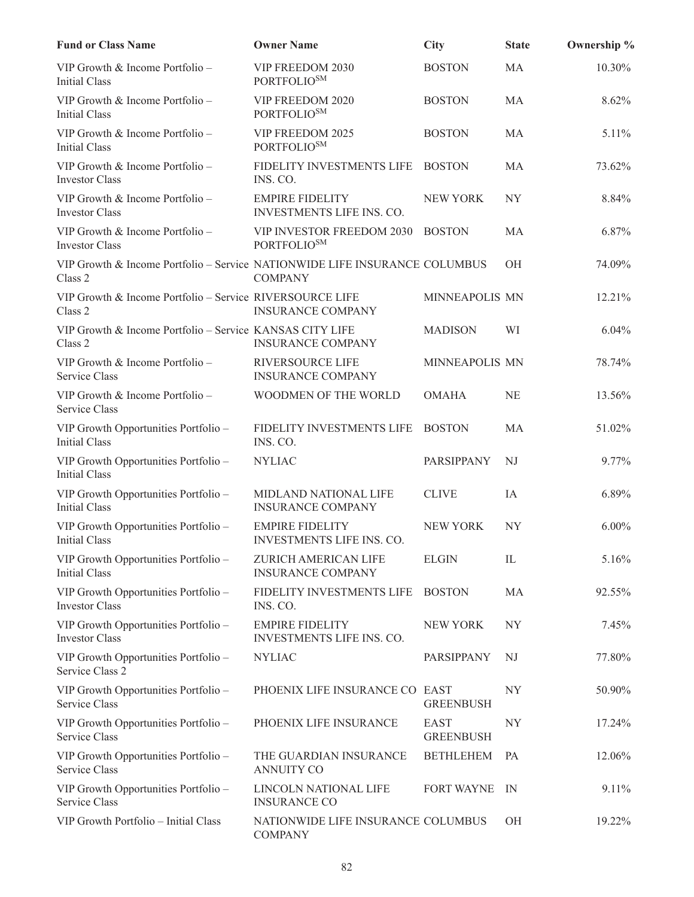| <b>Fund or Class Name</b>                                                             | <b>Owner Name</b>                                    | <b>City</b>                     | <b>State</b>   | Ownership % |
|---------------------------------------------------------------------------------------|------------------------------------------------------|---------------------------------|----------------|-------------|
| VIP Growth & Income Portfolio -<br><b>Initial Class</b>                               | VIP FREEDOM 2030<br>PORTFOLIO <sup>SM</sup>          | <b>BOSTON</b>                   | MA             | 10.30%      |
| VIP Growth & Income Portfolio -<br><b>Initial Class</b>                               | VIP FREEDOM 2020<br>PORTFOLIO <sup>SM</sup>          | <b>BOSTON</b>                   | MA             | 8.62%       |
| VIP Growth & Income Portfolio -<br><b>Initial Class</b>                               | VIP FREEDOM 2025<br><b>PORTFOLIOSM</b>               | <b>BOSTON</b>                   | MA             | 5.11%       |
| VIP Growth & Income Portfolio -<br><b>Investor Class</b>                              | FIDELITY INVESTMENTS LIFE<br>INS. CO.                | <b>BOSTON</b>                   | MA             | 73.62%      |
| VIP Growth & Income Portfolio -<br><b>Investor Class</b>                              | <b>EMPIRE FIDELITY</b><br>INVESTMENTS LIFE INS. CO.  | <b>NEW YORK</b>                 | NY             | 8.84%       |
| VIP Growth & Income Portfolio -<br><b>Investor Class</b>                              | VIP INVESTOR FREEDOM 2030<br><b>PORTFOLIOSM</b>      | <b>BOSTON</b>                   | MA             | 6.87%       |
| VIP Growth & Income Portfolio - Service NATIONWIDE LIFE INSURANCE COLUMBUS<br>Class 2 | <b>COMPANY</b>                                       |                                 | OH             | 74.09%      |
| VIP Growth & Income Portfolio - Service RIVERSOURCE LIFE<br>Class 2                   | <b>INSURANCE COMPANY</b>                             | MINNEAPOLIS MN                  |                | 12.21%      |
| VIP Growth & Income Portfolio - Service KANSAS CITY LIFE<br>Class 2                   | <b>INSURANCE COMPANY</b>                             | <b>MADISON</b>                  | WI             | 6.04%       |
| VIP Growth & Income Portfolio -<br>Service Class                                      | RIVERSOURCE LIFE<br><b>INSURANCE COMPANY</b>         | MINNEAPOLIS MN                  |                | 78.74%      |
| VIP Growth & Income Portfolio -<br>Service Class                                      | WOODMEN OF THE WORLD                                 | <b>OMAHA</b>                    | <b>NE</b>      | 13.56%      |
| VIP Growth Opportunities Portfolio -<br><b>Initial Class</b>                          | FIDELITY INVESTMENTS LIFE<br>INS. CO.                | <b>BOSTON</b>                   | MA             | 51.02%      |
| VIP Growth Opportunities Portfolio -<br><b>Initial Class</b>                          | <b>NYLIAC</b>                                        | PARSIPPANY                      | NJ             | 9.77%       |
| VIP Growth Opportunities Portfolio -<br><b>Initial Class</b>                          | MIDLAND NATIONAL LIFE<br><b>INSURANCE COMPANY</b>    | <b>CLIVE</b>                    | IA             | 6.89%       |
| VIP Growth Opportunities Portfolio -<br>Initial Class                                 | <b>EMPIRE FIDELITY</b><br>INVESTMENTS LIFE INS. CO.  | <b>NEW YORK</b>                 | NY             | $6.00\%$    |
| VIP Growth Opportunities Portfolio -<br>Initial Class                                 | ZURICH AMERICAN LIFE<br><b>INSURANCE COMPANY</b>     | <b>ELGIN</b>                    | IL             | 5.16%       |
| VIP Growth Opportunities Portfolio -<br><b>Investor Class</b>                         | FIDELITY INVESTMENTS LIFE<br>INS. CO.                | <b>BOSTON</b>                   | MA             | 92.55%      |
| VIP Growth Opportunities Portfolio -<br>Investor Class                                | <b>EMPIRE FIDELITY</b><br>INVESTMENTS LIFE INS. CO.  | <b>NEW YORK</b>                 | NY             | 7.45%       |
| VIP Growth Opportunities Portfolio -<br>Service Class 2                               | <b>NYLIAC</b>                                        | PARSIPPANY                      | NJ             | 77.80%      |
| VIP Growth Opportunities Portfolio -<br>Service Class                                 | PHOENIX LIFE INSURANCE CO EAST                       | <b>GREENBUSH</b>                | NY <sub></sub> | 50.90%      |
| VIP Growth Opportunities Portfolio -<br>Service Class                                 | PHOENIX LIFE INSURANCE                               | <b>EAST</b><br><b>GREENBUSH</b> | NY             | 17.24%      |
| VIP Growth Opportunities Portfolio -<br>Service Class                                 | THE GUARDIAN INSURANCE<br><b>ANNUITY CO</b>          | <b>BETHLEHEM</b>                | PA             | 12.06%      |
| VIP Growth Opportunities Portfolio -<br>Service Class                                 | LINCOLN NATIONAL LIFE<br><b>INSURANCE CO</b>         | <b>FORT WAYNE</b>               | IN             | 9.11%       |
| VIP Growth Portfolio - Initial Class                                                  | NATIONWIDE LIFE INSURANCE COLUMBUS<br><b>COMPANY</b> |                                 | <b>OH</b>      | 19.22%      |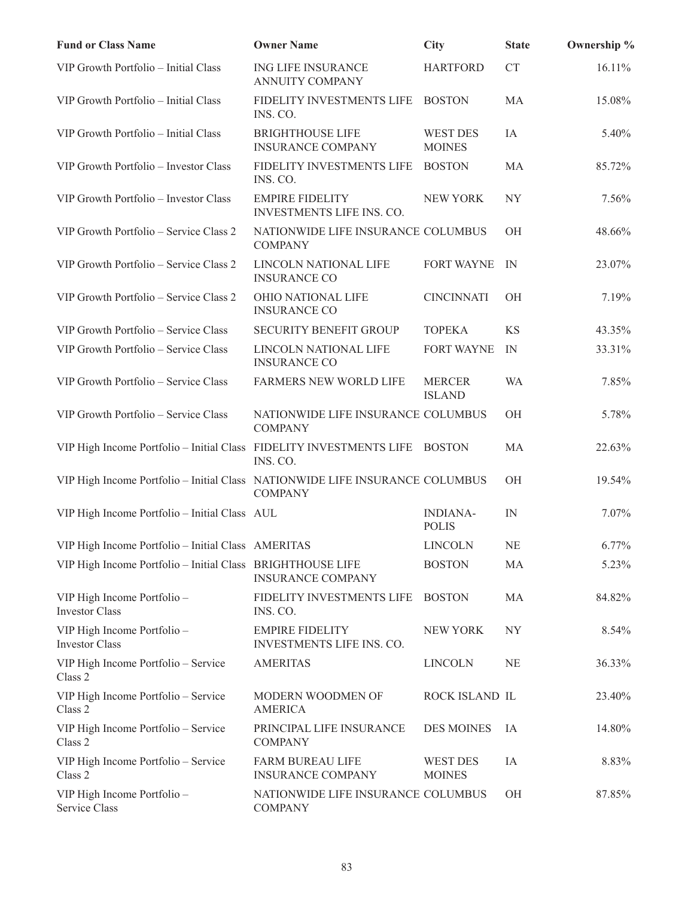| <b>Fund or Class Name</b>                                                    | <b>Owner Name</b>                                    | <b>City</b>                      | <b>State</b>   | Ownership % |
|------------------------------------------------------------------------------|------------------------------------------------------|----------------------------------|----------------|-------------|
| VIP Growth Portfolio - Initial Class                                         | ING LIFE INSURANCE<br><b>ANNUITY COMPANY</b>         | <b>HARTFORD</b>                  | <b>CT</b>      | 16.11%      |
| VIP Growth Portfolio - Initial Class                                         | FIDELITY INVESTMENTS LIFE<br>INS. CO.                | <b>BOSTON</b>                    | MA             | 15.08%      |
| VIP Growth Portfolio - Initial Class                                         | <b>BRIGHTHOUSE LIFE</b><br><b>INSURANCE COMPANY</b>  | <b>WEST DES</b><br><b>MOINES</b> | IA             | 5.40%       |
| VIP Growth Portfolio - Investor Class                                        | FIDELITY INVESTMENTS LIFE<br>INS. CO.                | <b>BOSTON</b>                    | MA             | 85.72%      |
| VIP Growth Portfolio - Investor Class                                        | <b>EMPIRE FIDELITY</b><br>INVESTMENTS LIFE INS. CO.  | <b>NEW YORK</b>                  | NY <sub></sub> | 7.56%       |
| VIP Growth Portfolio - Service Class 2                                       | NATIONWIDE LIFE INSURANCE COLUMBUS<br><b>COMPANY</b> |                                  | OH             | 48.66%      |
| VIP Growth Portfolio - Service Class 2                                       | LINCOLN NATIONAL LIFE<br><b>INSURANCE CO</b>         | <b>FORT WAYNE</b>                | IN             | 23.07%      |
| VIP Growth Portfolio - Service Class 2                                       | OHIO NATIONAL LIFE<br><b>INSURANCE CO</b>            | <b>CINCINNATI</b>                | OH             | 7.19%       |
| VIP Growth Portfolio - Service Class                                         | <b>SECURITY BENEFIT GROUP</b>                        | <b>TOPEKA</b>                    | KS             | 43.35%      |
| VIP Growth Portfolio - Service Class                                         | LINCOLN NATIONAL LIFE<br><b>INSURANCE CO</b>         | <b>FORT WAYNE</b>                | IN             | 33.31%      |
| VIP Growth Portfolio - Service Class                                         | FARMERS NEW WORLD LIFE                               | <b>MERCER</b><br><b>ISLAND</b>   | <b>WA</b>      | 7.85%       |
| VIP Growth Portfolio - Service Class                                         | NATIONWIDE LIFE INSURANCE COLUMBUS<br><b>COMPANY</b> |                                  | OH             | 5.78%       |
| VIP High Income Portfolio - Initial Class FIDELITY INVESTMENTS LIFE          | INS. CO.                                             | <b>BOSTON</b>                    | MA             | 22.63%      |
| VIP High Income Portfolio - Initial Class NATIONWIDE LIFE INSURANCE COLUMBUS | <b>COMPANY</b>                                       |                                  | <b>OH</b>      | 19.54%      |
| VIP High Income Portfolio - Initial Class AUL                                |                                                      | <b>INDIANA-</b><br><b>POLIS</b>  | IN             | 7.07%       |
| VIP High Income Portfolio - Initial Class AMERITAS                           |                                                      | LINCOLN                          | <b>NE</b>      | 6.77%       |
| VIP High Income Portfolio - Initial Class BRIGHTHOUSE LIFE                   | <b>INSURANCE COMPANY</b>                             | <b>BOSTON</b>                    | MA             | 5.23%       |
| VIP High Income Portfolio -<br><b>Investor Class</b>                         | FIDELITY INVESTMENTS LIFE<br>INS. CO.                | <b>BOSTON</b>                    | MA             | 84.82%      |
| VIP High Income Portfolio -<br><b>Investor Class</b>                         | <b>EMPIRE FIDELITY</b><br>INVESTMENTS LIFE INS. CO.  | NEW YORK                         | <b>NY</b>      | 8.54%       |
| VIP High Income Portfolio - Service<br>Class 2                               | <b>AMERITAS</b>                                      | <b>LINCOLN</b>                   | NE             | 36.33%      |
| VIP High Income Portfolio - Service<br>Class 2                               | MODERN WOODMEN OF<br><b>AMERICA</b>                  | ROCK ISLAND IL                   |                | 23.40%      |
| VIP High Income Portfolio - Service<br>Class 2                               | PRINCIPAL LIFE INSURANCE<br><b>COMPANY</b>           | DES MOINES                       | IA             | 14.80%      |
| VIP High Income Portfolio - Service<br>Class 2                               | <b>FARM BUREAU LIFE</b><br><b>INSURANCE COMPANY</b>  | <b>WEST DES</b><br><b>MOINES</b> | IA             | 8.83%       |
| VIP High Income Portfolio -<br>Service Class                                 | NATIONWIDE LIFE INSURANCE COLUMBUS<br><b>COMPANY</b> |                                  | OH             | 87.85%      |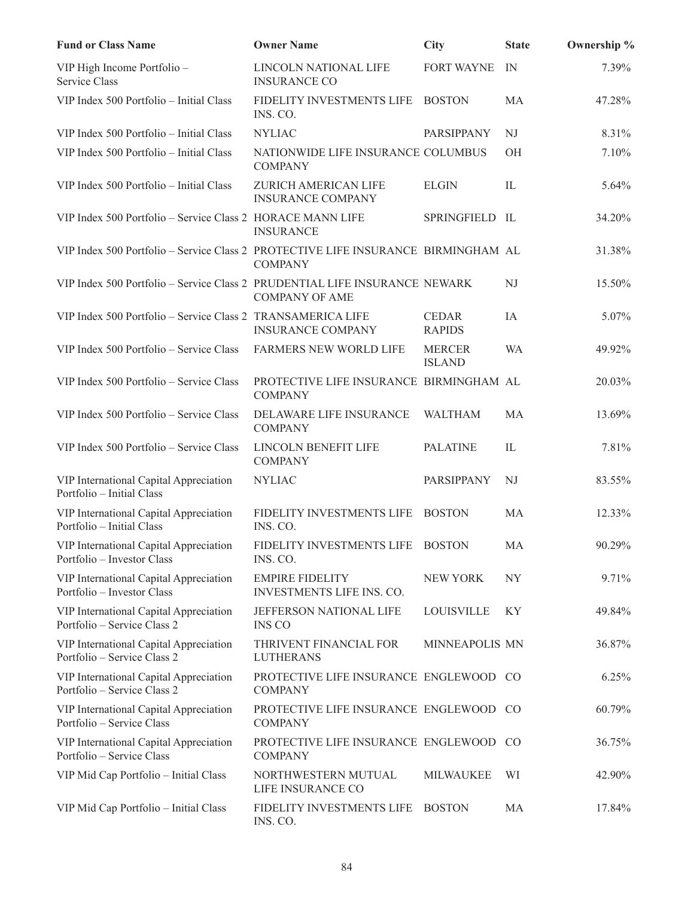| <b>Fund or Class Name</b>                                                         | <b>Owner Name</b>                                         | <b>City</b>                    | <b>State</b>   | Ownership % |
|-----------------------------------------------------------------------------------|-----------------------------------------------------------|--------------------------------|----------------|-------------|
| VIP High Income Portfolio -<br>Service Class                                      | LINCOLN NATIONAL LIFE<br><b>INSURANCE CO</b>              | FORT WAYNE                     | IN             | 7.39%       |
| VIP Index 500 Portfolio - Initial Class                                           | FIDELITY INVESTMENTS LIFE<br>INS. CO.                     | <b>BOSTON</b>                  | MA             | 47.28%      |
| VIP Index 500 Portfolio - Initial Class                                           | <b>NYLIAC</b>                                             | PARSIPPANY                     | NJ             | 8.31%       |
| VIP Index 500 Portfolio - Initial Class                                           | NATIONWIDE LIFE INSURANCE COLUMBUS<br><b>COMPANY</b>      |                                | OН             | 7.10%       |
| VIP Index 500 Portfolio - Initial Class                                           | ZURICH AMERICAN LIFE<br><b>INSURANCE COMPANY</b>          | <b>ELGIN</b>                   | IL             | 5.64%       |
| VIP Index 500 Portfolio - Service Class 2 HORACE MANN LIFE                        | <b>INSURANCE</b>                                          | SPRINGFIELD IL                 |                | 34.20%      |
| VIP Index 500 Portfolio - Service Class 2 PROTECTIVE LIFE INSURANCE BIRMINGHAM AL | <b>COMPANY</b>                                            |                                |                | 31.38%      |
| VIP Index 500 Portfolio - Service Class 2 PRUDENTIAL LIFE INSURANCE NEWARK        | <b>COMPANY OF AME</b>                                     |                                | NJ             | 15.50%      |
| VIP Index 500 Portfolio - Service Class 2 TRANSAMERICA LIFE                       | <b>INSURANCE COMPANY</b>                                  | <b>CEDAR</b><br><b>RAPIDS</b>  | IA             | 5.07%       |
| VIP Index 500 Portfolio - Service Class                                           | FARMERS NEW WORLD LIFE                                    | <b>MERCER</b><br><b>ISLAND</b> | <b>WA</b>      | 49.92%      |
| VIP Index 500 Portfolio - Service Class                                           | PROTECTIVE LIFE INSURANCE BIRMINGHAM AL<br><b>COMPANY</b> |                                |                | 20.03%      |
| VIP Index 500 Portfolio - Service Class                                           | DELAWARE LIFE INSURANCE<br><b>COMPANY</b>                 | <b>WALTHAM</b>                 | MA             | 13.69%      |
| VIP Index 500 Portfolio - Service Class                                           | LINCOLN BENEFIT LIFE<br><b>COMPANY</b>                    | <b>PALATINE</b>                | IL             | 7.81%       |
| VIP International Capital Appreciation<br>Portfolio - Initial Class               | <b>NYLIAC</b>                                             | PARSIPPANY                     | NJ             | 83.55%      |
| VIP International Capital Appreciation<br>Portfolio - Initial Class               | FIDELITY INVESTMENTS LIFE<br>INS. CO.                     | <b>BOSTON</b>                  | <b>MA</b>      | 12.33%      |
| VIP International Capital Appreciation<br>Portfolio - Investor Class              | FIDELITY INVESTMENTS LIFE BOSTON<br>INS. CO.              |                                | MA             | 90.29%      |
| VIP International Capital Appreciation<br>Portfolio - Investor Class              | <b>EMPIRE FIDELITY</b><br>INVESTMENTS LIFE INS. CO.       | NEW YORK                       | NY <sub></sub> | 9.71%       |
| VIP International Capital Appreciation<br>Portfolio – Service Class 2             | JEFFERSON NATIONAL LIFE<br><b>INS CO</b>                  | LOUISVILLE                     | KY.            | 49.84%      |
| VIP International Capital Appreciation<br>Portfolio – Service Class 2             | THRIVENT FINANCIAL FOR<br><b>LUTHERANS</b>                | MINNEAPOLIS MN                 |                | 36.87%      |
| VIP International Capital Appreciation<br>Portfolio – Service Class 2             | PROTECTIVE LIFE INSURANCE ENGLEWOOD CO<br><b>COMPANY</b>  |                                |                | 6.25%       |
| VIP International Capital Appreciation<br>Portfolio – Service Class               | PROTECTIVE LIFE INSURANCE ENGLEWOOD CO<br><b>COMPANY</b>  |                                |                | 60.79%      |
| VIP International Capital Appreciation<br>Portfolio – Service Class               | PROTECTIVE LIFE INSURANCE ENGLEWOOD CO<br><b>COMPANY</b>  |                                |                | 36.75%      |
| VIP Mid Cap Portfolio - Initial Class                                             | NORTHWESTERN MUTUAL<br>LIFE INSURANCE CO                  | <b>MILWAUKEE</b>               | WI             | 42.90%      |
| VIP Mid Cap Portfolio - Initial Class                                             | FIDELITY INVESTMENTS LIFE<br>INS. CO.                     | <b>BOSTON</b>                  | MA             | 17.84%      |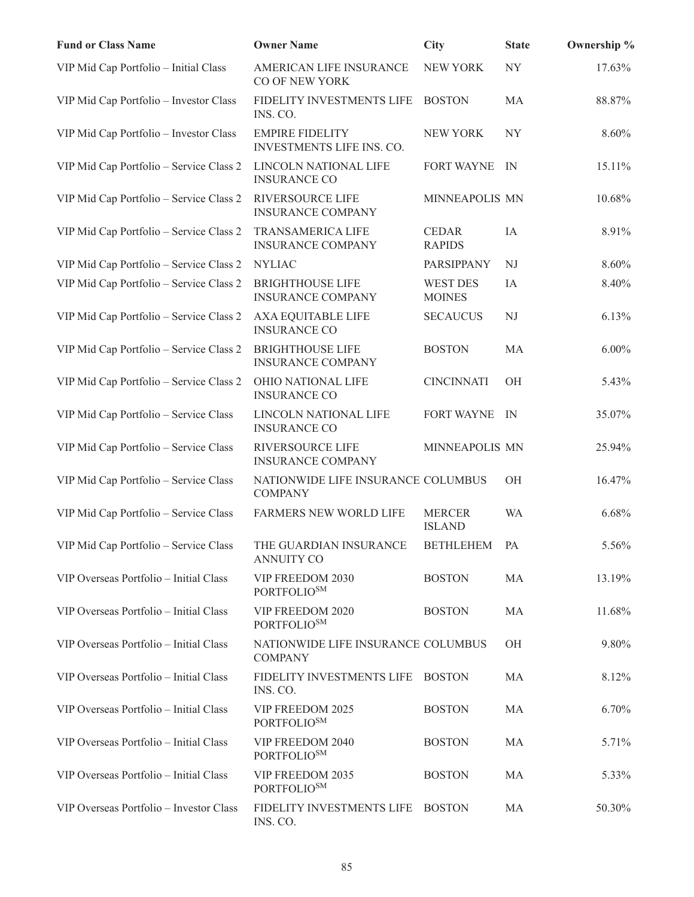| <b>Fund or Class Name</b>               | <b>Owner Name</b>                                    | <b>City</b>                      | <b>State</b> | Ownership % |
|-----------------------------------------|------------------------------------------------------|----------------------------------|--------------|-------------|
| VIP Mid Cap Portfolio - Initial Class   | AMERICAN LIFE INSURANCE<br>CO OF NEW YORK            | <b>NEW YORK</b>                  | <b>NY</b>    | 17.63%      |
| VIP Mid Cap Portfolio - Investor Class  | FIDELITY INVESTMENTS LIFE<br>INS. CO.                | <b>BOSTON</b>                    | MA           | 88.87%      |
| VIP Mid Cap Portfolio - Investor Class  | <b>EMPIRE FIDELITY</b><br>INVESTMENTS LIFE INS. CO.  | <b>NEW YORK</b>                  | <b>NY</b>    | 8.60%       |
| VIP Mid Cap Portfolio - Service Class 2 | LINCOLN NATIONAL LIFE<br><b>INSURANCE CO</b>         | FORT WAYNE                       | IN           | 15.11%      |
| VIP Mid Cap Portfolio - Service Class 2 | RIVERSOURCE LIFE<br><b>INSURANCE COMPANY</b>         | MINNEAPOLIS MN                   |              | 10.68%      |
| VIP Mid Cap Portfolio - Service Class 2 | <b>TRANSAMERICA LIFE</b><br><b>INSURANCE COMPANY</b> | <b>CEDAR</b><br><b>RAPIDS</b>    | IA           | 8.91%       |
| VIP Mid Cap Portfolio - Service Class 2 | <b>NYLIAC</b>                                        | PARSIPPANY                       | NJ           | 8.60%       |
| VIP Mid Cap Portfolio - Service Class 2 | <b>BRIGHTHOUSE LIFE</b><br><b>INSURANCE COMPANY</b>  | <b>WEST DES</b><br><b>MOINES</b> | IA           | 8.40%       |
| VIP Mid Cap Portfolio - Service Class 2 | <b>AXA EQUITABLE LIFE</b><br><b>INSURANCE CO</b>     | <b>SECAUCUS</b>                  | NJ           | 6.13%       |
| VIP Mid Cap Portfolio - Service Class 2 | <b>BRIGHTHOUSE LIFE</b><br><b>INSURANCE COMPANY</b>  | <b>BOSTON</b>                    | MA           | $6.00\%$    |
| VIP Mid Cap Portfolio - Service Class 2 | OHIO NATIONAL LIFE<br><b>INSURANCE CO</b>            | <b>CINCINNATI</b>                | OH           | 5.43%       |
| VIP Mid Cap Portfolio - Service Class   | LINCOLN NATIONAL LIFE<br><b>INSURANCE CO</b>         | <b>FORT WAYNE</b>                | IN           | 35.07%      |
| VIP Mid Cap Portfolio - Service Class   | RIVERSOURCE LIFE<br><b>INSURANCE COMPANY</b>         | MINNEAPOLIS MN                   |              | 25.94%      |
| VIP Mid Cap Portfolio - Service Class   | NATIONWIDE LIFE INSURANCE COLUMBUS<br><b>COMPANY</b> |                                  | OH           | 16.47%      |
| VIP Mid Cap Portfolio - Service Class   | FARMERS NEW WORLD LIFE                               | <b>MERCER</b><br><b>ISLAND</b>   | <b>WA</b>    | 6.68%       |
| VIP Mid Cap Portfolio - Service Class   | THE GUARDIAN INSURANCE<br><b>ANNUITY CO</b>          | <b>BETHLEHEM</b>                 | PA           | 5.56%       |
| VIP Overseas Portfolio - Initial Class  | VIP FREEDOM 2030<br><b>PORTFOLIOSM</b>               | <b>BOSTON</b>                    | MA           | 13.19%      |
| VIP Overseas Portfolio - Initial Class  | VIP FREEDOM 2020<br><b>PORTFOLIOSM</b>               | <b>BOSTON</b>                    | MA           | 11.68%      |
| VIP Overseas Portfolio - Initial Class  | NATIONWIDE LIFE INSURANCE COLUMBUS<br><b>COMPANY</b> |                                  | OH           | 9.80%       |
| VIP Overseas Portfolio - Initial Class  | FIDELITY INVESTMENTS LIFE<br>INS. CO.                | <b>BOSTON</b>                    | MA           | 8.12%       |
| VIP Overseas Portfolio - Initial Class  | VIP FREEDOM 2025<br>PORTFOLIO <sup>SM</sup>          | <b>BOSTON</b>                    | MA           | 6.70%       |
| VIP Overseas Portfolio - Initial Class  | VIP FREEDOM 2040<br>PORTFOLIO <sup>SM</sup>          | <b>BOSTON</b>                    | MA           | 5.71%       |
| VIP Overseas Portfolio - Initial Class  | VIP FREEDOM 2035<br><b>PORTFOLIOSM</b>               | <b>BOSTON</b>                    | MA           | 5.33%       |
| VIP Overseas Portfolio - Investor Class | FIDELITY INVESTMENTS LIFE<br>INS. CO.                | <b>BOSTON</b>                    | MA           | 50.30%      |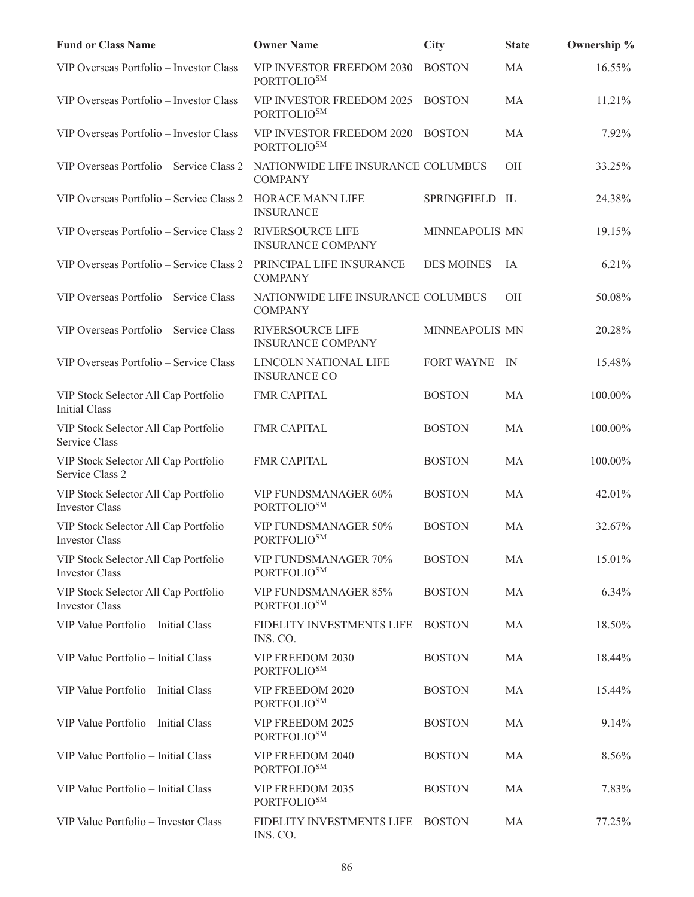| <b>Fund or Class Name</b>                                       | <b>Owner Name</b>                                    | <b>City</b>       | <b>State</b> | Ownership % |
|-----------------------------------------------------------------|------------------------------------------------------|-------------------|--------------|-------------|
| VIP Overseas Portfolio - Investor Class                         | VIP INVESTOR FREEDOM 2030<br>PORTFOLIO <sup>SM</sup> | <b>BOSTON</b>     | MA           | 16.55%      |
| VIP Overseas Portfolio - Investor Class                         | VIP INVESTOR FREEDOM 2025<br>PORTFOLIO <sup>SM</sup> | <b>BOSTON</b>     | MA           | 11.21%      |
| VIP Overseas Portfolio - Investor Class                         | VIP INVESTOR FREEDOM 2020<br><b>PORTFOLIOSM</b>      | <b>BOSTON</b>     | MA           | 7.92%       |
| VIP Overseas Portfolio - Service Class 2                        | NATIONWIDE LIFE INSURANCE COLUMBUS<br><b>COMPANY</b> |                   | OH           | 33.25%      |
| VIP Overseas Portfolio - Service Class 2                        | HORACE MANN LIFE<br><b>INSURANCE</b>                 | SPRINGFIELD IL    |              | 24.38%      |
| VIP Overseas Portfolio - Service Class 2                        | <b>RIVERSOURCE LIFE</b><br><b>INSURANCE COMPANY</b>  | MINNEAPOLIS MN    |              | 19.15%      |
| VIP Overseas Portfolio - Service Class 2                        | PRINCIPAL LIFE INSURANCE<br><b>COMPANY</b>           | <b>DES MOINES</b> | IA           | 6.21%       |
| VIP Overseas Portfolio - Service Class                          | NATIONWIDE LIFE INSURANCE COLUMBUS<br><b>COMPANY</b> |                   | OH           | 50.08%      |
| VIP Overseas Portfolio - Service Class                          | <b>RIVERSOURCE LIFE</b><br><b>INSURANCE COMPANY</b>  | MINNEAPOLIS MN    |              | 20.28%      |
| VIP Overseas Portfolio - Service Class                          | LINCOLN NATIONAL LIFE<br><b>INSURANCE CO</b>         | <b>FORT WAYNE</b> | IN           | 15.48%      |
| VIP Stock Selector All Cap Portfolio -<br><b>Initial Class</b>  | <b>FMR CAPITAL</b>                                   | <b>BOSTON</b>     | <b>MA</b>    | 100.00%     |
| VIP Stock Selector All Cap Portfolio -<br>Service Class         | <b>FMR CAPITAL</b>                                   | <b>BOSTON</b>     | MA           | 100.00%     |
| VIP Stock Selector All Cap Portfolio -<br>Service Class 2       | <b>FMR CAPITAL</b>                                   | <b>BOSTON</b>     | MA           | 100.00%     |
| VIP Stock Selector All Cap Portfolio -<br><b>Investor Class</b> | VIP FUNDSMANAGER 60%<br>PORTFOLIO <sup>SM</sup>      | <b>BOSTON</b>     | MA           | 42.01%      |
| VIP Stock Selector All Cap Portfolio -<br>Investor Class        | VIP FUNDSMANAGER 50%<br>PORTFOLIO <sup>SM</sup>      | <b>BOSTON</b>     | <b>MA</b>    | 32.67%      |
| VIP Stock Selector All Cap Portfolio -<br><b>Investor Class</b> | <b>VIP FUNDSMANAGER 70%</b><br><b>PORTFOLIOSM</b>    | <b>BOSTON</b>     | MA           | 15.01%      |
| VIP Stock Selector All Cap Portfolio -<br><b>Investor Class</b> | VIP FUNDSMANAGER 85%<br><b>PORTFOLIOSM</b>           | <b>BOSTON</b>     | MA           | 6.34%       |
| VIP Value Portfolio - Initial Class                             | FIDELITY INVESTMENTS LIFE<br>INS. CO.                | <b>BOSTON</b>     | MA           | 18.50%      |
| VIP Value Portfolio - Initial Class                             | VIP FREEDOM 2030<br><b>PORTFOLIOSM</b>               | <b>BOSTON</b>     | MA           | 18.44%      |
| VIP Value Portfolio - Initial Class                             | VIP FREEDOM 2020<br>PORTFOLIO <sup>SM</sup>          | <b>BOSTON</b>     | MA           | 15.44%      |
| VIP Value Portfolio - Initial Class                             | VIP FREEDOM 2025<br>PORTFOLIO <sup>SM</sup>          | <b>BOSTON</b>     | MA           | 9.14%       |
| VIP Value Portfolio - Initial Class                             | VIP FREEDOM 2040<br>PORTFOLIO <sup>SM</sup>          | <b>BOSTON</b>     | MA           | 8.56%       |
| VIP Value Portfolio - Initial Class                             | VIP FREEDOM 2035<br><b>PORTFOLIOSM</b>               | <b>BOSTON</b>     | MA           | 7.83%       |
| VIP Value Portfolio - Investor Class                            | FIDELITY INVESTMENTS LIFE<br>INS. CO.                | <b>BOSTON</b>     | MA           | 77.25%      |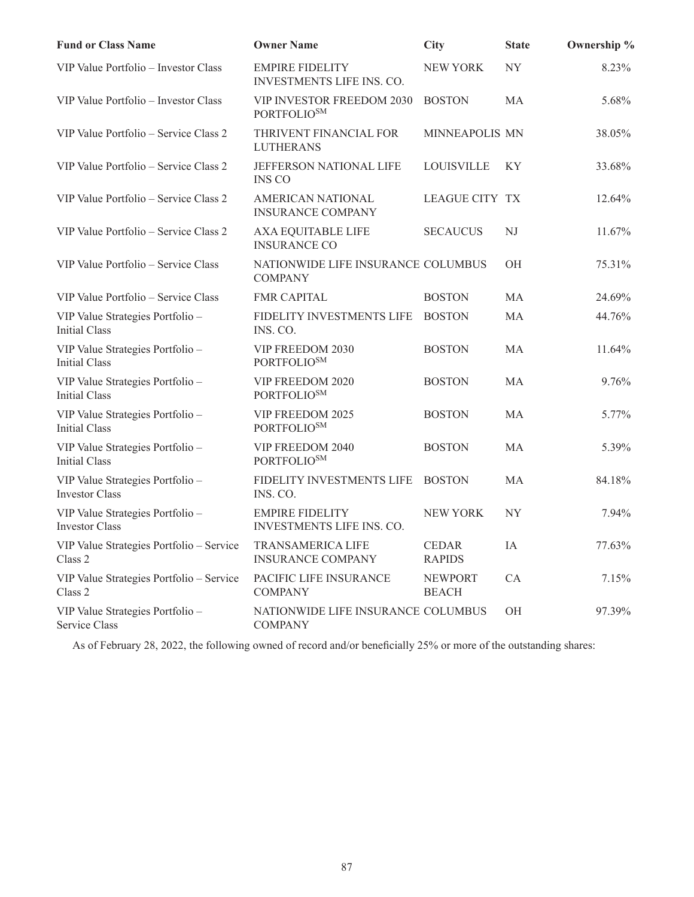| <b>Fund or Class Name</b>                                 | <b>Owner Name</b>                                          | <b>City</b>                    | <b>State</b> | Ownership % |
|-----------------------------------------------------------|------------------------------------------------------------|--------------------------------|--------------|-------------|
| VIP Value Portfolio - Investor Class                      | <b>EMPIRE FIDELITY</b><br><b>INVESTMENTS LIFE INS. CO.</b> | <b>NEW YORK</b>                | <b>NY</b>    | 8.23%       |
| VIP Value Portfolio - Investor Class                      | VIP INVESTOR FREEDOM 2030<br>PORTFOLIO <sup>SM</sup>       | <b>BOSTON</b>                  | MA           | 5.68%       |
| VIP Value Portfolio - Service Class 2                     | THRIVENT FINANCIAL FOR<br><b>LUTHERANS</b>                 | MINNEAPOLIS MN                 |              | 38.05%      |
| VIP Value Portfolio – Service Class 2                     | JEFFERSON NATIONAL LIFE<br><b>INS CO</b>                   | <b>LOUISVILLE</b>              | KY           | 33.68%      |
| VIP Value Portfolio – Service Class 2                     | <b>AMERICAN NATIONAL</b><br><b>INSURANCE COMPANY</b>       | <b>LEAGUE CITY TX</b>          |              | 12.64%      |
| VIP Value Portfolio - Service Class 2                     | AXA EQUITABLE LIFE<br><b>INSURANCE CO</b>                  | <b>SECAUCUS</b>                | NJ           | 11.67%      |
| VIP Value Portfolio – Service Class                       | NATIONWIDE LIFE INSURANCE COLUMBUS<br><b>COMPANY</b>       |                                | <b>OH</b>    | 75.31%      |
| VIP Value Portfolio – Service Class                       | <b>FMR CAPITAL</b>                                         | <b>BOSTON</b>                  | MA           | 24.69%      |
| VIP Value Strategies Portfolio -<br><b>Initial Class</b>  | FIDELITY INVESTMENTS LIFE<br>INS. CO.                      | <b>BOSTON</b>                  | <b>MA</b>    | 44.76%      |
| VIP Value Strategies Portfolio -<br><b>Initial Class</b>  | VIP FREEDOM 2030<br><b>PORTFOLIOSM</b>                     | <b>BOSTON</b>                  | MA           | 11.64%      |
| VIP Value Strategies Portfolio -<br><b>Initial Class</b>  | VIP FREEDOM 2020<br><b>PORTFOLIOSM</b>                     | <b>BOSTON</b>                  | MA           | 9.76%       |
| VIP Value Strategies Portfolio -<br>Initial Class         | VIP FREEDOM 2025<br><b>PORTFOLIOSM</b>                     | <b>BOSTON</b>                  | MA           | 5.77%       |
| VIP Value Strategies Portfolio -<br><b>Initial Class</b>  | VIP FREEDOM 2040<br><b>PORTFOLIOSM</b>                     | <b>BOSTON</b>                  | MA           | 5.39%       |
| VIP Value Strategies Portfolio -<br><b>Investor Class</b> | FIDELITY INVESTMENTS LIFE<br>INS. CO.                      | <b>BOSTON</b>                  | MA           | 84.18%      |
| VIP Value Strategies Portfolio -<br><b>Investor Class</b> | <b>EMPIRE FIDELITY</b><br>INVESTMENTS LIFE INS. CO.        | <b>NEW YORK</b>                | <b>NY</b>    | 7.94%       |
| VIP Value Strategies Portfolio - Service<br>Class 2       | TRANSAMERICA LIFE<br><b>INSURANCE COMPANY</b>              | <b>CEDAR</b><br><b>RAPIDS</b>  | IA           | 77.63%      |
| VIP Value Strategies Portfolio - Service<br>Class 2       | PACIFIC LIFE INSURANCE<br><b>COMPANY</b>                   | <b>NEWPORT</b><br><b>BEACH</b> | CA           | 7.15%       |
| VIP Value Strategies Portfolio -<br>Service Class         | NATIONWIDE LIFE INSURANCE COLUMBUS<br><b>COMPANY</b>       |                                | OH           | 97.39%      |

As of February 28, 2022, the following owned of record and/or beneficially 25% or more of the outstanding shares: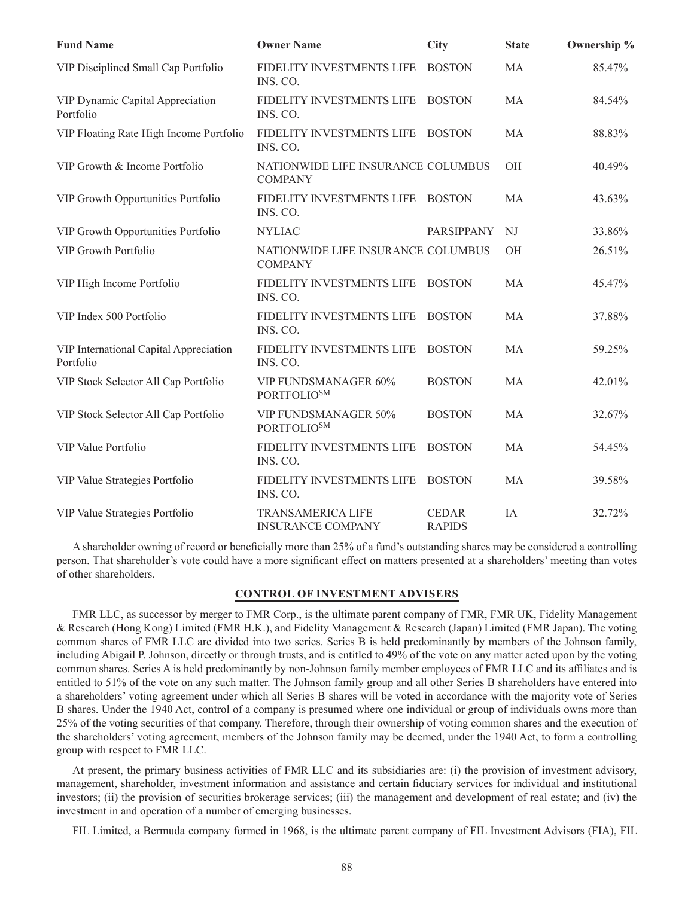| <b>Fund Name</b>                                    | <b>Owner Name</b>                                    | <b>City</b>                   | <b>State</b> | Ownership % |
|-----------------------------------------------------|------------------------------------------------------|-------------------------------|--------------|-------------|
| VIP Disciplined Small Cap Portfolio                 | FIDELITY INVESTMENTS LIFE<br>INS. CO.                | <b>BOSTON</b>                 | MA           | 85.47%      |
| VIP Dynamic Capital Appreciation<br>Portfolio       | FIDELITY INVESTMENTS LIFE<br>INS. CO.                | <b>BOSTON</b>                 | MA           | 84.54%      |
| VIP Floating Rate High Income Portfolio             | FIDELITY INVESTMENTS LIFE<br>INS. CO.                | <b>BOSTON</b>                 | MA           | 88.83%      |
| VIP Growth & Income Portfolio                       | NATIONWIDE LIFE INSURANCE COLUMBUS<br><b>COMPANY</b> |                               | <b>OH</b>    | 40.49%      |
| VIP Growth Opportunities Portfolio                  | FIDELITY INVESTMENTS LIFE<br>INS. CO.                | <b>BOSTON</b>                 | MA           | 43.63%      |
| VIP Growth Opportunities Portfolio                  | <b>NYLIAC</b>                                        | PARSIPPANY                    | NJ           | 33.86%      |
| <b>VIP Growth Portfolio</b>                         | NATIONWIDE LIFE INSURANCE COLUMBUS<br><b>COMPANY</b> |                               | <b>OH</b>    | 26.51%      |
| VIP High Income Portfolio                           | FIDELITY INVESTMENTS LIFE<br>INS. CO.                | <b>BOSTON</b>                 | <b>MA</b>    | 45.47%      |
| VIP Index 500 Portfolio                             | FIDELITY INVESTMENTS LIFE<br>INS. CO.                | <b>BOSTON</b>                 | MA           | 37.88%      |
| VIP International Capital Appreciation<br>Portfolio | FIDELITY INVESTMENTS LIFE<br>INS. CO.                | <b>BOSTON</b>                 | MA           | 59.25%      |
| VIP Stock Selector All Cap Portfolio                | VIP FUNDSMANAGER 60%<br><b>PORTFOLIOSM</b>           | <b>BOSTON</b>                 | MA           | 42.01%      |
| VIP Stock Selector All Cap Portfolio                | VIP FUNDSMANAGER 50%<br><b>PORTFOLIOSM</b>           | <b>BOSTON</b>                 | MA           | 32.67%      |
| VIP Value Portfolio                                 | FIDELITY INVESTMENTS LIFE<br>INS. CO.                | <b>BOSTON</b>                 | MA           | 54.45%      |
| VIP Value Strategies Portfolio                      | FIDELITY INVESTMENTS LIFE<br>INS. CO.                | <b>BOSTON</b>                 | MA           | 39.58%      |
| VIP Value Strategies Portfolio                      | <b>TRANSAMERICA LIFE</b><br><b>INSURANCE COMPANY</b> | <b>CEDAR</b><br><b>RAPIDS</b> | IA           | 32.72%      |

A shareholder owning of record or beneficially more than 25% of a fund's outstanding shares may be considered a controlling person. That shareholder's vote could have a more significant effect on matters presented at a shareholders' meeting than votes of other shareholders.

### **CONTROL OF INVESTMENT ADVISERS**

FMR LLC, as successor by merger to FMR Corp., is the ultimate parent company of FMR, FMR UK, Fidelity Management & Research (Hong Kong) Limited (FMR H.K.), and Fidelity Management & Research (Japan) Limited (FMR Japan). The voting common shares of FMR LLC are divided into two series. Series B is held predominantly by members of the Johnson family, including Abigail P. Johnson, directly or through trusts, and is entitled to 49% of the vote on any matter acted upon by the voting common shares. Series A is held predominantly by non-Johnson family member employees of FMR LLC and its affiliates and is entitled to 51% of the vote on any such matter. The Johnson family group and all other Series B shareholders have entered into a shareholders' voting agreement under which all Series B shares will be voted in accordance with the majority vote of Series B shares. Under the 1940 Act, control of a company is presumed where one individual or group of individuals owns more than 25% of the voting securities of that company. Therefore, through their ownership of voting common shares and the execution of the shareholders' voting agreement, members of the Johnson family may be deemed, under the 1940 Act, to form a controlling group with respect to FMR LLC.

At present, the primary business activities of FMR LLC and its subsidiaries are: (i) the provision of investment advisory, management, shareholder, investment information and assistance and certain fiduciary services for individual and institutional investors; (ii) the provision of securities brokerage services; (iii) the management and development of real estate; and (iv) the investment in and operation of a number of emerging businesses.

FIL Limited, a Bermuda company formed in 1968, is the ultimate parent company of FIL Investment Advisors (FIA), FIL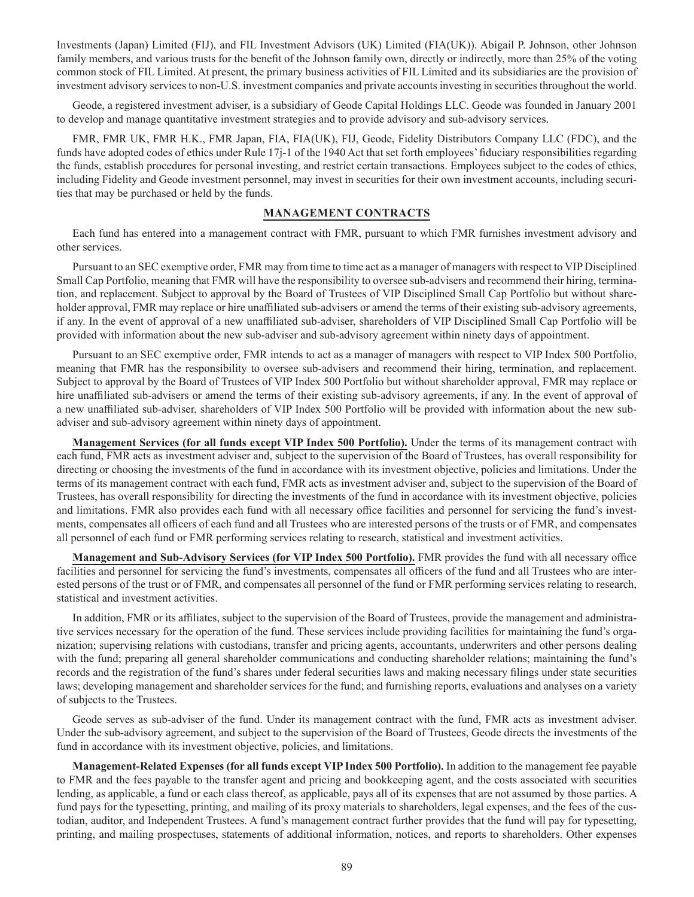Investments (Japan) Limited (FIJ), and FIL Investment Advisors (UK) Limited (FIA(UK)). Abigail P. Johnson, other Johnson family members, and various trusts for the benefit of the Johnson family own, directly or indirectly, more than 25% of the voting common stock of FIL Limited. At present, the primary business activities of FIL Limited and its subsidiaries are the provision of investment advisory services to non-U.S. investment companies and private accounts investing in securities throughout the world.

Geode, a registered investment adviser, is a subsidiary of Geode Capital Holdings LLC. Geode was founded in January 2001 to develop and manage quantitative investment strategies and to provide advisory and sub-advisory services.

FMR, FMR UK, FMR H.K., FMR Japan, FIA, FIA(UK), FIJ, Geode, Fidelity Distributors Company LLC (FDC), and the funds have adopted codes of ethics under Rule 17j-1 of the 1940 Act that set forth employees' fiduciary responsibilities regarding the funds, establish procedures for personal investing, and restrict certain transactions. Employees subject to the codes of ethics, including Fidelity and Geode investment personnel, may invest in securities for their own investment accounts, including securities that may be purchased or held by the funds.

#### **MANAGEMENT CONTRACTS**

Each fund has entered into a management contract with FMR, pursuant to which FMR furnishes investment advisory and other services.

Pursuant to an SEC exemptive order, FMR may from time to time act as a manager of managers with respect to VIP Disciplined Small Cap Portfolio, meaning that FMR will have the responsibility to oversee sub-advisers and recommend their hiring, termination, and replacement. Subject to approval by the Board of Trustees of VIP Disciplined Small Cap Portfolio but without shareholder approval, FMR may replace or hire unaffiliated sub-advisers or amend the terms of their existing sub-advisory agreements, if any. In the event of approval of a new unaffiliated sub-adviser, shareholders of VIP Disciplined Small Cap Portfolio will be provided with information about the new sub-adviser and sub-advisory agreement within ninety days of appointment.

Pursuant to an SEC exemptive order, FMR intends to act as a manager of managers with respect to VIP Index 500 Portfolio, meaning that FMR has the responsibility to oversee sub-advisers and recommend their hiring, termination, and replacement. Subject to approval by the Board of Trustees of VIP Index 500 Portfolio but without shareholder approval, FMR may replace or hire unaffiliated sub-advisers or amend the terms of their existing sub-advisory agreements, if any. In the event of approval of a new unaffiliated sub-adviser, shareholders of VIP Index 500 Portfolio will be provided with information about the new subadviser and sub-advisory agreement within ninety days of appointment.

**Management Services (for all funds except VIP Index 500 Portfolio).** Under the terms of its management contract with each fund, FMR acts as investment adviser and, subject to the supervision of the Board of Trustees, has overall responsibility for directing or choosing the investments of the fund in accordance with its investment objective, policies and limitations. Under the terms of its management contract with each fund, FMR acts as investment adviser and, subject to the supervision of the Board of Trustees, has overall responsibility for directing the investments of the fund in accordance with its investment objective, policies and limitations. FMR also provides each fund with all necessary office facilities and personnel for servicing the fund's investments, compensates all officers of each fund and all Trustees who are interested persons of the trusts or of FMR, and compensates all personnel of each fund or FMR performing services relating to research, statistical and investment activities.

**Management and Sub-Advisory Services (for VIP Index 500 Portfolio).** FMR provides the fund with all necessary office facilities and personnel for servicing the fund's investments, compensates all officers of the fund and all Trustees who are interested persons of the trust or of FMR, and compensates all personnel of the fund or FMR performing services relating to research, statistical and investment activities.

In addition, FMR or its affiliates, subject to the supervision of the Board of Trustees, provide the management and administrative services necessary for the operation of the fund. These services include providing facilities for maintaining the fund's organization; supervising relations with custodians, transfer and pricing agents, accountants, underwriters and other persons dealing with the fund; preparing all general shareholder communications and conducting shareholder relations; maintaining the fund's records and the registration of the fund's shares under federal securities laws and making necessary filings under state securities laws; developing management and shareholder services for the fund; and furnishing reports, evaluations and analyses on a variety of subjects to the Trustees.

Geode serves as sub-adviser of the fund. Under its management contract with the fund, FMR acts as investment adviser. Under the sub-advisory agreement, and subject to the supervision of the Board of Trustees, Geode directs the investments of the fund in accordance with its investment objective, policies, and limitations.

**Management-Related Expenses (for all funds except VIP Index 500 Portfolio).** In addition to the management fee payable to FMR and the fees payable to the transfer agent and pricing and bookkeeping agent, and the costs associated with securities lending, as applicable, a fund or each class thereof, as applicable, pays all of its expenses that are not assumed by those parties. A fund pays for the typesetting, printing, and mailing of its proxy materials to shareholders, legal expenses, and the fees of the custodian, auditor, and Independent Trustees. A fund's management contract further provides that the fund will pay for typesetting, printing, and mailing prospectuses, statements of additional information, notices, and reports to shareholders. Other expenses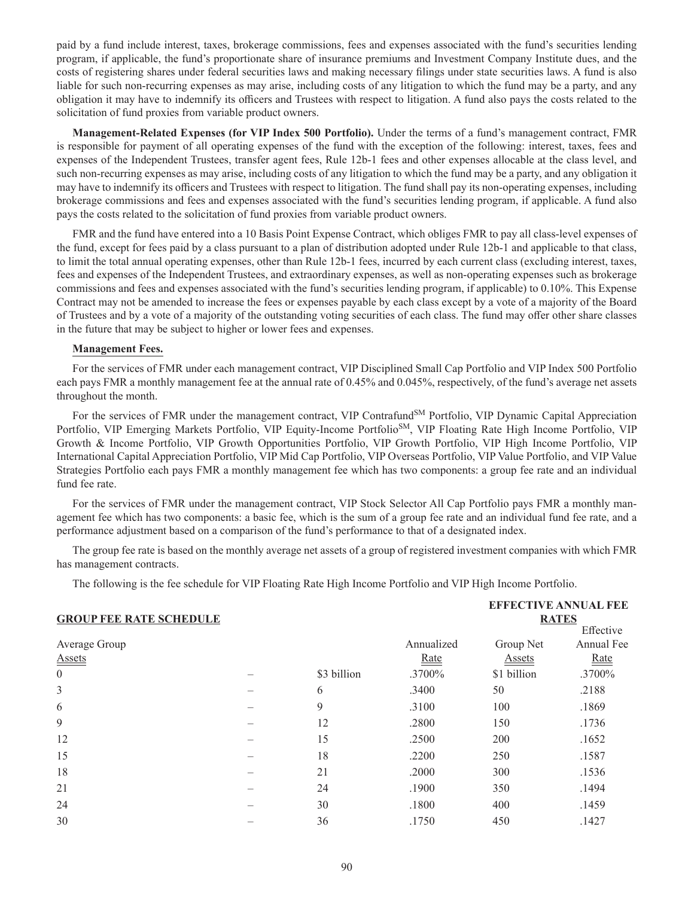paid by a fund include interest, taxes, brokerage commissions, fees and expenses associated with the fund's securities lending program, if applicable, the fund's proportionate share of insurance premiums and Investment Company Institute dues, and the costs of registering shares under federal securities laws and making necessary filings under state securities laws. A fund is also liable for such non-recurring expenses as may arise, including costs of any litigation to which the fund may be a party, and any obligation it may have to indemnify its officers and Trustees with respect to litigation. A fund also pays the costs related to the solicitation of fund proxies from variable product owners.

**Management-Related Expenses (for VIP Index 500 Portfolio).** Under the terms of a fund's management contract, FMR is responsible for payment of all operating expenses of the fund with the exception of the following: interest, taxes, fees and expenses of the Independent Trustees, transfer agent fees, Rule 12b-1 fees and other expenses allocable at the class level, and such non-recurring expenses as may arise, including costs of any litigation to which the fund may be a party, and any obligation it may have to indemnify its officers and Trustees with respect to litigation. The fund shall pay its non-operating expenses, including brokerage commissions and fees and expenses associated with the fund's securities lending program, if applicable. A fund also pays the costs related to the solicitation of fund proxies from variable product owners.

FMR and the fund have entered into a 10 Basis Point Expense Contract, which obliges FMR to pay all class-level expenses of the fund, except for fees paid by a class pursuant to a plan of distribution adopted under Rule 12b-1 and applicable to that class, to limit the total annual operating expenses, other than Rule 12b-1 fees, incurred by each current class (excluding interest, taxes, fees and expenses of the Independent Trustees, and extraordinary expenses, as well as non-operating expenses such as brokerage commissions and fees and expenses associated with the fund's securities lending program, if applicable) to 0.10%. This Expense Contract may not be amended to increase the fees or expenses payable by each class except by a vote of a majority of the Board of Trustees and by a vote of a majority of the outstanding voting securities of each class. The fund may offer other share classes in the future that may be subject to higher or lower fees and expenses.

#### **Management Fees.**

For the services of FMR under each management contract, VIP Disciplined Small Cap Portfolio and VIP Index 500 Portfolio each pays FMR a monthly management fee at the annual rate of 0.45% and 0.045%, respectively, of the fund's average net assets throughout the month.

For the services of FMR under the management contract, VIP Contrafund<sup>SM</sup> Portfolio, VIP Dynamic Capital Appreciation Portfolio, VIP Emerging Markets Portfolio, VIP Equity-Income Portfolio<sup>SM</sup>, VIP Floating Rate High Income Portfolio, VIP Growth & Income Portfolio, VIP Growth Opportunities Portfolio, VIP Growth Portfolio, VIP High Income Portfolio, VIP International Capital Appreciation Portfolio, VIP Mid Cap Portfolio, VIP Overseas Portfolio, VIP Value Portfolio, and VIP Value Strategies Portfolio each pays FMR a monthly management fee which has two components: a group fee rate and an individual fund fee rate.

For the services of FMR under the management contract, VIP Stock Selector All Cap Portfolio pays FMR a monthly management fee which has two components: a basic fee, which is the sum of a group fee rate and an individual fund fee rate, and a performance adjustment based on a comparison of the fund's performance to that of a designated index.

The group fee rate is based on the monthly average net assets of a group of registered investment companies with which FMR has management contracts.

The following is the fee schedule for VIP Floating Rate High Income Portfolio and VIP High Income Portfolio.

|                                |             |            | <b>EFFECTIVE ANNUAL FEE</b> |             |
|--------------------------------|-------------|------------|-----------------------------|-------------|
| <b>GROUP FEE RATE SCHEDULE</b> |             |            | <b>RATES</b>                |             |
|                                |             |            |                             | Effective   |
| Average Group                  |             | Annualized | Group Net                   | Annual Fee  |
| <b>Assets</b>                  |             | Rate       | <b>Assets</b>               | <u>Rate</u> |
| $\boldsymbol{0}$               | \$3 billion | .3700%     | \$1 billion                 | .3700%      |
| 3                              | 6           | .3400      | 50                          | .2188       |
| 6                              | 9           | .3100      | 100                         | .1869       |
| 9                              | 12          | .2800      | 150                         | .1736       |
| 12                             | 15          | .2500      | 200                         | .1652       |
| 15                             | 18          | .2200      | 250                         | .1587       |
| 18                             | 21          | .2000      | 300                         | .1536       |
| 21                             | 24          | .1900      | 350                         | .1494       |
| 24                             | 30          | .1800      | 400                         | .1459       |
| 30                             | 36          | .1750      | 450                         | .1427       |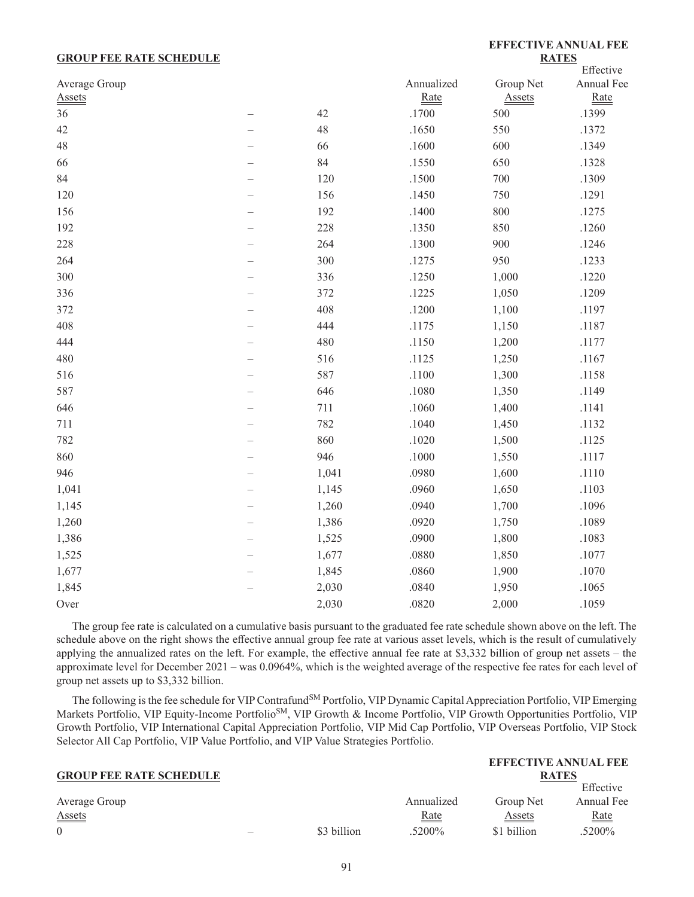#### **GROUP FEE RATE SCHEDULE**

### **EFFECTIVE ANNUAL FEE RATES**

**EFFECTIVE ANNUAL FEE** 

|               |                          |       |            |               | Effective  |
|---------------|--------------------------|-------|------------|---------------|------------|
| Average Group |                          |       | Annualized | Group Net     | Annual Fee |
| <b>Assets</b> |                          |       | Rate       | <b>Assets</b> | Rate       |
| 36            |                          | 42    | .1700      | 500           | .1399      |
| 42            |                          | 48    | .1650      | 550           | .1372      |
| 48            |                          | 66    | .1600      | 600           | .1349      |
| 66            |                          | 84    | .1550      | 650           | .1328      |
| 84            |                          | 120   | .1500      | 700           | .1309      |
| 120           |                          | 156   | .1450      | 750           | .1291      |
| 156           |                          | 192   | .1400      | 800           | .1275      |
| 192           |                          | 228   | .1350      | 850           | .1260      |
| 228           |                          | 264   | .1300      | 900           | .1246      |
| 264           |                          | 300   | .1275      | 950           | .1233      |
| 300           |                          | 336   | .1250      | 1,000         | .1220      |
| 336           |                          | 372   | .1225      | 1,050         | .1209      |
| 372           |                          | 408   | .1200      | 1,100         | .1197      |
| 408           |                          | 444   | .1175      | 1,150         | .1187      |
| 444           |                          | 480   | .1150      | 1,200         | .1177      |
| 480           | $\overline{\phantom{0}}$ | 516   | .1125      | 1,250         | .1167      |
| 516           |                          | 587   | .1100      | 1,300         | .1158      |
| 587           |                          | 646   | .1080      | 1,350         | .1149      |
| 646           |                          | 711   | .1060      | 1,400         | .1141      |
| 711           |                          | 782   | .1040      | 1,450         | .1132      |
| 782           |                          | 860   | .1020      | 1,500         | .1125      |
| 860           |                          | 946   | $.1000\,$  | 1,550         | .1117      |
| 946           |                          | 1,041 | .0980      | 1,600         | .1110      |
| 1,041         | $\overline{\phantom{0}}$ | 1,145 | .0960      | 1,650         | .1103      |
| 1,145         |                          | 1,260 | .0940      | 1,700         | .1096      |
| 1,260         |                          | 1,386 | .0920      | 1,750         | .1089      |
| 1,386         |                          | 1,525 | .0900      | 1,800         | .1083      |
| 1,525         |                          | 1,677 | .0880      | 1,850         | .1077      |
| 1,677         |                          | 1,845 | .0860      | 1,900         | .1070      |
| 1,845         |                          | 2,030 | .0840      | 1,950         | .1065      |
| Over          |                          | 2,030 | .0820      | 2,000         | .1059      |
|               |                          |       |            |               |            |

The group fee rate is calculated on a cumulative basis pursuant to the graduated fee rate schedule shown above on the left. The schedule above on the right shows the effective annual group fee rate at various asset levels, which is the result of cumulatively applying the annualized rates on the left. For example, the effective annual fee rate at \$3,332 billion of group net assets – the approximate level for December 2021 – was 0.0964%, which is the weighted average of the respective fee rates for each level of group net assets up to \$3,332 billion.

The following is the fee schedule for VIP Contrafund<sup>SM</sup> Portfolio, VIP Dynamic Capital Appreciation Portfolio, VIP Emerging Markets Portfolio, VIP Equity-Income Portfolio<sup>SM</sup>, VIP Growth & Income Portfolio, VIP Growth Opportunities Portfolio, VIP Growth Portfolio, VIP International Capital Appreciation Portfolio, VIP Mid Cap Portfolio, VIP Overseas Portfolio, VIP Stock Selector All Cap Portfolio, VIP Value Portfolio, and VIP Value Strategies Portfolio.

|                                |                          |             |              | EFFECTIVE ANNUAL FEE                  |            |
|--------------------------------|--------------------------|-------------|--------------|---------------------------------------|------------|
| <b>GROUP FEE RATE SCHEDULE</b> |                          |             | <b>RATES</b> |                                       |            |
|                                |                          |             |              |                                       | Effective  |
| Average Group                  |                          |             | Annualized   | Group Net                             | Annual Fee |
| <b>Assets</b>                  |                          |             | <u>Rate</u>  | $\frac{\text{Assets}}{\text{Assets}}$ | $Rate$     |
| $\Omega$                       | $\overline{\phantom{0}}$ | \$3 billion | .5200\%      | \$1 billion                           | .5200%     |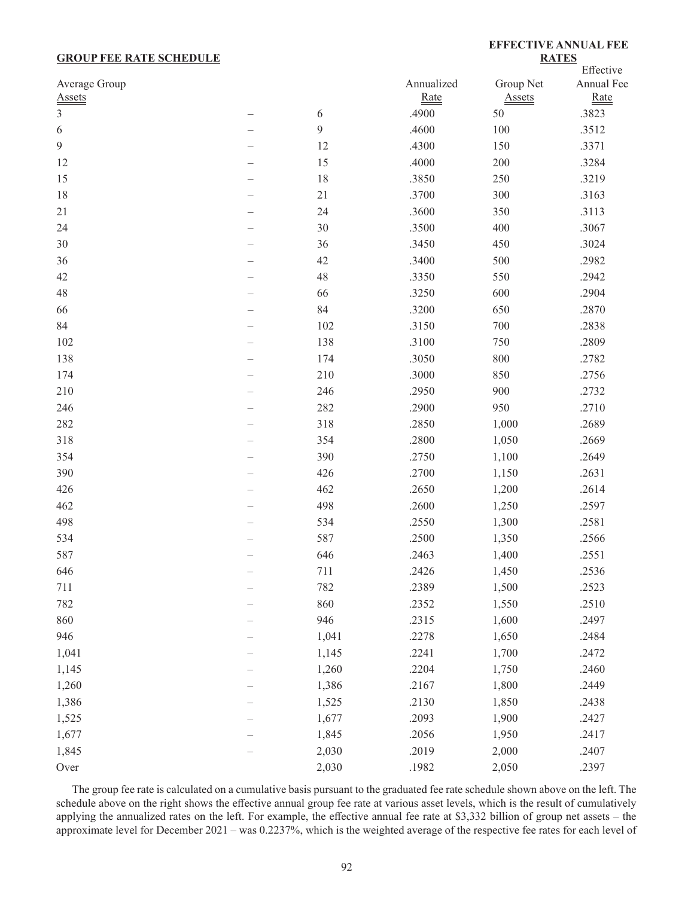## **GROUP FEE RATE SCHEDULE**

**EFFECTIVE ANNUAL FEE RATES**

|                |       |            |               | Effective  |  |
|----------------|-------|------------|---------------|------------|--|
| Average Group  |       | Annualized | Group Net     | Annual Fee |  |
| <b>Assets</b>  |       | Rate       | <b>Assets</b> | Rate       |  |
| $\mathfrak{Z}$ | 6     | .4900      | 50            | .3823      |  |
| 6              | 9     | .4600      | 100           | .3512      |  |
| 9              | 12    | .4300      | 150           | .3371      |  |
| 12             | 15    | .4000      | 200           | .3284      |  |
| 15             | 18    | .3850      | 250           | .3219      |  |
| 18             | 21    | .3700      | 300           | .3163      |  |
| 21             | 24    | .3600      | 350           | .3113      |  |
| 24             | 30    | .3500      | 400           | .3067      |  |
| 30             | 36    | .3450      | 450           | .3024      |  |
| 36             | 42    | .3400      | 500           | .2982      |  |
| 42             | 48    | .3350      | 550           | .2942      |  |
| 48             | 66    | .3250      | 600           | .2904      |  |
| 66             | 84    | .3200      | 650           | .2870      |  |
| 84             | 102   | .3150      | 700           | .2838      |  |
| 102            | 138   | .3100      | 750           | .2809      |  |
| 138            | 174   | .3050      | 800           | .2782      |  |
| 174            | 210   | .3000      | 850           | .2756      |  |
| 210            | 246   | .2950      | 900           | .2732      |  |
| 246            | 282   | .2900      | 950           | .2710      |  |
| 282            | 318   | .2850      | 1,000         | .2689      |  |
| 318            | 354   | .2800      | 1,050         | .2669      |  |
| 354            | 390   | .2750      | 1,100         | .2649      |  |
| 390            | 426   | .2700      | 1,150         | .2631      |  |
| 426            | 462   | .2650      | 1,200         | .2614      |  |
| 462            | 498   | .2600      | 1,250         | .2597      |  |
| 498            | 534   | .2550      | 1,300         | .2581      |  |
| 534            | 587   | .2500      | 1,350         | .2566      |  |
| 587            | 646   | .2463      | 1,400         | .2551      |  |
| 646            | 711   | .2426      | 1,450         | .2536      |  |
| 711            | 782   | .2389      | 1,500         | .2523      |  |
| 782            | 860   | .2352      | 1,550         | .2510      |  |
| 860            | 946   | .2315      | 1,600         | .2497      |  |
| 946            | 1,041 | .2278      | 1,650         | .2484      |  |
| 1,041          | 1,145 | .2241      | 1,700         | .2472      |  |
| 1,145          | 1,260 | .2204      | 1,750         | .2460      |  |
| 1,260          | 1,386 | .2167      | 1,800         | .2449      |  |
| 1,386          | 1,525 | .2130      | 1,850         | .2438      |  |
| 1,525          | 1,677 | .2093      | 1,900         | .2427      |  |
| 1,677          | 1,845 | .2056      | 1,950         | .2417      |  |
| 1,845          | 2,030 | .2019      | 2,000         | .2407      |  |
| Over           | 2,030 | .1982      | 2,050         | .2397      |  |
|                |       |            |               |            |  |

The group fee rate is calculated on a cumulative basis pursuant to the graduated fee rate schedule shown above on the left. The schedule above on the right shows the effective annual group fee rate at various asset levels, which is the result of cumulatively applying the annualized rates on the left. For example, the effective annual fee rate at \$3,332 billion of group net assets – the approximate level for December 2021 – was 0.2237%, which is the weighted average of the respective fee rates for each level of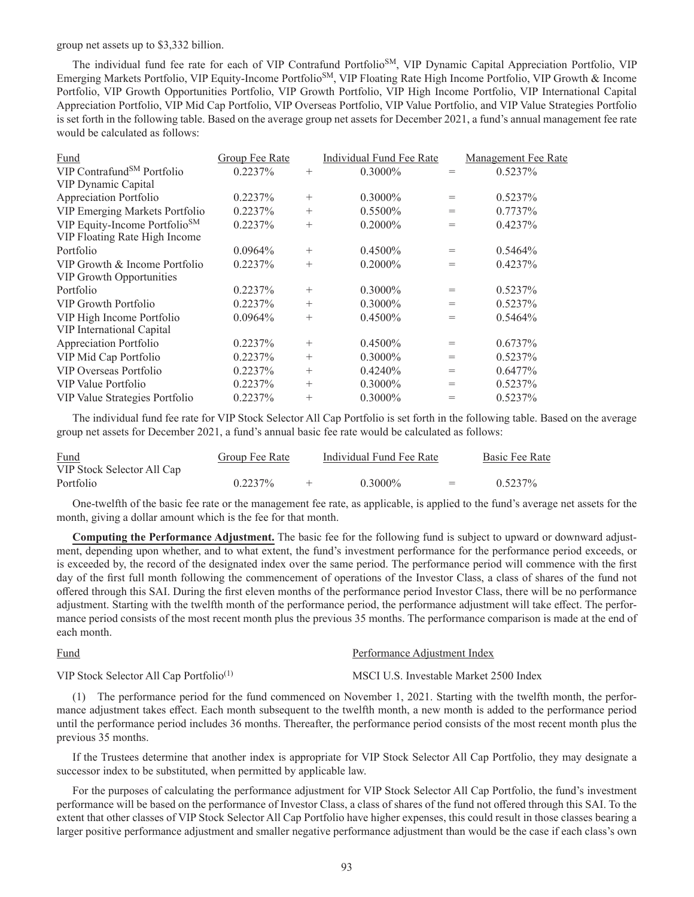group net assets up to \$3,332 billion.

The individual fund fee rate for each of VIP Contrafund Portfolio<sup>SM</sup>, VIP Dynamic Capital Appreciation Portfolio, VIP Emerging Markets Portfolio, VIP Equity-Income PortfolioSM, VIP Floating Rate High Income Portfolio, VIP Growth & Income Portfolio, VIP Growth Opportunities Portfolio, VIP Growth Portfolio, VIP High Income Portfolio, VIP International Capital Appreciation Portfolio, VIP Mid Cap Portfolio, VIP Overseas Portfolio, VIP Value Portfolio, and VIP Value Strategies Portfolio is set forth in the following table. Based on the average group net assets for December 2021, a fund's annual management fee rate would be calculated as follows:

| Fund                                      | Group Fee Rate |        | Individual Fund Fee Rate |     | <b>Management Fee Rate</b> |
|-------------------------------------------|----------------|--------|--------------------------|-----|----------------------------|
| VIP Contrafund <sup>SM</sup> Portfolio    | 0.2237%        | $^{+}$ | $0.3000\%$               | $=$ | 0.5237%                    |
| VIP Dynamic Capital                       |                |        |                          |     |                            |
| Appreciation Portfolio                    | 0.2237%        | $^{+}$ | $0.3000\%$               | $=$ | 0.5237%                    |
| VIP Emerging Markets Portfolio            | 0.2237%        | $^{+}$ | $0.5500\%$               | $=$ | 0.7737%                    |
| VIP Equity-Income Portfolio <sup>SM</sup> | 0.2237%        | $^{+}$ | $0.2000\%$               | $=$ | 0.4237%                    |
| VIP Floating Rate High Income             |                |        |                          |     |                            |
| Portfolio                                 | $0.0964\%$     | $^{+}$ | $0.4500\%$               | $=$ | $0.5464\%$                 |
| VIP Growth & Income Portfolio             | 0.2237%        | $^{+}$ | $0.2000\%$               | $=$ | 0.4237%                    |
| VIP Growth Opportunities                  |                |        |                          |     |                            |
| Portfolio                                 | 0.2237%        | $^{+}$ | $0.3000\%$               | $=$ | 0.5237%                    |
| VIP Growth Portfolio                      | 0.2237%        | $^{+}$ | $0.3000\%$               | $=$ | 0.5237%                    |
| VIP High Income Portfolio                 | $0.0964\%$     | $^{+}$ | $0.4500\%$               | $=$ | 0.5464%                    |
| VIP International Capital                 |                |        |                          |     |                            |
| Appreciation Portfolio                    | $0.2237\%$     | $^{+}$ | $0.4500\%$               | $=$ | $0.6737\%$                 |
| VIP Mid Cap Portfolio                     | $0.2237\%$     | $^{+}$ | $0.3000\%$               | $=$ | 0.5237%                    |
| VIP Overseas Portfolio                    | 0.2237%        | $^{+}$ | 0.4240%                  | $=$ | $0.6477\%$                 |
| VIP Value Portfolio                       | 0.2237%        | $^{+}$ | $0.3000\%$               | $=$ | 0.5237%                    |
| VIP Value Strategies Portfolio            | 0.2237%        | $^{+}$ | $0.3000\%$               | $=$ | 0.5237%                    |

The individual fund fee rate for VIP Stock Selector All Cap Portfolio is set forth in the following table. Based on the average group net assets for December 2021, a fund's annual basic fee rate would be calculated as follows:

| Fund                       | Group Fee Rate | Individual Fund Fee Rate |         | Basic Fee Rate |
|----------------------------|----------------|--------------------------|---------|----------------|
| VIP Stock Selector All Cap |                |                          |         |                |
| Portfolio                  | 0.2237%        | $0.3000\%$               | $=$ $-$ | 0.5237%        |

One-twelfth of the basic fee rate or the management fee rate, as applicable, is applied to the fund's average net assets for the month, giving a dollar amount which is the fee for that month.

**Computing the Performance Adjustment.** The basic fee for the following fund is subject to upward or downward adjustment, depending upon whether, and to what extent, the fund's investment performance for the performance period exceeds, or is exceeded by, the record of the designated index over the same period. The performance period will commence with the first day of the first full month following the commencement of operations of the Investor Class, a class of shares of the fund not offered through this SAI. During the first eleven months of the performance period Investor Class, there will be no performance adjustment. Starting with the twelfth month of the performance period, the performance adjustment will take effect. The performance period consists of the most recent month plus the previous 35 months. The performance comparison is made at the end of each month.

Fund Performance Adjustment Index

VIP Stock Selector All Cap Portfolio<sup>(1)</sup> MSCI U.S. Investable Market 2500 Index

(1) The performance period for the fund commenced on November 1, 2021. Starting with the twelfth month, the performance adjustment takes effect. Each month subsequent to the twelfth month, a new month is added to the performance period until the performance period includes 36 months. Thereafter, the performance period consists of the most recent month plus the previous 35 months.

If the Trustees determine that another index is appropriate for VIP Stock Selector All Cap Portfolio, they may designate a successor index to be substituted, when permitted by applicable law.

For the purposes of calculating the performance adjustment for VIP Stock Selector All Cap Portfolio, the fund's investment performance will be based on the performance of Investor Class, a class of shares of the fund not offered through this SAI. To the extent that other classes of VIP Stock Selector All Cap Portfolio have higher expenses, this could result in those classes bearing a larger positive performance adjustment and smaller negative performance adjustment than would be the case if each class's own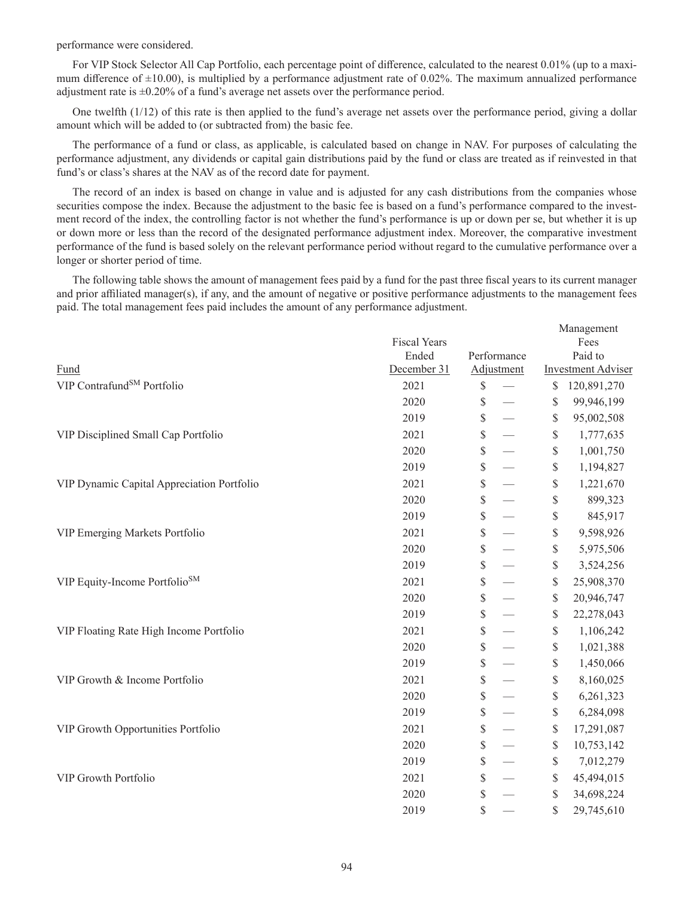performance were considered.

For VIP Stock Selector All Cap Portfolio, each percentage point of difference, calculated to the nearest 0.01% (up to a maximum difference of  $\pm 10.00$ , is multiplied by a performance adjustment rate of 0.02%. The maximum annualized performance adjustment rate is ±0.20% of a fund's average net assets over the performance period.

One twelfth (1/12) of this rate is then applied to the fund's average net assets over the performance period, giving a dollar amount which will be added to (or subtracted from) the basic fee.

The performance of a fund or class, as applicable, is calculated based on change in NAV. For purposes of calculating the performance adjustment, any dividends or capital gain distributions paid by the fund or class are treated as if reinvested in that fund's or class's shares at the NAV as of the record date for payment.

The record of an index is based on change in value and is adjusted for any cash distributions from the companies whose securities compose the index. Because the adjustment to the basic fee is based on a fund's performance compared to the investment record of the index, the controlling factor is not whether the fund's performance is up or down per se, but whether it is up or down more or less than the record of the designated performance adjustment index. Moreover, the comparative investment performance of the fund is based solely on the relevant performance period without regard to the cumulative performance over a longer or shorter period of time.

The following table shows the amount of management fees paid by a fund for the past three fiscal years to its current manager and prior affiliated manager(s), if any, and the amount of negative or positive performance adjustments to the management fees paid. The total management fees paid includes the amount of any performance adjustment.

|                                            |                     |             | Management                |
|--------------------------------------------|---------------------|-------------|---------------------------|
|                                            | <b>Fiscal Years</b> |             | Fees                      |
|                                            | Ended               | Performance | Paid to                   |
| Fund                                       | December 31         | Adjustment  | <b>Investment Adviser</b> |
| VIP Contrafund <sup>SM</sup> Portfolio     | 2021                | \$          | \$<br>120,891,270         |
|                                            | 2020                | \$          | \$<br>99,946,199          |
|                                            | 2019                | \$          | \$<br>95,002,508          |
| VIP Disciplined Small Cap Portfolio        | 2021                | \$          | \$<br>1,777,635           |
|                                            | 2020                | \$          | \$<br>1,001,750           |
|                                            | 2019                | \$          | \$<br>1,194,827           |
| VIP Dynamic Capital Appreciation Portfolio | 2021                | \$          | \$<br>1,221,670           |
|                                            | 2020                | \$          | \$<br>899,323             |
|                                            | 2019                | \$          | \$<br>845,917             |
| VIP Emerging Markets Portfolio             | 2021                | \$          | \$<br>9,598,926           |
|                                            | 2020                | \$          | \$<br>5,975,506           |
|                                            | 2019                | \$          | \$<br>3,524,256           |
| VIP Equity-Income Portfolio <sup>SM</sup>  | 2021                | \$          | \$<br>25,908,370          |
|                                            | 2020                | \$          | \$<br>20,946,747          |
|                                            | 2019                | \$          | \$<br>22,278,043          |
| VIP Floating Rate High Income Portfolio    | 2021                | \$          | \$<br>1,106,242           |
|                                            | 2020                | \$          | \$<br>1,021,388           |
|                                            | 2019                | \$          | \$<br>1,450,066           |
| VIP Growth & Income Portfolio              | 2021                | \$          | \$<br>8,160,025           |
|                                            | 2020                | \$          | \$<br>6,261,323           |
|                                            | 2019                | \$          | \$<br>6,284,098           |
| VIP Growth Opportunities Portfolio         | 2021                | \$          | \$<br>17,291,087          |
|                                            | 2020                | \$          | \$<br>10,753,142          |
|                                            | 2019                | \$          | \$<br>7,012,279           |
| VIP Growth Portfolio                       | 2021                | \$          | \$<br>45,494,015          |
|                                            | 2020                | \$          | \$<br>34,698,224          |
|                                            | 2019                | \$          | \$<br>29,745,610          |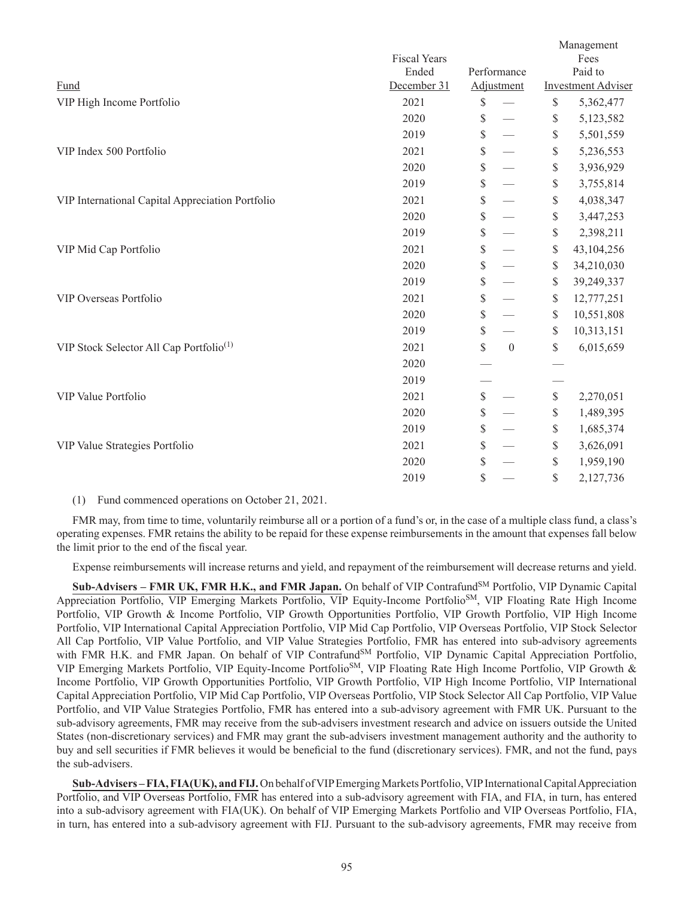|                                                     |                     |                        |              | Management                |
|-----------------------------------------------------|---------------------|------------------------|--------------|---------------------------|
|                                                     | <b>Fiscal Years</b> |                        |              | Fees                      |
|                                                     | Ended               | Performance            |              | Paid to                   |
| Fund                                                | December 31         | Adjustment             |              | <b>Investment Adviser</b> |
| VIP High Income Portfolio                           | 2021                | \$                     | $\mathbb{S}$ | 5,362,477                 |
|                                                     | 2020                | \$                     | \$           | 5,123,582                 |
|                                                     | 2019                | \$                     | \$           | 5,501,559                 |
| VIP Index 500 Portfolio                             | 2021                | \$                     | \$           | 5,236,553                 |
|                                                     | 2020                | \$                     | \$           | 3,936,929                 |
|                                                     | 2019                | \$                     | \$           | 3,755,814                 |
| VIP International Capital Appreciation Portfolio    | 2021                | \$                     | $\mathbb{S}$ | 4,038,347                 |
|                                                     | 2020                | \$                     | \$           | 3,447,253                 |
|                                                     | 2019                | \$                     | $\$$         | 2,398,211                 |
| VIP Mid Cap Portfolio                               | 2021                | \$                     | \$           | 43,104,256                |
|                                                     | 2020                | \$                     | \$           | 34,210,030                |
|                                                     | 2019                | \$                     | $\mathbb S$  | 39,249,337                |
| VIP Overseas Portfolio                              | 2021                | \$                     | $\mathbb{S}$ | 12,777,251                |
|                                                     | 2020                | \$                     | \$           | 10,551,808                |
|                                                     | 2019                | \$                     | \$           | 10,313,151                |
| VIP Stock Selector All Cap Portfolio <sup>(1)</sup> | 2021                | \$<br>$\boldsymbol{0}$ | \$           | 6,015,659                 |
|                                                     | 2020                |                        |              |                           |
|                                                     | 2019                |                        |              |                           |
| VIP Value Portfolio                                 | 2021                | \$                     | $\mathbb{S}$ | 2,270,051                 |
|                                                     | 2020                | \$                     | \$           | 1,489,395                 |
|                                                     | 2019                | \$                     | \$           | 1,685,374                 |
| VIP Value Strategies Portfolio                      | 2021                | \$                     | \$           | 3,626,091                 |
|                                                     | 2020                | \$                     | \$           | 1,959,190                 |
|                                                     | 2019                | \$                     | \$           | 2,127,736                 |
|                                                     |                     |                        |              |                           |

#### (1) Fund commenced operations on October 21, 2021.

FMR may, from time to time, voluntarily reimburse all or a portion of a fund's or, in the case of a multiple class fund, a class's operating expenses. FMR retains the ability to be repaid for these expense reimbursements in the amount that expenses fall below the limit prior to the end of the fiscal year.

Expense reimbursements will increase returns and yield, and repayment of the reimbursement will decrease returns and yield.

**Sub-Advisers – FMR UK, FMR H.K., and FMR Japan.** On behalf of VIP ContrafundSM Portfolio, VIP Dynamic Capital Appreciation Portfolio, VIP Emerging Markets Portfolio, VIP Equity-Income PortfolioSM, VIP Floating Rate High Income Portfolio, VIP Growth & Income Portfolio, VIP Growth Opportunities Portfolio, VIP Growth Portfolio, VIP High Income Portfolio, VIP International Capital Appreciation Portfolio, VIP Mid Cap Portfolio, VIP Overseas Portfolio, VIP Stock Selector All Cap Portfolio, VIP Value Portfolio, and VIP Value Strategies Portfolio, FMR has entered into sub-advisory agreements with FMR H.K. and FMR Japan. On behalf of VIP Contrafund<sup>SM</sup> Portfolio, VIP Dynamic Capital Appreciation Portfolio, VIP Emerging Markets Portfolio, VIP Equity-Income PortfolioSM, VIP Floating Rate High Income Portfolio, VIP Growth & Income Portfolio, VIP Growth Opportunities Portfolio, VIP Growth Portfolio, VIP High Income Portfolio, VIP International Capital Appreciation Portfolio, VIP Mid Cap Portfolio, VIP Overseas Portfolio, VIP Stock Selector All Cap Portfolio, VIP Value Portfolio, and VIP Value Strategies Portfolio, FMR has entered into a sub-advisory agreement with FMR UK. Pursuant to the sub-advisory agreements, FMR may receive from the sub-advisers investment research and advice on issuers outside the United States (non-discretionary services) and FMR may grant the sub-advisers investment management authority and the authority to buy and sell securities if FMR believes it would be beneficial to the fund (discretionary services). FMR, and not the fund, pays the sub-advisers.

**Sub-Advisers – FIA, FIA(UK), and FIJ.**On behalf of VIP Emerging Markets Portfolio, VIP International Capital Appreciation Portfolio, and VIP Overseas Portfolio, FMR has entered into a sub-advisory agreement with FIA, and FIA, in turn, has entered into a sub-advisory agreement with FIA(UK). On behalf of VIP Emerging Markets Portfolio and VIP Overseas Portfolio, FIA, in turn, has entered into a sub-advisory agreement with FIJ. Pursuant to the sub-advisory agreements, FMR may receive from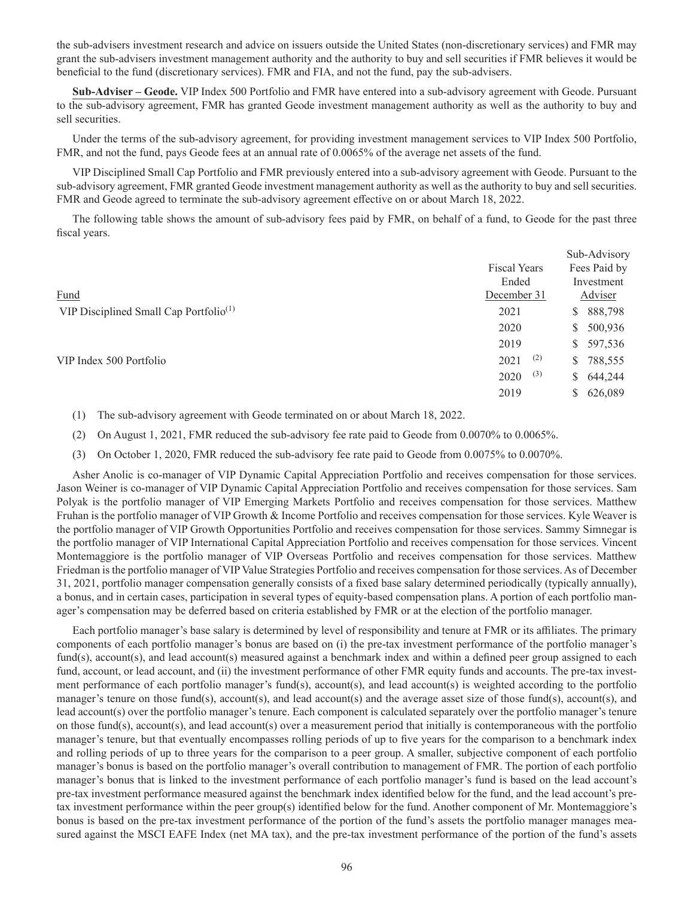the sub-advisers investment research and advice on issuers outside the United States (non-discretionary services) and FMR may grant the sub-advisers investment management authority and the authority to buy and sell securities if FMR believes it would be beneficial to the fund (discretionary services). FMR and FIA, and not the fund, pay the sub-advisers.

**Sub-Adviser – Geode.** VIP Index 500 Portfolio and FMR have entered into a sub-advisory agreement with Geode. Pursuant to the sub-advisory agreement, FMR has granted Geode investment management authority as well as the authority to buy and sell securities.

Under the terms of the sub-advisory agreement, for providing investment management services to VIP Index 500 Portfolio, FMR, and not the fund, pays Geode fees at an annual rate of 0.0065% of the average net assets of the fund.

VIP Disciplined Small Cap Portfolio and FMR previously entered into a sub-advisory agreement with Geode. Pursuant to the sub-advisory agreement, FMR granted Geode investment management authority as well as the authority to buy and sell securities. FMR and Geode agreed to terminate the sub-advisory agreement effective on or about March 18, 2022.

The following table shows the amount of sub-advisory fees paid by FMR, on behalf of a fund, to Geode for the past three fiscal years.

|                                                    |                     | Sub-Advisory            |
|----------------------------------------------------|---------------------|-------------------------|
|                                                    | <b>Fiscal Years</b> | Fees Paid by            |
|                                                    | Ended               | Investment              |
| Fund                                               | December 31         | Adviser                 |
| VIP Disciplined Small Cap Portfolio <sup>(1)</sup> | 2021                | 888,798<br>S.           |
|                                                    | 2020                | 500,936<br>S.           |
|                                                    | 2019                | 597,536<br>S.           |
| VIP Index 500 Portfolio                            | (2)<br>2021         | 788,555<br>S.           |
|                                                    | (3)<br>2020         | 644,244<br><sup>S</sup> |
|                                                    | 2019                | 626,089<br>S.           |

(1) The sub-advisory agreement with Geode terminated on or about March 18, 2022.

(2) On August 1, 2021, FMR reduced the sub-advisory fee rate paid to Geode from 0.0070% to 0.0065%.

(3) On October 1, 2020, FMR reduced the sub-advisory fee rate paid to Geode from 0.0075% to 0.0070%.

Asher Anolic is co-manager of VIP Dynamic Capital Appreciation Portfolio and receives compensation for those services. Jason Weiner is co-manager of VIP Dynamic Capital Appreciation Portfolio and receives compensation for those services. Sam Polyak is the portfolio manager of VIP Emerging Markets Portfolio and receives compensation for those services. Matthew Fruhan is the portfolio manager of VIP Growth & Income Portfolio and receives compensation for those services. Kyle Weaver is the portfolio manager of VIP Growth Opportunities Portfolio and receives compensation for those services. Sammy Simnegar is the portfolio manager of VIP International Capital Appreciation Portfolio and receives compensation for those services. Vincent Montemaggiore is the portfolio manager of VIP Overseas Portfolio and receives compensation for those services. Matthew Friedman is the portfolio manager of VIP Value Strategies Portfolio and receives compensation for those services. As of December 31, 2021, portfolio manager compensation generally consists of a fixed base salary determined periodically (typically annually), a bonus, and in certain cases, participation in several types of equity-based compensation plans. A portion of each portfolio manager's compensation may be deferred based on criteria established by FMR or at the election of the portfolio manager.

Each portfolio manager's base salary is determined by level of responsibility and tenure at FMR or its affiliates. The primary components of each portfolio manager's bonus are based on (i) the pre-tax investment performance of the portfolio manager's fund(s), account(s), and lead account(s) measured against a benchmark index and within a defined peer group assigned to each fund, account, or lead account, and (ii) the investment performance of other FMR equity funds and accounts. The pre-tax investment performance of each portfolio manager's fund(s), account(s), and lead account(s) is weighted according to the portfolio manager's tenure on those fund(s), account(s), and lead account(s) and the average asset size of those fund(s), account(s), and lead account(s) over the portfolio manager's tenure. Each component is calculated separately over the portfolio manager's tenure on those fund(s), account(s), and lead account(s) over a measurement period that initially is contemporaneous with the portfolio manager's tenure, but that eventually encompasses rolling periods of up to five years for the comparison to a benchmark index and rolling periods of up to three years for the comparison to a peer group. A smaller, subjective component of each portfolio manager's bonus is based on the portfolio manager's overall contribution to management of FMR. The portion of each portfolio manager's bonus that is linked to the investment performance of each portfolio manager's fund is based on the lead account's pre-tax investment performance measured against the benchmark index identified below for the fund, and the lead account's pretax investment performance within the peer group(s) identified below for the fund. Another component of Mr. Montemaggiore's bonus is based on the pre-tax investment performance of the portion of the fund's assets the portfolio manager manages measured against the MSCI EAFE Index (net MA tax), and the pre-tax investment performance of the portion of the fund's assets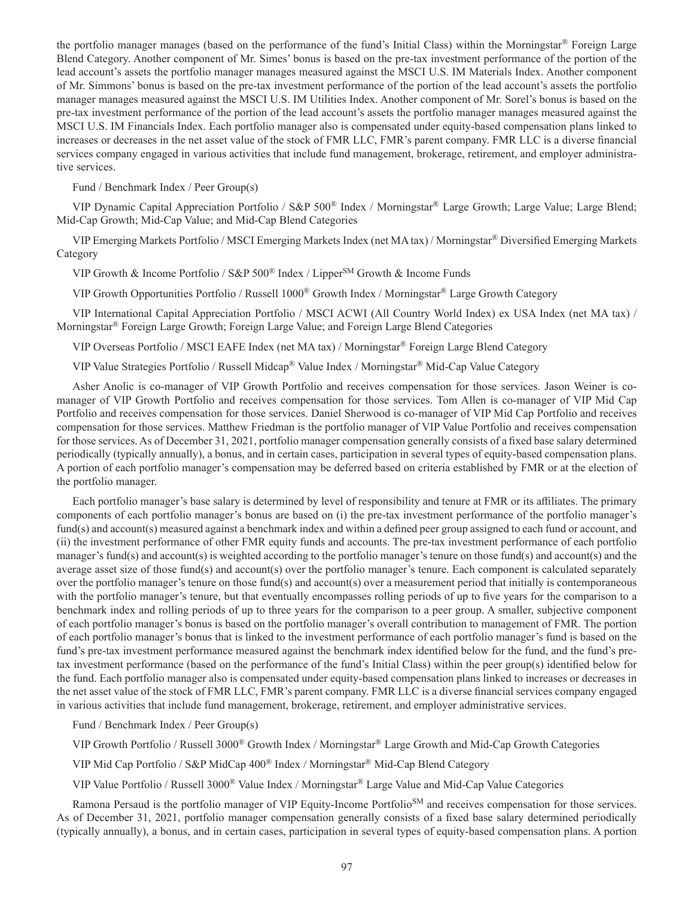the portfolio manager manages (based on the performance of the fund's Initial Class) within the Morningstar® Foreign Large Blend Category. Another component of Mr. Simes' bonus is based on the pre-tax investment performance of the portion of the lead account's assets the portfolio manager manages measured against the MSCI U.S. IM Materials Index. Another component of Mr. Simmons' bonus is based on the pre-tax investment performance of the portion of the lead account's assets the portfolio manager manages measured against the MSCI U.S. IM Utilities Index. Another component of Mr. Sorel's bonus is based on the pre-tax investment performance of the portion of the lead account's assets the portfolio manager manages measured against the MSCI U.S. IM Financials Index. Each portfolio manager also is compensated under equity-based compensation plans linked to increases or decreases in the net asset value of the stock of FMR LLC, FMR's parent company. FMR LLC is a diverse financial services company engaged in various activities that include fund management, brokerage, retirement, and employer administrative services.

Fund / Benchmark Index / Peer Group(s)

VIP Dynamic Capital Appreciation Portfolio / S&P 500® Index / Morningstar® Large Growth; Large Value; Large Blend; Mid-Cap Growth; Mid-Cap Value; and Mid-Cap Blend Categories

VIP Emerging Markets Portfolio / MSCI Emerging Markets Index (net MA tax) / Morningstar® Diversified Emerging Markets Category

VIP Growth & Income Portfolio / S&P 500<sup>®</sup> Index / Lipper<sup>SM</sup> Growth & Income Funds

VIP Growth Opportunities Portfolio / Russell 1000® Growth Index / Morningstar® Large Growth Category

VIP International Capital Appreciation Portfolio / MSCI ACWI (All Country World Index) ex USA Index (net MA tax) / Morningstar® Foreign Large Growth; Foreign Large Value; and Foreign Large Blend Categories

VIP Overseas Portfolio / MSCI EAFE Index (net MA tax) / Morningstar® Foreign Large Blend Category

VIP Value Strategies Portfolio / Russell Midcap® Value Index / Morningstar® Mid-Cap Value Category

Asher Anolic is co-manager of VIP Growth Portfolio and receives compensation for those services. Jason Weiner is comanager of VIP Growth Portfolio and receives compensation for those services. Tom Allen is co-manager of VIP Mid Cap Portfolio and receives compensation for those services. Daniel Sherwood is co-manager of VIP Mid Cap Portfolio and receives compensation for those services. Matthew Friedman is the portfolio manager of VIP Value Portfolio and receives compensation for those services. As of December 31, 2021, portfolio manager compensation generally consists of a fixed base salary determined periodically (typically annually), a bonus, and in certain cases, participation in several types of equity-based compensation plans. A portion of each portfolio manager's compensation may be deferred based on criteria established by FMR or at the election of the portfolio manager.

Each portfolio manager's base salary is determined by level of responsibility and tenure at FMR or its affiliates. The primary components of each portfolio manager's bonus are based on (i) the pre-tax investment performance of the portfolio manager's fund(s) and account(s) measured against a benchmark index and within a defined peer group assigned to each fund or account, and (ii) the investment performance of other FMR equity funds and accounts. The pre-tax investment performance of each portfolio manager's fund(s) and account(s) is weighted according to the portfolio manager's tenure on those fund(s) and account(s) and the average asset size of those fund(s) and account(s) over the portfolio manager's tenure. Each component is calculated separately over the portfolio manager's tenure on those fund(s) and account(s) over a measurement period that initially is contemporaneous with the portfolio manager's tenure, but that eventually encompasses rolling periods of up to five years for the comparison to a benchmark index and rolling periods of up to three years for the comparison to a peer group. A smaller, subjective component of each portfolio manager's bonus is based on the portfolio manager's overall contribution to management of FMR. The portion of each portfolio manager's bonus that is linked to the investment performance of each portfolio manager's fund is based on the fund's pre-tax investment performance measured against the benchmark index identified below for the fund, and the fund's pretax investment performance (based on the performance of the fund's Initial Class) within the peer group(s) identified below for the fund. Each portfolio manager also is compensated under equity-based compensation plans linked to increases or decreases in the net asset value of the stock of FMR LLC, FMR's parent company. FMR LLC is a diverse financial services company engaged in various activities that include fund management, brokerage, retirement, and employer administrative services.

Fund / Benchmark Index / Peer Group(s)

VIP Growth Portfolio / Russell 3000® Growth Index / Morningstar® Large Growth and Mid-Cap Growth Categories

VIP Mid Cap Portfolio / S&P MidCap 400® Index / Morningstar® Mid-Cap Blend Category

VIP Value Portfolio / Russell 3000® Value Index / Morningstar® Large Value and Mid-Cap Value Categories

Ramona Persaud is the portfolio manager of VIP Equity-Income Portfolio<sup>SM</sup> and receives compensation for those services. As of December 31, 2021, portfolio manager compensation generally consists of a fixed base salary determined periodically (typically annually), a bonus, and in certain cases, participation in several types of equity-based compensation plans. A portion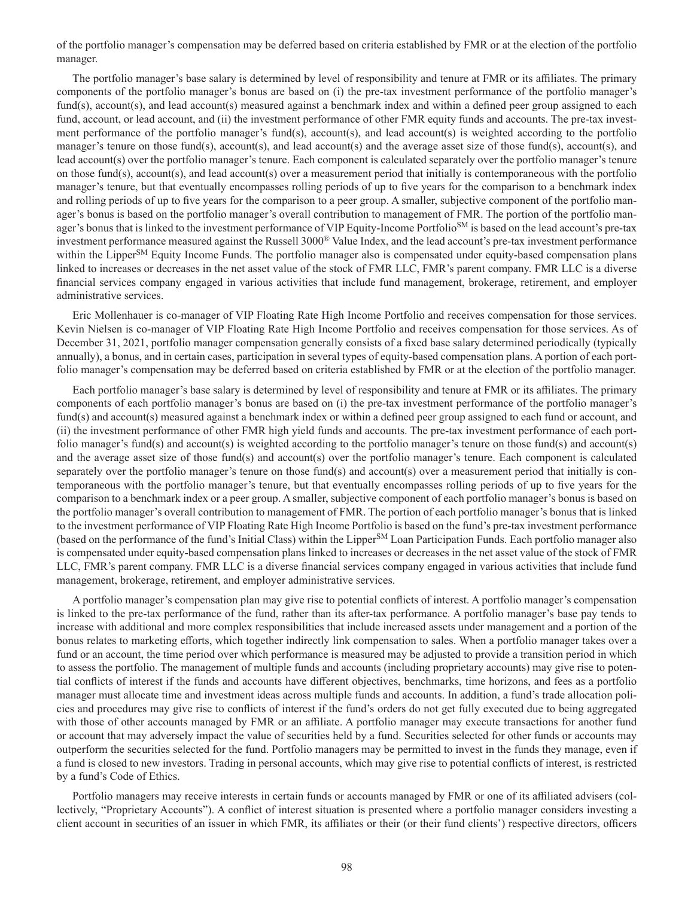of the portfolio manager's compensation may be deferred based on criteria established by FMR or at the election of the portfolio manager.

The portfolio manager's base salary is determined by level of responsibility and tenure at FMR or its affiliates. The primary components of the portfolio manager's bonus are based on (i) the pre-tax investment performance of the portfolio manager's fund(s), account(s), and lead account(s) measured against a benchmark index and within a defined peer group assigned to each fund, account, or lead account, and (ii) the investment performance of other FMR equity funds and accounts. The pre-tax investment performance of the portfolio manager's fund(s), account(s), and lead account(s) is weighted according to the portfolio manager's tenure on those fund(s), account(s), and lead account(s) and the average asset size of those fund(s), account(s), and lead account(s) over the portfolio manager's tenure. Each component is calculated separately over the portfolio manager's tenure on those fund(s), account(s), and lead account(s) over a measurement period that initially is contemporaneous with the portfolio manager's tenure, but that eventually encompasses rolling periods of up to five years for the comparison to a benchmark index and rolling periods of up to five years for the comparison to a peer group. A smaller, subjective component of the portfolio manager's bonus is based on the portfolio manager's overall contribution to management of FMR. The portion of the portfolio manager's bonus that is linked to the investment performance of VIP Equity-Income Portfolio<sup>SM</sup> is based on the lead account's pre-tax investment performance measured against the Russell 3000® Value Index, and the lead account's pre-tax investment performance within the Lipper<sup>SM</sup> Equity Income Funds. The portfolio manager also is compensated under equity-based compensation plans linked to increases or decreases in the net asset value of the stock of FMR LLC, FMR's parent company. FMR LLC is a diverse financial services company engaged in various activities that include fund management, brokerage, retirement, and employer administrative services.

Eric Mollenhauer is co-manager of VIP Floating Rate High Income Portfolio and receives compensation for those services. Kevin Nielsen is co-manager of VIP Floating Rate High Income Portfolio and receives compensation for those services. As of December 31, 2021, portfolio manager compensation generally consists of a fixed base salary determined periodically (typically annually), a bonus, and in certain cases, participation in several types of equity-based compensation plans. A portion of each portfolio manager's compensation may be deferred based on criteria established by FMR or at the election of the portfolio manager.

Each portfolio manager's base salary is determined by level of responsibility and tenure at FMR or its affiliates. The primary components of each portfolio manager's bonus are based on (i) the pre-tax investment performance of the portfolio manager's fund(s) and account(s) measured against a benchmark index or within a defined peer group assigned to each fund or account, and (ii) the investment performance of other FMR high yield funds and accounts. The pre-tax investment performance of each portfolio manager's fund(s) and account(s) is weighted according to the portfolio manager's tenure on those fund(s) and account(s) and the average asset size of those fund(s) and account(s) over the portfolio manager's tenure. Each component is calculated separately over the portfolio manager's tenure on those fund(s) and account(s) over a measurement period that initially is contemporaneous with the portfolio manager's tenure, but that eventually encompasses rolling periods of up to five years for the comparison to a benchmark index or a peer group. A smaller, subjective component of each portfolio manager's bonus is based on the portfolio manager's overall contribution to management of FMR. The portion of each portfolio manager's bonus that is linked to the investment performance of VIP Floating Rate High Income Portfolio is based on the fund's pre-tax investment performance (based on the performance of the fund's Initial Class) within the LipperSM Loan Participation Funds. Each portfolio manager also is compensated under equity-based compensation plans linked to increases or decreases in the net asset value of the stock of FMR LLC, FMR's parent company. FMR LLC is a diverse financial services company engaged in various activities that include fund management, brokerage, retirement, and employer administrative services.

A portfolio manager's compensation plan may give rise to potential conflicts of interest. A portfolio manager's compensation is linked to the pre-tax performance of the fund, rather than its after-tax performance. A portfolio manager's base pay tends to increase with additional and more complex responsibilities that include increased assets under management and a portion of the bonus relates to marketing efforts, which together indirectly link compensation to sales. When a portfolio manager takes over a fund or an account, the time period over which performance is measured may be adjusted to provide a transition period in which to assess the portfolio. The management of multiple funds and accounts (including proprietary accounts) may give rise to potential conflicts of interest if the funds and accounts have different objectives, benchmarks, time horizons, and fees as a portfolio manager must allocate time and investment ideas across multiple funds and accounts. In addition, a fund's trade allocation policies and procedures may give rise to conflicts of interest if the fund's orders do not get fully executed due to being aggregated with those of other accounts managed by FMR or an affiliate. A portfolio manager may execute transactions for another fund or account that may adversely impact the value of securities held by a fund. Securities selected for other funds or accounts may outperform the securities selected for the fund. Portfolio managers may be permitted to invest in the funds they manage, even if a fund is closed to new investors. Trading in personal accounts, which may give rise to potential conflicts of interest, is restricted by a fund's Code of Ethics.

Portfolio managers may receive interests in certain funds or accounts managed by FMR or one of its affiliated advisers (collectively, "Proprietary Accounts"). A conflict of interest situation is presented where a portfolio manager considers investing a client account in securities of an issuer in which FMR, its affiliates or their (or their fund clients') respective directors, officers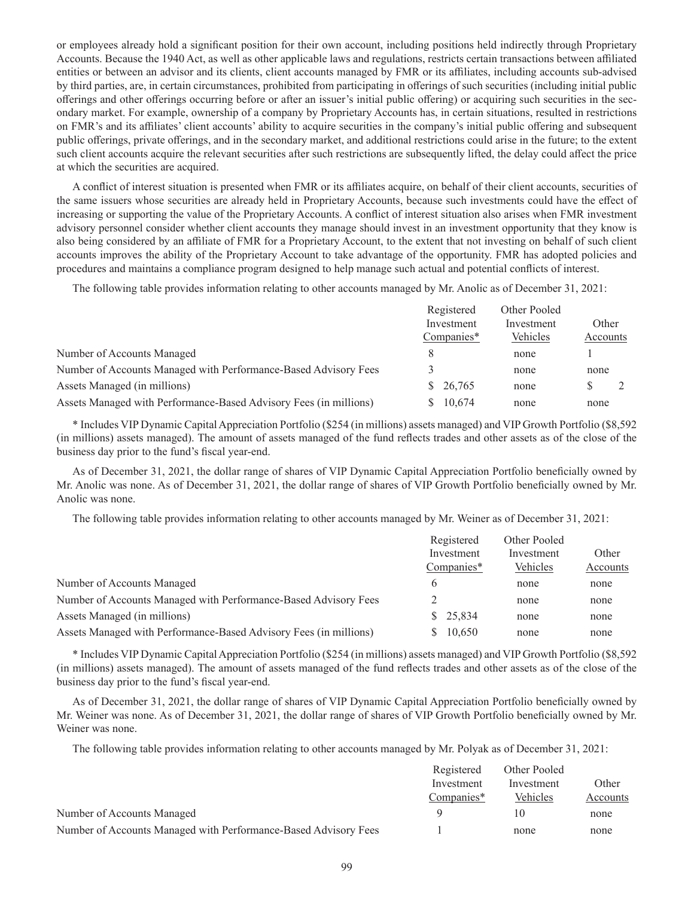or employees already hold a significant position for their own account, including positions held indirectly through Proprietary Accounts. Because the 1940 Act, as well as other applicable laws and regulations, restricts certain transactions between affiliated entities or between an advisor and its clients, client accounts managed by FMR or its affiliates, including accounts sub-advised by third parties, are, in certain circumstances, prohibited from participating in offerings of such securities (including initial public offerings and other offerings occurring before or after an issuer's initial public offering) or acquiring such securities in the secondary market. For example, ownership of a company by Proprietary Accounts has, in certain situations, resulted in restrictions on FMR's and its affiliates' client accounts' ability to acquire securities in the company's initial public offering and subsequent public offerings, private offerings, and in the secondary market, and additional restrictions could arise in the future; to the extent such client accounts acquire the relevant securities after such restrictions are subsequently lifted, the delay could affect the price at which the securities are acquired.

A conflict of interest situation is presented when FMR or its affiliates acquire, on behalf of their client accounts, securities of the same issuers whose securities are already held in Proprietary Accounts, because such investments could have the effect of increasing or supporting the value of the Proprietary Accounts. A conflict of interest situation also arises when FMR investment advisory personnel consider whether client accounts they manage should invest in an investment opportunity that they know is also being considered by an affiliate of FMR for a Proprietary Account, to the extent that not investing on behalf of such client accounts improves the ability of the Proprietary Account to take advantage of the opportunity. FMR has adopted policies and procedures and maintains a compliance program designed to help manage such actual and potential conflicts of interest.

The following table provides information relating to other accounts managed by Mr. Anolic as of December 31, 2021:

|                                                                   | Registered | Other Pooled |          |
|-------------------------------------------------------------------|------------|--------------|----------|
|                                                                   | Investment | Investment   | Other    |
|                                                                   | Companies* | Vehicles     | Accounts |
| Number of Accounts Managed                                        |            | none         |          |
| Number of Accounts Managed with Performance-Based Advisory Fees   |            | none         | none     |
| Assets Managed (in millions)                                      | \$26,765   | none         |          |
| Assets Managed with Performance-Based Advisory Fees (in millions) | 10.674     | none         | none     |

\* Includes VIP Dynamic Capital Appreciation Portfolio (\$254 (in millions) assets managed) and VIP Growth Portfolio (\$8,592 (in millions) assets managed). The amount of assets managed of the fund reflects trades and other assets as of the close of the business day prior to the fund's fiscal year-end.

As of December 31, 2021, the dollar range of shares of VIP Dynamic Capital Appreciation Portfolio beneficially owned by Mr. Anolic was none. As of December 31, 2021, the dollar range of shares of VIP Growth Portfolio beneficially owned by Mr. Anolic was none.

The following table provides information relating to other accounts managed by Mr. Weiner as of December 31, 2021:

|                                                                   | Registered   | Other Pooled |          |
|-------------------------------------------------------------------|--------------|--------------|----------|
|                                                                   | Investment   | Investment   | Other    |
|                                                                   | Companies*   | Vehicles     | Accounts |
| Number of Accounts Managed                                        | h.           | none         | none     |
| Number of Accounts Managed with Performance-Based Advisory Fees   |              | none         | none     |
| Assets Managed (in millions)                                      | 25,834<br>S. | none         | none     |
| Assets Managed with Performance-Based Advisory Fees (in millions) | 10,650       | none         | none     |
|                                                                   |              |              |          |

\* Includes VIP Dynamic Capital Appreciation Portfolio (\$254 (in millions) assets managed) and VIP Growth Portfolio (\$8,592 (in millions) assets managed). The amount of assets managed of the fund reflects trades and other assets as of the close of the business day prior to the fund's fiscal year-end.

As of December 31, 2021, the dollar range of shares of VIP Dynamic Capital Appreciation Portfolio beneficially owned by Mr. Weiner was none. As of December 31, 2021, the dollar range of shares of VIP Growth Portfolio beneficially owned by Mr. Weiner was none.

The following table provides information relating to other accounts managed by Mr. Polyak as of December 31, 2021:

|                                                                 | Registered<br>Investment | Other Pooled | Other    |
|-----------------------------------------------------------------|--------------------------|--------------|----------|
|                                                                 |                          | Investment   |          |
|                                                                 | Companies*               | Vehicles     | Accounts |
| Number of Accounts Managed                                      |                          | 10           | none     |
| Number of Accounts Managed with Performance-Based Advisory Fees |                          | none         | none     |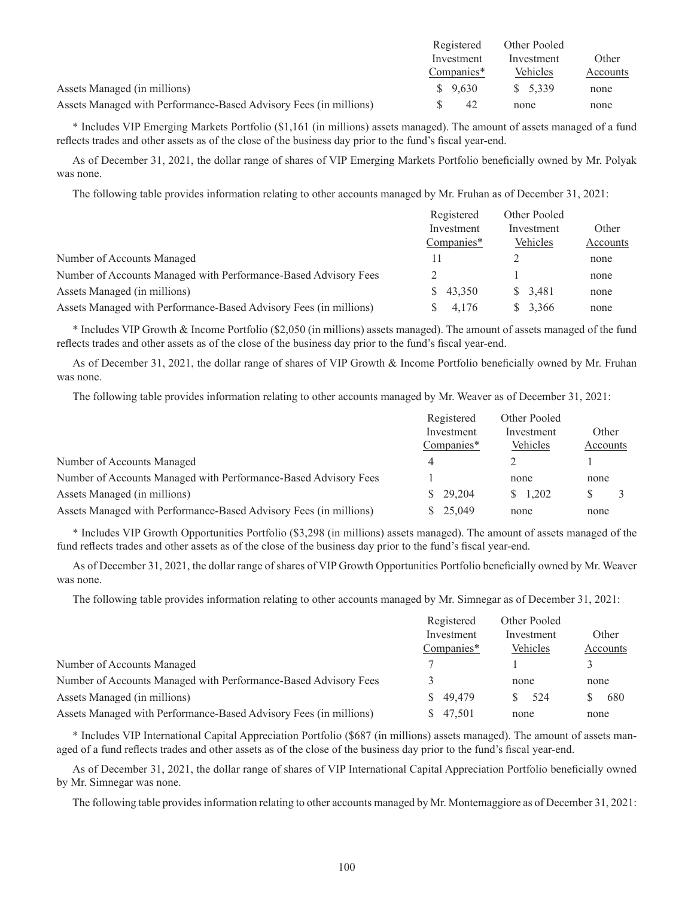|                                                                   | Registered | Other Pooled |          |
|-------------------------------------------------------------------|------------|--------------|----------|
|                                                                   | Investment | Investment   | Other    |
|                                                                   | Companies* | Vehicles     | Accounts |
| Assets Managed (in millions)                                      | \$9,630    | \$5,339      | none     |
| Assets Managed with Performance-Based Advisory Fees (in millions) | 42         | none         | none     |

\* Includes VIP Emerging Markets Portfolio (\$1,161 (in millions) assets managed). The amount of assets managed of a fund reflects trades and other assets as of the close of the business day prior to the fund's fiscal year-end.

As of December 31, 2021, the dollar range of shares of VIP Emerging Markets Portfolio beneficially owned by Mr. Polyak was none.

The following table provides information relating to other accounts managed by Mr. Fruhan as of December 31, 2021:

|                                                                   | Registered<br>Investment<br>Companies* | Other Pooled<br>Investment<br>Vehicles | Other<br>Accounts |
|-------------------------------------------------------------------|----------------------------------------|----------------------------------------|-------------------|
|                                                                   |                                        |                                        |                   |
|                                                                   |                                        |                                        |                   |
| Number of Accounts Managed                                        | п                                      |                                        | none              |
| Number of Accounts Managed with Performance-Based Advisory Fees   |                                        |                                        | none              |
| Assets Managed (in millions)                                      | 43,350<br>S.                           | \$ 3.481                               | none              |
| Assets Managed with Performance-Based Advisory Fees (in millions) | 4.176                                  | \$3,366                                | none              |

\* Includes VIP Growth & Income Portfolio (\$2,050 (in millions) assets managed). The amount of assets managed of the fund reflects trades and other assets as of the close of the business day prior to the fund's fiscal year-end.

As of December 31, 2021, the dollar range of shares of VIP Growth & Income Portfolio beneficially owned by Mr. Fruhan was none.

The following table provides information relating to other accounts managed by Mr. Weaver as of December 31, 2021:

|                                                                   | Registered<br>Investment | Other Pooled<br>Investment | Other    |
|-------------------------------------------------------------------|--------------------------|----------------------------|----------|
|                                                                   |                          |                            |          |
|                                                                   | Companies*               | Vehicles                   | Accounts |
| Number of Accounts Managed                                        | 4                        |                            |          |
| Number of Accounts Managed with Performance-Based Advisory Fees   |                          | none                       | none     |
| Assets Managed (in millions)                                      | \$29,204                 | 1.202<br>S.                |          |
| Assets Managed with Performance-Based Advisory Fees (in millions) | \$25,049                 | none                       | none     |

\* Includes VIP Growth Opportunities Portfolio (\$3,298 (in millions) assets managed). The amount of assets managed of the fund reflects trades and other assets as of the close of the business day prior to the fund's fiscal year-end.

As of December 31, 2021, the dollar range of shares of VIP Growth Opportunities Portfolio beneficially owned by Mr. Weaver was none.

The following table provides information relating to other accounts managed by Mr. Simnegar as of December 31, 2021:

|                                                                   | Registered<br>Investment |            | Other Pooled |  |
|-------------------------------------------------------------------|--------------------------|------------|--------------|--|
|                                                                   |                          | Investment | Other        |  |
|                                                                   | Companies*               | Vehicles   | Accounts     |  |
| Number of Accounts Managed                                        |                          |            |              |  |
| Number of Accounts Managed with Performance-Based Advisory Fees   |                          | none       | none         |  |
| Assets Managed (in millions)                                      | 49,479<br>S.             | 524        | 680          |  |
| Assets Managed with Performance-Based Advisory Fees (in millions) | 47,501                   | none       | none         |  |

\* Includes VIP International Capital Appreciation Portfolio (\$687 (in millions) assets managed). The amount of assets managed of a fund reflects trades and other assets as of the close of the business day prior to the fund's fiscal year-end.

As of December 31, 2021, the dollar range of shares of VIP International Capital Appreciation Portfolio beneficially owned by Mr. Simnegar was none.

The following table provides information relating to other accounts managed by Mr. Montemaggiore as of December 31, 2021: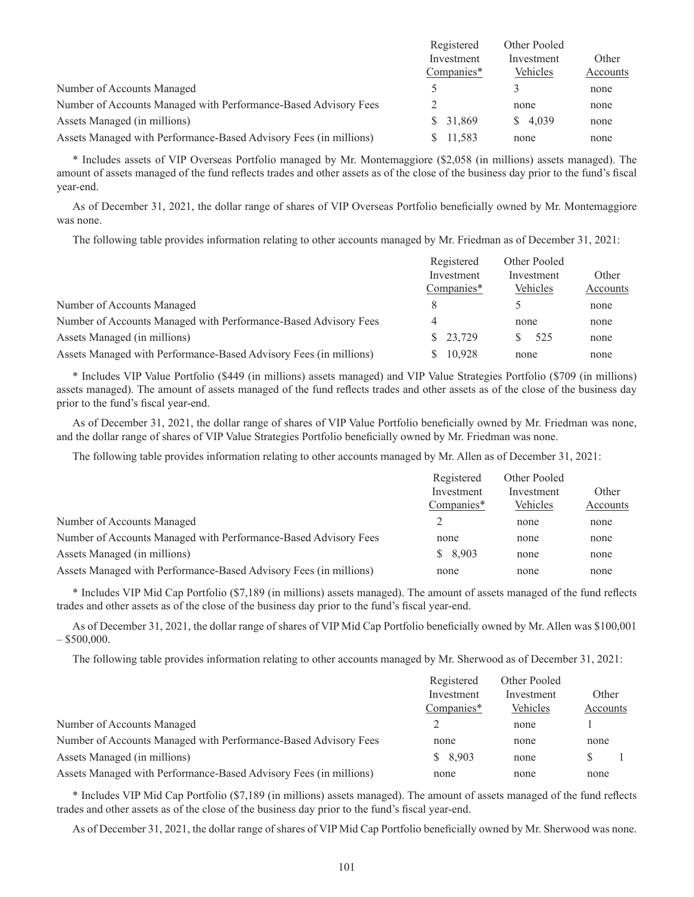|                                                                   | Registered<br>Investment | Other Pooled<br>Investment | Other    |
|-------------------------------------------------------------------|--------------------------|----------------------------|----------|
|                                                                   |                          |                            |          |
|                                                                   | Companies*               | Vehicles                   | Accounts |
| Number of Accounts Managed                                        |                          |                            | none     |
| Number of Accounts Managed with Performance-Based Advisory Fees   |                          | none                       | none     |
| Assets Managed (in millions)                                      | \$31,869                 | \$4.039                    | none     |
| Assets Managed with Performance-Based Advisory Fees (in millions) | 11,583                   | none                       | none     |

\* Includes assets of VIP Overseas Portfolio managed by Mr. Montemaggiore (\$2,058 (in millions) assets managed). The amount of assets managed of the fund reflects trades and other assets as of the close of the business day prior to the fund's fiscal year-end.

As of December 31, 2021, the dollar range of shares of VIP Overseas Portfolio beneficially owned by Mr. Montemaggiore was none.

The following table provides information relating to other accounts managed by Mr. Friedman as of December 31, 2021:

| Registered | Other Pooled |          |
|------------|--------------|----------|
| Investment | Investment   | Other    |
| Companies* | Vehicles     | Accounts |
| 8          |              | none     |
| 4          | none         | none     |
| \$23,729   | 525          | none     |
| 10,928     | none         | none     |
|            |              |          |

\* Includes VIP Value Portfolio (\$449 (in millions) assets managed) and VIP Value Strategies Portfolio (\$709 (in millions) assets managed). The amount of assets managed of the fund reflects trades and other assets as of the close of the business day prior to the fund's fiscal year-end.

As of December 31, 2021, the dollar range of shares of VIP Value Portfolio beneficially owned by Mr. Friedman was none, and the dollar range of shares of VIP Value Strategies Portfolio beneficially owned by Mr. Friedman was none.

The following table provides information relating to other accounts managed by Mr. Allen as of December 31, 2021:

|                                                                   | Registered | Other Pooled |          |
|-------------------------------------------------------------------|------------|--------------|----------|
|                                                                   | Investment | Investment   | Other    |
|                                                                   | Companies* | Vehicles     | Accounts |
| Number of Accounts Managed                                        |            | none         | none     |
| Number of Accounts Managed with Performance-Based Advisory Fees   | none       | none         | none     |
| Assets Managed (in millions)                                      | \$8,903    | none         | none     |
| Assets Managed with Performance-Based Advisory Fees (in millions) | none       | none         | none     |

\* Includes VIP Mid Cap Portfolio (\$7,189 (in millions) assets managed). The amount of assets managed of the fund reflects trades and other assets as of the close of the business day prior to the fund's fiscal year-end.

As of December 31, 2021, the dollar range of shares of VIP Mid Cap Portfolio beneficially owned by Mr. Allen was \$100,001  $-$  \$500,000.

The following table provides information relating to other accounts managed by Mr. Sherwood as of December 31, 2021:

|                                                                   | Registered | Other Pooled |          |
|-------------------------------------------------------------------|------------|--------------|----------|
|                                                                   | Investment | Investment   | Other    |
|                                                                   | Companies* | Vehicles     | Accounts |
| Number of Accounts Managed                                        |            | none         |          |
| Number of Accounts Managed with Performance-Based Advisory Fees   | none       | none         | none     |
| Assets Managed (in millions)                                      | \$8,903    | none         | S        |
| Assets Managed with Performance-Based Advisory Fees (in millions) | none       | none         | none     |

\* Includes VIP Mid Cap Portfolio (\$7,189 (in millions) assets managed). The amount of assets managed of the fund reflects trades and other assets as of the close of the business day prior to the fund's fiscal year-end.

As of December 31, 2021, the dollar range of shares of VIP Mid Cap Portfolio beneficially owned by Mr. Sherwood was none.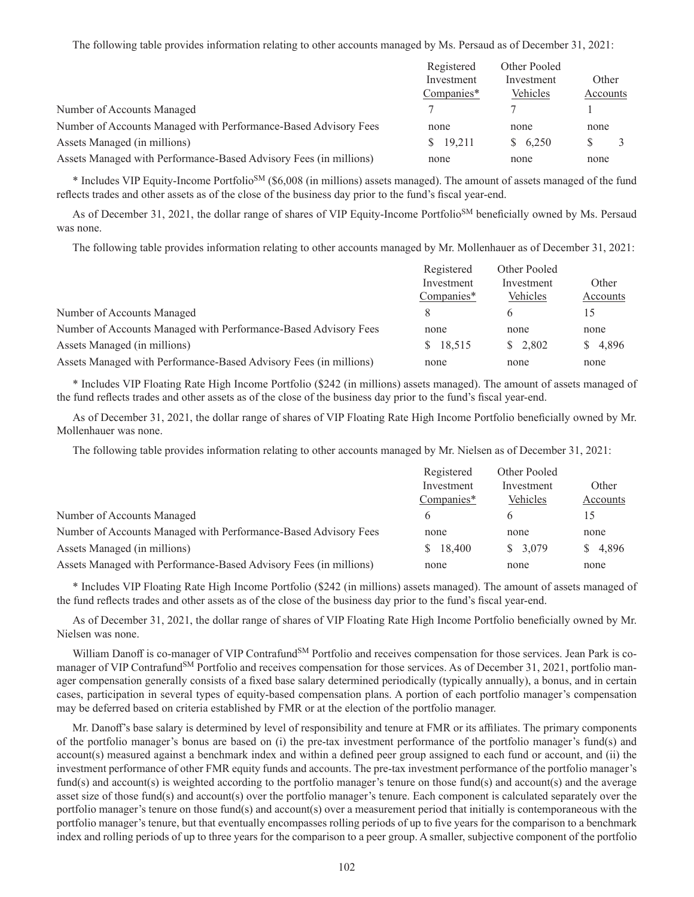The following table provides information relating to other accounts managed by Ms. Persaud as of December 31, 2021:

|                                                                   | Registered<br>Investment<br>Companies* | Other Pooled<br>Investment<br>Vehicles | Other    |
|-------------------------------------------------------------------|----------------------------------------|----------------------------------------|----------|
|                                                                   |                                        |                                        |          |
|                                                                   |                                        |                                        | Accounts |
| Number of Accounts Managed                                        |                                        |                                        |          |
| Number of Accounts Managed with Performance-Based Advisory Fees   | none                                   | none                                   | none     |
| Assets Managed (in millions)                                      | 19.211                                 | \$6,250                                |          |
| Assets Managed with Performance-Based Advisory Fees (in millions) | none                                   | none                                   | none     |

\* Includes VIP Equity-Income PortfolioSM (\$6,008 (in millions) assets managed). The amount of assets managed of the fund reflects trades and other assets as of the close of the business day prior to the fund's fiscal year-end.

As of December 31, 2021, the dollar range of shares of VIP Equity-Income Portfolio<sup>SM</sup> beneficially owned by Ms. Persaud was none.

The following table provides information relating to other accounts managed by Mr. Mollenhauer as of December 31, 2021:

|                                                                   | Registered<br>Investment | Other Pooled<br>Investment | Other    |
|-------------------------------------------------------------------|--------------------------|----------------------------|----------|
|                                                                   |                          |                            |          |
|                                                                   | Companies*               | Vehicles                   | Accounts |
| Number of Accounts Managed                                        |                          |                            | 15       |
| Number of Accounts Managed with Performance-Based Advisory Fees   | none                     | none                       | none     |
| Assets Managed (in millions)                                      | 18,515<br>S.             | \$2.802                    | \$4,896  |
| Assets Managed with Performance-Based Advisory Fees (in millions) | none                     | none                       | none     |

\* Includes VIP Floating Rate High Income Portfolio (\$242 (in millions) assets managed). The amount of assets managed of the fund reflects trades and other assets as of the close of the business day prior to the fund's fiscal year-end.

As of December 31, 2021, the dollar range of shares of VIP Floating Rate High Income Portfolio beneficially owned by Mr. Mollenhauer was none.

The following table provides information relating to other accounts managed by Mr. Nielsen as of December 31, 2021:

|                                                                   | Registered<br>Investment | Other Pooled<br>Investment | Other    |
|-------------------------------------------------------------------|--------------------------|----------------------------|----------|
|                                                                   |                          |                            |          |
|                                                                   | Companies*               | Vehicles                   | Accounts |
| Number of Accounts Managed                                        | 6                        |                            | 15       |
| Number of Accounts Managed with Performance-Based Advisory Fees   | none                     | none                       | none     |
| Assets Managed (in millions)                                      | 18,400<br>S.             | \$3.079                    | \$4,896  |
| Assets Managed with Performance-Based Advisory Fees (in millions) | none                     | none                       | none     |

\* Includes VIP Floating Rate High Income Portfolio (\$242 (in millions) assets managed). The amount of assets managed of the fund reflects trades and other assets as of the close of the business day prior to the fund's fiscal year-end.

As of December 31, 2021, the dollar range of shares of VIP Floating Rate High Income Portfolio beneficially owned by Mr. Nielsen was none.

William Danoff is co-manager of VIP Contrafund<sup>SM</sup> Portfolio and receives compensation for those services. Jean Park is comanager of VIP Contrafund<sup>SM</sup> Portfolio and receives compensation for those services. As of December 31, 2021, portfolio manager compensation generally consists of a fixed base salary determined periodically (typically annually), a bonus, and in certain cases, participation in several types of equity-based compensation plans. A portion of each portfolio manager's compensation may be deferred based on criteria established by FMR or at the election of the portfolio manager.

Mr. Danoff's base salary is determined by level of responsibility and tenure at FMR or its affiliates. The primary components of the portfolio manager's bonus are based on (i) the pre-tax investment performance of the portfolio manager's fund(s) and account(s) measured against a benchmark index and within a defined peer group assigned to each fund or account, and (ii) the investment performance of other FMR equity funds and accounts. The pre-tax investment performance of the portfolio manager's fund(s) and account(s) is weighted according to the portfolio manager's tenure on those fund(s) and account(s) and the average asset size of those fund(s) and account(s) over the portfolio manager's tenure. Each component is calculated separately over the portfolio manager's tenure on those fund(s) and account(s) over a measurement period that initially is contemporaneous with the portfolio manager's tenure, but that eventually encompasses rolling periods of up to five years for the comparison to a benchmark index and rolling periods of up to three years for the comparison to a peer group. A smaller, subjective component of the portfolio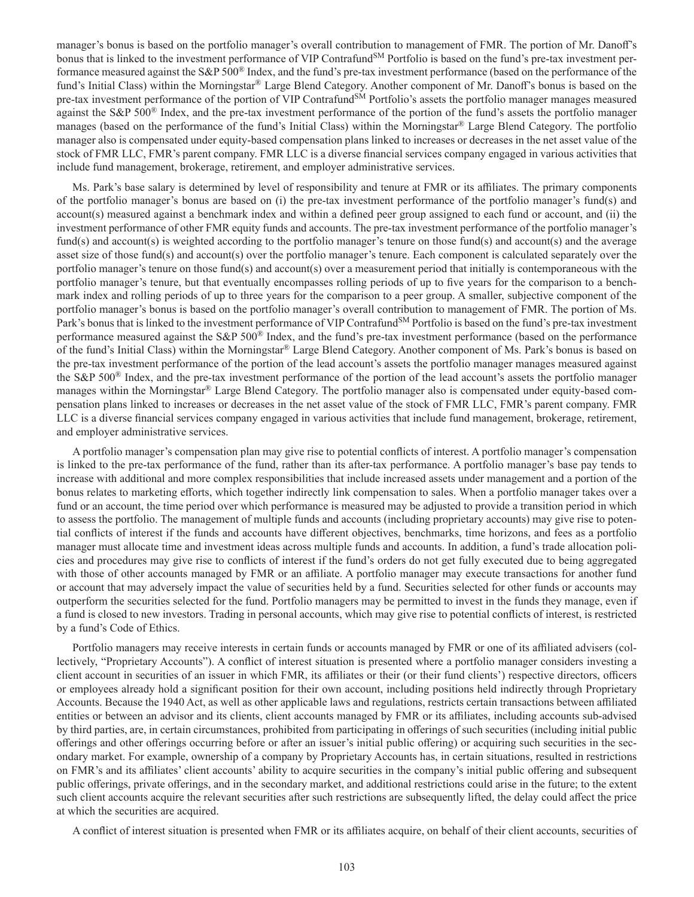manager's bonus is based on the portfolio manager's overall contribution to management of FMR. The portion of Mr. Danoff's bonus that is linked to the investment performance of VIP Contrafund<sup>SM</sup> Portfolio is based on the fund's pre-tax investment performance measured against the S&P 500® Index, and the fund's pre-tax investment performance (based on the performance of the fund's Initial Class) within the Morningstar® Large Blend Category. Another component of Mr. Danoff's bonus is based on the pre-tax investment performance of the portion of VIP Contrafund<sup>SM</sup> Portfolio's assets the portfolio manager manages measured against the S&P 500® Index, and the pre-tax investment performance of the portion of the fund's assets the portfolio manager manages (based on the performance of the fund's Initial Class) within the Morningstar® Large Blend Category. The portfolio manager also is compensated under equity-based compensation plans linked to increases or decreases in the net asset value of the stock of FMR LLC, FMR's parent company. FMR LLC is a diverse financial services company engaged in various activities that include fund management, brokerage, retirement, and employer administrative services.

Ms. Park's base salary is determined by level of responsibility and tenure at FMR or its affiliates. The primary components of the portfolio manager's bonus are based on (i) the pre-tax investment performance of the portfolio manager's fund(s) and account(s) measured against a benchmark index and within a defined peer group assigned to each fund or account, and (ii) the investment performance of other FMR equity funds and accounts. The pre-tax investment performance of the portfolio manager's fund(s) and account(s) is weighted according to the portfolio manager's tenure on those fund(s) and account(s) and the average asset size of those fund(s) and account(s) over the portfolio manager's tenure. Each component is calculated separately over the portfolio manager's tenure on those fund(s) and account(s) over a measurement period that initially is contemporaneous with the portfolio manager's tenure, but that eventually encompasses rolling periods of up to five years for the comparison to a benchmark index and rolling periods of up to three years for the comparison to a peer group. A smaller, subjective component of the portfolio manager's bonus is based on the portfolio manager's overall contribution to management of FMR. The portion of Ms. Park's bonus that is linked to the investment performance of VIP Contrafund<sup>SM</sup> Portfolio is based on the fund's pre-tax investment performance measured against the S&P 500® Index, and the fund's pre-tax investment performance (based on the performance of the fund's Initial Class) within the Morningstar® Large Blend Category. Another component of Ms. Park's bonus is based on the pre-tax investment performance of the portion of the lead account's assets the portfolio manager manages measured against the S&P 500® Index, and the pre-tax investment performance of the portion of the lead account's assets the portfolio manager manages within the Morningstar® Large Blend Category. The portfolio manager also is compensated under equity-based compensation plans linked to increases or decreases in the net asset value of the stock of FMR LLC, FMR's parent company. FMR LLC is a diverse financial services company engaged in various activities that include fund management, brokerage, retirement, and employer administrative services.

A portfolio manager's compensation plan may give rise to potential conflicts of interest. A portfolio manager's compensation is linked to the pre-tax performance of the fund, rather than its after-tax performance. A portfolio manager's base pay tends to increase with additional and more complex responsibilities that include increased assets under management and a portion of the bonus relates to marketing efforts, which together indirectly link compensation to sales. When a portfolio manager takes over a fund or an account, the time period over which performance is measured may be adjusted to provide a transition period in which to assess the portfolio. The management of multiple funds and accounts (including proprietary accounts) may give rise to potential conflicts of interest if the funds and accounts have different objectives, benchmarks, time horizons, and fees as a portfolio manager must allocate time and investment ideas across multiple funds and accounts. In addition, a fund's trade allocation policies and procedures may give rise to conflicts of interest if the fund's orders do not get fully executed due to being aggregated with those of other accounts managed by FMR or an affiliate. A portfolio manager may execute transactions for another fund or account that may adversely impact the value of securities held by a fund. Securities selected for other funds or accounts may outperform the securities selected for the fund. Portfolio managers may be permitted to invest in the funds they manage, even if a fund is closed to new investors. Trading in personal accounts, which may give rise to potential conflicts of interest, is restricted by a fund's Code of Ethics.

Portfolio managers may receive interests in certain funds or accounts managed by FMR or one of its affiliated advisers (collectively, "Proprietary Accounts"). A conflict of interest situation is presented where a portfolio manager considers investing a client account in securities of an issuer in which FMR, its affiliates or their (or their fund clients') respective directors, officers or employees already hold a significant position for their own account, including positions held indirectly through Proprietary Accounts. Because the 1940 Act, as well as other applicable laws and regulations, restricts certain transactions between affiliated entities or between an advisor and its clients, client accounts managed by FMR or its affiliates, including accounts sub-advised by third parties, are, in certain circumstances, prohibited from participating in offerings of such securities (including initial public offerings and other offerings occurring before or after an issuer's initial public offering) or acquiring such securities in the secondary market. For example, ownership of a company by Proprietary Accounts has, in certain situations, resulted in restrictions on FMR's and its affiliates' client accounts' ability to acquire securities in the company's initial public offering and subsequent public offerings, private offerings, and in the secondary market, and additional restrictions could arise in the future; to the extent such client accounts acquire the relevant securities after such restrictions are subsequently lifted, the delay could affect the price at which the securities are acquired.

A conflict of interest situation is presented when FMR or its affiliates acquire, on behalf of their client accounts, securities of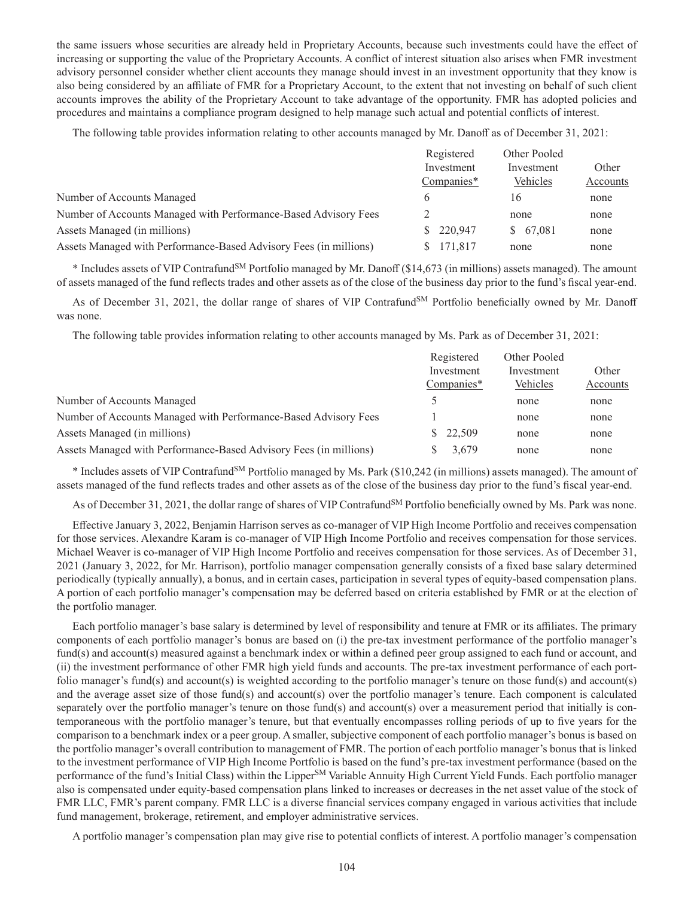the same issuers whose securities are already held in Proprietary Accounts, because such investments could have the effect of increasing or supporting the value of the Proprietary Accounts. A conflict of interest situation also arises when FMR investment advisory personnel consider whether client accounts they manage should invest in an investment opportunity that they know is also being considered by an affiliate of FMR for a Proprietary Account, to the extent that not investing on behalf of such client accounts improves the ability of the Proprietary Account to take advantage of the opportunity. FMR has adopted policies and procedures and maintains a compliance program designed to help manage such actual and potential conflicts of interest.

The following table provides information relating to other accounts managed by Mr. Danoff as of December 31, 2021:

|                                                                   | Registered<br>Investment<br>Companies* | Other Pooled           |          |
|-------------------------------------------------------------------|----------------------------------------|------------------------|----------|
|                                                                   |                                        | Investment<br>Vehicles | Other    |
|                                                                   |                                        |                        | Accounts |
| Number of Accounts Managed                                        | <sub>(</sub>                           | 16                     | none     |
| Number of Accounts Managed with Performance-Based Advisory Fees   |                                        | none                   | none     |
| Assets Managed (in millions)                                      | \$220,947                              | \$67,081               | none     |
| Assets Managed with Performance-Based Advisory Fees (in millions) | 171.817<br>S.                          | none                   | none     |

\* Includes assets of VIP ContrafundSM Portfolio managed by Mr. Danoff (\$14,673 (in millions) assets managed). The amount of assets managed of the fund reflects trades and other assets as of the close of the business day prior to the fund's fiscal year-end.

As of December 31, 2021, the dollar range of shares of VIP Contrafund<sup>SM</sup> Portfolio beneficially owned by Mr. Danoff was none.

The following table provides information relating to other accounts managed by Ms. Park as of December 31, 2021:

| Registered   | Other Pooled |          |
|--------------|--------------|----------|
| Investment   | Investment   | Other    |
| Companies*   | Vehicles     | Accounts |
|              | none         | none     |
|              | none         | none     |
| 22,509<br>S. | none         | none     |
| 3,679        | none         | none     |
|              |              |          |

\* Includes assets of VIP ContrafundSM Portfolio managed by Ms. Park (\$10,242 (in millions) assets managed). The amount of assets managed of the fund reflects trades and other assets as of the close of the business day prior to the fund's fiscal year-end.

As of December 31, 2021, the dollar range of shares of VIP Contrafund<sup>SM</sup> Portfolio beneficially owned by Ms. Park was none.

Effective January 3, 2022, Benjamin Harrison serves as co-manager of VIP High Income Portfolio and receives compensation for those services. Alexandre Karam is co-manager of VIP High Income Portfolio and receives compensation for those services. Michael Weaver is co-manager of VIP High Income Portfolio and receives compensation for those services. As of December 31, 2021 (January 3, 2022, for Mr. Harrison), portfolio manager compensation generally consists of a fixed base salary determined periodically (typically annually), a bonus, and in certain cases, participation in several types of equity-based compensation plans. A portion of each portfolio manager's compensation may be deferred based on criteria established by FMR or at the election of the portfolio manager.

Each portfolio manager's base salary is determined by level of responsibility and tenure at FMR or its affiliates. The primary components of each portfolio manager's bonus are based on (i) the pre-tax investment performance of the portfolio manager's fund(s) and account(s) measured against a benchmark index or within a defined peer group assigned to each fund or account, and (ii) the investment performance of other FMR high yield funds and accounts. The pre-tax investment performance of each portfolio manager's fund(s) and account(s) is weighted according to the portfolio manager's tenure on those fund(s) and account(s) and the average asset size of those fund(s) and account(s) over the portfolio manager's tenure. Each component is calculated separately over the portfolio manager's tenure on those fund(s) and account(s) over a measurement period that initially is contemporaneous with the portfolio manager's tenure, but that eventually encompasses rolling periods of up to five years for the comparison to a benchmark index or a peer group. A smaller, subjective component of each portfolio manager's bonus is based on the portfolio manager's overall contribution to management of FMR. The portion of each portfolio manager's bonus that is linked to the investment performance of VIP High Income Portfolio is based on the fund's pre-tax investment performance (based on the performance of the fund's Initial Class) within the Lipper<sup>SM</sup> Variable Annuity High Current Yield Funds. Each portfolio manager also is compensated under equity-based compensation plans linked to increases or decreases in the net asset value of the stock of FMR LLC, FMR's parent company. FMR LLC is a diverse financial services company engaged in various activities that include fund management, brokerage, retirement, and employer administrative services.

A portfolio manager's compensation plan may give rise to potential conflicts of interest. A portfolio manager's compensation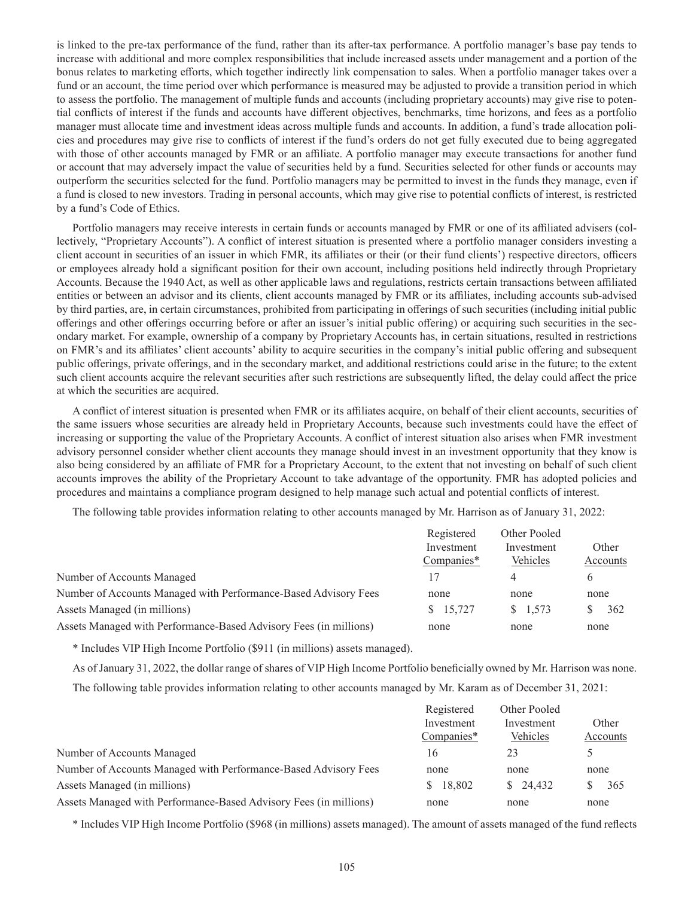is linked to the pre-tax performance of the fund, rather than its after-tax performance. A portfolio manager's base pay tends to increase with additional and more complex responsibilities that include increased assets under management and a portion of the bonus relates to marketing efforts, which together indirectly link compensation to sales. When a portfolio manager takes over a fund or an account, the time period over which performance is measured may be adjusted to provide a transition period in which to assess the portfolio. The management of multiple funds and accounts (including proprietary accounts) may give rise to potential conflicts of interest if the funds and accounts have different objectives, benchmarks, time horizons, and fees as a portfolio manager must allocate time and investment ideas across multiple funds and accounts. In addition, a fund's trade allocation policies and procedures may give rise to conflicts of interest if the fund's orders do not get fully executed due to being aggregated with those of other accounts managed by FMR or an affiliate. A portfolio manager may execute transactions for another fund or account that may adversely impact the value of securities held by a fund. Securities selected for other funds or accounts may outperform the securities selected for the fund. Portfolio managers may be permitted to invest in the funds they manage, even if a fund is closed to new investors. Trading in personal accounts, which may give rise to potential conflicts of interest, is restricted by a fund's Code of Ethics.

Portfolio managers may receive interests in certain funds or accounts managed by FMR or one of its affiliated advisers (collectively, "Proprietary Accounts"). A conflict of interest situation is presented where a portfolio manager considers investing a client account in securities of an issuer in which FMR, its affiliates or their (or their fund clients') respective directors, officers or employees already hold a significant position for their own account, including positions held indirectly through Proprietary Accounts. Because the 1940 Act, as well as other applicable laws and regulations, restricts certain transactions between affiliated entities or between an advisor and its clients, client accounts managed by FMR or its affiliates, including accounts sub-advised by third parties, are, in certain circumstances, prohibited from participating in offerings of such securities (including initial public offerings and other offerings occurring before or after an issuer's initial public offering) or acquiring such securities in the secondary market. For example, ownership of a company by Proprietary Accounts has, in certain situations, resulted in restrictions on FMR's and its affiliates' client accounts' ability to acquire securities in the company's initial public offering and subsequent public offerings, private offerings, and in the secondary market, and additional restrictions could arise in the future; to the extent such client accounts acquire the relevant securities after such restrictions are subsequently lifted, the delay could affect the price at which the securities are acquired.

A conflict of interest situation is presented when FMR or its affiliates acquire, on behalf of their client accounts, securities of the same issuers whose securities are already held in Proprietary Accounts, because such investments could have the effect of increasing or supporting the value of the Proprietary Accounts. A conflict of interest situation also arises when FMR investment advisory personnel consider whether client accounts they manage should invest in an investment opportunity that they know is also being considered by an affiliate of FMR for a Proprietary Account, to the extent that not investing on behalf of such client accounts improves the ability of the Proprietary Account to take advantage of the opportunity. FMR has adopted policies and procedures and maintains a compliance program designed to help manage such actual and potential conflicts of interest.

The following table provides information relating to other accounts managed by Mr. Harrison as of January 31, 2022:

|                                                                   | Registered | Other Pooled      |          |
|-------------------------------------------------------------------|------------|-------------------|----------|
|                                                                   | Investment | Investment        | Other    |
|                                                                   | Companies* | Vehicles          | Accounts |
| Number of Accounts Managed                                        | 17         |                   | 6        |
| Number of Accounts Managed with Performance-Based Advisory Fees   | none       | none              | none     |
| Assets Managed (in millions)                                      | \$15,727   | $\frac{1.573}{2}$ | 362      |
| Assets Managed with Performance-Based Advisory Fees (in millions) | none       | none              | none     |

\* Includes VIP High Income Portfolio (\$911 (in millions) assets managed).

As of January 31, 2022, the dollar range of shares of VIP High Income Portfolio beneficially owned by Mr. Harrison was none.

The following table provides information relating to other accounts managed by Mr. Karam as of December 31, 2021:

|                                                                   | Registered   | Other Pooled |          |
|-------------------------------------------------------------------|--------------|--------------|----------|
|                                                                   | Investment   | Investment   | Other    |
|                                                                   | Companies*   | Vehicles     | Accounts |
| Number of Accounts Managed                                        | 16           | 23           |          |
| Number of Accounts Managed with Performance-Based Advisory Fees   | none         | none         | none     |
| Assets Managed (in millions)                                      | 18.802<br>S. | \$24.432     | 365      |
| Assets Managed with Performance-Based Advisory Fees (in millions) | none         | none         | none     |

\* Includes VIP High Income Portfolio (\$968 (in millions) assets managed). The amount of assets managed of the fund reflects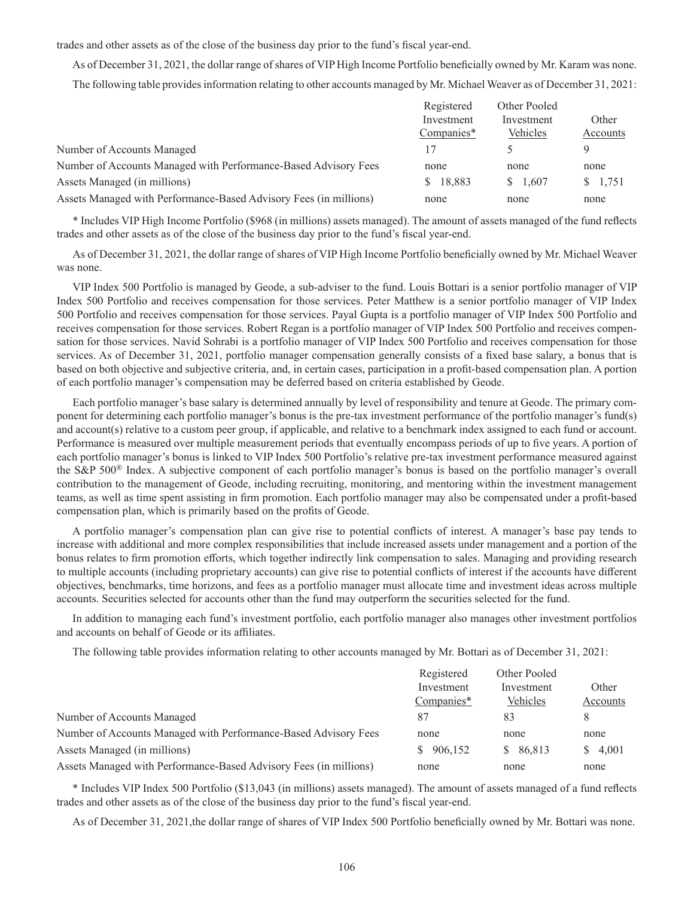trades and other assets as of the close of the business day prior to the fund's fiscal year-end.

As of December 31, 2021, the dollar range of shares of VIP High Income Portfolio beneficially owned by Mr. Karam was none. The following table provides information relating to other accounts managed by Mr. Michael Weaver as of December 31, 2021:

|                                                                   | Registered   | Other Pooled |          |
|-------------------------------------------------------------------|--------------|--------------|----------|
|                                                                   | Investment   | Investment   | Other    |
|                                                                   | Companies*   | Vehicles     | Accounts |
| Number of Accounts Managed                                        |              |              |          |
| Number of Accounts Managed with Performance-Based Advisory Fees   | none         | none         | none     |
| Assets Managed (in millions)                                      | 18,883<br>S. | \$ 1,607     | \$ 1,751 |
| Assets Managed with Performance-Based Advisory Fees (in millions) | none         | none         | none     |

\* Includes VIP High Income Portfolio (\$968 (in millions) assets managed). The amount of assets managed of the fund reflects trades and other assets as of the close of the business day prior to the fund's fiscal year-end.

As of December 31, 2021, the dollar range of shares of VIP High Income Portfolio beneficially owned by Mr. Michael Weaver was none.

VIP Index 500 Portfolio is managed by Geode, a sub-adviser to the fund. Louis Bottari is a senior portfolio manager of VIP Index 500 Portfolio and receives compensation for those services. Peter Matthew is a senior portfolio manager of VIP Index 500 Portfolio and receives compensation for those services. Payal Gupta is a portfolio manager of VIP Index 500 Portfolio and receives compensation for those services. Robert Regan is a portfolio manager of VIP Index 500 Portfolio and receives compensation for those services. Navid Sohrabi is a portfolio manager of VIP Index 500 Portfolio and receives compensation for those services. As of December 31, 2021, portfolio manager compensation generally consists of a fixed base salary, a bonus that is based on both objective and subjective criteria, and, in certain cases, participation in a profit-based compensation plan. A portion of each portfolio manager's compensation may be deferred based on criteria established by Geode.

Each portfolio manager's base salary is determined annually by level of responsibility and tenure at Geode. The primary component for determining each portfolio manager's bonus is the pre-tax investment performance of the portfolio manager's fund(s) and account(s) relative to a custom peer group, if applicable, and relative to a benchmark index assigned to each fund or account. Performance is measured over multiple measurement periods that eventually encompass periods of up to five years. A portion of each portfolio manager's bonus is linked to VIP Index 500 Portfolio's relative pre-tax investment performance measured against the S&P 500® Index. A subjective component of each portfolio manager's bonus is based on the portfolio manager's overall contribution to the management of Geode, including recruiting, monitoring, and mentoring within the investment management teams, as well as time spent assisting in firm promotion. Each portfolio manager may also be compensated under a profit-based compensation plan, which is primarily based on the profits of Geode.

A portfolio manager's compensation plan can give rise to potential conflicts of interest. A manager's base pay tends to increase with additional and more complex responsibilities that include increased assets under management and a portion of the bonus relates to firm promotion efforts, which together indirectly link compensation to sales. Managing and providing research to multiple accounts (including proprietary accounts) can give rise to potential conflicts of interest if the accounts have different objectives, benchmarks, time horizons, and fees as a portfolio manager must allocate time and investment ideas across multiple accounts. Securities selected for accounts other than the fund may outperform the securities selected for the fund.

In addition to managing each fund's investment portfolio, each portfolio manager also manages other investment portfolios and accounts on behalf of Geode or its affiliates.

The following table provides information relating to other accounts managed by Mr. Bottari as of December 31, 2021:

|                                                                   | Registered   | Other Pooled |          |
|-------------------------------------------------------------------|--------------|--------------|----------|
|                                                                   | Investment   | Investment   | Other    |
|                                                                   | $Companies*$ | Vehicles     | Accounts |
| Number of Accounts Managed                                        | 87           | 83           | 8        |
| Number of Accounts Managed with Performance-Based Advisory Fees   | none         | none         | none     |
| Assets Managed (in millions)                                      | \$906,152    | \$86,813     | \$4,001  |
| Assets Managed with Performance-Based Advisory Fees (in millions) | none         | none         | none     |

\* Includes VIP Index 500 Portfolio (\$13,043 (in millions) assets managed). The amount of assets managed of a fund reflects trades and other assets as of the close of the business day prior to the fund's fiscal year-end.

As of December 31, 2021,the dollar range of shares of VIP Index 500 Portfolio beneficially owned by Mr. Bottari was none.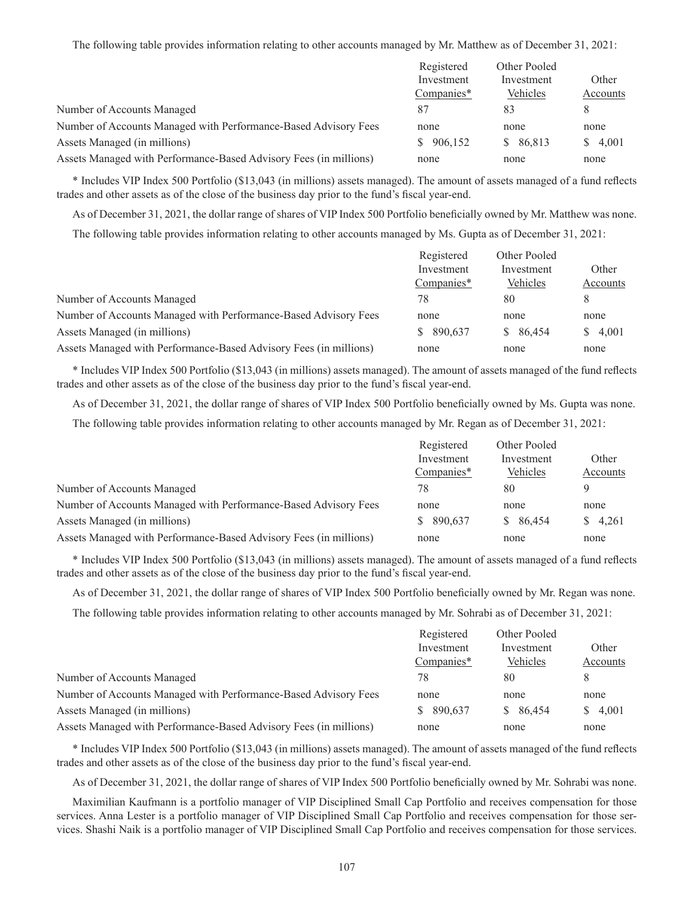The following table provides information relating to other accounts managed by Mr. Matthew as of December 31, 2021:

|                                                                   | Registered    | Other Pooled |          |
|-------------------------------------------------------------------|---------------|--------------|----------|
|                                                                   | Investment    | Investment   | Other    |
|                                                                   | Companies*    | Vehicles     | Accounts |
| Number of Accounts Managed                                        | 87            | 83           | 8        |
| Number of Accounts Managed with Performance-Based Advisory Fees   | none          | none         | none     |
| Assets Managed (in millions)                                      | 906,152<br>S. | \$86,813     | \$4,001  |
| Assets Managed with Performance-Based Advisory Fees (in millions) | none          | none         | none     |

\* Includes VIP Index 500 Portfolio (\$13,043 (in millions) assets managed). The amount of assets managed of a fund reflects trades and other assets as of the close of the business day prior to the fund's fiscal year-end.

As of December 31, 2021, the dollar range of shares of VIP Index 500 Portfolio beneficially owned by Mr. Matthew was none.

The following table provides information relating to other accounts managed by Ms. Gupta as of December 31, 2021:

|                                                                   | Registered    | Other Pooled |             |
|-------------------------------------------------------------------|---------------|--------------|-------------|
|                                                                   | Investment    | Investment   | Other       |
|                                                                   | Companies*    | Vehicles     | Accounts    |
| Number of Accounts Managed                                        | 78            | 80           |             |
| Number of Accounts Managed with Performance-Based Advisory Fees   | none          | none         | none        |
| Assets Managed (in millions)                                      | 890,637<br>S. | \$86,454     | 4,001<br>S. |
| Assets Managed with Performance-Based Advisory Fees (in millions) | none          | none         | none        |

\* Includes VIP Index 500 Portfolio (\$13,043 (in millions) assets managed). The amount of assets managed of the fund reflects trades and other assets as of the close of the business day prior to the fund's fiscal year-end.

As of December 31, 2021, the dollar range of shares of VIP Index 500 Portfolio beneficially owned by Ms. Gupta was none.

The following table provides information relating to other accounts managed by Mr. Regan as of December 31, 2021:

|                                                                   | Registered<br>Investment | Other Pooled | Other    |
|-------------------------------------------------------------------|--------------------------|--------------|----------|
|                                                                   |                          | Investment   |          |
|                                                                   | Companies*               | Vehicles     | Accounts |
| Number of Accounts Managed                                        | 78                       | 80           |          |
| Number of Accounts Managed with Performance-Based Advisory Fees   | none                     | none         | none     |
| Assets Managed (in millions)                                      | \$ 890,637               | \$ 86,454    | \$ 4,261 |
| Assets Managed with Performance-Based Advisory Fees (in millions) | none                     | none         | none     |

\* Includes VIP Index 500 Portfolio (\$13,043 (in millions) assets managed). The amount of assets managed of a fund reflects trades and other assets as of the close of the business day prior to the fund's fiscal year-end.

As of December 31, 2021, the dollar range of shares of VIP Index 500 Portfolio beneficially owned by Mr. Regan was none.

The following table provides information relating to other accounts managed by Mr. Sohrabi as of December 31, 2021:

|                                                                   | Registered | Other Pooled |             |
|-------------------------------------------------------------------|------------|--------------|-------------|
|                                                                   | Investment | Investment   | Other       |
|                                                                   | Companies* | Vehicles     | Accounts    |
| Number of Accounts Managed                                        | 78         | 80           | 8           |
| Number of Accounts Managed with Performance-Based Advisory Fees   | none       | none         | none        |
| Assets Managed (in millions)                                      | \$ 890,637 | \$86,454     | 4,001<br>S. |
| Assets Managed with Performance-Based Advisory Fees (in millions) | none       | none         | none        |

\* Includes VIP Index 500 Portfolio (\$13,043 (in millions) assets managed). The amount of assets managed of the fund reflects trades and other assets as of the close of the business day prior to the fund's fiscal year-end.

As of December 31, 2021, the dollar range of shares of VIP Index 500 Portfolio beneficially owned by Mr. Sohrabi was none.

Maximilian Kaufmann is a portfolio manager of VIP Disciplined Small Cap Portfolio and receives compensation for those services. Anna Lester is a portfolio manager of VIP Disciplined Small Cap Portfolio and receives compensation for those services. Shashi Naik is a portfolio manager of VIP Disciplined Small Cap Portfolio and receives compensation for those services.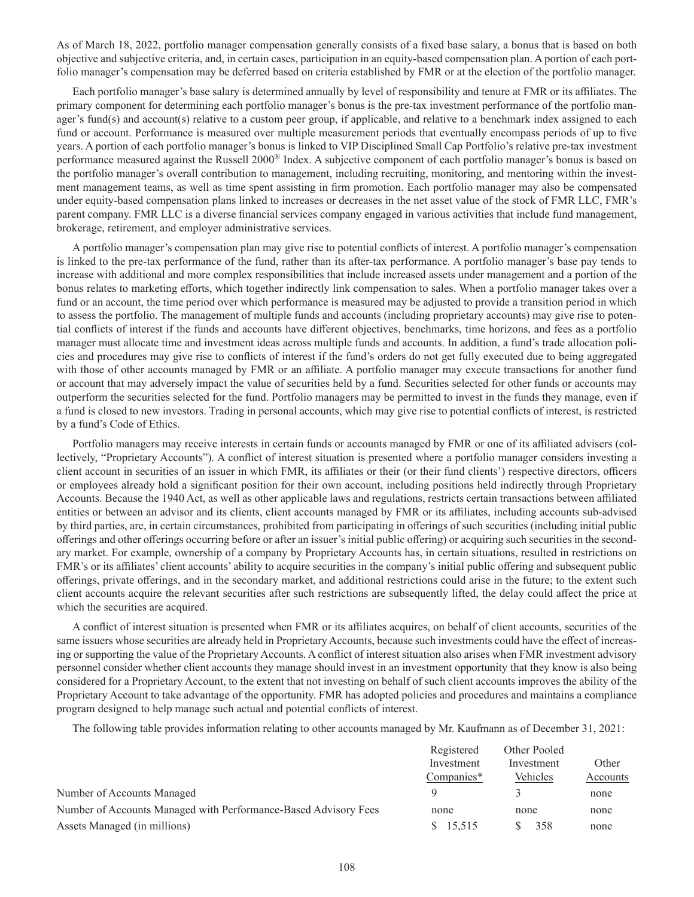As of March 18, 2022, portfolio manager compensation generally consists of a fixed base salary, a bonus that is based on both objective and subjective criteria, and, in certain cases, participation in an equity-based compensation plan. A portion of each portfolio manager's compensation may be deferred based on criteria established by FMR or at the election of the portfolio manager.

Each portfolio manager's base salary is determined annually by level of responsibility and tenure at FMR or its affiliates. The primary component for determining each portfolio manager's bonus is the pre-tax investment performance of the portfolio manager's fund(s) and account(s) relative to a custom peer group, if applicable, and relative to a benchmark index assigned to each fund or account. Performance is measured over multiple measurement periods that eventually encompass periods of up to five years. A portion of each portfolio manager's bonus is linked to VIP Disciplined Small Cap Portfolio's relative pre-tax investment performance measured against the Russell 2000® Index. A subjective component of each portfolio manager's bonus is based on the portfolio manager's overall contribution to management, including recruiting, monitoring, and mentoring within the investment management teams, as well as time spent assisting in firm promotion. Each portfolio manager may also be compensated under equity-based compensation plans linked to increases or decreases in the net asset value of the stock of FMR LLC, FMR's parent company. FMR LLC is a diverse financial services company engaged in various activities that include fund management, brokerage, retirement, and employer administrative services.

A portfolio manager's compensation plan may give rise to potential conflicts of interest. A portfolio manager's compensation is linked to the pre-tax performance of the fund, rather than its after-tax performance. A portfolio manager's base pay tends to increase with additional and more complex responsibilities that include increased assets under management and a portion of the bonus relates to marketing efforts, which together indirectly link compensation to sales. When a portfolio manager takes over a fund or an account, the time period over which performance is measured may be adjusted to provide a transition period in which to assess the portfolio. The management of multiple funds and accounts (including proprietary accounts) may give rise to potential conflicts of interest if the funds and accounts have different objectives, benchmarks, time horizons, and fees as a portfolio manager must allocate time and investment ideas across multiple funds and accounts. In addition, a fund's trade allocation policies and procedures may give rise to conflicts of interest if the fund's orders do not get fully executed due to being aggregated with those of other accounts managed by FMR or an affiliate. A portfolio manager may execute transactions for another fund or account that may adversely impact the value of securities held by a fund. Securities selected for other funds or accounts may outperform the securities selected for the fund. Portfolio managers may be permitted to invest in the funds they manage, even if a fund is closed to new investors. Trading in personal accounts, which may give rise to potential conflicts of interest, is restricted by a fund's Code of Ethics.

Portfolio managers may receive interests in certain funds or accounts managed by FMR or one of its affiliated advisers (collectively, "Proprietary Accounts"). A conflict of interest situation is presented where a portfolio manager considers investing a client account in securities of an issuer in which FMR, its affiliates or their (or their fund clients') respective directors, officers or employees already hold a significant position for their own account, including positions held indirectly through Proprietary Accounts. Because the 1940 Act, as well as other applicable laws and regulations, restricts certain transactions between affiliated entities or between an advisor and its clients, client accounts managed by FMR or its affiliates, including accounts sub-advised by third parties, are, in certain circumstances, prohibited from participating in offerings of such securities (including initial public offerings and other offerings occurring before or after an issuer's initial public offering) or acquiring such securities in the secondary market. For example, ownership of a company by Proprietary Accounts has, in certain situations, resulted in restrictions on FMR's or its affiliates' client accounts' ability to acquire securities in the company's initial public offering and subsequent public offerings, private offerings, and in the secondary market, and additional restrictions could arise in the future; to the extent such client accounts acquire the relevant securities after such restrictions are subsequently lifted, the delay could affect the price at which the securities are acquired.

A conflict of interest situation is presented when FMR or its affiliates acquires, on behalf of client accounts, securities of the same issuers whose securities are already held in Proprietary Accounts, because such investments could have the effect of increasing or supporting the value of the Proprietary Accounts. A conflict of interest situation also arises when FMR investment advisory personnel consider whether client accounts they manage should invest in an investment opportunity that they know is also being considered for a Proprietary Account, to the extent that not investing on behalf of such client accounts improves the ability of the Proprietary Account to take advantage of the opportunity. FMR has adopted policies and procedures and maintains a compliance program designed to help manage such actual and potential conflicts of interest.

The following table provides information relating to other accounts managed by Mr. Kaufmann as of December 31, 2021:

|                                                                 | Registered               | Other Pooled           |                   |
|-----------------------------------------------------------------|--------------------------|------------------------|-------------------|
|                                                                 | Investment<br>Companies* | Investment<br>Vehicles | Other<br>Accounts |
|                                                                 |                          |                        |                   |
| Number of Accounts Managed                                      |                          |                        | none              |
| Number of Accounts Managed with Performance-Based Advisory Fees | none                     | none                   | none              |
| Assets Managed (in millions)                                    | \$15,515                 | 358                    | none              |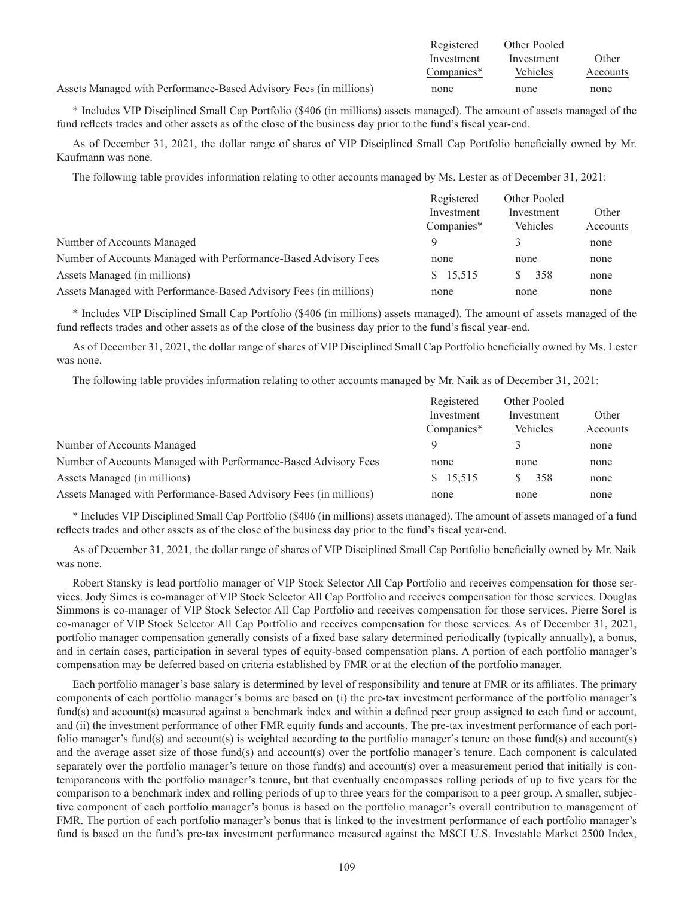|                                                                   | Registered | Other Pooled |          |
|-------------------------------------------------------------------|------------|--------------|----------|
|                                                                   | Investment | Investment   | Other    |
|                                                                   | Companies* | Vehicles     | Accounts |
| Assets Managed with Performance-Based Advisory Fees (in millions) | none       | none         | none     |

\* Includes VIP Disciplined Small Cap Portfolio (\$406 (in millions) assets managed). The amount of assets managed of the fund reflects trades and other assets as of the close of the business day prior to the fund's fiscal year-end.

As of December 31, 2021, the dollar range of shares of VIP Disciplined Small Cap Portfolio beneficially owned by Mr. Kaufmann was none.

The following table provides information relating to other accounts managed by Ms. Lester as of December 31, 2021:

|                                                                   | Registered | Other Pooled |          |
|-------------------------------------------------------------------|------------|--------------|----------|
|                                                                   | Investment | Investment   | Other    |
|                                                                   | Companies* | Vehicles     | Accounts |
| Number of Accounts Managed                                        | $\Omega$   |              | none     |
| Number of Accounts Managed with Performance-Based Advisory Fees   | none       | none         | none     |
| Assets Managed (in millions)                                      | \$15,515   | 358          | none     |
| Assets Managed with Performance-Based Advisory Fees (in millions) | none       | none         | none     |

\* Includes VIP Disciplined Small Cap Portfolio (\$406 (in millions) assets managed). The amount of assets managed of the fund reflects trades and other assets as of the close of the business day prior to the fund's fiscal year-end.

As of December 31, 2021, the dollar range of shares of VIP Disciplined Small Cap Portfolio beneficially owned by Ms. Lester was none.

The following table provides information relating to other accounts managed by Mr. Naik as of December 31, 2021:

|                                                                   | Registered | Other Pooled |          |
|-------------------------------------------------------------------|------------|--------------|----------|
|                                                                   | Investment | Investment   | Other    |
|                                                                   | Companies* | Vehicles     | Accounts |
| Number of Accounts Managed                                        |            |              | none     |
| Number of Accounts Managed with Performance-Based Advisory Fees   | none       | none         | none     |
| Assets Managed (in millions)                                      | \$15,515   | 358          | none     |
| Assets Managed with Performance-Based Advisory Fees (in millions) | none       | none         | none     |

\* Includes VIP Disciplined Small Cap Portfolio (\$406 (in millions) assets managed). The amount of assets managed of a fund reflects trades and other assets as of the close of the business day prior to the fund's fiscal year-end.

As of December 31, 2021, the dollar range of shares of VIP Disciplined Small Cap Portfolio beneficially owned by Mr. Naik was none.

Robert Stansky is lead portfolio manager of VIP Stock Selector All Cap Portfolio and receives compensation for those services. Jody Simes is co-manager of VIP Stock Selector All Cap Portfolio and receives compensation for those services. Douglas Simmons is co-manager of VIP Stock Selector All Cap Portfolio and receives compensation for those services. Pierre Sorel is co-manager of VIP Stock Selector All Cap Portfolio and receives compensation for those services. As of December 31, 2021, portfolio manager compensation generally consists of a fixed base salary determined periodically (typically annually), a bonus, and in certain cases, participation in several types of equity-based compensation plans. A portion of each portfolio manager's compensation may be deferred based on criteria established by FMR or at the election of the portfolio manager.

Each portfolio manager's base salary is determined by level of responsibility and tenure at FMR or its affiliates. The primary components of each portfolio manager's bonus are based on (i) the pre-tax investment performance of the portfolio manager's fund(s) and account(s) measured against a benchmark index and within a defined peer group assigned to each fund or account, and (ii) the investment performance of other FMR equity funds and accounts. The pre-tax investment performance of each portfolio manager's fund(s) and account(s) is weighted according to the portfolio manager's tenure on those fund(s) and account(s) and the average asset size of those fund(s) and account(s) over the portfolio manager's tenure. Each component is calculated separately over the portfolio manager's tenure on those fund(s) and account(s) over a measurement period that initially is contemporaneous with the portfolio manager's tenure, but that eventually encompasses rolling periods of up to five years for the comparison to a benchmark index and rolling periods of up to three years for the comparison to a peer group. A smaller, subjective component of each portfolio manager's bonus is based on the portfolio manager's overall contribution to management of FMR. The portion of each portfolio manager's bonus that is linked to the investment performance of each portfolio manager's fund is based on the fund's pre-tax investment performance measured against the MSCI U.S. Investable Market 2500 Index,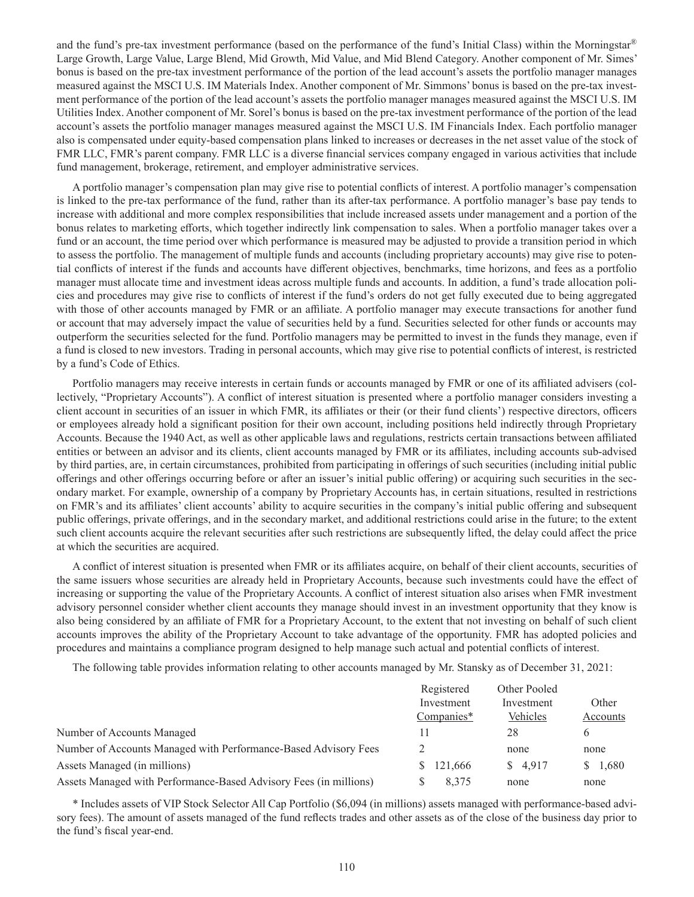and the fund's pre-tax investment performance (based on the performance of the fund's Initial Class) within the Morningstar® Large Growth, Large Value, Large Blend, Mid Growth, Mid Value, and Mid Blend Category. Another component of Mr. Simes' bonus is based on the pre-tax investment performance of the portion of the lead account's assets the portfolio manager manages measured against the MSCI U.S. IM Materials Index. Another component of Mr. Simmons' bonus is based on the pre-tax investment performance of the portion of the lead account's assets the portfolio manager manages measured against the MSCI U.S. IM Utilities Index. Another component of Mr. Sorel's bonus is based on the pre-tax investment performance of the portion of the lead account's assets the portfolio manager manages measured against the MSCI U.S. IM Financials Index. Each portfolio manager also is compensated under equity-based compensation plans linked to increases or decreases in the net asset value of the stock of FMR LLC, FMR's parent company. FMR LLC is a diverse financial services company engaged in various activities that include fund management, brokerage, retirement, and employer administrative services.

A portfolio manager's compensation plan may give rise to potential conflicts of interest. A portfolio manager's compensation is linked to the pre-tax performance of the fund, rather than its after-tax performance. A portfolio manager's base pay tends to increase with additional and more complex responsibilities that include increased assets under management and a portion of the bonus relates to marketing efforts, which together indirectly link compensation to sales. When a portfolio manager takes over a fund or an account, the time period over which performance is measured may be adjusted to provide a transition period in which to assess the portfolio. The management of multiple funds and accounts (including proprietary accounts) may give rise to potential conflicts of interest if the funds and accounts have different objectives, benchmarks, time horizons, and fees as a portfolio manager must allocate time and investment ideas across multiple funds and accounts. In addition, a fund's trade allocation policies and procedures may give rise to conflicts of interest if the fund's orders do not get fully executed due to being aggregated with those of other accounts managed by FMR or an affiliate. A portfolio manager may execute transactions for another fund or account that may adversely impact the value of securities held by a fund. Securities selected for other funds or accounts may outperform the securities selected for the fund. Portfolio managers may be permitted to invest in the funds they manage, even if a fund is closed to new investors. Trading in personal accounts, which may give rise to potential conflicts of interest, is restricted by a fund's Code of Ethics.

Portfolio managers may receive interests in certain funds or accounts managed by FMR or one of its affiliated advisers (collectively, "Proprietary Accounts"). A conflict of interest situation is presented where a portfolio manager considers investing a client account in securities of an issuer in which FMR, its affiliates or their (or their fund clients') respective directors, officers or employees already hold a significant position for their own account, including positions held indirectly through Proprietary Accounts. Because the 1940 Act, as well as other applicable laws and regulations, restricts certain transactions between affiliated entities or between an advisor and its clients, client accounts managed by FMR or its affiliates, including accounts sub-advised by third parties, are, in certain circumstances, prohibited from participating in offerings of such securities (including initial public offerings and other offerings occurring before or after an issuer's initial public offering) or acquiring such securities in the secondary market. For example, ownership of a company by Proprietary Accounts has, in certain situations, resulted in restrictions on FMR's and its affiliates' client accounts' ability to acquire securities in the company's initial public offering and subsequent public offerings, private offerings, and in the secondary market, and additional restrictions could arise in the future; to the extent such client accounts acquire the relevant securities after such restrictions are subsequently lifted, the delay could affect the price at which the securities are acquired.

A conflict of interest situation is presented when FMR or its affiliates acquire, on behalf of their client accounts, securities of the same issuers whose securities are already held in Proprietary Accounts, because such investments could have the effect of increasing or supporting the value of the Proprietary Accounts. A conflict of interest situation also arises when FMR investment advisory personnel consider whether client accounts they manage should invest in an investment opportunity that they know is also being considered by an affiliate of FMR for a Proprietary Account, to the extent that not investing on behalf of such client accounts improves the ability of the Proprietary Account to take advantage of the opportunity. FMR has adopted policies and procedures and maintains a compliance program designed to help manage such actual and potential conflicts of interest.

The following table provides information relating to other accounts managed by Mr. Stansky as of December 31, 2021:

|                                                                   | Registered   | Other Pooled |          |
|-------------------------------------------------------------------|--------------|--------------|----------|
|                                                                   | Investment   | Investment   | Other    |
|                                                                   | $Companies*$ | Vehicles     | Accounts |
| Number of Accounts Managed                                        | 11           | 28           | 6        |
| Number of Accounts Managed with Performance-Based Advisory Fees   |              | none         | none     |
| Assets Managed (in millions)                                      | \$121,666    | \$4.917      | \$1,680  |
| Assets Managed with Performance-Based Advisory Fees (in millions) | 8.375        | none         | none     |

\* Includes assets of VIP Stock Selector All Cap Portfolio (\$6,094 (in millions) assets managed with performance-based advisory fees). The amount of assets managed of the fund reflects trades and other assets as of the close of the business day prior to the fund's fiscal year-end.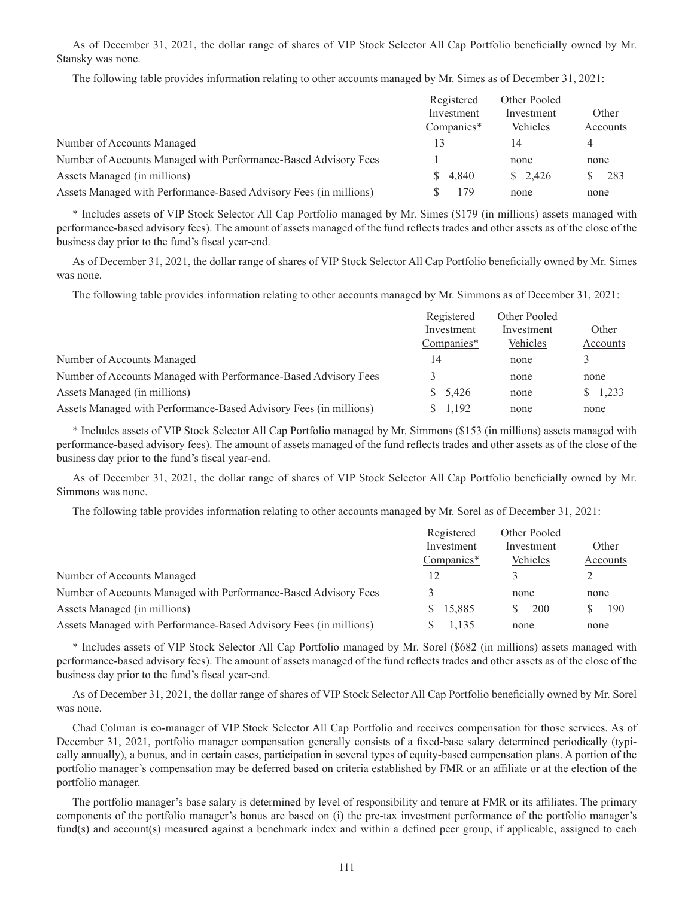As of December 31, 2021, the dollar range of shares of VIP Stock Selector All Cap Portfolio beneficially owned by Mr. Stansky was none.

The following table provides information relating to other accounts managed by Mr. Simes as of December 31, 2021:

|                                                                   | Registered | Other Pooled       |          |
|-------------------------------------------------------------------|------------|--------------------|----------|
|                                                                   | Investment | Investment         | Other    |
|                                                                   | Companies* | Vehicles           | Accounts |
| Number of Accounts Managed                                        | 13         | 14                 | 4        |
| Number of Accounts Managed with Performance-Based Advisory Fees   |            | none               | none     |
| Assets Managed (in millions)                                      | \$4.840    | $\frac{\$}{2.426}$ | 283      |
| Assets Managed with Performance-Based Advisory Fees (in millions) | 179        | none               | none     |

\* Includes assets of VIP Stock Selector All Cap Portfolio managed by Mr. Simes (\$179 (in millions) assets managed with performance-based advisory fees). The amount of assets managed of the fund reflects trades and other assets as of the close of the business day prior to the fund's fiscal year-end.

As of December 31, 2021, the dollar range of shares of VIP Stock Selector All Cap Portfolio beneficially owned by Mr. Simes was none.

The following table provides information relating to other accounts managed by Mr. Simmons as of December 31, 2021:

|                                                                   | Registered | Other Pooled |          |
|-------------------------------------------------------------------|------------|--------------|----------|
|                                                                   | Investment | Investment   | Other    |
|                                                                   | Companies* | Vehicles     | Accounts |
| Number of Accounts Managed                                        | 14         | none         |          |
| Number of Accounts Managed with Performance-Based Advisory Fees   |            | none         | none     |
| Assets Managed (in millions)                                      | \$5,426    | none         | \$1,233  |
| Assets Managed with Performance-Based Advisory Fees (in millions) | 1,192      | none         | none     |

\* Includes assets of VIP Stock Selector All Cap Portfolio managed by Mr. Simmons (\$153 (in millions) assets managed with performance-based advisory fees). The amount of assets managed of the fund reflects trades and other assets as of the close of the business day prior to the fund's fiscal year-end.

As of December 31, 2021, the dollar range of shares of VIP Stock Selector All Cap Portfolio beneficially owned by Mr. Simmons was none.

The following table provides information relating to other accounts managed by Mr. Sorel as of December 31, 2021:

|                                                                   | Registered | Other Pooled |          |
|-------------------------------------------------------------------|------------|--------------|----------|
|                                                                   | Investment | Investment   | Other    |
|                                                                   | Companies* | Vehicles     | Accounts |
| Number of Accounts Managed                                        |            |              |          |
| Number of Accounts Managed with Performance-Based Advisory Fees   |            | none         | none     |
| Assets Managed (in millions)                                      | \$15,885   | 200<br>S.    | 190      |
| Assets Managed with Performance-Based Advisory Fees (in millions) | 1.135      | none         | none     |
|                                                                   |            |              |          |

\* Includes assets of VIP Stock Selector All Cap Portfolio managed by Mr. Sorel (\$682 (in millions) assets managed with performance-based advisory fees). The amount of assets managed of the fund reflects trades and other assets as of the close of the business day prior to the fund's fiscal year-end.

As of December 31, 2021, the dollar range of shares of VIP Stock Selector All Cap Portfolio beneficially owned by Mr. Sorel was none.

Chad Colman is co-manager of VIP Stock Selector All Cap Portfolio and receives compensation for those services. As of December 31, 2021, portfolio manager compensation generally consists of a fixed-base salary determined periodically (typically annually), a bonus, and in certain cases, participation in several types of equity-based compensation plans. A portion of the portfolio manager's compensation may be deferred based on criteria established by FMR or an affiliate or at the election of the portfolio manager.

The portfolio manager's base salary is determined by level of responsibility and tenure at FMR or its affiliates. The primary components of the portfolio manager's bonus are based on (i) the pre-tax investment performance of the portfolio manager's fund(s) and account(s) measured against a benchmark index and within a defined peer group, if applicable, assigned to each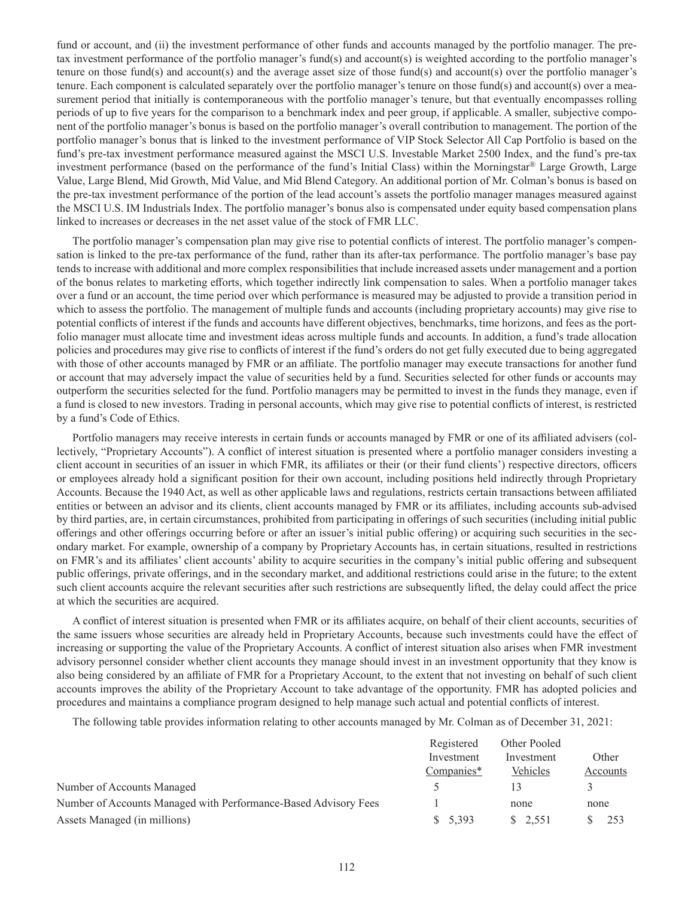fund or account, and (ii) the investment performance of other funds and accounts managed by the portfolio manager. The pretax investment performance of the portfolio manager's fund(s) and account(s) is weighted according to the portfolio manager's tenure on those fund(s) and account(s) and the average asset size of those fund(s) and account(s) over the portfolio manager's tenure. Each component is calculated separately over the portfolio manager's tenure on those fund(s) and account(s) over a measurement period that initially is contemporaneous with the portfolio manager's tenure, but that eventually encompasses rolling periods of up to five years for the comparison to a benchmark index and peer group, if applicable. A smaller, subjective component of the portfolio manager's bonus is based on the portfolio manager's overall contribution to management. The portion of the portfolio manager's bonus that is linked to the investment performance of VIP Stock Selector All Cap Portfolio is based on the fund's pre-tax investment performance measured against the MSCI U.S. Investable Market 2500 Index, and the fund's pre-tax investment performance (based on the performance of the fund's Initial Class) within the Morningstar® Large Growth, Large Value, Large Blend, Mid Growth, Mid Value, and Mid Blend Category. An additional portion of Mr. Colman's bonus is based on the pre-tax investment performance of the portion of the lead account's assets the portfolio manager manages measured against the MSCI U.S. IM Industrials Index. The portfolio manager's bonus also is compensated under equity based compensation plans linked to increases or decreases in the net asset value of the stock of FMR LLC.

The portfolio manager's compensation plan may give rise to potential conflicts of interest. The portfolio manager's compensation is linked to the pre-tax performance of the fund, rather than its after-tax performance. The portfolio manager's base pay tends to increase with additional and more complex responsibilities that include increased assets under management and a portion of the bonus relates to marketing efforts, which together indirectly link compensation to sales. When a portfolio manager takes over a fund or an account, the time period over which performance is measured may be adjusted to provide a transition period in which to assess the portfolio. The management of multiple funds and accounts (including proprietary accounts) may give rise to potential conflicts of interest if the funds and accounts have different objectives, benchmarks, time horizons, and fees as the portfolio manager must allocate time and investment ideas across multiple funds and accounts. In addition, a fund's trade allocation policies and procedures may give rise to conflicts of interest if the fund's orders do not get fully executed due to being aggregated with those of other accounts managed by FMR or an affiliate. The portfolio manager may execute transactions for another fund or account that may adversely impact the value of securities held by a fund. Securities selected for other funds or accounts may outperform the securities selected for the fund. Portfolio managers may be permitted to invest in the funds they manage, even if a fund is closed to new investors. Trading in personal accounts, which may give rise to potential conflicts of interest, is restricted by a fund's Code of Ethics.

Portfolio managers may receive interests in certain funds or accounts managed by FMR or one of its affiliated advisers (collectively, "Proprietary Accounts"). A conflict of interest situation is presented where a portfolio manager considers investing a client account in securities of an issuer in which FMR, its affiliates or their (or their fund clients') respective directors, officers or employees already hold a significant position for their own account, including positions held indirectly through Proprietary Accounts. Because the 1940 Act, as well as other applicable laws and regulations, restricts certain transactions between affiliated entities or between an advisor and its clients, client accounts managed by FMR or its affiliates, including accounts sub-advised by third parties, are, in certain circumstances, prohibited from participating in offerings of such securities (including initial public offerings and other offerings occurring before or after an issuer's initial public offering) or acquiring such securities in the secondary market. For example, ownership of a company by Proprietary Accounts has, in certain situations, resulted in restrictions on FMR's and its affiliates' client accounts' ability to acquire securities in the company's initial public offering and subsequent public offerings, private offerings, and in the secondary market, and additional restrictions could arise in the future; to the extent such client accounts acquire the relevant securities after such restrictions are subsequently lifted, the delay could affect the price at which the securities are acquired.

A conflict of interest situation is presented when FMR or its affiliates acquire, on behalf of their client accounts, securities of the same issuers whose securities are already held in Proprietary Accounts, because such investments could have the effect of increasing or supporting the value of the Proprietary Accounts. A conflict of interest situation also arises when FMR investment advisory personnel consider whether client accounts they manage should invest in an investment opportunity that they know is also being considered by an affiliate of FMR for a Proprietary Account, to the extent that not investing on behalf of such client accounts improves the ability of the Proprietary Account to take advantage of the opportunity. FMR has adopted policies and procedures and maintains a compliance program designed to help manage such actual and potential conflicts of interest.

The following table provides information relating to other accounts managed by Mr. Colman as of December 31, 2021:

|                                                                 | Registered               | Other Pooled |          |
|-----------------------------------------------------------------|--------------------------|--------------|----------|
|                                                                 | Investment<br>Companies* | Investment   | Other    |
|                                                                 |                          | Vehicles     | Accounts |
| Number of Accounts Managed                                      |                          |              |          |
| Number of Accounts Managed with Performance-Based Advisory Fees |                          | none         | none     |
| Assets Managed (in millions)                                    | \$5,393                  | \$ 2.551     |          |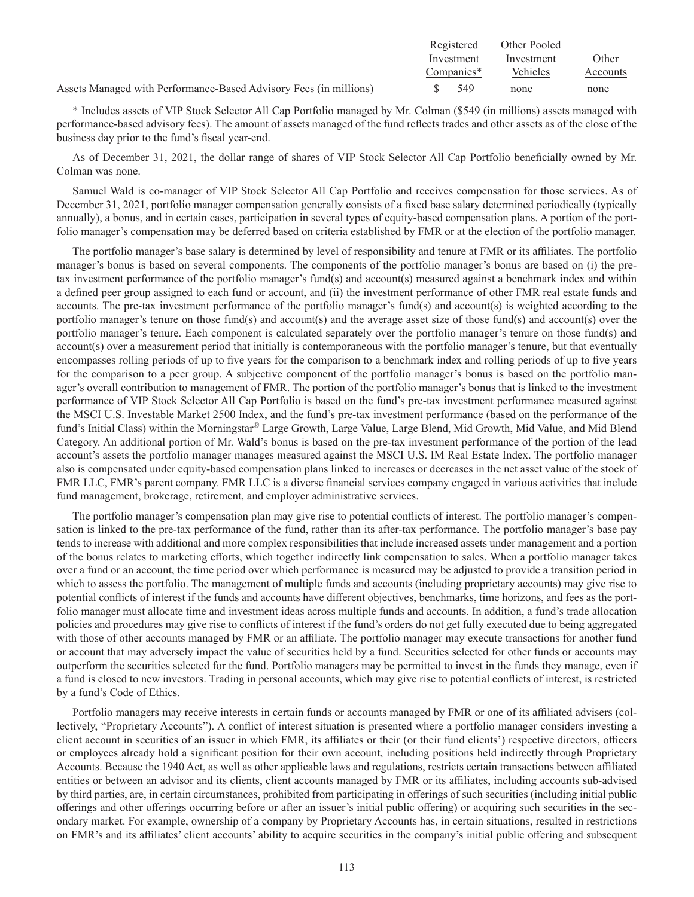|                                                                   | Registered | Other Pooled |          |
|-------------------------------------------------------------------|------------|--------------|----------|
|                                                                   | Investment | Investment   | Other    |
|                                                                   | Companies* | Vehicles     | Accounts |
| Assets Managed with Performance-Based Advisory Fees (in millions) | - 549      | none         | none     |

\* Includes assets of VIP Stock Selector All Cap Portfolio managed by Mr. Colman (\$549 (in millions) assets managed with performance-based advisory fees). The amount of assets managed of the fund reflects trades and other assets as of the close of the business day prior to the fund's fiscal year-end.

As of December 31, 2021, the dollar range of shares of VIP Stock Selector All Cap Portfolio beneficially owned by Mr. Colman was none.

Samuel Wald is co-manager of VIP Stock Selector All Cap Portfolio and receives compensation for those services. As of December 31, 2021, portfolio manager compensation generally consists of a fixed base salary determined periodically (typically annually), a bonus, and in certain cases, participation in several types of equity-based compensation plans. A portion of the portfolio manager's compensation may be deferred based on criteria established by FMR or at the election of the portfolio manager.

The portfolio manager's base salary is determined by level of responsibility and tenure at FMR or its affiliates. The portfolio manager's bonus is based on several components. The components of the portfolio manager's bonus are based on (i) the pretax investment performance of the portfolio manager's fund(s) and account(s) measured against a benchmark index and within a defined peer group assigned to each fund or account, and (ii) the investment performance of other FMR real estate funds and accounts. The pre-tax investment performance of the portfolio manager's fund(s) and account(s) is weighted according to the portfolio manager's tenure on those fund(s) and account(s) and the average asset size of those fund(s) and account(s) over the portfolio manager's tenure. Each component is calculated separately over the portfolio manager's tenure on those fund(s) and account(s) over a measurement period that initially is contemporaneous with the portfolio manager's tenure, but that eventually encompasses rolling periods of up to five years for the comparison to a benchmark index and rolling periods of up to five years for the comparison to a peer group. A subjective component of the portfolio manager's bonus is based on the portfolio manager's overall contribution to management of FMR. The portion of the portfolio manager's bonus that is linked to the investment performance of VIP Stock Selector All Cap Portfolio is based on the fund's pre-tax investment performance measured against the MSCI U.S. Investable Market 2500 Index, and the fund's pre-tax investment performance (based on the performance of the fund's Initial Class) within the Morningstar® Large Growth, Large Value, Large Blend, Mid Growth, Mid Value, and Mid Blend Category. An additional portion of Mr. Wald's bonus is based on the pre-tax investment performance of the portion of the lead account's assets the portfolio manager manages measured against the MSCI U.S. IM Real Estate Index. The portfolio manager also is compensated under equity-based compensation plans linked to increases or decreases in the net asset value of the stock of FMR LLC, FMR's parent company. FMR LLC is a diverse financial services company engaged in various activities that include fund management, brokerage, retirement, and employer administrative services.

The portfolio manager's compensation plan may give rise to potential conflicts of interest. The portfolio manager's compensation is linked to the pre-tax performance of the fund, rather than its after-tax performance. The portfolio manager's base pay tends to increase with additional and more complex responsibilities that include increased assets under management and a portion of the bonus relates to marketing efforts, which together indirectly link compensation to sales. When a portfolio manager takes over a fund or an account, the time period over which performance is measured may be adjusted to provide a transition period in which to assess the portfolio. The management of multiple funds and accounts (including proprietary accounts) may give rise to potential conflicts of interest if the funds and accounts have different objectives, benchmarks, time horizons, and fees as the portfolio manager must allocate time and investment ideas across multiple funds and accounts. In addition, a fund's trade allocation policies and procedures may give rise to conflicts of interest if the fund's orders do not get fully executed due to being aggregated with those of other accounts managed by FMR or an affiliate. The portfolio manager may execute transactions for another fund or account that may adversely impact the value of securities held by a fund. Securities selected for other funds or accounts may outperform the securities selected for the fund. Portfolio managers may be permitted to invest in the funds they manage, even if a fund is closed to new investors. Trading in personal accounts, which may give rise to potential conflicts of interest, is restricted by a fund's Code of Ethics.

Portfolio managers may receive interests in certain funds or accounts managed by FMR or one of its affiliated advisers (collectively, "Proprietary Accounts"). A conflict of interest situation is presented where a portfolio manager considers investing a client account in securities of an issuer in which FMR, its affiliates or their (or their fund clients') respective directors, officers or employees already hold a significant position for their own account, including positions held indirectly through Proprietary Accounts. Because the 1940 Act, as well as other applicable laws and regulations, restricts certain transactions between affiliated entities or between an advisor and its clients, client accounts managed by FMR or its affiliates, including accounts sub-advised by third parties, are, in certain circumstances, prohibited from participating in offerings of such securities (including initial public offerings and other offerings occurring before or after an issuer's initial public offering) or acquiring such securities in the secondary market. For example, ownership of a company by Proprietary Accounts has, in certain situations, resulted in restrictions on FMR's and its affiliates' client accounts' ability to acquire securities in the company's initial public offering and subsequent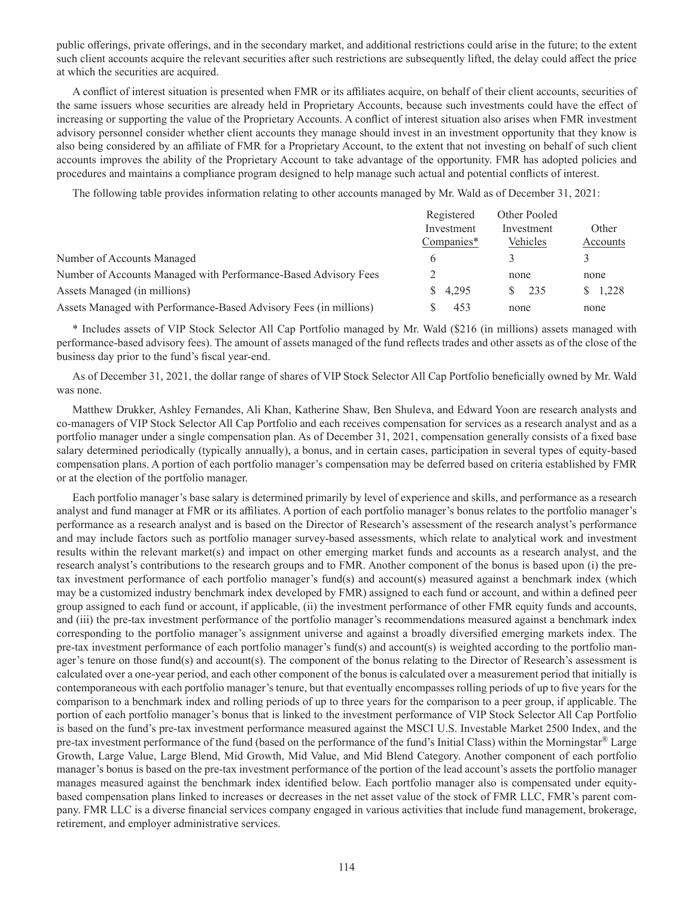public offerings, private offerings, and in the secondary market, and additional restrictions could arise in the future; to the extent such client accounts acquire the relevant securities after such restrictions are subsequently lifted, the delay could affect the price at which the securities are acquired.

A conflict of interest situation is presented when FMR or its affiliates acquire, on behalf of their client accounts, securities of the same issuers whose securities are already held in Proprietary Accounts, because such investments could have the effect of increasing or supporting the value of the Proprietary Accounts. A conflict of interest situation also arises when FMR investment advisory personnel consider whether client accounts they manage should invest in an investment opportunity that they know is also being considered by an affiliate of FMR for a Proprietary Account, to the extent that not investing on behalf of such client accounts improves the ability of the Proprietary Account to take advantage of the opportunity. FMR has adopted policies and procedures and maintains a compliance program designed to help manage such actual and potential conflicts of interest.

The following table provides information relating to other accounts managed by Mr. Wald as of December 31, 2021:

|                                                                   | Registered | Other Pooled |          |
|-------------------------------------------------------------------|------------|--------------|----------|
|                                                                   | Investment | Investment   | Other    |
|                                                                   | Companies* | Vehicles     | Accounts |
| Number of Accounts Managed                                        |            |              |          |
| Number of Accounts Managed with Performance-Based Advisory Fees   |            | none         | none     |
| Assets Managed (in millions)                                      | 4.295      | 235          | \$1,228  |
| Assets Managed with Performance-Based Advisory Fees (in millions) | 453        | none         | none     |

\* Includes assets of VIP Stock Selector All Cap Portfolio managed by Mr. Wald (\$216 (in millions) assets managed with performance-based advisory fees). The amount of assets managed of the fund reflects trades and other assets as of the close of the business day prior to the fund's fiscal year-end.

As of December 31, 2021, the dollar range of shares of VIP Stock Selector All Cap Portfolio beneficially owned by Mr. Wald was none.

Matthew Drukker, Ashley Fernandes, Ali Khan, Katherine Shaw, Ben Shuleva, and Edward Yoon are research analysts and co-managers of VIP Stock Selector All Cap Portfolio and each receives compensation for services as a research analyst and as a portfolio manager under a single compensation plan. As of December 31, 2021, compensation generally consists of a fixed base salary determined periodically (typically annually), a bonus, and in certain cases, participation in several types of equity-based compensation plans. A portion of each portfolio manager's compensation may be deferred based on criteria established by FMR or at the election of the portfolio manager.

Each portfolio manager's base salary is determined primarily by level of experience and skills, and performance as a research analyst and fund manager at FMR or its affiliates. A portion of each portfolio manager's bonus relates to the portfolio manager's performance as a research analyst and is based on the Director of Research's assessment of the research analyst's performance and may include factors such as portfolio manager survey-based assessments, which relate to analytical work and investment results within the relevant market(s) and impact on other emerging market funds and accounts as a research analyst, and the research analyst's contributions to the research groups and to FMR. Another component of the bonus is based upon (i) the pretax investment performance of each portfolio manager's fund(s) and account(s) measured against a benchmark index (which may be a customized industry benchmark index developed by FMR) assigned to each fund or account, and within a defined peer group assigned to each fund or account, if applicable, (ii) the investment performance of other FMR equity funds and accounts, and (iii) the pre-tax investment performance of the portfolio manager's recommendations measured against a benchmark index corresponding to the portfolio manager's assignment universe and against a broadly diversified emerging markets index. The pre-tax investment performance of each portfolio manager's fund(s) and account(s) is weighted according to the portfolio manager's tenure on those fund(s) and account(s). The component of the bonus relating to the Director of Research's assessment is calculated over a one-year period, and each other component of the bonus is calculated over a measurement period that initially is contemporaneous with each portfolio manager's tenure, but that eventually encompasses rolling periods of up to five years for the comparison to a benchmark index and rolling periods of up to three years for the comparison to a peer group, if applicable. The portion of each portfolio manager's bonus that is linked to the investment performance of VIP Stock Selector All Cap Portfolio is based on the fund's pre-tax investment performance measured against the MSCI U.S. Investable Market 2500 Index, and the pre-tax investment performance of the fund (based on the performance of the fund's Initial Class) within the Morningstar® Large Growth, Large Value, Large Blend, Mid Growth, Mid Value, and Mid Blend Category. Another component of each portfolio manager's bonus is based on the pre-tax investment performance of the portion of the lead account's assets the portfolio manager manages measured against the benchmark index identified below. Each portfolio manager also is compensated under equitybased compensation plans linked to increases or decreases in the net asset value of the stock of FMR LLC, FMR's parent company. FMR LLC is a diverse financial services company engaged in various activities that include fund management, brokerage, retirement, and employer administrative services.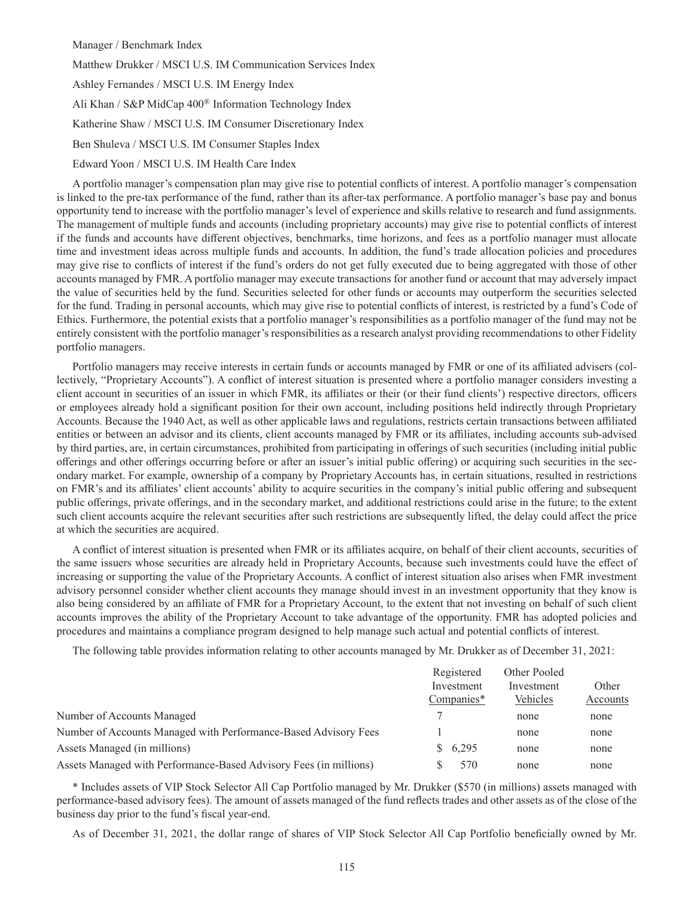Manager / Benchmark Index

Matthew Drukker / MSCI U.S. IM Communication Services Index

Ashley Fernandes / MSCI U.S. IM Energy Index

Ali Khan / S&P MidCap 400® Information Technology Index

Katherine Shaw / MSCI U.S. IM Consumer Discretionary Index

Ben Shuleva / MSCI U.S. IM Consumer Staples Index

Edward Yoon / MSCI U.S. IM Health Care Index

A portfolio manager's compensation plan may give rise to potential conflicts of interest. A portfolio manager's compensation is linked to the pre-tax performance of the fund, rather than its after-tax performance. A portfolio manager's base pay and bonus opportunity tend to increase with the portfolio manager's level of experience and skills relative to research and fund assignments. The management of multiple funds and accounts (including proprietary accounts) may give rise to potential conflicts of interest if the funds and accounts have different objectives, benchmarks, time horizons, and fees as a portfolio manager must allocate time and investment ideas across multiple funds and accounts. In addition, the fund's trade allocation policies and procedures may give rise to conflicts of interest if the fund's orders do not get fully executed due to being aggregated with those of other accounts managed by FMR. A portfolio manager may execute transactions for another fund or account that may adversely impact the value of securities held by the fund. Securities selected for other funds or accounts may outperform the securities selected for the fund. Trading in personal accounts, which may give rise to potential conflicts of interest, is restricted by a fund's Code of Ethics. Furthermore, the potential exists that a portfolio manager's responsibilities as a portfolio manager of the fund may not be entirely consistent with the portfolio manager's responsibilities as a research analyst providing recommendations to other Fidelity portfolio managers.

Portfolio managers may receive interests in certain funds or accounts managed by FMR or one of its affiliated advisers (collectively, "Proprietary Accounts"). A conflict of interest situation is presented where a portfolio manager considers investing a client account in securities of an issuer in which FMR, its affiliates or their (or their fund clients') respective directors, officers or employees already hold a significant position for their own account, including positions held indirectly through Proprietary Accounts. Because the 1940 Act, as well as other applicable laws and regulations, restricts certain transactions between affiliated entities or between an advisor and its clients, client accounts managed by FMR or its affiliates, including accounts sub-advised by third parties, are, in certain circumstances, prohibited from participating in offerings of such securities (including initial public offerings and other offerings occurring before or after an issuer's initial public offering) or acquiring such securities in the secondary market. For example, ownership of a company by Proprietary Accounts has, in certain situations, resulted in restrictions on FMR's and its affiliates' client accounts' ability to acquire securities in the company's initial public offering and subsequent public offerings, private offerings, and in the secondary market, and additional restrictions could arise in the future; to the extent such client accounts acquire the relevant securities after such restrictions are subsequently lifted, the delay could affect the price at which the securities are acquired.

A conflict of interest situation is presented when FMR or its affiliates acquire, on behalf of their client accounts, securities of the same issuers whose securities are already held in Proprietary Accounts, because such investments could have the effect of increasing or supporting the value of the Proprietary Accounts. A conflict of interest situation also arises when FMR investment advisory personnel consider whether client accounts they manage should invest in an investment opportunity that they know is also being considered by an affiliate of FMR for a Proprietary Account, to the extent that not investing on behalf of such client accounts improves the ability of the Proprietary Account to take advantage of the opportunity. FMR has adopted policies and procedures and maintains a compliance program designed to help manage such actual and potential conflicts of interest.

The following table provides information relating to other accounts managed by Mr. Drukker as of December 31, 2021:

|                                                                   | Registered | Other Pooled |          |
|-------------------------------------------------------------------|------------|--------------|----------|
|                                                                   | Investment | Investment   | Other    |
|                                                                   | Companies* | Vehicles     | Accounts |
| Number of Accounts Managed                                        |            | none         | none     |
| Number of Accounts Managed with Performance-Based Advisory Fees   |            | none         | none     |
| Assets Managed (in millions)                                      | \$6,295    | none         | none     |
| Assets Managed with Performance-Based Advisory Fees (in millions) | 570        | none         | none     |

\* Includes assets of VIP Stock Selector All Cap Portfolio managed by Mr. Drukker (\$570 (in millions) assets managed with performance-based advisory fees). The amount of assets managed of the fund reflects trades and other assets as of the close of the business day prior to the fund's fiscal year-end.

As of December 31, 2021, the dollar range of shares of VIP Stock Selector All Cap Portfolio beneficially owned by Mr.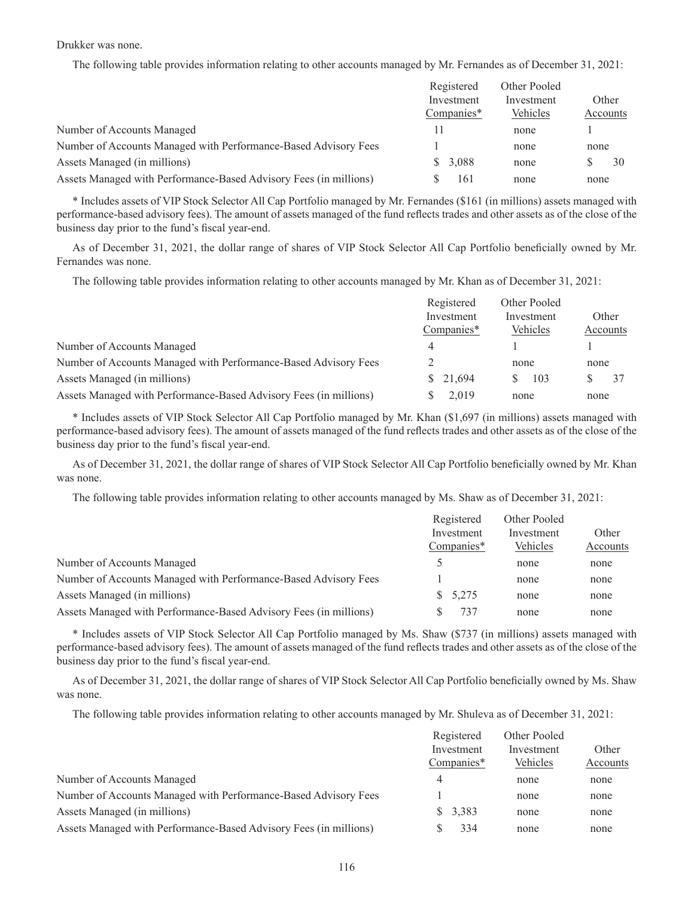#### Drukker was none.

The following table provides information relating to other accounts managed by Mr. Fernandes as of December 31, 2021:

|                                                                   | Registered | Other Pooled |          |
|-------------------------------------------------------------------|------------|--------------|----------|
|                                                                   | Investment | Investment   | Other    |
|                                                                   | Companies* | Vehicles     | Accounts |
| Number of Accounts Managed                                        |            | none         |          |
| Number of Accounts Managed with Performance-Based Advisory Fees   |            | none         | none     |
| Assets Managed (in millions)                                      | \$3,088    | none         | 30<br>S  |
| Assets Managed with Performance-Based Advisory Fees (in millions) | 161        | none         | none     |

\* Includes assets of VIP Stock Selector All Cap Portfolio managed by Mr. Fernandes (\$161 (in millions) assets managed with performance-based advisory fees). The amount of assets managed of the fund reflects trades and other assets as of the close of the business day prior to the fund's fiscal year-end.

As of December 31, 2021, the dollar range of shares of VIP Stock Selector All Cap Portfolio beneficially owned by Mr. Fernandes was none.

The following table provides information relating to other accounts managed by Mr. Khan as of December 31, 2021:

|                                                                   | Registered | Other Pooled |          |
|-------------------------------------------------------------------|------------|--------------|----------|
|                                                                   | Investment | Investment   | Other    |
|                                                                   | Companies* | Vehicles     | Accounts |
| Number of Accounts Managed                                        | 4          |              |          |
| Number of Accounts Managed with Performance-Based Advisory Fees   |            | none         | none     |
| Assets Managed (in millions)                                      | \$ 21,694  | 103          |          |
| Assets Managed with Performance-Based Advisory Fees (in millions) | 2.019      | none         | none     |

\* Includes assets of VIP Stock Selector All Cap Portfolio managed by Mr. Khan (\$1,697 (in millions) assets managed with performance-based advisory fees). The amount of assets managed of the fund reflects trades and other assets as of the close of the business day prior to the fund's fiscal year-end.

As of December 31, 2021, the dollar range of shares of VIP Stock Selector All Cap Portfolio beneficially owned by Mr. Khan was none.

The following table provides information relating to other accounts managed by Ms. Shaw as of December 31, 2021:

|                                                                   | Registered    | Other Pooled |          |
|-------------------------------------------------------------------|---------------|--------------|----------|
|                                                                   | Investment    | Investment   | Other    |
|                                                                   | Companies*    | Vehicles     | Accounts |
| Number of Accounts Managed                                        | $\mathcal{D}$ | none         | none     |
| Number of Accounts Managed with Performance-Based Advisory Fees   |               | none         | none     |
| Assets Managed (in millions)                                      | \$5,275       | none         | none     |
| Assets Managed with Performance-Based Advisory Fees (in millions) | 737           | none         | none     |

\* Includes assets of VIP Stock Selector All Cap Portfolio managed by Ms. Shaw (\$737 (in millions) assets managed with performance-based advisory fees). The amount of assets managed of the fund reflects trades and other assets as of the close of the business day prior to the fund's fiscal year-end.

As of December 31, 2021, the dollar range of shares of VIP Stock Selector All Cap Portfolio beneficially owned by Ms. Shaw was none.

The following table provides information relating to other accounts managed by Mr. Shuleva as of December 31, 2021:

|                                                                   | Registered | Other Pooled |          |
|-------------------------------------------------------------------|------------|--------------|----------|
|                                                                   | Investment | Investment   | Other    |
|                                                                   | Companies* | Vehicles     | Accounts |
| Number of Accounts Managed                                        | 4          | none         | none     |
| Number of Accounts Managed with Performance-Based Advisory Fees   |            | none         | none     |
| Assets Managed (in millions)                                      | \$3,383    | none         | none     |
| Assets Managed with Performance-Based Advisory Fees (in millions) | 334        | none         | none     |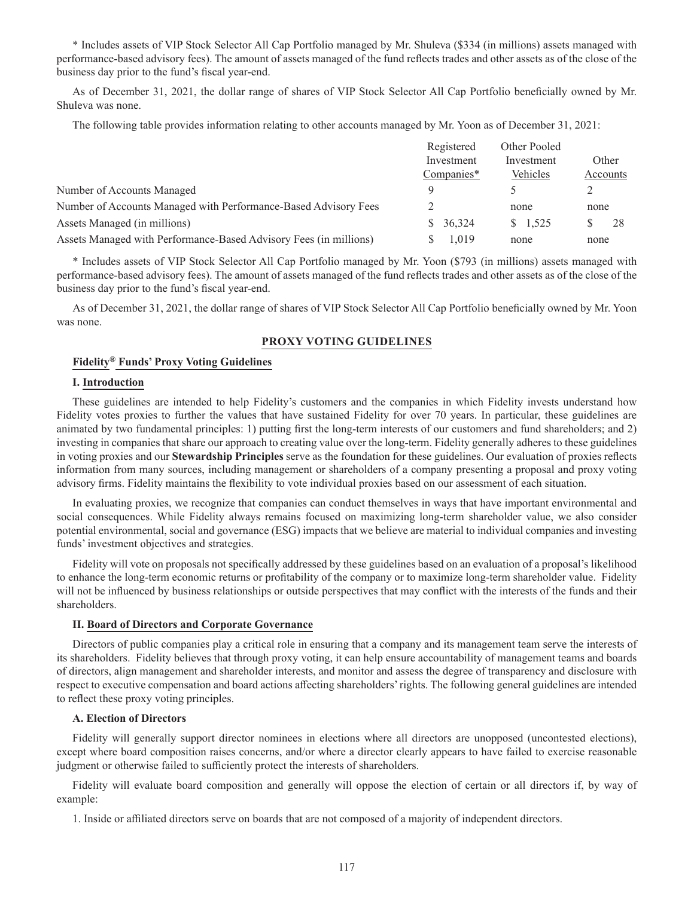\* Includes assets of VIP Stock Selector All Cap Portfolio managed by Mr. Shuleva (\$334 (in millions) assets managed with performance-based advisory fees). The amount of assets managed of the fund reflects trades and other assets as of the close of the business day prior to the fund's fiscal year-end.

As of December 31, 2021, the dollar range of shares of VIP Stock Selector All Cap Portfolio beneficially owned by Mr. Shuleva was none.

The following table provides information relating to other accounts managed by Mr. Yoon as of December 31, 2021:

|                                                                   | Registered   | Other Pooled |          |
|-------------------------------------------------------------------|--------------|--------------|----------|
|                                                                   | Investment   | Investment   | Other    |
|                                                                   | Companies*   | Vehicles     | Accounts |
| Number of Accounts Managed                                        | $\Omega$     |              |          |
| Number of Accounts Managed with Performance-Based Advisory Fees   |              | none         | none     |
| Assets Managed (in millions)                                      | 36,324<br>S. | 1.525<br>S.  | 28       |
| Assets Managed with Performance-Based Advisory Fees (in millions) | .019         | none         | none     |

\* Includes assets of VIP Stock Selector All Cap Portfolio managed by Mr. Yoon (\$793 (in millions) assets managed with performance-based advisory fees). The amount of assets managed of the fund reflects trades and other assets as of the close of the business day prior to the fund's fiscal year-end.

As of December 31, 2021, the dollar range of shares of VIP Stock Selector All Cap Portfolio beneficially owned by Mr. Yoon was none.

#### **PROXY VOTING GUIDELINES**

### **Fidelity® Funds' Proxy Voting Guidelines**

#### **I. Introduction**

These guidelines are intended to help Fidelity's customers and the companies in which Fidelity invests understand how Fidelity votes proxies to further the values that have sustained Fidelity for over 70 years. In particular, these guidelines are animated by two fundamental principles: 1) putting first the long-term interests of our customers and fund shareholders; and 2) investing in companies that share our approach to creating value over the long-term. Fidelity generally adheres to these guidelines in voting proxies and our **Stewardship Principles** serve as the foundation for these guidelines. Our evaluation of proxies reflects information from many sources, including management or shareholders of a company presenting a proposal and proxy voting advisory firms. Fidelity maintains the flexibility to vote individual proxies based on our assessment of each situation.

In evaluating proxies, we recognize that companies can conduct themselves in ways that have important environmental and social consequences. While Fidelity always remains focused on maximizing long-term shareholder value, we also consider potential environmental, social and governance (ESG) impacts that we believe are material to individual companies and investing funds' investment objectives and strategies.

Fidelity will vote on proposals not specifically addressed by these guidelines based on an evaluation of a proposal's likelihood to enhance the long-term economic returns or profitability of the company or to maximize long-term shareholder value. Fidelity will not be influenced by business relationships or outside perspectives that may conflict with the interests of the funds and their shareholders.

#### **II. Board of Directors and Corporate Governance**

Directors of public companies play a critical role in ensuring that a company and its management team serve the interests of its shareholders. Fidelity believes that through proxy voting, it can help ensure accountability of management teams and boards of directors, align management and shareholder interests, and monitor and assess the degree of transparency and disclosure with respect to executive compensation and board actions affecting shareholders' rights. The following general guidelines are intended to reflect these proxy voting principles.

#### **A. Election of Directors**

Fidelity will generally support director nominees in elections where all directors are unopposed (uncontested elections), except where board composition raises concerns, and/or where a director clearly appears to have failed to exercise reasonable judgment or otherwise failed to sufficiently protect the interests of shareholders.

Fidelity will evaluate board composition and generally will oppose the election of certain or all directors if, by way of example:

1. Inside or affiliated directors serve on boards that are not composed of a majority of independent directors.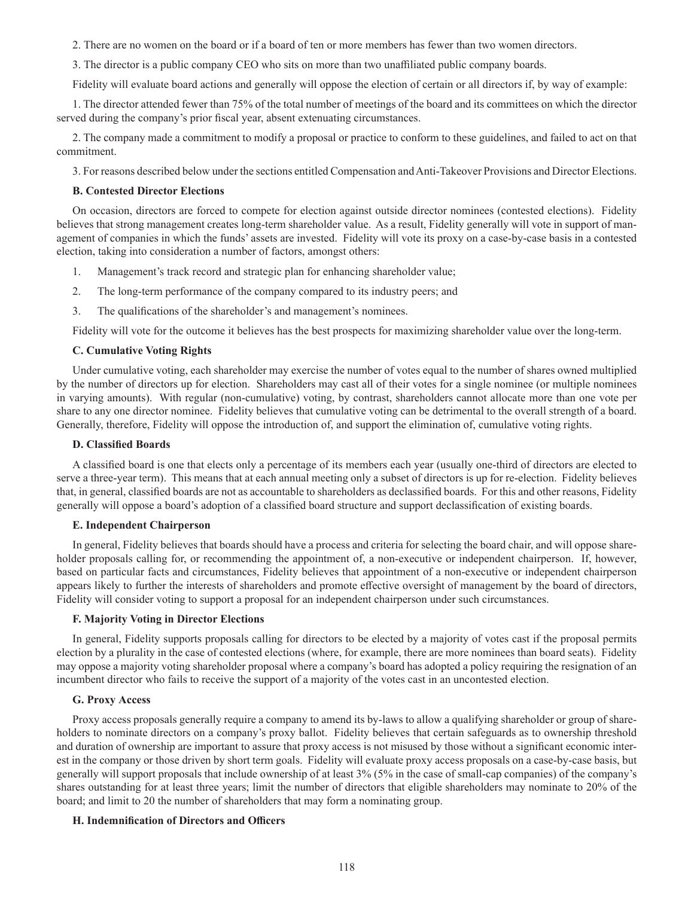2. There are no women on the board or if a board of ten or more members has fewer than two women directors.

3. The director is a public company CEO who sits on more than two unaffiliated public company boards.

Fidelity will evaluate board actions and generally will oppose the election of certain or all directors if, by way of example:

1. The director attended fewer than 75% of the total number of meetings of the board and its committees on which the director served during the company's prior fiscal year, absent extenuating circumstances.

2. The company made a commitment to modify a proposal or practice to conform to these guidelines, and failed to act on that commitment.

3. For reasons described below under the sections entitled Compensation and Anti-Takeover Provisions and Director Elections.

#### **B. Contested Director Elections**

On occasion, directors are forced to compete for election against outside director nominees (contested elections). Fidelity believes that strong management creates long-term shareholder value. As a result, Fidelity generally will vote in support of management of companies in which the funds' assets are invested. Fidelity will vote its proxy on a case-by-case basis in a contested election, taking into consideration a number of factors, amongst others:

- 1. Management's track record and strategic plan for enhancing shareholder value;
- 2. The long-term performance of the company compared to its industry peers; and
- 3. The qualifications of the shareholder's and management's nominees.

Fidelity will vote for the outcome it believes has the best prospects for maximizing shareholder value over the long-term.

#### **C. Cumulative Voting Rights**

Under cumulative voting, each shareholder may exercise the number of votes equal to the number of shares owned multiplied by the number of directors up for election. Shareholders may cast all of their votes for a single nominee (or multiple nominees in varying amounts). With regular (non-cumulative) voting, by contrast, shareholders cannot allocate more than one vote per share to any one director nominee. Fidelity believes that cumulative voting can be detrimental to the overall strength of a board. Generally, therefore, Fidelity will oppose the introduction of, and support the elimination of, cumulative voting rights.

# **D. Classified Boards**

A classified board is one that elects only a percentage of its members each year (usually one-third of directors are elected to serve a three-year term). This means that at each annual meeting only a subset of directors is up for re-election. Fidelity believes that, in general, classified boards are not as accountable to shareholders as declassified boards. For this and other reasons, Fidelity generally will oppose a board's adoption of a classified board structure and support declassification of existing boards.

#### **E. Independent Chairperson**

In general, Fidelity believes that boards should have a process and criteria for selecting the board chair, and will oppose shareholder proposals calling for, or recommending the appointment of, a non-executive or independent chairperson. If, however, based on particular facts and circumstances, Fidelity believes that appointment of a non-executive or independent chairperson appears likely to further the interests of shareholders and promote effective oversight of management by the board of directors, Fidelity will consider voting to support a proposal for an independent chairperson under such circumstances.

#### **F. Majority Voting in Director Elections**

In general, Fidelity supports proposals calling for directors to be elected by a majority of votes cast if the proposal permits election by a plurality in the case of contested elections (where, for example, there are more nominees than board seats). Fidelity may oppose a majority voting shareholder proposal where a company's board has adopted a policy requiring the resignation of an incumbent director who fails to receive the support of a majority of the votes cast in an uncontested election.

### **G. Proxy Access**

Proxy access proposals generally require a company to amend its by-laws to allow a qualifying shareholder or group of shareholders to nominate directors on a company's proxy ballot. Fidelity believes that certain safeguards as to ownership threshold and duration of ownership are important to assure that proxy access is not misused by those without a significant economic interest in the company or those driven by short term goals. Fidelity will evaluate proxy access proposals on a case-by-case basis, but generally will support proposals that include ownership of at least 3% (5% in the case of small-cap companies) of the company's shares outstanding for at least three years; limit the number of directors that eligible shareholders may nominate to 20% of the board; and limit to 20 the number of shareholders that may form a nominating group.

#### **H. Indemnification of Directors and Officers**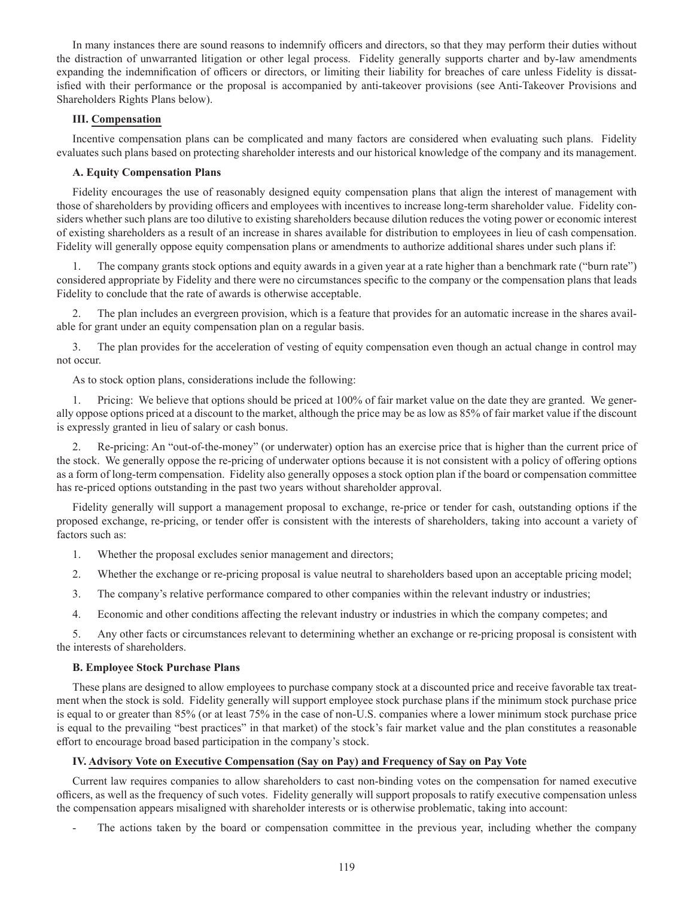In many instances there are sound reasons to indemnify officers and directors, so that they may perform their duties without the distraction of unwarranted litigation or other legal process. Fidelity generally supports charter and by-law amendments expanding the indemnification of officers or directors, or limiting their liability for breaches of care unless Fidelity is dissatisfied with their performance or the proposal is accompanied by anti-takeover provisions (see Anti-Takeover Provisions and Shareholders Rights Plans below).

# **III. Compensation**

Incentive compensation plans can be complicated and many factors are considered when evaluating such plans. Fidelity evaluates such plans based on protecting shareholder interests and our historical knowledge of the company and its management.

# **A. Equity Compensation Plans**

Fidelity encourages the use of reasonably designed equity compensation plans that align the interest of management with those of shareholders by providing officers and employees with incentives to increase long-term shareholder value. Fidelity considers whether such plans are too dilutive to existing shareholders because dilution reduces the voting power or economic interest of existing shareholders as a result of an increase in shares available for distribution to employees in lieu of cash compensation. Fidelity will generally oppose equity compensation plans or amendments to authorize additional shares under such plans if:

1. The company grants stock options and equity awards in a given year at a rate higher than a benchmark rate ("burn rate") considered appropriate by Fidelity and there were no circumstances specific to the company or the compensation plans that leads Fidelity to conclude that the rate of awards is otherwise acceptable.

2. The plan includes an evergreen provision, which is a feature that provides for an automatic increase in the shares available for grant under an equity compensation plan on a regular basis.

3. The plan provides for the acceleration of vesting of equity compensation even though an actual change in control may not occur.

As to stock option plans, considerations include the following:

1. Pricing: We believe that options should be priced at 100% of fair market value on the date they are granted. We generally oppose options priced at a discount to the market, although the price may be as low as 85% of fair market value if the discount is expressly granted in lieu of salary or cash bonus.

2. Re-pricing: An "out-of-the-money" (or underwater) option has an exercise price that is higher than the current price of the stock. We generally oppose the re-pricing of underwater options because it is not consistent with a policy of offering options as a form of long-term compensation. Fidelity also generally opposes a stock option plan if the board or compensation committee has re-priced options outstanding in the past two years without shareholder approval.

Fidelity generally will support a management proposal to exchange, re-price or tender for cash, outstanding options if the proposed exchange, re-pricing, or tender offer is consistent with the interests of shareholders, taking into account a variety of factors such as:

- 1. Whether the proposal excludes senior management and directors;
- 2. Whether the exchange or re-pricing proposal is value neutral to shareholders based upon an acceptable pricing model;
- 3. The company's relative performance compared to other companies within the relevant industry or industries;
- 4. Economic and other conditions affecting the relevant industry or industries in which the company competes; and

5. Any other facts or circumstances relevant to determining whether an exchange or re-pricing proposal is consistent with the interests of shareholders.

# **B. Employee Stock Purchase Plans**

These plans are designed to allow employees to purchase company stock at a discounted price and receive favorable tax treatment when the stock is sold. Fidelity generally will support employee stock purchase plans if the minimum stock purchase price is equal to or greater than 85% (or at least 75% in the case of non-U.S. companies where a lower minimum stock purchase price is equal to the prevailing "best practices" in that market) of the stock's fair market value and the plan constitutes a reasonable effort to encourage broad based participation in the company's stock.

# **IV. Advisory Vote on Executive Compensation (Say on Pay) and Frequency of Say on Pay Vote**

Current law requires companies to allow shareholders to cast non-binding votes on the compensation for named executive officers, as well as the frequency of such votes. Fidelity generally will support proposals to ratify executive compensation unless the compensation appears misaligned with shareholder interests or is otherwise problematic, taking into account:

The actions taken by the board or compensation committee in the previous year, including whether the company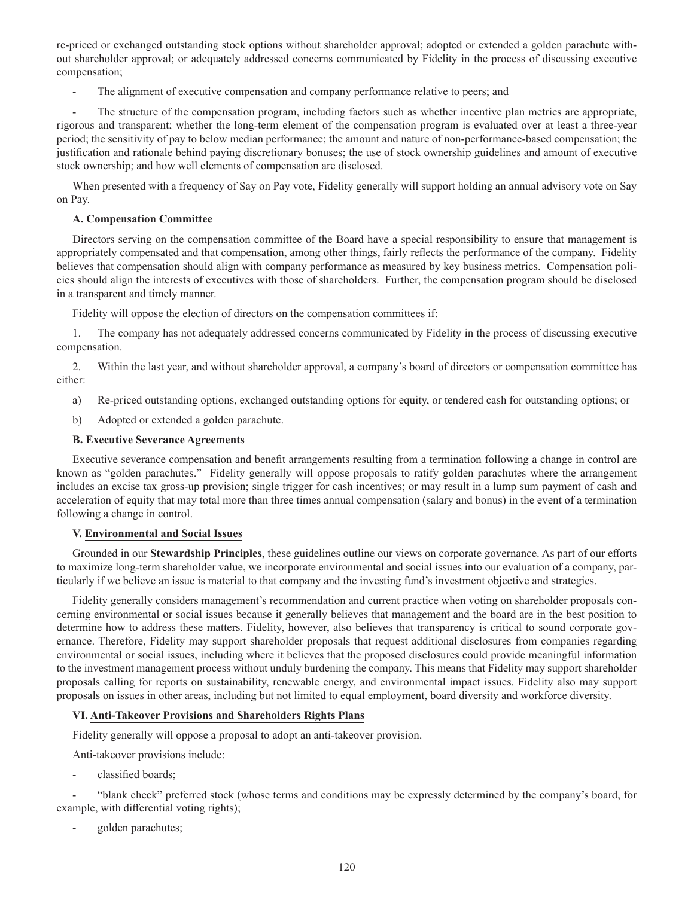re-priced or exchanged outstanding stock options without shareholder approval; adopted or extended a golden parachute without shareholder approval; or adequately addressed concerns communicated by Fidelity in the process of discussing executive compensation;

The alignment of executive compensation and company performance relative to peers; and

The structure of the compensation program, including factors such as whether incentive plan metrics are appropriate, rigorous and transparent; whether the long-term element of the compensation program is evaluated over at least a three-year period; the sensitivity of pay to below median performance; the amount and nature of non-performance-based compensation; the justification and rationale behind paying discretionary bonuses; the use of stock ownership guidelines and amount of executive stock ownership; and how well elements of compensation are disclosed.

When presented with a frequency of Say on Pay vote, Fidelity generally will support holding an annual advisory vote on Say on Pay.

# **A. Compensation Committee**

Directors serving on the compensation committee of the Board have a special responsibility to ensure that management is appropriately compensated and that compensation, among other things, fairly reflects the performance of the company. Fidelity believes that compensation should align with company performance as measured by key business metrics. Compensation policies should align the interests of executives with those of shareholders. Further, the compensation program should be disclosed in a transparent and timely manner.

Fidelity will oppose the election of directors on the compensation committees if:

1. The company has not adequately addressed concerns communicated by Fidelity in the process of discussing executive compensation.

2. Within the last year, and without shareholder approval, a company's board of directors or compensation committee has either:

- a) Re-priced outstanding options, exchanged outstanding options for equity, or tendered cash for outstanding options; or
- b) Adopted or extended a golden parachute.

# **B. Executive Severance Agreements**

Executive severance compensation and benefit arrangements resulting from a termination following a change in control are known as "golden parachutes." Fidelity generally will oppose proposals to ratify golden parachutes where the arrangement includes an excise tax gross-up provision; single trigger for cash incentives; or may result in a lump sum payment of cash and acceleration of equity that may total more than three times annual compensation (salary and bonus) in the event of a termination following a change in control.

### **V. Environmental and Social Issues**

Grounded in our **Stewardship Principles**, these guidelines outline our views on corporate governance. As part of our efforts to maximize long-term shareholder value, we incorporate environmental and social issues into our evaluation of a company, particularly if we believe an issue is material to that company and the investing fund's investment objective and strategies.

Fidelity generally considers management's recommendation and current practice when voting on shareholder proposals concerning environmental or social issues because it generally believes that management and the board are in the best position to determine how to address these matters. Fidelity, however, also believes that transparency is critical to sound corporate governance. Therefore, Fidelity may support shareholder proposals that request additional disclosures from companies regarding environmental or social issues, including where it believes that the proposed disclosures could provide meaningful information to the investment management process without unduly burdening the company. This means that Fidelity may support shareholder proposals calling for reports on sustainability, renewable energy, and environmental impact issues. Fidelity also may support proposals on issues in other areas, including but not limited to equal employment, board diversity and workforce diversity.

# **VI. Anti-Takeover Provisions and Shareholders Rights Plans**

Fidelity generally will oppose a proposal to adopt an anti-takeover provision.

Anti-takeover provisions include:

classified boards;

- "blank check" preferred stock (whose terms and conditions may be expressly determined by the company's board, for example, with differential voting rights);

golden parachutes;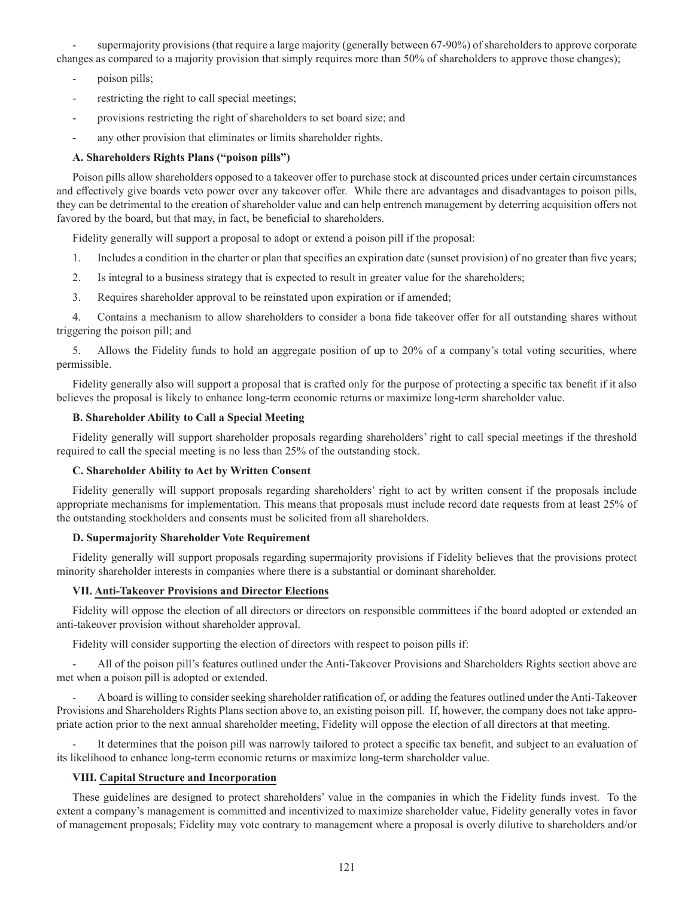supermajority provisions (that require a large majority (generally between 67-90%) of shareholders to approve corporate changes as compared to a majority provision that simply requires more than 50% of shareholders to approve those changes);

- poison pills;
- restricting the right to call special meetings;
- provisions restricting the right of shareholders to set board size; and
- any other provision that eliminates or limits shareholder rights.

# **A. Shareholders Rights Plans ("poison pills")**

Poison pills allow shareholders opposed to a takeover offer to purchase stock at discounted prices under certain circumstances and effectively give boards veto power over any takeover offer. While there are advantages and disadvantages to poison pills, they can be detrimental to the creation of shareholder value and can help entrench management by deterring acquisition offers not favored by the board, but that may, in fact, be beneficial to shareholders.

Fidelity generally will support a proposal to adopt or extend a poison pill if the proposal:

- 1. Includes a condition in the charter or plan that specifies an expiration date (sunset provision) of no greater than five years;
- 2. Is integral to a business strategy that is expected to result in greater value for the shareholders;
- 3. Requires shareholder approval to be reinstated upon expiration or if amended;

4. Contains a mechanism to allow shareholders to consider a bona fide takeover offer for all outstanding shares without triggering the poison pill; and

5. Allows the Fidelity funds to hold an aggregate position of up to 20% of a company's total voting securities, where permissible.

Fidelity generally also will support a proposal that is crafted only for the purpose of protecting a specific tax benefit if it also believes the proposal is likely to enhance long-term economic returns or maximize long-term shareholder value.

# **B. Shareholder Ability to Call a Special Meeting**

Fidelity generally will support shareholder proposals regarding shareholders' right to call special meetings if the threshold required to call the special meeting is no less than 25% of the outstanding stock.

### **C. Shareholder Ability to Act by Written Consent**

Fidelity generally will support proposals regarding shareholders' right to act by written consent if the proposals include appropriate mechanisms for implementation. This means that proposals must include record date requests from at least 25% of the outstanding stockholders and consents must be solicited from all shareholders.

### **D. Supermajority Shareholder Vote Requirement**

Fidelity generally will support proposals regarding supermajority provisions if Fidelity believes that the provisions protect minority shareholder interests in companies where there is a substantial or dominant shareholder.

# **VII. Anti-Takeover Provisions and Director Elections**

Fidelity will oppose the election of all directors or directors on responsible committees if the board adopted or extended an anti-takeover provision without shareholder approval.

Fidelity will consider supporting the election of directors with respect to poison pills if:

- All of the poison pill's features outlined under the Anti-Takeover Provisions and Shareholders Rights section above are met when a poison pill is adopted or extended.

- A board is willing to consider seeking shareholder ratification of, or adding the features outlined under the Anti-Takeover Provisions and Shareholders Rights Plans section above to, an existing poison pill. If, however, the company does not take appropriate action prior to the next annual shareholder meeting, Fidelity will oppose the election of all directors at that meeting.

It determines that the poison pill was narrowly tailored to protect a specific tax benefit, and subject to an evaluation of its likelihood to enhance long-term economic returns or maximize long-term shareholder value.

# **VIII. Capital Structure and Incorporation**

These guidelines are designed to protect shareholders' value in the companies in which the Fidelity funds invest. To the extent a company's management is committed and incentivized to maximize shareholder value, Fidelity generally votes in favor of management proposals; Fidelity may vote contrary to management where a proposal is overly dilutive to shareholders and/or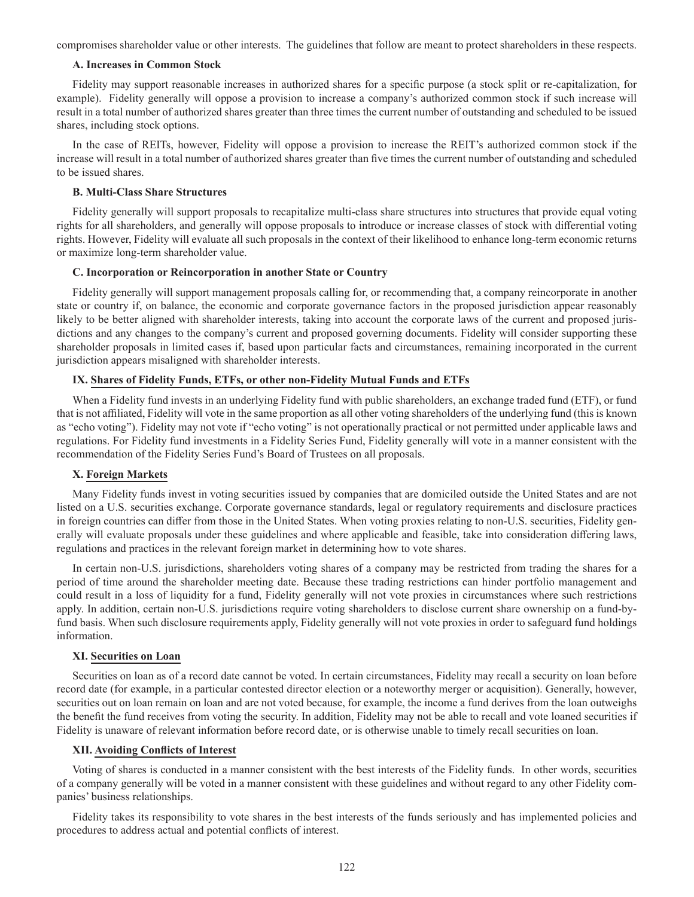compromises shareholder value or other interests. The guidelines that follow are meant to protect shareholders in these respects.

### **A. Increases in Common Stock**

Fidelity may support reasonable increases in authorized shares for a specific purpose (a stock split or re-capitalization, for example). Fidelity generally will oppose a provision to increase a company's authorized common stock if such increase will result in a total number of authorized shares greater than three times the current number of outstanding and scheduled to be issued shares, including stock options.

In the case of REITs, however, Fidelity will oppose a provision to increase the REIT's authorized common stock if the increase will result in a total number of authorized shares greater than five times the current number of outstanding and scheduled to be issued shares.

## **B. Multi-Class Share Structures**

Fidelity generally will support proposals to recapitalize multi-class share structures into structures that provide equal voting rights for all shareholders, and generally will oppose proposals to introduce or increase classes of stock with differential voting rights. However, Fidelity will evaluate all such proposals in the context of their likelihood to enhance long-term economic returns or maximize long-term shareholder value.

#### **C. Incorporation or Reincorporation in another State or Country**

Fidelity generally will support management proposals calling for, or recommending that, a company reincorporate in another state or country if, on balance, the economic and corporate governance factors in the proposed jurisdiction appear reasonably likely to be better aligned with shareholder interests, taking into account the corporate laws of the current and proposed jurisdictions and any changes to the company's current and proposed governing documents. Fidelity will consider supporting these shareholder proposals in limited cases if, based upon particular facts and circumstances, remaining incorporated in the current jurisdiction appears misaligned with shareholder interests.

# **IX. Shares of Fidelity Funds, ETFs, or other non-Fidelity Mutual Funds and ETFs**

When a Fidelity fund invests in an underlying Fidelity fund with public shareholders, an exchange traded fund (ETF), or fund that is not affiliated, Fidelity will vote in the same proportion as all other voting shareholders of the underlying fund (this is known as "echo voting"). Fidelity may not vote if "echo voting" is not operationally practical or not permitted under applicable laws and regulations. For Fidelity fund investments in a Fidelity Series Fund, Fidelity generally will vote in a manner consistent with the recommendation of the Fidelity Series Fund's Board of Trustees on all proposals.

#### **X. Foreign Markets**

Many Fidelity funds invest in voting securities issued by companies that are domiciled outside the United States and are not listed on a U.S. securities exchange. Corporate governance standards, legal or regulatory requirements and disclosure practices in foreign countries can differ from those in the United States. When voting proxies relating to non-U.S. securities, Fidelity generally will evaluate proposals under these guidelines and where applicable and feasible, take into consideration differing laws, regulations and practices in the relevant foreign market in determining how to vote shares.

In certain non-U.S. jurisdictions, shareholders voting shares of a company may be restricted from trading the shares for a period of time around the shareholder meeting date. Because these trading restrictions can hinder portfolio management and could result in a loss of liquidity for a fund, Fidelity generally will not vote proxies in circumstances where such restrictions apply. In addition, certain non-U.S. jurisdictions require voting shareholders to disclose current share ownership on a fund-byfund basis. When such disclosure requirements apply, Fidelity generally will not vote proxies in order to safeguard fund holdings information.

#### **XI. Securities on Loan**

Securities on loan as of a record date cannot be voted. In certain circumstances, Fidelity may recall a security on loan before record date (for example, in a particular contested director election or a noteworthy merger or acquisition). Generally, however, securities out on loan remain on loan and are not voted because, for example, the income a fund derives from the loan outweighs the benefit the fund receives from voting the security. In addition, Fidelity may not be able to recall and vote loaned securities if Fidelity is unaware of relevant information before record date, or is otherwise unable to timely recall securities on loan.

#### **XII. Avoiding Conflicts of Interest**

Voting of shares is conducted in a manner consistent with the best interests of the Fidelity funds. In other words, securities of a company generally will be voted in a manner consistent with these guidelines and without regard to any other Fidelity companies' business relationships.

Fidelity takes its responsibility to vote shares in the best interests of the funds seriously and has implemented policies and procedures to address actual and potential conflicts of interest.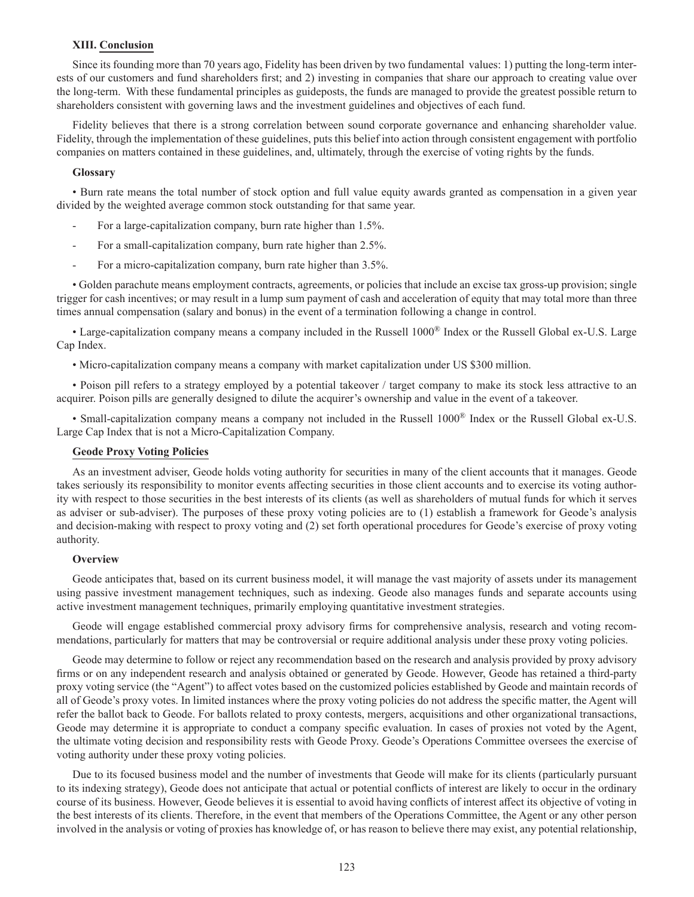### **XIII. Conclusion**

Since its founding more than 70 years ago, Fidelity has been driven by two fundamental values: 1) putting the long-term interests of our customers and fund shareholders first; and 2) investing in companies that share our approach to creating value over the long-term. With these fundamental principles as guideposts, the funds are managed to provide the greatest possible return to shareholders consistent with governing laws and the investment guidelines and objectives of each fund.

Fidelity believes that there is a strong correlation between sound corporate governance and enhancing shareholder value. Fidelity, through the implementation of these guidelines, puts this belief into action through consistent engagement with portfolio companies on matters contained in these guidelines, and, ultimately, through the exercise of voting rights by the funds.

#### **Glossary**

• Burn rate means the total number of stock option and full value equity awards granted as compensation in a given year divided by the weighted average common stock outstanding for that same year.

- For a large-capitalization company, burn rate higher than 1.5%.
- For a small-capitalization company, burn rate higher than 2.5%.
- For a micro-capitalization company, burn rate higher than 3.5%.

• Golden parachute means employment contracts, agreements, or policies that include an excise tax gross-up provision; single trigger for cash incentives; or may result in a lump sum payment of cash and acceleration of equity that may total more than three times annual compensation (salary and bonus) in the event of a termination following a change in control.

• Large-capitalization company means a company included in the Russell 1000® Index or the Russell Global ex-U.S. Large Cap Index.

• Micro-capitalization company means a company with market capitalization under US \$300 million.

• Poison pill refers to a strategy employed by a potential takeover / target company to make its stock less attractive to an acquirer. Poison pills are generally designed to dilute the acquirer's ownership and value in the event of a takeover.

• Small-capitalization company means a company not included in the Russell 1000® Index or the Russell Global ex-U.S. Large Cap Index that is not a Micro-Capitalization Company.

#### **Geode Proxy Voting Policies**

As an investment adviser, Geode holds voting authority for securities in many of the client accounts that it manages. Geode takes seriously its responsibility to monitor events affecting securities in those client accounts and to exercise its voting authority with respect to those securities in the best interests of its clients (as well as shareholders of mutual funds for which it serves as adviser or sub-adviser). The purposes of these proxy voting policies are to (1) establish a framework for Geode's analysis and decision-making with respect to proxy voting and (2) set forth operational procedures for Geode's exercise of proxy voting authority.

## **Overview**

Geode anticipates that, based on its current business model, it will manage the vast majority of assets under its management using passive investment management techniques, such as indexing. Geode also manages funds and separate accounts using active investment management techniques, primarily employing quantitative investment strategies.

Geode will engage established commercial proxy advisory firms for comprehensive analysis, research and voting recommendations, particularly for matters that may be controversial or require additional analysis under these proxy voting policies.

Geode may determine to follow or reject any recommendation based on the research and analysis provided by proxy advisory firms or on any independent research and analysis obtained or generated by Geode. However, Geode has retained a third-party proxy voting service (the "Agent") to affect votes based on the customized policies established by Geode and maintain records of all of Geode's proxy votes. In limited instances where the proxy voting policies do not address the specific matter, the Agent will refer the ballot back to Geode. For ballots related to proxy contests, mergers, acquisitions and other organizational transactions, Geode may determine it is appropriate to conduct a company specific evaluation. In cases of proxies not voted by the Agent, the ultimate voting decision and responsibility rests with Geode Proxy. Geode's Operations Committee oversees the exercise of voting authority under these proxy voting policies.

Due to its focused business model and the number of investments that Geode will make for its clients (particularly pursuant to its indexing strategy), Geode does not anticipate that actual or potential conflicts of interest are likely to occur in the ordinary course of its business. However, Geode believes it is essential to avoid having conflicts of interest affect its objective of voting in the best interests of its clients. Therefore, in the event that members of the Operations Committee, the Agent or any other person involved in the analysis or voting of proxies has knowledge of, or has reason to believe there may exist, any potential relationship,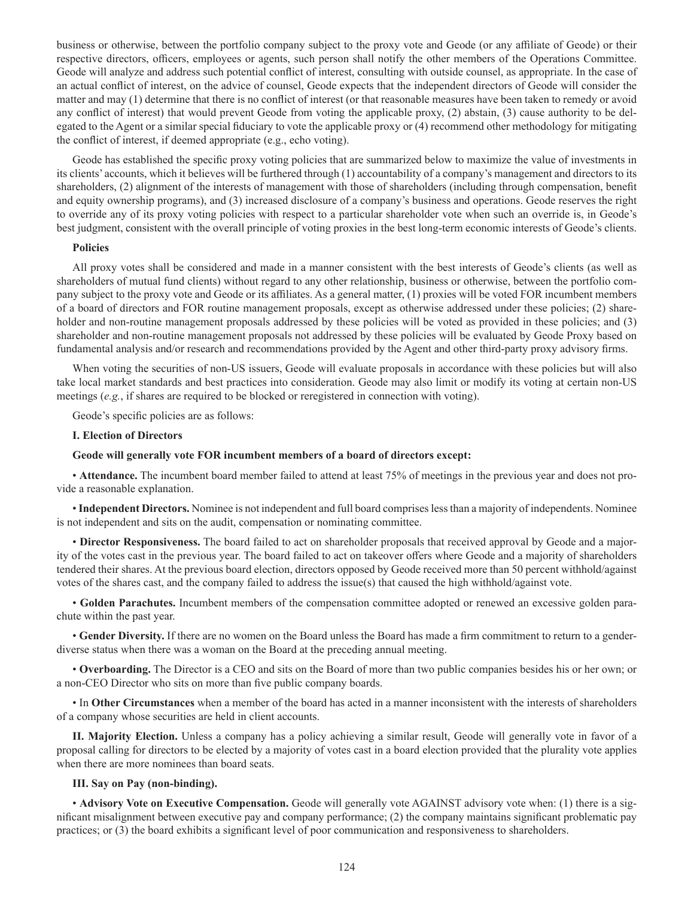business or otherwise, between the portfolio company subject to the proxy vote and Geode (or any affiliate of Geode) or their respective directors, officers, employees or agents, such person shall notify the other members of the Operations Committee. Geode will analyze and address such potential conflict of interest, consulting with outside counsel, as appropriate. In the case of an actual conflict of interest, on the advice of counsel, Geode expects that the independent directors of Geode will consider the matter and may (1) determine that there is no conflict of interest (or that reasonable measures have been taken to remedy or avoid any conflict of interest) that would prevent Geode from voting the applicable proxy, (2) abstain, (3) cause authority to be delegated to the Agent or a similar special fiduciary to vote the applicable proxy or (4) recommend other methodology for mitigating the conflict of interest, if deemed appropriate (e.g., echo voting).

Geode has established the specific proxy voting policies that are summarized below to maximize the value of investments in its clients' accounts, which it believes will be furthered through (1) accountability of a company's management and directors to its shareholders, (2) alignment of the interests of management with those of shareholders (including through compensation, benefit and equity ownership programs), and (3) increased disclosure of a company's business and operations. Geode reserves the right to override any of its proxy voting policies with respect to a particular shareholder vote when such an override is, in Geode's best judgment, consistent with the overall principle of voting proxies in the best long-term economic interests of Geode's clients.

#### **Policies**

All proxy votes shall be considered and made in a manner consistent with the best interests of Geode's clients (as well as shareholders of mutual fund clients) without regard to any other relationship, business or otherwise, between the portfolio company subject to the proxy vote and Geode or its affiliates. As a general matter, (1) proxies will be voted FOR incumbent members of a board of directors and FOR routine management proposals, except as otherwise addressed under these policies; (2) shareholder and non-routine management proposals addressed by these policies will be voted as provided in these policies; and (3) shareholder and non-routine management proposals not addressed by these policies will be evaluated by Geode Proxy based on fundamental analysis and/or research and recommendations provided by the Agent and other third-party proxy advisory firms.

When voting the securities of non-US issuers, Geode will evaluate proposals in accordance with these policies but will also take local market standards and best practices into consideration. Geode may also limit or modify its voting at certain non-US meetings (*e.g.*, if shares are required to be blocked or reregistered in connection with voting).

Geode's specific policies are as follows:

#### **I. Election of Directors**

#### **Geode will generally vote FOR incumbent members of a board of directors except:**

• **Attendance.** The incumbent board member failed to attend at least 75% of meetings in the previous year and does not provide a reasonable explanation.

• **Independent Directors.** Nominee is not independent and full board comprises less than a majority of independents. Nominee is not independent and sits on the audit, compensation or nominating committee.

• **Director Responsiveness.** The board failed to act on shareholder proposals that received approval by Geode and a majority of the votes cast in the previous year. The board failed to act on takeover offers where Geode and a majority of shareholders tendered their shares. At the previous board election, directors opposed by Geode received more than 50 percent withhold/against votes of the shares cast, and the company failed to address the issue(s) that caused the high withhold/against vote.

• **Golden Parachutes.** Incumbent members of the compensation committee adopted or renewed an excessive golden parachute within the past year.

• **Gender Diversity.** If there are no women on the Board unless the Board has made a firm commitment to return to a genderdiverse status when there was a woman on the Board at the preceding annual meeting.

• **Overboarding.** The Director is a CEO and sits on the Board of more than two public companies besides his or her own; or a non-CEO Director who sits on more than five public company boards.

• In **Other Circumstances** when a member of the board has acted in a manner inconsistent with the interests of shareholders of a company whose securities are held in client accounts.

**II. Majority Election.** Unless a company has a policy achieving a similar result, Geode will generally vote in favor of a proposal calling for directors to be elected by a majority of votes cast in a board election provided that the plurality vote applies when there are more nominees than board seats.

### **III. Say on Pay (non-binding).**

• **Advisory Vote on Executive Compensation.** Geode will generally vote AGAINST advisory vote when: (1) there is a significant misalignment between executive pay and company performance; (2) the company maintains significant problematic pay practices; or (3) the board exhibits a significant level of poor communication and responsiveness to shareholders.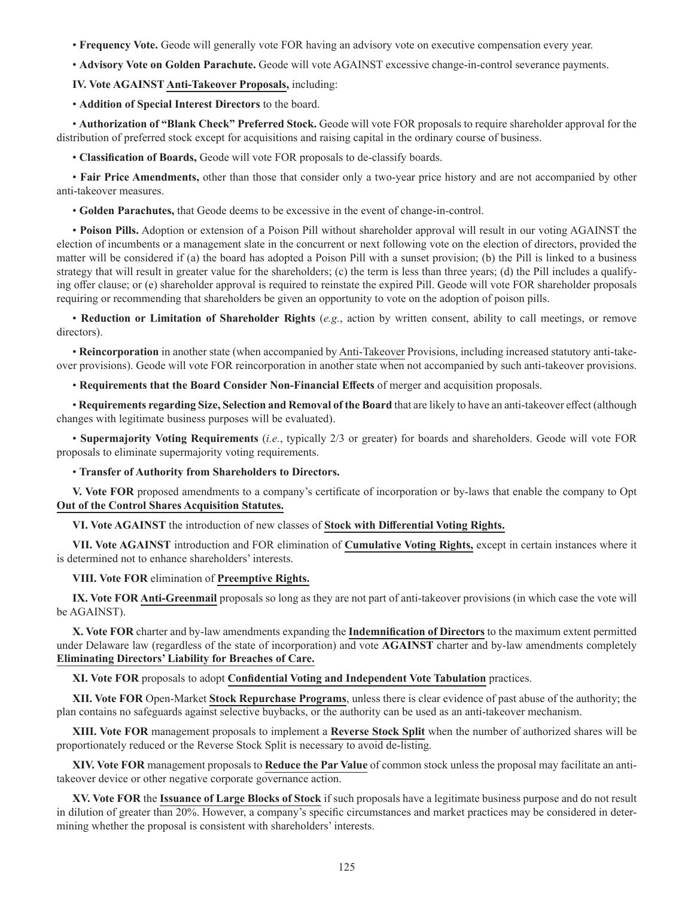• **Frequency Vote.** Geode will generally vote FOR having an advisory vote on executive compensation every year.

• **Advisory Vote on Golden Parachute.** Geode will vote AGAINST excessive change-in-control severance payments.

**IV. Vote AGAINST Anti-Takeover Proposals,** including:

• **Addition of Special Interest Directors** to the board.

• **Authorization of "Blank Check" Preferred Stock.** Geode will vote FOR proposals to require shareholder approval for the distribution of preferred stock except for acquisitions and raising capital in the ordinary course of business.

• **Classification of Boards,** Geode will vote FOR proposals to de-classify boards.

• **Fair Price Amendments,** other than those that consider only a two-year price history and are not accompanied by other anti-takeover measures.

• **Golden Parachutes,** that Geode deems to be excessive in the event of change-in-control.

• **Poison Pills.** Adoption or extension of a Poison Pill without shareholder approval will result in our voting AGAINST the election of incumbents or a management slate in the concurrent or next following vote on the election of directors, provided the matter will be considered if (a) the board has adopted a Poison Pill with a sunset provision; (b) the Pill is linked to a business strategy that will result in greater value for the shareholders; (c) the term is less than three years; (d) the Pill includes a qualifying offer clause; or (e) shareholder approval is required to reinstate the expired Pill. Geode will vote FOR shareholder proposals requiring or recommending that shareholders be given an opportunity to vote on the adoption of poison pills.

• **Reduction or Limitation of Shareholder Rights** (*e.g.*, action by written consent, ability to call meetings, or remove directors).

• **Reincorporation** in another state (when accompanied by Anti-Takeover Provisions, including increased statutory anti-takeover provisions). Geode will vote FOR reincorporation in another state when not accompanied by such anti-takeover provisions.

• **Requirements that the Board Consider Non-Financial Effects** of merger and acquisition proposals.

• **Requirements regarding Size, Selection and Removal of the Board** that are likely to have an anti-takeover effect (although changes with legitimate business purposes will be evaluated).

• **Supermajority Voting Requirements** (*i.e.*, typically 2/3 or greater) for boards and shareholders. Geode will vote FOR proposals to eliminate supermajority voting requirements.

• **Transfer of Authority from Shareholders to Directors.**

**V. Vote FOR** proposed amendments to a company's certificate of incorporation or by-laws that enable the company to Opt **Out of the Control Shares Acquisition Statutes.**

**VI. Vote AGAINST** the introduction of new classes of **Stock with Differential Voting Rights.**

**VII. Vote AGAINST** introduction and FOR elimination of **Cumulative Voting Rights,** except in certain instances where it is determined not to enhance shareholders' interests.

**VIII. Vote FOR** elimination of **Preemptive Rights.**

**IX. Vote FOR Anti-Greenmail** proposals so long as they are not part of anti-takeover provisions (in which case the vote will be AGAINST).

**X. Vote FOR** charter and by-law amendments expanding the **Indemnification of Directors** to the maximum extent permitted under Delaware law (regardless of the state of incorporation) and vote **AGAINST** charter and by-law amendments completely **Eliminating Directors' Liability for Breaches of Care.**

**XI. Vote FOR** proposals to adopt **Confidential Voting and Independent Vote Tabulation** practices.

**XII. Vote FOR** Open-Market **Stock Repurchase Programs**, unless there is clear evidence of past abuse of the authority; the plan contains no safeguards against selective buybacks, or the authority can be used as an anti-takeover mechanism.

**XIII. Vote FOR** management proposals to implement a **Reverse Stock Split** when the number of authorized shares will be proportionately reduced or the Reverse Stock Split is necessary to avoid de-listing.

**XIV. Vote FOR** management proposals to **Reduce the Par Value** of common stock unless the proposal may facilitate an antitakeover device or other negative corporate governance action.

**XV. Vote FOR** the **Issuance of Large Blocks of Stock** if such proposals have a legitimate business purpose and do not result in dilution of greater than 20%. However, a company's specific circumstances and market practices may be considered in determining whether the proposal is consistent with shareholders' interests.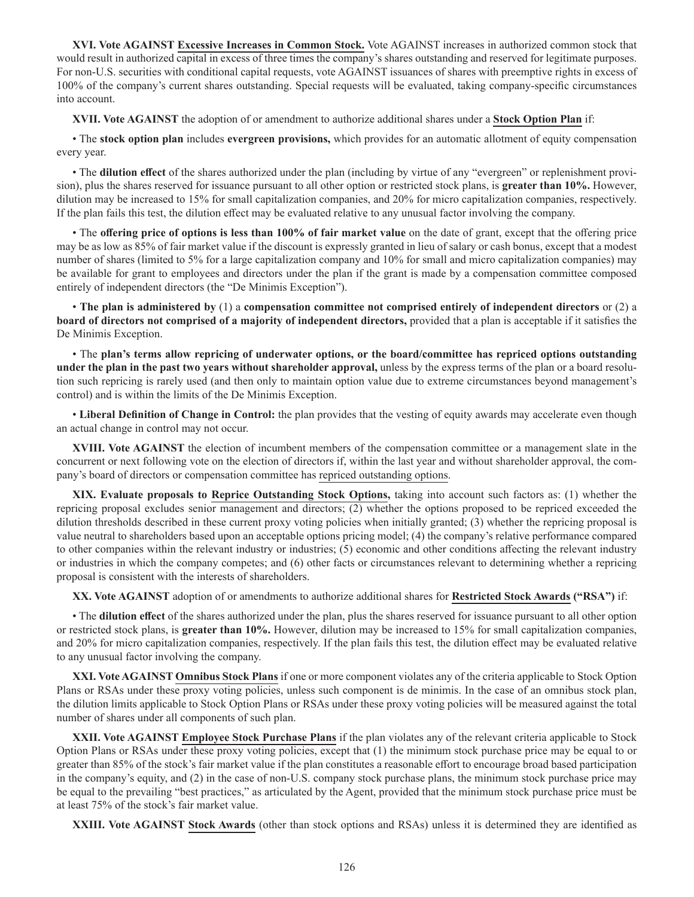**XVI. Vote AGAINST Excessive Increases in Common Stock.** Vote AGAINST increases in authorized common stock that would result in authorized capital in excess of three times the company's shares outstanding and reserved for legitimate purposes. For non-U.S. securities with conditional capital requests, vote AGAINST issuances of shares with preemptive rights in excess of 100% of the company's current shares outstanding. Special requests will be evaluated, taking company-specific circumstances into account.

**XVII. Vote AGAINST** the adoption of or amendment to authorize additional shares under a **Stock Option Plan** if:

• The **stock option plan** includes **evergreen provisions,** which provides for an automatic allotment of equity compensation every year.

• The **dilution effect** of the shares authorized under the plan (including by virtue of any "evergreen" or replenishment provision), plus the shares reserved for issuance pursuant to all other option or restricted stock plans, is **greater than 10%.** However, dilution may be increased to 15% for small capitalization companies, and 20% for micro capitalization companies, respectively. If the plan fails this test, the dilution effect may be evaluated relative to any unusual factor involving the company.

• The **offering price of options is less than 100% of fair market value** on the date of grant, except that the offering price may be as low as 85% of fair market value if the discount is expressly granted in lieu of salary or cash bonus, except that a modest number of shares (limited to 5% for a large capitalization company and 10% for small and micro capitalization companies) may be available for grant to employees and directors under the plan if the grant is made by a compensation committee composed entirely of independent directors (the "De Minimis Exception").

• **The plan is administered by** (1) a **compensation committee not comprised entirely of independent directors** or (2) a **board of directors not comprised of a majority of independent directors,** provided that a plan is acceptable if it satisfies the De Minimis Exception.

• The **plan's terms allow repricing of underwater options, or the board/committee has repriced options outstanding under the plan in the past two years without shareholder approval,** unless by the express terms of the plan or a board resolution such repricing is rarely used (and then only to maintain option value due to extreme circumstances beyond management's control) and is within the limits of the De Minimis Exception.

• **Liberal Definition of Change in Control:** the plan provides that the vesting of equity awards may accelerate even though an actual change in control may not occur.

**XVIII. Vote AGAINST** the election of incumbent members of the compensation committee or a management slate in the concurrent or next following vote on the election of directors if, within the last year and without shareholder approval, the company's board of directors or compensation committee has repriced outstanding options.

**XIX. Evaluate proposals to Reprice Outstanding Stock Options,** taking into account such factors as: (1) whether the repricing proposal excludes senior management and directors; (2) whether the options proposed to be repriced exceeded the dilution thresholds described in these current proxy voting policies when initially granted; (3) whether the repricing proposal is value neutral to shareholders based upon an acceptable options pricing model; (4) the company's relative performance compared to other companies within the relevant industry or industries; (5) economic and other conditions affecting the relevant industry or industries in which the company competes; and (6) other facts or circumstances relevant to determining whether a repricing proposal is consistent with the interests of shareholders.

**XX. Vote AGAINST** adoption of or amendments to authorize additional shares for **Restricted Stock Awards ("RSA")** if:

• The **dilution effect** of the shares authorized under the plan, plus the shares reserved for issuance pursuant to all other option or restricted stock plans, is **greater than 10%.** However, dilution may be increased to 15% for small capitalization companies, and 20% for micro capitalization companies, respectively. If the plan fails this test, the dilution effect may be evaluated relative to any unusual factor involving the company.

**XXI. Vote AGAINST Omnibus Stock Plans** if one or more component violates any of the criteria applicable to Stock Option Plans or RSAs under these proxy voting policies, unless such component is de minimis. In the case of an omnibus stock plan, the dilution limits applicable to Stock Option Plans or RSAs under these proxy voting policies will be measured against the total number of shares under all components of such plan.

**XXII. Vote AGAINST Employee Stock Purchase Plans** if the plan violates any of the relevant criteria applicable to Stock Option Plans or RSAs under these proxy voting policies, except that (1) the minimum stock purchase price may be equal to or greater than 85% of the stock's fair market value if the plan constitutes a reasonable effort to encourage broad based participation in the company's equity, and (2) in the case of non-U.S. company stock purchase plans, the minimum stock purchase price may be equal to the prevailing "best practices," as articulated by the Agent, provided that the minimum stock purchase price must be at least 75% of the stock's fair market value.

**XXIII. Vote AGAINST Stock Awards** (other than stock options and RSAs) unless it is determined they are identified as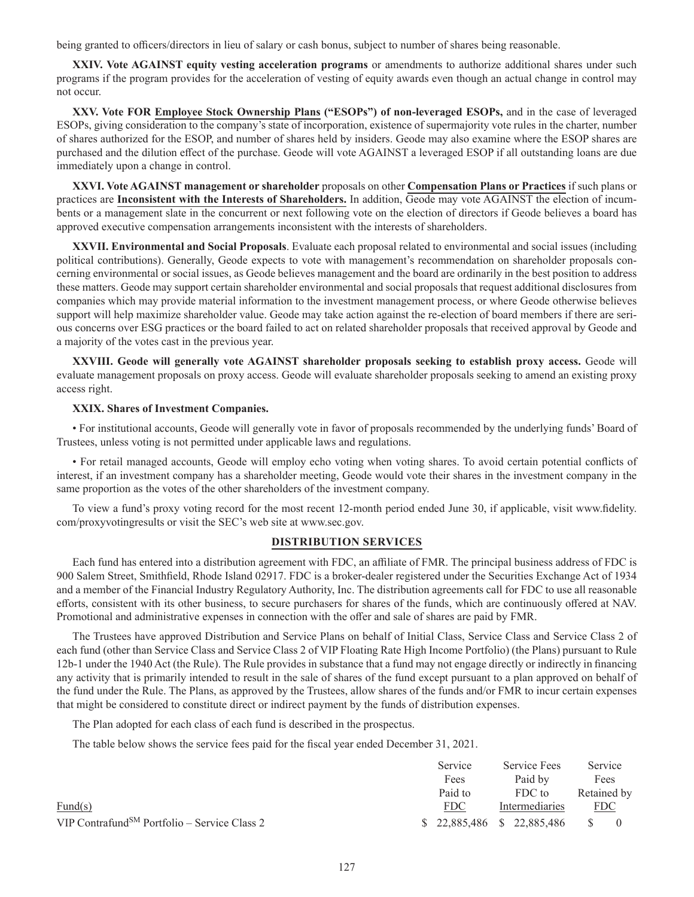being granted to officers/directors in lieu of salary or cash bonus, subject to number of shares being reasonable.

**XXIV. Vote AGAINST equity vesting acceleration programs** or amendments to authorize additional shares under such programs if the program provides for the acceleration of vesting of equity awards even though an actual change in control may not occur.

**XXV. Vote FOR Employee Stock Ownership Plans ("ESOPs") of non-leveraged ESOPs,** and in the case of leveraged ESOPs, giving consideration to the company's state of incorporation, existence of supermajority vote rules in the charter, number of shares authorized for the ESOP, and number of shares held by insiders. Geode may also examine where the ESOP shares are purchased and the dilution effect of the purchase. Geode will vote AGAINST a leveraged ESOP if all outstanding loans are due immediately upon a change in control.

**XXVI. Vote AGAINST management or shareholder** proposals on other **Compensation Plans or Practices** if such plans or practices are **Inconsistent with the Interests of Shareholders.** In addition, Geode may vote AGAINST the election of incumbents or a management slate in the concurrent or next following vote on the election of directors if Geode believes a board has approved executive compensation arrangements inconsistent with the interests of shareholders.

**XXVII. Environmental and Social Proposals**. Evaluate each proposal related to environmental and social issues (including political contributions). Generally, Geode expects to vote with management's recommendation on shareholder proposals concerning environmental or social issues, as Geode believes management and the board are ordinarily in the best position to address these matters. Geode may support certain shareholder environmental and social proposals that request additional disclosures from companies which may provide material information to the investment management process, or where Geode otherwise believes support will help maximize shareholder value. Geode may take action against the re-election of board members if there are serious concerns over ESG practices or the board failed to act on related shareholder proposals that received approval by Geode and a majority of the votes cast in the previous year.

**XXVIII. Geode will generally vote AGAINST shareholder proposals seeking to establish proxy access.** Geode will evaluate management proposals on proxy access. Geode will evaluate shareholder proposals seeking to amend an existing proxy access right.

# **XXIX. Shares of Investment Companies.**

• For institutional accounts, Geode will generally vote in favor of proposals recommended by the underlying funds' Board of Trustees, unless voting is not permitted under applicable laws and regulations.

• For retail managed accounts, Geode will employ echo voting when voting shares. To avoid certain potential conflicts of interest, if an investment company has a shareholder meeting, Geode would vote their shares in the investment company in the same proportion as the votes of the other shareholders of the investment company.

To view a fund's proxy voting record for the most recent 12-month period ended June 30, if applicable, visit www.fidelity. com/proxyvotingresults or visit the SEC's web site at www.sec.gov.

# **DISTRIBUTION SERVICES**

Each fund has entered into a distribution agreement with FDC, an affiliate of FMR. The principal business address of FDC is 900 Salem Street, Smithfield, Rhode Island 02917. FDC is a broker-dealer registered under the Securities Exchange Act of 1934 and a member of the Financial Industry Regulatory Authority, Inc. The distribution agreements call for FDC to use all reasonable efforts, consistent with its other business, to secure purchasers for shares of the funds, which are continuously offered at NAV. Promotional and administrative expenses in connection with the offer and sale of shares are paid by FMR.

The Trustees have approved Distribution and Service Plans on behalf of Initial Class, Service Class and Service Class 2 of each fund (other than Service Class and Service Class 2 of VIP Floating Rate High Income Portfolio) (the Plans) pursuant to Rule 12b-1 under the 1940 Act (the Rule). The Rule provides in substance that a fund may not engage directly or indirectly in financing any activity that is primarily intended to result in the sale of shares of the fund except pursuant to a plan approved on behalf of the fund under the Rule. The Plans, as approved by the Trustees, allow shares of the funds and/or FMR to incur certain expenses that might be considered to constitute direct or indirect payment by the funds of distribution expenses.

The Plan adopted for each class of each fund is described in the prospectus.

The table below shows the service fees paid for the fiscal year ended December 31, 2021.

|                                                          | Service                     | Service Fees   |               | Service    |  |
|----------------------------------------------------------|-----------------------------|----------------|---------------|------------|--|
|                                                          | Fees                        | Paid by        |               | Fees       |  |
|                                                          | Paid to                     | FDC to         | Retained by   |            |  |
| $\text{Fund}(s)$                                         | <b>FDC</b>                  | Intermediaries |               | <u>FDC</u> |  |
| VIP Contrafund <sup>SM</sup> Portfolio – Service Class 2 | $$22,885,486$ $$22,885,486$ |                | $\mathcal{S}$ |            |  |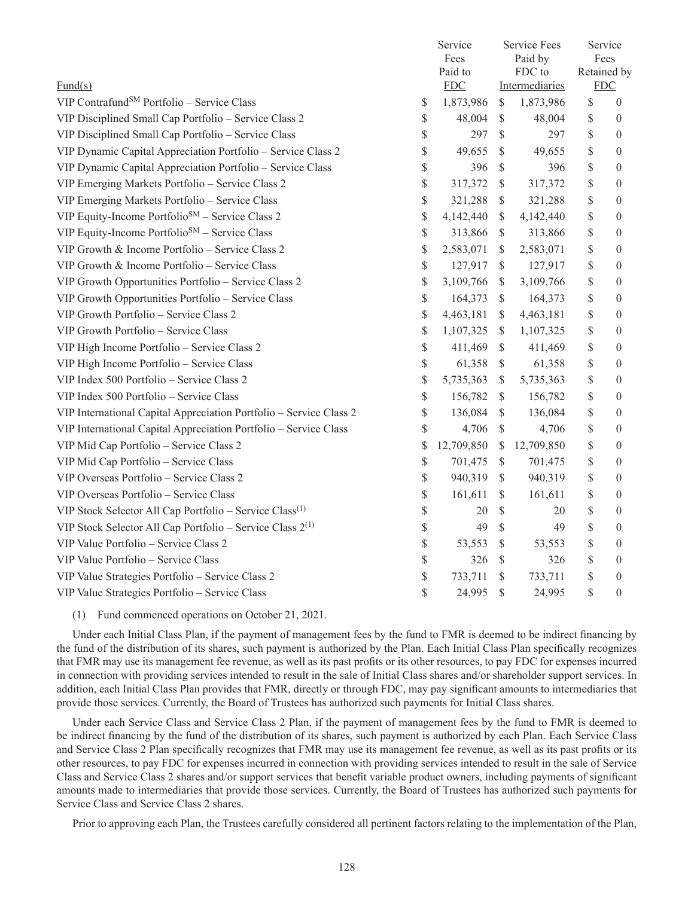|                                                                            | Service<br>Fees<br>Paid to<br>${\rm FDC}$ |                     |               | <b>Service Fees</b><br>Paid by<br>FDC to<br>Intermediaries |          | Service<br>Fees<br>Retained by<br><b>FDC</b> |                  |
|----------------------------------------------------------------------------|-------------------------------------------|---------------------|---------------|------------------------------------------------------------|----------|----------------------------------------------|------------------|
| $\text{Fund}(s)$<br>VIP Contrafund <sup>SM</sup> Portfolio - Service Class |                                           |                     | $\mathbb{S}$  |                                                            |          |                                              | $\theta$         |
|                                                                            | \$<br>\$                                  | 1,873,986<br>48,004 | $\mathcal{S}$ | 1,873,986                                                  | \$<br>\$ |                                              | $\theta$         |
| VIP Disciplined Small Cap Portfolio - Service Class 2                      |                                           |                     |               | 48,004                                                     |          |                                              |                  |
| VIP Disciplined Small Cap Portfolio - Service Class                        | \$                                        | 297                 | $\mathcal{S}$ | 297                                                        | \$       |                                              | $\theta$         |
| VIP Dynamic Capital Appreciation Portfolio - Service Class 2               | \$                                        | 49,655              | \$            | 49,655                                                     | \$       |                                              | $\mathbf{0}$     |
| VIP Dynamic Capital Appreciation Portfolio - Service Class                 | \$                                        | 396                 | $\mathcal{S}$ | 396                                                        | \$       |                                              | $\mathbf{0}$     |
| VIP Emerging Markets Portfolio - Service Class 2                           | \$                                        | 317,372             | $\mathcal{S}$ | 317,372                                                    | \$       |                                              | $\theta$         |
| VIP Emerging Markets Portfolio - Service Class                             | \$                                        | 321,288             | $\mathcal{S}$ | 321,288                                                    | \$       |                                              | $\mathbf{0}$     |
| VIP Equity-Income Portfolio <sup>SM</sup> - Service Class 2                | \$                                        | 4,142,440           | $\mathcal{S}$ | 4,142,440                                                  | \$       |                                              | $\theta$         |
| VIP Equity-Income Portfolio <sup>SM</sup> - Service Class                  | \$                                        | 313,866             | $\mathcal{S}$ | 313,866                                                    | \$       |                                              | $\theta$         |
| VIP Growth & Income Portfolio - Service Class 2                            | \$                                        | 2,583,071           | $\mathbb{S}$  | 2,583,071                                                  | \$       |                                              | $\mathbf{0}$     |
| VIP Growth & Income Portfolio - Service Class                              | \$                                        | 127,917             | $\mathcal{S}$ | 127,917                                                    | \$       |                                              | $\mathbf{0}$     |
| VIP Growth Opportunities Portfolio - Service Class 2                       | \$                                        | 3,109,766           | $\mathcal{S}$ | 3,109,766                                                  | \$       |                                              | $\overline{0}$   |
| VIP Growth Opportunities Portfolio - Service Class                         | \$                                        | 164,373             | $\mathcal{S}$ | 164,373                                                    | \$       |                                              | $\mathbf{0}$     |
| VIP Growth Portfolio - Service Class 2                                     | \$                                        | 4,463,181           | $\mathbb{S}$  | 4,463,181                                                  | \$       |                                              | $\theta$         |
| VIP Growth Portfolio - Service Class                                       | \$                                        | 1,107,325           | $\mathcal{S}$ | 1,107,325                                                  | \$       |                                              | $\mathbf{0}$     |
| VIP High Income Portfolio - Service Class 2                                | \$                                        | 411,469             | $\mathcal{S}$ | 411,469                                                    | \$       |                                              | $\mathbf{0}$     |
| VIP High Income Portfolio - Service Class                                  | \$                                        | 61,358              | $\mathcal{S}$ | 61,358                                                     | \$       |                                              | $\mathbf{0}$     |
| VIP Index 500 Portfolio - Service Class 2                                  | \$                                        | 5,735,363           | $\mathcal{S}$ | 5,735,363                                                  | \$       |                                              | $\overline{0}$   |
| VIP Index 500 Portfolio - Service Class                                    | \$                                        | 156,782             | $\mathcal{S}$ | 156,782                                                    | \$       |                                              | $\mathbf{0}$     |
| VIP International Capital Appreciation Portfolio - Service Class 2         | \$                                        | 136,084             | $\mathcal{S}$ | 136,084                                                    | \$       |                                              | $\overline{0}$   |
| VIP International Capital Appreciation Portfolio - Service Class           | \$                                        | 4,706               | $\mathcal{S}$ | 4,706                                                      | \$       |                                              | $\mathbf{0}$     |
| VIP Mid Cap Portfolio - Service Class 2                                    | 12,709,850<br>\$                          |                     | $\mathcal{S}$ | 12,709,850                                                 | \$       |                                              | $\mathbf{0}$     |
| VIP Mid Cap Portfolio - Service Class                                      | \$                                        | 701,475             | $\mathbb{S}$  | 701,475                                                    | \$       |                                              | $\boldsymbol{0}$ |
| VIP Overseas Portfolio - Service Class 2                                   | \$                                        | 940,319             | $\mathcal{S}$ | 940,319                                                    | \$       |                                              | $\mathbf{0}$     |
| VIP Overseas Portfolio - Service Class                                     | \$                                        | 161,611             | $\mathcal{S}$ | 161,611                                                    | \$       |                                              | $\mathbf{0}$     |
| VIP Stock Selector All Cap Portfolio - Service Class <sup>(1)</sup>        | \$                                        | 20                  | \$            | 20                                                         | \$       |                                              | $\overline{0}$   |
| VIP Stock Selector All Cap Portfolio – Service Class $2^{(1)}$             | \$                                        | 49                  | \$            | 49                                                         | \$       |                                              | $\theta$         |
| VIP Value Portfolio - Service Class 2                                      | \$                                        | 53,553              | \$            | 53,553                                                     | \$       |                                              | $\theta$         |
| VIP Value Portfolio - Service Class                                        | \$                                        | 326                 | $\$$          | 326                                                        | \$       |                                              | $\overline{0}$   |
| VIP Value Strategies Portfolio - Service Class 2                           | \$                                        | 733,711             | \$            | 733,711                                                    | \$       |                                              | $\theta$         |
| VIP Value Strategies Portfolio - Service Class                             | \$                                        | 24,995              | $\mathbb{S}$  | 24,995                                                     | \$       |                                              | $\theta$         |

(1) Fund commenced operations on October 21, 2021.

Under each Initial Class Plan, if the payment of management fees by the fund to FMR is deemed to be indirect financing by the fund of the distribution of its shares, such payment is authorized by the Plan. Each Initial Class Plan specifically recognizes that FMR may use its management fee revenue, as well as its past profits or its other resources, to pay FDC for expenses incurred in connection with providing services intended to result in the sale of Initial Class shares and/or shareholder support services. In addition, each Initial Class Plan provides that FMR, directly or through FDC, may pay significant amounts to intermediaries that provide those services. Currently, the Board of Trustees has authorized such payments for Initial Class shares.

Under each Service Class and Service Class 2 Plan, if the payment of management fees by the fund to FMR is deemed to be indirect financing by the fund of the distribution of its shares, such payment is authorized by each Plan. Each Service Class and Service Class 2 Plan specifically recognizes that FMR may use its management fee revenue, as well as its past profits or its other resources, to pay FDC for expenses incurred in connection with providing services intended to result in the sale of Service Class and Service Class 2 shares and/or support services that benefit variable product owners, including payments of significant amounts made to intermediaries that provide those services. Currently, the Board of Trustees has authorized such payments for Service Class and Service Class 2 shares.

Prior to approving each Plan, the Trustees carefully considered all pertinent factors relating to the implementation of the Plan,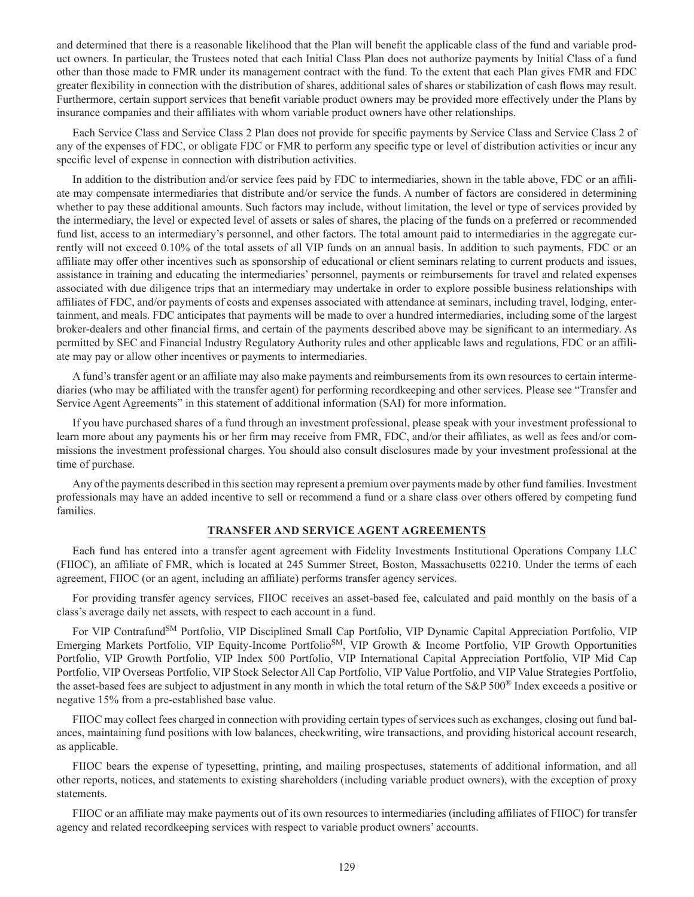and determined that there is a reasonable likelihood that the Plan will benefit the applicable class of the fund and variable product owners. In particular, the Trustees noted that each Initial Class Plan does not authorize payments by Initial Class of a fund other than those made to FMR under its management contract with the fund. To the extent that each Plan gives FMR and FDC greater flexibility in connection with the distribution of shares, additional sales of shares or stabilization of cash flows may result. Furthermore, certain support services that benefit variable product owners may be provided more effectively under the Plans by insurance companies and their affiliates with whom variable product owners have other relationships.

Each Service Class and Service Class 2 Plan does not provide for specific payments by Service Class and Service Class 2 of any of the expenses of FDC, or obligate FDC or FMR to perform any specific type or level of distribution activities or incur any specific level of expense in connection with distribution activities.

In addition to the distribution and/or service fees paid by FDC to intermediaries, shown in the table above, FDC or an affiliate may compensate intermediaries that distribute and/or service the funds. A number of factors are considered in determining whether to pay these additional amounts. Such factors may include, without limitation, the level or type of services provided by the intermediary, the level or expected level of assets or sales of shares, the placing of the funds on a preferred or recommended fund list, access to an intermediary's personnel, and other factors. The total amount paid to intermediaries in the aggregate currently will not exceed 0.10% of the total assets of all VIP funds on an annual basis. In addition to such payments, FDC or an affiliate may offer other incentives such as sponsorship of educational or client seminars relating to current products and issues, assistance in training and educating the intermediaries' personnel, payments or reimbursements for travel and related expenses associated with due diligence trips that an intermediary may undertake in order to explore possible business relationships with affiliates of FDC, and/or payments of costs and expenses associated with attendance at seminars, including travel, lodging, entertainment, and meals. FDC anticipates that payments will be made to over a hundred intermediaries, including some of the largest broker-dealers and other financial firms, and certain of the payments described above may be significant to an intermediary. As permitted by SEC and Financial Industry Regulatory Authority rules and other applicable laws and regulations, FDC or an affiliate may pay or allow other incentives or payments to intermediaries.

A fund's transfer agent or an affiliate may also make payments and reimbursements from its own resources to certain intermediaries (who may be affiliated with the transfer agent) for performing recordkeeping and other services. Please see "Transfer and Service Agent Agreements" in this statement of additional information (SAI) for more information.

If you have purchased shares of a fund through an investment professional, please speak with your investment professional to learn more about any payments his or her firm may receive from FMR, FDC, and/or their affiliates, as well as fees and/or commissions the investment professional charges. You should also consult disclosures made by your investment professional at the time of purchase.

Any of the payments described in this section may represent a premium over payments made by other fund families. Investment professionals may have an added incentive to sell or recommend a fund or a share class over others offered by competing fund families.

#### **TRANSFER AND SERVICE AGENT AGREEMENTS**

Each fund has entered into a transfer agent agreement with Fidelity Investments Institutional Operations Company LLC (FIIOC), an affiliate of FMR, which is located at 245 Summer Street, Boston, Massachusetts 02210. Under the terms of each agreement, FIIOC (or an agent, including an affiliate) performs transfer agency services.

For providing transfer agency services, FIIOC receives an asset-based fee, calculated and paid monthly on the basis of a class's average daily net assets, with respect to each account in a fund.

For VIP Contrafund<sup>SM</sup> Portfolio, VIP Disciplined Small Cap Portfolio, VIP Dynamic Capital Appreciation Portfolio, VIP Emerging Markets Portfolio, VIP Equity-Income Portfolio<sup>SM</sup>, VIP Growth & Income Portfolio, VIP Growth Opportunities Portfolio, VIP Growth Portfolio, VIP Index 500 Portfolio, VIP International Capital Appreciation Portfolio, VIP Mid Cap Portfolio, VIP Overseas Portfolio, VIP Stock Selector All Cap Portfolio, VIP Value Portfolio, and VIP Value Strategies Portfolio, the asset-based fees are subject to adjustment in any month in which the total return of the S&P 500® Index exceeds a positive or negative 15% from a pre-established base value.

FIIOC may collect fees charged in connection with providing certain types of services such as exchanges, closing out fund balances, maintaining fund positions with low balances, checkwriting, wire transactions, and providing historical account research, as applicable.

FIIOC bears the expense of typesetting, printing, and mailing prospectuses, statements of additional information, and all other reports, notices, and statements to existing shareholders (including variable product owners), with the exception of proxy statements.

FIIOC or an affiliate may make payments out of its own resources to intermediaries (including affiliates of FIIOC) for transfer agency and related recordkeeping services with respect to variable product owners' accounts.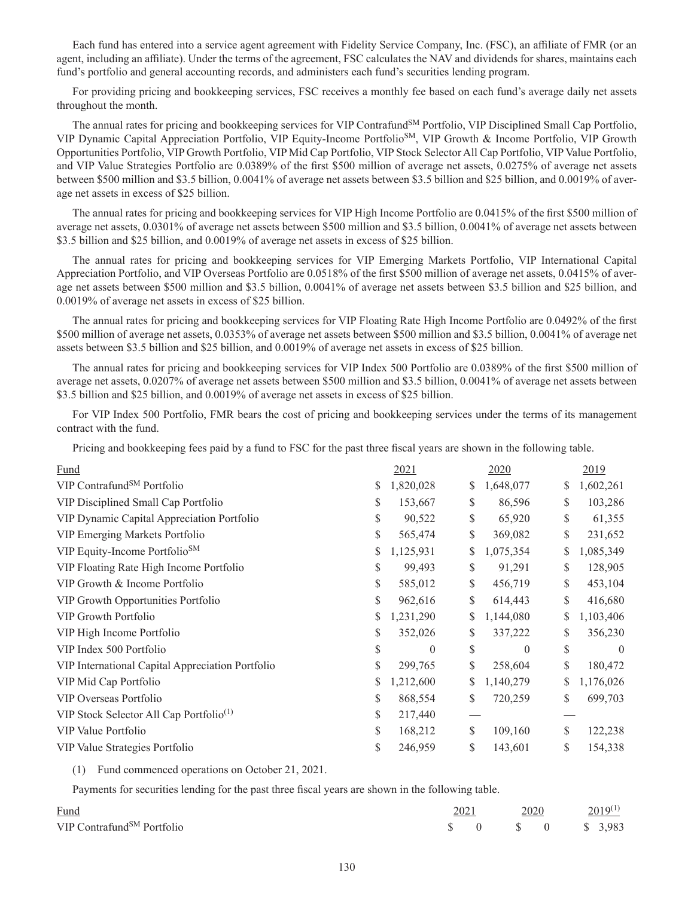Each fund has entered into a service agent agreement with Fidelity Service Company, Inc. (FSC), an affiliate of FMR (or an agent, including an affiliate). Under the terms of the agreement, FSC calculates the NAV and dividends for shares, maintains each fund's portfolio and general accounting records, and administers each fund's securities lending program.

For providing pricing and bookkeeping services, FSC receives a monthly fee based on each fund's average daily net assets throughout the month.

The annual rates for pricing and bookkeeping services for VIP Contrafund<sup>SM</sup> Portfolio, VIP Disciplined Small Cap Portfolio, VIP Dynamic Capital Appreciation Portfolio, VIP Equity-Income PortfolioSM, VIP Growth & Income Portfolio, VIP Growth Opportunities Portfolio, VIP Growth Portfolio, VIP Mid Cap Portfolio, VIP Stock Selector All Cap Portfolio, VIP Value Portfolio, and VIP Value Strategies Portfolio are 0.0389% of the first \$500 million of average net assets, 0.0275% of average net assets between \$500 million and \$3.5 billion, 0.0041% of average net assets between \$3.5 billion and \$25 billion, and 0.0019% of average net assets in excess of \$25 billion.

The annual rates for pricing and bookkeeping services for VIP High Income Portfolio are 0.0415% of the first \$500 million of average net assets, 0.0301% of average net assets between \$500 million and \$3.5 billion, 0.0041% of average net assets between \$3.5 billion and \$25 billion, and 0.0019% of average net assets in excess of \$25 billion.

The annual rates for pricing and bookkeeping services for VIP Emerging Markets Portfolio, VIP International Capital Appreciation Portfolio, and VIP Overseas Portfolio are 0.0518% of the first \$500 million of average net assets, 0.0415% of average net assets between \$500 million and \$3.5 billion, 0.0041% of average net assets between \$3.5 billion and \$25 billion, and 0.0019% of average net assets in excess of \$25 billion.

The annual rates for pricing and bookkeeping services for VIP Floating Rate High Income Portfolio are 0.0492% of the first \$500 million of average net assets, 0.0353% of average net assets between \$500 million and \$3.5 billion, 0.0041% of average net assets between \$3.5 billion and \$25 billion, and 0.0019% of average net assets in excess of \$25 billion.

The annual rates for pricing and bookkeeping services for VIP Index 500 Portfolio are 0.0389% of the first \$500 million of average net assets, 0.0207% of average net assets between \$500 million and \$3.5 billion, 0.0041% of average net assets between \$3.5 billion and \$25 billion, and 0.0019% of average net assets in excess of \$25 billion.

For VIP Index 500 Portfolio, FMR bears the cost of pricing and bookkeeping services under the terms of its management contract with the fund.

Pricing and bookkeeping fees paid by a fund to FSC for the past three fiscal years are shown in the following table.

|    | 2021           | 2020            |    | 2019      |
|----|----------------|-----------------|----|-----------|
| S  | 1,820,028      | \$<br>1,648,077 | S  | 1,602,261 |
| \$ | 153,667        | \$<br>86,596    | \$ | 103,286   |
| \$ | 90,522         | \$<br>65,920    | \$ | 61,355    |
| \$ | 565,474        | \$<br>369,082   | \$ | 231,652   |
| \$ | 1,125,931      | \$<br>1,075,354 | \$ | 1,085,349 |
| \$ | 99,493         | \$<br>91,291    | S  | 128,905   |
| \$ | 585,012        | \$<br>456,719   | \$ | 453,104   |
| \$ | 962,616        | \$<br>614,443   | \$ | 416,680   |
| \$ | 1,231,290      | \$<br>1,144,080 | \$ | 1,103,406 |
| S  | 352,026        | \$<br>337,222   | S  | 356,230   |
| \$ | $\overline{0}$ | \$<br>$\theta$  | \$ | $\theta$  |
| \$ | 299,765        | \$<br>258,604   | \$ | 180,472   |
| S  | 1,212,600      | \$<br>1,140,279 | \$ | 1,176,026 |
| \$ | 868,554        | \$<br>720,259   | \$ | 699,703   |
| \$ | 217,440        |                 |    |           |
| \$ | 168,212        | \$<br>109,160   | \$ | 122,238   |
| \$ | 246,959        | \$<br>143,601   | \$ | 154,338   |
|    |                |                 |    |           |

(1) Fund commenced operations on October 21, 2021.

Payments for securities lending for the past three fiscal years are shown in the following table.

| <b>Fund</b>                            | 2021 | 2020 | $2019^{(1)}$                                                                             |
|----------------------------------------|------|------|------------------------------------------------------------------------------------------|
| VIP Contrafund <sup>SM</sup> Portfolio |      |      | $\begin{array}{ccccccc}\n\text{\$} & 0 & \text{\$} & 0 & \text{\$} & 3.983\n\end{array}$ |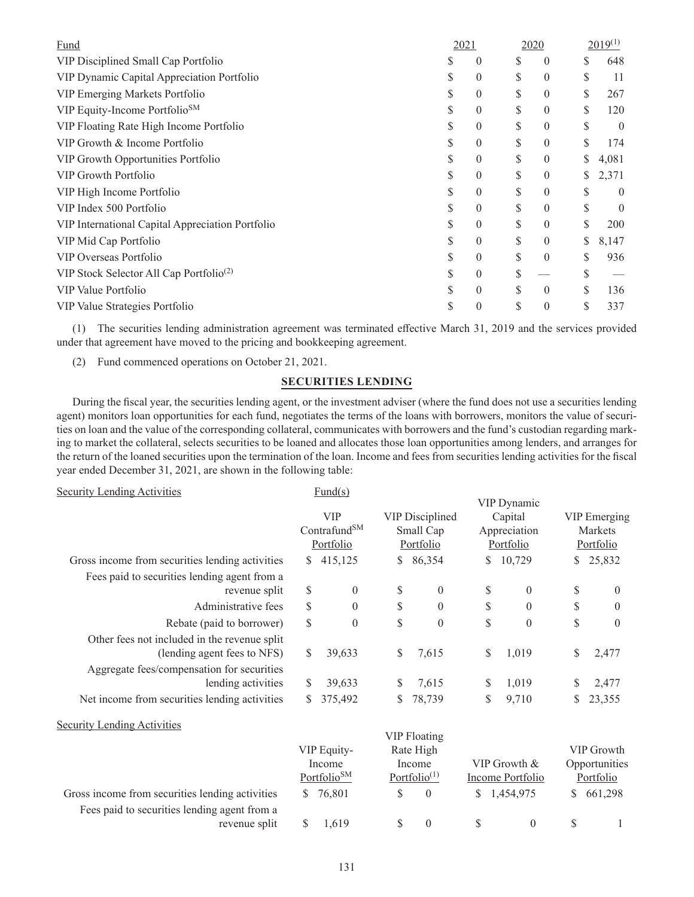| Fund                                                | 2021 |                |    | 2020           |    | $2019^{(1)}$ |
|-----------------------------------------------------|------|----------------|----|----------------|----|--------------|
| VIP Disciplined Small Cap Portfolio                 |      | $\theta$       | S  | $\theta$       |    | 648          |
| VIP Dynamic Capital Appreciation Portfolio          |      | $\overline{0}$ | \$ | $\overline{0}$ |    | 11           |
| VIP Emerging Markets Portfolio                      | S    | 0              | \$ | $\theta$       |    | 267          |
| VIP Equity-Income Portfolio <sup>SM</sup>           |      | 0              | \$ | $\theta$       | S  | 120          |
| VIP Floating Rate High Income Portfolio             |      | 0              | S  | $\theta$       |    | $\theta$     |
| VIP Growth & Income Portfolio                       | S    | 0              | \$ | $\theta$       |    | 174          |
| VIP Growth Opportunities Portfolio                  | S    | 0              | \$ | 0              |    | 4,081        |
| <b>VIP Growth Portfolio</b>                         | S    | 0              | \$ | $\theta$       | S  | 2,371        |
| VIP High Income Portfolio                           |      | 0              | \$ | $\theta$       |    | $\theta$     |
| VIP Index 500 Portfolio                             |      | 0              | \$ | $\theta$       |    | $\theta$     |
| VIP International Capital Appreciation Portfolio    |      | $\theta$       | \$ | $\theta$       |    | 200          |
| VIP Mid Cap Portfolio                               | S    | 0              | \$ | $\theta$       | \$ | 8,147        |
| VIP Overseas Portfolio                              | S    | 0              | S  | $\theta$       |    | 936          |
| VIP Stock Selector All Cap Portfolio <sup>(2)</sup> |      | 0              | \$ |                |    |              |
| VIP Value Portfolio                                 |      | 0              | \$ | $\theta$       |    | 136          |
| VIP Value Strategies Portfolio                      |      | 0              | S  | 0              |    | 337          |

(1) The securities lending administration agreement was terminated effective March 31, 2019 and the services provided under that agreement have moved to the pricing and bookkeeping agreement.

(2) Fund commenced operations on October 21, 2021.

### **SECURITIES LENDING**

During the fiscal year, the securities lending agent, or the investment adviser (where the fund does not use a securities lending agent) monitors loan opportunities for each fund, negotiates the terms of the loans with borrowers, monitors the value of securities on loan and the value of the corresponding collateral, communicates with borrowers and the fund's custodian regarding marking to market the collateral, selects securities to be loaned and allocates those loan opportunities among lenders, and arranges for the return of the loaned securities upon the termination of the loan. Income and fees from securities lending activities for the fiscal year ended December 31, 2021, are shown in the following table:

| <b>Security Lending Activities</b>                                                                                        |               | Fund(s)                               |               |                        |    |                           |    |                      |
|---------------------------------------------------------------------------------------------------------------------------|---------------|---------------------------------------|---------------|------------------------|----|---------------------------|----|----------------------|
|                                                                                                                           |               | <b>VIP</b>                            |               | <b>VIP Disciplined</b> |    | VIP Dynamic<br>Capital    |    | VIP Emerging         |
|                                                                                                                           |               | Contrafund <sup>SM</sup><br>Portfolio |               | Small Cap<br>Portfolio |    | Appreciation<br>Portfolio |    | Markets<br>Portfolio |
| Gross income from securities lending activities                                                                           | S.            | 415,125                               | S.            | 86,354                 | S. | 10,729                    | S. | 25,832               |
| Fees paid to securities lending agent from a<br>revenue split                                                             | $\mathcal{S}$ | $\mathbf{0}$                          | \$            | $\mathbf{0}$           | \$ | $\theta$                  | S  | $\theta$             |
| Administrative fees                                                                                                       | \$            | $\theta$                              | $\mathcal{S}$ | $\theta$               | \$ | $\theta$                  | \$ | $\Omega$             |
| Rebate (paid to borrower)                                                                                                 | \$            | $\theta$                              | \$            | $\theta$               | \$ | $\theta$                  | \$ | $\Omega$             |
| Other fees not included in the revenue split<br>(lending agent fees to NFS)<br>Aggregate fees/compensation for securities | S             | 39.633                                | \$            | 7,615                  | \$ | 1.019                     | S  | 2,477                |
| lending activities                                                                                                        | S             | 39,633                                | \$            | 7,615                  | \$ | 1,019                     | S  | 2,477                |
| Net income from securities lending activities                                                                             |               | 375,492                               |               | 78,739                 | \$ | 9,710                     | S  | 23,355               |
|                                                                                                                           |               |                                       |               |                        |    |                           |    |                      |

Security Lending Activities

|                                                 |                          |                         | VIP FIOAUNG                           |            |                  |               |
|-------------------------------------------------|--------------------------|-------------------------|---------------------------------------|------------|------------------|---------------|
|                                                 | Rate High<br>VIP Equity- |                         |                                       | VIP Growth |                  |               |
|                                                 |                          | Income                  | Income                                |            | VIP Growth $&$   | Opportunities |
|                                                 |                          | Portfolio <sup>SM</sup> | Portfolio <sup><math>(1)</math></sup> |            | Income Portfolio | Portfolio     |
| Gross income from securities lending activities |                          | \$ 76,801               | $\theta$                              |            | \$1,454,975      | \$661,298     |
| Fees paid to securities lending agent from a    |                          |                         |                                       |            |                  |               |
| revenue split                                   |                          | 1.619                   |                                       |            |                  |               |

 $VID$   $E1$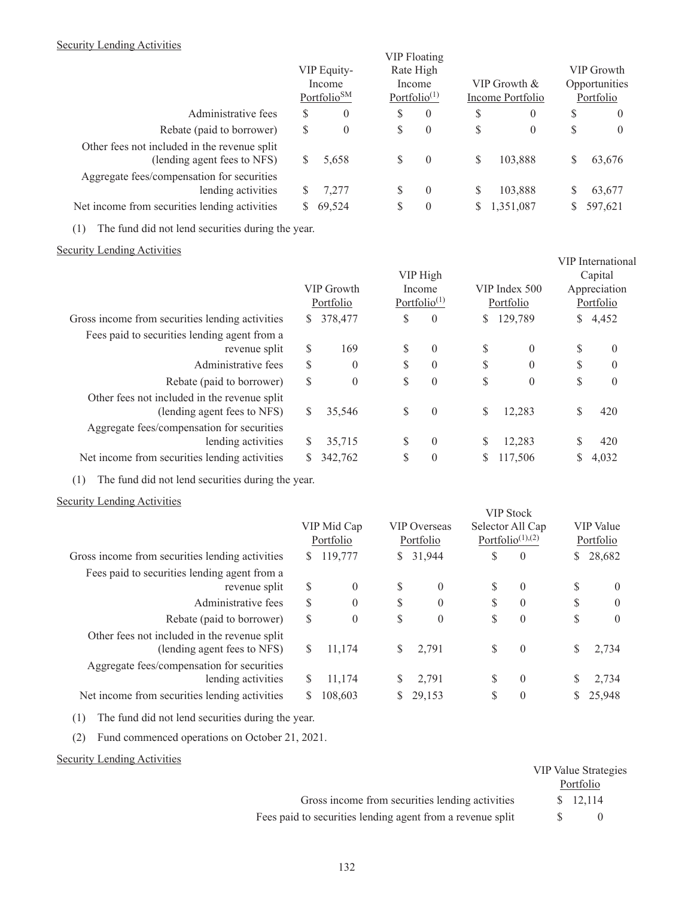# Security Lending Activities

|                                                                             |    | VIP Equity-<br>Income<br>Portfolio <sup>SM</sup> | Rate High<br>Income<br>Portfolio <sup><math>(1)</math></sup> | <b>VIP Floating</b> |    | VIP Growth &<br>Income Portfolio | VIP Growth<br>Opportunities<br>Portfolio |          |  |
|-----------------------------------------------------------------------------|----|--------------------------------------------------|--------------------------------------------------------------|---------------------|----|----------------------------------|------------------------------------------|----------|--|
| Administrative fees                                                         | S  | $\theta$                                         | S                                                            | $\overline{0}$      | S  | $\theta$                         | S                                        | $\theta$ |  |
| Rebate (paid to borrower)                                                   | \$ | $\theta$                                         | \$                                                           | $\theta$            | \$ | $\overline{0}$                   | \$                                       | $\theta$ |  |
| Other fees not included in the revenue split<br>(lending agent fees to NFS) | S  | 5,658                                            | S                                                            | $\theta$            | \$ | 103,888                          | S                                        | 63,676   |  |
| Aggregate fees/compensation for securities<br>lending activities            | S  | 7,277                                            | \$                                                           | $\theta$            | S  | 103,888                          | S                                        | 63,677   |  |
| Net income from securities lending activities                               | S  | 69,524                                           | S                                                            | $\theta$            | \$ | 1,351,087                        |                                          | 597,621  |  |

(1) The fund did not lend securities during the year.

# Security Lending Activities

|                                                                             |               | VIP Growth<br>Portfolio | VIP High<br>Income<br>Portfolio <sup><math>(1)</math></sup> |                | VIP Index 500<br>Portfolio |          | VIP International<br>Capital<br>Appreciation<br>Portfolio |          |
|-----------------------------------------------------------------------------|---------------|-------------------------|-------------------------------------------------------------|----------------|----------------------------|----------|-----------------------------------------------------------|----------|
| Gross income from securities lending activities                             | S.            | 378,477                 | \$                                                          | $\overline{0}$ | S.                         | 129,789  | S.                                                        | 4,452    |
| Fees paid to securities lending agent from a<br>revenue split               | \$            | 169                     | \$                                                          | $\theta$       | \$                         | $\Omega$ | \$                                                        | $\theta$ |
| Administrative fees                                                         | $\mathcal{S}$ | $\overline{0}$          | \$                                                          | $\overline{0}$ | \$                         | $\theta$ | \$                                                        | $\theta$ |
| Rebate (paid to borrower)                                                   | \$            | $\theta$                | \$                                                          | $\overline{0}$ | \$                         | $\Omega$ | \$                                                        | $\theta$ |
| Other fees not included in the revenue split<br>(lending agent fees to NFS) | S             | 35,546                  | \$                                                          | $\theta$       | \$                         | 12.283   | S                                                         | 420      |
| Aggregate fees/compensation for securities<br>lending activities            | S             | 35,715                  | \$                                                          | $\theta$       | \$                         | 12,283   |                                                           | 420      |
| Net income from securities lending activities                               |               | 342,762                 | \$                                                          | $\theta$       | S                          | 117,506  |                                                           | 4,032    |

(1) The fund did not lend securities during the year.

# Security Lending Activities

| $\frac{1}{2}$                                                               | VIP Mid Cap<br><b>VIP</b> Overseas<br>Portfolio<br>Portfolio |          | <b>VIP Stock</b><br>Selector All Cap<br>Portfolio <sup><math>(1),(2)</math></sup> |          | VIP Value<br>Portfolio |          |    |                |
|-----------------------------------------------------------------------------|--------------------------------------------------------------|----------|-----------------------------------------------------------------------------------|----------|------------------------|----------|----|----------------|
| Gross income from securities lending activities                             | S.                                                           | 119,777  | $\mathbb{S}$                                                                      | 31,944   | \$                     | $\theta$ | S  | 28,682         |
| Fees paid to securities lending agent from a<br>revenue split               | $\mathcal{S}$                                                | $\theta$ | \$                                                                                | $\theta$ | \$                     | $\theta$ | \$ | $\overline{0}$ |
| Administrative fees                                                         | S                                                            | $\Omega$ | \$                                                                                | $\theta$ | \$                     | $\theta$ | \$ | $\theta$       |
| Rebate (paid to borrower)                                                   | S                                                            | $\Omega$ | \$                                                                                | $\theta$ | \$                     | $\theta$ | \$ | $\overline{0}$ |
| Other fees not included in the revenue split<br>(lending agent fees to NFS) | S                                                            | 11,174   | \$                                                                                | 2,791    | \$                     | $\theta$ | \$ | 2,734          |
| Aggregate fees/compensation for securities<br>lending activities            | S                                                            | 11.174   | \$                                                                                | 2,791    | S                      | $\Omega$ | S  | 2,734          |
| Net income from securities lending activities                               |                                                              | 108,603  |                                                                                   | 29,153   | \$                     | $\theta$ | S  | 25,948         |

(1) The fund did not lend securities during the year.

(2) Fund commenced operations on October 21, 2021.

# Security Lending Activities

|                                                            | <b>VIP Value Strategies</b> |           |
|------------------------------------------------------------|-----------------------------|-----------|
|                                                            | Portfolio                   |           |
| Gross income from securities lending activities            |                             | \$ 12,114 |
| Fees paid to securities lending agent from a revenue split |                             |           |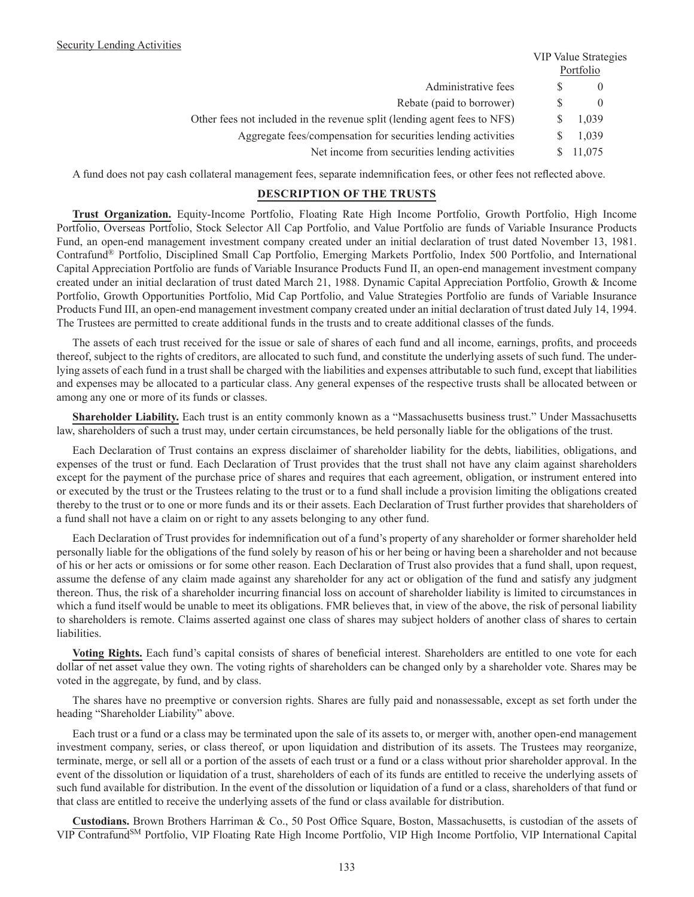|                                                                          | VIP Value Strategies<br>Portfolio |          |  |
|--------------------------------------------------------------------------|-----------------------------------|----------|--|
| Administrative fees                                                      |                                   | $\theta$ |  |
| Rebate (paid to borrower)                                                |                                   | $\theta$ |  |
| Other fees not included in the revenue split (lending agent fees to NFS) |                                   | 1,039    |  |
| Aggregate fees/compensation for securities lending activities            |                                   | 1,039    |  |
| Net income from securities lending activities                            |                                   | 11,075   |  |

A fund does not pay cash collateral management fees, separate indemnification fees, or other fees not reflected above.

### **DESCRIPTION OF THE TRUSTS**

**Trust Organization.** Equity-Income Portfolio, Floating Rate High Income Portfolio, Growth Portfolio, High Income Portfolio, Overseas Portfolio, Stock Selector All Cap Portfolio, and Value Portfolio are funds of Variable Insurance Products Fund, an open-end management investment company created under an initial declaration of trust dated November 13, 1981. Contrafund® Portfolio, Disciplined Small Cap Portfolio, Emerging Markets Portfolio, Index 500 Portfolio, and International Capital Appreciation Portfolio are funds of Variable Insurance Products Fund II, an open-end management investment company created under an initial declaration of trust dated March 21, 1988. Dynamic Capital Appreciation Portfolio, Growth & Income Portfolio, Growth Opportunities Portfolio, Mid Cap Portfolio, and Value Strategies Portfolio are funds of Variable Insurance Products Fund III, an open-end management investment company created under an initial declaration of trust dated July 14, 1994. The Trustees are permitted to create additional funds in the trusts and to create additional classes of the funds.

The assets of each trust received for the issue or sale of shares of each fund and all income, earnings, profits, and proceeds thereof, subject to the rights of creditors, are allocated to such fund, and constitute the underlying assets of such fund. The underlying assets of each fund in a trust shall be charged with the liabilities and expenses attributable to such fund, except that liabilities and expenses may be allocated to a particular class. Any general expenses of the respective trusts shall be allocated between or among any one or more of its funds or classes.

**Shareholder Liability.** Each trust is an entity commonly known as a "Massachusetts business trust." Under Massachusetts law, shareholders of such a trust may, under certain circumstances, be held personally liable for the obligations of the trust.

Each Declaration of Trust contains an express disclaimer of shareholder liability for the debts, liabilities, obligations, and expenses of the trust or fund. Each Declaration of Trust provides that the trust shall not have any claim against shareholders except for the payment of the purchase price of shares and requires that each agreement, obligation, or instrument entered into or executed by the trust or the Trustees relating to the trust or to a fund shall include a provision limiting the obligations created thereby to the trust or to one or more funds and its or their assets. Each Declaration of Trust further provides that shareholders of a fund shall not have a claim on or right to any assets belonging to any other fund.

Each Declaration of Trust provides for indemnification out of a fund's property of any shareholder or former shareholder held personally liable for the obligations of the fund solely by reason of his or her being or having been a shareholder and not because of his or her acts or omissions or for some other reason. Each Declaration of Trust also provides that a fund shall, upon request, assume the defense of any claim made against any shareholder for any act or obligation of the fund and satisfy any judgment thereon. Thus, the risk of a shareholder incurring financial loss on account of shareholder liability is limited to circumstances in which a fund itself would be unable to meet its obligations. FMR believes that, in view of the above, the risk of personal liability to shareholders is remote. Claims asserted against one class of shares may subject holders of another class of shares to certain liabilities.

**Voting Rights.** Each fund's capital consists of shares of beneficial interest. Shareholders are entitled to one vote for each dollar of net asset value they own. The voting rights of shareholders can be changed only by a shareholder vote. Shares may be voted in the aggregate, by fund, and by class.

The shares have no preemptive or conversion rights. Shares are fully paid and nonassessable, except as set forth under the heading "Shareholder Liability" above.

Each trust or a fund or a class may be terminated upon the sale of its assets to, or merger with, another open-end management investment company, series, or class thereof, or upon liquidation and distribution of its assets. The Trustees may reorganize, terminate, merge, or sell all or a portion of the assets of each trust or a fund or a class without prior shareholder approval. In the event of the dissolution or liquidation of a trust, shareholders of each of its funds are entitled to receive the underlying assets of such fund available for distribution. In the event of the dissolution or liquidation of a fund or a class, shareholders of that fund or that class are entitled to receive the underlying assets of the fund or class available for distribution.

**Custodians.** Brown Brothers Harriman & Co., 50 Post Office Square, Boston, Massachusetts, is custodian of the assets of VIP Contrafund<sup>SM</sup> Portfolio, VIP Floating Rate High Income Portfolio, VIP High Income Portfolio, VIP International Capital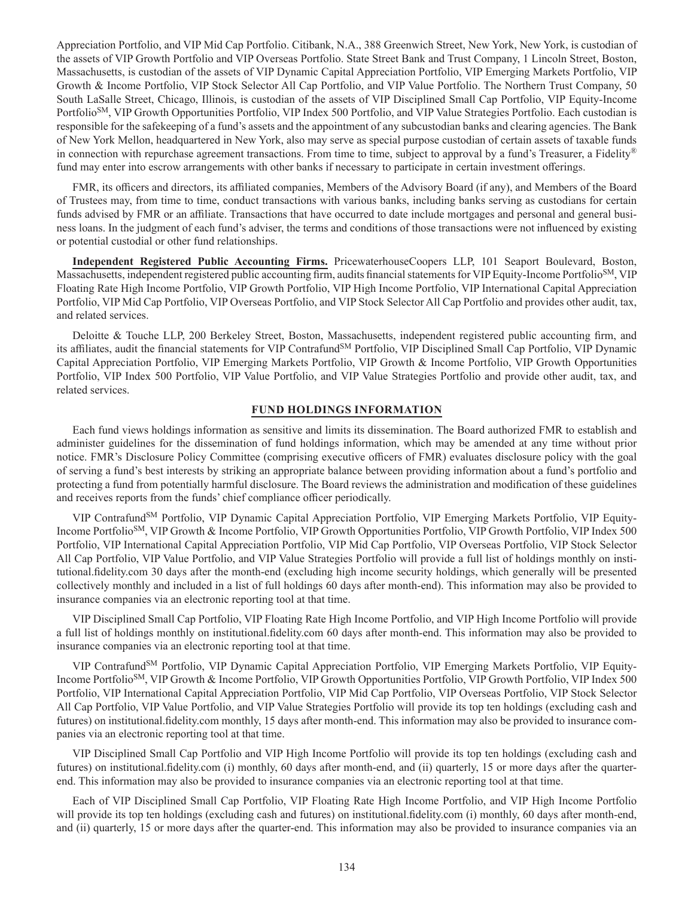Appreciation Portfolio, and VIP Mid Cap Portfolio. Citibank, N.A., 388 Greenwich Street, New York, New York, is custodian of the assets of VIP Growth Portfolio and VIP Overseas Portfolio. State Street Bank and Trust Company, 1 Lincoln Street, Boston, Massachusetts, is custodian of the assets of VIP Dynamic Capital Appreciation Portfolio, VIP Emerging Markets Portfolio, VIP Growth & Income Portfolio, VIP Stock Selector All Cap Portfolio, and VIP Value Portfolio. The Northern Trust Company, 50 South LaSalle Street, Chicago, Illinois, is custodian of the assets of VIP Disciplined Small Cap Portfolio, VIP Equity-Income Portfolio<sup>SM</sup>, VIP Growth Opportunities Portfolio, VIP Index 500 Portfolio, and VIP Value Strategies Portfolio. Each custodian is responsible for the safekeeping of a fund's assets and the appointment of any subcustodian banks and clearing agencies. The Bank of New York Mellon, headquartered in New York, also may serve as special purpose custodian of certain assets of taxable funds in connection with repurchase agreement transactions. From time to time, subject to approval by a fund's Treasurer, a Fidelity® fund may enter into escrow arrangements with other banks if necessary to participate in certain investment offerings.

FMR, its officers and directors, its affiliated companies, Members of the Advisory Board (if any), and Members of the Board of Trustees may, from time to time, conduct transactions with various banks, including banks serving as custodians for certain funds advised by FMR or an affiliate. Transactions that have occurred to date include mortgages and personal and general business loans. In the judgment of each fund's adviser, the terms and conditions of those transactions were not influenced by existing or potential custodial or other fund relationships.

**Independent Registered Public Accounting Firms.** PricewaterhouseCoopers LLP, 101 Seaport Boulevard, Boston, Massachusetts, independent registered public accounting firm, audits financial statements for VIP Equity-Income Portfolio<sup>SM</sup>, VIP Floating Rate High Income Portfolio, VIP Growth Portfolio, VIP High Income Portfolio, VIP International Capital Appreciation Portfolio, VIP Mid Cap Portfolio, VIP Overseas Portfolio, and VIP Stock Selector All Cap Portfolio and provides other audit, tax, and related services.

Deloitte & Touche LLP, 200 Berkeley Street, Boston, Massachusetts, independent registered public accounting firm, and its affiliates, audit the financial statements for VIP ContrafundSM Portfolio, VIP Disciplined Small Cap Portfolio, VIP Dynamic Capital Appreciation Portfolio, VIP Emerging Markets Portfolio, VIP Growth & Income Portfolio, VIP Growth Opportunities Portfolio, VIP Index 500 Portfolio, VIP Value Portfolio, and VIP Value Strategies Portfolio and provide other audit, tax, and related services.

### **FUND HOLDINGS INFORMATION**

Each fund views holdings information as sensitive and limits its dissemination. The Board authorized FMR to establish and administer guidelines for the dissemination of fund holdings information, which may be amended at any time without prior notice. FMR's Disclosure Policy Committee (comprising executive officers of FMR) evaluates disclosure policy with the goal of serving a fund's best interests by striking an appropriate balance between providing information about a fund's portfolio and protecting a fund from potentially harmful disclosure. The Board reviews the administration and modification of these guidelines and receives reports from the funds' chief compliance officer periodically.

VIP Contrafund<sup>SM</sup> Portfolio, VIP Dynamic Capital Appreciation Portfolio, VIP Emerging Markets Portfolio, VIP Equity-Income PortfolioSM, VIP Growth & Income Portfolio, VIP Growth Opportunities Portfolio, VIP Growth Portfolio, VIP Index 500 Portfolio, VIP International Capital Appreciation Portfolio, VIP Mid Cap Portfolio, VIP Overseas Portfolio, VIP Stock Selector All Cap Portfolio, VIP Value Portfolio, and VIP Value Strategies Portfolio will provide a full list of holdings monthly on institutional.fidelity.com 30 days after the month-end (excluding high income security holdings, which generally will be presented collectively monthly and included in a list of full holdings 60 days after month-end). This information may also be provided to insurance companies via an electronic reporting tool at that time.

VIP Disciplined Small Cap Portfolio, VIP Floating Rate High Income Portfolio, and VIP High Income Portfolio will provide a full list of holdings monthly on institutional.fidelity.com 60 days after month-end. This information may also be provided to insurance companies via an electronic reporting tool at that time.

VIP Contrafund<sup>SM</sup> Portfolio, VIP Dynamic Capital Appreciation Portfolio, VIP Emerging Markets Portfolio, VIP Equity-Income PortfolioSM, VIP Growth & Income Portfolio, VIP Growth Opportunities Portfolio, VIP Growth Portfolio, VIP Index 500 Portfolio, VIP International Capital Appreciation Portfolio, VIP Mid Cap Portfolio, VIP Overseas Portfolio, VIP Stock Selector All Cap Portfolio, VIP Value Portfolio, and VIP Value Strategies Portfolio will provide its top ten holdings (excluding cash and futures) on institutional.fidelity.com monthly, 15 days after month-end. This information may also be provided to insurance companies via an electronic reporting tool at that time.

VIP Disciplined Small Cap Portfolio and VIP High Income Portfolio will provide its top ten holdings (excluding cash and futures) on institutional.fidelity.com (i) monthly, 60 days after month-end, and (ii) quarterly, 15 or more days after the quarterend. This information may also be provided to insurance companies via an electronic reporting tool at that time.

Each of VIP Disciplined Small Cap Portfolio, VIP Floating Rate High Income Portfolio, and VIP High Income Portfolio will provide its top ten holdings (excluding cash and futures) on institutional.fidelity.com (i) monthly, 60 days after month-end, and (ii) quarterly, 15 or more days after the quarter-end. This information may also be provided to insurance companies via an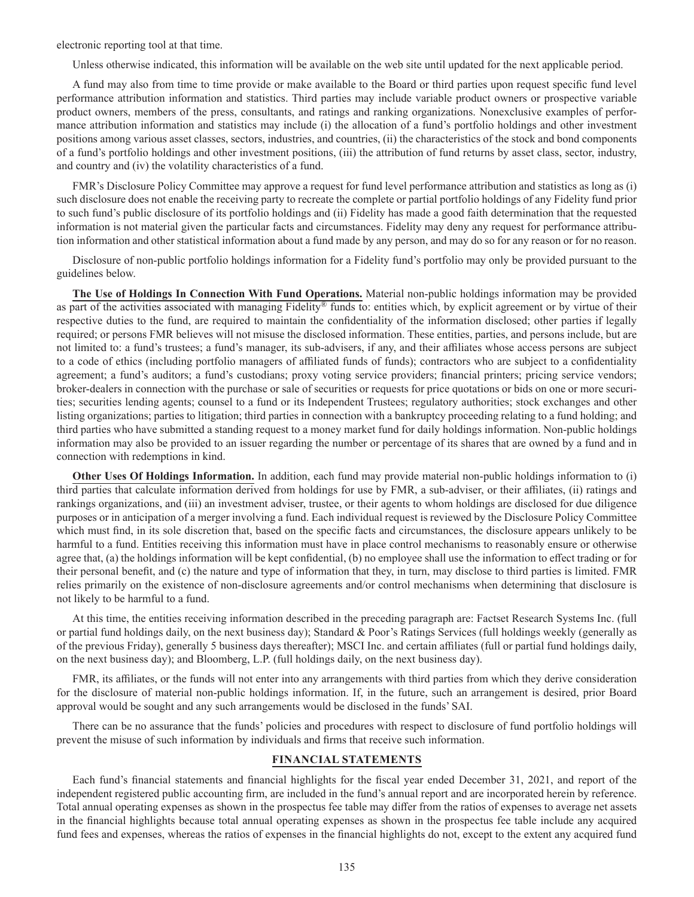electronic reporting tool at that time.

Unless otherwise indicated, this information will be available on the web site until updated for the next applicable period.

A fund may also from time to time provide or make available to the Board or third parties upon request specific fund level performance attribution information and statistics. Third parties may include variable product owners or prospective variable product owners, members of the press, consultants, and ratings and ranking organizations. Nonexclusive examples of performance attribution information and statistics may include (i) the allocation of a fund's portfolio holdings and other investment positions among various asset classes, sectors, industries, and countries, (ii) the characteristics of the stock and bond components of a fund's portfolio holdings and other investment positions, (iii) the attribution of fund returns by asset class, sector, industry, and country and (iv) the volatility characteristics of a fund.

FMR's Disclosure Policy Committee may approve a request for fund level performance attribution and statistics as long as (i) such disclosure does not enable the receiving party to recreate the complete or partial portfolio holdings of any Fidelity fund prior to such fund's public disclosure of its portfolio holdings and (ii) Fidelity has made a good faith determination that the requested information is not material given the particular facts and circumstances. Fidelity may deny any request for performance attribution information and other statistical information about a fund made by any person, and may do so for any reason or for no reason.

Disclosure of non-public portfolio holdings information for a Fidelity fund's portfolio may only be provided pursuant to the guidelines below.

**The Use of Holdings In Connection With Fund Operations.** Material non-public holdings information may be provided as part of the activities associated with managing Fidelity® funds to: entities which, by explicit agreement or by virtue of their respective duties to the fund, are required to maintain the confidentiality of the information disclosed; other parties if legally required; or persons FMR believes will not misuse the disclosed information. These entities, parties, and persons include, but are not limited to: a fund's trustees; a fund's manager, its sub-advisers, if any, and their affiliates whose access persons are subject to a code of ethics (including portfolio managers of affiliated funds of funds); contractors who are subject to a confidentiality agreement; a fund's auditors; a fund's custodians; proxy voting service providers; financial printers; pricing service vendors; broker-dealers in connection with the purchase or sale of securities or requests for price quotations or bids on one or more securities; securities lending agents; counsel to a fund or its Independent Trustees; regulatory authorities; stock exchanges and other listing organizations; parties to litigation; third parties in connection with a bankruptcy proceeding relating to a fund holding; and third parties who have submitted a standing request to a money market fund for daily holdings information. Non-public holdings information may also be provided to an issuer regarding the number or percentage of its shares that are owned by a fund and in connection with redemptions in kind.

**Other Uses Of Holdings Information.** In addition, each fund may provide material non-public holdings information to (i) third parties that calculate information derived from holdings for use by FMR, a sub-adviser, or their affiliates, (ii) ratings and rankings organizations, and (iii) an investment adviser, trustee, or their agents to whom holdings are disclosed for due diligence purposes or in anticipation of a merger involving a fund. Each individual request is reviewed by the Disclosure Policy Committee which must find, in its sole discretion that, based on the specific facts and circumstances, the disclosure appears unlikely to be harmful to a fund. Entities receiving this information must have in place control mechanisms to reasonably ensure or otherwise agree that, (a) the holdings information will be kept confidential, (b) no employee shall use the information to effect trading or for their personal benefit, and (c) the nature and type of information that they, in turn, may disclose to third parties is limited. FMR relies primarily on the existence of non-disclosure agreements and/or control mechanisms when determining that disclosure is not likely to be harmful to a fund.

At this time, the entities receiving information described in the preceding paragraph are: Factset Research Systems Inc. (full or partial fund holdings daily, on the next business day); Standard & Poor's Ratings Services (full holdings weekly (generally as of the previous Friday), generally 5 business days thereafter); MSCI Inc. and certain affiliates (full or partial fund holdings daily, on the next business day); and Bloomberg, L.P. (full holdings daily, on the next business day).

FMR, its affiliates, or the funds will not enter into any arrangements with third parties from which they derive consideration for the disclosure of material non-public holdings information. If, in the future, such an arrangement is desired, prior Board approval would be sought and any such arrangements would be disclosed in the funds' SAI.

There can be no assurance that the funds' policies and procedures with respect to disclosure of fund portfolio holdings will prevent the misuse of such information by individuals and firms that receive such information.

#### **FINANCIAL STATEMENTS**

Each fund's financial statements and financial highlights for the fiscal year ended December 31, 2021, and report of the independent registered public accounting firm, are included in the fund's annual report and are incorporated herein by reference. Total annual operating expenses as shown in the prospectus fee table may differ from the ratios of expenses to average net assets in the financial highlights because total annual operating expenses as shown in the prospectus fee table include any acquired fund fees and expenses, whereas the ratios of expenses in the financial highlights do not, except to the extent any acquired fund